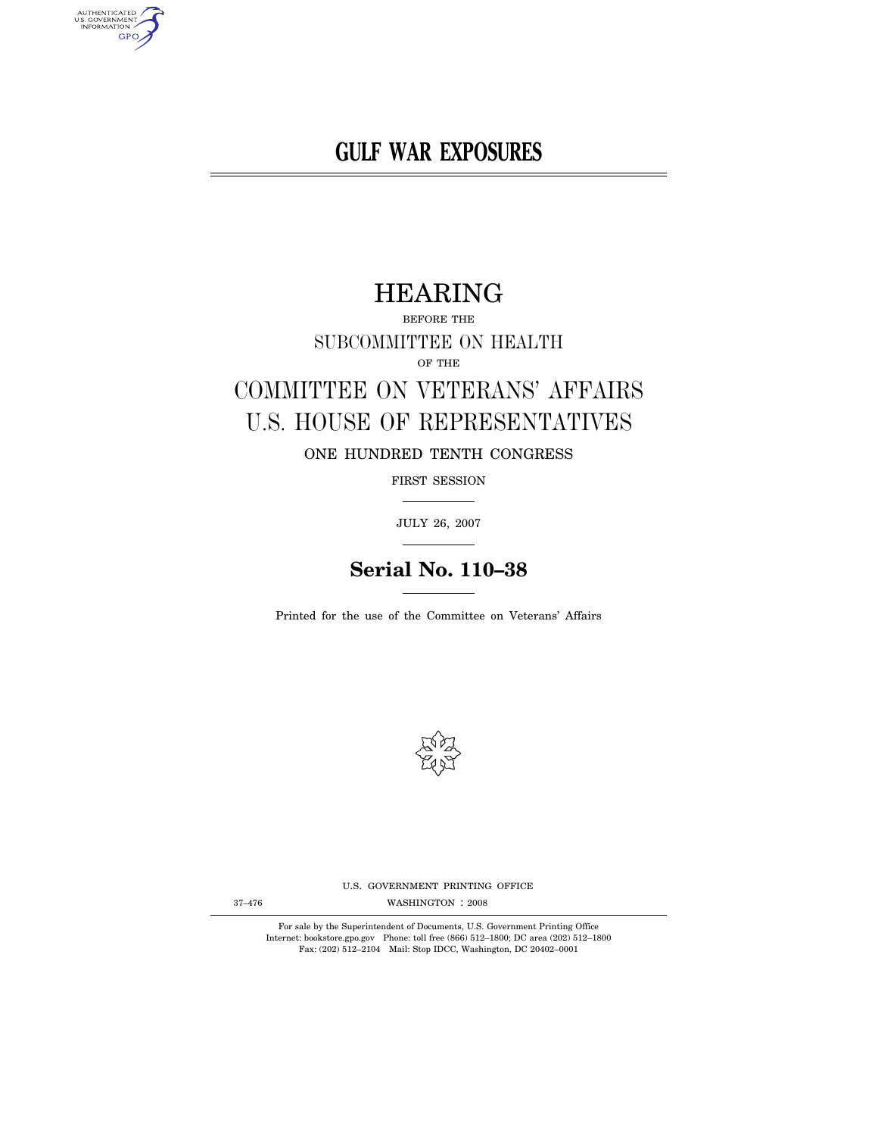**GULF WAR EXPOSURES** 

# HEARING

BEFORE THE SUBCOMMITTEE ON HEALTH OF THE

# COMMITTEE ON VETERANS' AFFAIRS U.S. HOUSE OF REPRESENTATIVES

ONE HUNDRED TENTH CONGRESS

FIRST SESSION

JULY 26, 2007

# **Serial No. 110–38**

Printed for the use of the Committee on Veterans' Affairs



U.S. GOVERNMENT PRINTING OFFICE

WASHINGTON : 37–476 2008

For sale by the Superintendent of Documents, U.S. Government Printing Office Internet: bookstore.gpo.gov Phone: toll free (866) 512–1800; DC area (202) 512–1800 Fax: (202) 512–2104 Mail: Stop IDCC, Washington, DC 20402–0001

AUTHENTICATED<br>U.S. GOVERNMENT<br>INFORMATION **GPO**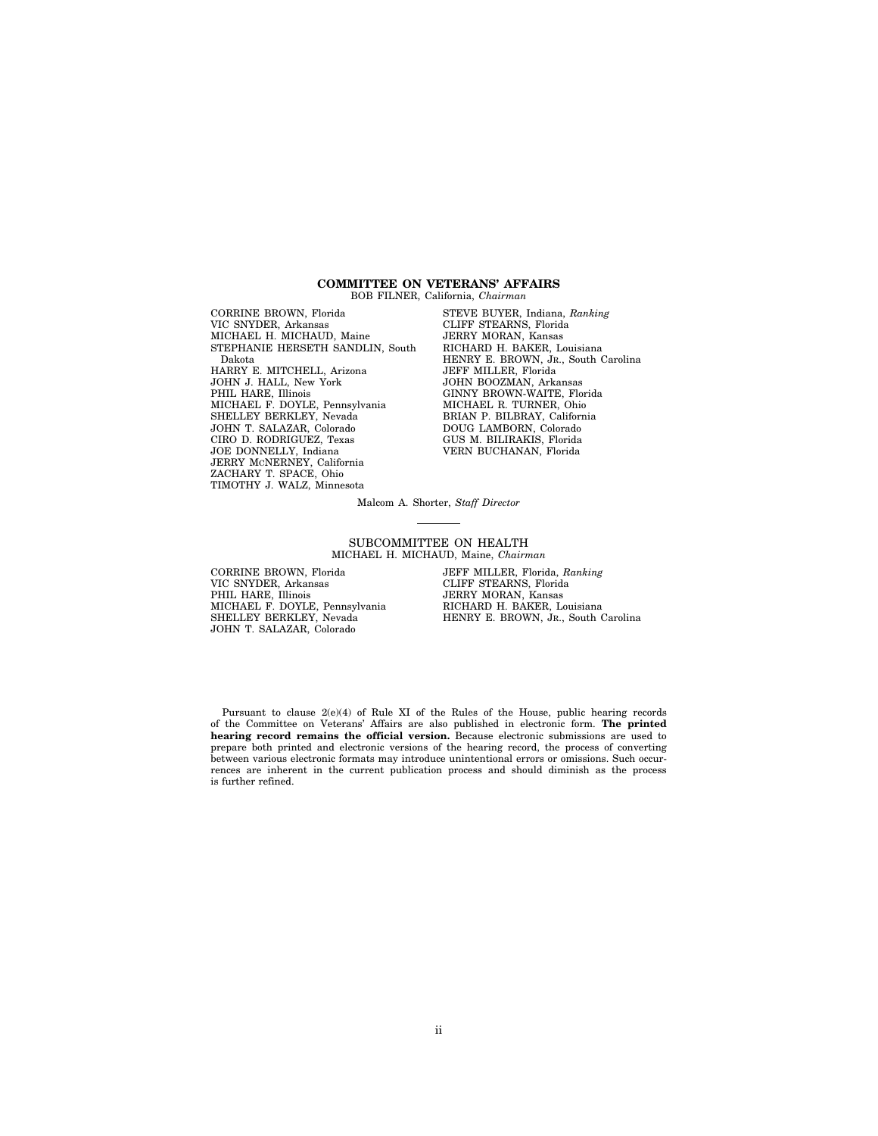#### **COMMITTEE ON VETERANS' AFFAIRS**  BOB FILNER, California, *Chairman*

CORRINE BROWN, Florida VIC SNYDER, Arkansas MICHAEL H. MICHAUD, Maine STEPHANIE HERSETH SANDLIN, South Dakota HARRY E. MITCHELL, Arizona JOHN J. HALL, New York PHIL HARE, Illinois MICHAEL F. DOYLE, Pennsylvania SHELLEY BERKLEY, Nevada JOHN T. SALAZAR, Colorado CIRO D. RODRIGUEZ, Texas JOE DONNELLY, Indiana JERRY MCNERNEY, California ZACHARY T. SPACE, Ohio TIMOTHY J. WALZ, Minnesota

STEVE BUYER, Indiana, *Ranking*  CLIFF STEARNS, Florida JERRY MORAN, Kansas RICHARD H. BAKER, Louisiana HENRY E. BROWN, JR., South Carolina JEFF MILLER, Florida JOHN BOOZMAN, Arkansas GINNY BROWN-WAITE, Florida MICHAEL R. TURNER, Ohio BRIAN P. BILBRAY, California DOUG LAMBORN, Colorado GUS M. BILIRAKIS, Florida VERN BUCHANAN, Florida

Malcom A. Shorter, *Staff Director* 

SUBCOMMITTEE ON HEALTH MICHAEL H. MICHAUD, Maine, *Chairman* 

CORRINE BROWN, Florida VIC SNYDER, Arkansas PHIL HARE, Illinois MICHAEL F. DOYLE, Pennsylvania SHELLEY BERKLEY, Nevada JOHN T. SALAZAR, Colorado

JEFF MILLER, Florida, *Ranking*  CLIFF STEARNS, Florida JERRY MORAN, Kansas RICHARD H. BAKER, Louisiana HENRY E. BROWN, JR., South Carolina

Pursuant to clause 2(e)(4) of Rule XI of the Rules of the House, public hearing records of the Committee on Veterans' Affairs are also published in electronic form. **The printed hearing record remains the official version.** Because electronic submissions are used to prepare both printed and electronic versions of the hearing record, the process of converting between various electronic formats may introduce unintentional errors or omissions. Such occurrences are inherent in the current publication process and should diminish as the process is further refined.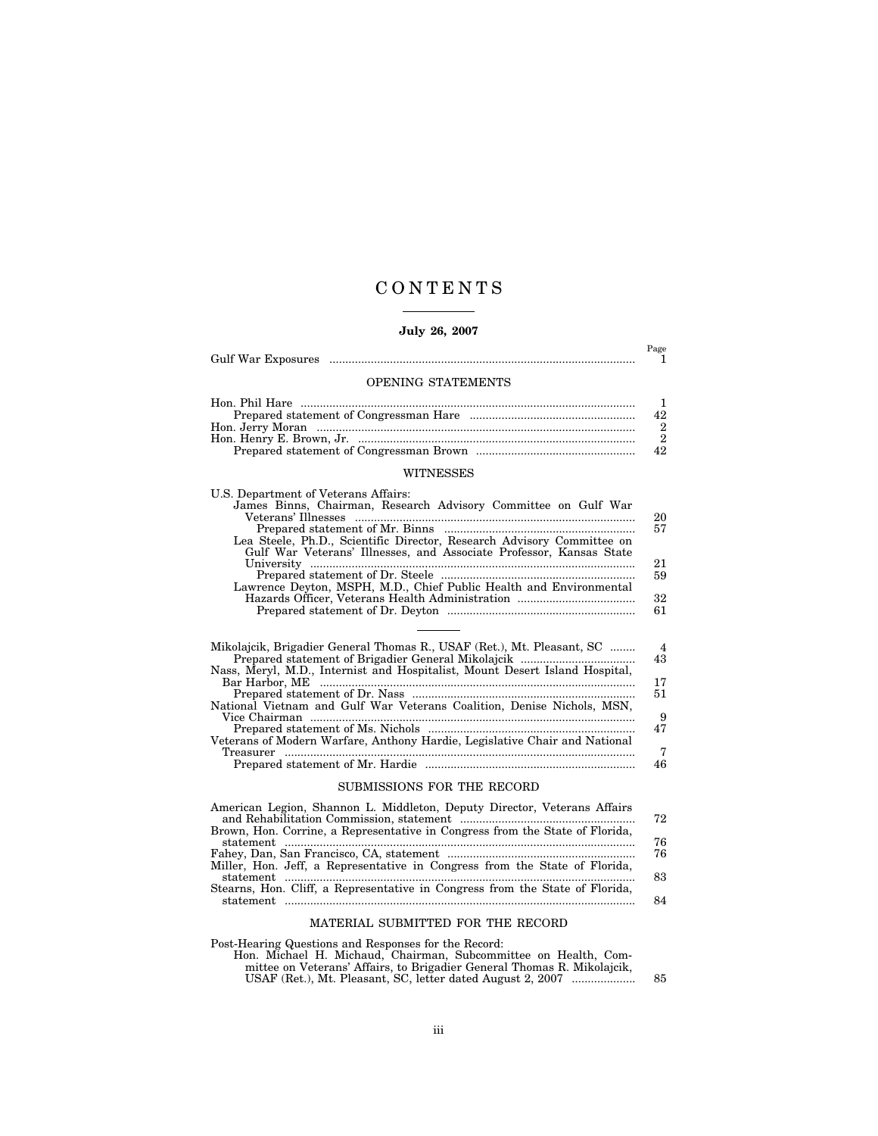## C O N T E N T S

### **July 26, 2007**

|                                                                                                                                                                                                                                                                                                               | Page<br>1                                              |
|---------------------------------------------------------------------------------------------------------------------------------------------------------------------------------------------------------------------------------------------------------------------------------------------------------------|--------------------------------------------------------|
| OPENING STATEMENTS                                                                                                                                                                                                                                                                                            |                                                        |
| <b>WITNESSES</b>                                                                                                                                                                                                                                                                                              | 1<br>42<br>$\boldsymbol{2}$<br>$\overline{2}$<br>42    |
| U.S. Department of Veterans Affairs:                                                                                                                                                                                                                                                                          |                                                        |
| James Binns, Chairman, Research Advisory Committee on Gulf War<br>Lea Steele, Ph.D., Scientific Director, Research Advisory Committee on<br>Gulf War Veterans' Illnesses, and Associate Professor, Kansas State<br>Lawrence Deyton, MSPH, M.D., Chief Public Health and Environmental                         | 20<br>57<br>21<br>59<br>32<br>61                       |
| Mikolajcik, Brigadier General Thomas R., USAF (Ret.), Mt. Pleasant, SC<br>Nass, Meryl, M.D., Internist and Hospitalist, Mount Desert Island Hospital,<br>National Vietnam and Gulf War Veterans Coalition, Denise Nichols, MSN,<br>Veterans of Modern Warfare, Anthony Hardie, Legislative Chair and National | $\overline{4}$<br>43<br>17<br>51<br>9<br>47<br>7<br>46 |
| SUBMISSIONS FOR THE RECORD                                                                                                                                                                                                                                                                                    |                                                        |
| American Legion, Shannon L. Middleton, Deputy Director, Veterans Affairs<br>Brown, Hon. Corrine, a Representative in Congress from the State of Florida,                                                                                                                                                      | 72<br>76                                               |

|                                                                              | 72 |
|------------------------------------------------------------------------------|----|
| Brown, Hon. Corrine, a Representative in Congress from the State of Florida, |    |
|                                                                              | 76 |
|                                                                              | 76 |
| Miller, Hon. Jeff, a Representative in Congress from the State of Florida,   |    |
|                                                                              | 83 |
| Stearns, Hon. Cliff, a Representative in Congress from the State of Florida, |    |
|                                                                              | 84 |
|                                                                              |    |

### MATERIAL SUBMITTED FOR THE RECORD

Post-Hearing Questions and Responses for the Record:

Hon. Michael H. Michaud, Chairman, Subcommittee on Health, Com-mittee on Veterans' Affairs, to Brigadier General Thomas R. Mikolajcik, USAF (Ret.), Mt. Pleasant, SC, letter dated August 2, 2007 .................... 85

iii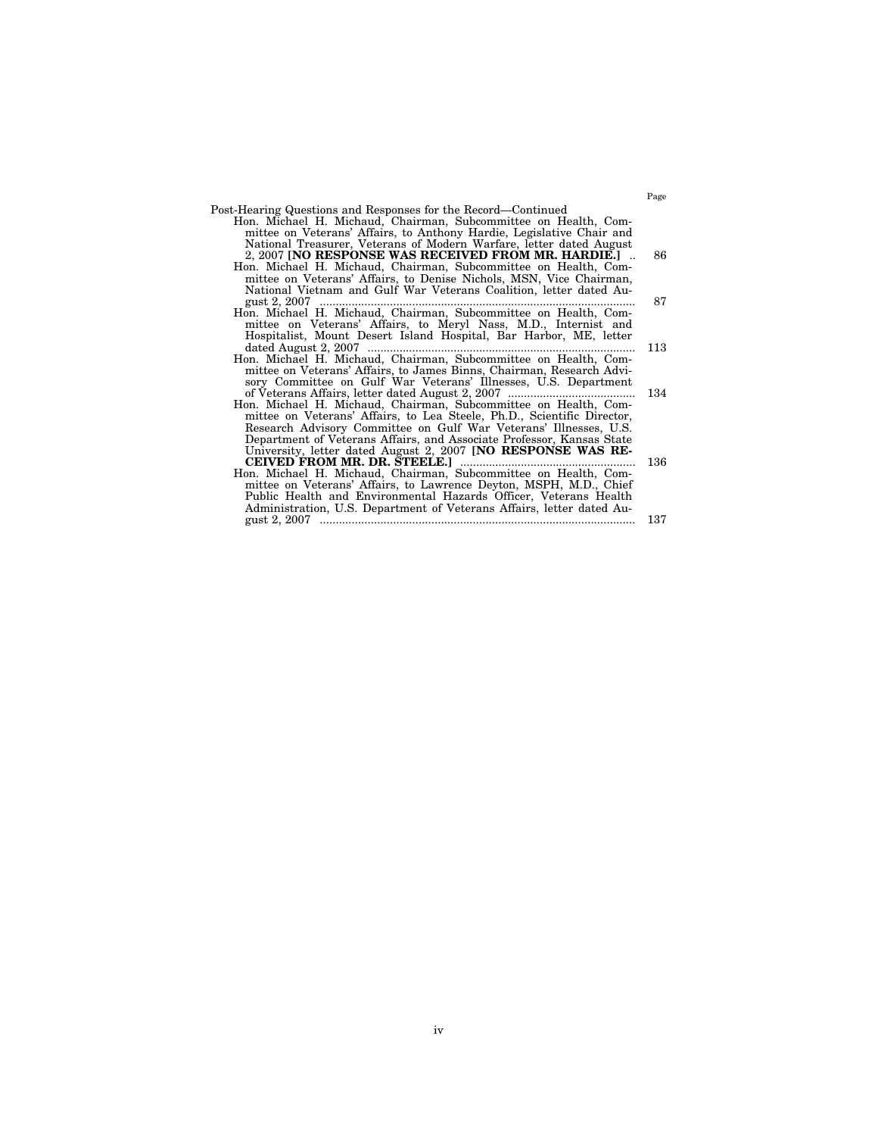|  |  | Post-Hearing Questions and Responses for the Record—Continued                                                                       |  |  |
|--|--|-------------------------------------------------------------------------------------------------------------------------------------|--|--|
|  |  | Hon. Michael H. Michaud. Chairman. Subcommittee on Health. Com-                                                                     |  |  |
|  |  | $\mathbf{H}$ . The state of $\mathbf{M}$ and $\mathbf{M}$ and $\mathbf{M}$ is the state of $\mathbf{M}$ . The state of $\mathbf{M}$ |  |  |

| mittee on Veterans' Affairs, to Anthony Hardie, Legislative Chair and |    |
|-----------------------------------------------------------------------|----|
| National Treasurer, Veterans of Modern Warfare, letter dated August   |    |
| 2, 2007 [NO RESPONSE WAS RECEIVED FROM MR. HARDIE.]                   | 86 |
| Hon. Michael H. Michaud, Chairman, Subcommittee on Health, Com-       |    |
| mittee on Veterans' Affairs, to Denise Nichols, MSN, Vice Chairman,   |    |
| National Vietnam and Gulf War Veterans Coalition, letter dated Au-    |    |
|                                                                       | 87 |

- Hon. Michael H. Michaud, Chairman, Subcommittee on Health, Committee on Veterans' Affairs, to Meryl Nass, M.D., Internist and Hospitalist, Mount Desert Island Hospital, Bar Harbor, ME, letter dated August 2, 2007 .................................................................................... 113
- Hon. Michael H. Michaud, Chairman, Subcommittee on Health, Committee on Veterans' Affairs, to James Binns, Chairman, Research Advisory Committee on Gulf War Veterans' Illnesses, U.S. Department
- of Veterans Affairs, letter dated August 2, 2007 ........................................ 134 Hon. Michael H. Michaud, Chairman, Subcommittee on Health, Committee on Veterans' Affairs, to Lea Steele, Ph.D., Scientific Director, Research Advisory Committee on Gulf War Veterans' Illnesses, U.S. Department of Veterans Affairs, and Associate Professor, Kansas State University, letter dated August 2, 2007 **[NO RESPONSE WAS RE-CEIVED FROM MR. DR. STEELE.]** ....................................................... 136
- Hon. Michael H. Michaud, Chairman, Subcommittee on Health, Committee on Veterans' Affairs, to Lawrence Deyton, MSPH, M.D., Chief Public Health and Environmental Hazards Officer, Veterans Health Administration, U.S. Department of Veterans Affairs, letter dated August 2, 2007 ................................................................................................... 137

Page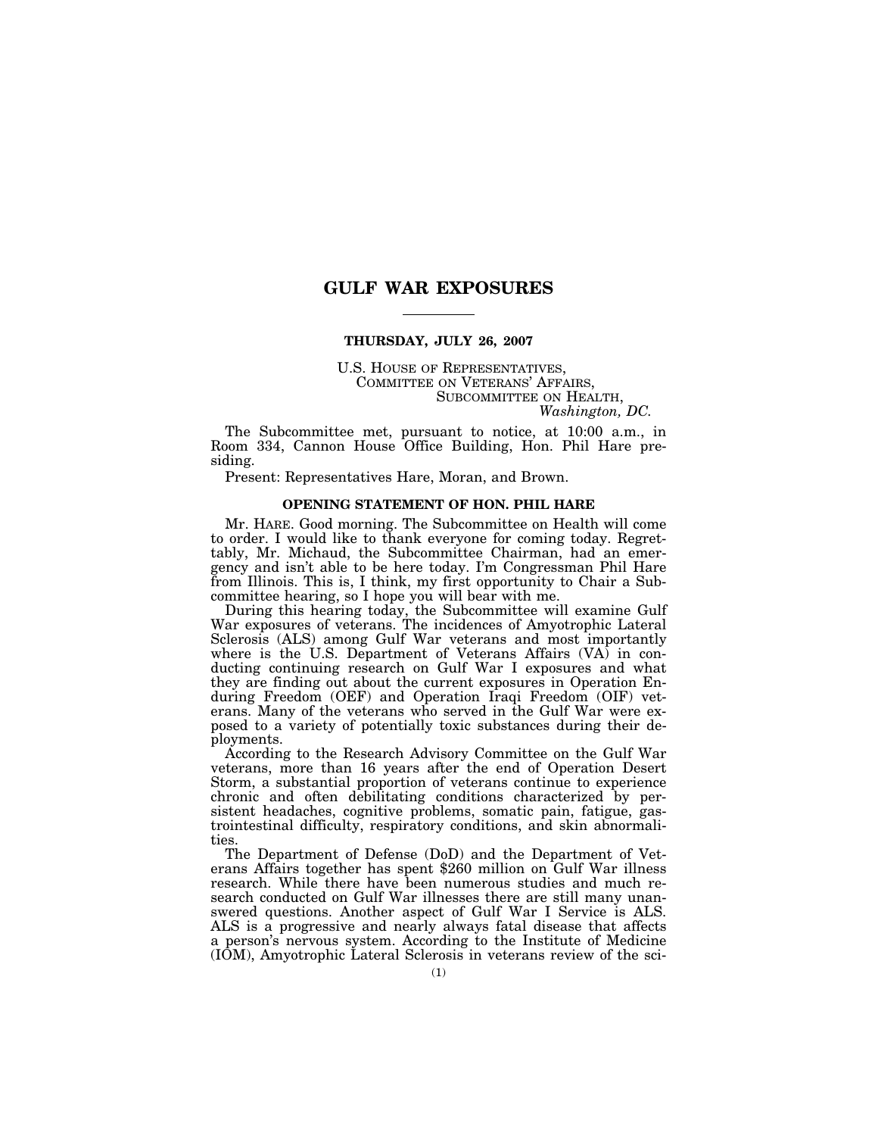### **GULF WAR EXPOSURES**

#### **THURSDAY, JULY 26, 2007**

U.S. HOUSE OF REPRESENTATIVES, COMMITTEE ON VETERANS' AFFAIRS, SUBCOMMITTEE ON HEALTH, *Washington, DC.* 

The Subcommittee met, pursuant to notice, at 10:00 a.m., in Room 334, Cannon House Office Building, Hon. Phil Hare presiding.

Present: Representatives Hare, Moran, and Brown.

#### **OPENING STATEMENT OF HON. PHIL HARE**

Mr. HARE. Good morning. The Subcommittee on Health will come to order. I would like to thank everyone for coming today. Regrettably, Mr. Michaud, the Subcommittee Chairman, had an emergency and isn't able to be here today. I'm Congressman Phil Hare from Illinois. This is, I think, my first opportunity to Chair a Subcommittee hearing, so I hope you will bear with me.

During this hearing today, the Subcommittee will examine Gulf War exposures of veterans. The incidences of Amyotrophic Lateral Sclerosis (ALS) among Gulf War veterans and most importantly where is the U.S. Department of Veterans Affairs (VA) in conducting continuing research on Gulf War I exposures and what they are finding out about the current exposures in Operation Enduring Freedom (OEF) and Operation Iraqi Freedom (OIF) veterans. Many of the veterans who served in the Gulf War were exposed to a variety of potentially toxic substances during their deployments.

According to the Research Advisory Committee on the Gulf War veterans, more than 16 years after the end of Operation Desert Storm, a substantial proportion of veterans continue to experience chronic and often debilitating conditions characterized by persistent headaches, cognitive problems, somatic pain, fatigue, gastrointestinal difficulty, respiratory conditions, and skin abnormalities.<br>The Department of Defense (DoD) and the Department of Vet-

erans Affairs together has spent \$260 million on Gulf War illness research. While there have been numerous studies and much research conducted on Gulf War illnesses there are still many unanswered questions. Another aspect of Gulf War I Service is ALS. ALS is a progressive and nearly always fatal disease that affects a person's nervous system. According to the Institute of Medicine (IOM), Amyotrophic Lateral Sclerosis in veterans review of the sci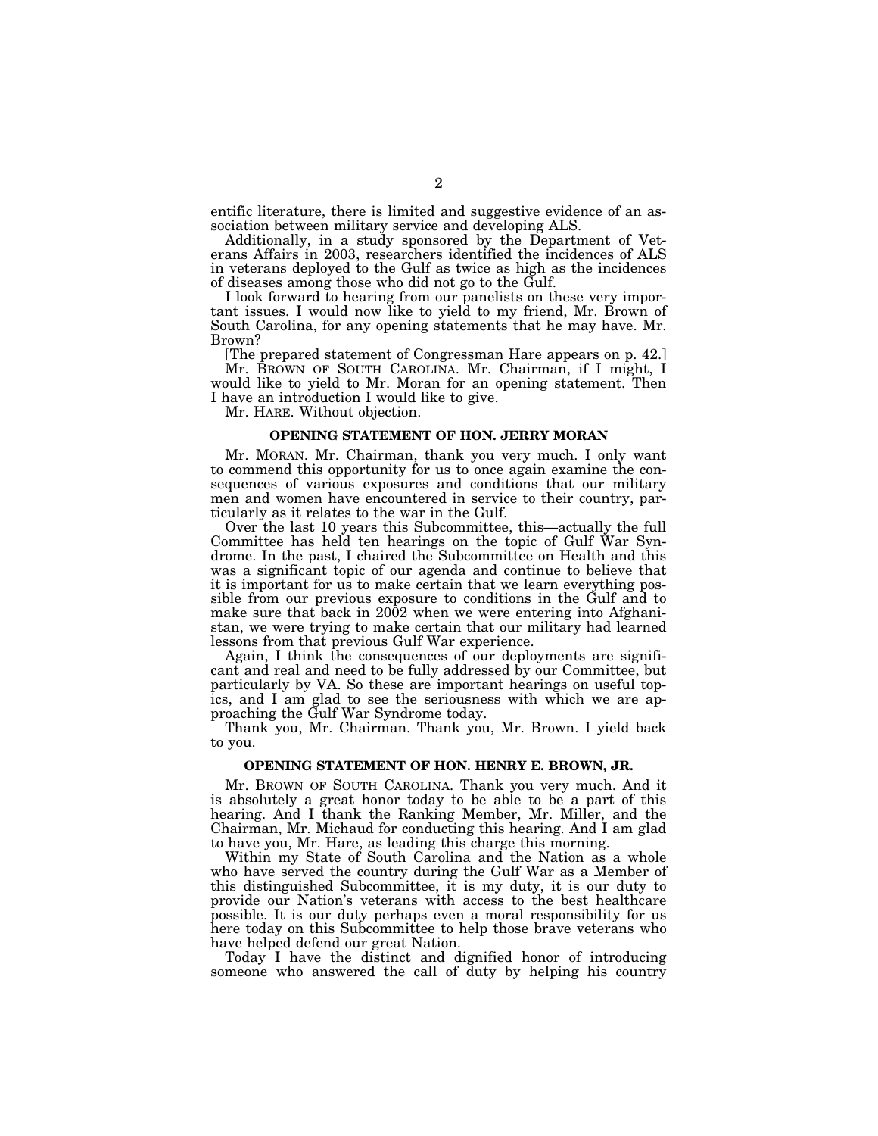entific literature, there is limited and suggestive evidence of an association between military service and developing ALS.

Additionally, in a study sponsored by the Department of Veterans Affairs in 2003, researchers identified the incidences of ALS in veterans deployed to the Gulf as twice as high as the incidences of diseases among those who did not go to the Gulf.

I look forward to hearing from our panelists on these very important issues. I would now like to yield to my friend, Mr. Brown of South Carolina, for any opening statements that he may have. Mr. Brown?

[The prepared statement of Congressman Hare appears on p. 42.]

Mr. BROWN OF SOUTH CAROLINA. Mr. Chairman, if I might, I would like to yield to Mr. Moran for an opening statement. Then I have an introduction I would like to give.

Mr. HARE. Without objection.

#### **OPENING STATEMENT OF HON. JERRY MORAN**

Mr. MORAN. Mr. Chairman, thank you very much. I only want to commend this opportunity for us to once again examine the consequences of various exposures and conditions that our military men and women have encountered in service to their country, particularly as it relates to the war in the Gulf.

Over the last 10 years this Subcommittee, this—actually the full Committee has held ten hearings on the topic of Gulf War Syndrome. In the past, I chaired the Subcommittee on Health and this was a significant topic of our agenda and continue to believe that it is important for us to make certain that we learn everything possible from our previous exposure to conditions in the Gulf and to make sure that back in 2002 when we were entering into Afghanistan, we were trying to make certain that our military had learned lessons from that previous Gulf War experience.

Again, I think the consequences of our deployments are significant and real and need to be fully addressed by our Committee, but particularly by VA. So these are important hearings on useful topics, and I am glad to see the seriousness with which we are approaching the Gulf War Syndrome today.

Thank you, Mr. Chairman. Thank you, Mr. Brown. I yield back to you.

#### **OPENING STATEMENT OF HON. HENRY E. BROWN, JR.**

Mr. BROWN OF SOUTH CAROLINA. Thank you very much. And it is absolutely a great honor today to be able to be a part of this hearing. And I thank the Ranking Member, Mr. Miller, and the Chairman, Mr. Michaud for conducting this hearing. And I am glad to have you, Mr. Hare, as leading this charge this morning.

Within my State of South Carolina and the Nation as a whole who have served the country during the Gulf War as a Member of this distinguished Subcommittee, it is my duty, it is our duty to provide our Nation's veterans with access to the best healthcare possible. It is our duty perhaps even a moral responsibility for us here today on this Subcommittee to help those brave veterans who have helped defend our great Nation.

Today I have the distinct and dignified honor of introducing someone who answered the call of duty by helping his country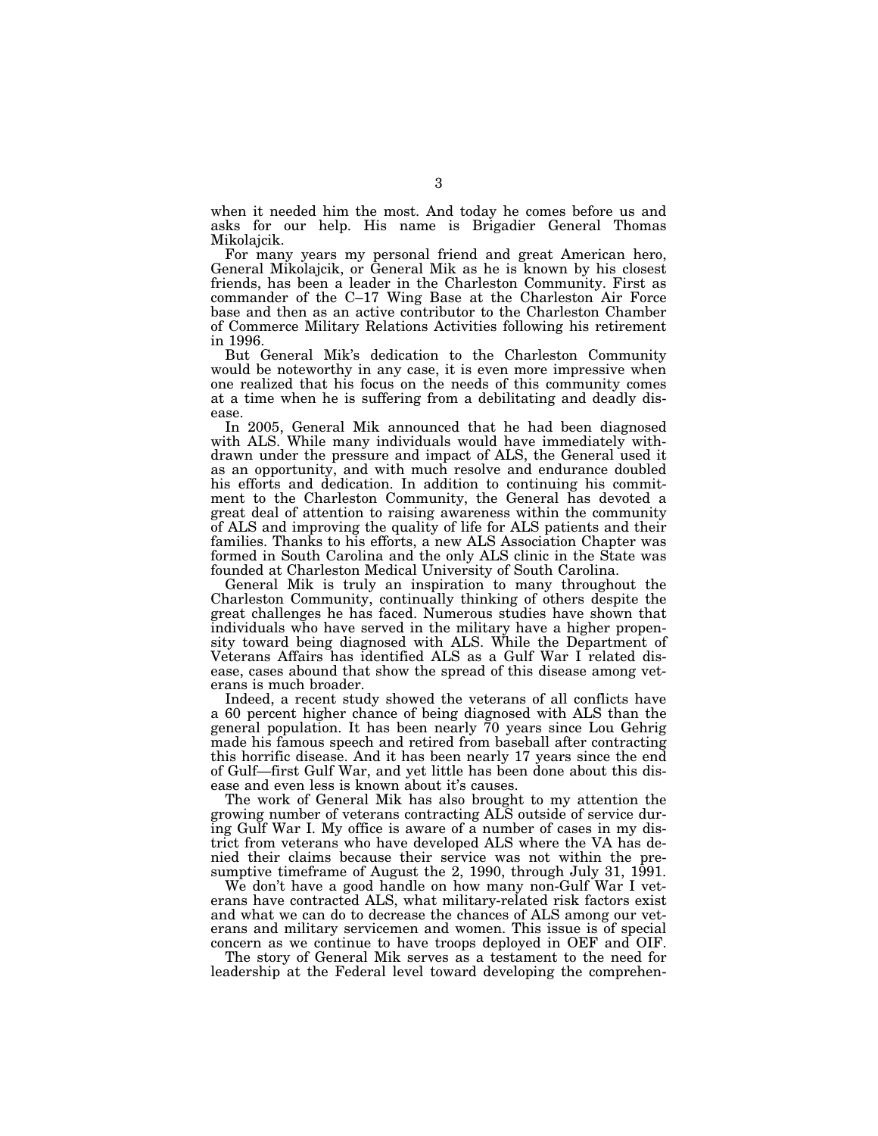when it needed him the most. And today he comes before us and asks for our help. His name is Brigadier General Thomas Mikolajcik.

For many years my personal friend and great American hero, General Mikolajcik, or General Mik as he is known by his closest friends, has been a leader in the Charleston Community. First as commander of the C–17 Wing Base at the Charleston Air Force base and then as an active contributor to the Charleston Chamber of Commerce Military Relations Activities following his retirement in 1996.

But General Mik's dedication to the Charleston Community would be noteworthy in any case, it is even more impressive when one realized that his focus on the needs of this community comes at a time when he is suffering from a debilitating and deadly disease.

In 2005, General Mik announced that he had been diagnosed with ALS. While many individuals would have immediately withdrawn under the pressure and impact of ALS, the General used it as an opportunity, and with much resolve and endurance doubled his efforts and dedication. In addition to continuing his commitment to the Charleston Community, the General has devoted a great deal of attention to raising awareness within the community of ALS and improving the quality of life for ALS patients and their families. Thanks to his efforts, a new ALS Association Chapter was formed in South Carolina and the only ALS clinic in the State was founded at Charleston Medical University of South Carolina.

General Mik is truly an inspiration to many throughout the Charleston Community, continually thinking of others despite the great challenges he has faced. Numerous studies have shown that individuals who have served in the military have a higher propensity toward being diagnosed with ALS. While the Department of Veterans Affairs has identified ALS as a Gulf War I related disease, cases abound that show the spread of this disease among veterans is much broader.

Indeed, a recent study showed the veterans of all conflicts have a 60 percent higher chance of being diagnosed with ALS than the general population. It has been nearly 70 years since Lou Gehrig made his famous speech and retired from baseball after contracting this horrific disease. And it has been nearly 17 years since the end of Gulf—first Gulf War, and yet little has been done about this disease and even less is known about it's causes.

The work of General Mik has also brought to my attention the growing number of veterans contracting ALS outside of service during Gulf War I. My office is aware of a number of cases in my district from veterans who have developed ALS where the VA has denied their claims because their service was not within the presumptive timeframe of August the 2, 1990, through July 31, 1991.

We don't have a good handle on how many non-Gulf War I veterans have contracted ALS, what military-related risk factors exist and what we can do to decrease the chances of ALS among our veterans and military servicemen and women. This issue is of special concern as we continue to have troops deployed in OEF and OIF.

The story of General Mik serves as a testament to the need for leadership at the Federal level toward developing the comprehen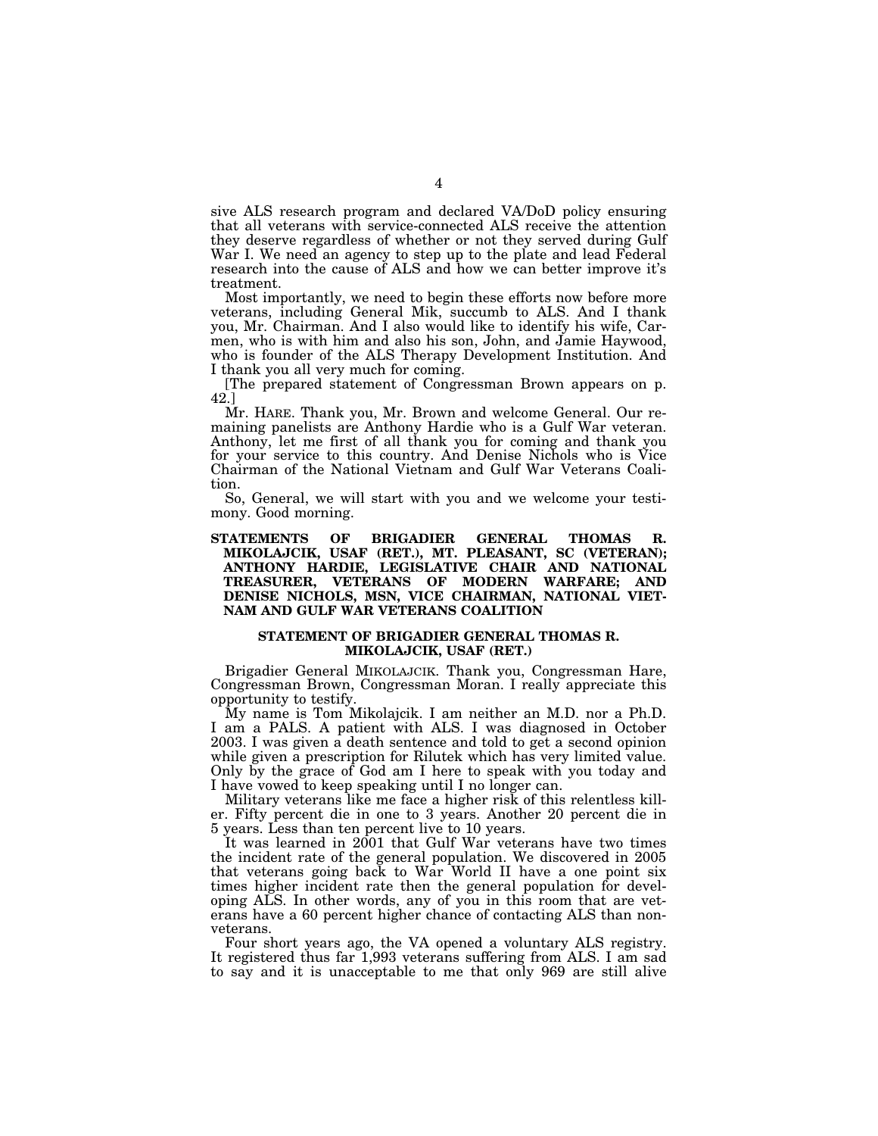sive ALS research program and declared VA/DoD policy ensuring that all veterans with service-connected ALS receive the attention they deserve regardless of whether or not they served during Gulf War I. We need an agency to step up to the plate and lead Federal research into the cause of ALS and how we can better improve it's treatment.

Most importantly, we need to begin these efforts now before more veterans, including General Mik, succumb to ALS. And I thank you, Mr. Chairman. And I also would like to identify his wife, Carmen, who is with him and also his son, John, and Jamie Haywood, who is founder of the ALS Therapy Development Institution. And I thank you all very much for coming.

[The prepared statement of Congressman Brown appears on p. 42.]

Mr. HARE. Thank you, Mr. Brown and welcome General. Our remaining panelists are Anthony Hardie who is a Gulf War veteran. Anthony, let me first of all thank you for coming and thank you for your service to this country. And Denise Nichols who is Vice Chairman of the National Vietnam and Gulf War Veterans Coalition.

So, General, we will start with you and we welcome your testimony. Good morning.

#### **STATEMENTS OF BRIGADIER GENERAL THOMAS R. MIKOLAJCIK, USAF (RET.), MT. PLEASANT, SC (VETERAN); ANTHONY HARDIE, LEGISLATIVE CHAIR AND NATIONAL TREASURER, VETERANS OF MODERN WARFARE; AND DENISE NICHOLS, MSN, VICE CHAIRMAN, NATIONAL VIET-NAM AND GULF WAR VETERANS COALITION**

#### **STATEMENT OF BRIGADIER GENERAL THOMAS R. MIKOLAJCIK, USAF (RET.)**

Brigadier General MIKOLAJCIK. Thank you, Congressman Hare, Congressman Brown, Congressman Moran. I really appreciate this opportunity to testify.

My name is Tom Mikolajcik. I am neither an M.D. nor a Ph.D. I am a PALS. A patient with ALS. I was diagnosed in October 2003. I was given a death sentence and told to get a second opinion while given a prescription for Rilutek which has very limited value. Only by the grace of God am I here to speak with you today and I have vowed to keep speaking until I no longer can.

Military veterans like me face a higher risk of this relentless killer. Fifty percent die in one to 3 years. Another 20 percent die in 5 years. Less than ten percent live to 10 years.

It was learned in 2001 that Gulf War veterans have two times the incident rate of the general population. We discovered in 2005 that veterans going back to War World II have a one point six times higher incident rate then the general population for developing ALS. In other words, any of you in this room that are veterans have a 60 percent higher chance of contacting ALS than nonveterans.

Four short years ago, the VA opened a voluntary ALS registry. It registered thus far 1,993 veterans suffering from ALS. I am sad to say and it is unacceptable to me that only 969 are still alive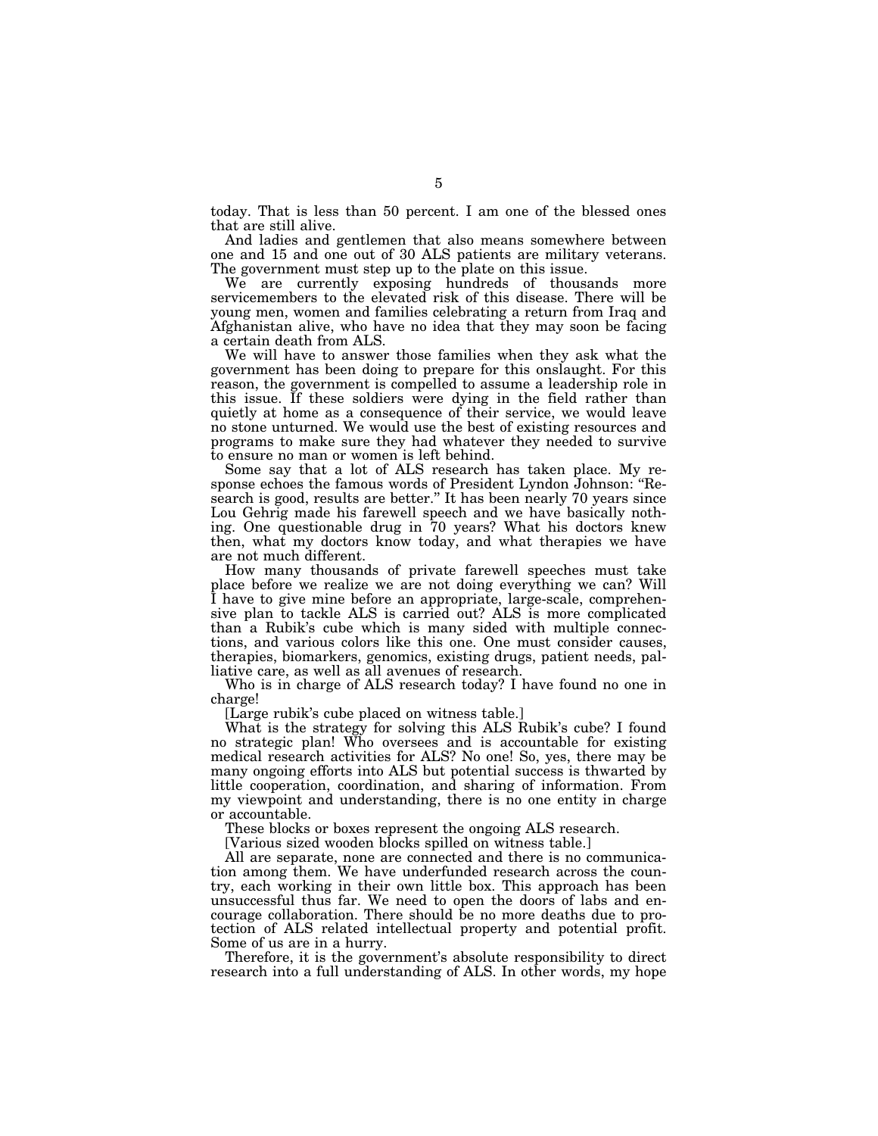today. That is less than 50 percent. I am one of the blessed ones that are still alive.

And ladies and gentlemen that also means somewhere between one and 15 and one out of 30 ALS patients are military veterans. The government must step up to the plate on this issue.

We are currently exposing hundreds of thousands more servicemembers to the elevated risk of this disease. There will be young men, women and families celebrating a return from Iraq and Afghanistan alive, who have no idea that they may soon be facing a certain death from ALS.

We will have to answer those families when they ask what the government has been doing to prepare for this onslaught. For this reason, the government is compelled to assume a leadership role in this issue. If these soldiers were dying in the field rather than quietly at home as a consequence of their service, we would leave no stone unturned. We would use the best of existing resources and programs to make sure they had whatever they needed to survive to ensure no man or women is left behind.

Some say that a lot of ALS research has taken place. My response echoes the famous words of President Lyndon Johnson: ''Research is good, results are better.'' It has been nearly 70 years since Lou Gehrig made his farewell speech and we have basically nothing. One questionable drug in 70 years? What his doctors knew then, what my doctors know today, and what therapies we have are not much different.

How many thousands of private farewell speeches must take place before we realize we are not doing everything we can? Will I have to give mine before an appropriate, large-scale, comprehensive plan to tackle ALS is carried out? ALS is more complicated than a Rubik's cube which is many sided with multiple connections, and various colors like this one. One must consider causes, therapies, biomarkers, genomics, existing drugs, patient needs, palliative care, as well as all avenues of research.

Who is in charge of ALS research today? I have found no one in charge!

[Large rubik's cube placed on witness table.]

What is the strategy for solving this ALS Rubik's cube? I found no strategic plan! Who oversees and is accountable for existing medical research activities for ALS? No one! So, yes, there may be many ongoing efforts into ALS but potential success is thwarted by little cooperation, coordination, and sharing of information. From my viewpoint and understanding, there is no one entity in charge or accountable.

These blocks or boxes represent the ongoing ALS research.

[Various sized wooden blocks spilled on witness table.]

All are separate, none are connected and there is no communication among them. We have underfunded research across the country, each working in their own little box. This approach has been unsuccessful thus far. We need to open the doors of labs and encourage collaboration. There should be no more deaths due to protection of ALS related intellectual property and potential profit. Some of us are in a hurry.

Therefore, it is the government's absolute responsibility to direct research into a full understanding of ALS. In other words, my hope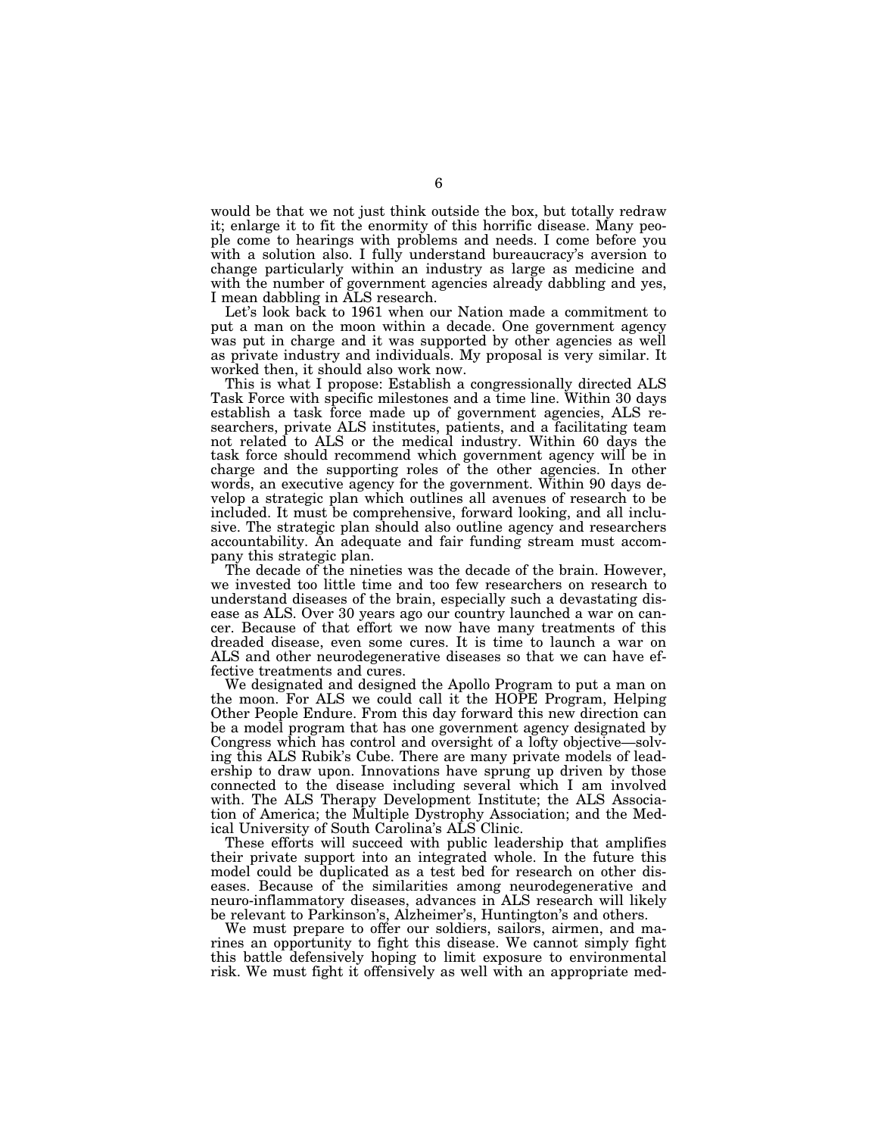would be that we not just think outside the box, but totally redraw it; enlarge it to fit the enormity of this horrific disease. Many people come to hearings with problems and needs. I come before you with a solution also. I fully understand bureaucracy's aversion to change particularly within an industry as large as medicine and with the number of government agencies already dabbling and yes, I mean dabbling in ALS research.

Let's look back to 1961 when our Nation made a commitment to put a man on the moon within a decade. One government agency was put in charge and it was supported by other agencies as well as private industry and individuals. My proposal is very similar. It worked then, it should also work now.

This is what I propose: Establish a congressionally directed ALS Task Force with specific milestones and a time line. Within 30 days establish a task force made up of government agencies, ALS researchers, private ALS institutes, patients, and a facilitating team not related to ALS or the medical industry. Within 60 days the task force should recommend which government agency will be in charge and the supporting roles of the other agencies. In other words, an executive agency for the government. Within 90 days develop a strategic plan which outlines all avenues of research to be included. It must be comprehensive, forward looking, and all inclusive. The strategic plan should also outline agency and researchers accountability. An adequate and fair funding stream must accompany this strategic plan.

The decade of the nineties was the decade of the brain. However, we invested too little time and too few researchers on research to understand diseases of the brain, especially such a devastating disease as ALS. Over 30 years ago our country launched a war on cancer. Because of that effort we now have many treatments of this dreaded disease, even some cures. It is time to launch a war on ALS and other neurodegenerative diseases so that we can have effective treatments and cures.

We designated and designed the Apollo Program to put a man on the moon. For ALS we could call it the HOPE Program, Helping Other People Endure. From this day forward this new direction can be a model program that has one government agency designated by Congress which has control and oversight of a lofty objective—solving this ALS Rubik's Cube. There are many private models of leadership to draw upon. Innovations have sprung up driven by those connected to the disease including several which I am involved with. The ALS Therapy Development Institute; the ALS Association of America; the Multiple Dystrophy Association; and the Medical University of South Carolina's ALS Clinic.

These efforts will succeed with public leadership that amplifies their private support into an integrated whole. In the future this model could be duplicated as a test bed for research on other diseases. Because of the similarities among neurodegenerative and neuro-inflammatory diseases, advances in ALS research will likely be relevant to Parkinson's, Alzheimer's, Huntington's and others.

We must prepare to offer our soldiers, sailors, airmen, and marines an opportunity to fight this disease. We cannot simply fight this battle defensively hoping to limit exposure to environmental risk. We must fight it offensively as well with an appropriate med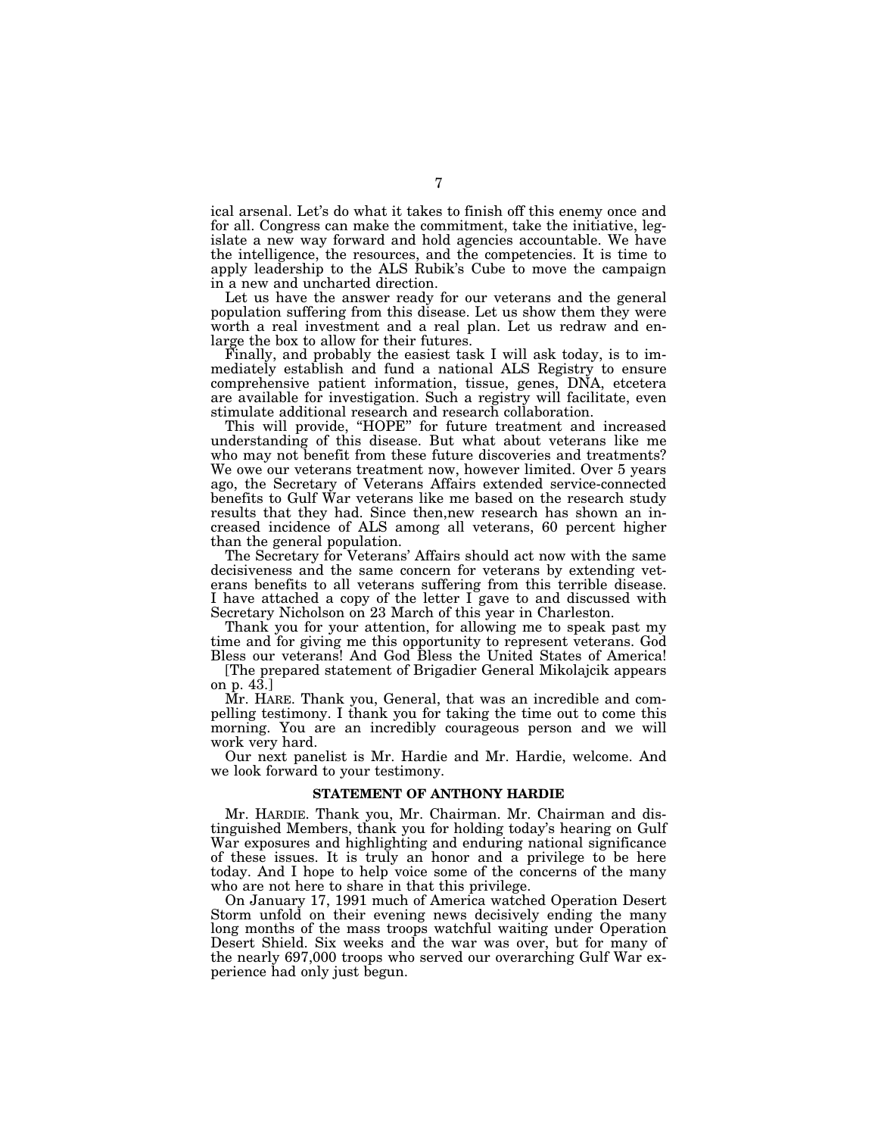ical arsenal. Let's do what it takes to finish off this enemy once and for all. Congress can make the commitment, take the initiative, legislate a new way forward and hold agencies accountable. We have the intelligence, the resources, and the competencies. It is time to apply leadership to the ALS Rubik's Cube to move the campaign in a new and uncharted direction.

Let us have the answer ready for our veterans and the general population suffering from this disease. Let us show them they were worth a real investment and a real plan. Let us redraw and enlarge the box to allow for their futures.

Finally, and probably the easiest task I will ask today, is to immediately establish and fund a national ALS Registry to ensure comprehensive patient information, tissue, genes, DNA, etcetera are available for investigation. Such a registry will facilitate, even stimulate additional research and research collaboration.

This will provide, "HOPE" for future treatment and increased understanding of this disease. But what about veterans like me who may not benefit from these future discoveries and treatments? We owe our veterans treatment now, however limited. Over 5 years ago, the Secretary of Veterans Affairs extended service-connected benefits to Gulf War veterans like me based on the research study results that they had. Since then,new research has shown an increased incidence of ALS among all veterans, 60 percent higher than the general population.

The Secretary for Veterans' Affairs should act now with the same decisiveness and the same concern for veterans by extending veterans benefits to all veterans suffering from this terrible disease. I have attached a copy of the letter I gave to and discussed with Secretary Nicholson on 23 March of this year in Charleston.

Thank you for your attention, for allowing me to speak past my time and for giving me this opportunity to represent veterans. God Bless our veterans! And God Bless the United States of America!

[The prepared statement of Brigadier General Mikolajcik appears on p.  $43.$ ]

Mr. HARE. Thank you, General, that was an incredible and compelling testimony. I thank you for taking the time out to come this morning. You are an incredibly courageous person and we will work very hard.

Our next panelist is Mr. Hardie and Mr. Hardie, welcome. And we look forward to your testimony.

#### **STATEMENT OF ANTHONY HARDIE**

Mr. HARDIE. Thank you, Mr. Chairman. Mr. Chairman and distinguished Members, thank you for holding today's hearing on Gulf War exposures and highlighting and enduring national significance of these issues. It is truly an honor and a privilege to be here today. And I hope to help voice some of the concerns of the many who are not here to share in that this privilege.

On January 17, 1991 much of America watched Operation Desert Storm unfold on their evening news decisively ending the many long months of the mass troops watchful waiting under Operation Desert Shield. Six weeks and the war was over, but for many of the nearly 697,000 troops who served our overarching Gulf War experience had only just begun.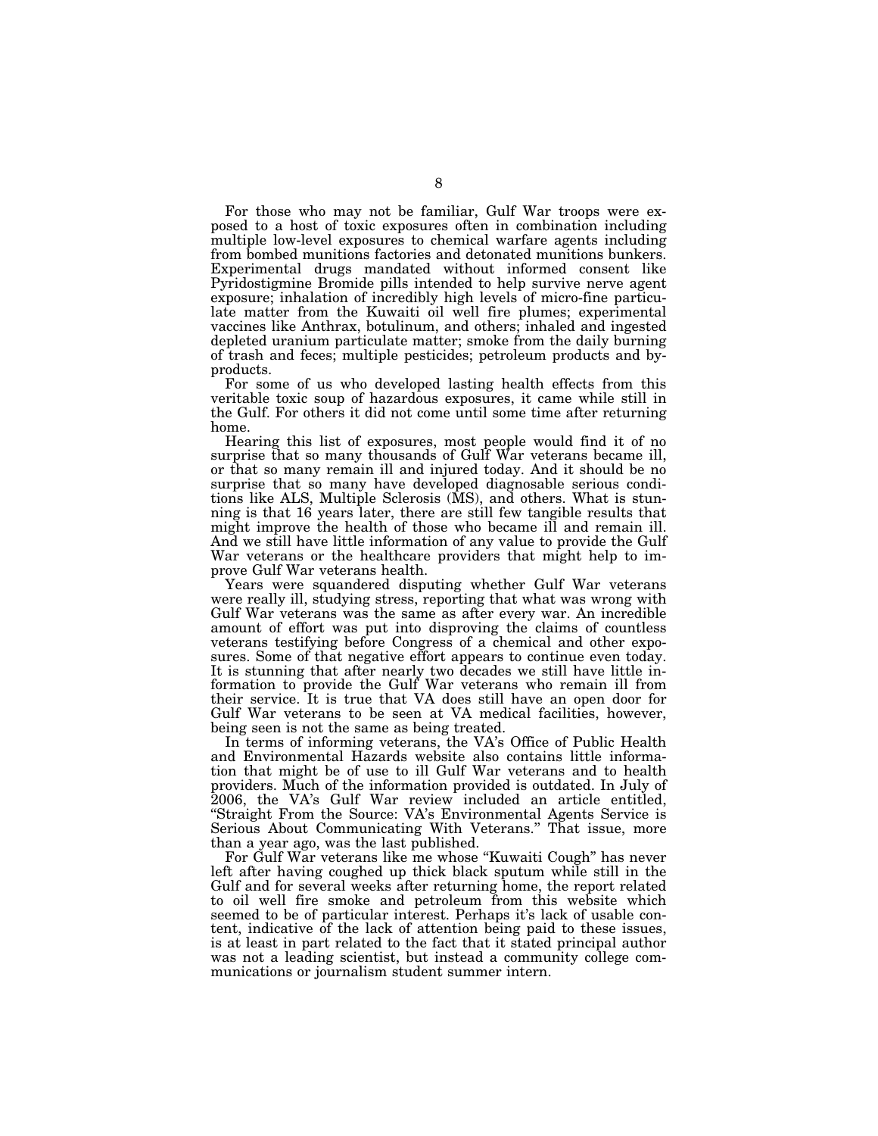For those who may not be familiar, Gulf War troops were exposed to a host of toxic exposures often in combination including multiple low-level exposures to chemical warfare agents including from bombed munitions factories and detonated munitions bunkers. Experimental drugs mandated without informed consent like Pyridostigmine Bromide pills intended to help survive nerve agent exposure; inhalation of incredibly high levels of micro-fine particulate matter from the Kuwaiti oil well fire plumes; experimental vaccines like Anthrax, botulinum, and others; inhaled and ingested depleted uranium particulate matter; smoke from the daily burning of trash and feces; multiple pesticides; petroleum products and byproducts.

For some of us who developed lasting health effects from this veritable toxic soup of hazardous exposures, it came while still in the Gulf. For others it did not come until some time after returning home.

Hearing this list of exposures, most people would find it of no surprise that so many thousands of Gulf War veterans became ill, or that so many remain ill and injured today. And it should be no surprise that so many have developed diagnosable serious conditions like ALS, Multiple Sclerosis (MS), and others. What is stunning is that 16 years later, there are still few tangible results that might improve the health of those who became ill and remain ill. And we still have little information of any value to provide the Gulf War veterans or the healthcare providers that might help to improve Gulf War veterans health.

Years were squandered disputing whether Gulf War veterans were really ill, studying stress, reporting that what was wrong with Gulf War veterans was the same as after every war. An incredible amount of effort was put into disproving the claims of countless veterans testifying before Congress of a chemical and other exposures. Some of that negative effort appears to continue even today. It is stunning that after nearly two decades we still have little information to provide the Gulf War veterans who remain ill from their service. It is true that VA does still have an open door for Gulf War veterans to be seen at VA medical facilities, however, being seen is not the same as being treated.

In terms of informing veterans, the VA's Office of Public Health and Environmental Hazards website also contains little information that might be of use to ill Gulf War veterans and to health providers. Much of the information provided is outdated. In July of 2006, the VA's Gulf War review included an article entitled, ''Straight From the Source: VA's Environmental Agents Service is Serious About Communicating With Veterans.'' That issue, more than a year ago, was the last published.

For Gulf War veterans like me whose ''Kuwaiti Cough'' has never left after having coughed up thick black sputum while still in the Gulf and for several weeks after returning home, the report related to oil well fire smoke and petroleum from this website which seemed to be of particular interest. Perhaps it's lack of usable content, indicative of the lack of attention being paid to these issues, is at least in part related to the fact that it stated principal author was not a leading scientist, but instead a community college communications or journalism student summer intern.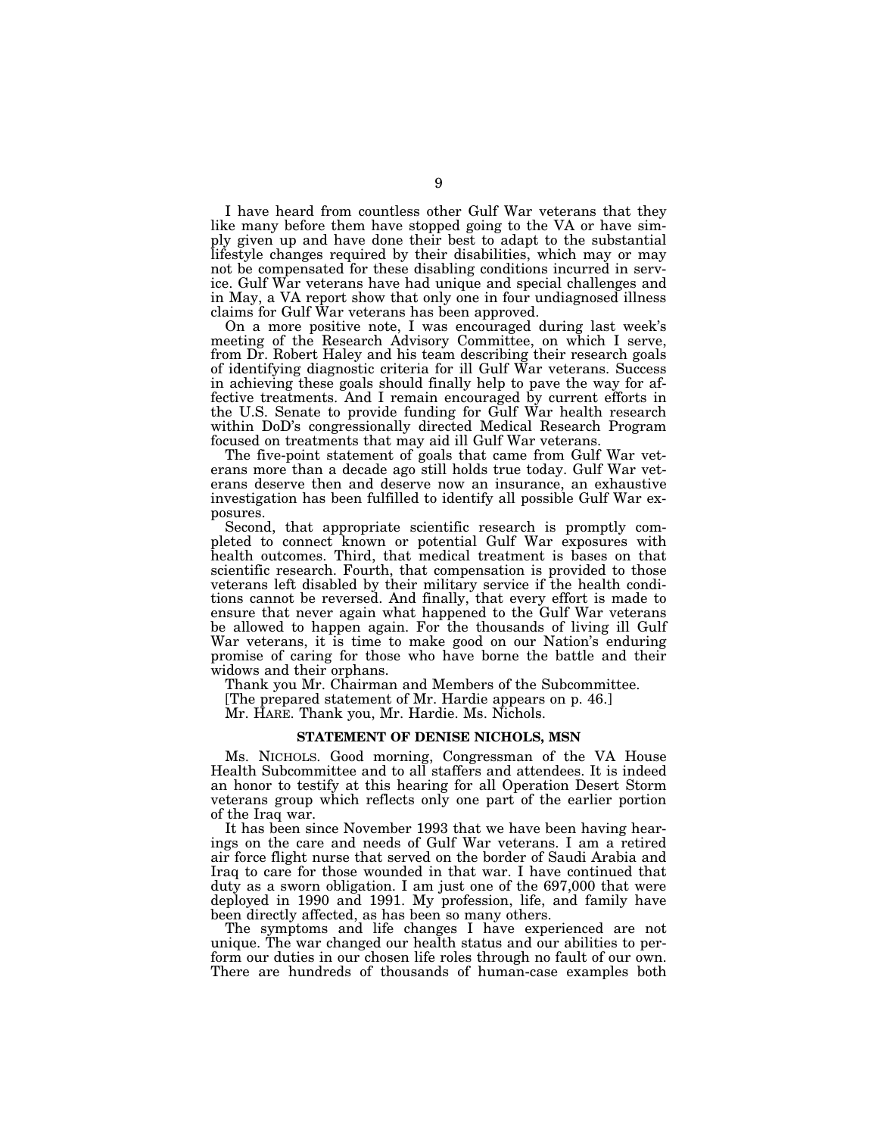I have heard from countless other Gulf War veterans that they like many before them have stopped going to the VA or have simply given up and have done their best to adapt to the substantial lifestyle changes required by their disabilities, which may or may not be compensated for these disabling conditions incurred in service. Gulf War veterans have had unique and special challenges and in May, a VA report show that only one in four undiagnosed illness claims for Gulf War veterans has been approved.

On a more positive note, I was encouraged during last week's meeting of the Research Advisory Committee, on which I serve, from Dr. Robert Haley and his team describing their research goals of identifying diagnostic criteria for ill Gulf War veterans. Success in achieving these goals should finally help to pave the way for affective treatments. And I remain encouraged by current efforts in the U.S. Senate to provide funding for Gulf War health research within DoD's congressionally directed Medical Research Program focused on treatments that may aid ill Gulf War veterans.

The five-point statement of goals that came from Gulf War veterans more than a decade ago still holds true today. Gulf War veterans deserve then and deserve now an insurance, an exhaustive investigation has been fulfilled to identify all possible Gulf War exposures.

Second, that appropriate scientific research is promptly completed to connect known or potential Gulf War exposures with health outcomes. Third, that medical treatment is bases on that scientific research. Fourth, that compensation is provided to those veterans left disabled by their military service if the health conditions cannot be reversed. And finally, that every effort is made to ensure that never again what happened to the Gulf War veterans be allowed to happen again. For the thousands of living ill Gulf War veterans, it is time to make good on our Nation's enduring promise of caring for those who have borne the battle and their widows and their orphans.

Thank you Mr. Chairman and Members of the Subcommittee.

[The prepared statement of Mr. Hardie appears on p. 46.]

Mr. HARE. Thank you, Mr. Hardie. Ms. Nichols.

#### **STATEMENT OF DENISE NICHOLS, MSN**

Ms. NICHOLS. Good morning, Congressman of the VA House Health Subcommittee and to all staffers and attendees. It is indeed an honor to testify at this hearing for all Operation Desert Storm veterans group which reflects only one part of the earlier portion of the Iraq war.

It has been since November 1993 that we have been having hearings on the care and needs of Gulf War veterans. I am a retired air force flight nurse that served on the border of Saudi Arabia and Iraq to care for those wounded in that war. I have continued that duty as a sworn obligation. I am just one of the 697,000 that were deployed in 1990 and 1991. My profession, life, and family have been directly affected, as has been so many others.

The symptoms and life changes I have experienced are not unique. The war changed our health status and our abilities to perform our duties in our chosen life roles through no fault of our own. There are hundreds of thousands of human-case examples both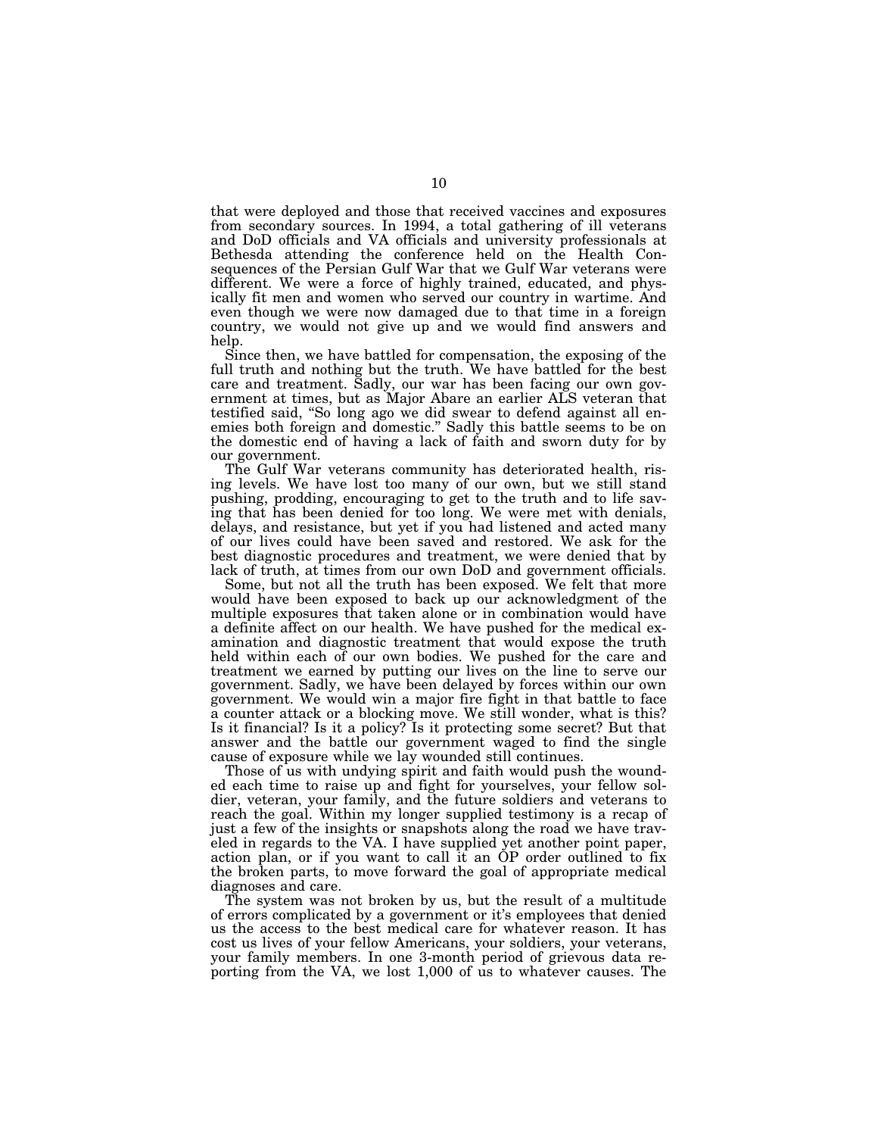that were deployed and those that received vaccines and exposures from secondary sources. In 1994, a total gathering of ill veterans and DoD officials and VA officials and university professionals at Bethesda attending the conference held on the Health Consequences of the Persian Gulf War that we Gulf War veterans were different. We were a force of highly trained, educated, and physically fit men and women who served our country in wartime. And even though we were now damaged due to that time in a foreign country, we would not give up and we would find answers and help.

Since then, we have battled for compensation, the exposing of the full truth and nothing but the truth. We have battled for the best care and treatment. Sadly, our war has been facing our own government at times, but as Major Abare an earlier ALS veteran that testified said, ''So long ago we did swear to defend against all enemies both foreign and domestic.'' Sadly this battle seems to be on the domestic end of having a lack of faith and sworn duty for by our government.

The Gulf War veterans community has deteriorated health, rising levels. We have lost too many of our own, but we still stand pushing, prodding, encouraging to get to the truth and to life saving that has been denied for too long. We were met with denials, delays, and resistance, but yet if you had listened and acted many of our lives could have been saved and restored. We ask for the best diagnostic procedures and treatment, we were denied that by lack of truth, at times from our own DoD and government officials.

Some, but not all the truth has been exposed. We felt that more would have been exposed to back up our acknowledgment of the multiple exposures that taken alone or in combination would have a definite affect on our health. We have pushed for the medical examination and diagnostic treatment that would expose the truth held within each of our own bodies. We pushed for the care and treatment we earned by putting our lives on the line to serve our government. Sadly, we have been delayed by forces within our own government. We would win a major fire fight in that battle to face a counter attack or a blocking move. We still wonder, what is this? Is it financial? Is it a policy? Is it protecting some secret? But that answer and the battle our government waged to find the single cause of exposure while we lay wounded still continues.

Those of us with undying spirit and faith would push the wounded each time to raise up and fight for yourselves, your fellow soldier, veteran, your family, and the future soldiers and veterans to reach the goal. Within my longer supplied testimony is a recap of just a few of the insights or snapshots along the road we have traveled in regards to the VA. I have supplied yet another point paper, action plan, or if you want to call it an OP order outlined to fix the broken parts, to move forward the goal of appropriate medical diagnoses and care.

The system was not broken by us, but the result of a multitude of errors complicated by a government or it's employees that denied us the access to the best medical care for whatever reason. It has cost us lives of your fellow Americans, your soldiers, your veterans, your family members. In one 3-month period of grievous data reporting from the VA, we lost 1,000 of us to whatever causes. The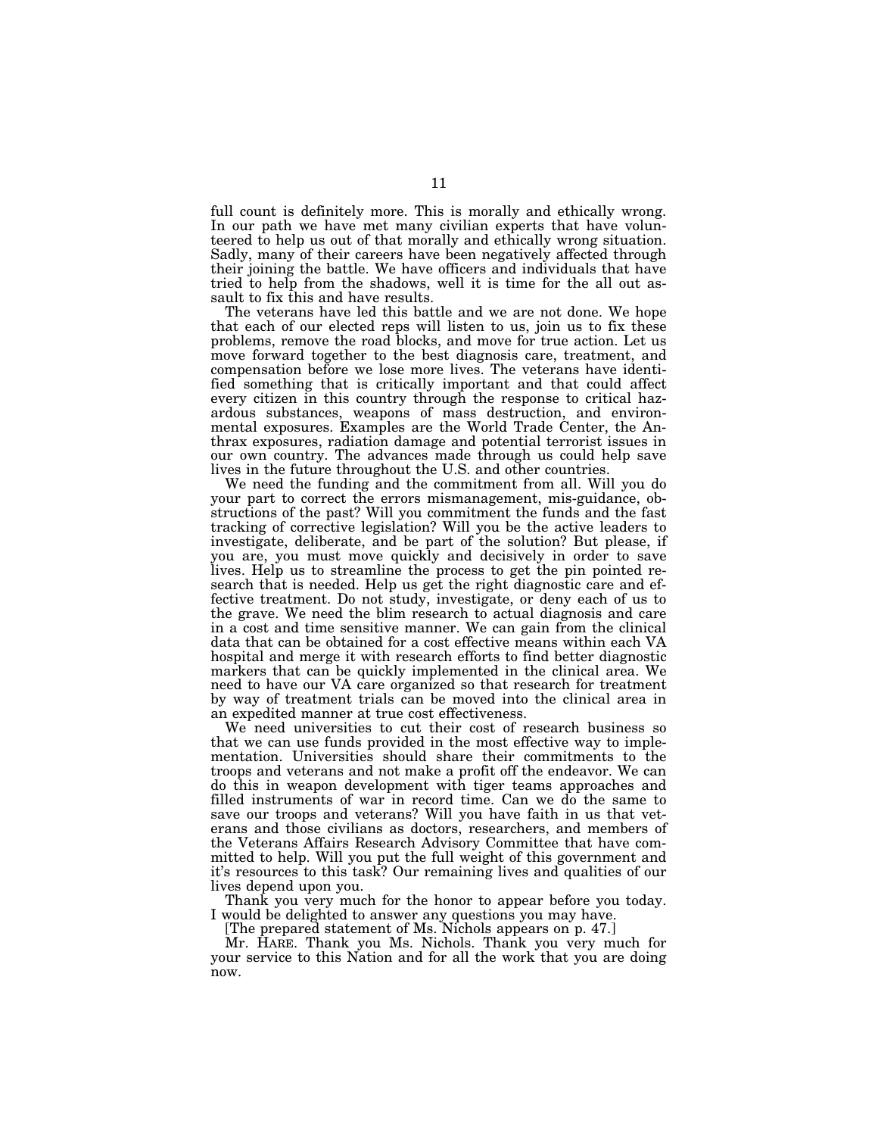full count is definitely more. This is morally and ethically wrong. In our path we have met many civilian experts that have volunteered to help us out of that morally and ethically wrong situation. Sadly, many of their careers have been negatively affected through their joining the battle. We have officers and individuals that have tried to help from the shadows, well it is time for the all out assault to fix this and have results.

The veterans have led this battle and we are not done. We hope that each of our elected reps will listen to us, join us to fix these problems, remove the road blocks, and move for true action. Let us move forward together to the best diagnosis care, treatment, and compensation before we lose more lives. The veterans have identified something that is critically important and that could affect every citizen in this country through the response to critical hazardous substances, weapons of mass destruction, and environmental exposures. Examples are the World Trade Center, the Anthrax exposures, radiation damage and potential terrorist issues in our own country. The advances made through us could help save lives in the future throughout the U.S. and other countries.

We need the funding and the commitment from all. Will you do your part to correct the errors mismanagement, mis-guidance, obstructions of the past? Will you commitment the funds and the fast tracking of corrective legislation? Will you be the active leaders to investigate, deliberate, and be part of the solution? But please, if you are, you must move quickly and decisively in order to save lives. Help us to streamline the process to get the pin pointed research that is needed. Help us get the right diagnostic care and effective treatment. Do not study, investigate, or deny each of us to the grave. We need the blim research to actual diagnosis and care in a cost and time sensitive manner. We can gain from the clinical data that can be obtained for a cost effective means within each VA hospital and merge it with research efforts to find better diagnostic markers that can be quickly implemented in the clinical area. We need to have our VA care organized so that research for treatment by way of treatment trials can be moved into the clinical area in an expedited manner at true cost effectiveness.

We need universities to cut their cost of research business so that we can use funds provided in the most effective way to implementation. Universities should share their commitments to the troops and veterans and not make a profit off the endeavor. We can do this in weapon development with tiger teams approaches and filled instruments of war in record time. Can we do the same to save our troops and veterans? Will you have faith in us that veterans and those civilians as doctors, researchers, and members of the Veterans Affairs Research Advisory Committee that have committed to help. Will you put the full weight of this government and it's resources to this task? Our remaining lives and qualities of our lives depend upon you.

Thank you very much for the honor to appear before you today. I would be delighted to answer any questions you may have.

[The prepared statement of Ms. Nichols appears on p. 47.]

Mr. HARE. Thank you Ms. Nichols. Thank you very much for your service to this Nation and for all the work that you are doing now.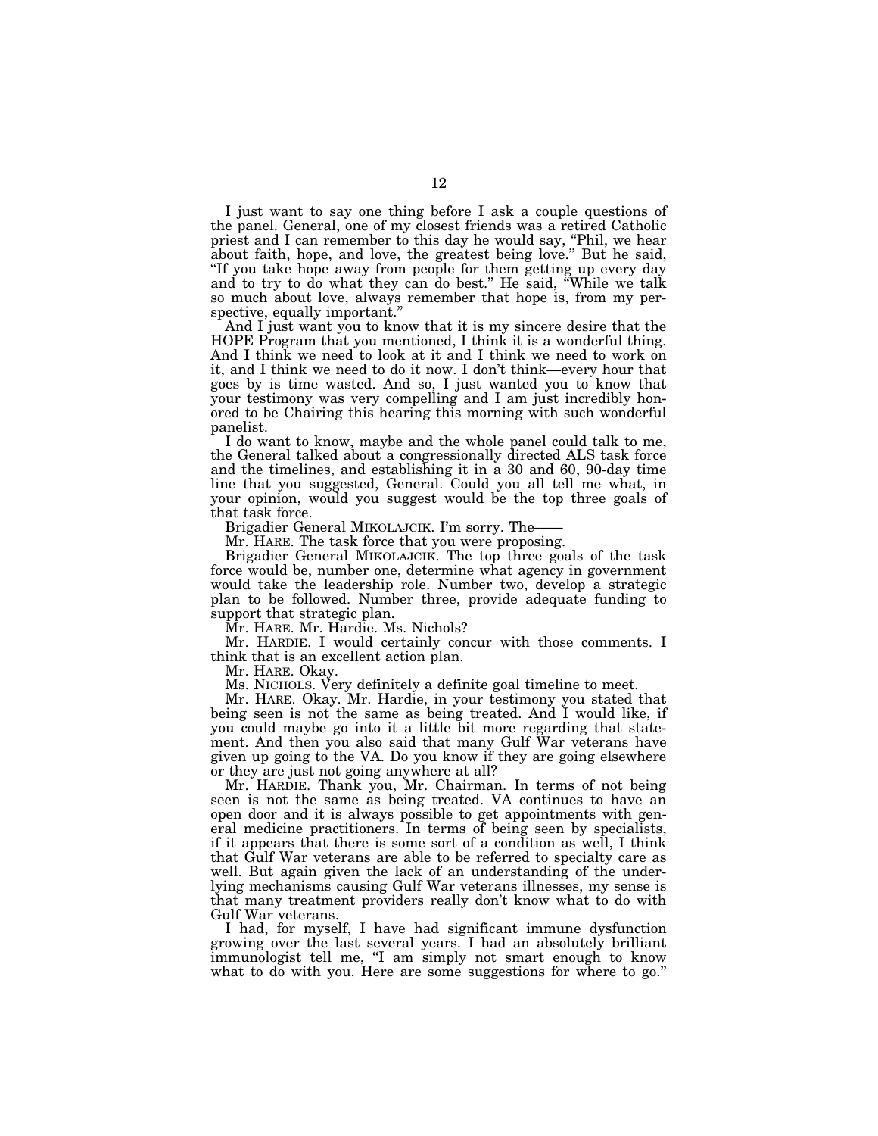I just want to say one thing before I ask a couple questions of the panel. General, one of my closest friends was a retired Catholic priest and I can remember to this day he would say, ''Phil, we hear about faith, hope, and love, the greatest being love.'' But he said, ''If you take hope away from people for them getting up every day and to try to do what they can do best.'' He said, ''While we talk so much about love, always remember that hope is, from my perspective, equally important.''

And I just want you to know that it is my sincere desire that the HOPE Program that you mentioned, I think it is a wonderful thing. And I think we need to look at it and I think we need to work on it, and I think we need to do it now. I don't think—every hour that goes by is time wasted. And so, I just wanted you to know that your testimony was very compelling and I am just incredibly honored to be Chairing this hearing this morning with such wonderful panelist.

I do want to know, maybe and the whole panel could talk to me, the General talked about a congressionally directed ALS task force and the timelines, and establishing it in a 30 and 60, 90-day time line that you suggested, General. Could you all tell me what, in your opinion, would you suggest would be the top three goals of that task force.

Brigadier General MIKOLAJCIK. I'm sorry. The——

Mr. HARE. The task force that you were proposing.

Brigadier General MIKOLAJCIK. The top three goals of the task force would be, number one, determine what agency in government would take the leadership role. Number two, develop a strategic plan to be followed. Number three, provide adequate funding to support that strategic plan.

Mr. HARE. Mr. Hardie. Ms. Nichols?

Mr. HARDIE. I would certainly concur with those comments. I think that is an excellent action plan.

Mr. HARE. Okay.

Ms. NICHOLS. Very definitely a definite goal timeline to meet.

Mr. HARE. Okay. Mr. Hardie, in your testimony you stated that being seen is not the same as being treated. And I would like, if you could maybe go into it a little bit more regarding that statement. And then you also said that many Gulf War veterans have given up going to the VA. Do you know if they are going elsewhere or they are just not going anywhere at all?

Mr. HARDIE. Thank you, Mr. Chairman. In terms of not being seen is not the same as being treated. VA continues to have an open door and it is always possible to get appointments with general medicine practitioners. In terms of being seen by specialists, if it appears that there is some sort of a condition as well, I think that Gulf War veterans are able to be referred to specialty care as well. But again given the lack of an understanding of the underlying mechanisms causing Gulf War veterans illnesses, my sense is that many treatment providers really don't know what to do with Gulf War veterans.

I had, for myself, I have had significant immune dysfunction growing over the last several years. I had an absolutely brilliant immunologist tell me, "I am simply not smart enough to know what to do with you. Here are some suggestions for where to go."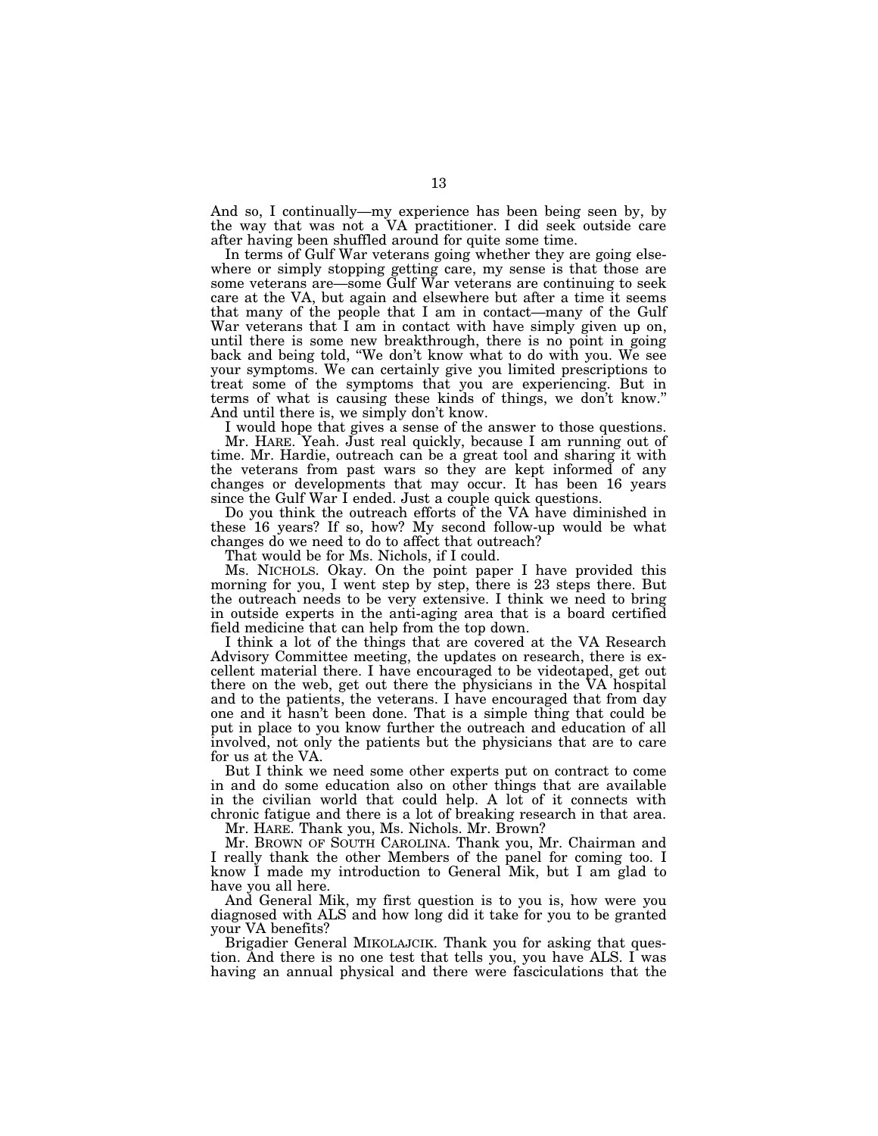And so, I continually—my experience has been being seen by, by the way that was not a VA practitioner. I did seek outside care after having been shuffled around for quite some time.

In terms of Gulf War veterans going whether they are going elsewhere or simply stopping getting care, my sense is that those are some veterans are—some Gulf War veterans are continuing to seek care at the VA, but again and elsewhere but after a time it seems that many of the people that I am in contact—many of the Gulf War veterans that I am in contact with have simply given up on, until there is some new breakthrough, there is no point in going back and being told, ''We don't know what to do with you. We see your symptoms. We can certainly give you limited prescriptions to treat some of the symptoms that you are experiencing. But in terms of what is causing these kinds of things, we don't know.'' And until there is, we simply don't know.

I would hope that gives a sense of the answer to those questions. Mr. HARE. Yeah. Just real quickly, because I am running out of time. Mr. Hardie, outreach can be a great tool and sharing it with the veterans from past wars so they are kept informed of any changes or developments that may occur. It has been 16 years since the Gulf War I ended. Just a couple quick questions.

Do you think the outreach efforts of the VA have diminished in these 16 years? If so, how? My second follow-up would be what changes do we need to do to affect that outreach?

That would be for Ms. Nichols, if I could.

Ms. NICHOLS. Okay. On the point paper I have provided this morning for you, I went step by step, there is 23 steps there. But the outreach needs to be very extensive. I think we need to bring in outside experts in the anti-aging area that is a board certified field medicine that can help from the top down.

I think a lot of the things that are covered at the VA Research Advisory Committee meeting, the updates on research, there is excellent material there. I have encouraged to be videotaped, get out there on the web, get out there the physicians in the VA hospital and to the patients, the veterans. I have encouraged that from day one and it hasn't been done. That is a simple thing that could be put in place to you know further the outreach and education of all involved, not only the patients but the physicians that are to care for us at the VA.

But I think we need some other experts put on contract to come in and do some education also on other things that are available in the civilian world that could help. A lot of it connects with chronic fatigue and there is a lot of breaking research in that area.

Mr. HARE. Thank you, Ms. Nichols. Mr. Brown?

Mr. BROWN OF SOUTH CAROLINA. Thank you, Mr. Chairman and I really thank the other Members of the panel for coming too. I know I made my introduction to General Mik, but I am glad to have you all here.

And General Mik, my first question is to you is, how were you diagnosed with ALS and how long did it take for you to be granted your VA benefits?

Brigadier General MIKOLAJCIK. Thank you for asking that question. And there is no one test that tells you, you have ALS. I was having an annual physical and there were fasciculations that the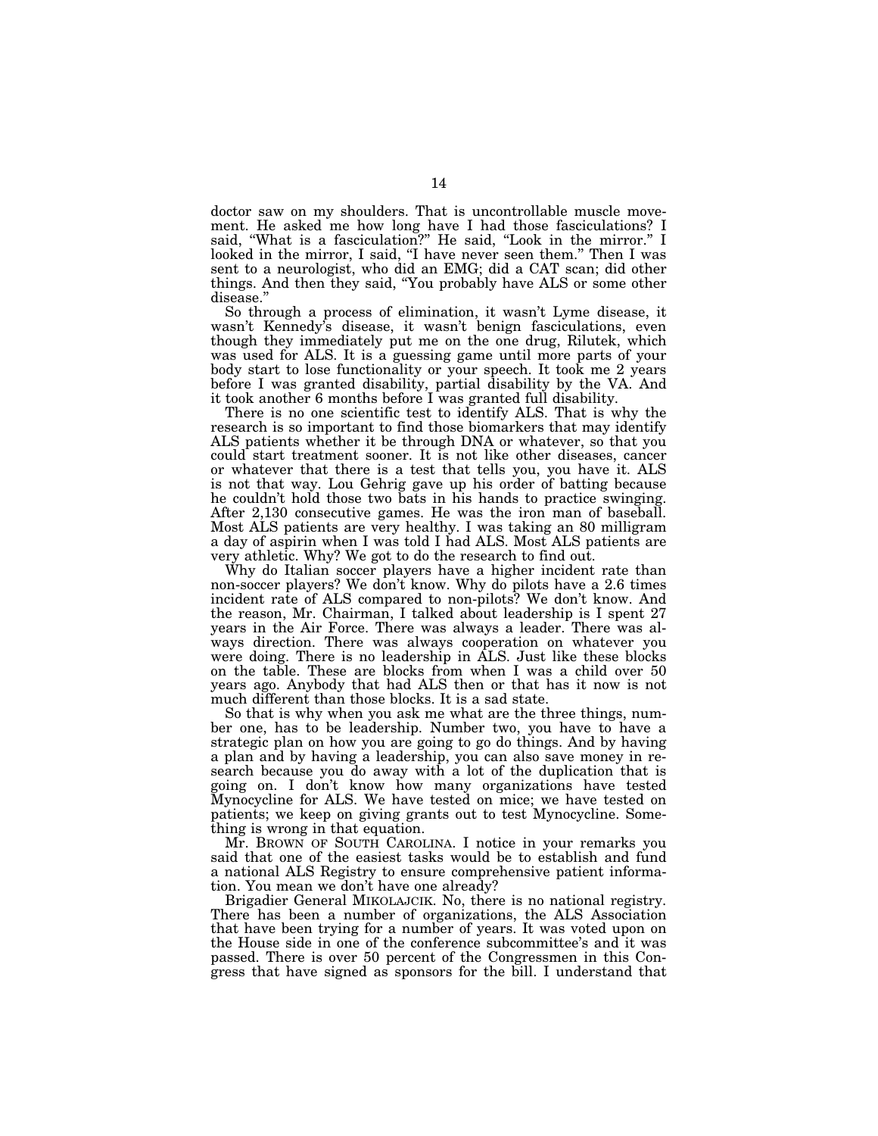doctor saw on my shoulders. That is uncontrollable muscle movement. He asked me how long have I had those fasciculations? I said, ''What is a fasciculation?'' He said, ''Look in the mirror.'' I looked in the mirror, I said, "I have never seen them." Then I was sent to a neurologist, who did an EMG; did a CAT scan; did other things. And then they said, ''You probably have ALS or some other disease.''

So through a process of elimination, it wasn't Lyme disease, it wasn't Kennedy's disease, it wasn't benign fasciculations, even though they immediately put me on the one drug, Rilutek, which was used for ALS. It is a guessing game until more parts of your body start to lose functionality or your speech. It took me 2 years before I was granted disability, partial disability by the VA. And it took another 6 months before I was granted full disability.

There is no one scientific test to identify ALS. That is why the research is so important to find those biomarkers that may identify ALS patients whether it be through DNA or whatever, so that you could start treatment sooner. It is not like other diseases, cancer or whatever that there is a test that tells you, you have it. ALS is not that way. Lou Gehrig gave up his order of batting because he couldn't hold those two bats in his hands to practice swinging. After 2,130 consecutive games. He was the iron man of baseball. Most ALS patients are very healthy. I was taking an 80 milligram a day of aspirin when I was told I had ALS. Most ALS patients are very athletic. Why? We got to do the research to find out.

Why do Italian soccer players have a higher incident rate than non-soccer players? We don't know. Why do pilots have a 2.6 times incident rate of ALS compared to non-pilots? We don't know. And the reason, Mr. Chairman, I talked about leadership is I spent 27 years in the Air Force. There was always a leader. There was always direction. There was always cooperation on whatever you were doing. There is no leadership in ALS. Just like these blocks on the table. These are blocks from when I was a child over 50 years ago. Anybody that had ALS then or that has it now is not much different than those blocks. It is a sad state.

So that is why when you ask me what are the three things, number one, has to be leadership. Number two, you have to have a strategic plan on how you are going to go do things. And by having a plan and by having a leadership, you can also save money in research because you do away with a lot of the duplication that is going on. I don't know how many organizations have tested Mynocycline for ALS. We have tested on mice; we have tested on patients; we keep on giving grants out to test Mynocycline. Something is wrong in that equation.

Mr. BROWN OF SOUTH CAROLINA. I notice in your remarks you said that one of the easiest tasks would be to establish and fund a national ALS Registry to ensure comprehensive patient information. You mean we don't have one already?

Brigadier General MIKOLAJCIK. No, there is no national registry. There has been a number of organizations, the ALS Association that have been trying for a number of years. It was voted upon on the House side in one of the conference subcommittee's and it was passed. There is over 50 percent of the Congressmen in this Congress that have signed as sponsors for the bill. I understand that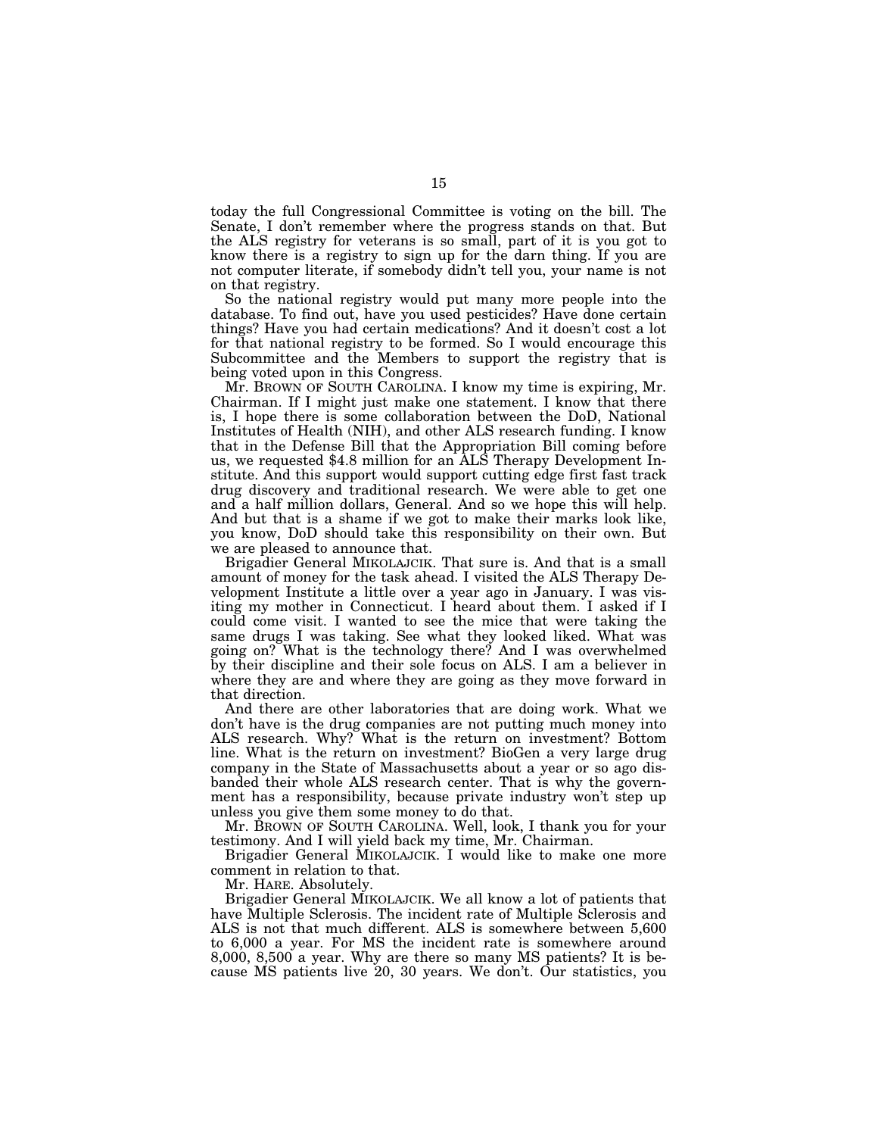today the full Congressional Committee is voting on the bill. The Senate, I don't remember where the progress stands on that. But the ALS registry for veterans is so small, part of it is you got to know there is a registry to sign up for the darn thing. If you are not computer literate, if somebody didn't tell you, your name is not on that registry.

So the national registry would put many more people into the database. To find out, have you used pesticides? Have done certain things? Have you had certain medications? And it doesn't cost a lot for that national registry to be formed. So I would encourage this Subcommittee and the Members to support the registry that is being voted upon in this Congress.

Mr. BROWN OF SOUTH CAROLINA. I know my time is expiring, Mr. Chairman. If I might just make one statement. I know that there is, I hope there is some collaboration between the DoD, National Institutes of Health (NIH), and other ALS research funding. I know that in the Defense Bill that the Appropriation Bill coming before us, we requested \$4.8 million for an ALS Therapy Development Institute. And this support would support cutting edge first fast track drug discovery and traditional research. We were able to get one and a half million dollars, General. And so we hope this will help. And but that is a shame if we got to make their marks look like, you know, DoD should take this responsibility on their own. But we are pleased to announce that.

Brigadier General MIKOLAJCIK. That sure is. And that is a small amount of money for the task ahead. I visited the ALS Therapy Development Institute a little over a year ago in January. I was visiting my mother in Connecticut. I heard about them. I asked if I could come visit. I wanted to see the mice that were taking the same drugs I was taking. See what they looked liked. What was going on? What is the technology there? And I was overwhelmed by their discipline and their sole focus on ALS. I am a believer in where they are and where they are going as they move forward in that direction.

And there are other laboratories that are doing work. What we don't have is the drug companies are not putting much money into ALS research. Why? What is the return on investment? Bottom line. What is the return on investment? BioGen a very large drug company in the State of Massachusetts about a year or so ago disbanded their whole ALS research center. That is why the government has a responsibility, because private industry won't step up unless you give them some money to do that.

Mr. BROWN OF SOUTH CAROLINA. Well, look, I thank you for your testimony. And I will yield back my time, Mr. Chairman.

Brigadier General MIKOLAJCIK. I would like to make one more comment in relation to that.

Mr. HARE. Absolutely.

Brigadier General MIKOLAJCIK. We all know a lot of patients that have Multiple Sclerosis. The incident rate of Multiple Sclerosis and ALS is not that much different. ALS is somewhere between 5,600 to 6,000 a year. For MS the incident rate is somewhere around 8,000, 8,500 a year. Why are there so many MS patients? It is because MS patients live 20, 30 years. We don't. Our statistics, you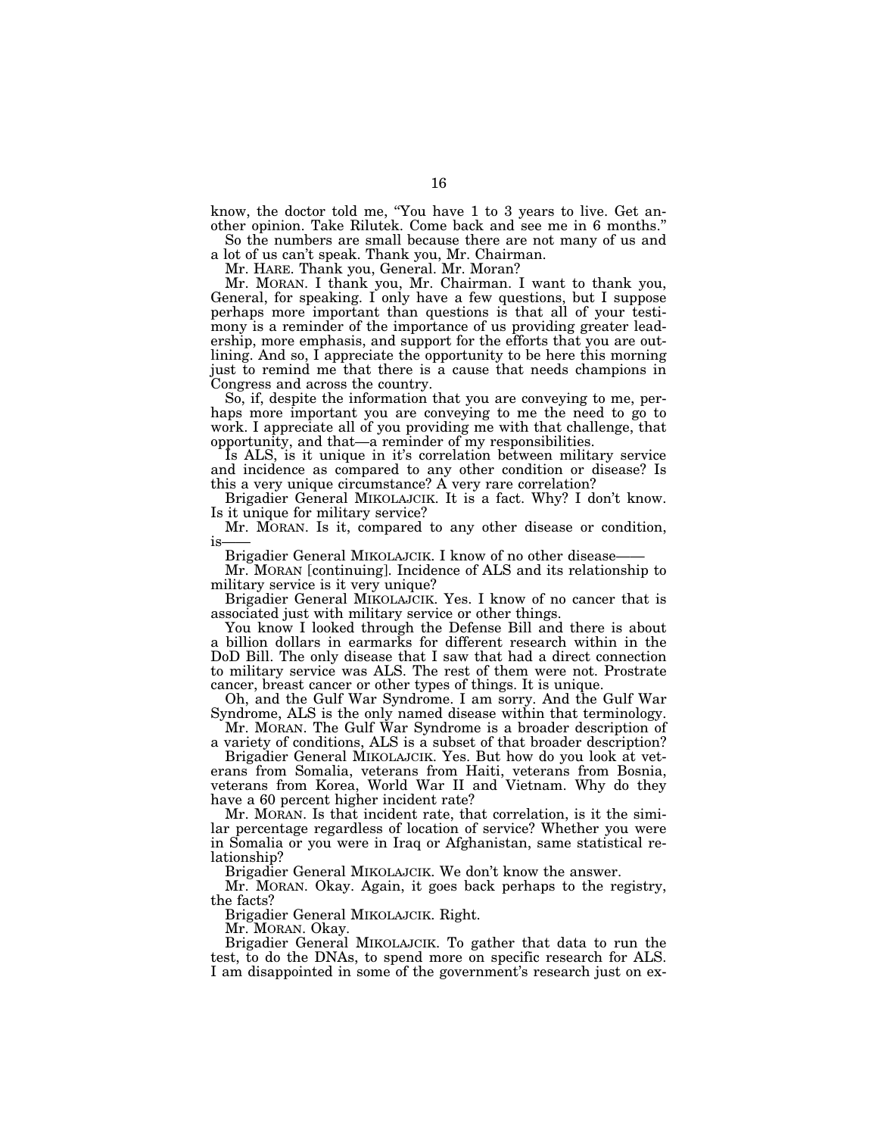know, the doctor told me, ''You have 1 to 3 years to live. Get another opinion. Take Rilutek. Come back and see me in 6 months.''

So the numbers are small because there are not many of us and a lot of us can't speak. Thank you, Mr. Chairman.

Mr. HARE. Thank you, General. Mr. Moran?

Mr. MORAN. I thank you, Mr. Chairman. I want to thank you, General, for speaking. I only have a few questions, but I suppose perhaps more important than questions is that all of your testimony is a reminder of the importance of us providing greater leadership, more emphasis, and support for the efforts that you are outlining. And so, I appreciate the opportunity to be here this morning just to remind me that there is a cause that needs champions in Congress and across the country.

So, if, despite the information that you are conveying to me, perhaps more important you are conveying to me the need to go to work. I appreciate all of you providing me with that challenge, that opportunity, and that—a reminder of my responsibilities.

Is ALS, is it unique in it's correlation between military service and incidence as compared to any other condition or disease? Is this a very unique circumstance? A very rare correlation?

Brigadier General MIKOLAJCIK. It is a fact. Why? I don't know. Is it unique for military service?

Mr. MORAN. Is it, compared to any other disease or condition, is

Brigadier General MIKOLAJCIK. I know of no other disease-

Mr. MORAN [continuing]. Incidence of ALS and its relationship to military service is it very unique?

Brigadier General MIKOLAJCIK. Yes. I know of no cancer that is associated just with military service or other things.

You know I looked through the Defense Bill and there is about a billion dollars in earmarks for different research within in the DoD Bill. The only disease that I saw that had a direct connection to military service was ALS. The rest of them were not. Prostrate cancer, breast cancer or other types of things. It is unique.

Oh, and the Gulf War Syndrome. I am sorry. And the Gulf War Syndrome, ALS is the only named disease within that terminology.

Mr. MORAN. The Gulf War Syndrome is a broader description of a variety of conditions, ALS is a subset of that broader description?

Brigadier General MIKOLAJCIK. Yes. But how do you look at veterans from Somalia, veterans from Haiti, veterans from Bosnia, veterans from Korea, World War II and Vietnam. Why do they have a 60 percent higher incident rate?

Mr. MORAN. Is that incident rate, that correlation, is it the similar percentage regardless of location of service? Whether you were in Somalia or you were in Iraq or Afghanistan, same statistical relationship?

Brigadier General MIKOLAJCIK. We don't know the answer.

Mr. MORAN. Okay. Again, it goes back perhaps to the registry, the facts?

Brigadier General MIKOLAJCIK. Right.

Mr. MORAN. Okay.

Brigadier General MIKOLAJCIK. To gather that data to run the test, to do the DNAs, to spend more on specific research for ALS. I am disappointed in some of the government's research just on ex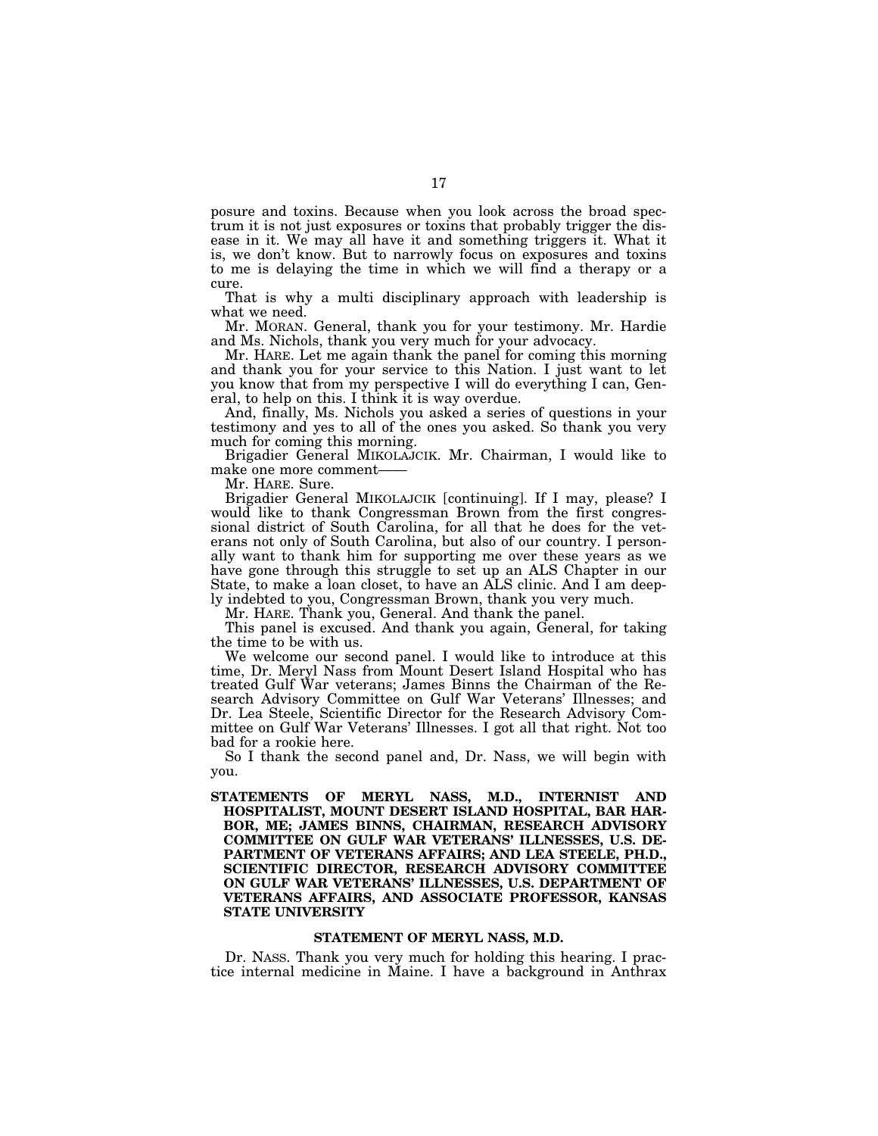posure and toxins. Because when you look across the broad spectrum it is not just exposures or toxins that probably trigger the disease in it. We may all have it and something triggers it. What it is, we don't know. But to narrowly focus on exposures and toxins to me is delaying the time in which we will find a therapy or a cure.

That is why a multi disciplinary approach with leadership is what we need.

Mr. MORAN. General, thank you for your testimony. Mr. Hardie and Ms. Nichols, thank you very much for your advocacy.

Mr. HARE. Let me again thank the panel for coming this morning and thank you for your service to this Nation. I just want to let you know that from my perspective I will do everything I can, General, to help on this. I think it is way overdue.

And, finally, Ms. Nichols you asked a series of questions in your testimony and yes to all of the ones you asked. So thank you very much for coming this morning.

Brigadier General MIKOLAJCIK. Mr. Chairman, I would like to make one more comment——

Mr. HARE. Sure.

Brigadier General MIKOLAJCIK [continuing]. If I may, please? I would like to thank Congressman Brown from the first congressional district of South Carolina, for all that he does for the veterans not only of South Carolina, but also of our country. I personally want to thank him for supporting me over these years as we have gone through this struggle to set up an ALS Chapter in our State, to make a loan closet, to have an ALS clinic. And I am deeply indebted to you, Congressman Brown, thank you very much.

Mr. HARE. Thank you, General. And thank the panel.

This panel is excused. And thank you again, General, for taking the time to be with us.

We welcome our second panel. I would like to introduce at this time, Dr. Meryl Nass from Mount Desert Island Hospital who has treated Gulf War veterans; James Binns the Chairman of the Research Advisory Committee on Gulf War Veterans' Illnesses; and Dr. Lea Steele, Scientific Director for the Research Advisory Committee on Gulf War Veterans' Illnesses. I got all that right. Not too bad for a rookie here.

So I thank the second panel and, Dr. Nass, we will begin with you.

**STATEMENTS OF MERYL NASS, M.D., INTERNIST AND HOSPITALIST, MOUNT DESERT ISLAND HOSPITAL, BAR HAR-BOR, ME; JAMES BINNS, CHAIRMAN, RESEARCH ADVISORY COMMITTEE ON GULF WAR VETERANS' ILLNESSES, U.S. DE-PARTMENT OF VETERANS AFFAIRS; AND LEA STEELE, PH.D., SCIENTIFIC DIRECTOR, RESEARCH ADVISORY COMMITTEE ON GULF WAR VETERANS' ILLNESSES, U.S. DEPARTMENT OF VETERANS AFFAIRS, AND ASSOCIATE PROFESSOR, KANSAS STATE UNIVERSITY** 

#### **STATEMENT OF MERYL NASS, M.D.**

Dr. NASS. Thank you very much for holding this hearing. I practice internal medicine in Maine. I have a background in Anthrax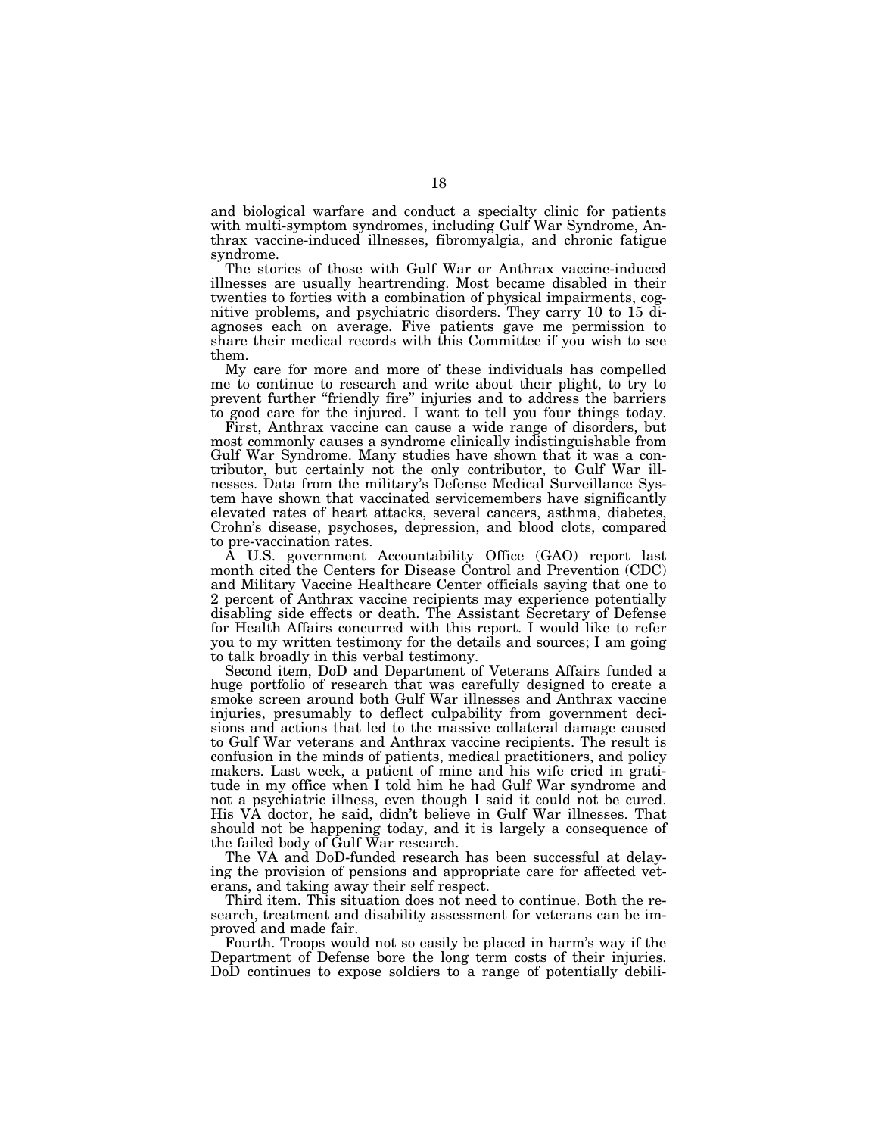and biological warfare and conduct a specialty clinic for patients with multi-symptom syndromes, including Gulf War Syndrome, Anthrax vaccine-induced illnesses, fibromyalgia, and chronic fatigue syndrome.

The stories of those with Gulf War or Anthrax vaccine-induced illnesses are usually heartrending. Most became disabled in their twenties to forties with a combination of physical impairments, cognitive problems, and psychiatric disorders. They carry 10 to 15 diagnoses each on average. Five patients gave me permission to share their medical records with this Committee if you wish to see them.

My care for more and more of these individuals has compelled me to continue to research and write about their plight, to try to prevent further "friendly fire" injuries and to address the barriers to good care for the injured. I want to tell you four things today.

First, Anthrax vaccine can cause a wide range of disorders, but most commonly causes a syndrome clinically indistinguishable from Gulf War Syndrome. Many studies have shown that it was a contributor, but certainly not the only contributor, to Gulf War illnesses. Data from the military's Defense Medical Surveillance System have shown that vaccinated servicemembers have significantly elevated rates of heart attacks, several cancers, asthma, diabetes, Crohn's disease, psychoses, depression, and blood clots, compared to pre-vaccination rates.

A U.S. government Accountability Office (GAO) report last month cited the Centers for Disease Control and Prevention (CDC) and Military Vaccine Healthcare Center officials saying that one to 2 percent of Anthrax vaccine recipients may experience potentially disabling side effects or death. The Assistant Secretary of Defense for Health Affairs concurred with this report. I would like to refer you to my written testimony for the details and sources; I am going to talk broadly in this verbal testimony.

Second item, DoD and Department of Veterans Affairs funded a huge portfolio of research that was carefully designed to create a smoke screen around both Gulf War illnesses and Anthrax vaccine injuries, presumably to deflect culpability from government decisions and actions that led to the massive collateral damage caused to Gulf War veterans and Anthrax vaccine recipients. The result is confusion in the minds of patients, medical practitioners, and policy makers. Last week, a patient of mine and his wife cried in gratitude in my office when I told him he had Gulf War syndrome and not a psychiatric illness, even though I said it could not be cured. His VA doctor, he said, didn't believe in Gulf War illnesses. That should not be happening today, and it is largely a consequence of the failed body of Gulf War research.

The VA and DoD-funded research has been successful at delaying the provision of pensions and appropriate care for affected veterans, and taking away their self respect.

Third item. This situation does not need to continue. Both the research, treatment and disability assessment for veterans can be improved and made fair.

Fourth. Troops would not so easily be placed in harm's way if the Department of Defense bore the long term costs of their injuries. DoD continues to expose soldiers to a range of potentially debili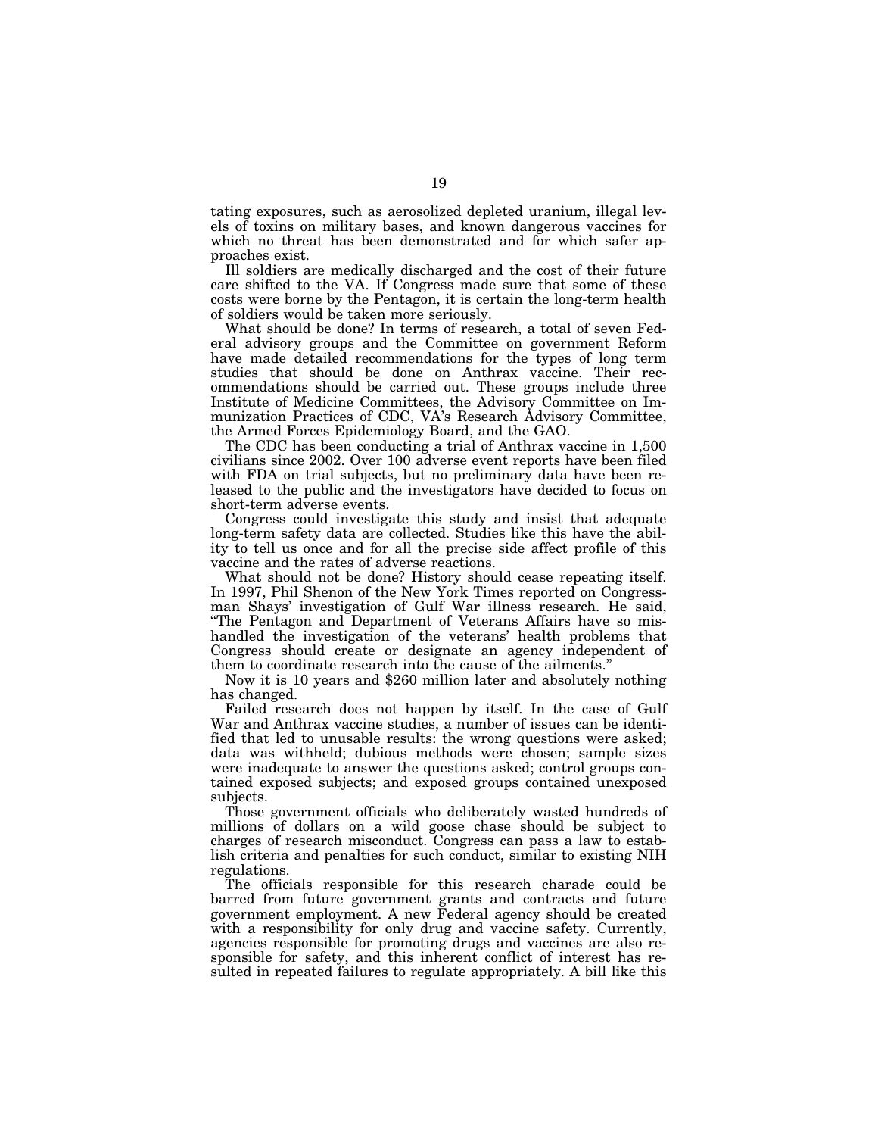tating exposures, such as aerosolized depleted uranium, illegal levels of toxins on military bases, and known dangerous vaccines for which no threat has been demonstrated and for which safer approaches exist.

Ill soldiers are medically discharged and the cost of their future care shifted to the VA. If Congress made sure that some of these costs were borne by the Pentagon, it is certain the long-term health of soldiers would be taken more seriously.

What should be done? In terms of research, a total of seven Federal advisory groups and the Committee on government Reform have made detailed recommendations for the types of long term studies that should be done on Anthrax vaccine. Their recommendations should be carried out. These groups include three Institute of Medicine Committees, the Advisory Committee on Immunization Practices of CDC, VA's Research Advisory Committee, the Armed Forces Epidemiology Board, and the GAO.

The CDC has been conducting a trial of Anthrax vaccine in 1,500 civilians since 2002. Over 100 adverse event reports have been filed with FDA on trial subjects, but no preliminary data have been released to the public and the investigators have decided to focus on short-term adverse events.

Congress could investigate this study and insist that adequate long-term safety data are collected. Studies like this have the ability to tell us once and for all the precise side affect profile of this vaccine and the rates of adverse reactions.

What should not be done? History should cease repeating itself. In 1997, Phil Shenon of the New York Times reported on Congressman Shays' investigation of Gulf War illness research. He said, ''The Pentagon and Department of Veterans Affairs have so mishandled the investigation of the veterans' health problems that Congress should create or designate an agency independent of them to coordinate research into the cause of the ailments.''

Now it is 10 years and \$260 million later and absolutely nothing has changed.

Failed research does not happen by itself. In the case of Gulf War and Anthrax vaccine studies, a number of issues can be identified that led to unusable results: the wrong questions were asked; data was withheld; dubious methods were chosen; sample sizes were inadequate to answer the questions asked; control groups contained exposed subjects; and exposed groups contained unexposed subjects.

Those government officials who deliberately wasted hundreds of millions of dollars on a wild goose chase should be subject to charges of research misconduct. Congress can pass a law to establish criteria and penalties for such conduct, similar to existing NIH regulations.

The officials responsible for this research charade could be barred from future government grants and contracts and future government employment. A new Federal agency should be created with a responsibility for only drug and vaccine safety. Currently, agencies responsible for promoting drugs and vaccines are also responsible for safety, and this inherent conflict of interest has resulted in repeated failures to regulate appropriately. A bill like this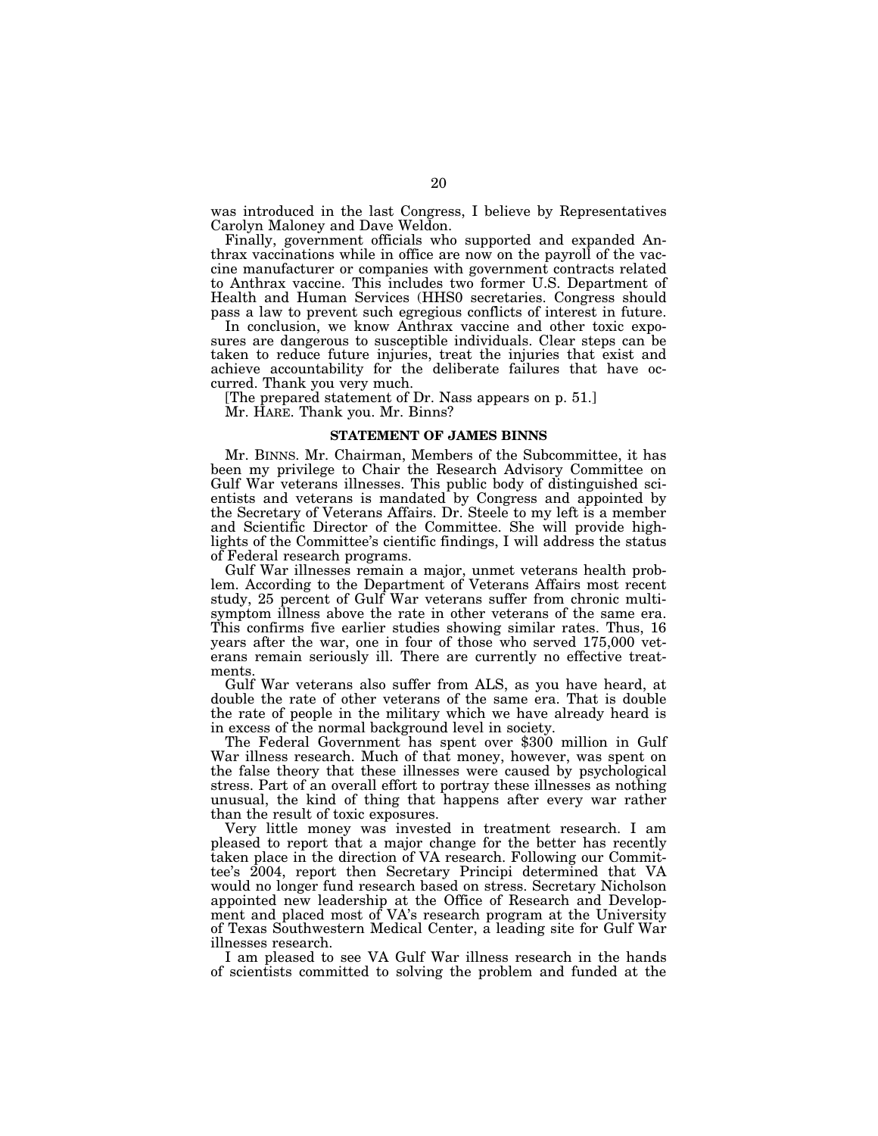was introduced in the last Congress, I believe by Representatives Carolyn Maloney and Dave Weldon.

Finally, government officials who supported and expanded Anthrax vaccinations while in office are now on the payroll of the vaccine manufacturer or companies with government contracts related to Anthrax vaccine. This includes two former U.S. Department of Health and Human Services (HHS0 secretaries. Congress should pass a law to prevent such egregious conflicts of interest in future.

In conclusion, we know Anthrax vaccine and other toxic exposures are dangerous to susceptible individuals. Clear steps can be taken to reduce future injuries, treat the injuries that exist and achieve accountability for the deliberate failures that have occurred. Thank you very much.

[The prepared statement of Dr. Nass appears on p. 51.]

Mr. HARE. Thank you. Mr. Binns?

#### **STATEMENT OF JAMES BINNS**

Mr. BINNS. Mr. Chairman, Members of the Subcommittee, it has been my privilege to Chair the Research Advisory Committee on Gulf War veterans illnesses. This public body of distinguished scientists and veterans is mandated by Congress and appointed by the Secretary of Veterans Affairs. Dr. Steele to my left is a member and Scientific Director of the Committee. She will provide highlights of the Committee's cientific findings, I will address the status of Federal research programs.

Gulf War illnesses remain a major, unmet veterans health problem. According to the Department of Veterans Affairs most recent study, 25 percent of Gulf War veterans suffer from chronic multisymptom illness above the rate in other veterans of the same era. This confirms five earlier studies showing similar rates. Thus, 16 years after the war, one in four of those who served 175,000 veterans remain seriously ill. There are currently no effective treatments.

Gulf War veterans also suffer from ALS, as you have heard, at double the rate of other veterans of the same era. That is double the rate of people in the military which we have already heard is in excess of the normal background level in society.

The Federal Government has spent over \$300 million in Gulf War illness research. Much of that money, however, was spent on the false theory that these illnesses were caused by psychological stress. Part of an overall effort to portray these illnesses as nothing unusual, the kind of thing that happens after every war rather than the result of toxic exposures.

Very little money was invested in treatment research. I am pleased to report that a major change for the better has recently taken place in the direction of VA research. Following our Committee's 2004, report then Secretary Principi determined that VA would no longer fund research based on stress. Secretary Nicholson appointed new leadership at the Office of Research and Development and placed most of VA's research program at the University of Texas Southwestern Medical Center, a leading site for Gulf War illnesses research.

I am pleased to see VA Gulf War illness research in the hands of scientists committed to solving the problem and funded at the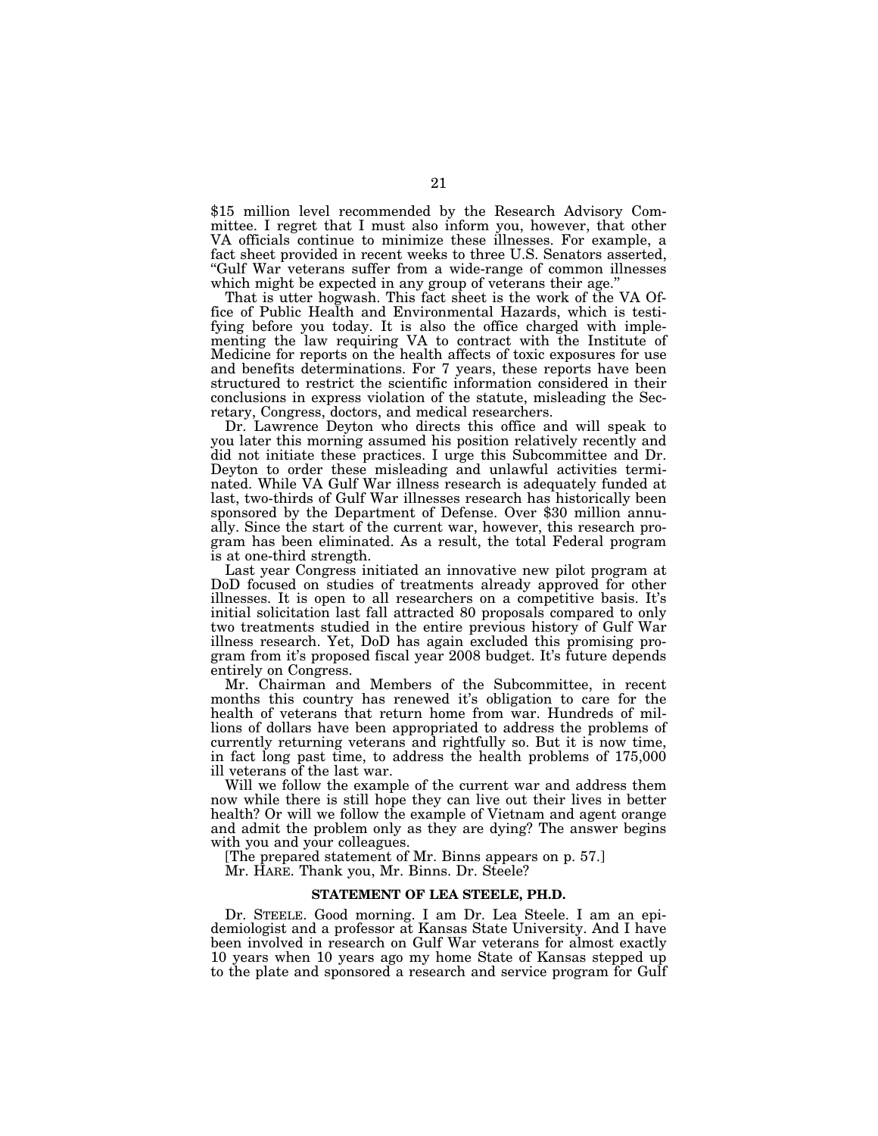\$15 million level recommended by the Research Advisory Committee. I regret that I must also inform you, however, that other VA officials continue to minimize these illnesses. For example, a fact sheet provided in recent weeks to three U.S. Senators asserted, ''Gulf War veterans suffer from a wide-range of common illnesses which might be expected in any group of veterans their age."

That is utter hogwash. This fact sheet is the work of the VA Office of Public Health and Environmental Hazards, which is testifying before you today. It is also the office charged with implementing the law requiring VA to contract with the Institute of Medicine for reports on the health affects of toxic exposures for use and benefits determinations. For 7 years, these reports have been structured to restrict the scientific information considered in their conclusions in express violation of the statute, misleading the Secretary, Congress, doctors, and medical researchers.

Dr. Lawrence Deyton who directs this office and will speak to you later this morning assumed his position relatively recently and did not initiate these practices. I urge this Subcommittee and Dr. Deyton to order these misleading and unlawful activities terminated. While VA Gulf War illness research is adequately funded at last, two-thirds of Gulf War illnesses research has historically been sponsored by the Department of Defense. Over \$30 million annually. Since the start of the current war, however, this research program has been eliminated. As a result, the total Federal program is at one-third strength.

Last year Congress initiated an innovative new pilot program at DoD focused on studies of treatments already approved for other illnesses. It is open to all researchers on a competitive basis. It's initial solicitation last fall attracted 80 proposals compared to only two treatments studied in the entire previous history of Gulf War illness research. Yet, DoD has again excluded this promising program from it's proposed fiscal year 2008 budget. It's future depends entirely on Congress.

Mr. Chairman and Members of the Subcommittee, in recent months this country has renewed it's obligation to care for the health of veterans that return home from war. Hundreds of millions of dollars have been appropriated to address the problems of currently returning veterans and rightfully so. But it is now time, in fact long past time, to address the health problems of 175,000 ill veterans of the last war.

Will we follow the example of the current war and address them now while there is still hope they can live out their lives in better health? Or will we follow the example of Vietnam and agent orange and admit the problem only as they are dying? The answer begins with you and your colleagues.

[The prepared statement of Mr. Binns appears on p. 57.]

Mr. HARE. Thank you, Mr. Binns. Dr. Steele?

#### **STATEMENT OF LEA STEELE, PH.D.**

Dr. STEELE. Good morning. I am Dr. Lea Steele. I am an epidemiologist and a professor at Kansas State University. And I have been involved in research on Gulf War veterans for almost exactly 10 years when 10 years ago my home State of Kansas stepped up to the plate and sponsored a research and service program for Gulf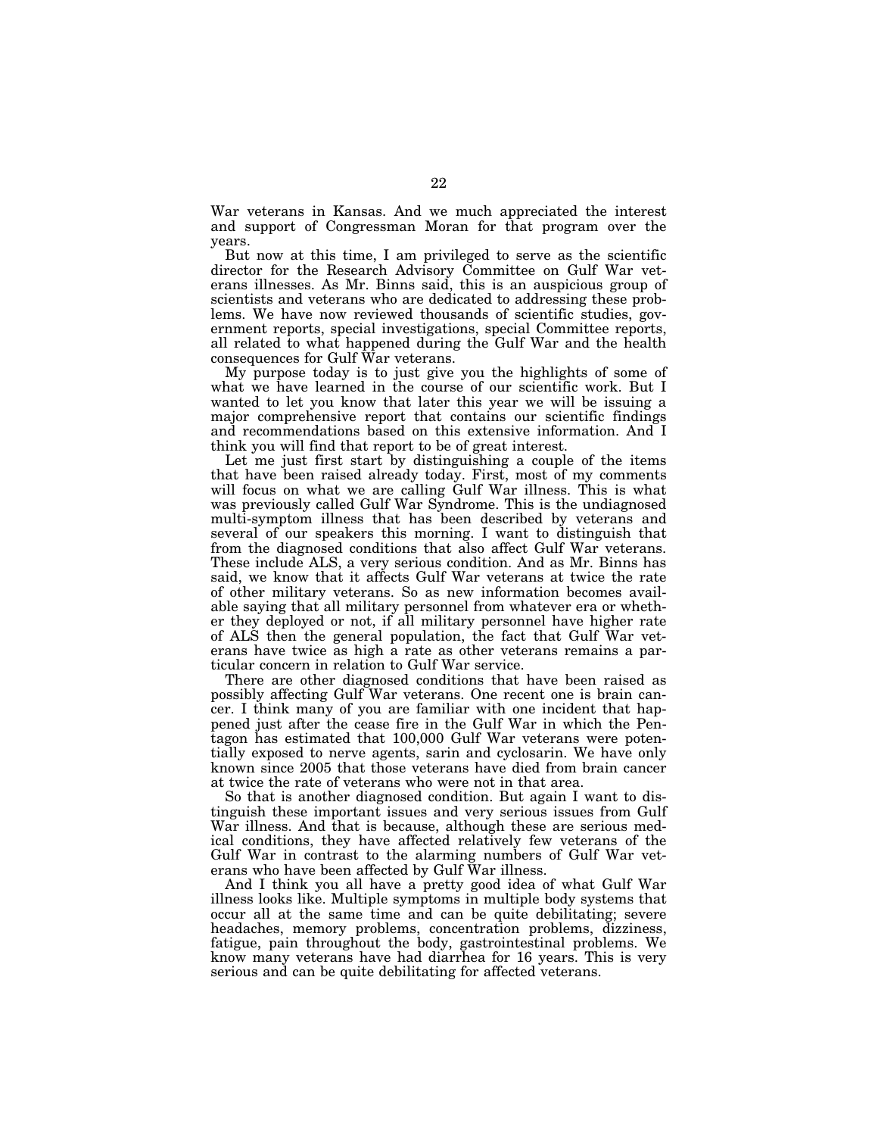War veterans in Kansas. And we much appreciated the interest and support of Congressman Moran for that program over the years.

But now at this time, I am privileged to serve as the scientific director for the Research Advisory Committee on Gulf War veterans illnesses. As Mr. Binns said, this is an auspicious group of scientists and veterans who are dedicated to addressing these problems. We have now reviewed thousands of scientific studies, government reports, special investigations, special Committee reports, all related to what happened during the Gulf War and the health consequences for Gulf War veterans.

My purpose today is to just give you the highlights of some of what we have learned in the course of our scientific work. But I wanted to let you know that later this year we will be issuing a major comprehensive report that contains our scientific findings and recommendations based on this extensive information. And I think you will find that report to be of great interest.

Let me just first start by distinguishing a couple of the items that have been raised already today. First, most of my comments will focus on what we are calling Gulf War illness. This is what was previously called Gulf War Syndrome. This is the undiagnosed multi-symptom illness that has been described by veterans and several of our speakers this morning. I want to distinguish that from the diagnosed conditions that also affect Gulf War veterans. These include ALS, a very serious condition. And as Mr. Binns has said, we know that it affects Gulf War veterans at twice the rate of other military veterans. So as new information becomes available saying that all military personnel from whatever era or whether they deployed or not, if all military personnel have higher rate of ALS then the general population, the fact that Gulf War veterans have twice as high a rate as other veterans remains a particular concern in relation to Gulf War service.

There are other diagnosed conditions that have been raised as possibly affecting Gulf War veterans. One recent one is brain cancer. I think many of you are familiar with one incident that happened just after the cease fire in the Gulf War in which the Pentagon has estimated that 100,000 Gulf War veterans were potentially exposed to nerve agents, sarin and cyclosarin. We have only known since 2005 that those veterans have died from brain cancer at twice the rate of veterans who were not in that area.

So that is another diagnosed condition. But again I want to distinguish these important issues and very serious issues from Gulf War illness. And that is because, although these are serious medical conditions, they have affected relatively few veterans of the Gulf War in contrast to the alarming numbers of Gulf War veterans who have been affected by Gulf War illness.

And I think you all have a pretty good idea of what Gulf War illness looks like. Multiple symptoms in multiple body systems that occur all at the same time and can be quite debilitating; severe headaches, memory problems, concentration problems, dizziness, fatigue, pain throughout the body, gastrointestinal problems. We know many veterans have had diarrhea for 16 years. This is very serious and can be quite debilitating for affected veterans.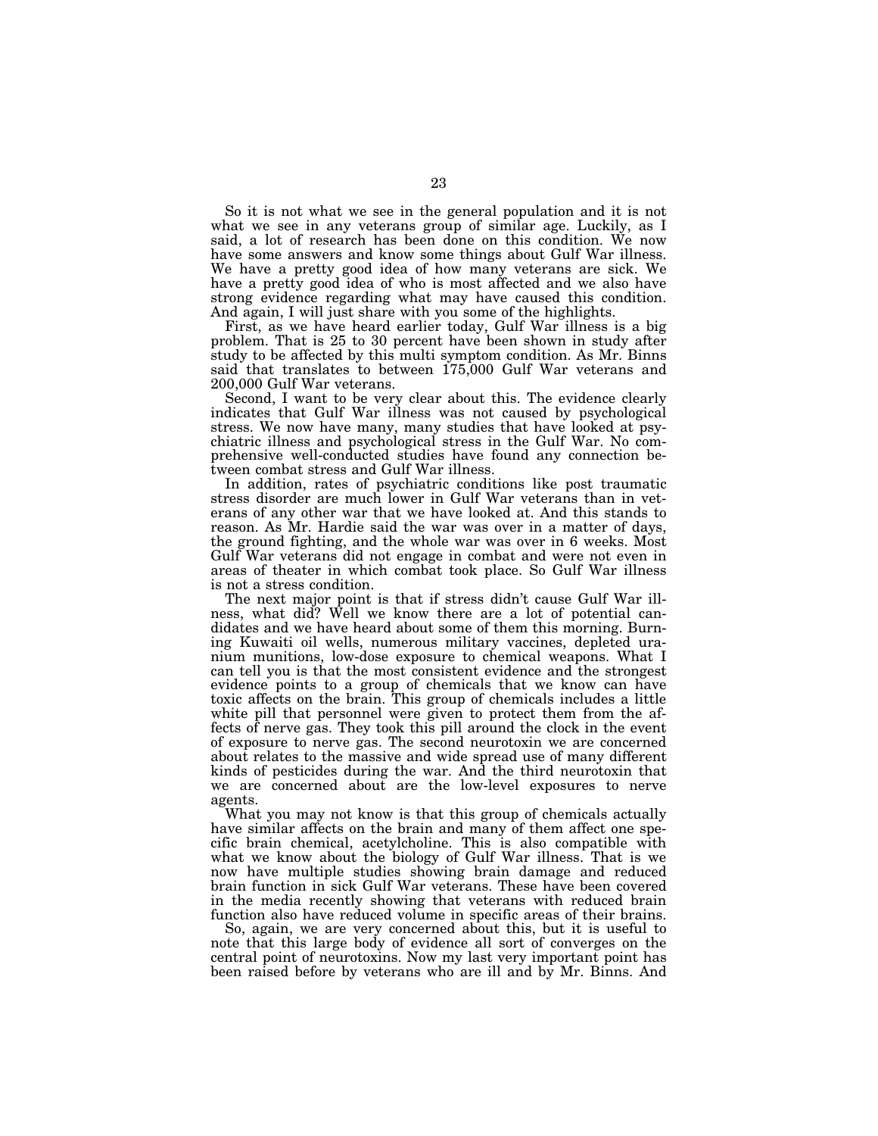So it is not what we see in the general population and it is not what we see in any veterans group of similar age. Luckily, as I said, a lot of research has been done on this condition. We now have some answers and know some things about Gulf War illness. We have a pretty good idea of how many veterans are sick. We have a pretty good idea of who is most affected and we also have strong evidence regarding what may have caused this condition. And again, I will just share with you some of the highlights.

First, as we have heard earlier today, Gulf War illness is a big problem. That is 25 to 30 percent have been shown in study after study to be affected by this multi symptom condition. As Mr. Binns said that translates to between 175,000 Gulf War veterans and 200,000 Gulf War veterans.

Second, I want to be very clear about this. The evidence clearly indicates that Gulf War illness was not caused by psychological stress. We now have many, many studies that have looked at psychiatric illness and psychological stress in the Gulf War. No comprehensive well-conducted studies have found any connection between combat stress and Gulf War illness.

In addition, rates of psychiatric conditions like post traumatic stress disorder are much lower in Gulf War veterans than in veterans of any other war that we have looked at. And this stands to reason. As Mr. Hardie said the war was over in a matter of days, the ground fighting, and the whole war was over in 6 weeks. Most Gulf War veterans did not engage in combat and were not even in areas of theater in which combat took place. So Gulf War illness is not a stress condition.

The next major point is that if stress didn't cause Gulf War illness, what did? Well we know there are a lot of potential candidates and we have heard about some of them this morning. Burning Kuwaiti oil wells, numerous military vaccines, depleted uranium munitions, low-dose exposure to chemical weapons. What I can tell you is that the most consistent evidence and the strongest evidence points to a group of chemicals that we know can have toxic affects on the brain. This group of chemicals includes a little white pill that personnel were given to protect them from the affects of nerve gas. They took this pill around the clock in the event of exposure to nerve gas. The second neurotoxin we are concerned about relates to the massive and wide spread use of many different kinds of pesticides during the war. And the third neurotoxin that we are concerned about are the low-level exposures to nerve agents.

What you may not know is that this group of chemicals actually have similar affects on the brain and many of them affect one specific brain chemical, acetylcholine. This is also compatible with what we know about the biology of Gulf War illness. That is we now have multiple studies showing brain damage and reduced brain function in sick Gulf War veterans. These have been covered in the media recently showing that veterans with reduced brain function also have reduced volume in specific areas of their brains.

So, again, we are very concerned about this, but it is useful to note that this large body of evidence all sort of converges on the central point of neurotoxins. Now my last very important point has been raised before by veterans who are ill and by Mr. Binns. And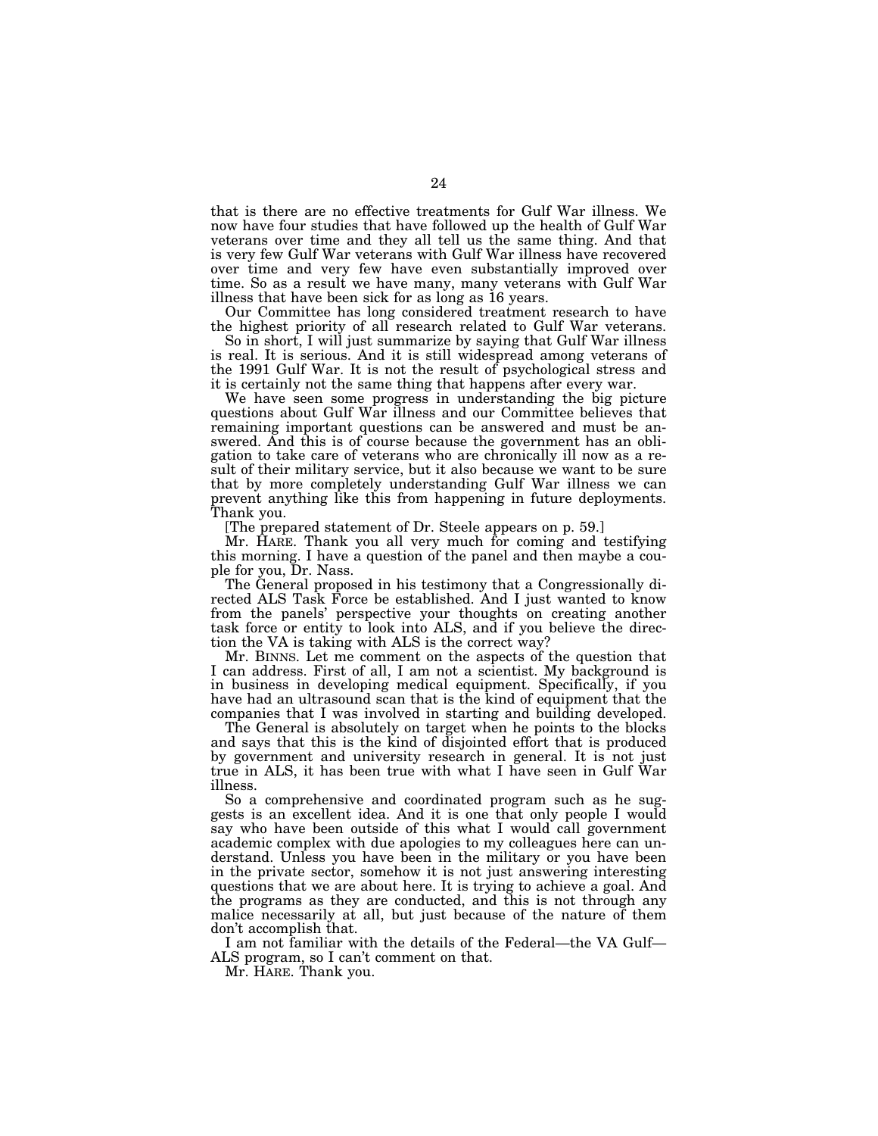that is there are no effective treatments for Gulf War illness. We now have four studies that have followed up the health of Gulf War veterans over time and they all tell us the same thing. And that is very few Gulf War veterans with Gulf War illness have recovered over time and very few have even substantially improved over time. So as a result we have many, many veterans with Gulf War illness that have been sick for as long as 16 years.

Our Committee has long considered treatment research to have the highest priority of all research related to Gulf War veterans.

So in short, I will just summarize by saying that Gulf War illness is real. It is serious. And it is still widespread among veterans of the 1991 Gulf War. It is not the result of psychological stress and it is certainly not the same thing that happens after every war.

We have seen some progress in understanding the big picture questions about Gulf War illness and our Committee believes that remaining important questions can be answered and must be answered. And this is of course because the government has an obligation to take care of veterans who are chronically ill now as a result of their military service, but it also because we want to be sure that by more completely understanding Gulf War illness we can prevent anything like this from happening in future deployments. Thank you.

[The prepared statement of Dr. Steele appears on p. 59.]

Mr. HARE. Thank you all very much for coming and testifying this morning. I have a question of the panel and then maybe a couple for you, Dr. Nass.

The General proposed in his testimony that a Congressionally directed ALS Task Force be established. And I just wanted to know from the panels' perspective your thoughts on creating another task force or entity to look into ALS, and if you believe the direction the VA is taking with ALS is the correct way?

Mr. BINNS. Let me comment on the aspects of the question that I can address. First of all, I am not a scientist. My background is in business in developing medical equipment. Specifically, if you have had an ultrasound scan that is the kind of equipment that the companies that I was involved in starting and building developed.

The General is absolutely on target when he points to the blocks and says that this is the kind of disjointed effort that is produced by government and university research in general. It is not just true in ALS, it has been true with what I have seen in Gulf War illness.

So a comprehensive and coordinated program such as he suggests is an excellent idea. And it is one that only people I would say who have been outside of this what I would call government academic complex with due apologies to my colleagues here can understand. Unless you have been in the military or you have been in the private sector, somehow it is not just answering interesting questions that we are about here. It is trying to achieve a goal. And the programs as they are conducted, and this is not through any malice necessarily at all, but just because of the nature of them don't accomplish that.

I am not familiar with the details of the Federal—the VA Gulf— ALS program, so I can't comment on that.

Mr. HARE. Thank you.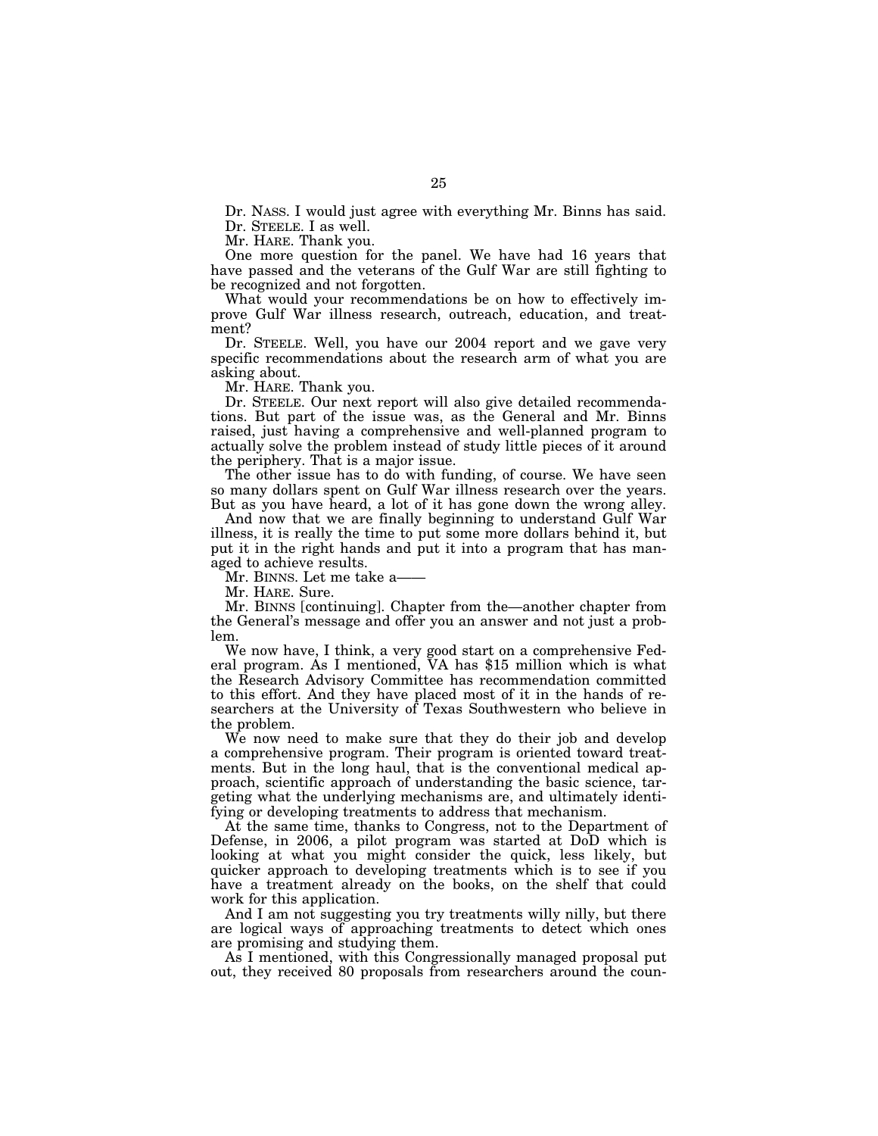Dr. NASS. I would just agree with everything Mr. Binns has said. Dr. STEELE. I as well.

Mr. HARE. Thank you.

One more question for the panel. We have had 16 years that have passed and the veterans of the Gulf War are still fighting to be recognized and not forgotten.

What would your recommendations be on how to effectively improve Gulf War illness research, outreach, education, and treatment?

Dr. STEELE. Well, you have our 2004 report and we gave very specific recommendations about the research arm of what you are asking about.

Mr. HARE. Thank you.

Dr. STEELE. Our next report will also give detailed recommendations. But part of the issue was, as the General and Mr. Binns raised, just having a comprehensive and well-planned program to actually solve the problem instead of study little pieces of it around the periphery. That is a major issue.

The other issue has to do with funding, of course. We have seen so many dollars spent on Gulf War illness research over the years. But as you have heard, a lot of it has gone down the wrong alley.

And now that we are finally beginning to understand Gulf War illness, it is really the time to put some more dollars behind it, but put it in the right hands and put it into a program that has managed to achieve results.

Mr. BINNS. Let me take a——

Mr. HARE. Sure.

Mr. BINNS [continuing]. Chapter from the—another chapter from the General's message and offer you an answer and not just a problem.

We now have, I think, a very good start on a comprehensive Federal program. As I mentioned, VA has \$15 million which is what the Research Advisory Committee has recommendation committed to this effort. And they have placed most of it in the hands of researchers at the University of Texas Southwestern who believe in the problem.

We now need to make sure that they do their job and develop a comprehensive program. Their program is oriented toward treatments. But in the long haul, that is the conventional medical approach, scientific approach of understanding the basic science, targeting what the underlying mechanisms are, and ultimately identifying or developing treatments to address that mechanism.

At the same time, thanks to Congress, not to the Department of Defense, in 2006, a pilot program was started at DoD which is looking at what you might consider the quick, less likely, but quicker approach to developing treatments which is to see if you have a treatment already on the books, on the shelf that could work for this application.

And I am not suggesting you try treatments willy nilly, but there are logical ways of approaching treatments to detect which ones are promising and studying them.

As I mentioned, with this Congressionally managed proposal put out, they received 80 proposals from researchers around the coun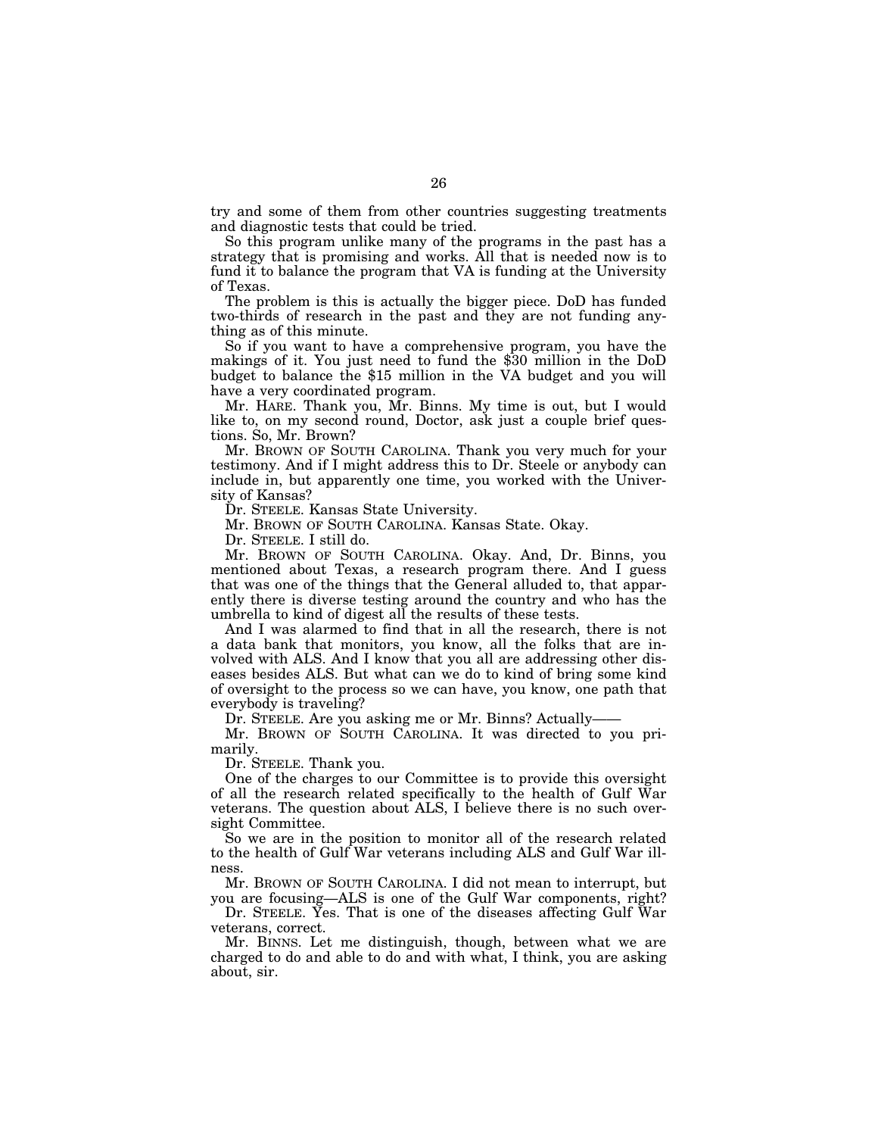try and some of them from other countries suggesting treatments and diagnostic tests that could be tried.

So this program unlike many of the programs in the past has a strategy that is promising and works. All that is needed now is to fund it to balance the program that VA is funding at the University of Texas.

The problem is this is actually the bigger piece. DoD has funded two-thirds of research in the past and they are not funding anything as of this minute.

So if you want to have a comprehensive program, you have the makings of it. You just need to fund the \$30 million in the DoD budget to balance the \$15 million in the VA budget and you will have a very coordinated program.

Mr. HARE. Thank you, Mr. Binns. My time is out, but I would like to, on my second round, Doctor, ask just a couple brief questions. So, Mr. Brown?

Mr. BROWN OF SOUTH CAROLINA. Thank you very much for your testimony. And if I might address this to Dr. Steele or anybody can include in, but apparently one time, you worked with the University of Kansas?

Dr. STEELE. Kansas State University.

Mr. BROWN OF SOUTH CAROLINA. Kansas State. Okay.

Dr. STEELE. I still do.

Mr. BROWN OF SOUTH CAROLINA. Okay. And, Dr. Binns, you mentioned about Texas, a research program there. And I guess that was one of the things that the General alluded to, that apparently there is diverse testing around the country and who has the umbrella to kind of digest all the results of these tests.

And I was alarmed to find that in all the research, there is not a data bank that monitors, you know, all the folks that are involved with ALS. And I know that you all are addressing other diseases besides ALS. But what can we do to kind of bring some kind of oversight to the process so we can have, you know, one path that everybody is traveling?

Dr. STEELE. Are you asking me or Mr. Binns? Actually-

Mr. BROWN OF SOUTH CAROLINA. It was directed to you primarily.

Dr. STEELE. Thank you.

One of the charges to our Committee is to provide this oversight of all the research related specifically to the health of Gulf War veterans. The question about ALS, I believe there is no such oversight Committee.

So we are in the position to monitor all of the research related to the health of Gulf War veterans including ALS and Gulf War illness.

Mr. BROWN OF SOUTH CAROLINA. I did not mean to interrupt, but you are focusing—ALS is one of the Gulf War components, right?

Dr. STEELE. Yes. That is one of the diseases affecting Gulf War veterans, correct.

Mr. BINNS. Let me distinguish, though, between what we are charged to do and able to do and with what, I think, you are asking about, sir.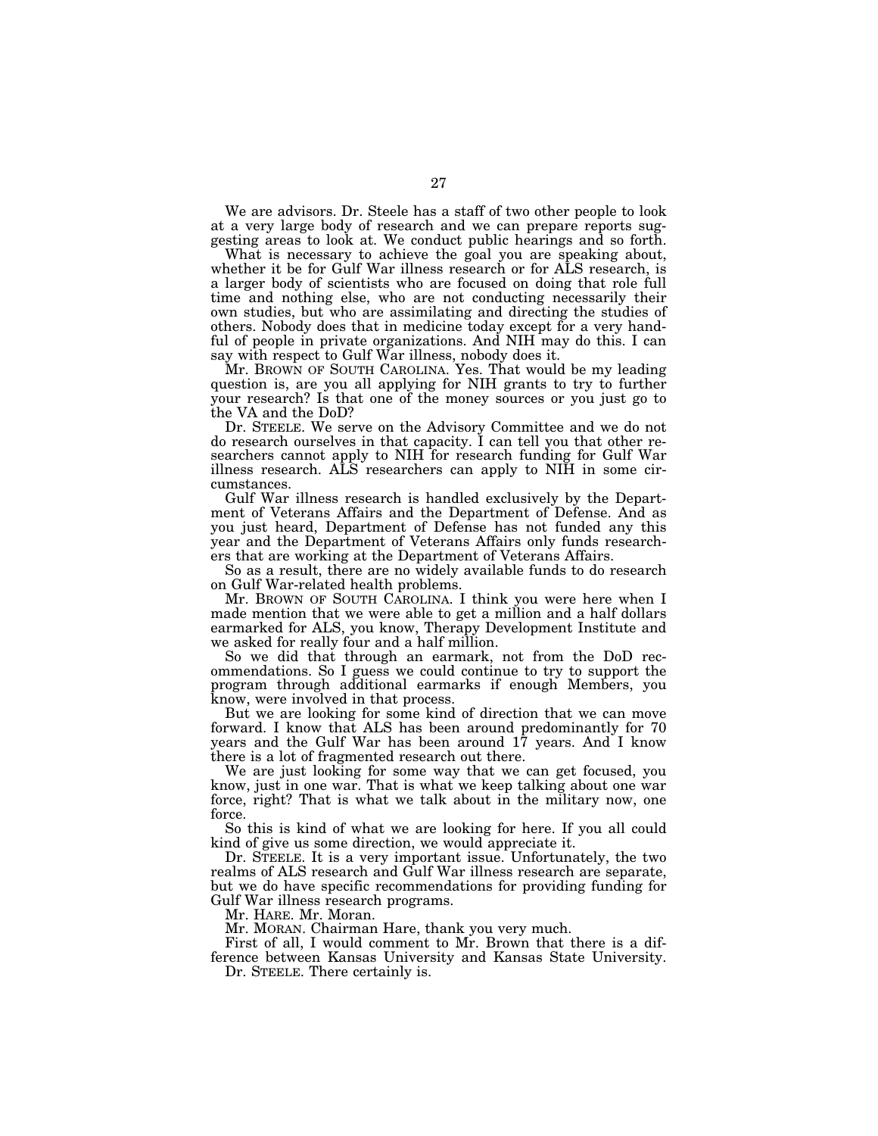We are advisors. Dr. Steele has a staff of two other people to look at a very large body of research and we can prepare reports suggesting areas to look at. We conduct public hearings and so forth.

What is necessary to achieve the goal you are speaking about, whether it be for Gulf War illness research or for ALS research, is a larger body of scientists who are focused on doing that role full time and nothing else, who are not conducting necessarily their own studies, but who are assimilating and directing the studies of others. Nobody does that in medicine today except for a very handful of people in private organizations. And NIH may do this. I can say with respect to Gulf War illness, nobody does it.

Mr. BROWN OF SOUTH CAROLINA. Yes. That would be my leading question is, are you all applying for NIH grants to try to further your research? Is that one of the money sources or you just go to the VA and the DoD?

Dr. STEELE. We serve on the Advisory Committee and we do not do research ourselves in that capacity. I can tell you that other researchers cannot apply to NIH for research funding for Gulf War illness research. ALS researchers can apply to NIH in some circumstances.

Gulf War illness research is handled exclusively by the Department of Veterans Affairs and the Department of Defense. And as you just heard, Department of Defense has not funded any this year and the Department of Veterans Affairs only funds researchers that are working at the Department of Veterans Affairs.

So as a result, there are no widely available funds to do research on Gulf War-related health problems.

Mr. BROWN OF SOUTH CAROLINA. I think you were here when I made mention that we were able to get a million and a half dollars earmarked for ALS, you know, Therapy Development Institute and we asked for really four and a half million.

So we did that through an earmark, not from the DoD recommendations. So I guess we could continue to try to support the program through additional earmarks if enough Members, you know, were involved in that process.

But we are looking for some kind of direction that we can move forward. I know that ALS has been around predominantly for 70 years and the Gulf War has been around 17 years. And I know there is a lot of fragmented research out there.

We are just looking for some way that we can get focused, you know, just in one war. That is what we keep talking about one war force, right? That is what we talk about in the military now, one force.

So this is kind of what we are looking for here. If you all could kind of give us some direction, we would appreciate it.

Dr. STEELE. It is a very important issue. Unfortunately, the two realms of ALS research and Gulf War illness research are separate, but we do have specific recommendations for providing funding for Gulf War illness research programs.

Mr. HARE. Mr. Moran.

Mr. MORAN. Chairman Hare, thank you very much.

First of all, I would comment to Mr. Brown that there is a difference between Kansas University and Kansas State University.

Dr. STEELE. There certainly is.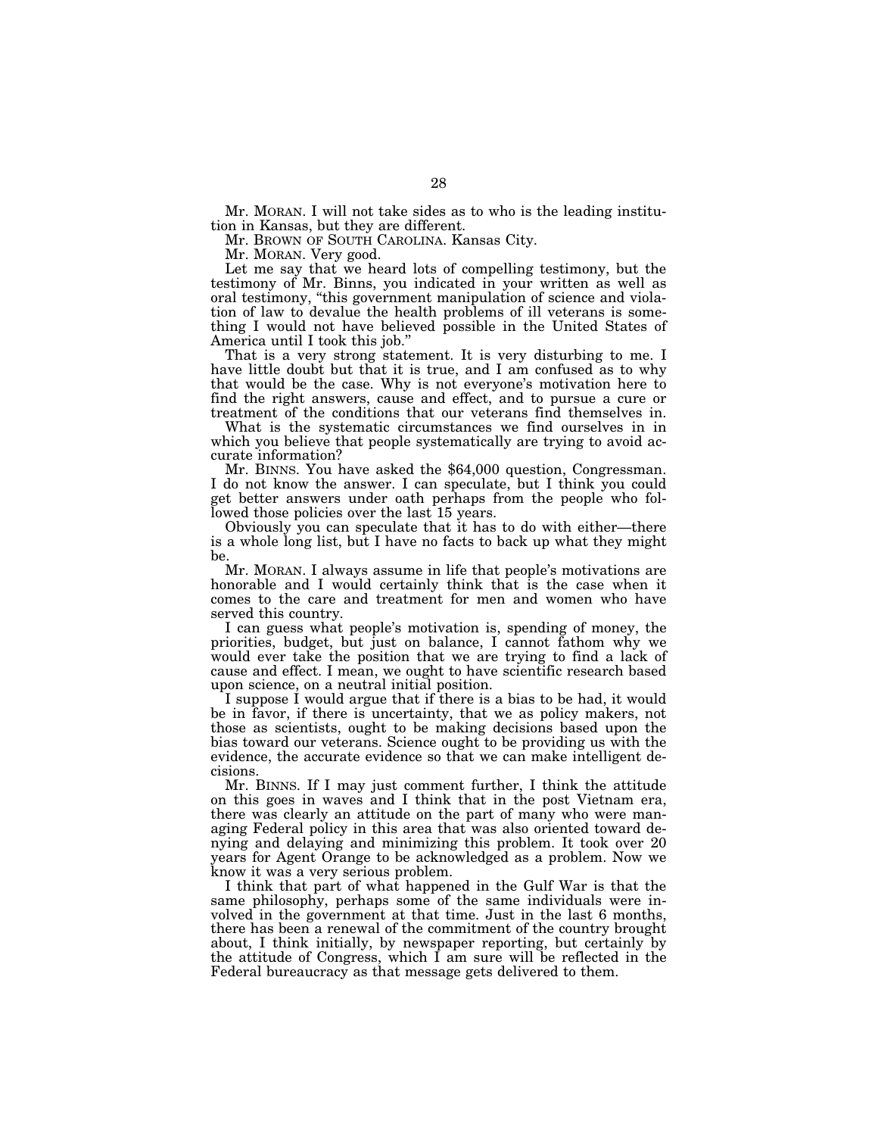Mr. MORAN. I will not take sides as to who is the leading institution in Kansas, but they are different.

Mr. BROWN OF SOUTH CAROLINA. Kansas City.

Mr. MORAN. Very good.

Let me say that we heard lots of compelling testimony, but the testimony of Mr. Binns, you indicated in your written as well as oral testimony, ''this government manipulation of science and violation of law to devalue the health problems of ill veterans is something I would not have believed possible in the United States of America until I took this job.''

That is a very strong statement. It is very disturbing to me. I have little doubt but that it is true, and I am confused as to why that would be the case. Why is not everyone's motivation here to find the right answers, cause and effect, and to pursue a cure or treatment of the conditions that our veterans find themselves in.

What is the systematic circumstances we find ourselves in in which you believe that people systematically are trying to avoid accurate information?

Mr. BINNS. You have asked the \$64,000 question, Congressman. I do not know the answer. I can speculate, but I think you could get better answers under oath perhaps from the people who followed those policies over the last 15 years.

Obviously you can speculate that it has to do with either—there is a whole long list, but I have no facts to back up what they might be.

Mr. MORAN. I always assume in life that people's motivations are honorable and I would certainly think that is the case when it comes to the care and treatment for men and women who have served this country.

I can guess what people's motivation is, spending of money, the priorities, budget, but just on balance, I cannot fathom why we would ever take the position that we are trying to find a lack of cause and effect. I mean, we ought to have scientific research based upon science, on a neutral initial position.

I suppose I would argue that if there is a bias to be had, it would be in favor, if there is uncertainty, that we as policy makers, not those as scientists, ought to be making decisions based upon the bias toward our veterans. Science ought to be providing us with the evidence, the accurate evidence so that we can make intelligent decisions.

Mr. BINNS. If I may just comment further, I think the attitude on this goes in waves and I think that in the post Vietnam era, there was clearly an attitude on the part of many who were managing Federal policy in this area that was also oriented toward denying and delaying and minimizing this problem. It took over 20 years for Agent Orange to be acknowledged as a problem. Now we know it was a very serious problem.

I think that part of what happened in the Gulf War is that the same philosophy, perhaps some of the same individuals were involved in the government at that time. Just in the last 6 months, there has been a renewal of the commitment of the country brought about, I think initially, by newspaper reporting, but certainly by the attitude of Congress, which I am sure will be reflected in the Federal bureaucracy as that message gets delivered to them.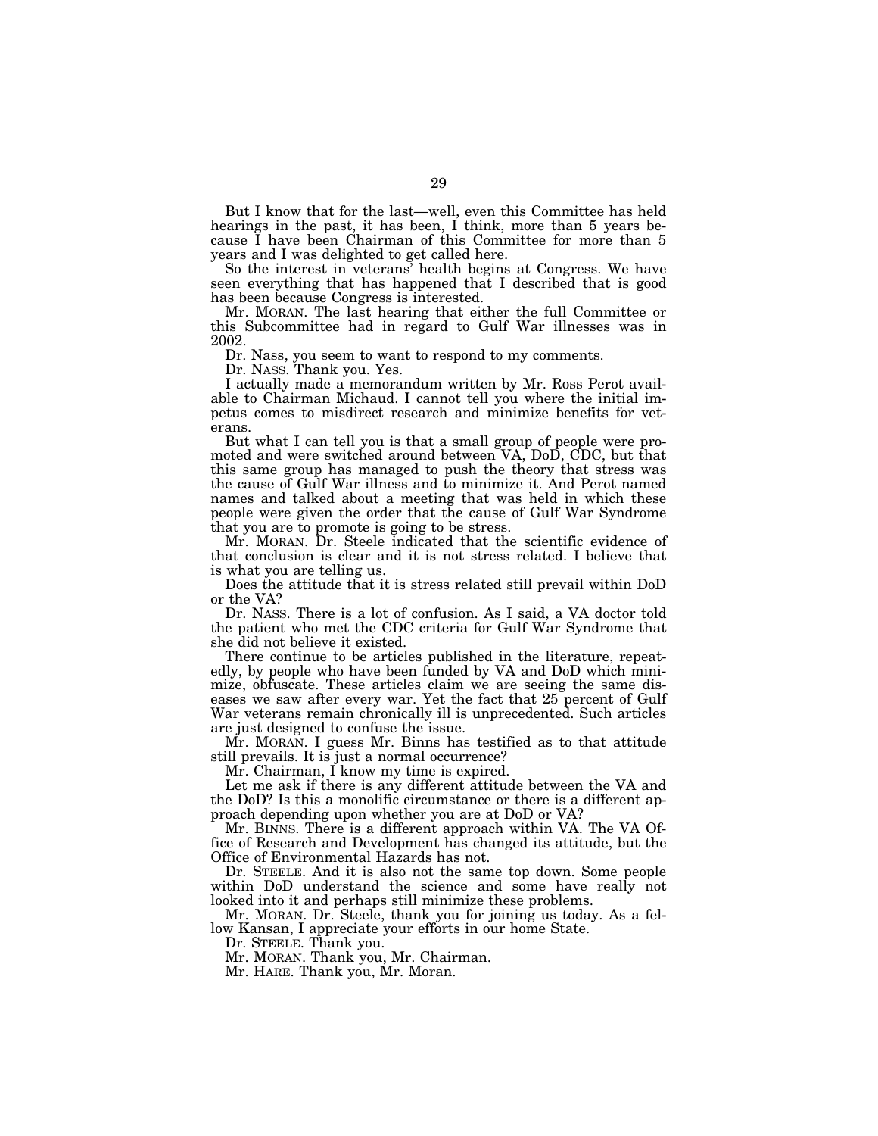But I know that for the last—well, even this Committee has held hearings in the past, it has been, I think, more than 5 years because I have been Chairman of this Committee for more than 5 years and I was delighted to get called here.

So the interest in veterans' health begins at Congress. We have seen everything that has happened that I described that is good has been because Congress is interested.

Mr. MORAN. The last hearing that either the full Committee or this Subcommittee had in regard to Gulf War illnesses was in 2002.

Dr. Nass, you seem to want to respond to my comments.

Dr. NASS. Thank you. Yes.

I actually made a memorandum written by Mr. Ross Perot available to Chairman Michaud. I cannot tell you where the initial impetus comes to misdirect research and minimize benefits for veterans.

But what I can tell you is that a small group of people were promoted and were switched around between VA, DoD, CDC, but that this same group has managed to push the theory that stress was the cause of Gulf War illness and to minimize it. And Perot named names and talked about a meeting that was held in which these people were given the order that the cause of Gulf War Syndrome that you are to promote is going to be stress.

Mr. MORAN. Dr. Steele indicated that the scientific evidence of that conclusion is clear and it is not stress related. I believe that is what you are telling us.

Does the attitude that it is stress related still prevail within DoD or the VA?

Dr. NASS. There is a lot of confusion. As I said, a VA doctor told the patient who met the CDC criteria for Gulf War Syndrome that she did not believe it existed.

There continue to be articles published in the literature, repeatedly, by people who have been funded by VA and DoD which minimize, obfuscate. These articles claim we are seeing the same diseases we saw after every war. Yet the fact that 25 percent of Gulf War veterans remain chronically ill is unprecedented. Such articles are just designed to confuse the issue.

Mr. MORAN. I guess Mr. Binns has testified as to that attitude still prevails. It is just a normal occurrence?

Mr. Chairman, I know my time is expired.

Let me ask if there is any different attitude between the VA and the DoD? Is this a monolific circumstance or there is a different approach depending upon whether you are at DoD or VA?

Mr. BINNS. There is a different approach within VA. The VA Office of Research and Development has changed its attitude, but the Office of Environmental Hazards has not.

Dr. STEELE. And it is also not the same top down. Some people within DoD understand the science and some have really not looked into it and perhaps still minimize these problems.

Mr. MORAN. Dr. Steele, thank you for joining us today. As a fellow Kansan, I appreciate your efforts in our home State.

Dr. STEELE. Thank you.

Mr. MORAN. Thank you, Mr. Chairman.

Mr. HARE. Thank you, Mr. Moran.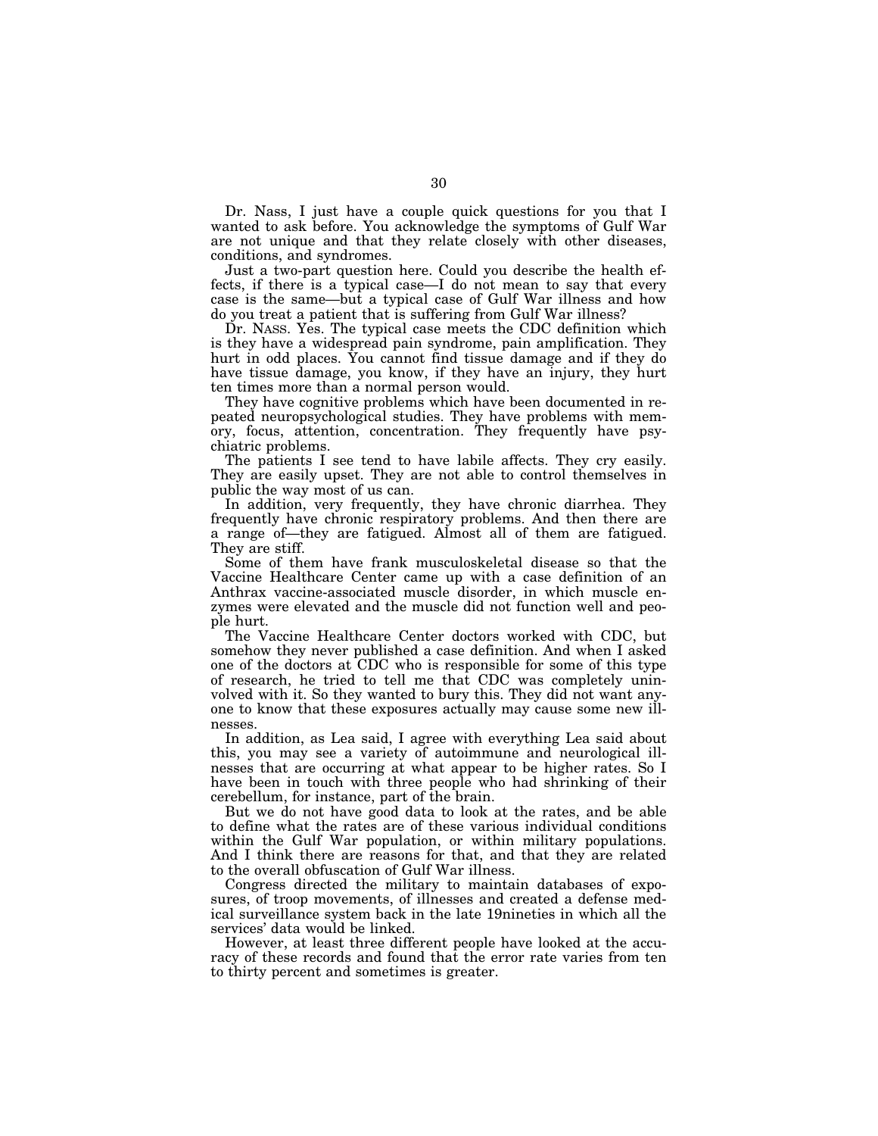Dr. Nass, I just have a couple quick questions for you that I wanted to ask before. You acknowledge the symptoms of Gulf War are not unique and that they relate closely with other diseases, conditions, and syndromes.

Just a two-part question here. Could you describe the health effects, if there is a typical case—I do not mean to say that every case is the same—but a typical case of Gulf War illness and how do you treat a patient that is suffering from Gulf War illness?

Dr. NASS. Yes. The typical case meets the CDC definition which is they have a widespread pain syndrome, pain amplification. They hurt in odd places. You cannot find tissue damage and if they do have tissue damage, you know, if they have an injury, they hurt ten times more than a normal person would.

They have cognitive problems which have been documented in repeated neuropsychological studies. They have problems with memory, focus, attention, concentration. They frequently have psychiatric problems.

The patients I see tend to have labile affects. They cry easily. They are easily upset. They are not able to control themselves in public the way most of us can.

In addition, very frequently, they have chronic diarrhea. They frequently have chronic respiratory problems. And then there are a range of—they are fatigued. Almost all of them are fatigued. They are stiff.

Some of them have frank musculoskeletal disease so that the Vaccine Healthcare Center came up with a case definition of an Anthrax vaccine-associated muscle disorder, in which muscle enzymes were elevated and the muscle did not function well and people hurt.

The Vaccine Healthcare Center doctors worked with CDC, but somehow they never published a case definition. And when I asked one of the doctors at CDC who is responsible for some of this type of research, he tried to tell me that CDC was completely uninvolved with it. So they wanted to bury this. They did not want anyone to know that these exposures actually may cause some new illnesses.

In addition, as Lea said, I agree with everything Lea said about this, you may see a variety of autoimmune and neurological illnesses that are occurring at what appear to be higher rates. So I have been in touch with three people who had shrinking of their cerebellum, for instance, part of the brain.

But we do not have good data to look at the rates, and be able to define what the rates are of these various individual conditions within the Gulf War population, or within military populations. And I think there are reasons for that, and that they are related to the overall obfuscation of Gulf War illness.

Congress directed the military to maintain databases of exposures, of troop movements, of illnesses and created a defense medical surveillance system back in the late 19nineties in which all the services' data would be linked.

However, at least three different people have looked at the accuracy of these records and found that the error rate varies from ten to thirty percent and sometimes is greater.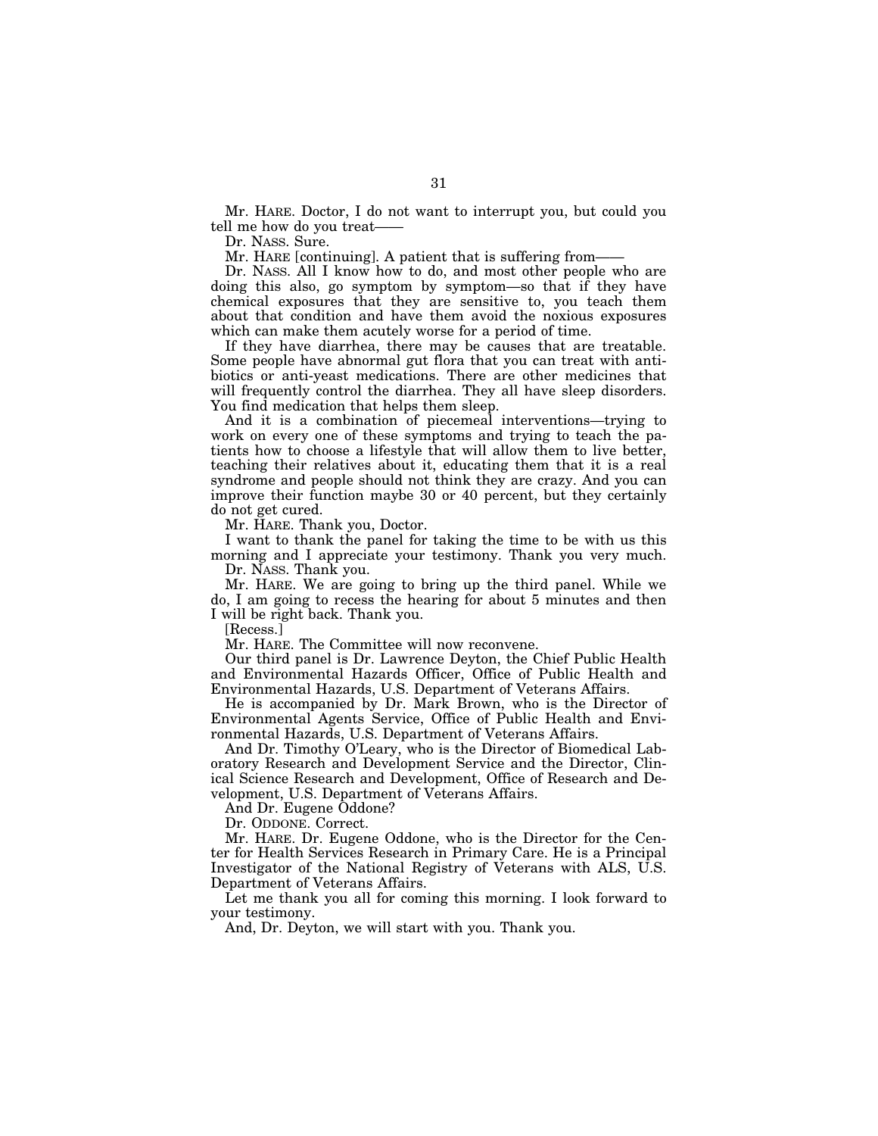Mr. HARE. Doctor, I do not want to interrupt you, but could you tell me how do you treat-

Dr. NASS. Sure.

Mr. HARE [continuing]. A patient that is suffering from-

Dr. NASS. All I know how to do, and most other people who are doing this also, go symptom by symptom—so that if they have chemical exposures that they are sensitive to, you teach them about that condition and have them avoid the noxious exposures which can make them acutely worse for a period of time.

If they have diarrhea, there may be causes that are treatable. Some people have abnormal gut flora that you can treat with antibiotics or anti-yeast medications. There are other medicines that will frequently control the diarrhea. They all have sleep disorders. You find medication that helps them sleep.

And it is a combination of piecemeal interventions—trying to work on every one of these symptoms and trying to teach the patients how to choose a lifestyle that will allow them to live better, teaching their relatives about it, educating them that it is a real syndrome and people should not think they are crazy. And you can improve their function maybe 30 or 40 percent, but they certainly do not get cured.

Mr. HARE. Thank you, Doctor.

I want to thank the panel for taking the time to be with us this morning and I appreciate your testimony. Thank you very much.

Dr. NASS. Thank you.

Mr. HARE. We are going to bring up the third panel. While we do, I am going to recess the hearing for about 5 minutes and then I will be right back. Thank you.

[Recess.]

Mr. HARE. The Committee will now reconvene.

Our third panel is Dr. Lawrence Deyton, the Chief Public Health and Environmental Hazards Officer, Office of Public Health and Environmental Hazards, U.S. Department of Veterans Affairs.

He is accompanied by Dr. Mark Brown, who is the Director of Environmental Agents Service, Office of Public Health and Environmental Hazards, U.S. Department of Veterans Affairs.

And Dr. Timothy O'Leary, who is the Director of Biomedical Laboratory Research and Development Service and the Director, Clinical Science Research and Development, Office of Research and Development, U.S. Department of Veterans Affairs.

And Dr. Eugene Oddone?

Dr. ODDONE. Correct.

Mr. HARE. Dr. Eugene Oddone, who is the Director for the Center for Health Services Research in Primary Care. He is a Principal Investigator of the National Registry of Veterans with ALS, U.S. Department of Veterans Affairs.

Let me thank you all for coming this morning. I look forward to your testimony.

And, Dr. Deyton, we will start with you. Thank you.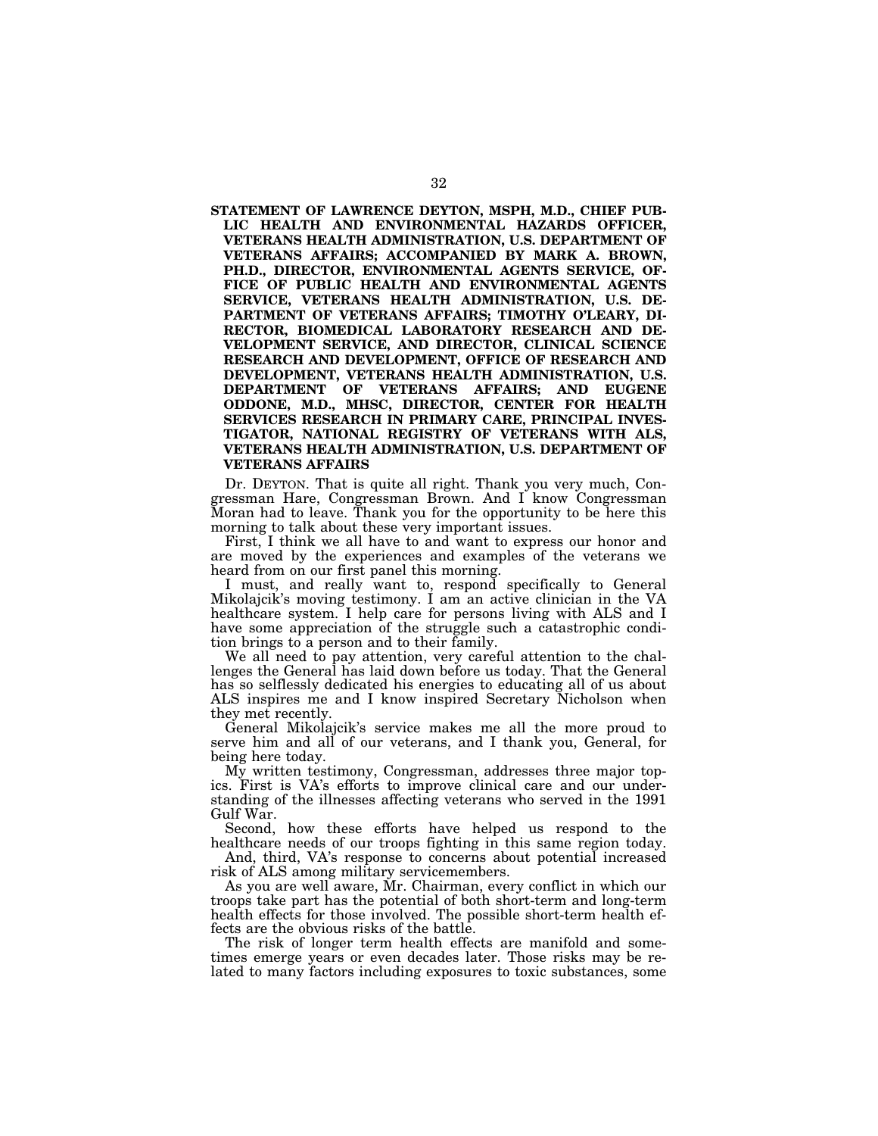**STATEMENT OF LAWRENCE DEYTON, MSPH, M.D., CHIEF PUB-LIC HEALTH AND ENVIRONMENTAL HAZARDS OFFICER, VETERANS HEALTH ADMINISTRATION, U.S. DEPARTMENT OF VETERANS AFFAIRS; ACCOMPANIED BY MARK A. BROWN, PH.D., DIRECTOR, ENVIRONMENTAL AGENTS SERVICE, OF-FICE OF PUBLIC HEALTH AND ENVIRONMENTAL AGENTS SERVICE, VETERANS HEALTH ADMINISTRATION, U.S. DE-PARTMENT OF VETERANS AFFAIRS; TIMOTHY O'LEARY, DI-RECTOR, BIOMEDICAL LABORATORY RESEARCH AND DE-VELOPMENT SERVICE, AND DIRECTOR, CLINICAL SCIENCE RESEARCH AND DEVELOPMENT, OFFICE OF RESEARCH AND DEVELOPMENT, VETERANS HEALTH ADMINISTRATION, U.S. DEPARTMENT OF VETERANS AFFAIRS; AND EUGENE ODDONE, M.D., MHSC, DIRECTOR, CENTER FOR HEALTH SERVICES RESEARCH IN PRIMARY CARE, PRINCIPAL INVES-TIGATOR, NATIONAL REGISTRY OF VETERANS WITH ALS, VETERANS HEALTH ADMINISTRATION, U.S. DEPARTMENT OF VETERANS AFFAIRS** 

Dr. DEYTON. That is quite all right. Thank you very much, Congressman Hare, Congressman Brown. And I know Congressman Moran had to leave. Thank you for the opportunity to be here this morning to talk about these very important issues.

First, I think we all have to and want to express our honor and are moved by the experiences and examples of the veterans we heard from on our first panel this morning.

I must, and really want to, respond specifically to General Mikolajcik's moving testimony. I am an active clinician in the VA healthcare system. I help care for persons living with ALS and I have some appreciation of the struggle such a catastrophic condition brings to a person and to their family.

We all need to pay attention, very careful attention to the challenges the General has laid down before us today. That the General has so selflessly dedicated his energies to educating all of us about ALS inspires me and I know inspired Secretary Nicholson when they met recently.

General Mikolajcik's service makes me all the more proud to serve him and all of our veterans, and I thank you, General, for being here today.

My written testimony, Congressman, addresses three major topics. First is VA's efforts to improve clinical care and our understanding of the illnesses affecting veterans who served in the 1991 Gulf War.

Second, how these efforts have helped us respond to the healthcare needs of our troops fighting in this same region today.

And, third, VA's response to concerns about potential increased risk of ALS among military servicemembers.

As you are well aware, Mr. Chairman, every conflict in which our troops take part has the potential of both short-term and long-term health effects for those involved. The possible short-term health effects are the obvious risks of the battle.

The risk of longer term health effects are manifold and sometimes emerge years or even decades later. Those risks may be related to many factors including exposures to toxic substances, some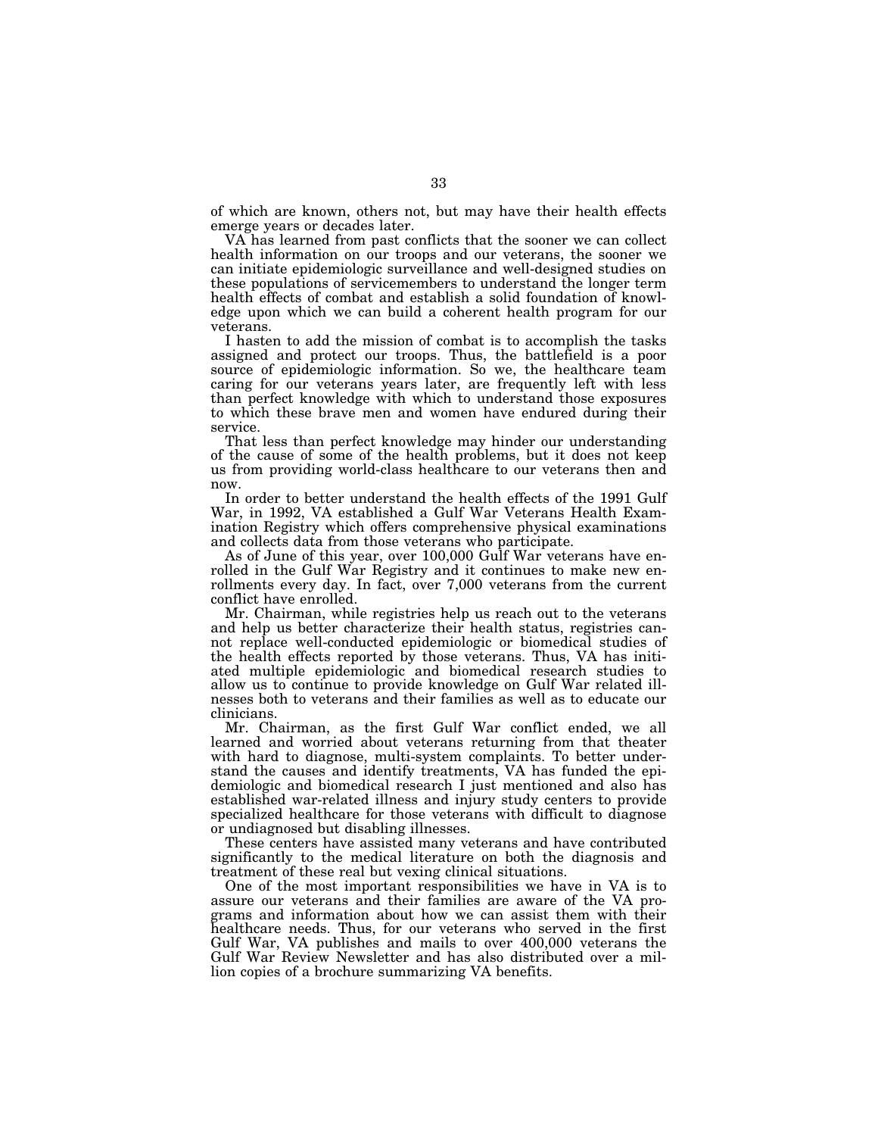of which are known, others not, but may have their health effects emerge years or decades later.

VA has learned from past conflicts that the sooner we can collect health information on our troops and our veterans, the sooner we can initiate epidemiologic surveillance and well-designed studies on these populations of servicemembers to understand the longer term health effects of combat and establish a solid foundation of knowledge upon which we can build a coherent health program for our veterans.

I hasten to add the mission of combat is to accomplish the tasks assigned and protect our troops. Thus, the battlefield is a poor source of epidemiologic information. So we, the healthcare team caring for our veterans years later, are frequently left with less than perfect knowledge with which to understand those exposures to which these brave men and women have endured during their service.

That less than perfect knowledge may hinder our understanding of the cause of some of the health problems, but it does not keep us from providing world-class healthcare to our veterans then and now.

In order to better understand the health effects of the 1991 Gulf War, in 1992, VA established a Gulf War Veterans Health Examination Registry which offers comprehensive physical examinations and collects data from those veterans who participate.

As of June of this year, over 100,000 Gulf War veterans have enrolled in the Gulf War Registry and it continues to make new enrollments every day. In fact, over 7,000 veterans from the current conflict have enrolled.

Mr. Chairman, while registries help us reach out to the veterans and help us better characterize their health status, registries cannot replace well-conducted epidemiologic or biomedical studies of the health effects reported by those veterans. Thus, VA has initiated multiple epidemiologic and biomedical research studies to allow us to continue to provide knowledge on Gulf War related illnesses both to veterans and their families as well as to educate our clinicians.

Mr. Chairman, as the first Gulf War conflict ended, we all learned and worried about veterans returning from that theater with hard to diagnose, multi-system complaints. To better understand the causes and identify treatments, VA has funded the epidemiologic and biomedical research I just mentioned and also has established war-related illness and injury study centers to provide specialized healthcare for those veterans with difficult to diagnose or undiagnosed but disabling illnesses.

These centers have assisted many veterans and have contributed significantly to the medical literature on both the diagnosis and treatment of these real but vexing clinical situations.

One of the most important responsibilities we have in VA is to assure our veterans and their families are aware of the VA programs and information about how we can assist them with their healthcare needs. Thus, for our veterans who served in the first Gulf War, VA publishes and mails to over 400,000 veterans the Gulf War Review Newsletter and has also distributed over a million copies of a brochure summarizing VA benefits.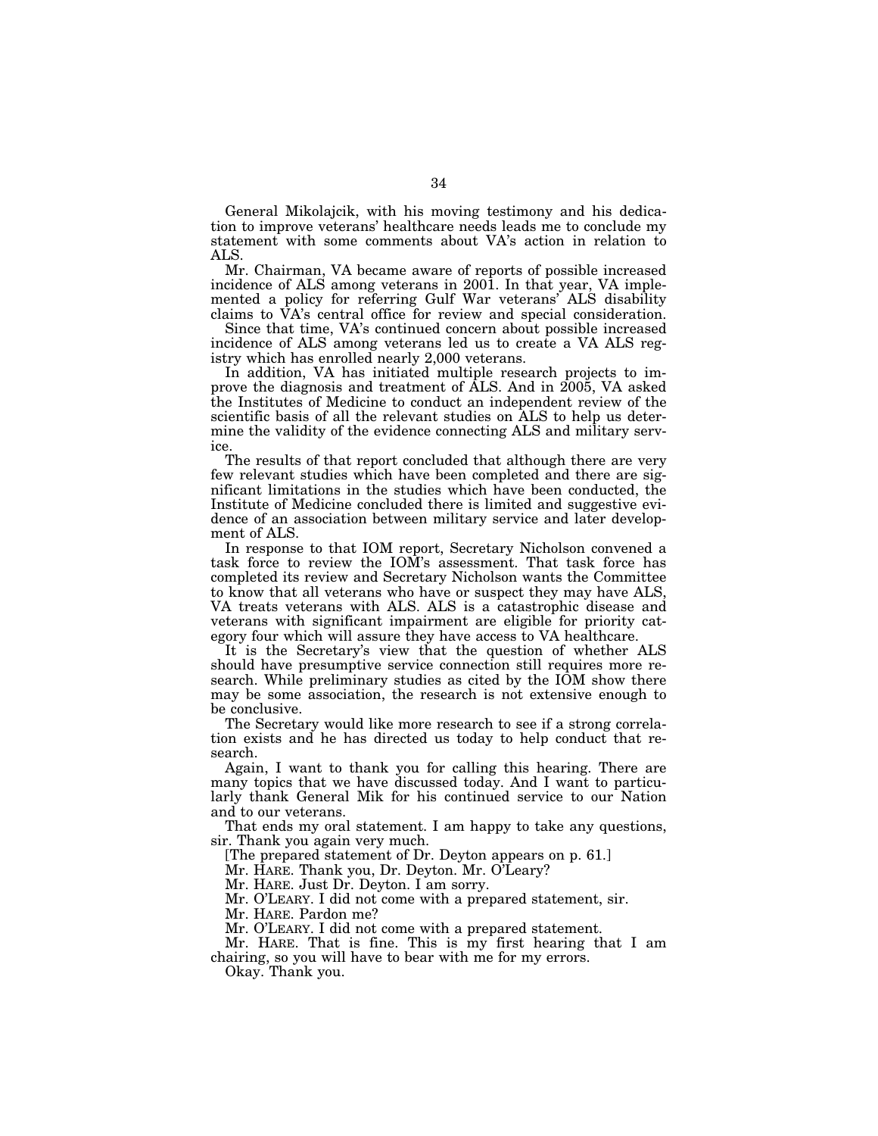General Mikolajcik, with his moving testimony and his dedication to improve veterans' healthcare needs leads me to conclude my statement with some comments about VA's action in relation to ALS.

Mr. Chairman, VA became aware of reports of possible increased incidence of ALS among veterans in 2001. In that year, VA implemented a policy for referring Gulf War veterans' ALS disability claims to VA's central office for review and special consideration.

Since that time, VA's continued concern about possible increased incidence of ALS among veterans led us to create a VA ALS registry which has enrolled nearly 2,000 veterans.

In addition, VA has initiated multiple research projects to improve the diagnosis and treatment of ALS. And in 2005, VA asked the Institutes of Medicine to conduct an independent review of the scientific basis of all the relevant studies on ALS to help us determine the validity of the evidence connecting ALS and military service.

The results of that report concluded that although there are very few relevant studies which have been completed and there are significant limitations in the studies which have been conducted, the Institute of Medicine concluded there is limited and suggestive evidence of an association between military service and later development of ALS.

In response to that IOM report, Secretary Nicholson convened a task force to review the IOM's assessment. That task force has completed its review and Secretary Nicholson wants the Committee to know that all veterans who have or suspect they may have ALS, VA treats veterans with ALS. ALS is a catastrophic disease and veterans with significant impairment are eligible for priority category four which will assure they have access to VA healthcare.

It is the Secretary's view that the question of whether ALS should have presumptive service connection still requires more research. While preliminary studies as cited by the IOM show there may be some association, the research is not extensive enough to be conclusive.

The Secretary would like more research to see if a strong correlation exists and he has directed us today to help conduct that research.

Again, I want to thank you for calling this hearing. There are many topics that we have discussed today. And I want to particularly thank General Mik for his continued service to our Nation and to our veterans.

That ends my oral statement. I am happy to take any questions, sir. Thank you again very much.

[The prepared statement of Dr. Deyton appears on p. 61.]

Mr. HARE. Thank you, Dr. Deyton. Mr. O'Leary?

Mr. HARE. Just Dr. Deyton. I am sorry.

Mr. O'LEARY. I did not come with a prepared statement, sir.

Mr. HARE. Pardon me?

Mr. O'LEARY. I did not come with a prepared statement.

Mr. HARE. That is fine. This is my first hearing that I am chairing, so you will have to bear with me for my errors.

Okay. Thank you.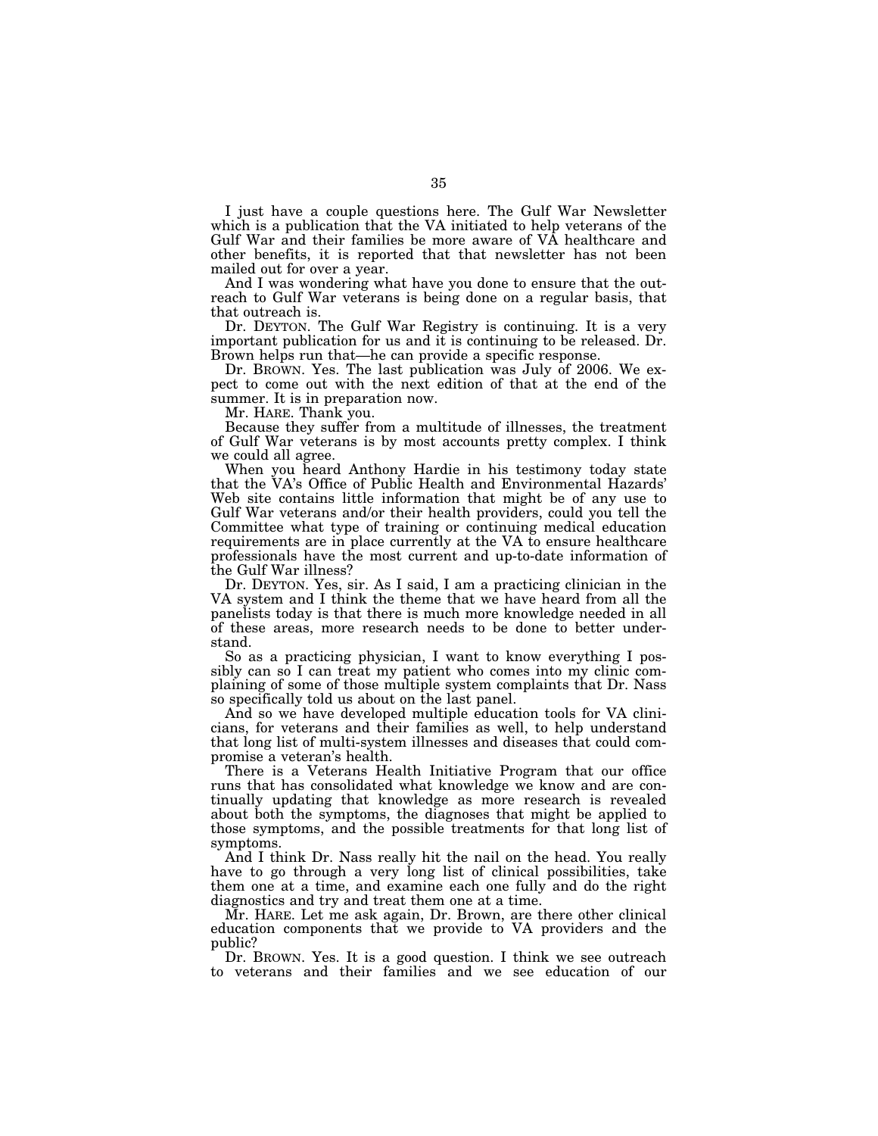I just have a couple questions here. The Gulf War Newsletter which is a publication that the VA initiated to help veterans of the Gulf War and their families be more aware of VA healthcare and other benefits, it is reported that that newsletter has not been mailed out for over a year.

And I was wondering what have you done to ensure that the outreach to Gulf War veterans is being done on a regular basis, that that outreach is.

Dr. DEYTON. The Gulf War Registry is continuing. It is a very important publication for us and it is continuing to be released. Dr. Brown helps run that—he can provide a specific response.

Dr. BROWN. Yes. The last publication was July of 2006. We expect to come out with the next edition of that at the end of the summer. It is in preparation now.

Mr. HARE. Thank you.

Because they suffer from a multitude of illnesses, the treatment of Gulf War veterans is by most accounts pretty complex. I think we could all agree.

When you heard Anthony Hardie in his testimony today state that the VA's Office of Public Health and Environmental Hazards' Web site contains little information that might be of any use to Gulf War veterans and/or their health providers, could you tell the Committee what type of training or continuing medical education requirements are in place currently at the VA to ensure healthcare professionals have the most current and up-to-date information of the Gulf War illness?

Dr. DEYTON. Yes, sir. As I said, I am a practicing clinician in the VA system and I think the theme that we have heard from all the panelists today is that there is much more knowledge needed in all of these areas, more research needs to be done to better understand.

So as a practicing physician, I want to know everything I possibly can so I can treat my patient who comes into my clinic complaining of some of those multiple system complaints that Dr. Nass so specifically told us about on the last panel.

And so we have developed multiple education tools for VA clinicians, for veterans and their families as well, to help understand that long list of multi-system illnesses and diseases that could compromise a veteran's health.

There is a Veterans Health Initiative Program that our office runs that has consolidated what knowledge we know and are continually updating that knowledge as more research is revealed about both the symptoms, the diagnoses that might be applied to those symptoms, and the possible treatments for that long list of symptoms.

And I think Dr. Nass really hit the nail on the head. You really have to go through a very long list of clinical possibilities, take them one at a time, and examine each one fully and do the right diagnostics and try and treat them one at a time.

Mr. HARE. Let me ask again, Dr. Brown, are there other clinical education components that we provide to VA providers and the public?

Dr. BROWN. Yes. It is a good question. I think we see outreach to veterans and their families and we see education of our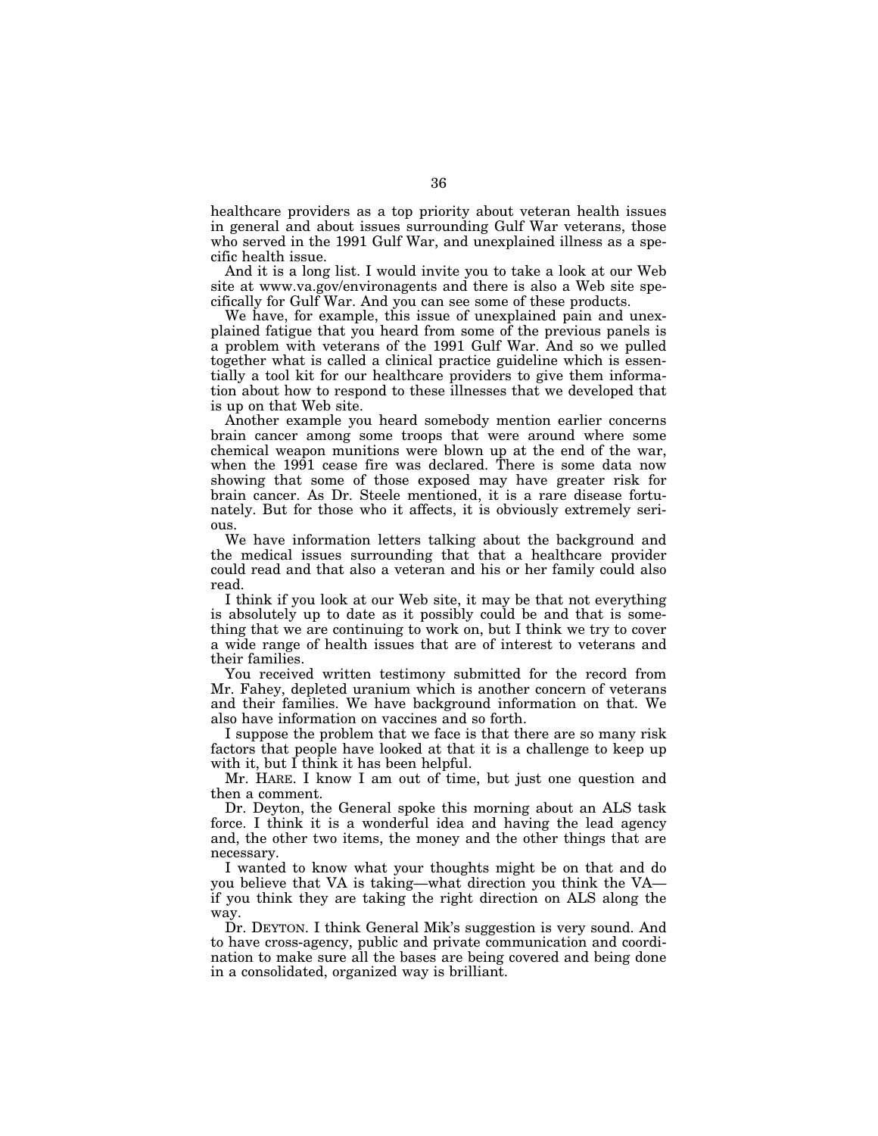healthcare providers as a top priority about veteran health issues in general and about issues surrounding Gulf War veterans, those who served in the 1991 Gulf War, and unexplained illness as a specific health issue.

And it is a long list. I would invite you to take a look at our Web site at www.va.gov/environagents and there is also a Web site specifically for Gulf War. And you can see some of these products.

We have, for example, this issue of unexplained pain and unexplained fatigue that you heard from some of the previous panels is a problem with veterans of the 1991 Gulf War. And so we pulled together what is called a clinical practice guideline which is essentially a tool kit for our healthcare providers to give them information about how to respond to these illnesses that we developed that is up on that Web site.

Another example you heard somebody mention earlier concerns brain cancer among some troops that were around where some chemical weapon munitions were blown up at the end of the war, when the 1991 cease fire was declared. There is some data now showing that some of those exposed may have greater risk for brain cancer. As Dr. Steele mentioned, it is a rare disease fortunately. But for those who it affects, it is obviously extremely serious.

We have information letters talking about the background and the medical issues surrounding that that a healthcare provider could read and that also a veteran and his or her family could also read.

I think if you look at our Web site, it may be that not everything is absolutely up to date as it possibly could be and that is something that we are continuing to work on, but I think we try to cover a wide range of health issues that are of interest to veterans and their families.

You received written testimony submitted for the record from Mr. Fahey, depleted uranium which is another concern of veterans and their families. We have background information on that. We also have information on vaccines and so forth.

I suppose the problem that we face is that there are so many risk factors that people have looked at that it is a challenge to keep up with it, but I think it has been helpful.

Mr. HARE. I know I am out of time, but just one question and then a comment.

Dr. Deyton, the General spoke this morning about an ALS task force. I think it is a wonderful idea and having the lead agency and, the other two items, the money and the other things that are necessary.

I wanted to know what your thoughts might be on that and do you believe that VA is taking—what direction you think the VA if you think they are taking the right direction on ALS along the way.

Dr. DEYTON. I think General Mik's suggestion is very sound. And to have cross-agency, public and private communication and coordination to make sure all the bases are being covered and being done in a consolidated, organized way is brilliant.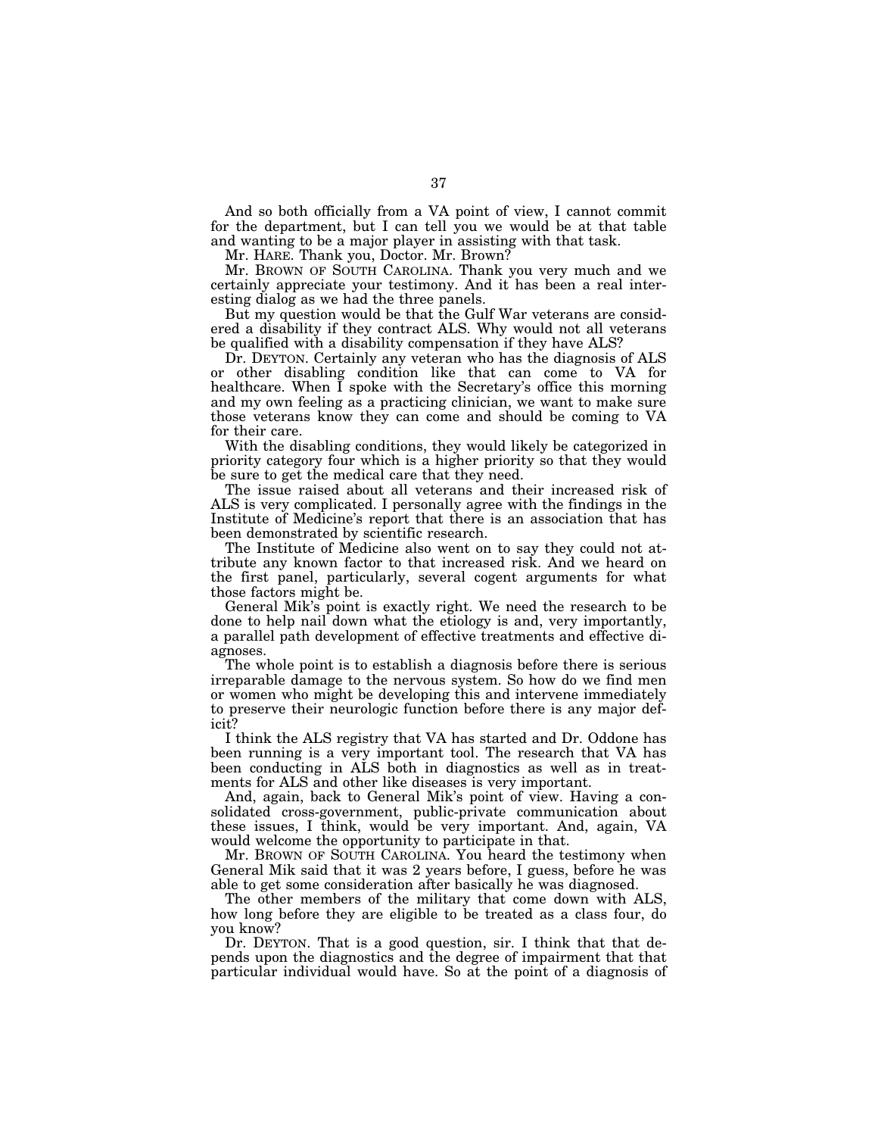And so both officially from a VA point of view, I cannot commit for the department, but I can tell you we would be at that table and wanting to be a major player in assisting with that task.

Mr. HARE. Thank you, Doctor. Mr. Brown?

Mr. BROWN OF SOUTH CAROLINA. Thank you very much and we certainly appreciate your testimony. And it has been a real interesting dialog as we had the three panels.

But my question would be that the Gulf War veterans are considered a disability if they contract ALS. Why would not all veterans be qualified with a disability compensation if they have ALS?

Dr. DEYTON. Certainly any veteran who has the diagnosis of ALS or other disabling condition like that can come to VA for healthcare. When  $\overline{I}$  spoke with the Secretary's office this morning and my own feeling as a practicing clinician, we want to make sure those veterans know they can come and should be coming to VA for their care.

With the disabling conditions, they would likely be categorized in priority category four which is a higher priority so that they would be sure to get the medical care that they need.

The issue raised about all veterans and their increased risk of ALS is very complicated. I personally agree with the findings in the Institute of Medicine's report that there is an association that has been demonstrated by scientific research.

The Institute of Medicine also went on to say they could not attribute any known factor to that increased risk. And we heard on the first panel, particularly, several cogent arguments for what those factors might be.

General Mik's point is exactly right. We need the research to be done to help nail down what the etiology is and, very importantly, a parallel path development of effective treatments and effective diagnoses.

The whole point is to establish a diagnosis before there is serious irreparable damage to the nervous system. So how do we find men or women who might be developing this and intervene immediately to preserve their neurologic function before there is any major deficit?

I think the ALS registry that VA has started and Dr. Oddone has been running is a very important tool. The research that VA has been conducting in ALS both in diagnostics as well as in treatments for ALS and other like diseases is very important.

And, again, back to General Mik's point of view. Having a consolidated cross-government, public-private communication about these issues, I think, would be very important. And, again, VA would welcome the opportunity to participate in that.

Mr. BROWN OF SOUTH CAROLINA. You heard the testimony when General Mik said that it was 2 years before, I guess, before he was able to get some consideration after basically he was diagnosed.

The other members of the military that come down with ALS, how long before they are eligible to be treated as a class four, do you know?

Dr. DEYTON. That is a good question, sir. I think that that depends upon the diagnostics and the degree of impairment that that particular individual would have. So at the point of a diagnosis of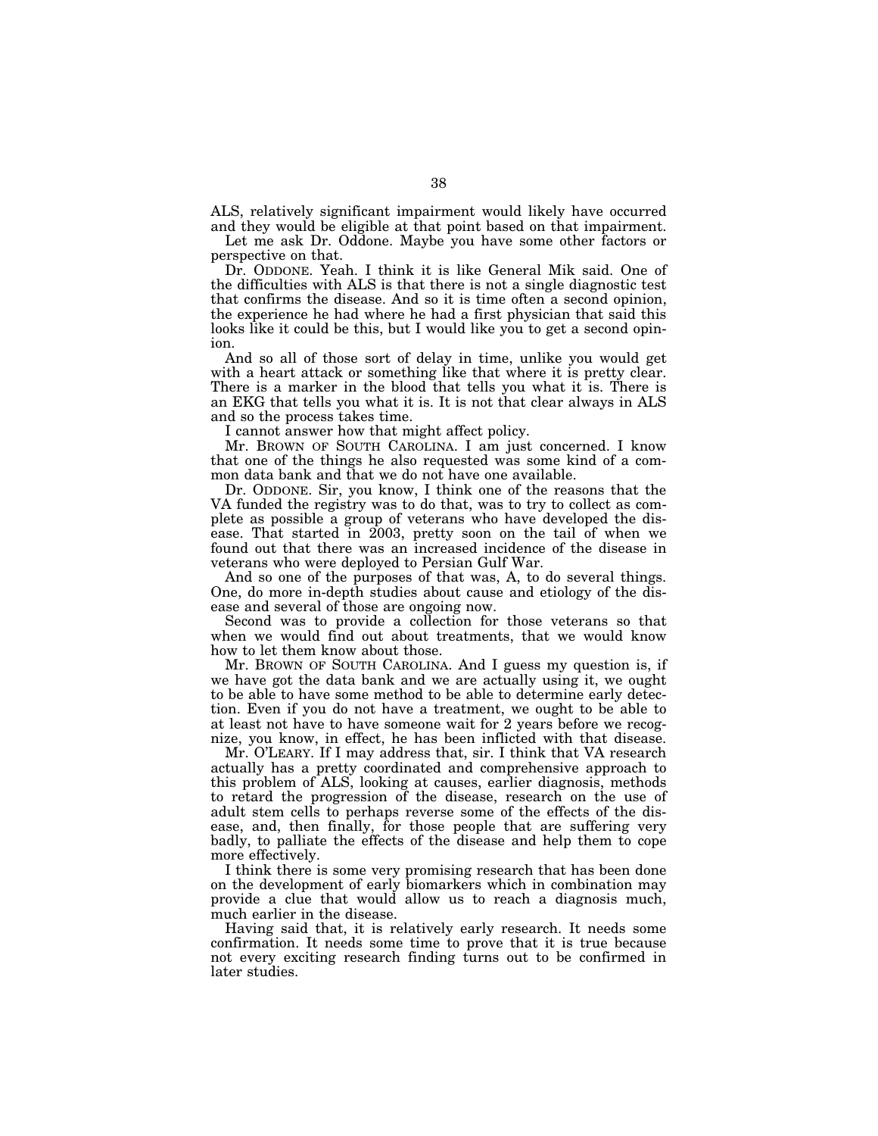ALS, relatively significant impairment would likely have occurred and they would be eligible at that point based on that impairment.

Let me ask Dr. Oddone. Maybe you have some other factors or perspective on that.

Dr. ODDONE. Yeah. I think it is like General Mik said. One of the difficulties with ALS is that there is not a single diagnostic test that confirms the disease. And so it is time often a second opinion, the experience he had where he had a first physician that said this looks like it could be this, but I would like you to get a second opinion.

And so all of those sort of delay in time, unlike you would get with a heart attack or something like that where it is pretty clear. There is a marker in the blood that tells you what it is. There is an EKG that tells you what it is. It is not that clear always in ALS and so the process takes time.

I cannot answer how that might affect policy.

Mr. BROWN OF SOUTH CAROLINA. I am just concerned. I know that one of the things he also requested was some kind of a common data bank and that we do not have one available.

Dr. ODDONE. Sir, you know, I think one of the reasons that the VA funded the registry was to do that, was to try to collect as complete as possible a group of veterans who have developed the disease. That started in 2003, pretty soon on the tail of when we found out that there was an increased incidence of the disease in veterans who were deployed to Persian Gulf War.

And so one of the purposes of that was, A, to do several things. One, do more in-depth studies about cause and etiology of the disease and several of those are ongoing now.

Second was to provide a collection for those veterans so that when we would find out about treatments, that we would know how to let them know about those.

Mr. BROWN OF SOUTH CAROLINA. And I guess my question is, if we have got the data bank and we are actually using it, we ought to be able to have some method to be able to determine early detection. Even if you do not have a treatment, we ought to be able to at least not have to have someone wait for 2 years before we recognize, you know, in effect, he has been inflicted with that disease.

Mr. O'LEARY. If I may address that, sir. I think that VA research actually has a pretty coordinated and comprehensive approach to this problem of ALS, looking at causes, earlier diagnosis, methods to retard the progression of the disease, research on the use of adult stem cells to perhaps reverse some of the effects of the disease, and, then finally, for those people that are suffering very badly, to palliate the effects of the disease and help them to cope more effectively.

I think there is some very promising research that has been done on the development of early biomarkers which in combination may provide a clue that would allow us to reach a diagnosis much, much earlier in the disease.

Having said that, it is relatively early research. It needs some confirmation. It needs some time to prove that it is true because not every exciting research finding turns out to be confirmed in later studies.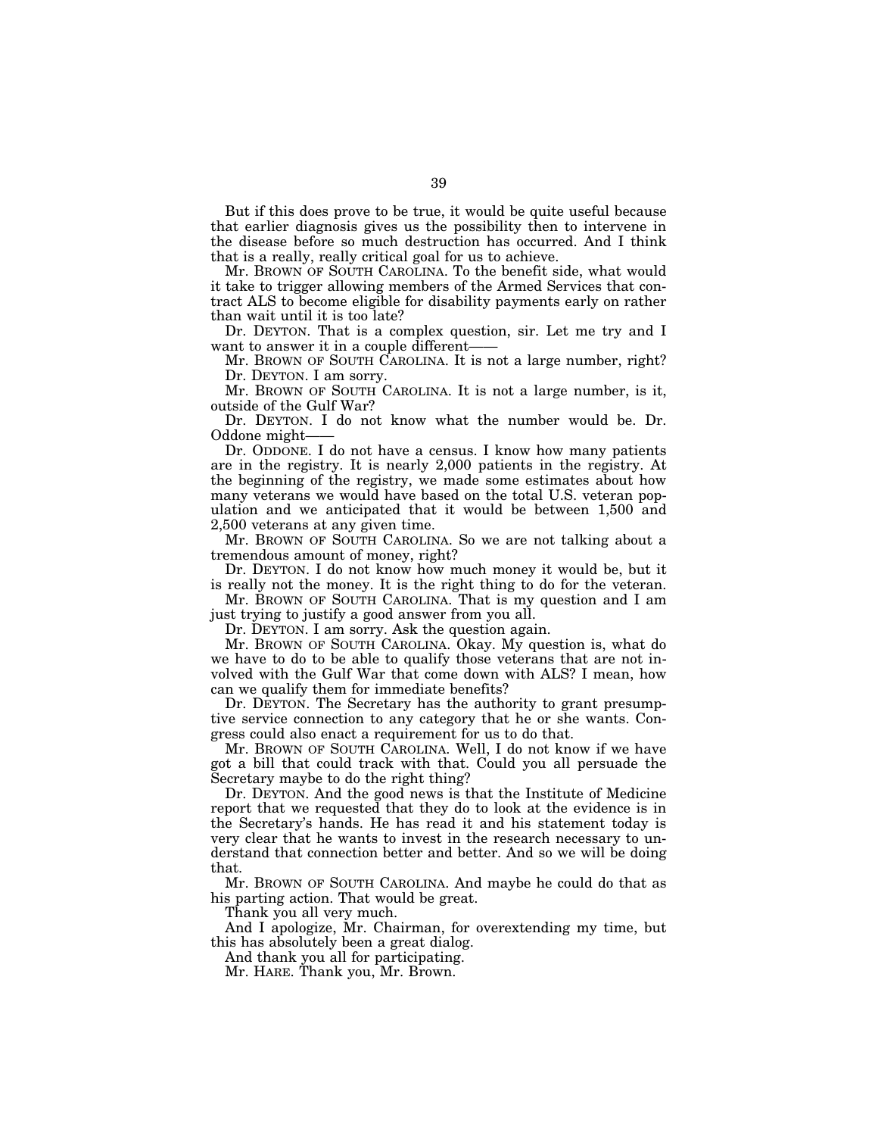But if this does prove to be true, it would be quite useful because that earlier diagnosis gives us the possibility then to intervene in the disease before so much destruction has occurred. And I think that is a really, really critical goal for us to achieve.

Mr. BROWN OF SOUTH CAROLINA. To the benefit side, what would it take to trigger allowing members of the Armed Services that contract ALS to become eligible for disability payments early on rather than wait until it is too late?

Dr. DEYTON. That is a complex question, sir. Let me try and I want to answer it in a couple different-

Mr. BROWN OF SOUTH CAROLINA. It is not a large number, right? Dr. DEYTON. I am sorry.

Mr. BROWN OF SOUTH CAROLINA. It is not a large number, is it, outside of the Gulf War?

Dr. DEYTON. I do not know what the number would be. Dr. Oddone might-

Dr. ODDONE. I do not have a census. I know how many patients are in the registry. It is nearly 2,000 patients in the registry. At the beginning of the registry, we made some estimates about how many veterans we would have based on the total U.S. veteran population and we anticipated that it would be between 1,500 and 2,500 veterans at any given time.

Mr. BROWN OF SOUTH CAROLINA. So we are not talking about a tremendous amount of money, right?

Dr. DEYTON. I do not know how much money it would be, but it is really not the money. It is the right thing to do for the veteran.

Mr. BROWN OF SOUTH CAROLINA. That is my question and I am just trying to justify a good answer from you all.

Dr. DEYTON. I am sorry. Ask the question again.

Mr. BROWN OF SOUTH CAROLINA. Okay. My question is, what do we have to do to be able to qualify those veterans that are not involved with the Gulf War that come down with ALS? I mean, how can we qualify them for immediate benefits?

Dr. DEYTON. The Secretary has the authority to grant presumptive service connection to any category that he or she wants. Congress could also enact a requirement for us to do that.

Mr. BROWN OF SOUTH CAROLINA. Well, I do not know if we have got a bill that could track with that. Could you all persuade the Secretary maybe to do the right thing?

Dr. DEYTON. And the good news is that the Institute of Medicine report that we requested that they do to look at the evidence is in the Secretary's hands. He has read it and his statement today is very clear that he wants to invest in the research necessary to understand that connection better and better. And so we will be doing that.

Mr. BROWN OF SOUTH CAROLINA. And maybe he could do that as his parting action. That would be great.

Thank you all very much.

And I apologize, Mr. Chairman, for overextending my time, but this has absolutely been a great dialog.

And thank you all for participating.

Mr. HARE. Thank you, Mr. Brown.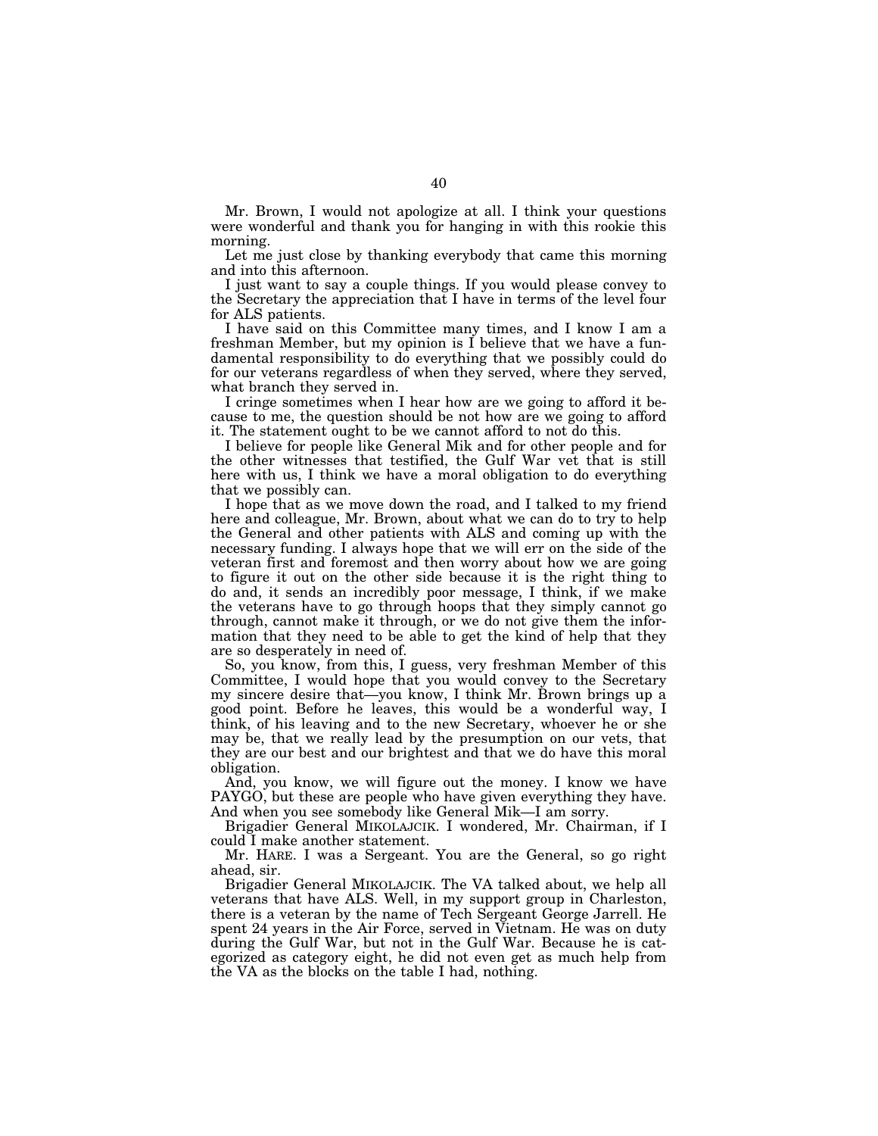Mr. Brown, I would not apologize at all. I think your questions were wonderful and thank you for hanging in with this rookie this morning.

Let me just close by thanking everybody that came this morning and into this afternoon.

I just want to say a couple things. If you would please convey to the Secretary the appreciation that I have in terms of the level four for ALS patients.

I have said on this Committee many times, and I know I am a freshman Member, but my opinion is I believe that we have a fundamental responsibility to do everything that we possibly could do for our veterans regardless of when they served, where they served, what branch they served in.

I cringe sometimes when I hear how are we going to afford it because to me, the question should be not how are we going to afford it. The statement ought to be we cannot afford to not do this.

I believe for people like General Mik and for other people and for the other witnesses that testified, the Gulf War vet that is still here with us, I think we have a moral obligation to do everything that we possibly can.

I hope that as we move down the road, and I talked to my friend here and colleague, Mr. Brown, about what we can do to try to help the General and other patients with ALS and coming up with the necessary funding. I always hope that we will err on the side of the veteran first and foremost and then worry about how we are going to figure it out on the other side because it is the right thing to do and, it sends an incredibly poor message, I think, if we make the veterans have to go through hoops that they simply cannot go through, cannot make it through, or we do not give them the information that they need to be able to get the kind of help that they are so desperately in need of.

So, you know, from this, I guess, very freshman Member of this Committee, I would hope that you would convey to the Secretary my sincere desire that—you know, I think Mr. Brown brings up a good point. Before he leaves, this would be a wonderful way, I think, of his leaving and to the new Secretary, whoever he or she may be, that we really lead by the presumption on our vets, that they are our best and our brightest and that we do have this moral obligation.

And, you know, we will figure out the money. I know we have PAYGO, but these are people who have given everything they have. And when you see somebody like General Mik—I am sorry.

Brigadier General MIKOLAJCIK. I wondered, Mr. Chairman, if I could I make another statement.

Mr. HARE. I was a Sergeant. You are the General, so go right ahead, sir.

Brigadier General MIKOLAJCIK. The VA talked about, we help all veterans that have ALS. Well, in my support group in Charleston, there is a veteran by the name of Tech Sergeant George Jarrell. He spent 24 years in the Air Force, served in Vietnam. He was on duty during the Gulf War, but not in the Gulf War. Because he is categorized as category eight, he did not even get as much help from the VA as the blocks on the table I had, nothing.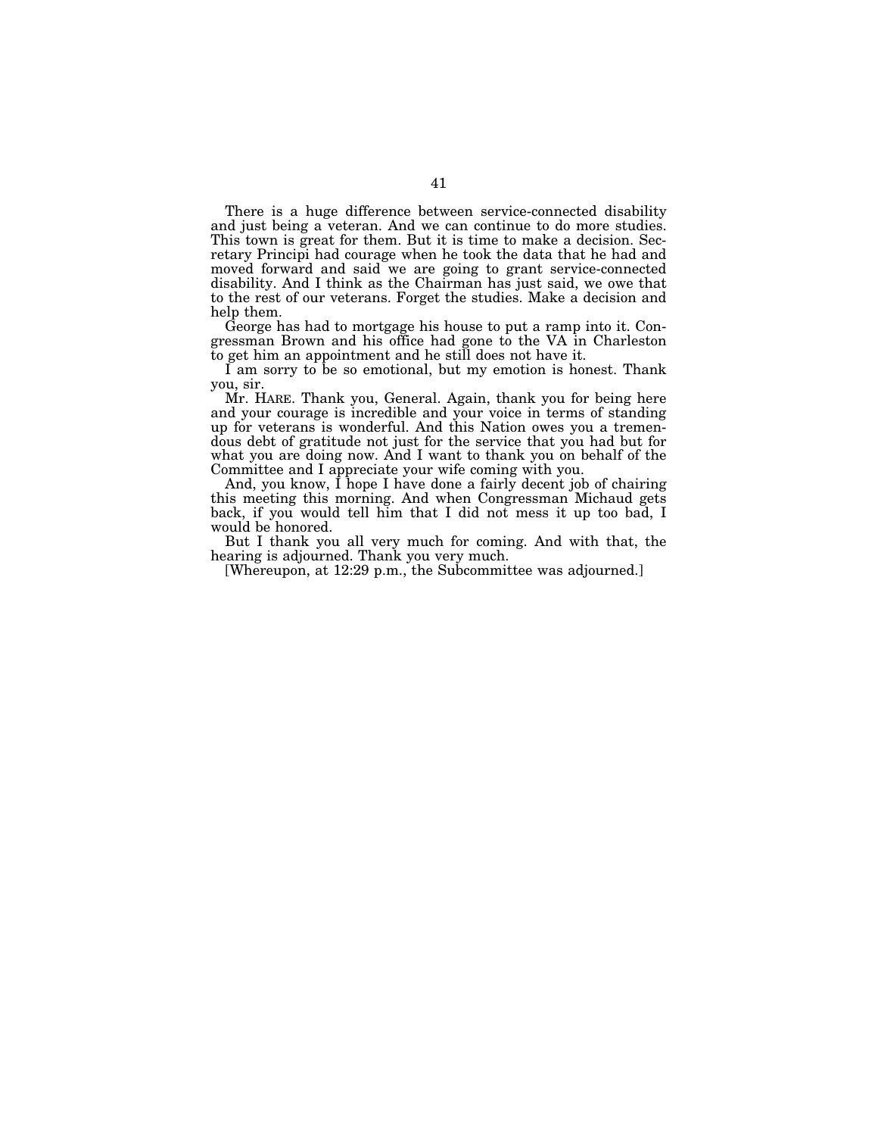There is a huge difference between service-connected disability and just being a veteran. And we can continue to do more studies. This town is great for them. But it is time to make a decision. Secretary Principi had courage when he took the data that he had and moved forward and said we are going to grant service-connected disability. And I think as the Chairman has just said, we owe that to the rest of our veterans. Forget the studies. Make a decision and help them.

George has had to mortgage his house to put a ramp into it. Congressman Brown and his office had gone to the VA in Charleston to get him an appointment and he still does not have it.

I am sorry to be so emotional, but my emotion is honest. Thank you, sir.

Mr. HARE. Thank you, General. Again, thank you for being here and your courage is incredible and your voice in terms of standing up for veterans is wonderful. And this Nation owes you a tremendous debt of gratitude not just for the service that you had but for what you are doing now. And I want to thank you on behalf of the Committee and I appreciate your wife coming with you.

And, you know, I hope I have done a fairly decent job of chairing this meeting this morning. And when Congressman Michaud gets back, if you would tell him that I did not mess it up too bad, I would be honored.

But I thank you all very much for coming. And with that, the hearing is adjourned. Thank you very much.

[Whereupon, at 12:29 p.m., the Subcommittee was adjourned.]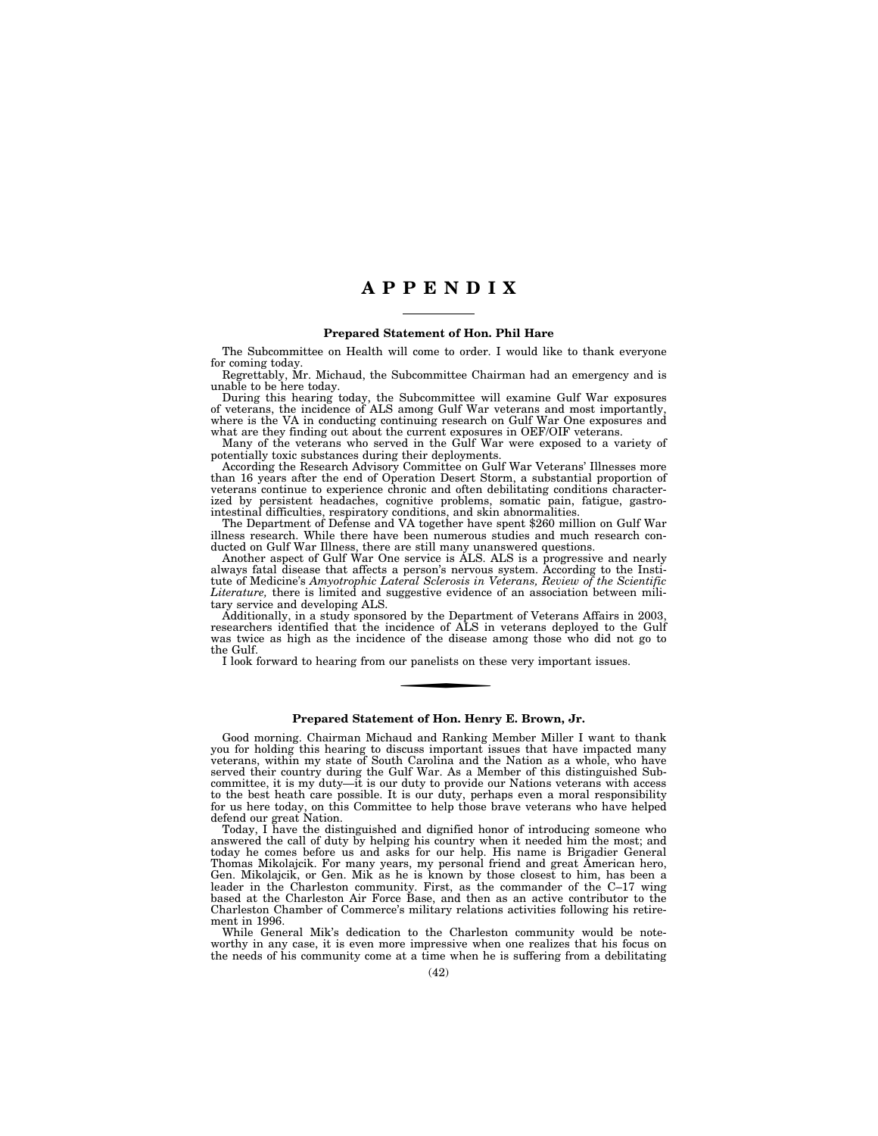# **A P P E N D I X**

### **Prepared Statement of Hon. Phil Hare**

The Subcommittee on Health will come to order. I would like to thank everyone for coming today.

Regrettably, Mr. Michaud, the Subcommittee Chairman had an emergency and is unable to be here today.

During this hearing today, the Subcommittee will examine Gulf War exposures of veterans, the incidence of ALS among Gulf War veterans and most importantly, where is the VA in conducting continuing research on Gulf War One exposures and what are they finding out about the current exposures in OEF/OIF veterans.

Many of the veterans who served in the Gulf War were exposed to a variety of potentially toxic substances during their deployments.

According the Research Advisory Committee on Gulf War Veterans' Illnesses more than 16 years after the end of Operation Desert Storm, a substantial proportion of veterans continue to experience chronic and often debilitating conditions characterized by persistent headaches, cognitive problems, somatic pain, fatigue, gastrointestinal difficulties, respiratory conditions, and skin abnormalities.

The Department of Defense and VA together have spent \$260 million on Gulf War illness research. While there have been numerous studies and much research conducted on Gulf War Illness, there are still many unanswered questions.

Another aspect of Gulf War One service is ALS. ALS is a progressive and nearly always fatal disease that affects a person's nervous system. According to the Institute of Medicine's *Amyotrophic Lateral Sclerosis in Veterans, Review of the Scientific Literature,* there is limited and suggestive evidence of an association between military service and developing ALS.

Additionally, in a study sponsored by the Department of Veterans Affairs in 2003, researchers identified that the incidence of ALS in veterans deployed to the Gulf was twice as high as the incidence of the disease among those who did not go to the Gulf.

I look forward to hearing from our panelists on these very important issues.

### **Prepared Statement of Hon. Henry E. Brown, Jr.**

Good morning. Chairman Michaud and Ranking Member Miller I want to thank you for holding this hearing to discuss important issues that have impacted many veterans, within my state of South Carolina and the Nation as a whole, who have served their country during the Gulf War. As a Member of this distinguished Subcommittee, it is my duty—it is our duty to provide our Nations veterans with access to the best heath care possible. It is our duty, perhaps even a moral responsibility for us here today, on this Committee to help those brave veterans who have helped defend our great Nation.

Today, I have the distinguished and dignified honor of introducing someone who answered the call of duty by helping his country when it needed him the most; and today he comes before us and asks for our help. His name is Brigadier General Thomas Mikolajcik. For many years, my personal friend and great American hero, Gen. Mikolajcik, or Gen. Mik as he is known by those closest to him, has been a leader in the Charleston community. First, as the commander of the C–17 wing based at the Charleston Air Force Base, and then as an active contributor to the Charleston Chamber of Commerce's military relations activities following his retirement in 1996.

While General Mik's dedication to the Charleston community would be noteworthy in any case, it is even more impressive when one realizes that his focus on the needs of his community come at a time when he is suffering from a debilitating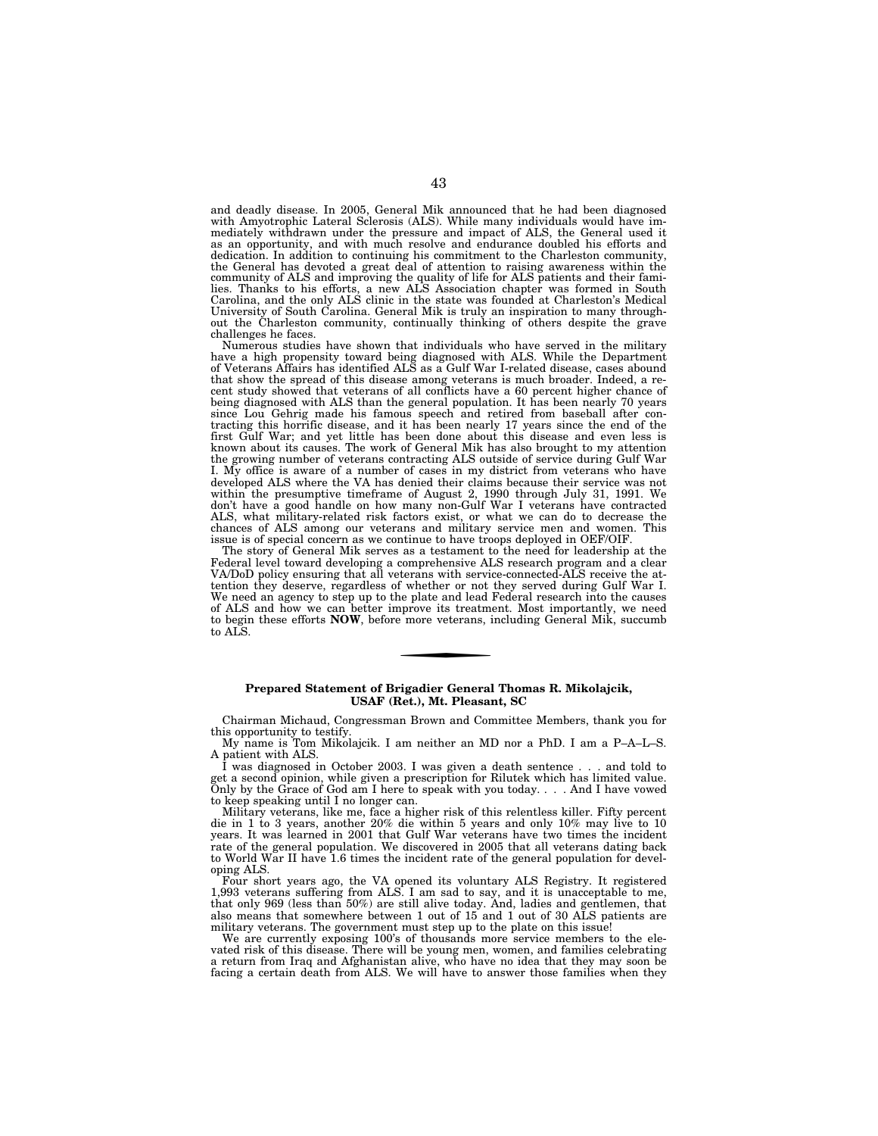and deadly disease. In 2005, General Mik announced that he had been diagnosed with Amyotrophic Lateral Sclerosis (ALS). While many individuals would have immediately withdrawn under the pressure and impact of ALS, the General used it as an opportunity, and with much resolve and endurance doubled his efforts and dedication. In addition to continuing his commitment to the Charleston community, the General has devoted a great deal of attention to raising awareness within the community of ALS and improving the quality of life for ALS patients and their families. Thanks to his efforts, a new ALS Association chapter was formed in South Carolina, and the only ALS clinic in the state was founded at Charleston's Medical University of South Carolina. General Mik is truly an inspiration to many throughout the Charleston community, continually thinking of others despite the grave challenges he faces.

Numerous studies have shown that individuals who have served in the military have a high propensity toward being diagnosed with ALS. While the Department of Veterans Affairs has identified ALS as a Gulf War I-related disease, cases abound that show the spread of this disease among veterans is much broader. Indeed, a re-cent study showed that veterans of all conflicts have a 60 percent higher chance of being diagnosed with ALS than the general population. It has been nearly 70 years since Lou Gehrig made his famous speech and retired from baseball after contracting this horrific disease, and it has been nearly 17 years since the end of the first Gulf War; and yet little has been done about this disease and even less is known about its causes. The work of General Mik has also brought to my attention the growing number of veterans contracting ALS outside of service during Gulf War I. My office is aware of a number of cases in my district from veterans who have developed ALS where the VA has denied their claims because their service was not within the presumptive timeframe of August 2, 1990 through July 31, 1991. We don't have a good handle on how many non-Gulf War I veterans have contracted ALS, what military-related risk factors exist, or what we can do to decrease the chances of ALS among our veterans and military service men and women. This issue is of special concern as we continue to have troops deployed in OEF/OIF.

The story of General Mik serves as a testament to the need for leadership at the Federal level toward developing a comprehensive ALS research program and a clear VA/DoD policy ensuring that all veterans with service-connected-ALS receive the attention they deserve, regardless of whether or not they served during Gulf War I. We need an agency to step up to the plate and lead Federal research into the causes of ALS and how we can better improve its treatment. Most importantly, we need to begin these efforts **NOW**, before more veterans, including General Mik, succumb to ALS.

### **Prepared Statement of Brigadier General Thomas R. Mikolajcik, USAF (Ret.), Mt. Pleasant, SC**

Chairman Michaud, Congressman Brown and Committee Members, thank you for this opportunity to testify.

My name is Tom Mikolajcik. I am neither an MD nor a PhD. I am a P–A–L–S. A patient with ALS.

I was diagnosed in October 2003. I was given a death sentence . . . and told to get a second opinion, while given a prescription for Rilutek which has limited value. Only by the Grace of God am I here to speak with you today. . . . And I have vowed to keep speaking until I no longer can.

Military veterans, like me, face a higher risk of this relentless killer. Fifty percent die in 1 to 3 years, another 20% die within 5 years and only 10% may live to 10 years. It was learned in 2001 that Gulf War veterans have two times the incident rate of the general population. We discovered in 2005 that all veterans dating back to World War II have 1.6 times the incident rate of the general population for developing ALS.

Four short years ago, the VA opened its voluntary ALS Registry. It registered 1,993 veterans suffering from ALS. I am sad to say, and it is unacceptable to me, that only 969 (less than 50%) are still alive today. And, ladies and gentlemen, that also means that somewhere between 1 out of 15 and 1 out of 30 ALS patients are military veterans. The government must step up to the plate on this issue!

We are currently exposing 100's of thousands more service members to the elevated risk of this disease. There will be young men, women, and families celebrating a return from Iraq and Afghanistan alive, who have no idea that they may soon be facing a certain death from ALS. We will have to answer those families when they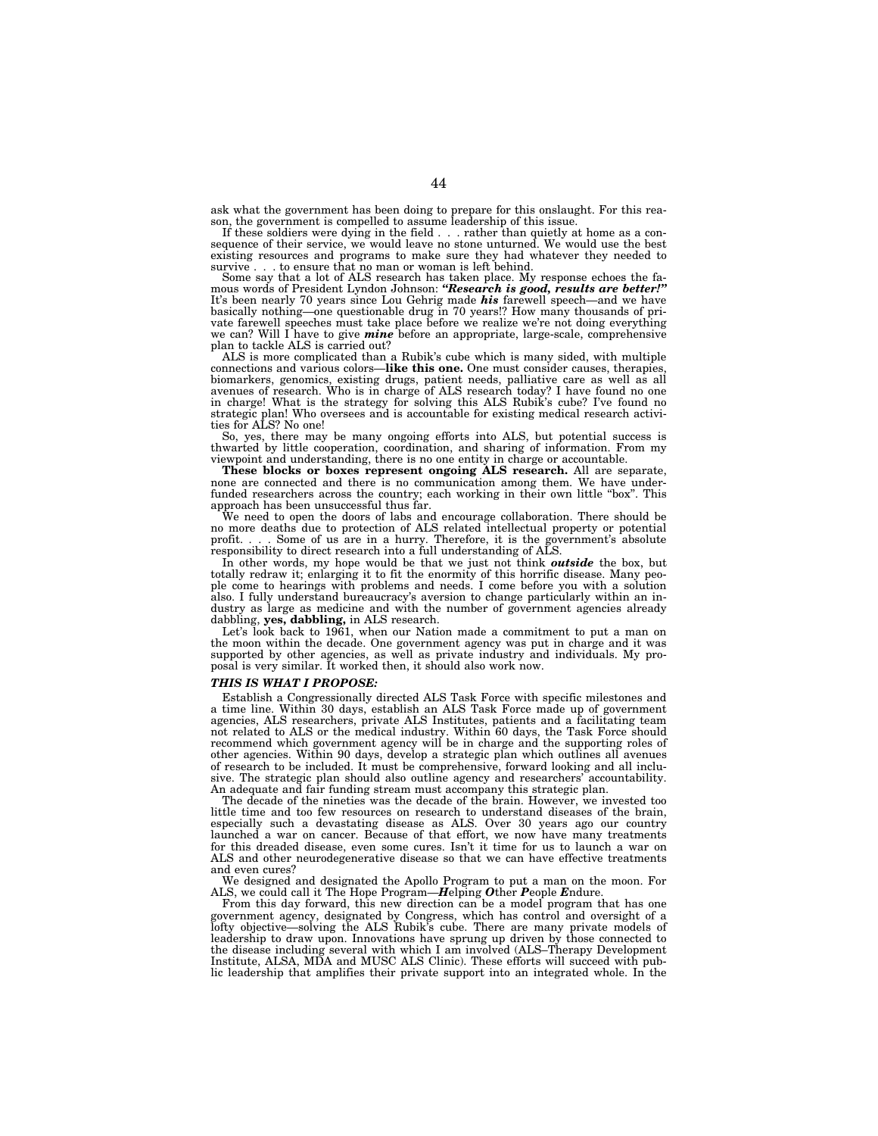ask what the government has been doing to prepare for this onslaught. For this reason, the government is compelled to assume leadership of this issue.

If these soldiers were dying in the field . . . rather than quietly at home as a consequence of their service, we would leave no stone unturned. We would use the best existing resources and programs to make sure they had whatever they needed to survive . . . to ensure that no man or woman is left behind.

Some say that a lot of ALS research has taken place. My response echoes the fa-mous words of President Lyndon Johnson: *''Research is good, results are better!''*  It's been nearly 70 years since Lou Gehrig made *his* farewell speech—and we have basically nothing—one questionable drug in 70 years!? How many thousands of private farewell speeches must take place before we realize we're not doing everything we can? Will I have to give *mine* before an appropriate, large-scale, comprehensive plan to tackle ALS is carried out?

ALS is more complicated than a Rubik's cube which is many sided, with multiple connections and various colors—**like this one.** One must consider causes, therapies, biomarkers, genomics, existing drugs, patient needs, palliative care as well as all avenues of research. Who is in charge of ALS research today? I have found no one in charge! What is the strategy for solving this ALS Rubik's cube? I've found no strategic plan! Who oversees and is accountable for existing medical research activities for ALS? No one!

So, yes, there may be many ongoing efforts into ALS, but potential success is thwarted by little cooperation, coordination, and sharing of information. From my viewpoint and understanding, there is no one entity in charge or accountable.

**These blocks or boxes represent ongoing ALS research.** All are separate, none are connected and there is no communication among them. We have underfunded researchers across the country; each working in their own little ''box''. This approach has been unsuccessful thus far.

We need to open the doors of labs and encourage collaboration. There should be no more deaths due to protection of ALS related intellectual property or potential profit. . . . Some of us are in a hurry. Therefore, it is the government's absolute responsibility to direct research into a full understanding of ALS.

In other words, my hope would be that we just not think *outside* the box, but totally redraw it; enlarging it to fit the enormity of this horrific disease. Many people come to hearings with problems and needs. I come before you with a solution also. I fully understand bureaucracy's aversion to change particularly within an industry as large as medicine and with the number of government agencies already dabbling, **yes, dabbling,** in ALS research.

Let's look back to 1961, when our Nation made a commitment to put a man on the moon within the decade. One government agency was put in charge and it was supported by other agencies, as well as private industry and individuals. My proposal is very similar. It worked then, it should also work now.

### *THIS IS WHAT I PROPOSE:*

Establish a Congressionally directed ALS Task Force with specific milestones and a time line. Within 30 days, establish an ALS Task Force made up of government agencies, ALS researchers, private ALS Institutes, patients and a facilitating team not related to ALS or the medical industry. Within 60 days, the Task Force should recommend which government agency will be in charge and the supporting roles of other agencies. Within 90 days, develop a strategic plan which outlines all avenues of research to be included. It must be comprehensive, forward looking and all inclusive. The strategic plan should also outline agency and researchers' accountability. An adequate and fair funding stream must accompany this strategic plan.

The decade of the nineties was the decade of the brain. However, we invested too little time and too few resources on research to understand diseases of the brain, especially such a devastating disease as ALS. Over 30 years ago our country launched a war on cancer. Because of that effort, we now have many treatments for this dreaded disease, even some cures. Isn't it time for us to launch a war on ALS and other neurodegenerative disease so that we can have effective treatments and even cures?

We designed and designated the Apollo Program to put a man on the moon. For ALS, we could call it The Hope Program—*H*elping *O*ther *P*eople *E*ndure.

From this day forward, this new direction can be a model program that has one government agency, designated by Congress, which has control and oversight of a lofty objective—solving the ALS Rubik's cube. There are many private models of leadership to draw upon. Innovations have sprung up driven by those connected to the disease including several with which I am involved (ALS–Therapy Development Institute, ALSA, MDA and MUSC ALS Clinic). These efforts will succeed with public leadership that amplifies their private support into an integrated whole. In the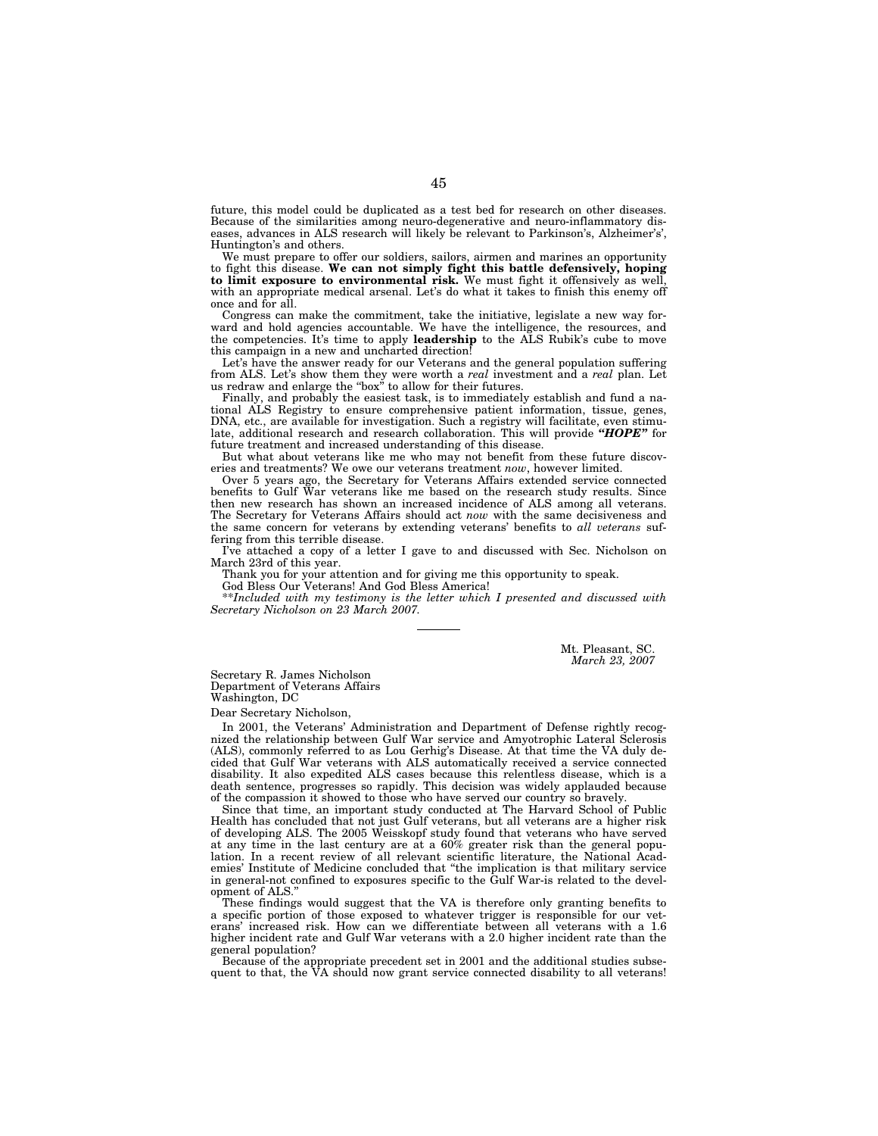future, this model could be duplicated as a test bed for research on other diseases. Because of the similarities among neuro-degenerative and neuro-inflammatory diseases, advances in ALS research will likely be relevant to Parkinson's, Alzheimer's', Huntington's and others.

We must prepare to offer our soldiers, sailors, airmen and marines an opportunity to fight this disease. **We can not simply fight this battle defensively, hoping to limit exposure to environmental risk.** We must fight it offensively as well, with an appropriate medical arsenal. Let's do what it takes to finish this enemy off once and for all.

Congress can make the commitment, take the initiative, legislate a new way forward and hold agencies accountable. We have the intelligence, the resources, and the competencies. It's time to apply **leadership** to the ALS Rubik's cube to move this campaign in a new and uncharted direction!

Let's have the answer ready for our Veterans and the general population suffering from ALS. Let's show them they were worth a *real* investment and a *real* plan. Let us redraw and enlarge the ''box'' to allow for their futures.

Finally, and probably the easiest task, is to immediately establish and fund a national ALS Registry to ensure comprehensive patient information, tissue, genes, DNA, etc., are available for investigation. Such a registry will facilitate, even stimulate, additional research and research collaboration. This will provide *''HOPE''* for future treatment and increased understanding of this disease.

But what about veterans like me who may not benefit from these future discoveries and treatments? We owe our veterans treatment *now*, however limited.

Over 5 years ago, the Secretary for Veterans Affairs extended service connected benefits to Gulf War veterans like me based on the research study results. Since then new research has shown an increased incidence of ALS among all veterans. The Secretary for Veterans Affairs should act *now* with the same decisiveness and the same concern for veterans by extending veterans' benefits to *all veterans* suffering from this terrible disease.

I've attached a copy of a letter I gave to and discussed with Sec. Nicholson on March 23rd of this year.

Thank you for your attention and for giving me this opportunity to speak. God Bless Our Veterans! And God Bless America!

\*\**Included with my testimony is the letter which I presented and discussed with Secretary Nicholson on 23 March 2007.* 

> Mt. Pleasant, SC. *March 23, 2007*

Secretary R. James Nicholson Department of Veterans Affairs Washington, DC

Dear Secretary Nicholson,

In 2001, the Veterans' Administration and Department of Defense rightly recognized the relationship between Gulf War service and Amyotrophic Lateral Sclerosis (ALS), commonly referred to as Lou Gerhig's Disease. At that time the VA duly decided that Gulf War veterans with ALS automatically received a service connected disability. It also expedited ALS cases because this relentless disease, which is a death sentence, progresses so rapidly. This decision was widely applauded because of the compassion it showed to those who have served our country so bravely.

Since that time, an important study conducted at The Harvard School of Public Health has concluded that not just Gulf veterans, but all veterans are a higher risk of developing ALS. The 2005 Weisskopf study found that veterans who have served at any time in the last century are at a 60% greater risk than the general population. In a recent review of all relevant scientific literature, the National Academies' Institute of Medicine concluded that ''the implication is that military service in general-not confined to exposures specific to the Gulf War-is related to the development of ALS.

These findings would suggest that the VA is therefore only granting benefits to a specific portion of those exposed to whatever trigger is responsible for our veterans' increased risk. How can we differentiate between all veterans with a 1.6 higher incident rate and Gulf War veterans with a 2.0 higher incident rate than the general population?

Because of the appropriate precedent set in 2001 and the additional studies subsequent to that, the VA should now grant service connected disability to all veterans!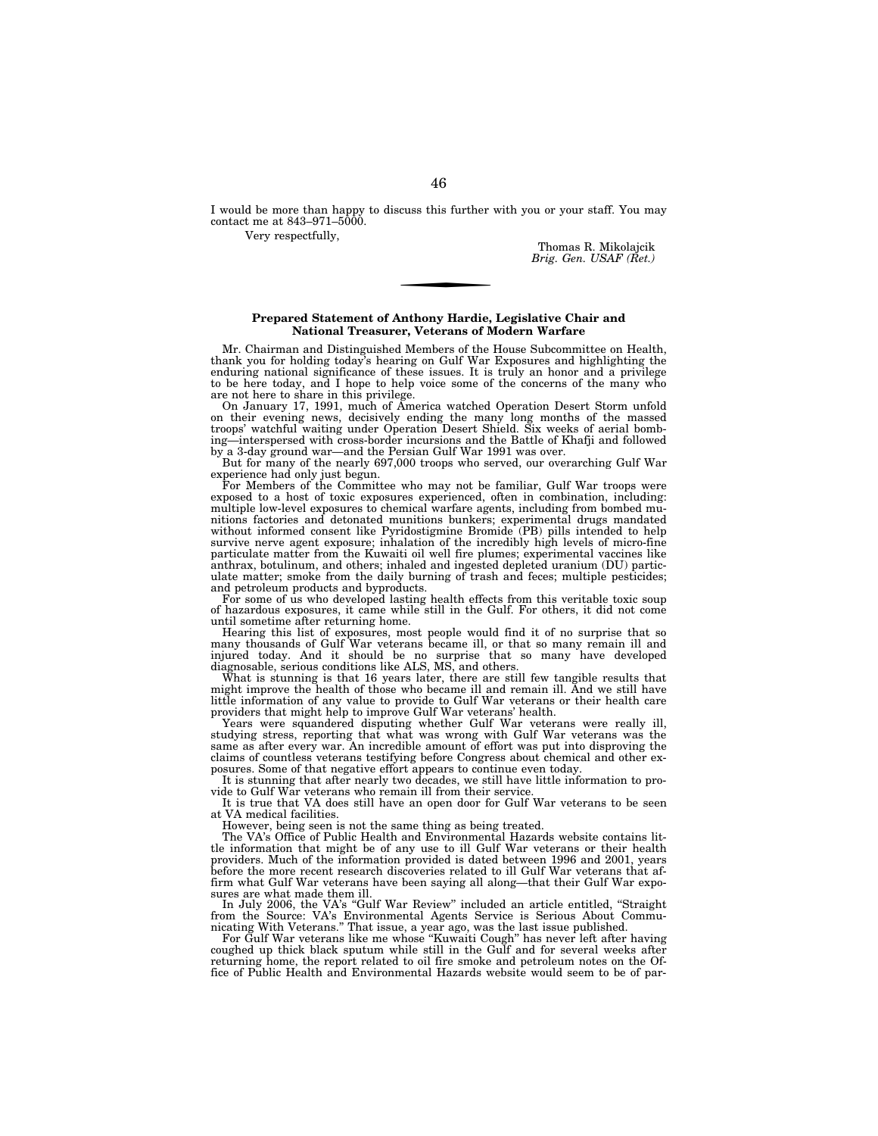I would be more than happy to discuss this further with you or your staff. You may contact me at 843–971–5000.

Very respectfully,

Thomas R. Mikolajcik *Brig. Gen. USAF (Ret.)* 

### **Prepared Statement of Anthony Hardie, Legislative Chair and National Treasurer, Veterans of Modern Warfare**

Mr. Chairman and Distinguished Members of the House Subcommittee on Health, thank you for holding today's hearing on Gulf War Exposures and highlighting the enduring national significance of these issues. It is truly an honor and a privilege to be here today, and I hope to help voice some of the concerns of the many who

are not here to share in this privilege. On January 17, 1991, much of America watched Operation Desert Storm unfold on their evening news, decisively ending the many long months of the massed troops' watchful waiting under Operation Desert Shield. Six weeks of aerial bombing—interspersed with cross-border incursions and the Battle of Khafji and followed by a 3-day ground war—and the Persian Gulf War 1991 was over.

But for many of the nearly 697,000 troops who served, our overarching Gulf War

experience had only just begun. For Members of the Committee who may not be familiar, Gulf War troops were exposed to a host of toxic exposures experienced, often in combination, including: multiple low-level exposures to chemical warfare agents, including from bombed munitions factories and detonated munitions bunkers; experimental drugs mandated without informed consent like Pyridostigmine Bromide (PB) pills intended to help survive nerve agent exposure; inhalation of the incredibly high levels of micro-fine particulate matter from the Kuwaiti oil well fire plumes; experimental vaccines like particulate matter from the ratitude on the fraction of the property of the anthrax, botulinum, and others; inhaled and ingested depleted uranium (DU) particulate matter; smoke from the daily burning of trash and feces; multiple pesticides; and petroleum products and byproducts.

For some of us who developed lasting health effects from this veritable toxic soup of hazardous exposures, it came while still in the Gulf. For others, it did not come until sometime after returning home.

Hearing this list of exposures, most people would find it of no surprise that so many thousands of Gulf War veterans became ill, or that so many remain ill and injured today. And it should be no surprise that so many have developed

diagnosable, serious conditions like ALS, MS, and others. What is stunning is that 16 years later, there are still few tangible results that might improve the health of those who became ill and remain ill. And we still have little information of any value to provide to Gulf War veterans or their health care providers that might help to improve Gulf War veterans' health.

Years were squandered disputing whether Gulf War veterans were really ill, studying stress, reporting that what was wrong with Gulf War veterans was the same as after every war. An incredible amount of effort was put into disproving the claims of countless veterans testifying before Congress about chemical and other exposures. Some of that negative effort appears to continue even today.

It is stunning that after nearly two decades, we still have little information to provide to Gulf War veterans who remain ill from their service.

It is true that VA does still have an open door for Gulf War veterans to be seen at VA medical facilities.

However, being seen is not the same thing as being treated.

The VA's Office of Public Health and Environmental Hazards website contains little information that might be of any use to ill Gulf War veterans or their health providers. Much of the information provided is dated between 1996 and 2001, years before the more recent research discoveries related to ill Gulf War veterans that affirm what Gulf War veterans have been saying all along—that their Gulf War exposures are what made them ill.

In July 2006, the VA's ''Gulf War Review'' included an article entitled, ''Straight from the Source: VA's Environmental Agents Service is Serious About Commu-nicating With Veterans.'' That issue, a year ago, was the last issue published.

For Gulf War veterans like me whose ''Kuwaiti Cough'' has never left after having coughed up thick black sputum while still in the Gulf and for several weeks after returning home, the report related to oil fire smoke and petroleum notes on the Office of Public Health and Environmental Hazards website would seem to be of par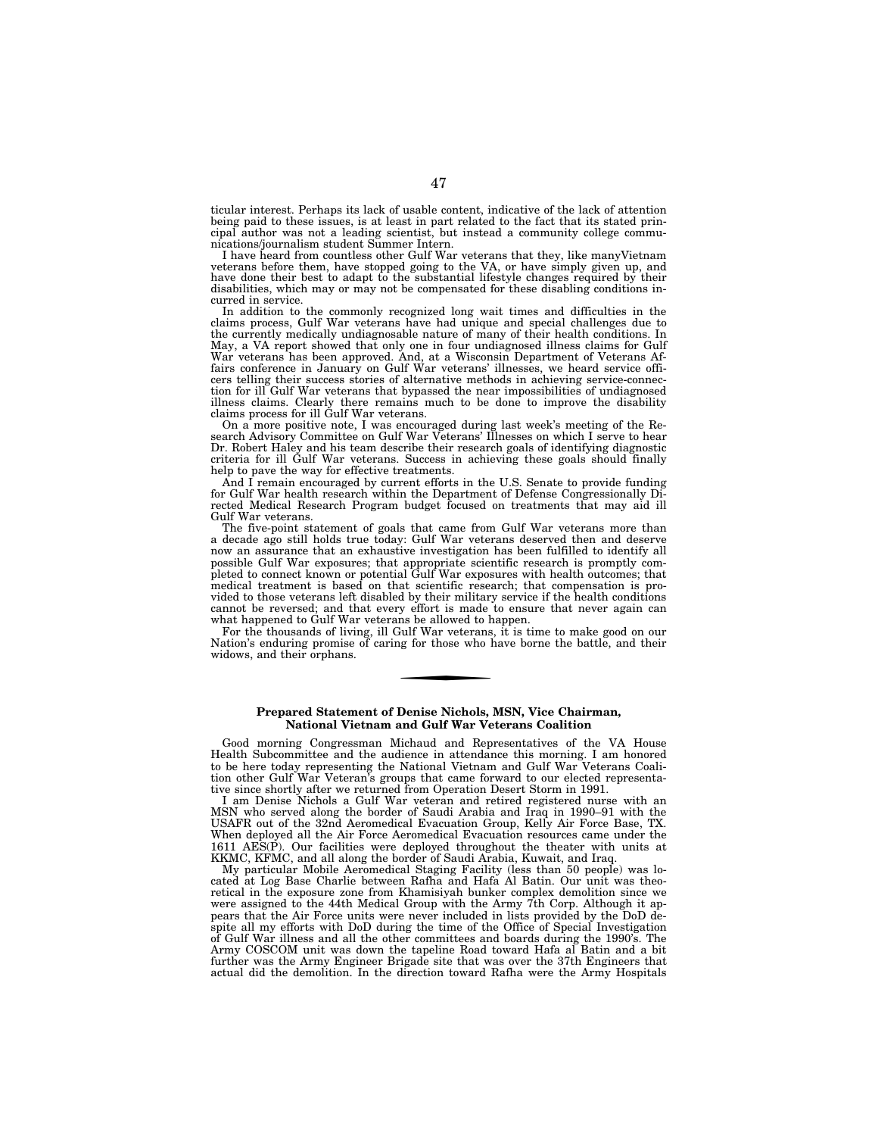ticular interest. Perhaps its lack of usable content, indicative of the lack of attention being paid to these issues, is at least in part related to the fact that its stated principal author was not a leading scientist, but instead a community college communications/journalism student Summer Intern.

I have heard from countless other Gulf War veterans that they, like manyVietnam veterans before them, have stopped going to the VA, or have simply given up, and have done their best to adapt to the substantial lifestyle changes required by their disabilities, which may or may not be compensated for these disabling conditions incurred in service.

In addition to the commonly recognized long wait times and difficulties in the claims process, Gulf War veterans have had unique and special challenges due to the currently medically undiagnosable nature of many of their health conditions. In May, a VA report showed that only one in four undiagnosed illness claims for Gulf War veterans has been approved. And, at a Wisconsin Department of Veterans Af-fairs conference in January on Gulf War veterans' illnesses, we heard service officers telling their success stories of alternative methods in achieving service-connec-tion for ill Gulf War veterans that bypassed the near impossibilities of undiagnosed illness claims. Clearly there remains much to be done to improve the disability claims process for ill Gulf War veterans.

On a more positive note, I was encouraged during last week's meeting of the Re-search Advisory Committee on Gulf War Veterans' Illnesses on which I serve to hear Dr. Robert Haley and his team describe their research goals of identifying diagnostic criteria for ill Gulf War veterans. Success in achieving these goals should finally help to pave the way for effective treatments.

And I remain encouraged by current efforts in the U.S. Senate to provide funding for Gulf War health research within the Department of Defense Congressionally Directed Medical Research Program budget focused on treatments that may aid ill Gulf War veterans.

The five-point statement of goals that came from Gulf War veterans more than a decade ago still holds true today: Gulf War veterans deserved then and deserve now an assurance that an exhaustive investigation has been fulfilled to identify all possible Gulf War exposures; that appropriate scientific research is promptly completed to connect known or potential Gulf War exposures with health outcomes; that medical treatment is based on that scientific research; that compensation is provided to those veterans left disabled by their military service if the health conditions cannot be reversed; and that every effort is made to ensure that never again can what happened to Gulf War veterans be allowed to happen.

For the thousands of living, ill Gulf War veterans, it is time to make good on our Nation's enduring promise of caring for those who have borne the battle, and their widows, and their orphans.

### **Prepared Statement of Denise Nichols, MSN, Vice Chairman, National Vietnam and Gulf War Veterans Coalition**

Good morning Congressman Michaud and Representatives of the VA House Health Subcommittee and the audience in attendance this morning. I am honored to be here today representing the National Vietnam and Gulf War Veterans Coalition other Gulf War Veteran's groups that came forward to our elected representative since shortly after we returned from Operation Desert Storm in 1991.

I am Denise Nichols a Gulf War veteran and retired registered nurse with an MSN who served along the border of Saudi Arabia and Iraq in 1990–91 with the USAFR out of the 32nd Aeromedical Evacuation Group, Kelly Air Force Base, TX. When deployed all the Air Force Aeromedical Evacuation resources came under the 1611 AES(P). Our facilities were deployed throughout the theater with units at KKMC, KFMC, and all along the border of Saudi Arabia, Kuwait, and Iraq.

My particular Mobile Aeromedical Staging Facility (less than 50 people) was located at Log Base Charlie between Rafha and Hafa Al Batin. Our unit was theoretical in the exposure zone from Khamisiyah bunker complex demolition since we were assigned to the 44th Medical Group with the Army 7th Corp. Although it appears that the Air Force units were never included in lists provided by the DoD despite all my efforts with DoD during the time of the Office of Special Investigation of Gulf War illness and all the other committees and boards during the 1990's. The Army COSCOM unit was down the tapeline Road toward Hafa al Batin and a bit further was the Army Engineer Brigade site that was over the 37th Engineers that actual did the demolition. In the direction toward Rafha were the Army Hospitals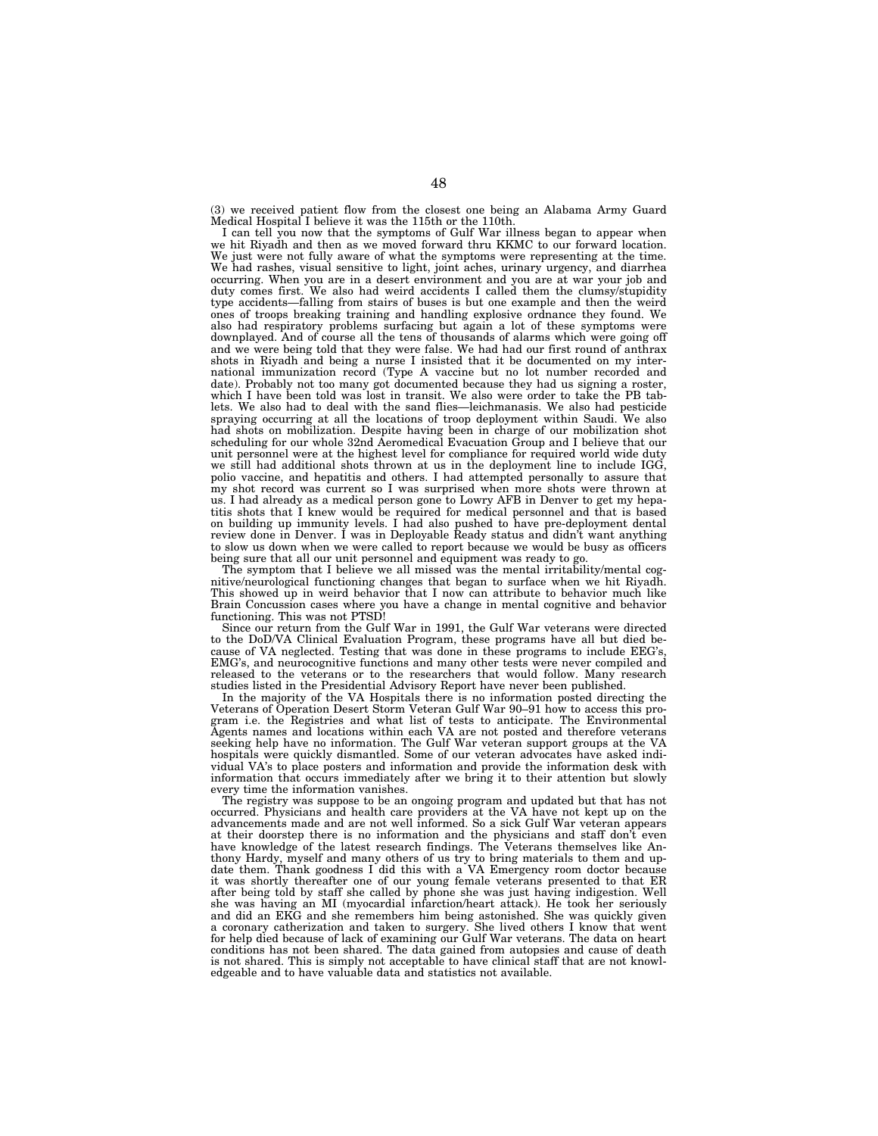(3) we received patient flow from the closest one being an Alabama Army Guard Medical Hospital I believe it was the 115th or the 110th.

I can tell you now that the symptoms of Gulf War illness began to appear when we hit Riyadh and then as we moved forward thru KKMC to our forward location. We just were not fully aware of what the symptoms were representing at the time. We had rashes, visual sensitive to light, joint aches, urinary urgency, and diarrhea occurring. When you are in a desert environment and you are at war your job and duty comes first. We also had weird accidents I called them the clumsy/stupidity type accidents—falling from stairs of buses is but one example and then the weird ones of troops breaking training and handling explosive ordnance they found. We also had respiratory problems surfacing but again a lot of these symptoms were downplayed. And of course all the tens of thousands of alarms which were going off and we were being told that they were false. We had had our first round of anthrax shots in Riyadh and being a nurse I insisted that it be documented on my international immunization record (Type A vaccine but no lot number recorded and date). Probably not too many got documented because they had us signing a roster, which I have been told was lost in transit. We also were order to take the PB tablets. We also had to deal with the sand flies—leichmanasis. We also had pesticide spraying occurring at all the locations of troop deployment within Saudi. We also had shots on mobilization. Despite having been in charge of our mobilization shot scheduling for our whole 32nd Aeromedical Evacuation Group and I believe that our unit personnel were at the highest level for compliance for required world wide duty we still had additional shots thrown at us in the deployment line to include IGG, polio vaccine, and hepatitis and others. I had attempted personally to assure that my shot record was current so I was surprised when more shots were thrown at us. I had already as a medical person gone to Lowry AFB in Denver to get my hepatitis shots that I knew would be required for medical personnel and that is based on building up immunity levels. I had also pushed to have pre-deployment dental review done in Denver. I was in Deployable Ready status and didn't want anything to slow us down when we were called to report because we would be busy as officers being sure that all our unit personnel and equipment was ready to go

The symptom that I believe we all missed was the mental irritability/mental cognitive/neurological functioning changes that began to surface when we hit Riyadh. This showed up in weird behavior that I now can attribute to behavior much like Brain Concussion cases where you have a change in mental cognitive and behavior functioning. This was not PTSD!

Since our return from the Gulf War in 1991, the Gulf War veterans were directed to the DoD/VA Clinical Evaluation Program, these programs have all but died because of VA neglected. Testing that was done in these programs to include EEG's, EMG's, and neurocognitive functions and many other tests were never compiled and released to the veterans or to the researchers that would follow. Many research studies listed in the Presidential Advisory Report have never been published.

In the majority of the VA Hospitals there is no information posted directing the Veterans of Operation Desert Storm Veteran Gulf War 90–91 how to access this program i.e. the Registries and what list of tests to anticipate. The Environmental Agents names and locations within each VA are not posted and therefore veterans seeking help have no information. The Gulf War veteran support groups at the VA hospitals were quickly dismantled. Some of our veteran advocates have asked individual VA's to place posters and information and provide the information desk with information that occurs immediately after we bring it to their attention but slowly every time the information vanishes.

The registry was suppose to be an ongoing program and updated but that has not occurred. Physicians and health care providers at the VA have not kept up on the advancements made and are not well informed. So a sick Gulf War veteran appears at their doorstep there is no information and the physicians and staff don't even have knowledge of the latest research findings. The Veterans themselves like Anthony Hardy, myself and many others of us try to bring materials to them and update them. Thank goodness I did this with a VA Emergency room doctor because it was shortly thereafter one of our young female veterans presented to that ER after being told by staff she called by phone she was just having indigestion. Well she was having an MI (myocardial infarction/heart attack). He took her seriously and did an EKG and she remembers him being astonished. She was quickly given a coronary catherization and taken to surgery. She lived others I know that went for help died because of lack of examining our Gulf War veterans. The data on heart conditions has not been shared. The data gained from autopsies and cause of death is not shared. This is simply not acceptable to have clinical staff that are not knowledgeable and to have valuable data and statistics not available.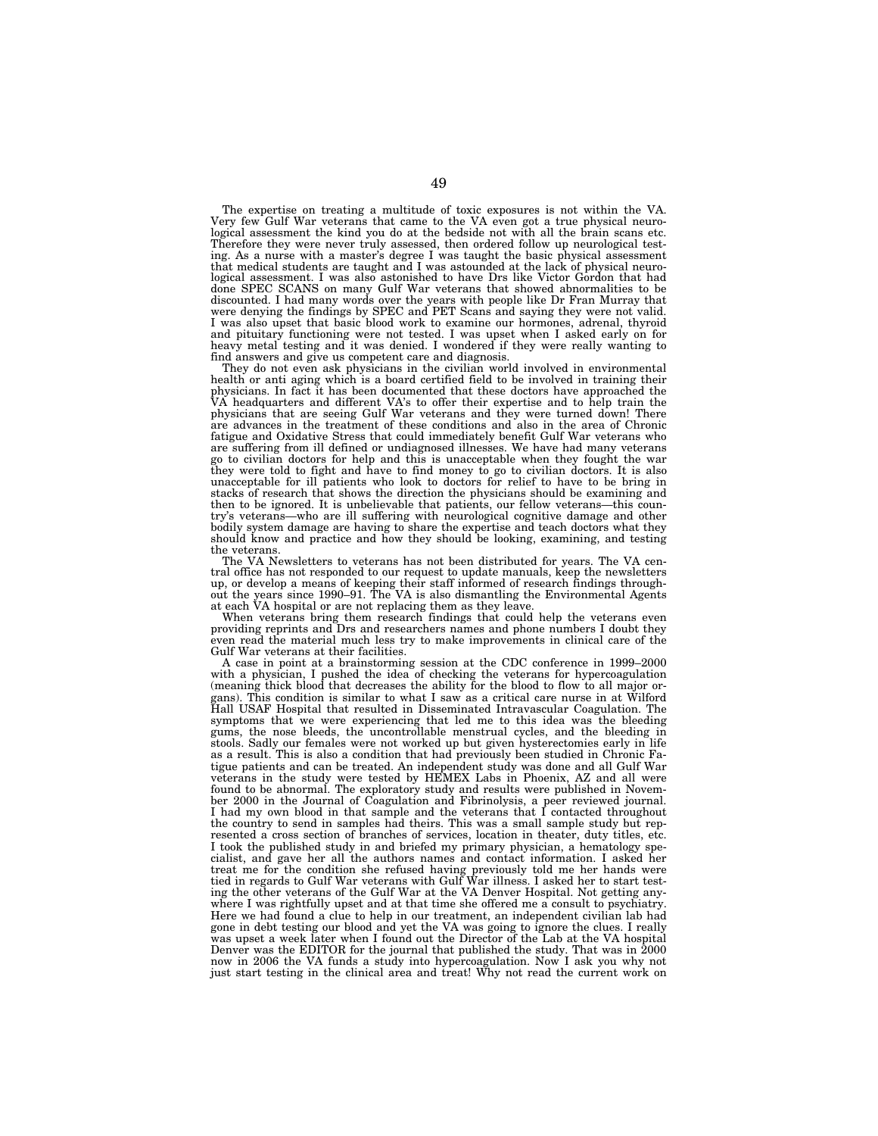The expertise on treating a multitude of toxic exposures is not within the VA. Very few Gulf War veterans that came to the VA even got a true physical neurological assessment the kind you do at the bedside not with all the brain scans etc. Therefore they were never truly assessed, then ordered follow up neurological testing. As a nurse with a master's degree I was taught the basic physical assessment that medical students are taught and I was astounded at the lack of physical neurological assessment. I was also astonished to have Drs like Victor Gordon that had done SPEC SCANS on many Gulf War veterans that showed abnormalities to be discounted. I had many words over the years with people like Dr Fran Murray that were denying the findings by SPEC and PET Scans and saying they were not valid. I was also upset that basic blood work to examine our hormones, adrenal, thyroid and pituitary functioning were not tested. I was upset when I asked early on for heavy metal testing and it was denied. I wondered if they were really wanting to find answers and give us competent care and diagnosis.

They do not even ask physicians in the civilian world involved in environmental health or anti aging which is a board certified field to be involved in training their physicians. In fact it has been documented that these doctors have approached the VA headquarters and different VA's to offer their expertise and to help train the physicians that are seeing Gulf War veterans and they were turned down! There are advances in the treatment of these conditions and also in the area of Chronic fatigue and Oxidative Stress that could immediately benefit Gulf War veterans who are suffering from ill defined or undiagnosed illnesses. We have had many veterans go to civilian doctors for help and this is unacceptable when they fought the war they were told to fight and have to find money to go to civilian doctors. It is also unacceptable for ill patients who look to doctors for relief to have to be bring in stacks of research that shows the direction the physicians should be examining and then to be ignored. It is unbelievable that patients, our fellow veterans—this country's veterans—who are ill suffering with neurological cognitive damage and other bodily system damage are having to share the expertise and teach doctors what they should know and practice and how they should be looking, examining, and testing the veterans.

The VA Newsletters to veterans has not been distributed for years. The VA central office has not responded to our request to update manuals, keep the newsletters up, or develop a means of keeping their staff informed of research findings through-out the years since 1990–91. The VA is also dismantling the Environmental Agents at each VA hospital or are not replacing them as they leave.

When veterans bring them research findings that could help the veterans even providing reprints and Drs and researchers names and phone numbers I doubt they even read the material much less try to make improvements in clinical care of the Gulf War veterans at their facilities.

A case in point at a brainstorming session at the CDC conference in 1999–2000 with a physician, I pushed the idea of checking the veterans for hypercoagulation (meaning thick blood that decreases the ability for the blood to flow to all major organs). This condition is similar to what I saw as a critical care nurse in at Wilford Hall USAF Hospital that resulted in Disseminated Intravascular Coagulation. The symptoms that we were experiencing that led me to this idea was the bleeding gums, the nose bleeds, the uncontrollable menstrual cycles, and the bleeding in stools. Sadly our females were not worked up but given hysterectomies early in life as a result. This is also a condition that had previously been studied in Chronic Fatigue patients and can be treated. An independent study was done and all Gulf War veterans in the study were tested by HEMEX Labs in Phoenix, AZ and all were found to be abnormal. The exploratory study and results were published in November 2000 in the Journal of Coagulation and Fibrinolysis, a peer reviewed journal. I had my own blood in that sample and the veterans that I contacted throughout the country to send in samples had theirs. This was a small sample study but represented a cross section of branches of services, location in theater, duty titles, etc. I took the published study in and briefed my primary physician, a hematology specialist, and gave her all the authors names and contact information. I asked her treat me for the condition she refused having previously told me her hands were tied in regards to Gulf War veterans with Gulf War illness. I asked her to start testing the other veterans of the Gulf War at the VA Denver Hospital. Not getting anywhere I was rightfully upset and at that time she offered me a consult to psychiatry. Here we had found a clue to help in our treatment, an independent civilian lab had gone in debt testing our blood and yet the VA was going to ignore the clues. I really was upset a week later when I found out the Director of the Lab at the VA hospital Denver was the EDITOR for the journal that published the study. That was in 2000 now in 2006 the VA funds a study into hypercoagulation. Now I ask you why not just start testing in the clinical area and treat! Why not read the current work on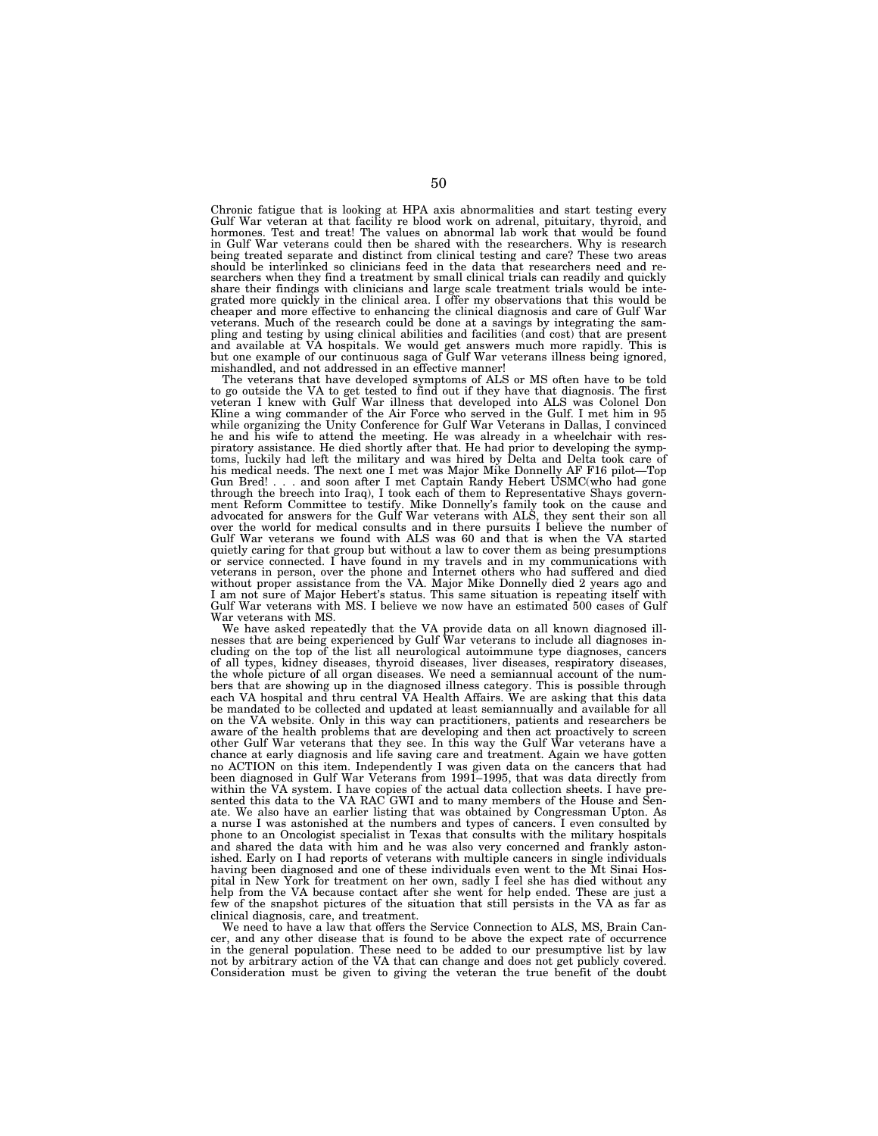Chronic fatigue that is looking at HPA axis abnormalities and start testing every Gulf War veteran at that facility re blood work on adrenal, pituitary, thyroid, and hormones. Test and treat! The values on abnormal lab work that would be found in Gulf War veterans could then be shared with the researchers. Why is research being treated separate and distinct from clinical testing and care? These two areas should be interlinked so clinicians feed in the data that researchers need and researchers when they find a treatment by small clinical trials can readily and quickly share their findings with clinicians and large scale treatment trials would be inte-grated more quickly in the clinical area. I offer my observations that this would be cheaper and more effective to enhancing the clinical diagnosis and care of Gulf War veterans. Much of the research could be done at a savings by integrating the sampling and testing by using clinical abilities and facilities (and cost) that are present and available at VA hospitals. We would get answers much more rapidly. This is but one example of our continuous saga of Gulf War veterans illness being ignored, mishandled, and not addressed in an effective manner!

The veterans that have developed symptoms of ALS or MS often have to be told to go outside the VA to get tested to find out if they have that diagnosis. The first veteran I knew with Gulf War illness that developed into ALS was Colonel Don Kline a wing commander of the Air Force who served in the Gulf. I met him in 95 while organizing the Unity Conference for Gulf War Veterans in Dallas, I convinced he and his wife to attend the meeting. He was already in a wheelchair with respiratory assistance. He died shortly after that. He had prior to developing the symp-toms, luckily had left the military and was hired by Delta and Delta took care of his medical needs. The next one I met was Major Mike Donnelly AF F16 pilot—Top Gun Bred! . . . and soon after I met Captain Randy Hebert USMC(who had gone through the breech into Iraq), I took each of them to Representative Shays government Reform Committee to testify. Mike Donnelly's family took on the cause and<br>advocated for answers for the Gulf War veterans with ALS, they sent their son all<br>over the world for medical consults and in there pursuits I b Gulf War veterans we found with ALS was 60 and that is when the VA started quietly caring for that group but without a law to cover them as being presumptions or service connected. I have found in my travels and in my communications with veterans in person, over the phone and Internet others who had suffered and died without proper assistance from the VA. Major Mike Donnelly died 2 years ago and I am not sure of Major Hebert's status. This same situation is repeating itself with Gulf War veterans with MS. I believe we now have an estimated 500 cases of Gulf War veterans with MS.

We have asked repeatedly that the VA provide data on all known diagnosed ill-nesses that are being experienced by Gulf War veterans to include all diagnoses including on the top of the list all neurological autoimmune type diagnoses, cancers of all types, kidney diseases, thyroid diseases, liver diseases, respiratory diseases, the whole picture of all organ diseases. We need a semiannual account of the numbers that are showing up in the diagnosed illness category. This is possible through each VA hospital and thru central VA Health Affairs. We are asking that this data be mandated to be collected and updated at least semiannually and available for all on the VA website. Only in this way can practitioners, patients and researchers be aware of the health problems that are developing and then act proactively to screen other Gulf War veterans that they see. In this way the Gulf War veterans have a chance at early diagnosis and life saving care and treatment. Again we have gotten no ACTION on this item. Independently I was given data on the cancers that had been diagnosed in Gulf War Veterans from 1991–1995, that was data directly from within the VA system. I have copies of the actual data collection sheets. I have presented this data to the VA RAC GWI and to many members of the House and Senate. We also have an earlier listing that was obtained by Congressman Upton. As a nurse I was astonished at the numbers and types of cancers. I even consulted by phone to an Oncologist specialist in Texas that consults with the military hospitals and shared the data with him and he was also very concerned and frankly astonished. Early on I had reports of veterans with multiple cancers in single individuals having been diagnosed and one of these individuals even went to the Mt Sinai Hospital in New York for treatment on her own, sadly I feel she has died without any help from the VA because contact after she went for help ended. These are just a few of the snapshot pictures of the situation that still persists in the VA as far as clinical diagnosis, care, and treatment.

We need to have a law that offers the Service Connection to ALS, MS, Brain Cancer, and any other disease that is found to be above the expect rate of occurrence in the general population. These need to be added to our presumptive list by law not by arbitrary action of the VA that can change and does not get publicly covered. Consideration must be given to giving the veteran the true benefit of the doubt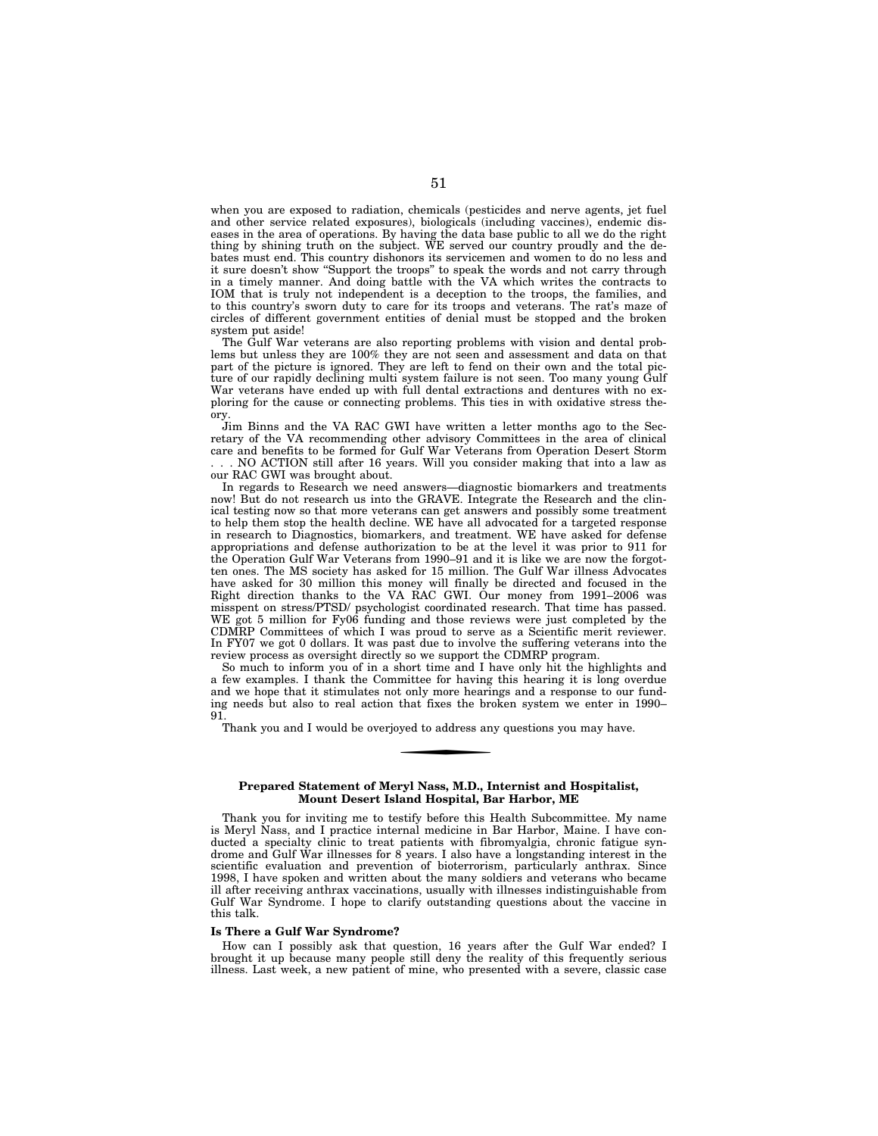when you are exposed to radiation, chemicals (pesticides and nerve agents, jet fuel and other service related exposures), biologicals (including vaccines), endemic diseases in the area of operations. By having the data base public to all we do the right thing by shining truth on the subject. WE served our country proudly and the debates must end. This country dishonors its servicemen and women to do no less and it sure doesn't show "Support the troops" to speak the words and not carry through in a timely manner. And doing battle with the VA which writes the contracts to IOM that is truly not independent is a deception to the troops, the families, and to this country's sworn duty to care for its troops and veterans. The rat's maze of circles of different government entities of denial must be stopped and the broken system put aside!

The Gulf War veterans are also reporting problems with vision and dental problems but unless they are 100% they are not seen and assessment and data on that part of the picture is ignored. They are left to fend on their own and the total picture of our rapidly declining multi system failure is not seen. Too many young Gulf War veterans have ended up with full dental extractions and dentures with no exploring for the cause or connecting problems. This ties in with oxidative stress theory.

Jim Binns and the VA RAC GWI have written a letter months ago to the Secretary of the VA recommending other advisory Committees in the area of clinical care and benefits to be formed for Gulf War Veterans from Operation Desert Storm . NO ACTION still after 16 years. Will you consider making that into a law as our RAC GWI was brought about.

In regards to Research we need answers—diagnostic biomarkers and treatments now! But do not research us into the GRAVE. Integrate the Research and the clinical testing now so that more veterans can get answers and possibly some treatment to help them stop the health decline. WE have all advocated for a targeted response in research to Diagnostics, biomarkers, and treatment. WE have asked for defense appropriations and defense authorization to be at the level it was prior to 911 for the Operation Gulf War Veterans from 1990–91 and it is like we are now the forgotten ones. The MS society has asked for 15 million. The Gulf War illness Advocates have asked for 30 million this money will finally be directed and focused in the Right direction thanks to the VA RAC GWI. Our money from 1991–2006 was misspent on stress/PTSD/ psychologist coordinated research. That time has passed. WE got 5 million for Fy06 funding and those reviews were just completed by the CDMRP Committees of which I was proud to serve as a Scientific merit reviewer. In FY07 we got 0 dollars. It was past due to involve the suffering veterans into the review process as oversight directly so we support the CDMRP program.

So much to inform you of in a short time and I have only hit the highlights and a few examples. I thank the Committee for having this hearing it is long overdue and we hope that it stimulates not only more hearings and a response to our funding needs but also to real action that fixes the broken system we enter in 1990– 91.

Thank you and I would be overjoyed to address any questions you may have.

### **Prepared Statement of Meryl Nass, M.D., Internist and Hospitalist, Mount Desert Island Hospital, Bar Harbor, ME**

Thank you for inviting me to testify before this Health Subcommittee. My name is Meryl Nass, and I practice internal medicine in Bar Harbor, Maine. I have conducted a specialty clinic to treat patients with fibromyalgia, chronic fatigue syndrome and Gulf War illnesses for 8 years. I also have a longstanding interest in the scientific evaluation and prevention of bioterrorism, particularly anthrax. Since 1998, I have spoken and written about the many soldiers and veterans who became ill after receiving anthrax vaccinations, usually with illnesses indistinguishable from Gulf War Syndrome. I hope to clarify outstanding questions about the vaccine in this talk.

### **Is There a Gulf War Syndrome?**

How can I possibly ask that question, 16 years after the Gulf War ended? I brought it up because many people still deny the reality of this frequently serious illness. Last week, a new patient of mine, who presented with a severe, classic case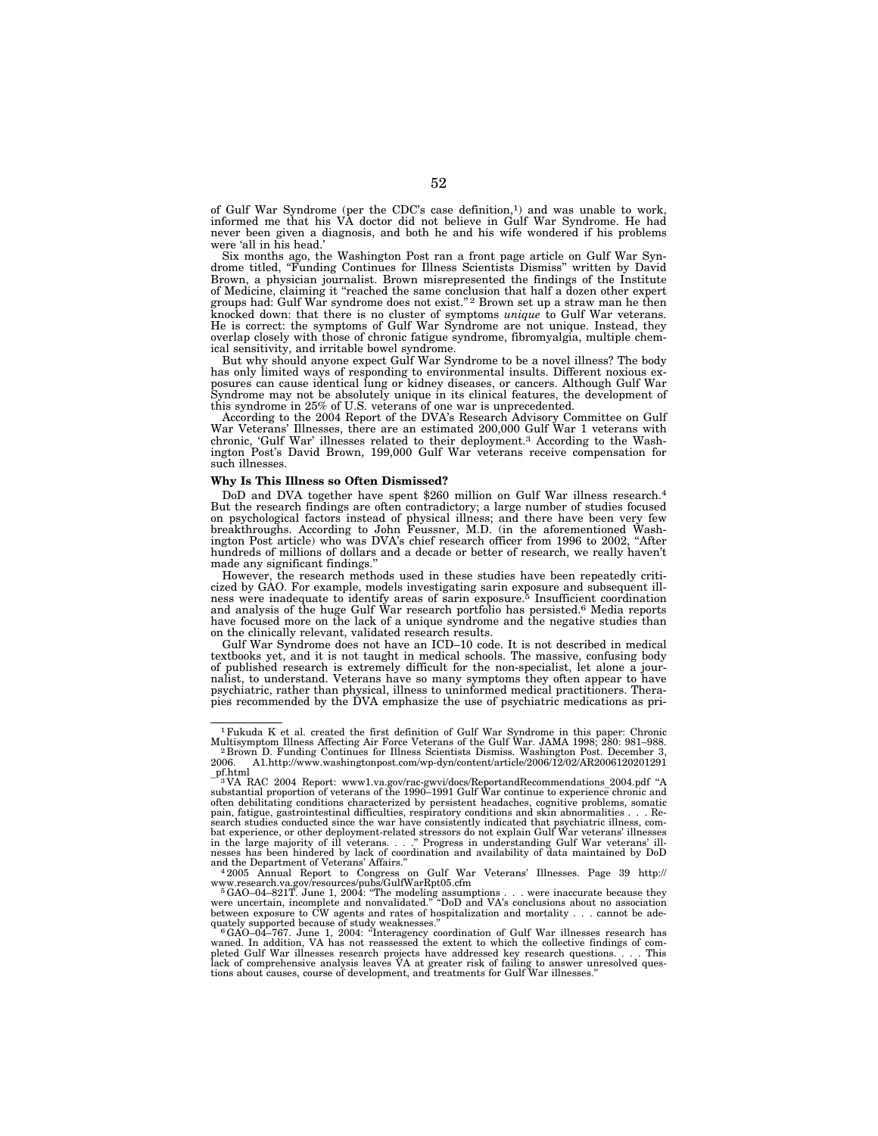of Gulf War Syndrome (per the CDC's case definition,1) and was unable to work, informed me that his VA doctor did not believe in Gulf War Syndrome. He had never been given a diagnosis, and both he and his wife wondered if his problems were 'all in his head.'

Six months ago, the Washington Post ran a front page article on Gulf War Syndrome titled, ''Funding Continues for Illness Scientists Dismiss'' written by David Brown, a physician journalist. Brown misrepresented the findings of the Institute of Medicine, claiming it ''reached the same conclusion that half a dozen other expert groups had: Gulf War syndrome does not exist.'' 2 Brown set up a straw man he then knocked down: that there is no cluster of symptoms *unique* to Gulf War veterans. He is correct: the symptoms of Gulf War Syndrome are not unique. Instead, they overlap closely with those of chronic fatigue syndrome, fibromyalgia, multiple chemical sensitivity, and irritable bowel syndrome.

But why should anyone expect Gulf War Syndrome to be a novel illness? The body has only limited ways of responding to environmental insults. Different noxious exposures can cause identical lung or kidney diseases, or cancers. Although Gulf War Syndrome may not be absolutely unique in its clinical features, the development of this syndrome in 25% of U.S. veterans of one war is unprecedented.

According to the 2004 Report of the DVA's Research Advisory Committee on Gulf War Veterans' Illnesses, there are an estimated 200,000 Gulf War 1 veterans with chronic, 'Gulf War' illnesses related to their deployment.3 According to the Washington Post's David Brown, 199,000 Gulf War veterans receive compensation for such illnesses.

### **Why Is This Illness so Often Dismissed?**

DoD and DVA together have spent \$260 million on Gulf War illness research.4 But the research findings are often contradictory; a large number of studies focused on psychological factors instead of physical illness; and there have been very few breakthroughs. According to John Feussner, M.D. (in the aforementioned Washington Post article) who was DVA's chief research officer from 1996 to 2002, ''After hundreds of millions of dollars and a decade or better of research, we really haven't made any significant findings.''

However, the research methods used in these studies have been repeatedly criticized by GAO. For example, models investigating sarin exposure and subsequent ill-ness were inadequate to identify areas of sarin exposure.5 Insufficient coordination and analysis of the huge Gulf War research portfolio has persisted.6 Media reports have focused more on the lack of a unique syndrome and the negative studies than on the clinically relevant, validated research results.

Gulf War Syndrome does not have an ICD–10 code. It is not described in medical textbooks yet, and it is not taught in medical schools. The massive, confusing body of published research is extremely difficult for the non-specialist, let alone a journalist, to understand. Veterans have so many symptoms they often appear to have psychiatric, rather than physical, illness to uninformed medical practitioners. Therapies recommended by the DVA emphasize the use of psychiatric medications as pri-

www.research.va.gov/resources/pubs/GulfWarRpt05.cfm<br>
<sup>5</sup>GAO–04–821T. June 1, 2004: "The modeling assumptions . . . were inaccurate because they<br>
were uncertain, incomplete and nonvalidatel." "DoD and VA's conclusions about

<sup>1</sup>Fukuda K et al. created the first definition of Gulf War Syndrome in this paper: Chronic

Multisymptom Illness Affecting Air Force Veterans of the Gulf War. JAMA 1998; 280: 981–988.<br>- <sup>2</sup> Brown D. Funding Continues for Illness Scientists Dismiss. Washington Post. December 3,<br>2006. A1.http://www.washingtonpos

<sup>3</sup> VA RAC 2004 Report: www1.va.gov/rac-gwvi/docs/ReportandRecommendations\_2004.pdf ''A substantial proportion of veterans of the 1990–1991 Gulf War continue to experience chronic and often debilitating conditions characterized by persistent headaches, cognitive problems, somatic pain, fatigue, gastrointestinal difficulties, respiratory conditions and skin abnormalities . . . Research studies conducted since the war have consistently indicated that psychiatric illness, combat experience, or other deployment-related stressors do not explain Gulf War veterans' illnesses<br>in the large majority of ill and the Department of Veterans' Affairs.'' 4 2005 Annual Report to Congress on Gulf War Veterans' Illnesses. Page 39 http://

quately supported because of study weaknesses."<br>" GAO–04–767. June 1, 2004: "Interagency coordination of Gulf War illnesses research has<br>waned. In addition, VA has not reassessed the extent to which the collective findings pleted Gulf War illnesses research projects have addressed key research questions. . . . This lack of comprehensive analysis leaves VA at greater risk of failing to answer unresolved ques-tions about causes, course of development, and treatments for Gulf War illnesses.''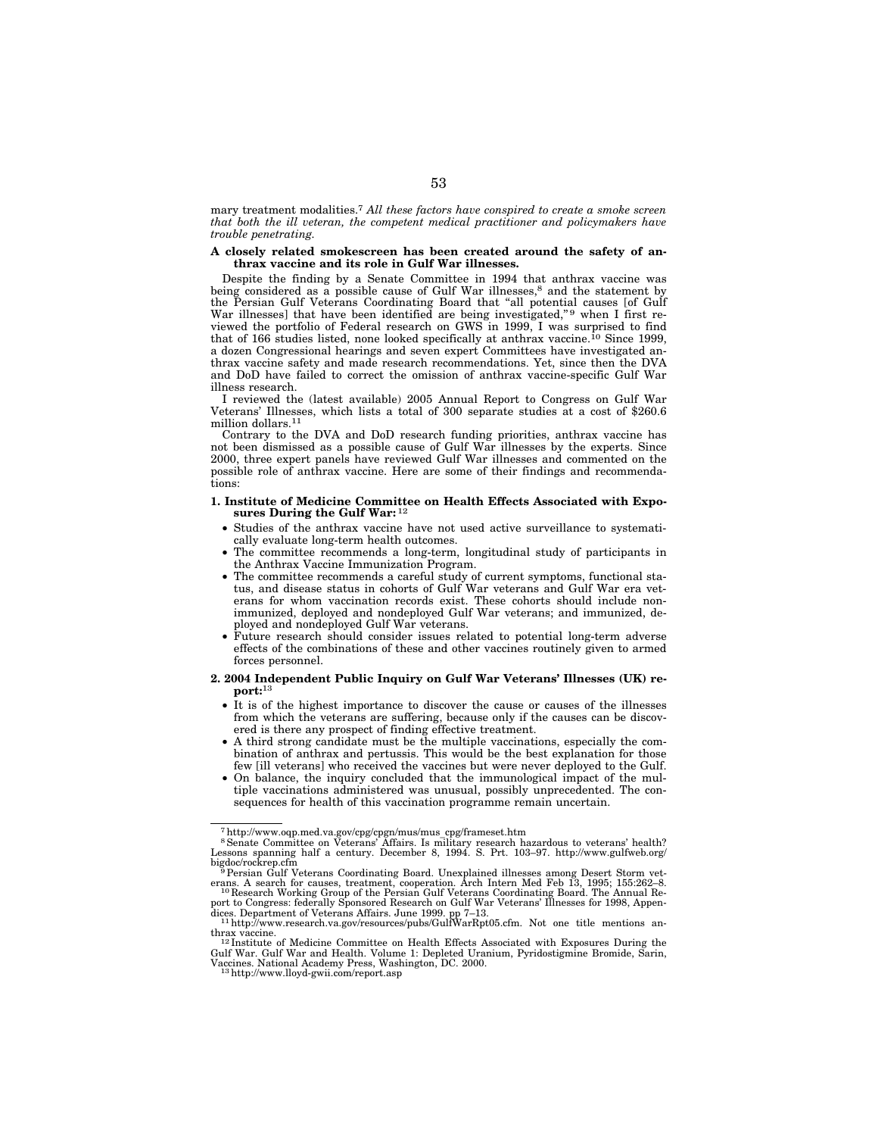mary treatment modalities.7 *All these factors have conspired to create a smoke screen that both the ill veteran, the competent medical practitioner and policymakers have trouble penetrating.* 

#### **A closely related smokescreen has been created around the safety of anthrax vaccine and its role in Gulf War illnesses.**

Despite the finding by a Senate Committee in 1994 that anthrax vaccine was being considered as a possible cause of Gulf War illnesses,<sup>8</sup> and the statement by the Persian Gulf Veterans Coordinating Board that "all potential causes [of Gulf War illnesses] that have been identified are being investigated,"<sup>9</sup> when I first reviewed the portfolio of Federal research on GWS in 1999, I was surprised to find that of 166 studies listed, none looked specifically at anthrax vaccine.<sup>10</sup> Since 1999, a dozen Congressional hearings and seven expert Committees have investigated anthrax vaccine safety and made research recommendations. Yet, since then the DVA and DoD have failed to correct the omission of anthrax vaccine-specific Gulf War illness research.

I reviewed the (latest available) 2005 Annual Report to Congress on Gulf War Veterans' Illnesses, which lists a total of 300 separate studies at a cost of \$260.6 million dollars.11

Contrary to the DVA and DoD research funding priorities, anthrax vaccine has not been dismissed as a possible cause of Gulf War illnesses by the experts. Since 2000, three expert panels have reviewed Gulf War illnesses and commented on the possible role of anthrax vaccine. Here are some of their findings and recommendations:

### **1. Institute of Medicine Committee on Health Effects Associated with Exposures During the Gulf War:** 12

- Studies of the anthrax vaccine have not used active surveillance to systematically evaluate long-term health outcomes.
- The committee recommends a long-term, longitudinal study of participants in the Anthrax Vaccine Immunization Program.
- The committee recommends a careful study of current symptoms, functional status, and disease status in cohorts of Gulf War veterans and Gulf War era veterans for whom vaccination records exist. These cohorts should include nonimmunized, deployed and nondeployed Gulf War veterans; and immunized, deployed and nondeployed Gulf War veterans.
- Future research should consider issues related to potential long-term adverse effects of the combinations of these and other vaccines routinely given to armed forces personnel.
- **2. 2004 Independent Public Inquiry on Gulf War Veterans' Illnesses (UK) report:**13
	- It is of the highest importance to discover the cause or causes of the illnesses from which the veterans are suffering, because only if the causes can be discovered is there any prospect of finding effective treatment.
	- A third strong candidate must be the multiple vaccinations, especially the combination of anthrax and pertussis. This would be the best explanation for those few [ill veterans] who received the vaccines but were never deployed to the Gulf.
	- On balance, the inquiry concluded that the immunological impact of the multiple vaccinations administered was unusual, possibly unprecedented. The consequences for health of this vaccination programme remain uncertain.

<sup>&</sup>lt;sup>7</sup>http://www.oqp.med.va.gov/cpg/cpgn/mus/mus\_cpg/frameset.htm<br><sup>8</sup>Senate Committee on Veterans' Affairs. Is military research hazardous to veterans' health?<br>Lessons spanning half a century. December 8, 1994. S. Prt. 103–97 bigdoc/rockrep.cfm 9Persian Gulf Veterans Coordinating Board. Unexplained illnesses among Desert Storm vet-

erans. A search for causes, treatment, cooperation. Arch Intern Med Feb 13, 1995; 155:262–8.<br><sup>10</sup> Research Working Group of the Persian Gulf Veterans Coordinating Board. The Annual Re-

port to Congress: federally Sponsored Research on Gulf War Veterans' Illnesses for 1998, Appen-<br>dices. Department of Veterans Affairs. June 1999. pp 7–13.<br>14 http://www.research.va.gov/resources/pubs/GulfWarRpt05.cfm. Not

thrax vaccine.<br><sup>12</sup> Institute of Medicine Committee on Health Effects Associated with Exposures During the<br>Gulf War. Gulf War and Health. Volume 1: Depleted Uranium, Pyridostigmine Bromide, Sarin, Vaccines. National Academy Press, Washington, DC. 2000. 13http://www.lloyd-gwii.com/report.asp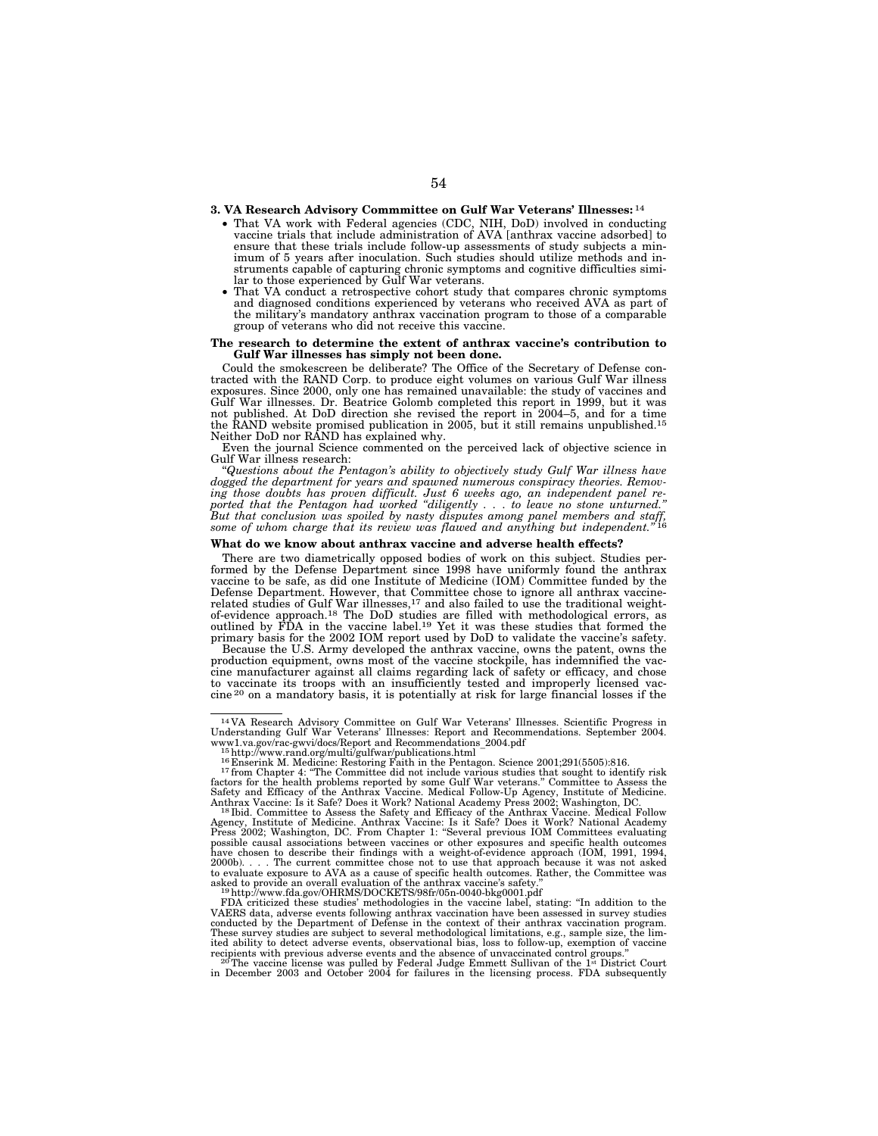### **3. VA Research Advisory Commmittee on Gulf War Veterans' Illnesses:** 14

- That VA work with Federal agencies (CDC, NIH, DoD) involved in conducting vaccine trials that include administration of AVA [anthrax vaccine adsorbed] to ensure that these trials include follow-up assessments of study subjects a minimum of 5 years after inoculation. Such studies should utilize methods and instruments capable of capturing chronic symptoms and cognitive difficulties simi-
- That VA conduct a retrospective cohort study that compares chronic symptoms and diagnosed conditions experienced by veterans who received AVA as part of the military's mandatory anthrax vaccination program to those of a comparable group of veterans who did not receive this vaccine.

#### **The research to determine the extent of anthrax vaccine's contribution to Gulf War illnesses has simply not been done.**

Could the smokescreen be deliberate? The Office of the Secretary of Defense contracted with the RAND Corp. to produce eight volumes on various Gulf War illness exposures. Since 2000, only one has remained unavailable: the study of vaccines and Gulf War illnesses. Dr. Beatrice Golomb completed this report in 1999, but it was not published. At DoD direction she revised the report in 2004–5, and for a time the RAND website promised publication in 2005, but it still remains unpublished.15 Neither DoD nor RAND has explained why.

Even the journal Science commented on the perceived lack of objective science in

Gulf War illness research: ''*Questions about the Pentagon's ability to objectively study Gulf War illness have*  dogged the department for years and spawned numerous conspiracy theories. Removing those doubts has proven difficult. Just 6 weeks ago, an independent panel re-<br>ported that the Pentagon had worked "diligently . . . to leav

### **What do we know about anthrax vaccine and adverse health effects?**

There are two diametrically opposed bodies of work on this subject. Studies performed by the Defense Department since 1998 have uniformly found the anthrax vaccine to be safe, as did one Institute of Medicine (IOM) Committee funded by the Defense Department. However, that Committee chose to ignore all anthrax vaccine-<br>related studies of Gulf War illnesses,<sup>17</sup> and also failed to use the traditional weight-<br>of-evidence approach.<sup>18</sup> The DoD studies are fille primary basis for the 2002 IOM report used by DoD to validate the vaccine's safety.

Because the U.S. Army developed the anthrax vaccine, owns the patent, owns the production equipment, owns most of the vaccine stockpile, has indemnified the vaccine manufacturer against all claims regarding lack of safety or efficacy, and chose to vaccinate its troops with an insufficiently tested and improperly licensed vac-<br>cine <sup>20</sup> on a mandatory basis, it is potentially at risk for large financial losses if the

<sup>15</sup> http://www.rand.org/multi/gulfwar/publications.html<br><sup>15</sup> http://www.rand.org/multi/gulfwar/publications.html<br><sup>16</sup> Enserink M. Medicine: Restoring Faith in the Pentagon. Science 2001;291(5505):816.<br><sup>17</sup> from Chapter 4: factors for the health problems reported by some Gulf War veterans.'' Committee to Assess the Safety and Efficacy of the Anthrax Vaccine. Medical Follow-Up Agency, Institute of Medicine.

<sup>14</sup> VA Research Advisory Committee on Gulf War Veterans' Illnesses. Scientific Progress in Understanding Gulf War Veterans' Illnesses: Report and Recommendations. September 2004.

Anthrax Vaccine: Is it Safe? Does it Work? National Academy Press 2002; Washington, DC.<br><sup>18</sup>Ibid. Committee to Assess the Safety and Efficacy of the Anthrax Vaccine. Medical Follow<br>Agency, Institute of Medicine. Anthrax Va possible causal associations between vaccines or other exposures and specific health outcomes<br>have chosen to describe their findings with a weight-of-evidence approach (IOM, 1991, 1994,<br>2000b). . . . The current committee to evaluate exposure to AVA as a cause of specific health outcomes. Rather, the Committee was<br>asked to provide an overall evaluation of the anthrax vaccine's safety."<br><sup>19</sup>http://www.fda.gov/OHRMS/DOCKETS/98fr/05n-0040-bkg0

FDA criticized these studies' methodologies in the vaccine label, stating: ''In addition to the VAERS data, adverse events following anthrax vaccination have been assessed in survey studies conducted by the Department of Defense in the context of their anthrax vaccination program. These survey studies are subject to several methodological limitations, e.g., sample size, the lim-ited ability to detect adverse events, observational bias, loss to follow-up, exemption of vaccine

recipients with previous adverse events and the absence of unvaccinated control groups."<br><sup>20</sup>The vaccine license was pulled by Federal Judge Emmett Sullivan of the 1" District Court<br>in December 2003 and October 2004 for fa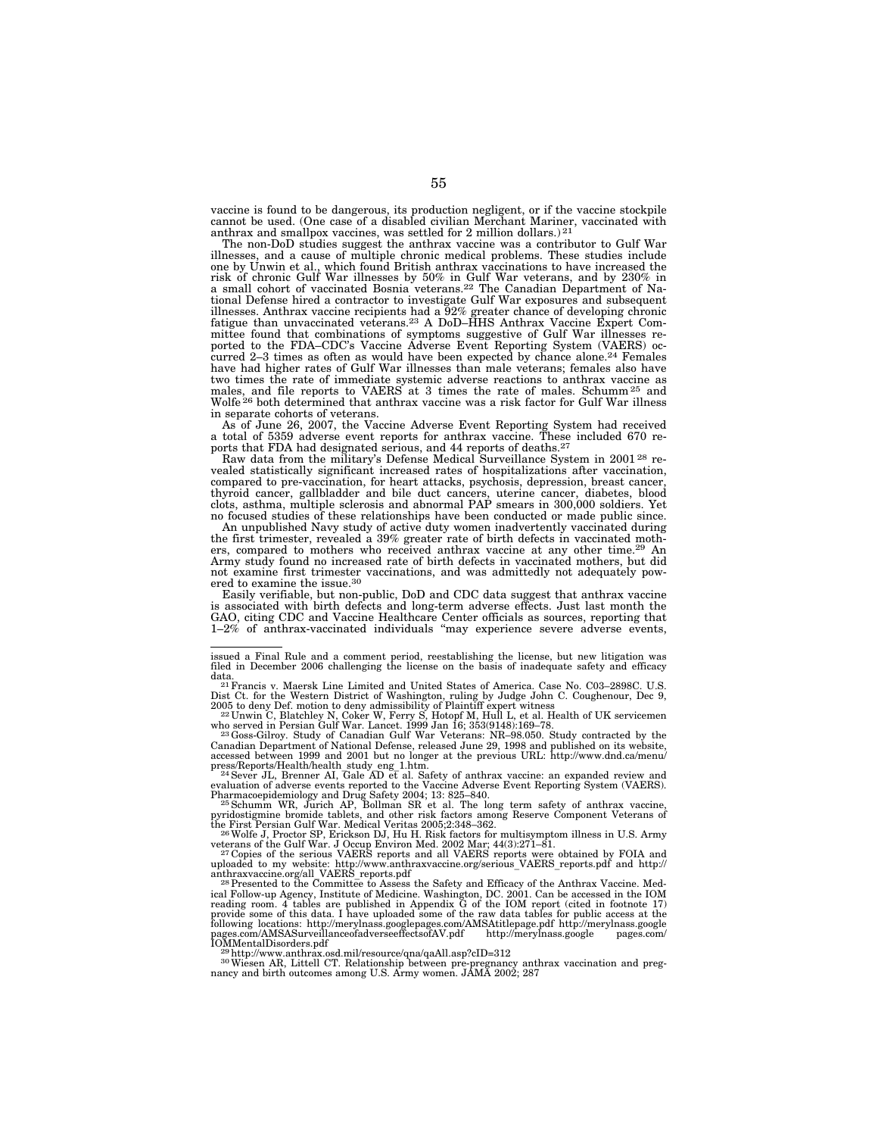vaccine is found to be dangerous, its production negligent, or if the vaccine stockpile cannot be used. (One case of a disabled civilian Merchant Mariner, vaccinated with anthrax and smallpox vaccines, was settled for 2 million dollars.) 21

The non-DoD studies suggest the anthrax vaccine was a contributor to Gulf War illnesses, and a cause of multiple chronic medical problems. These studies include one by Unwin et al., which found British anthrax vaccinations to have increased the risk of chronic Gulf War illnesses by 50% in Gulf War veterans, and by 230% in a small cohort of vaccinated Bosnia veterans.22 The Canadian Department of National Defense hired a contractor to investigate Gulf War exposures and subsequent<br>illnesses. Anthrax vaccine recipients had a 92% greater chance of developing chronic<br>fatigue than unvaccinated veterans.<sup>23</sup> A DoD–HHS Anth mittee found that combinations of symptoms suggestive of Gulf War illnesses re-ported to the FDA–CDC's Vaccine Adverse Event Reporting System (VAERS) occurred 2–3 times as often as would have been expected by chance alone.24 Females have had higher rates of Gulf War illnesses than male veterans; females also have two times the rate of immediate systemic adverse reactions to anthrax vaccine as males, and file reports to VAERS at 3 times the rate of males. Schumm 25 and Wolfe 26 both determined that anthrax vaccine was a risk factor for Gulf War illness in separate cohorts of veterans.

As of June 26, 2007, the Vaccine Adverse Event Reporting System had received a total of 5359 adverse event reports for anthrax vaccine. These included 670 reports that FDA had designated serious, and 44 reports of deaths.<sup>27</sup><br>Raw data from the military's Defense Medical Surveillance System in 2001<sup>28</sup> re-

raw data from the military of the military of the system of hospitalizations after vaccination, compared to pre-vaccination, for heart attacks, psychosis, depression, breast cancer, thyroid cancer, gallbladder and bile duct cancers, uterine cancer, diabetes, blood clots, asthma, multiple sclerosis and abnormal PAP smears in 300,000 soldiers. Yet no focused studies of these relationships have been conducted or made public since.

An unpublished Navy study of active duty women inadvertently vaccinated during the first trimester, revealed a 39% greater rate of birth defects in vaccinated mothers, compared to mothers who received anthrax vaccine at any other time.29 An Army study found no increased rate of birth defects in vaccinated mothers, but did not examine first trimester vaccinations, and was admittedly not adequately powered to examine the issue.30

Easily verifiable, but non-public, DoD and CDC data suggest that anthrax vaccine is associated with birth defects and long-term adverse effects. Just last month the GAO, citing CDC and Vaccine Healthcare Center officials as sources, reporting that 1–2% of anthrax-vaccinated individuals ''may experience severe adverse events,

who served in Persian Gulf War. Lancet. 1999 Jan 16; 353(9148):169–78.<br><sup>23</sup> Goss-Gilroy. Study of Canadian Gulf War Veterans: NR–98.050. Study contracted by the<br>Canadian Department of National Defense, released June 29, 19

press/Reports/Health/health study eng 1.htm.<br>
<sup>24</sup> Sever JL, Brenner AI, Gale AD et al. Safety of anthrax vaccine: an expanded review and<br>
evaluation of adverse events reported to the Vaccine Adverse Event Reporting Syste

veterans of the Gulf War. J Occup Environ Med. 2002 Mar; 44(3):271–81.<br><sup>27</sup>Copies of the serious VAERS reports and all VAERS reports were obtained by FOIA and<br>uploaded to my website: http://www.anthraxvaccine.org/serious

nancy and birth outcomes among U.S. Army women. Depending on the vaccination and pregnancy and birth outcomes among U.S. Army women. JAMA 2002; 287

issued a Final Rule and a comment period, reestablishing the license, but new litigation was filed in December 2006 challenging the license on the basis of inadequate safety and efficacy

data.<br><sup>21</sup> Francis v. Maersk Line Limited and United States of America. Case No. C03–2898C. U.S.<br>Dist Ct. for the Western District of Washington, ruling by Judge John C. Coughenour, Dec 9,<br>2005 to deny Def. motion to deny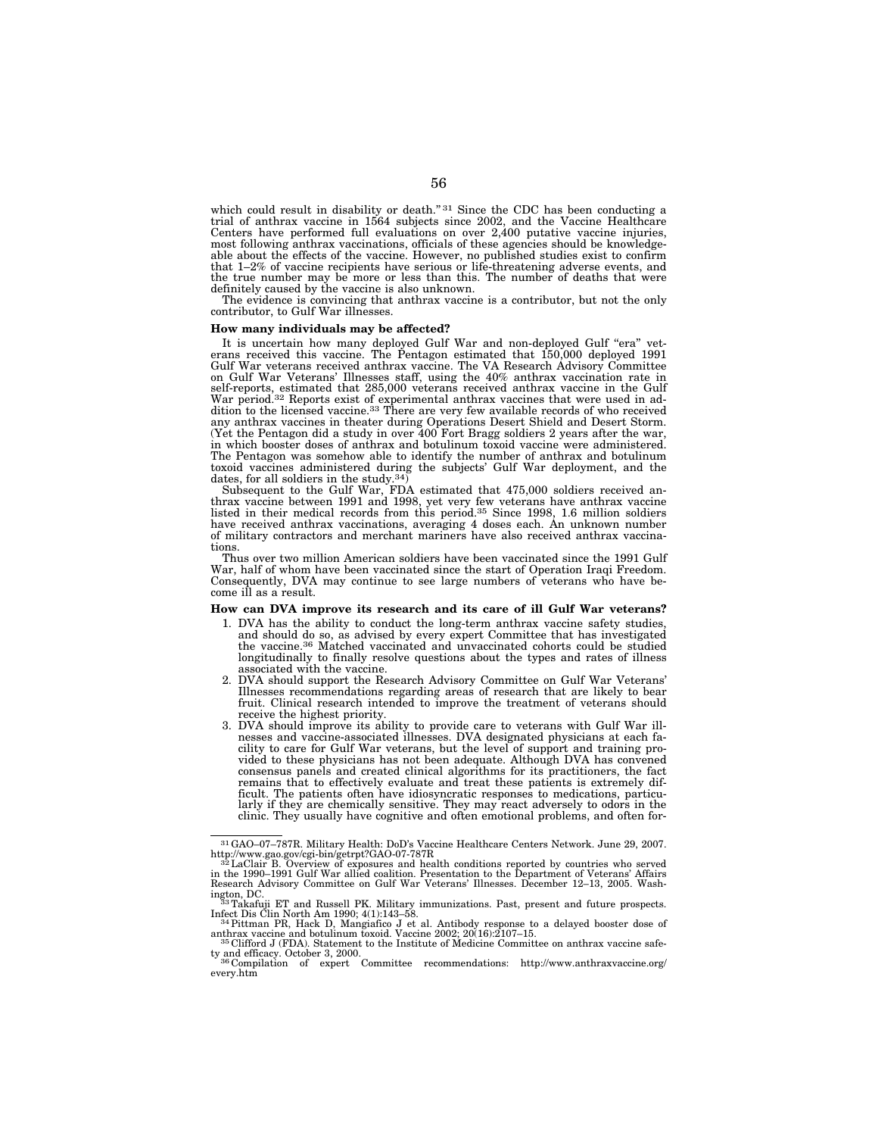which could result in disability or death." 31 Since the CDC has been conducting a trial of anthrax vaccine in 1564 subjects since 2002, and the Vaccine Healthcare Centers have performed full evaluations on over 2,400 putative vaccine injuries, most following anthrax vaccinations, officials of these agencies should be knowledgeable about the effects of the vaccine. However, no published studies exist to confirm that 1–2% of vaccine recipients have serious or life-threatening adverse events, and the true number may be more or less than this. The number of deaths that were definitely caused by the vaccine is also unknown.

The evidence is convincing that anthrax vaccine is a contributor, but not the only contributor, to Gulf War illnesses.

#### **How many individuals may be affected?**

It is uncertain how many deployed Gulf War and non-deployed Gulf "era" vet-<br>erans received this vaccine. The Pentagon estimated that 150,000 deployed 1991 Gulf War veterans received anthrax vaccine. The VA Research Advisory Committee on Gulf War Veterans' Illnesses staff, using the 40% anthrax vaccination rate in self-reports, estimated that 285,000 veterans received anthrax vaccine in the Gulf<br>War period.<sup>32</sup> Reports exist of experimental anthrax vaccines that were used in ad-<br>dition to the licensed vaccine.<sup>33</sup> There are very few any anthrax vaccines in theater during Operations Desert Shield and Desert Storm. (Yet the Pentagon did a study in over 400 Fort Bragg soldiers 2 years after the war, in which booster doses of anthrax and botulinum toxoid vaccine were administered. The Pentagon was somehow able to identify the number of anthrax and botulinum toxoid vaccines administered during the subjects' Gulf War deployment, and the dates, for all soldiers in the study.<sup>34</sup>) Subsequent to the Gulf War, FDA estimated that  $475,000$  soldiers received an-

thrax vaccine between 1991 and 1998, yet very few veterans have anthrax vaccine listed in their medical records from this period.35 Since 1998, 1.6 million soldiers have received anthrax vaccinations, averaging 4 doses each. An unknown number of military contractors and merchant mariners have also received anthrax vaccinations.

Thus over two million American soldiers have been vaccinated since the 1991 Gulf War, half of whom have been vaccinated since the start of Operation Iraqi Freedom. Consequently, DVA may continue to see large numbers of veterans who have become ill as a result.

### **How can DVA improve its research and its care of ill Gulf War veterans?**

- 1. DVA has the ability to conduct the long-term anthrax vaccine safety studies, and should do so, as advised by every expert Committee that has investigated the vaccine.36 Matched vaccinated and unvaccinated cohorts could be studied longitudinally to finally resolve questions about the types and rates of illness associated with the vaccine.
- 2. DVA should support the Research Advisory Committee on Gulf War Veterans' Illnesses recommendations regarding areas of research that are likely to bear fruit. Clinical research intended to improve the treatment of veterans should receive the highest priority.
- 3. DVA should improve its ability to provide care to veterans with Gulf War illnesses and vaccine-associated illnesses. DVA designated physicians at each fa-cility to care for Gulf War veterans, but the level of support and training provided to these physicians has not been adequate. Although DVA has convened consensus panels and created clinical algorithms for its practitioners, the fact remains that to effectively evaluate and treat these patients is extremely difficult. The patients often have idiosyncratic responses to medications, particularly if they are chemically sensitive. They may react adversely to odors in the clinic. They usually have cognitive and often emotional problems, and often for-

 $^{31}$ GAO–07–787R. Military Health: DoD's Vaccine Healthcare Centers Network. June 29, 2007.<br>http://www.gao.gov/cgi-bin/getrpt?GAO-07-787R

http://www.gao.gov/cgi-bin/getrpt?GAO-07-787R<br><sup>332</sup>LaClair B. Overview of exposures and health conditions reported by countries who served<br>in the 1990–1991 Gulf War allied coalition. Presentation to the Department of Veter

ington, DC.<br>
<sup>33</sup>Takafuji ET and Russell PK. Military immunizations. Past, present and future prospects.<br>
<sup>33</sup>Takafuji ET and Russell PK. Military immunizations. Past, present and future prospects. Infect Dis Clin North Am 1990; 4(1):143–58. 34Pittman PR, Hack D, Mangiafico J et al. Antibody response to a delayed booster dose of

anthrax vaccine and botulinum toxoid. Vaccine 2002; 20(16):2107–15.<br><sup>35</sup> Clifford J (FDA). Statement to the Institute of Medicine Committee on anthrax vaccine safe-

ty and efficacy. October 3, 2000.<br><sup>36</sup> Compilation of expert Committee recommendations: http://www.anthraxvaccine.org/

every.htm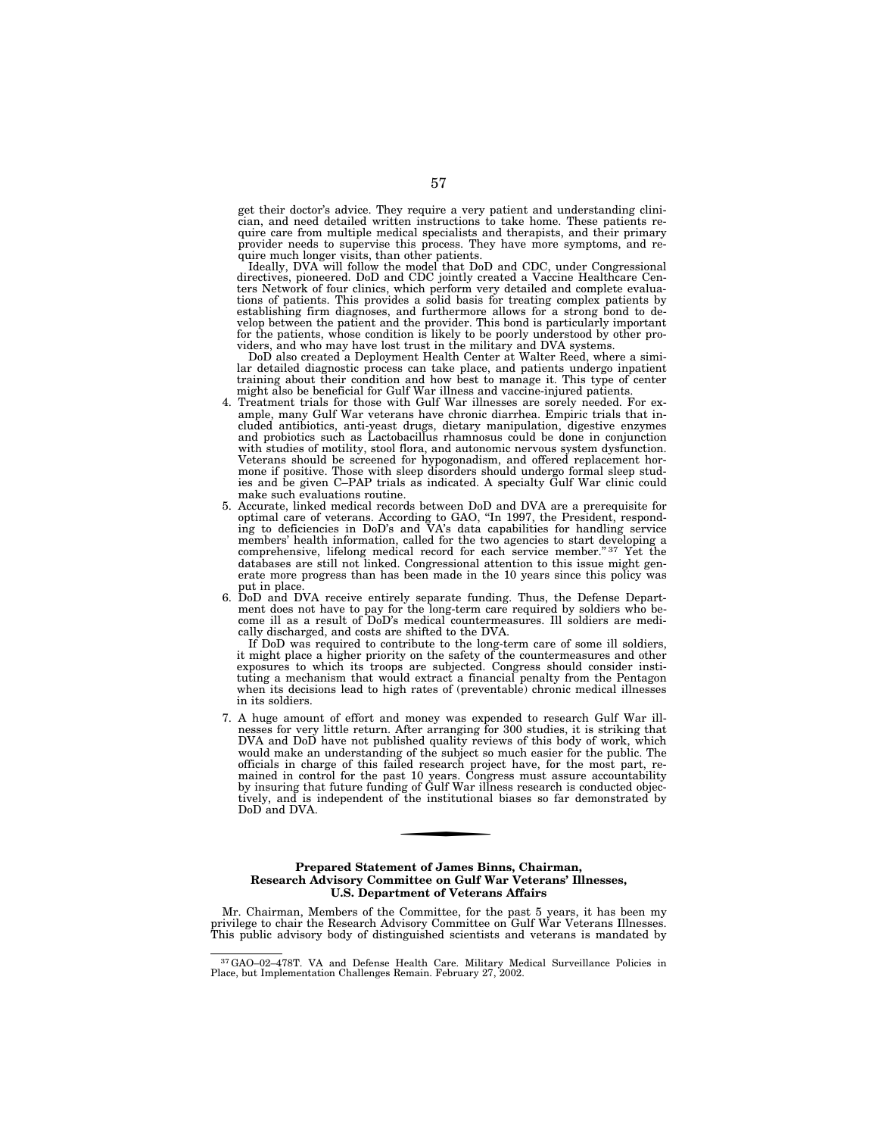get their doctor's advice. They require a very patient and understanding clinician, and need detailed written instructions to take home. These patients require care from multiple medical specialists and therapists, and their primary provider needs to supervise this process. They have more symptoms, and require much longer visits, than other patients.

Ideally, DVA will follow the model that DoD and CDC, under Congressional directives, pioneered. DoD and CDC jointly created a Vaccine Healthcare Centers Network of four clinics, which perform very detailed and complete evaluations of patients. This provides a solid basis for treating complex patients by establishing firm diagnoses, and furthermore allows for a strong bond to de-velop between the patient and the provider. This bond is particularly important for the patients, whose condition is likely to be poorly understood by other providers, and who may have lost trust in the military and DVA systems.

DoD also created a Deployment Health Center at Walter Reed, where a simi-lar detailed diagnostic process can take place, and patients undergo inpatient training about their condition and how best to manage it. This type of center might also be beneficial for Gulf War illness and vaccine-injured patients.

- 4. Treatment trials for those with Gulf War illnesses are sorely needed. For example, many Gulf War veterans have chronic diarrhea. Empiric trials that included antibiotics, anti-yeast drugs, dietary manipulation, digestive enzymes and probiotics such as Lactobacillus rhamnosus could be done in conjunction with studies of motility, stool flora, and autonomic nervous system dysfunction. Veterans should be screened for hypogonadism, and offered replacement hormone if positive. Those with sleep disorders should undergo formal sleep studies and be given C–PAP trials as indicated. A specialty Gulf War clinic could make such evaluations routine.
- 5. Accurate, linked medical records between DoD and DVA are a prerequisite for optimal care of veterans. According to GAO, ''In 1997, the President, responding to deficiencies in DoD's and VA's data capabilities for handling service members' health information, called for the two agencies to start developing a comprehensive, lifelong medical record for each service member." 37 Yet the databases are still not linked. Congressional attention to this issue might generate more progress than has been made in the 10 years since this policy was put in place.
- 6. DoD and DVA receive entirely separate funding. Thus, the Defense Department does not have to pay for the long-term care required by soldiers who become ill as a result of DoD's medical countermeasures. Ill soldiers are medically discharged, and costs are shifted to the DVA.

If DoD was required to contribute to the long-term care of some ill soldiers, it might place a higher priority on the safety of the countermeasures and other exposures to which its troops are subjected. Congress should consider instituting a mechanism that would extract a financial penalty from the Pentagon when its decisions lead to high rates of (preventable) chronic medical illnesses in its soldiers.

7. A huge amount of effort and money was expended to research Gulf War illnesses for very little return. After arranging for 300 studies, it is striking that DVA and DoD have not published quality reviews of this body of work, which would make an understanding of the subject so much easier for the public. The officials in charge of this failed research project have, for the most part, remained in control for the past 10 years. Congress must assure accountability by insuring that future funding of Gulf War illness research is conducted objectively, and is independent of the institutional biases so far demonstrated by DoD and DVA.

### **Prepared Statement of James Binns, Chairman, Research Advisory Committee on Gulf War Veterans' Illnesses, U.S. Department of Veterans Affairs**

Mr. Chairman, Members of the Committee, for the past 5 years, it has been my privilege to chair the Research Advisory Committee on Gulf War Veterans Illnesses. This public advisory body of distinguished scientists and veterans is mandated by

<sup>37</sup>GAO–02–478T. VA and Defense Health Care. Military Medical Surveillance Policies in Place, but Implementation Challenges Remain. February 27, 2002.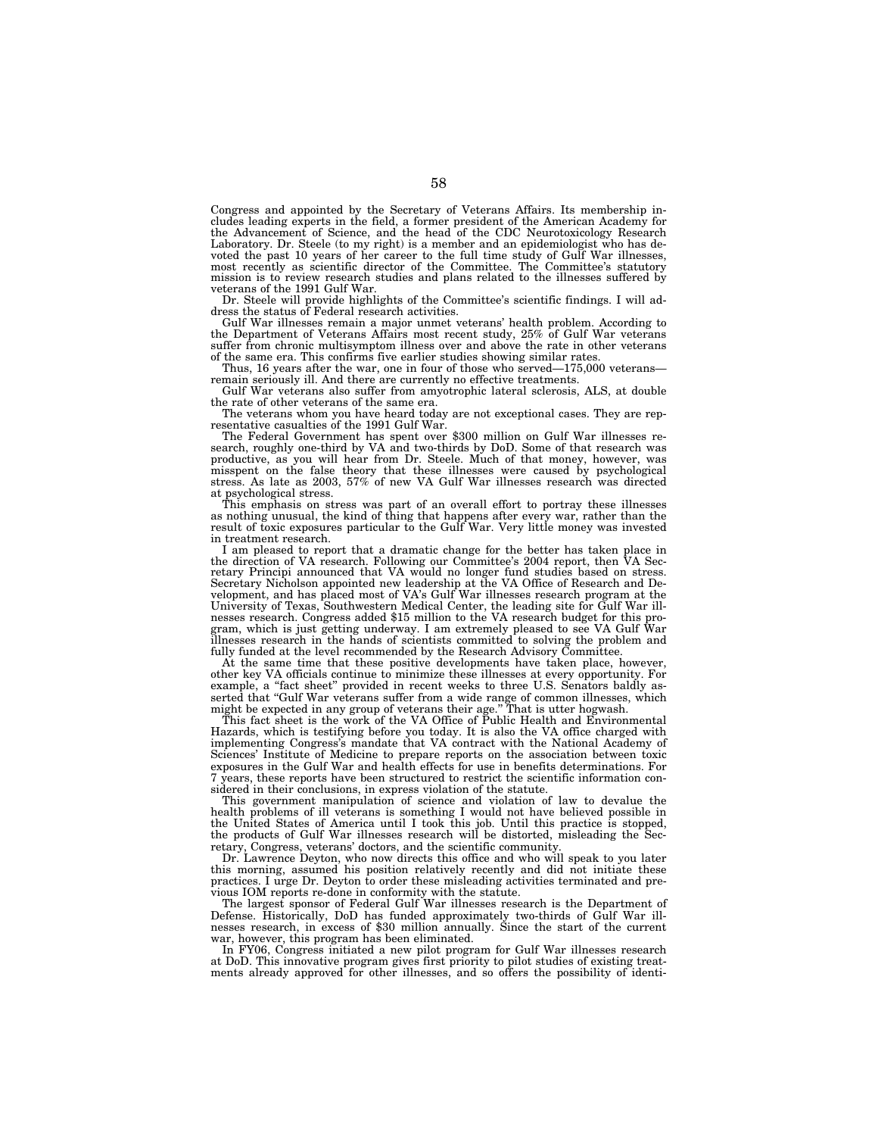Congress and appointed by the Secretary of Veterans Affairs. Its membership includes leading experts in the field, a former president of the American Academy for the Advancement of Science, and the head of the CDC Neurotoxicology Research Laboratory. Dr. Steele (to my right) is a member and an epidemiologist who has devoted the past 10 years of her career to the full time study of Gulf War illnesses, most recently as scientific director of the Committee. The Committee's statutory mission is to review research studies and plans related to the illnesses suffered by veterans of the 1991 Gulf War.

Dr. Steele will provide highlights of the Committee's scientific findings. I will address the status of Federal research activities.

Gulf War illnesses remain a major unmet veterans' health problem. According to the Department of Veterans Affairs most recent study, 25% of Gulf War veterans suffer from chronic multisymptom illness over and above the rate in other veterans of the same era. This confirms five earlier studies showing similar rates.

Thus, 16 years after the war, one in four of those who served—175,000 veterans remain seriously ill. And there are currently no effective treatments.

Gulf War veterans also suffer from amyotrophic lateral sclerosis, ALS, at double

the rate of other veterans of the same era. The veterans whom you have heard today are not exceptional cases. They are rep-

resentative casualties of the 1991 Gulf War. The Federal Government has spent over \$300 million on Gulf War illnesses research, roughly one-third by VA and two-thirds by DoD. Some of that research was productive, as you will hear from Dr. Steele. Much of that money, however, was misspent on the false theory that these illnesses were caused by psychological stress. As late as 2003, 57% of new VA Gulf War illnesses research was directed at psychological stress.

This emphasis on stress was part of an overall effort to portray these illnesses<br>as nothing unusual, the kind of thing that happens after every war, rather than the<br>result of toxic exposures particular to the Gulf War. Ver in treatment research.

I am pleased to report that a dramatic change for the better has taken place in the direction of VA research. Following our Committee's 2004 report, then VA Secretary Principi announced that VA would no longer fund studies based on stress. Secretary Nicholson appointed new leadership at the VA Office of Research and De-velopment, and has placed most of VA's Gulf War illnesses research program at the University of Texas, Southwestern Medical Center, the leading site for Gulf War ill-nesses research. Congress added \$15 million to the VA research budget for this program, which is just getting underway. I am extremely pleased to see VA Gulf War illnesses research in the hands of scientists committed to solving the problem and fully funded at the level recommended by the Research Advisory Committee.

At the same time that these positive developments have taken place, however, other key VA officials continue to minimize these illnesses at every opportunity. For example, a ''fact sheet'' provided in recent weeks to three U.S. Senators baldly asserted that ''Gulf War veterans suffer from a wide range of common illnesses, which might be expected in any group of veterans their age.'' That is utter hogwash.

This fact sheet is the work of the VA Office of Public Health and Environmental Hazards, which is testifying before you today. It is also the VA office charged with implementing Congress's mandate that VA contract with the National Academy of Sciences' Institute of Medicine to prepare reports on the association between toxic exposures in the Gulf War and health effects for use in benefits determinations. For 7 years, these reports have been structured to restrict the scientific information considered in their conclusions, in express violation of the statute.

This government manipulation of science and violation of law to devalue the health problems of ill veterans is something I would not have believed possible in the United States of America until I took this job. Until this practice is stopped, the products of Gulf War illnesses research will be distorted, misleading the Secretary, Congress, veterans' doctors, and the scientific community.

Dr. Lawrence Deyton, who now directs this office and who will speak to you later this morning, assumed his position relatively recently and did not initiate these practices. I urge Dr. Deyton to order these misleading activities terminated and previous IOM reports re-done in conformity with the statute.

The largest sponsor of Federal Gulf War illnesses research is the Department of Defense. Historically, DoD has funded approximately two-thirds of Gulf War illnesses research, in excess of \$30 million annually. Since the start of the current war, however, this program has been eliminated.

In FY06, Congress initiated a new pilot program for Gulf War illnesses research at DoD. This innovative program gives first priority to pilot studies of existing treatments already approved for other illnesses, and so offers the possibility of identi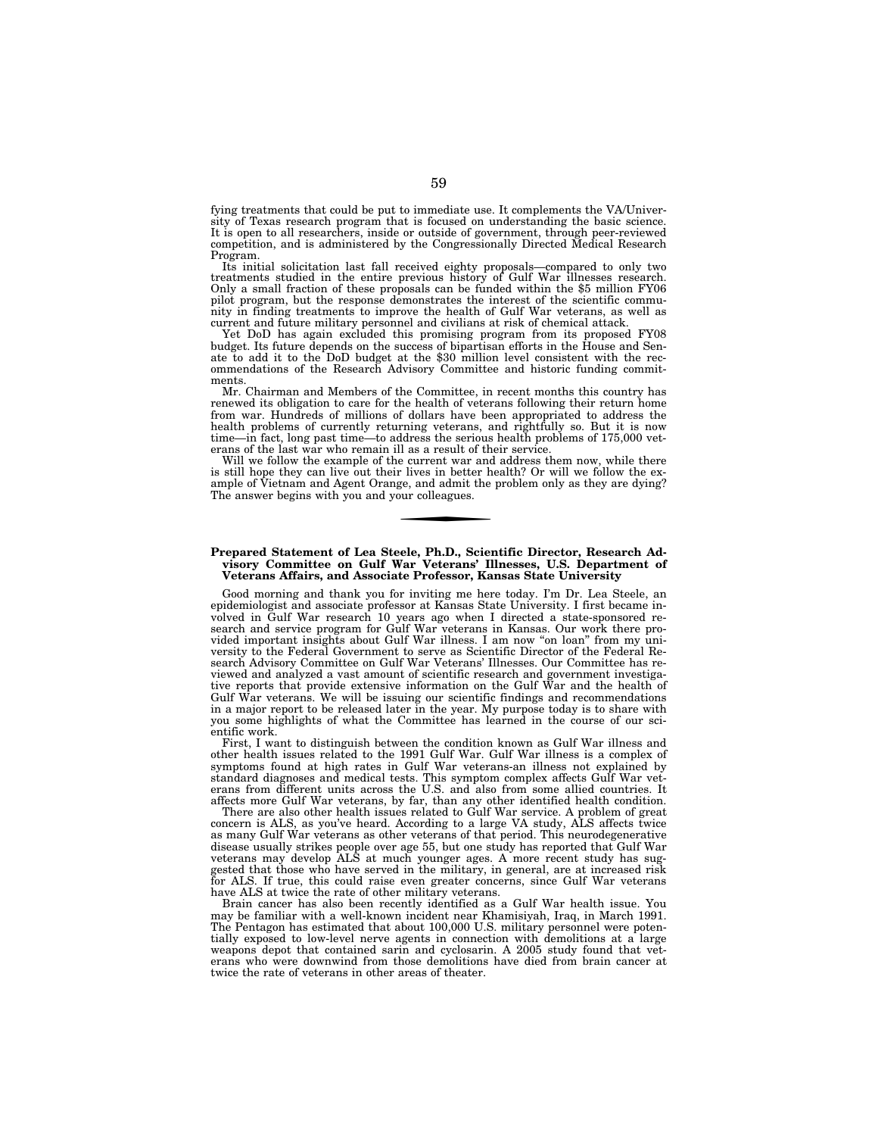fying treatments that could be put to immediate use. It complements the VA/University of Texas research program that is focused on understanding the basic science. It is open to all researchers, inside or outside of government, through peer-reviewed competition, and is administered by the Congressionally Directed Medical Research Program.

Its initial solicitation last fall received eighty proposals—compared to only two treatments studied in the entire previous history of Gulf War illnesses research. Only a small fraction of these proposals can be funded within the \$5 million FY06 pilot program, but the response demonstrates the interest of the scientific community in finding treatments to improve the health of Gulf War veterans, as well as current and future military personnel and civilians at risk of chemical attack.

Yet DoD has again excluded this promising program from its proposed FY08 budget. Its future depends on the success of bipartisan efforts in the House and Senate to add it to the DoD budget at the \$30 million level consistent with the recommendations of the Research Advisory Committee and historic funding commitments.

Mr. Chairman and Members of the Committee, in recent months this country has renewed its obligation to care for the health of veterans following their return home from war. Hundreds of millions of dollars have been appropriated to address the health problems of currently returning veterans, and rightfully so. But it is now time—in fact, long past time—to address the serious health problems of 175,000 veterans of the last war who remain ill as a result of their service.

Will we follow the example of the current war and address them now, while there is still hope they can live out their lives in better health? Or will we follow the example of Vietnam and Agent Orange, and admit the problem only as they are dying? The answer begins with you and your colleagues.

### **Prepared Statement of Lea Steele, Ph.D., Scientific Director, Research Advisory Committee on Gulf War Veterans' Illnesses, U.S. Department of Veterans Affairs, and Associate Professor, Kansas State University**

Good morning and thank you for inviting me here today. I'm Dr. Lea Steele, an epidemiologist and associate professor at Kansas State University. I first became involved in Gulf War research 10 years ago when I directed a state-sponsored research and service program for Gulf War veterans in Kansas. Our work there provided important insights about Gulf War illness. I am now "on loan" from my university to the Federal Government to serve as Scientific Director of the Federal Research Advisory Committee on Gulf War Veterans' Illnesses. Our Committee has reviewed and analyzed a vast amount of scientific research and government investigative reports that provide extensive information on the Gulf War and the health of Gulf War veterans. We will be issuing our scientific findings and recommendations in a major report to be released later in the year. My purpose today is to share with you some highlights of what the Committee has learned in the course of our scientific work.

First, I want to distinguish between the condition known as Gulf War illness and other health issues related to the 1991 Gulf War. Gulf War illness is a complex of symptoms found at high rates in Gulf War veterans-an illness not explained by standard diagnoses and medical tests. This symptom complex affects Gulf War veterans from different units across the U.S. and also from some allied countries. It affects more Gulf War veterans, by far, than any other identified health condition.

There are also other health issues related to Gulf War service. A problem of great concern is ALS, as you've heard. According to a large VA study, ALS affects twice as many Gulf War veterans as other veterans of that period. This neurodegenerative disease usually strikes people over age 55, but one study has reported that Gulf War veterans may develop ALS at much younger ages. A more recent study has suggested that those who have served in the military, in general, are at increased risk for ALS. If true, this could raise even greater concerns, since Gulf War veterans have ALS at twice the rate of other military veterans.

Brain cancer has also been recently identified as a Gulf War health issue. You may be familiar with a well-known incident near Khamisiyah, Iraq, in March 1991. The Pentagon has estimated that about 100,000 U.S. military personnel were potentially exposed to low-level nerve agents in connection with demolitions at a large weapons depot that contained sarin and cyclosarin. A 2005 study found that veterans who were downwind from those demolitions have died from brain cancer at twice the rate of veterans in other areas of theater.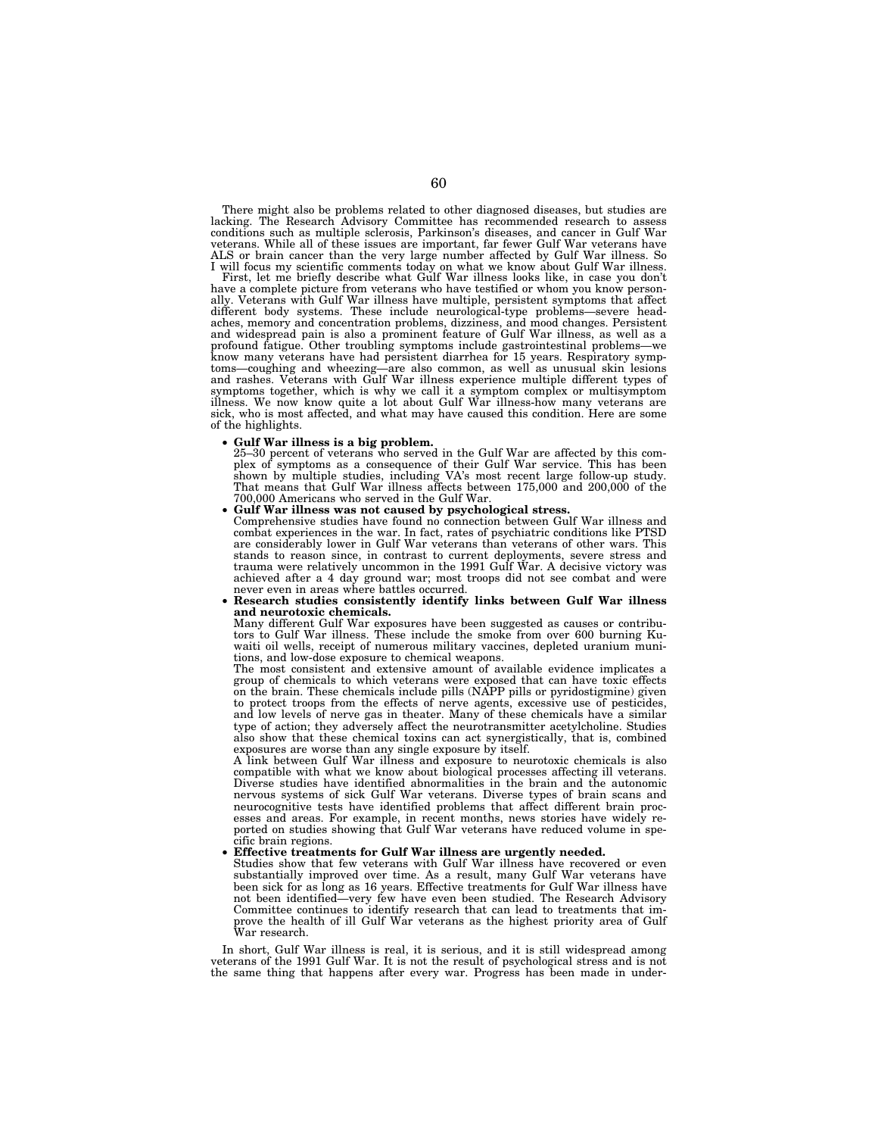There might also be problems related to other diagnosed diseases, but studies are lacking. The Research Advisory Committee has recommended research to assess conditions such as multiple sclerosis, Parkinson's diseases, and cancer in Gulf War veterans. While all of these issues are important, far fewer Gulf War veterans have ALS or brain cancer than the very large number affected by Gulf War illness. So I will focus my scientific comments today on what we know about Gulf War illness.

First, let me briefly describe what Gulf War illness looks like, in case you don't have a complete picture from veterans who have testified or whom you know personally. Veterans with Gulf War illness have multiple, persistent symptoms that affect different body systems. These include neurological-type problems—severe headaches, memory and concentration problems, dizziness, and mood changes. Persistent and widespread pain is also a prominent feature of Gulf War illness, as well as a profound fatigue. Other troubling symptoms include gastrointestinal problems—we know many veterans have had persistent diarrhea for 15 years. Respiratory symptoms—coughing and wheezing—are also common, as well as unusual skin lesions and rashes. Veterans with Gulf War illness experience multiple different types of symptoms together, which is why we call it a symptom complex or multisymptom illness. We now know quite a lot about Gulf War illness-how many veterans are sick, who is most affected, and what may have caused this condition. Here are some of the highlights.

### • **Gulf War illness is a big problem.**

25–30 percent of veterans who served in the Gulf War are affected by this complex of symptoms as a consequence of their Gulf War service. This has been shown by multiple studies, including VA's most recent large follow-up study. That means that Gulf War illness affects between 175,000 and 200,000 of the

Gulf War illness was not caused by psychological stress

Comprehensive studies have found no connection between Gulf War illness and combat experiences in the war. In fact, rates of psychiatric conditions like PTSD are considerably lower in Gulf War veterans than veterans of other wars. This stands to reason since, in contrast to current deployments, severe stress and trauma were relatively uncommon in the 1991 Gulf War. A decisive victory was achieved after a 4 day ground war; most troops did not see combat and were

**• Research studies consistently identify links between Gulf War illness and neurotoxic chemicals.** 

Many different Gulf War exposures have been suggested as causes or contribu-tors to Gulf War illness. These include the smoke from over 600 burning Kuwaiti oil wells, receipt of numerous military vaccines, depleted uranium munitions, and low-dose exposure to chemical weapons.

The most consistent and extensive amount of available evidence implicates a group of chemicals to which veterans were exposed that can have toxic effects on the brain. These chemicals include pills (NAPP pills or pyridostigmine) given to protect troops from the effects of nerve agents, excessive use of pesticides, and low levels of nerve gas in theater. Many of these chemicals have a similar type of action; they adversely affect the neurotransmitter acetylcholine. Studies also show that these chemical toxins can act synergistically, that is, combined exposures are worse than any single exposure by itself.

A link between Gulf War illness and exposure to neurotoxic chemicals is also compatible with what we know about biological processes affecting ill veterans. Diverse studies have identified abnormalities in the brain and the autonomic nervous systems of sick Gulf War veterans. Diverse types of brain scans and neurocognitive tests have identified problems that affect different brain processes and areas. For example, in recent months, news stories have widely reported on studies showing that Gulf War veterans have reduced volume in specific brain regions.

### • **Effective treatments for Gulf War illness are urgently needed.**

Studies show that few veterans with Gulf War illness have recovered or even substantially improved over time. As a result, many Gulf War veterans have been sick for as long as 16 years. Effective treatments for Gulf War illness have not been identified—very few have even been studied. The Research Advisory<br>Committee continues to identify research that can lead to treatments that im-Committee continues to identify research that can lead to treatments that improve the health of ill Gulf War veterans as the highest priority area of Gulf War research.

In short, Gulf War illness is real, it is serious, and it is still widespread among veterans of the 1991 Gulf War. It is not the result of psychological stress and is not the same thing that happens after every war. Progress has been made in under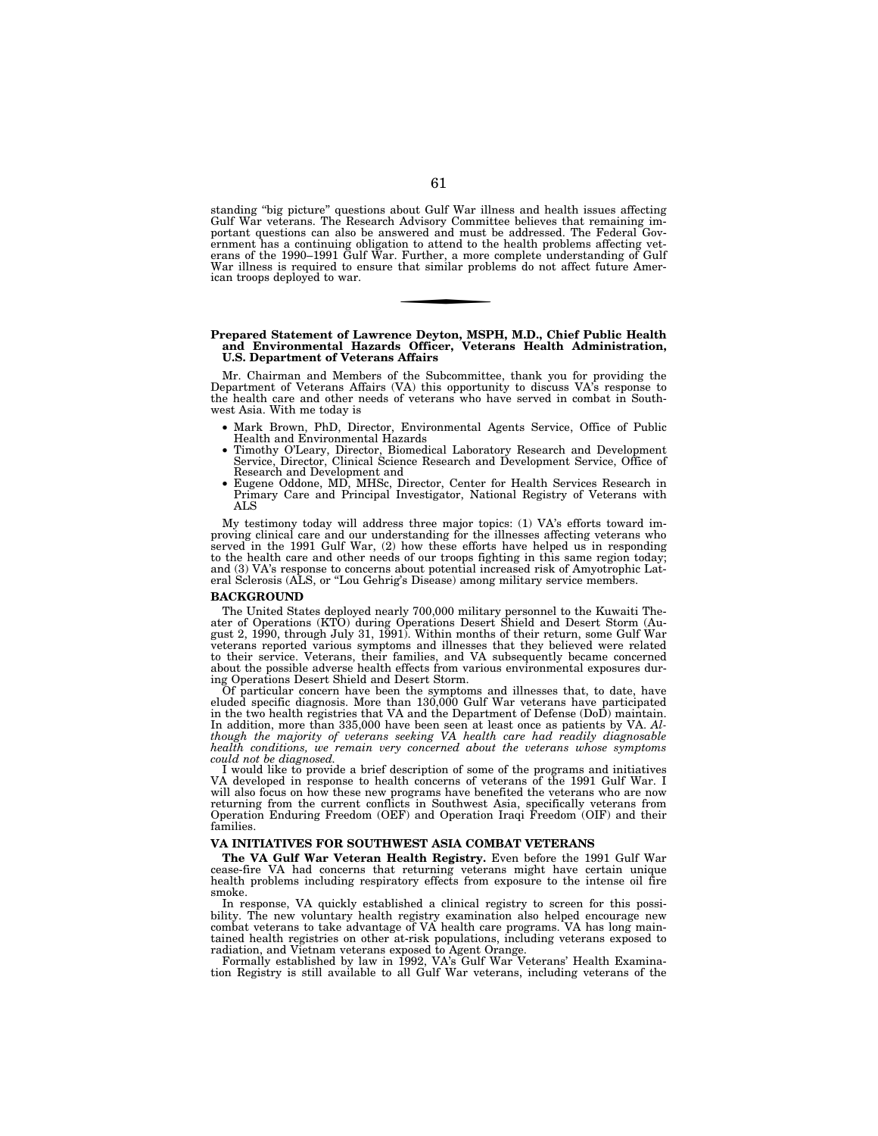standing ''big picture'' questions about Gulf War illness and health issues affecting Gulf War veterans. The Research Advisory Committee believes that remaining important questions can also be answered and must be addressed. The Federal Government has a continuing obligation to attend to the health problems affecting vet-erans of the 1990–1991 Gulf War. Further, a more complete understanding of Gulf War illness is required to ensure that similar problems do not affect future American troops deployed to war.

## **Prepared Statement of Lawrence Deyton, MSPH, M.D., Chief Public Health and Environmental Hazards Officer, Veterans Health Administration, U.S. Department of Veterans Affairs**

Mr. Chairman and Members of the Subcommittee, thank you for providing the Department of Veterans Affairs (VA) this opportunity to discuss VA's response to the health care and other needs of veterans who have served in combat in Southwest Asia. With me today is

- Mark Brown, PhD, Director, Environmental Agents Service, Office of Public
- Health and Environmental Hazards Timothy O'Leary, Director, Biomedical Laboratory Research and Development Service, Director, Clinical Science Research and Development Service, Office of Research and Development and<br>• Eugene Oddone, MD, MHSc, Director, Center for Health Services Research in
- Primary Care and Principal Investigator, National Registry of Veterans with ALS

My testimony today will address three major topics: (1) VA's efforts toward improving clinical care and our understanding for the illnesses affecting veterans who served in the 1991 Gulf War, (2) how these efforts have helped us in responding to the health care and other needs of our troops fighting in this same region today; and (3) VA's response to concerns about potential increased risk of Amyotrophic Lateral Sclerosis (ALS, or ''Lou Gehrig's Disease) among military service members.

#### **BACKGROUND**

The United States deployed nearly 700,000 military personnel to the Kuwaiti Theater of Operations (KTO) during Operations Desert Shield and Desert Storm (Au-gust 2, 1990, through July 31, 1991). Within months of their return, some Gulf War veterans reported various symptoms and illnesses that they believed were related to their service. Veterans, their families, and VA subsequently became concerned about the possible adverse health effects from various environmental exposures dur-ing Operations Desert Shield and Desert Storm.

Of particular concern have been the symptoms and illnesses that, to date, have eluded specific diagnosis. More than 130,000 Gulf War veterans have participated in the two health registries that VA and the Department of Defense (DoD) maintain. In addition, more than 335,000 have been seen at least once as patients by VA. *Although the majority of veterans seeking VA health care had readily diagnosable health conditions, we remain very concerned about the veterans whose symptoms could not be diagnosed.* 

I would like to provide a brief description of some of the programs and initiatives VA developed in response to health concerns of veterans of the 1991 Gulf War. I will also focus on how these new programs have benefited the veterans who are now<br>returning from the current conflicts in Southwest Asia, specifically veterans from<br>Operation Enduring Freedom (OEF) and Operation Iraqi Free families.

### **VA INITIATIVES FOR SOUTHWEST ASIA COMBAT VETERANS**

**The VA Gulf War Veteran Health Registry.** Even before the 1991 Gulf War cease-fire VA had concerns that returning veterans might have certain unique health problems including respiratory effects from exposure to the intense oil fire smoke.

In response, VA quickly established a clinical registry to screen for this possibility. The new voluntary health registry examination also helped encourage new combat veterans to take advantage of VA health care programs. VA has long maintained health registries on other at-risk populations, including veterans exposed to

radiation, and Vietnam veterans exposed to Agent Orange. Formally established by law in 1992, VA's Gulf War Veterans' Health Examination Registry is still available to all Gulf War veterans, including veterans of the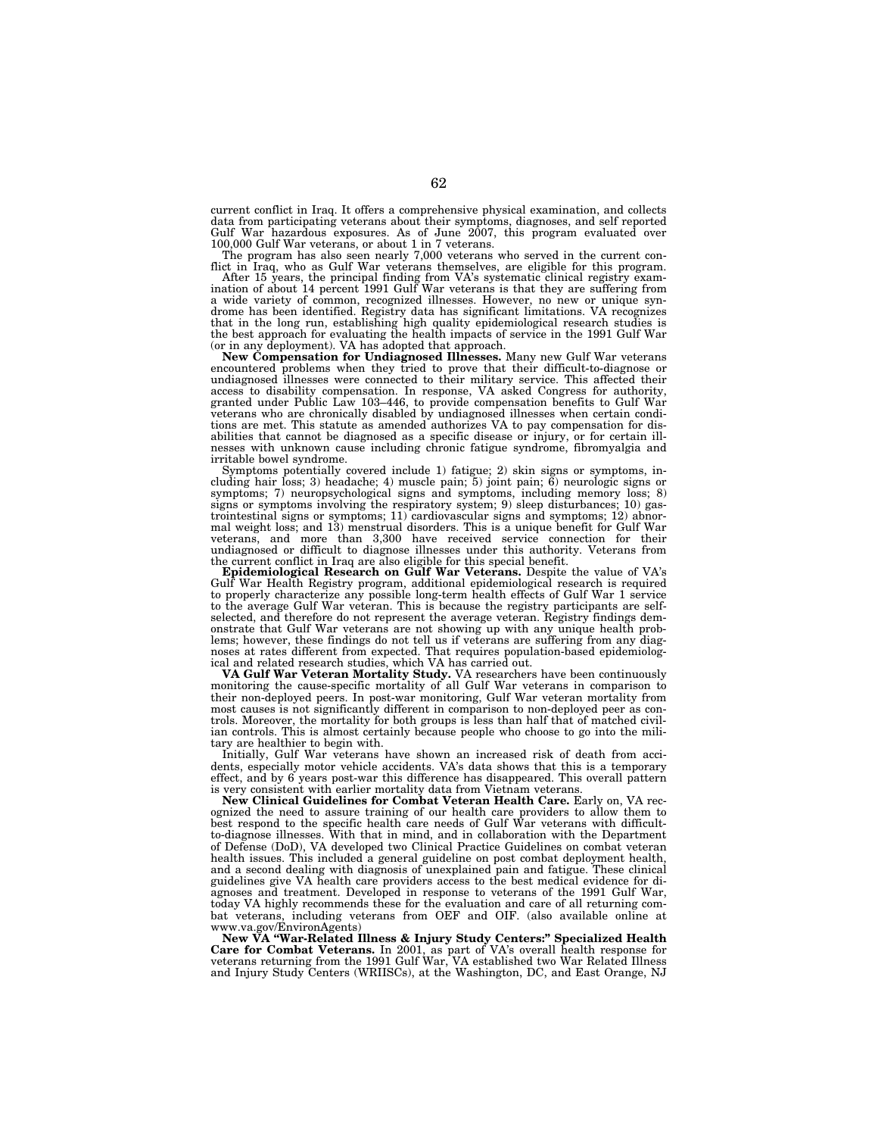current conflict in Iraq. It offers a comprehensive physical examination, and collects data from participating veterans about their symptoms, diagnoses, and self reported Gulf War hazardous exposures. As of June 2007, this program evaluated over

100,000 Gulf War veterans, or about 1 in 7 veterans. The program has also seen nearly 7,000 veterans who served in the current con-

flict in Iraq, who as Gulf War veterans themselves, are eligible for this program.<br>After 15 years, the principal finding from VA's systematic clinical registry examination of about 14 percent 1991 Gulf War veterans is that a wide variety of common, recognized illnesses. However, no new or unique syn-drome has been identified. Registry data has significant limitations. VA recognizes that in the long run, establishing high quality epidemiological research studies is the best approach for evaluating the health impacts of service in the 1991 Gulf War (or in any deployment). VA has adopted that approach.

**New Compensation for Undiagnosed Illnesses.** Many new Gulf War veterans encountered problems when they tried to prove that their difficult-to-diagnose or undiagnosed illnesses were connected to their military service. This affected their access to disability compensation. In response, VA asked Congress for authority, granted under Public Law 103–446, to provide compensation benefits to Gulf War veterans who are chronically disabled by undiagnosed illnesses when certain conditions are met. This statute as amended authorizes VA to pay compensation for dis-abilities that cannot be diagnosed as a specific disease or injury, or for certain illnesses with unknown cause including chronic fatigue syndrome, fibromyalgia and irritable bowel syndrome.

Symptoms potentially covered include 1) fatigue; 2) skin signs or symptoms, in-cluding hair loss; 3) headache; 4) muscle pain; 5) joint pain; 6) neurologic signs or symptoms; 7) neuropsychological signs and symptoms, including memory loss; 8) signs or symptoms involving the respiratory system; 9) sleep disturbances; 10) gastrointestinal signs or symptoms; 11) cardiovascular signs and symptoms; 12) abnormal weight loss; and 13) menstrual disorders. This is a unique benefit for Gulf War veterans, and more than 3,300 have received service connection for their undiagnosed or difficult to diagnose illnesses under this authority. Veterans from the current conflict in Iraq are also eligible for this special benefit.

**Epidemiological Research on Gulf War Veterans.** Despite the value of VA's Gulf War Health Registry program, additional epidemiological research is required to properly characterize any possible long-term health effects of Gulf War 1 service to the average Gulf War veteran. This is because the registry participants are selfselected, and therefore do not represent the average veteran. Registry findings demonstrate that Gulf War veterans are not showing up with any unique health problems; however, these findings do not tell us if veterans are suffering from any diagnoses at rates different from expected. That requires population-based epidemiolog-ical and related research studies, which VA has carried out.

**VA Gulf War Veteran Mortality Study.** VA researchers have been continuously monitoring the cause-specific mortality of all Gulf War veterans in comparison to their non-deployed peers. In post-war monitoring, Gulf War veteran mortality from most causes is not significantly different in comparison to non-deployed peer as controls. Moreover, the mortality for both groups is less than half that of matched civilian controls. This is almost certainly because people who choose to go into the military are healthier to begin with.

Initially, Gulf War veterans have shown an increased risk of death from accidents, especially motor vehicle accidents. VA's data shows that this is a temporary effect, and by 6 years post-war this difference has disappeared. This overall pattern is very consistent with earlier mortality data from Vietnam veterans.

**New Clinical Guidelines for Combat Veteran Health Care.** Early on, VA recognized the need to assure training of our health care providers to allow them to best respond to the specific health care needs of Gulf War veterans with difficultto-diagnose illnesses. With that in mind, and in collaboration with the Department of Defense (DoD), VA developed two Clinical Practice Guidelines on combat veteran health issues. This included a general guideline on post combat deployment health, and a second dealing with diagnosis of unexplained pain and fatigue. These clinical guidelines give VA health care providers access to the best medical evidence for diagnoses and treatment. Developed in response to veterans of the 1991 Gulf War, today VA highly recommends these for the evaluation and care of all returning combat veterans, including veterans from OEF and OIF. (also available online at www.va.gov/EnvironAgents)

**New VA ''War-Related Illness & Injury Study Centers:'' Specialized Health Care for Combat Veterans.** In 2001, as part of VA's overall health response for veterans returning from the 1991 Gulf War, VA established two War Related Illness and Injury Study Centers (WRIISCs), at the Washington, DC, and East Orange, NJ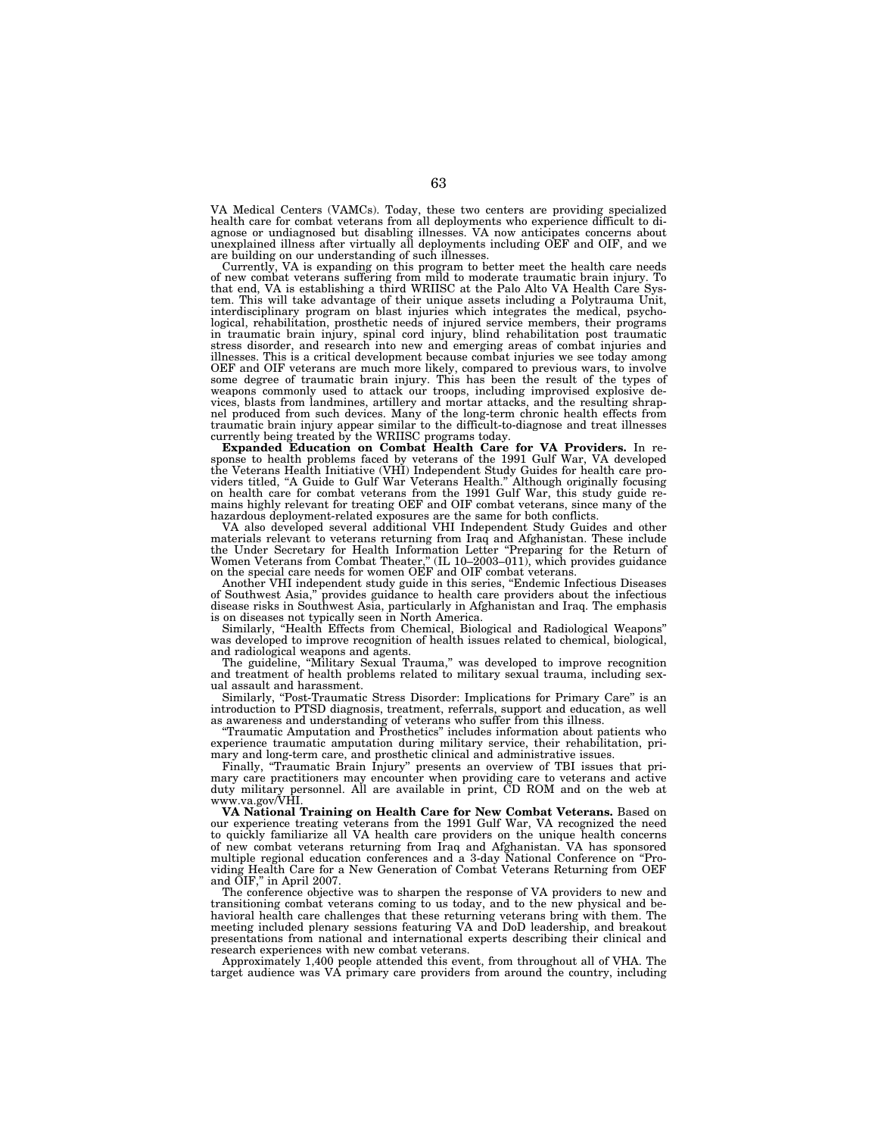VA Medical Centers (VAMCs). Today, these two centers are providing specialized health care for combat veterans from all deployments who experience difficult to diagnose or undiagnosed but disabling illnesses. VA now anticipates concerns about unexplained illness after virtually all deployments including OEF and OIF, and we are building on our understanding of such illnesses.

Currently, VA is expanding on this program to better meet the health care needs of new combat veterans suffering from mild to moderate traumatic brain injury. To that end, VA is establishing a third WRIISC at the Palo Alto VA Health Care System. This will take advantage of their unique assets including a Polytrauma Unit, interdisciplinary program on blast injuries which integrates the medical, psycho-logical, rehabilitation, prosthetic needs of injured service members, their programs in traumatic brain injury, spinal cord injury, blind rehabilitation post traumatic stress disorder, and research into new and emerging areas of combat injuries and illnesses. This is a critical development because combat injuries we see today among OEF and OIF veterans are much more likely, compared to previous wars, to involve some degree of traumatic brain injury. This has been the result of the types of weapons commonly used to attack our troops, including improvised explosive devices, blasts from landmines, artillery and mortar attacks, and the resulting shrap-nel produced from such devices. Many of the long-term chronic health effects from traumatic brain injury appear similar to the difficult-to-diagnose and treat illnesses currently being treated by the WRIISC programs today.

**Expanded Education on Combat Health Care for VA Providers.** In response to health problems faced by veterans of the 1991 Gulf War, VA developed the Veterans Health Initiative (VHI) Independent Study Guides for health care pro-viders titled, ''A Guide to Gulf War Veterans Health.'' Although originally focusing on health care for combat veterans from the 1991 Gulf War, this study guide remains highly relevant for treating OEF and OIF combat veterans, since many of the

hazardous deployment-related exposures are the same for both conflicts. VA also developed several additional VHI Independent Study Guides and other materials relevant to veterans returning from Iraq and Afghanistan. These include the Under Secretary for Health Information Letter "Preparing for the Return of Women Veterans from Combat Theater," (IL 10–2003–011), which provides guidance on the special care needs for women OEF and OIF combat veterans.

of Southwest Asia,'' provides guidance to health care providers about the infectious disease risks in Southwest Asia, particularly in Afghanistan and Iraq. The emphasis is on diseases not typically seen in North America.

Similarly, ''Health Effects from Chemical, Biological and Radiological Weapons'' was developed to improve recognition of health issues related to chemical, biological, and radiological weapons and agents.

The guideline, "Military Sexual Trauma," was developed to improve recognition and treatment of health problems related to military sexual trauma, including sexual assault and harassment.

Similarly, "Post-Traumatic Stress Disorder: Implications for Primary Care" is an introduction to PTSD diagnosis, treatment, referrals, support and education, as well as awareness and understanding of veterans who suffer from this illness.

''Traumatic Amputation and Prosthetics'' includes information about patients who experience traumatic amputation during military service, their rehabilitation, primary and long-term care, and prosthetic clinical and administrative issues.

Finally, ''Traumatic Brain Injury'' presents an overview of TBI issues that primary care practitioners may encounter when providing care to veterans and active duty military personnel. All are available in print, CD ROM and on the web at www.va.gov/VHI.

**VA National Training on Health Care for New Combat Veterans.** Based on our experience treating veterans from the 1991 Gulf War, VA recognized the need to quickly familiarize all VA health care providers on the unique health concerns of new combat veterans returning from Iraq and Afghanistan. VA has sponsored multiple regional education conferences and a 3-day National Conference on ''Providing Health Care for a New Generation of Combat Veterans Returning from OEF and  $\text{OIF},$ " in April 2007.

The conference objective was to sharpen the response of VA providers to new and transitioning combat veterans coming to us today, and to the new physical and behavioral health care challenges that these returning veterans bring with them. The meeting included plenary sessions featuring VA and DoD leadership, and breakout presentations from national and international experts describing their clinical and research experiences with new combat veterans.

Approximately 1,400 people attended this event, from throughout all of VHA. The target audience was VA primary care providers from around the country, including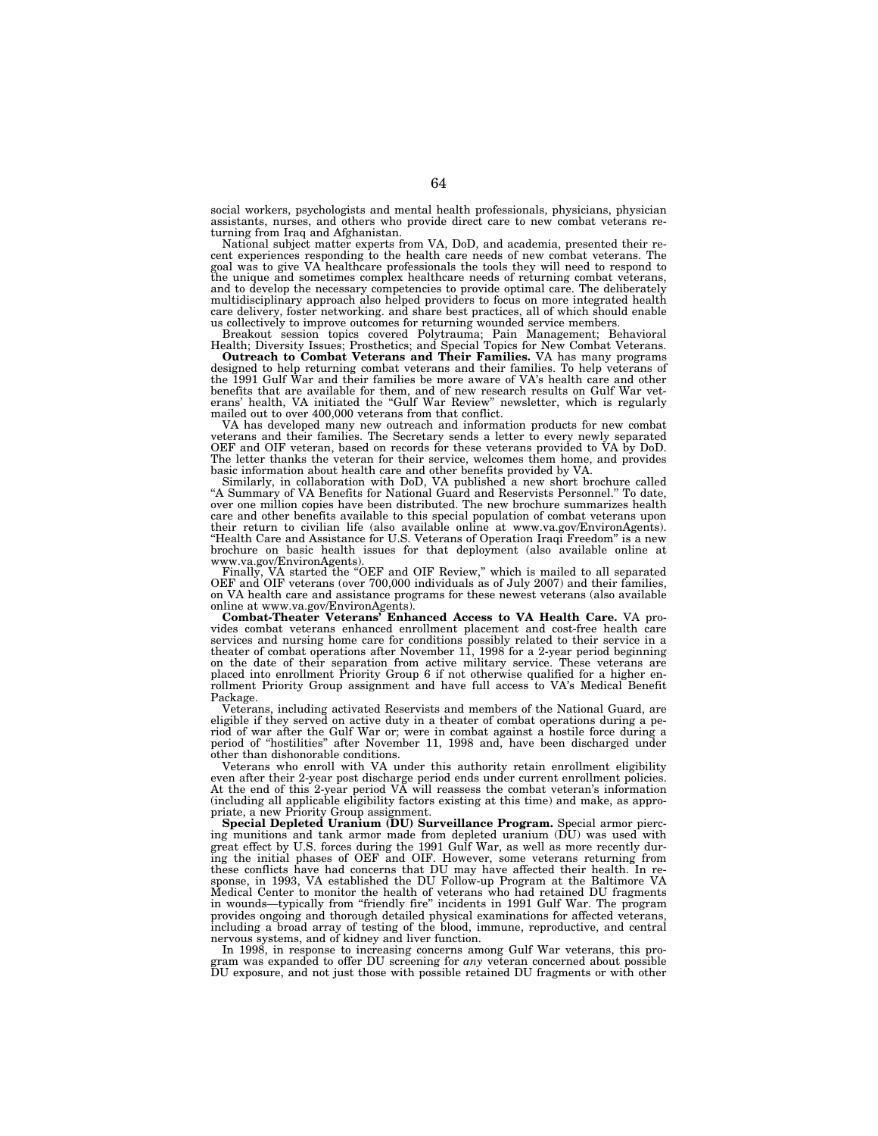social workers, psychologists and mental health professionals, physicians, physician assistants, nurses, and others who provide direct care to new combat veterans returning from Iraq and Afghanistan.

National subject matter experts from VA, DoD, and academia, presented their recent experiences responding to the health care needs of new combat veterans. The goal was to give VA healthcare professionals the tools they will need to respond to the unique and sometimes complex healthcare needs of returning combat veterans, and to develop the necessary competencies to provide optimal care. The deliberately multidisciplinary approach also helped providers to focus on more integrated health care delivery, foster networking. and share best practices, all of which should enable us collectively to improve outcomes for returning wounded service members.

Breakout session topics covered Polytrauma; Pain Management; Behavioral Health; Diversity Issues; Prosthetics; and Special Topics for New Combat Veterans.

**Outreach to Combat Veterans and Their Families.** VA has many programs designed to help returning combat veterans and their families. To help veterans of the 1991 Gulf War and their families be more aware of VA's health care and other benefits that are available for them, and of new research results on Gulf War veterans' health, VA initiated the ''Gulf War Review'' newsletter, which is regularly mailed out to over 400,000 veterans from that conflict.

VA has developed many new outreach and information products for new combat veterans and their families. The Secretary sends a letter to every newly separated OEF and OIF veteran, based on records for these veterans provided to VA by DoD. The letter thanks the veteran for their service, welcomes them home, and provides basic information about health care and other benefits provided by VA. Similarly, in collaboration with DoD, VA published a new short brochure called

''A Summary of VA Benefits for National Guard and Reservists Personnel.'' To date, over one million copies have been distributed. The new brochure summarizes health care and other benefits available to this special population of combat veterans upon their return to civilian life (also available online at www.va.gov/EnvironAgents). ''Health Care and Assistance for U.S. Veterans of Operation Iraqi Freedom'' is a new brochure on basic health issues for that deployment (also available online at www.va.gov/EnvironAgents).

Finally, VA started the "OEF and OIF Review," which is mailed to all separated OEF and OIF veterans (over 700,000 individuals as of July 2007) and their families, on VA health care and assistance programs for these newest veterans (also available online at www.va.gov/EnvironAgents).

**Combat-Theater Veterans' Enhanced Access to VA Health Care.** VA provides combat veterans enhanced enrollment placement and cost-free health care services and nursing home care for conditions possibly related to their service in a theater of combat operations after November 11, 1998 for a 2-year period beginning on the date of their separation from active military service. These veterans are placed into enrollment Priority Group 6 if not otherwise qualified for a higher enrollment Priority Group assignment and have full access to VA's Medical Benefit Package.

Veterans, including activated Reservists and members of the National Guard, are eligible if they served on active duty in a theater of combat operations during a period of war after the Gulf War or; were in combat against a hostile force during a period of ''hostilities'' after November 11, 1998 and, have been discharged under other than dishonorable conditions.

Veterans who enroll with VA under this authority retain enrollment eligibility even after their 2-year post discharge period ends under current enrollment policies. At the end of this 2-year period VA will reassess the combat veteran's information (including all applicable eligibility factors existing at this time) and make, as appropriate, a new Priority Group assignment.

**Special Depleted Uranium (DU) Surveillance Program.** Special armor piercing munitions and tank armor made from depleted uranium (DU) was used with great effect by U.S. forces during the 1991 Gulf War, as well as more recently during the initial phases of OEF and OIF. However, some veterans returning from these conflicts have had concerns that DU may have affected their health. In response, in 1993, VA established the DU Follow-up Program at the Baltimore VA Medical Center to monitor the health of veterans who had retained DU fragments in wounds—typically from "friendly fire" incidents in 1991 Gulf War. The program provides ongoing and thorough detailed physical examinations for affected veterans, including a broad array of testing of the blood, immune, reproductive, and central nervous systems, and of kidney and liver function.

In 1998, in response to increasing concerns among Gulf War veterans, this program was expanded to offer DU screening for *any* veteran concerned about possible DU exposure, and not just those with possible retained DU fragments or with other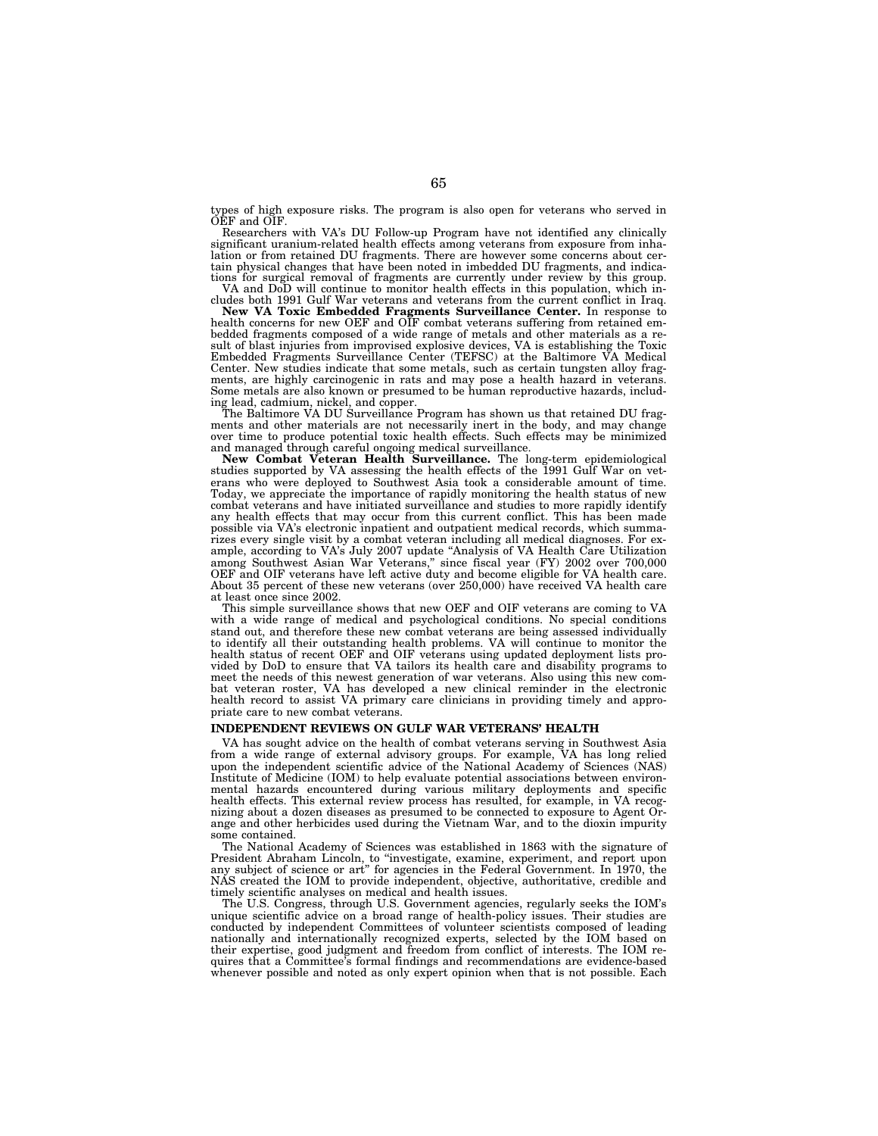types of high exposure risks. The program is also open for veterans who served in OEF and OIF.

Researchers with VA's DU Follow-up Program have not identified any clinically significant uranium-related health effects among veterans from exposure from inha-lation or from retained DU fragments. There are however some concerns about certain physical changes that have been noted in imbedded DU fragments, and indications for surgical removal of fragments are currently under review by this group. VA and DoD will continue to monitor health effects in this population, which in-

cludes both 1991 Gulf War veterans and veterans from the current conflict in Iraq.

**New VA Toxic Embedded Fragments Surveillance Center.** In response to health concerns for new OEF and OIF combat veterans suffering from retained embedded fragments composed of a wide range of metals and other materials as a result of blast injuries from improvised explosive devices, VA is establishing the Toxic Embedded Fragments Surveillance Center (TEFSC) at the Baltimore VA Medical Center. New studies indicate that some metals, such as certain tungsten alloy fragments, are highly carcinogenic in rats and may pose a health hazard in veterans. Some metals are also known or presumed to be human reproductive hazards, includ-

ing lead, cadmium, nickel, and copper. The Baltimore VA DU Surveillance Program has shown us that retained DU fragments and other materials are not necessarily inert in the body, and may change over time to produce potential toxic health effects. Such effects may be minimized and managed through careful ongoing medical surveillance.

**New Combat Veteran Health Surveillance.** The long-term epidemiological studies supported by VA assessing the health effects of the 1991 Gulf War on veterans who were deployed to Southwest Asia took a considerable amount of time. Today, we appreciate the importance of rapidly monitoring the health status of new combat veterans and have initiated surveillance and studies to more rapidly identify any health effects that may occur from this current conflict. This has been made possible via VA's electronic inpatient and outpatient medical records, which summarizes every single visit by a combat veteran including all medical diagnoses. For example, according to VA's July 2007 update ''Analysis of VA Health Care Utilization among Southwest Asian War Veterans,'' since fiscal year (FY) 2002 over 700,000 OEF and OIF veterans have left active duty and become eligible for VA health care. About 35 percent of these new veterans (over 250,000) have received VA health care at least once since 2002.

This simple surveillance shows that new OEF and OIF veterans are coming to VA with a wide range of medical and psychological conditions. No special conditions stand out, and therefore these new combat veterans are being assessed individually to identify all their outstanding health problems. VA will continue to monitor the health status of recent OEF and OIF veterans using updated deployment lists provided by DoD to ensure that VA tailors its health care and disability programs to meet the needs of this newest generation of war veterans. Also using this new combat veteran roster, VA has developed a new clinical reminder in the electronic health record to assist VA primary care clinicians in providing timely and appropriate care to new combat veterans.

### **INDEPENDENT REVIEWS ON GULF WAR VETERANS' HEALTH**

VA has sought advice on the health of combat veterans serving in Southwest Asia from a wide range of external advisory groups. For example, VA has long relied upon the independent scientific advice of the National Academy of Sciences (NAS) Institute of Medicine (IOM) to help evaluate potential associations between environmental hazards encountered during various military deployments and specific health effects. This external review process has resulted, for example, in VA recognizing about a dozen diseases as presumed to be connected to exposure to Agent Orange and other herbicides used during the Vietnam War, and to the dioxin impurity some contained.

The National Academy of Sciences was established in 1863 with the signature of President Abraham Lincoln, to ''investigate, examine, experiment, and report upon any subject of science or art'' for agencies in the Federal Government. In 1970, the NAS created the IOM to provide independent, objective, authoritative, credible and timely scientific analyses on medical and health issues.

The U.S. Congress, through U.S. Government agencies, regularly seeks the IOM's unique scientific advice on a broad range of health-policy issues. Their studies are conducted by independent Committees of volunteer scientists composed of leading nationally and internationally recognized experts, selected by the IOM based on their expertise, good judgment and freedom from conflict of interests. The IOM requires that a Committee's formal findings and recommendations are evidence-based whenever possible and noted as only expert opinion when that is not possible. Each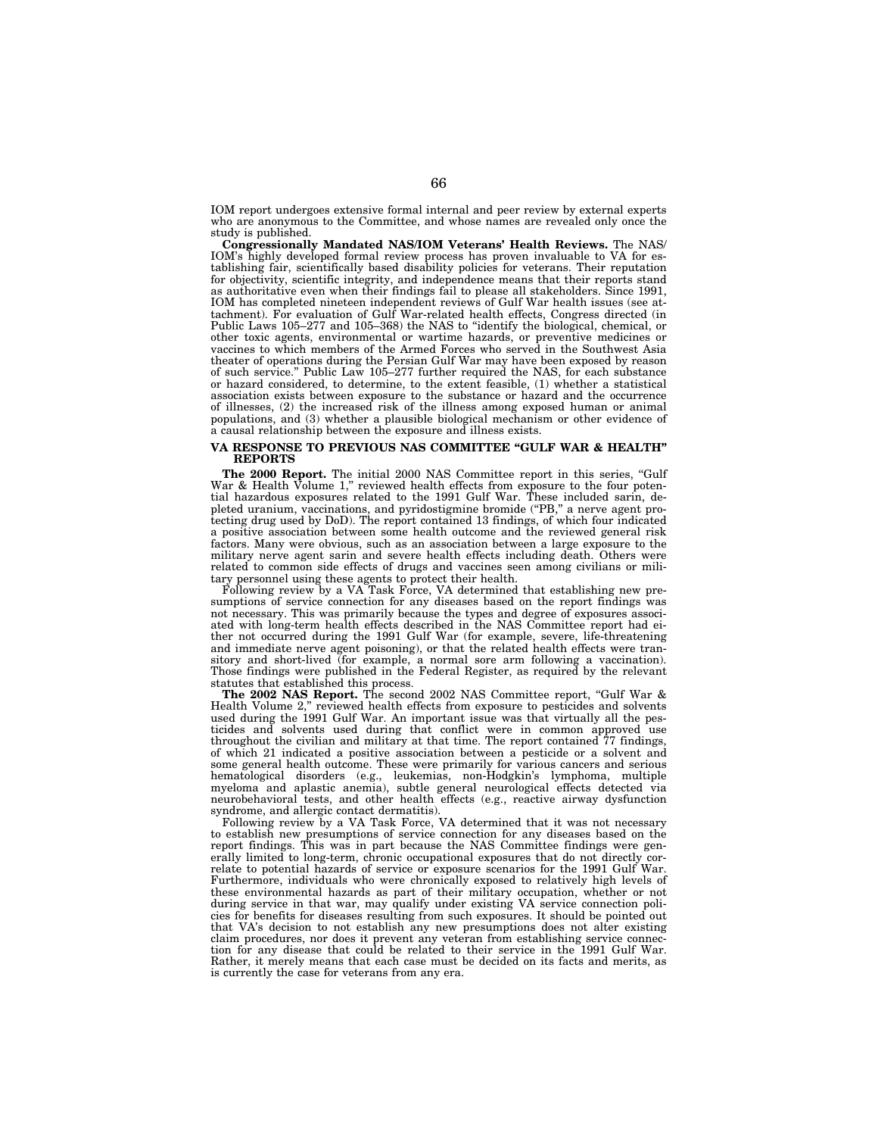IOM report undergoes extensive formal internal and peer review by external experts who are anonymous to the Committee, and whose names are revealed only once the study is published.

**Congressionally Mandated NAS/IOM Veterans' Health Reviews.** The NAS/ IOM's highly developed formal review process has proven invaluable to VA for establishing fair, scientifically based disability policies for veterans. Their reputation for objectivity, scientific integrity, and independence means that their reports stand as authoritative even when their findings fail to please all stakeholders. Since 1991, IOM has completed nineteen independent reviews of Gulf War health issues (see attachment). For evaluation of Gulf War-related health effects, Congress directed (in Public Laws 105–277 and 105–368) the NAS to ''identify the biological, chemical, or other toxic agents, environmental or wartime hazards, or preventive medicines or vaccines to which members of the Armed Forces who served in the Southwest Asia theater of operations during the Persian Gulf War may have been exposed by reason of such service.'' Public Law 105–277 further required the NAS, for each substance or hazard considered, to determine, to the extent feasible, (1) whether a statistical association exists between exposure to the substance or hazard and the occurrence of illnesses, (2) the increased risk of the illness among exposed human or animal populations, and (3) whether a plausible biological mechanism or other evidence of a causal relationship between the exposure and illness exists.

### **VA RESPONSE TO PREVIOUS NAS COMMITTEE ''GULF WAR & HEALTH'' REPORTS**

The 2000 Report. The initial 2000 NAS Committee report in this series, "Gulf War & Health Volume 1," reviewed health effects from exposure to the four potential hazardous exposures related to the 1991 Gulf War. These included sarin, depleted uranium, vaccinations, and pyridostigmine bromide (''PB,'' a nerve agent protecting drug used by DoD). The report contained 13 findings, of which four indicated a positive association between some health outcome and the reviewed general risk factors. Many were obvious, such as an association between a large exposure to the military nerve agent sarin and severe health effects including death. Others were related to common side effects of drugs and vaccines seen among civilians or military personnel using these agents to protect their health.

Following review by a VA Task Force, VA determined that establishing new presumptions of service connection for any diseases based on the report findings was not necessary. This was primarily because the types and degree of exposures associated with long-term health effects described in the NAS Committee report had either not occurred during the 1991 Gulf War (for example, severe, life-threatening and immediate nerve agent poisoning), or that the related health effects were transitory and short-lived (for example, a normal sore arm following a vaccination). Those findings were published in the Federal Register, as required by the relevant statutes that established this process.

**The 2002 NAS Report.** The second 2002 NAS Committee report, ''Gulf War & Health Volume 2,'' reviewed health effects from exposure to pesticides and solvents used during the 1991 Gulf War. An important issue was that virtually all the pesticides and solvents used during that conflict were in common approved use throughout the civilian and military at that time. The report contained  $77$  findings, of which 21 indicated a positive association between a pesticide or a solvent and some general health outcome. These were primarily for various cancers and serious hematological disorders (e.g., leukemias, non-Hodgkin's lymphoma, multiple myeloma and aplastic anemia), subtle general neurological effects detected via neurobehavioral tests, and other health effects (e.g., reactive airway dysfunction syndrome, and allergic contact dermatitis).

Following review by a VA Task Force, VA determined that it was not necessary to establish new presumptions of service connection for any diseases based on the report findings. This was in part because the NAS Committee findings were generally limited to long-term, chronic occupational exposures that do not directly correlate to potential hazards of service or exposure scenarios for the 1991 Gulf War. Furthermore, individuals who were chronically exposed to relatively high levels of these environmental hazards as part of their military occupation, whether or not during service in that war, may qualify under existing VA service connection policies for benefits for diseases resulting from such exposures. It should be pointed out that VA's decision to not establish any new presumptions does not alter existing claim procedures, nor does it prevent any veteran from establishing service connection for any disease that could be related to their service in the 1991 Gulf War. Rather, it merely means that each case must be decided on its facts and merits, as is currently the case for veterans from any era.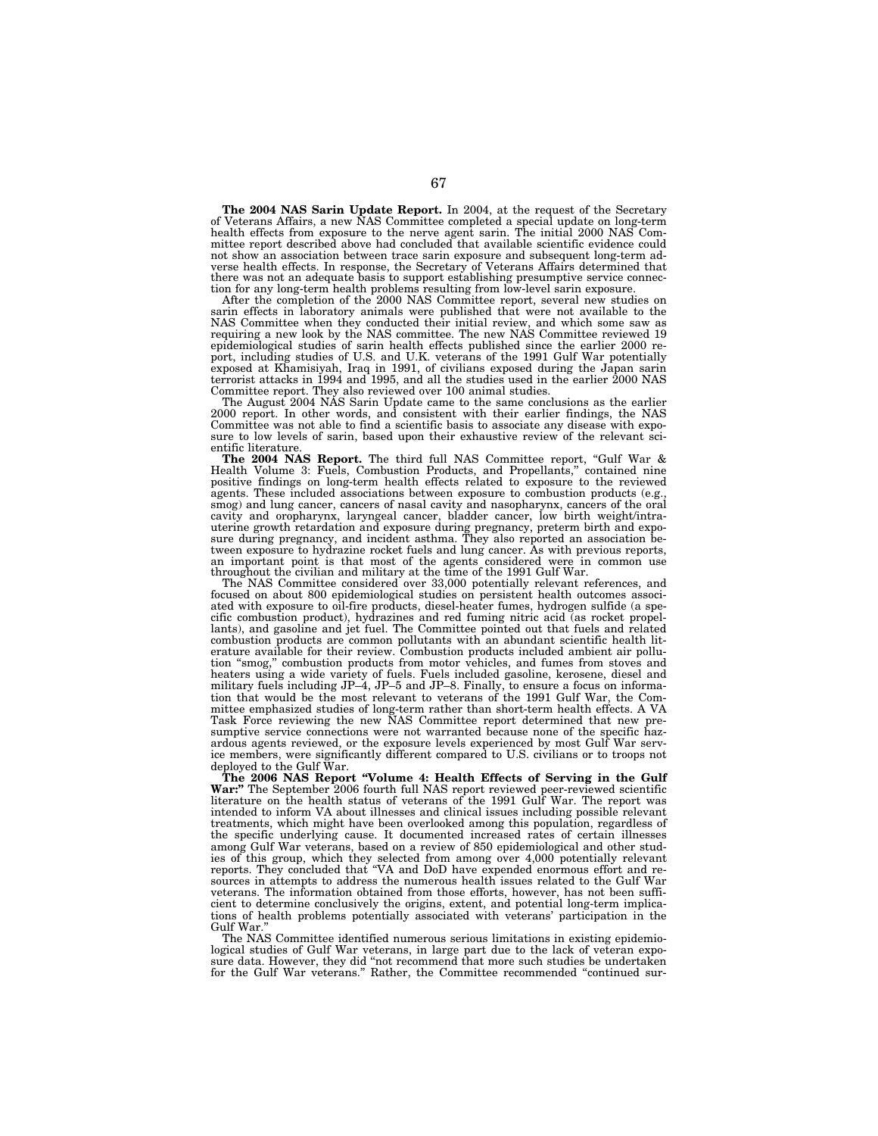**The 2004 NAS Sarin Update Report.** In 2004, at the request of the Secretary of Veterans Affairs, a new NAS Committee completed a special update on long-term health effects from exposure to the nerve agent sarin. The initial 2000 NAS Committee report described above had concluded that available scientific evidence could not show an association between trace sarin exposure and subsequent long-term adverse health effects. In response, the Secretary of Veterans Affairs determined that there was not an adequate basis to support establishing presumptive service connection for any long-term health problems resulting from low-level sarin exposure.

After the completion of the 2000 NAS Committee report, several new studies on sarin effects in laboratory animals were published that were not available to the NAS Committee when they conducted their initial review, and which some saw as requiring a new look by the NAS committee. The new NAS Committee reviewed 19 epidemiological studies of sarin health effects published since the earlier 2000 report, including studies of U.S. and U.K. veterans of the 1991 Gulf War potentially exposed at Khamisiyah, Iraq in 1991, of civilians exposed during the Japan sarin terrorist attacks in 1994 and 1995, and all the studies used in the earlier 2000 NAS Committee report. They also reviewed over 100 animal studies.

The August 2004 NAS Sarin Update came to the same conclusions as the earlier 2000 report. In other words, and consistent with their earlier findings, the NAS Committee was not able to find a scientific basis to associate any disease with expo-sure to low levels of sarin, based upon their exhaustive review of the relevant scientific literature.

**The 2004 NAS Report.** The third full NAS Committee report, ''Gulf War & Health Volume 3: Fuels, Combustion Products, and Propellants,'' contained nine positive findings on long-term health effects related to exposure to the reviewed agents. These included associations between exposure to combustion products (e.g., smog) and lung cancer, cancers of nasal cavity and nasopharynx, cancers of the oral<br>cavity and oropharynx, laryngeal cancer, bladder cancer, low birth weight/intra-<br>uterine growth retardation and exposure during pregnancy, an important point is that most of the agents considered were in common use<br>throughout the civilian and military at the time of the 1991 Gulf War.<br>The NAS Committee considered over 33,000 potentially relevant references, a

focused on about 800 epidemiological studies on persistent health outcomes associated with exposure to oil-fire products, diesel-heater fumes, hydrogen sulfide (a specific combustion product), hydrazines and red fuming nitric acid (as rocket propellants), and gasoline and jet fuel. The Committee pointe combustion products are common pollutants with an abundant scientific health literature available for their review. Combustion products included ambient air pollution ''smog,'' combustion products from motor vehicles, and fumes from stoves and heaters using a wide variety of fuels. Fuels included gasoline, kerosene, diesel and military fuels including JP–4, JP–5 and JP–8. Finally, to ensure a focus on information that would be the most relevant to veterans of the 1991 Gulf War, the Committee emphasized studies of long-term rather than short-term health effects. A VA Task Force reviewing the new NAS Committee report determined that new presumptive service connections were not warranted because none of the specific hazardous agents reviewed, or the exposure levels experienced by most Gulf War service members, were significantly different compared to U.S. civilians or to troops not deployed to the Gulf War.

**The 2006 NAS Report ''Volume 4: Health Effects of Serving in the Gulf**  War:" The September 2006 fourth full NAS report reviewed peer-reviewed scientific literature on the health status of veterans of the 1991 Gulf War. The report was intended to inform VA about illnesses and clinical issues including possible relevant treatments, which might have been overlooked among this population, regardless of the specific underlying cause. It documented increased rates of certain illnesses among Gulf War veterans, based on a review of 850 epidemiological and other studies of this group, which they selected from among over 4,000 potentially relevant reports. They concluded that ''VA and DoD have expended enormous effort and resources in attempts to address the numerous health issues related to the Gulf War veterans. The information obtained from those efforts, however, has not been sufficient to determine conclusively the origins, extent, and potential long-term implications of health problems potentially associated with veterans' participation in the Gulf War.

The NAS Committee identified numerous serious limitations in existing epidemiological studies of Gulf War veterans, in large part due to the lack of veteran expo-sure data. However, they did ''not recommend that more such studies be undertaken for the Gulf War veterans." Rather, the Committee recommended "continued sur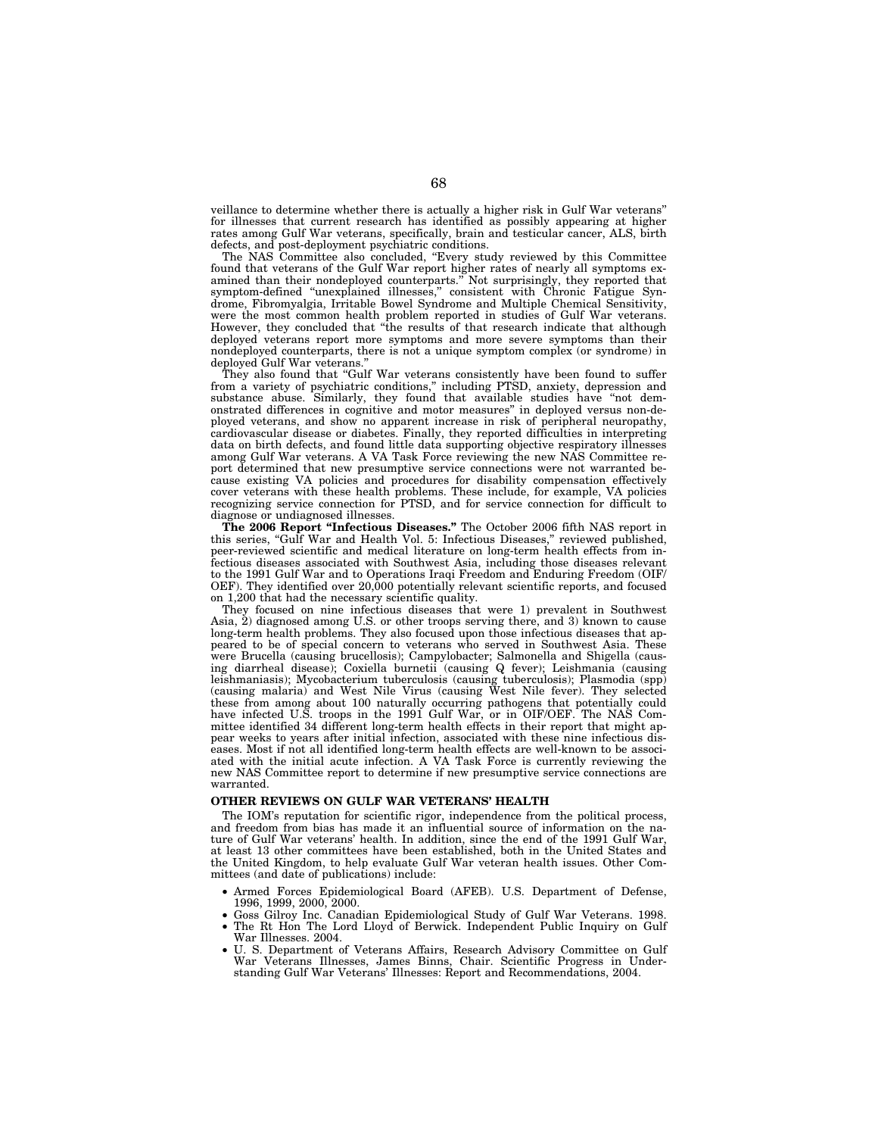veillance to determine whether there is actually a higher risk in Gulf War veterans'' for illnesses that current research has identified as possibly appearing at higher rates among Gulf War veterans, specifically, brain and testicular cancer, ALS, birth defects, and post-deployment psychiatric conditions.

The NAS Committee also concluded, ''Every study reviewed by this Committee found that veterans of the Gulf War report higher rates of nearly all symptoms examined than their nondeployed counterparts.'' Not surprisingly, they reported that symptom-defined ''unexplained illnesses,'' consistent with Chronic Fatigue Syndrome, Fibromyalgia, Irritable Bowel Syndrome and Multiple Chemical Sensitivity, were the most common health problem reported in studies of Gulf War veterans. However, they concluded that ''the results of that research indicate that although deployed veterans report more symptoms and more severe symptoms than their nondeployed counterparts, there is not a unique symptom complex (or syndrome) in deployed Gulf War veterans.''

They also found that "Gulf War veterans consistently have been found to suffer from a variety of psychiatric conditions,'' including PTSD, anxiety, depression and substance abuse. Similarly, they found that available studies have ''not demonstrated differences in cognitive and motor measures'' in deployed versus non-deployed veterans, and show no apparent increase in risk of peripheral neuropathy, cardiovascular disease or diabetes. Finally, they reported difficulties in interpreting data on birth defects, and found little data supporting objective respiratory illnesses among Gulf War veterans. A VA Task Force reviewing the new NAS Committee report determined that new presumptive service connections were not warranted because existing VA policies and procedures for disability compensation effectively cover veterans with these health problems. These include, for example, VA policies recognizing service connection for PTSD, and for service connection for difficult to diagnose or undiagnosed illnesses.

**The 2006 Report ''Infectious Diseases.''** The October 2006 fifth NAS report in this series, ''Gulf War and Health Vol. 5: Infectious Diseases,'' reviewed published, peer-reviewed scientific and medical literature on long-term health effects from infectious diseases associated with Southwest Asia, including those diseases relevant to the 1991 Gulf War and to Operations Iraqi Freedom and Enduring Freedom (OIF/ OEF). They identified over 20,000 potentially relevant scientific reports, and focused on 1,200 that had the necessary scientific quality.

They focused on nine infectious diseases that were 1) prevalent in Southwest Asia,  $\hat{2}$ ) diagnosed among U.S. or other troops serving there, and 3) known to cause long-term health problems. They also focused upon those infectious diseases that appeared to be of special concern to veterans who served in Southwest Asia. These were Brucella (causing brucellosis); Campylobacter; Salmonella and Shigella (causing diarrheal disease); Coxiella burnetii (causing Q fever); Leishmania (causing leishmaniasis); Mycobacterium tuberculosis (causing tuberculosis); Plasmodia (spp) (causing malaria) and West Nile Virus (causing West Nile fever). They selected these from among about 100 naturally occurring pathogens that potentially could have infected U.S. troops in the 1991 Gulf War, or in OIF/OEF. The NAS Committee identified 34 different long-term health effects in their report that might appear weeks to years after initial infection, associated with these nine infectious diseases. Most if not all identified long-term health effects are well-known to be associated with the initial acute infection. A VA Task Force is currently reviewing the new NAS Committee report to determine if new presumptive service connections are warranted.

### **OTHER REVIEWS ON GULF WAR VETERANS' HEALTH**

The IOM's reputation for scientific rigor, independence from the political process, and freedom from bias has made it an influential source of information on the nature of Gulf War veterans' health. In addition, since the end of the 1991 Gulf War, at least 13 other committees have been established, both in the United States and the United Kingdom, to help evaluate Gulf War veteran health issues. Other Committees (and date of publications) include:

- Armed Forces Epidemiological Board (AFEB). U.S. Department of Defense, 1996, 1999, 2000, 2000.
- Goss Gilroy Inc. Canadian Epidemiological Study of Gulf War Veterans. 1998.
- The Rt Hon The Lord Lloyd of Berwick. Independent Public Inquiry on Gulf War Illnesses. 2004.
- U. S. Department of Veterans Affairs, Research Advisory Committee on Gulf War Veterans Illnesses, James Binns, Chair. Scientific Progress in Understanding Gulf War Veterans' Illnesses: Report and Recommendations, 2004.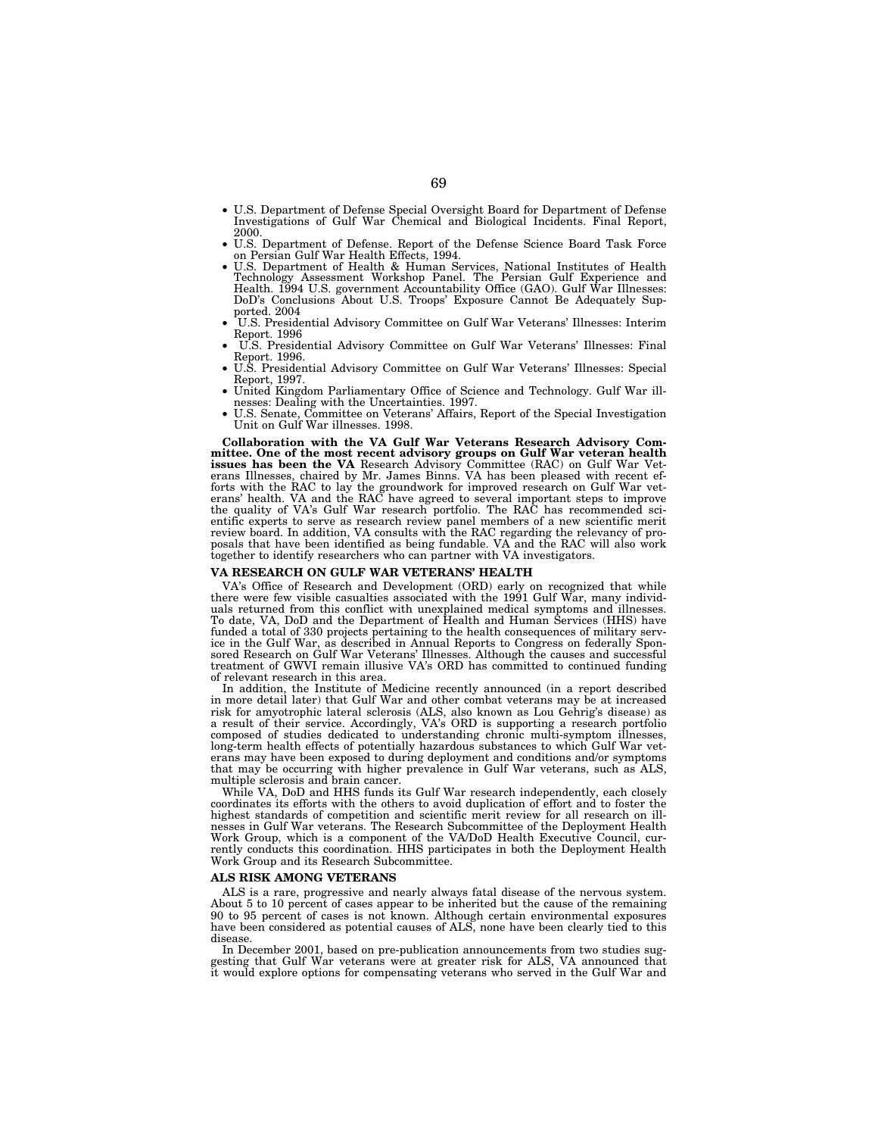- U.S. Department of Defense Special Oversight Board for Department of Defense Investigations of Gulf War Chemical and Biological Incidents. Final Report,
- 2000. U.S. Department of Defense. Report of the Defense Science Board Task Force
- on Persian Gulf War Health Effects, 1994.<br>• U.S. Department of Health & Human Services, National Institutes of Health Technology Assessment Workshop Panel. The Persian Gulf Experience and Health. 1994 U.S. government Accou DoD's Conclusions About U.S. Troops' Exposure Cannot Be Adequately Sup-<br>ported. 2004
- $\,$  U.S. Presidential Advisory Committee on Gulf War Veterans' Illnesses: Interim Report. 1996
- U.S. Presidential Advisory Committee on Gulf War Veterans' Illnesses: Final Report. 1996. • U.S. Presidential Advisory Committee on Gulf War Veterans' Illnesses: Special
- Report, 1997. United Kingdom Parliamentary Office of Science and Technology. Gulf War ill-
- nesses: Dealing with the Uncertainties. 1997.<br>• U.S. Senate, Committee on Veterans' Affairs, Report of the Special Investigation
- Unit on Gulf War illnesses. 1998.

**Collaboration with the VA Gulf War Veterans Research Advisory Committee. One of the most recent advisory groups on Gulf War veteran health issues has been the VA** Research Advisory Committee (RAC) on Gulf War Vet-erans Illnesses, chaired by Mr. James Binns. VA has been pleased with recent efforts with the RAC to lay the groundwork for improved research on Gulf War vet-erans' health. VA and the RAC have agreed to several important steps to improve the quality of VA's Gulf War research portfolio. The RAC has recommended scientific experts to serve as research review panel members of a new scientific merit review board. In addition, VA consults with the RAC regarding the relevancy of pro-posals that have been identified as being fundable. VA and the RAC will also work together to identify researchers who can partner with VA investigators.

## **VA RESEARCH ON GULF WAR VETERANS' HEALTH**

VA's Office of Research and Development (ORD) early on recognized that while there were few visible casualties associated with the 1991 Gulf War, many individuals returned from this conflict with unexplained medical symptoms and illnesses. To date, VA, DoD and the Department of Health and Human Services (HHS) have funded a total of 330 projects pertaining to the health consequences of military service in the Gulf War, as described in Annual Reports to Congress on federally Spon-sored Research on Gulf War Veterans' Illnesses. Although the causes and successful treatment of GWVI remain illusive VA's ORD has committed to continued funding of relevant research in this area.

In addition, the Institute of Medicine recently announced (in a report described in more detail later) that Gulf War and other combat veterans may be at increased risk for amyotrophic lateral sclerosis (ALS, also known as Lou Gehrig's disease) as a result of their service. Accordingly, VA's ORD is supporting a research portfolio composed of studies dedicated to understanding chronic multi-symptom illnesses, long-term health effects of potentially hazardous substances to which Gulf War veterans may have been exposed to during deployment and conditions and/or symptoms that may be occurring with higher prevalence in Gulf War veterans, such as ALS, multiple sclerosis and brain cancer.

While VA, DoD and HHS funds its Gulf War research independently, each closely coordinates its efforts with the others to avoid duplication of effort and to foster the highest standards of competition and scientific merit review for all research on illnesses in Gulf War veterans. The Research Subcommittee of the Deployment Health Work Group, which is a component of the VA/DoD Health Executive Council, currently conducts this coordination. HHS participates in both the Deployment Health Work Group and its Research Subcommittee.

## **ALS RISK AMONG VETERANS**

ALS is a rare, progressive and nearly always fatal disease of the nervous system. About 5 to 10 percent of cases appear to be inherited but the cause of the remaining 90 to 95 percent of cases is not known. Although certain environmental exposures have been considered as potential causes of ALS, none have been clearly tied to this disease.

In December 2001, based on pre-publication announcements from two studies suggesting that Gulf War veterans were at greater risk for ALS, VA announced that it would explore options for compensating veterans who served in the Gulf War and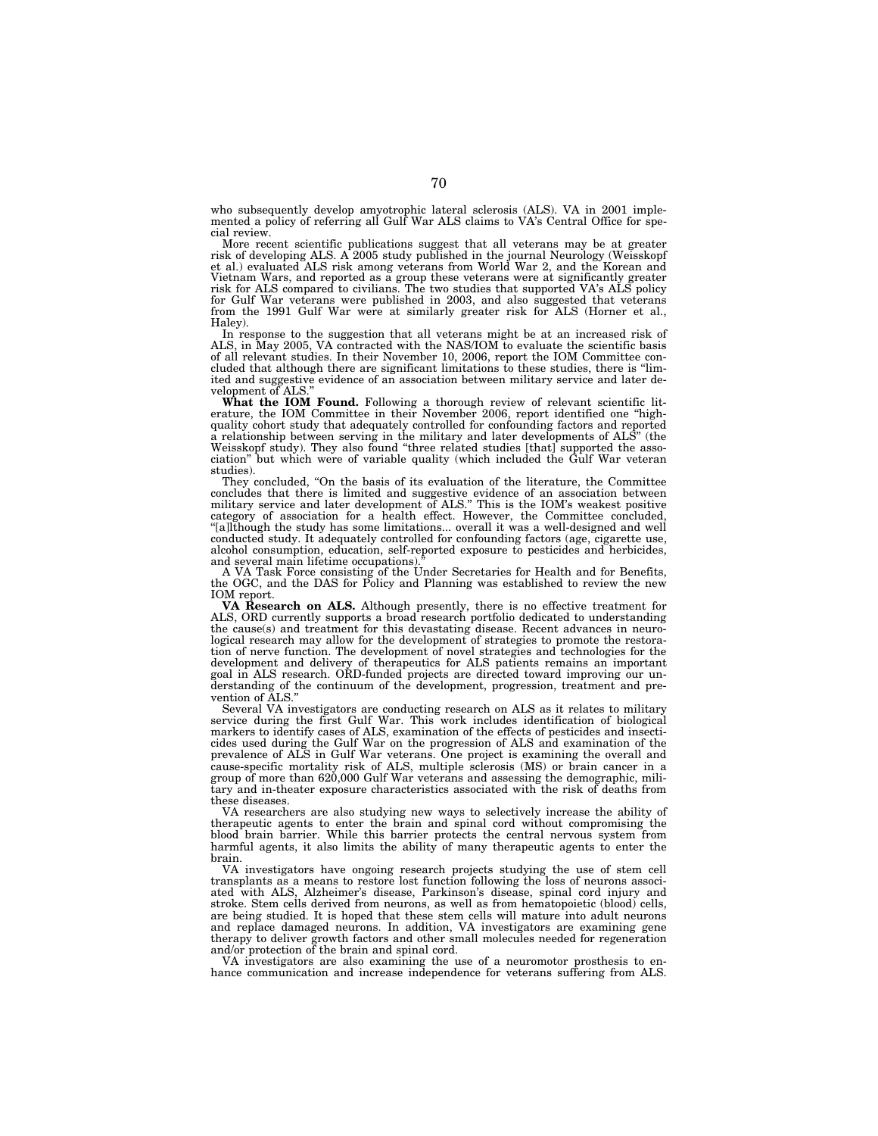who subsequently develop amyotrophic lateral sclerosis (ALS). VA in 2001 imple-mented a policy of referring all Gulf War ALS claims to VA's Central Office for special review.

More recent scientific publications suggest that all veterans may be at greater risk of developing ALS. A 2005 study published in the journal Neurology (Weisskopf<br>et al.) evaluated ALS risk among veterans from World War 2, and the Korean and<br>Vietnam Wars, and reported as a group these veterans were at risk for ALS compared to civilians. The two studies that supported VA's ALS policy<br>for Gulf War veterans were published in 2003, and also suggested that veterans<br>from the 1991 Gulf War were at similarly greater risk for AL Haley).

In response to the suggestion that all veterans might be at an increased risk of ALS, in May 2005, VA contracted with the NAS/IOM to evaluate the scientific basis of all relevant studies. In their November 10, 2006, report the IOM Committee con-cluded that although there are significant limitations to these studies, there is ''limited and suggestive evidence of an association between military service and later development of ALS.

What the IOM Found. Following a thorough review of relevant scientific literature, the IOM Committee in their November 2006, report identified one "highquality cohort study that adequately controlled for confounding factors and reported a relationship between serving in the military and later developments of ALS'' (the Weisskopf study). They also found ''three related studies [that] supported the association'' but which were of variable quality (which included the Gulf War veteran studies).

They concluded, ''On the basis of its evaluation of the literature, the Committee concludes that there is limited and suggestive evidence of an association between military service and later development of ALS.'' This is the IOM's weakest positive category of association for a health effect. However, the Committee concluded, ''[a]lthough the study has some limitations... overall it was a well-designed and well conducted study. It adequately controlled for confounding factors (age, cigarette use, alcohol consumption, education, self-reported exposure to pesticides and herbicides, and several main lifetime occupations)

A VA Task Force consisting of the Under Secretaries for Health and for Benefits, the OGC, and the DAS for Policy and Planning was established to review the new IOM report.

**VA Research on ALS.** Although presently, there is no effective treatment for ALS, ORD currently supports a broad research portfolio dedicated to understanding the cause(s) and treatment for this devastating disease. Recent advances in neurological research may allow for the development of strategies to promote the restoration of nerve function. The development of novel strategies and technologies for the development and delivery of therapeutics for ALS patients remains an important goal in ALS research. ORD-funded projects are directed toward improving our understanding of the continuum of the development, progression, treatment and prevention of ALS.''

Several VA investigators are conducting research on ALS as it relates to military service during the first Gulf War. This work includes identification of biological markers to identify cases of ALS, examination of the effects of pesticides and insecticides used during the Gulf War on the progression of ALS and examination of the prevalence of ALS in Gulf War veterans. One project is examining the overall and cause-specific mortality risk of ALS, multiple sclerosis (MS) or brain cancer in a group of more than 620,000 Gulf War veterans and assessing the demographic, military and in-theater exposure characteristics associated with the risk of deaths from these diseases.

VA researchers are also studying new ways to selectively increase the ability of therapeutic agents to enter the brain and spinal cord without compromising the blood brain barrier. While this barrier protects the central nervous system from harmful agents, it also limits the ability of many therapeutic agents to enter the brain.

VA investigators have ongoing research projects studying the use of stem cell transplants as a means to restore lost function following the loss of neurons associated with ALS, Alzheimer's disease, Parkinson's disease, spinal cord injury and stroke. Stem cells derived from neurons, as well as from hematopoietic (blood) cells, are being studied. It is hoped that these stem cells will mature into adult neurons and replace damaged neurons. In addition, VA investigators are examining gene therapy to deliver growth factors and other small molecules needed for regeneration and/or protection of the brain and spinal cord.

VA investigators are also examining the use of a neuromotor prosthesis to enhance communication and increase independence for veterans suffering from ALS.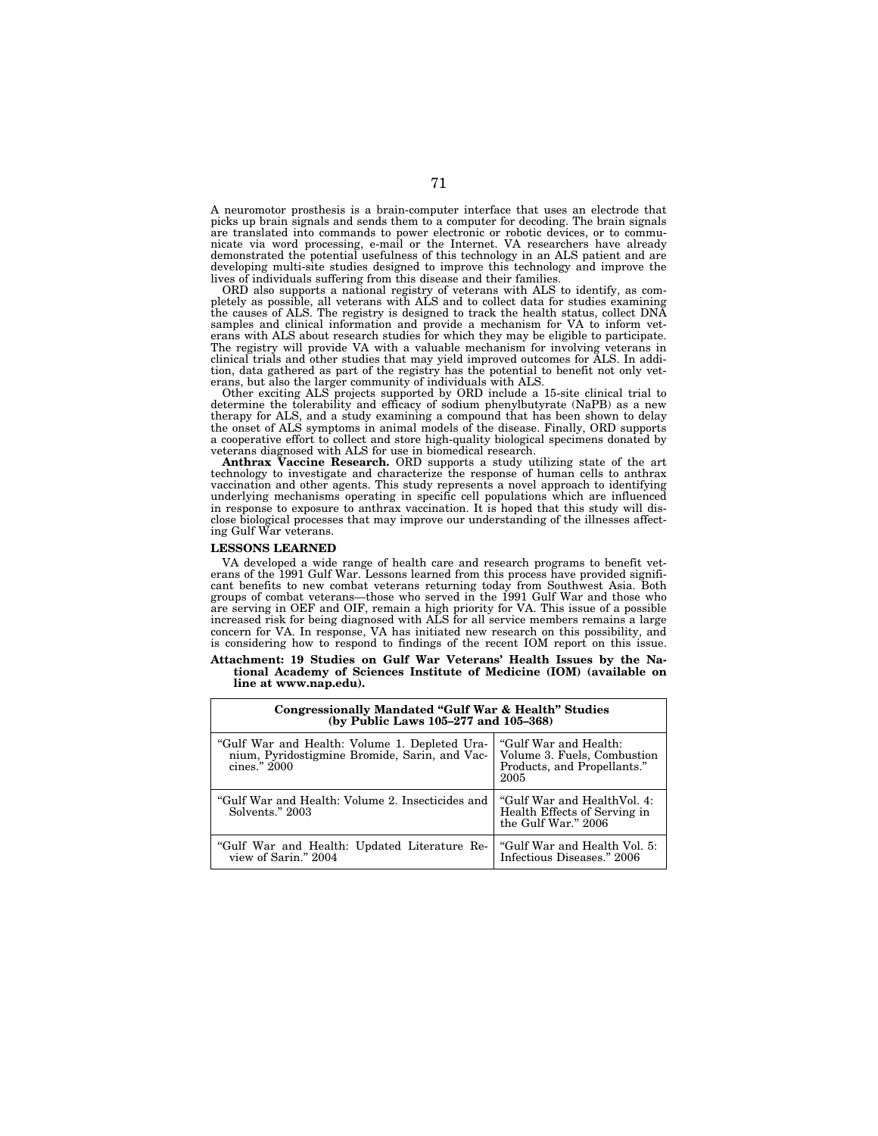A neuromotor prosthesis is a brain-computer interface that uses an electrode that picks up brain signals and sends them to a computer for decoding. The brain signals are translated into commands to power electronic or robotic devices, or to communicate via word processing, e-mail or the Internet. VA researchers have already demonstrated the potential usefulness of this technology in an ALS patient and are developing multi-site studies designed to improve this technology and improve the lives of individuals suffering from this disease and their families.

ORD also supports a national registry of veterans with ALS to identify, as completely as possible, all veterans with ALS and to collect data for studies examining the causes of ALS. The registry is designed to track the health status, collect DNA samples and clinical information and provide a mechanism for VA to inform veterans with ALS about research studies for which they may be eligible to participate. The registry will provide VA with a valuable mechanism for involving veterans in clinical trials and other studies that may yield improved outcomes for ALS. In addition, data gathered as part of the registry has the potential to benefit not only veterans, but also the larger community of individuals with ALS.

Other exciting ALS projects supported by ORD include a 15-site clinical trial to determine the tolerability and efficacy of sodium phenylbutyrate (NaPB) as a new therapy for ALS, and a study examining a compound that has been shown to delay the onset of ALS symptoms in animal models of the disease. Finally, ORD supports a cooperative effort to collect and store high-quality biological specimens donated by veterans diagnosed with ALS for use in biomedical research.

**Anthrax Vaccine Research.** ORD supports a study utilizing state of the art technology to investigate and characterize the response of human cells to anthrax vaccination and other agents. This study represents a novel approach to identifying underlying mechanisms operating in specific cell populations which are influenced in response to exposure to anthrax vaccination. It is hoped that this study will disclose biological processes that may improve our understanding of the illnesses affecting Gulf War veterans.

#### **LESSONS LEARNED**

VA developed a wide range of health care and research programs to benefit veterans of the 1991 Gulf War. Lessons learned from this process have provided significant benefits to new combat veterans returning today from Southwest Asia. Both groups of combat veterans—those who served in the 1991 Gulf War and those who are serving in OEF and OIF, remain a high priority for VA. This issue of a possible increased risk for being diagnosed with ALS for all service members remains a large concern for VA. In response, VA has initiated new research on this possibility, and is considering how to respond to findings of the recent IOM report on this issue.

#### **Attachment: 19 Studies on Gulf War Veterans' Health Issues by the National Academy of Sciences Institute of Medicine (IOM) (available on line at www.nap.edu).**

| Congressionally Mandated "Gulf War & Health" Studies<br>(by Public Laws 105-277 and 105-368) |                                                                                    |
|----------------------------------------------------------------------------------------------|------------------------------------------------------------------------------------|
| "Gulf War and Health: Volume 1. Depleted Ura-                                                | "Gulf War and Health:                                                              |
| nium, Pyridostigmine Bromide, Sarin, and Vac-   Volume 3. Fuels, Combustion                  | Products, and Propellants."                                                        |
| cines." 2000                                                                                 | 2005                                                                               |
| "Gulf War and Health: Volume 2. Insecticides and<br>Solvents." 2003                          | "Gulf War and HealthVol. 4:<br>Health Effects of Serving in<br>the Gulf War." 2006 |
| "Gulf War and Health: Updated Literature Re-                                                 | "Gulf War and Health Vol. 5:                                                       |
| view of Sarin." 2004                                                                         | Infectious Diseases." 2006                                                         |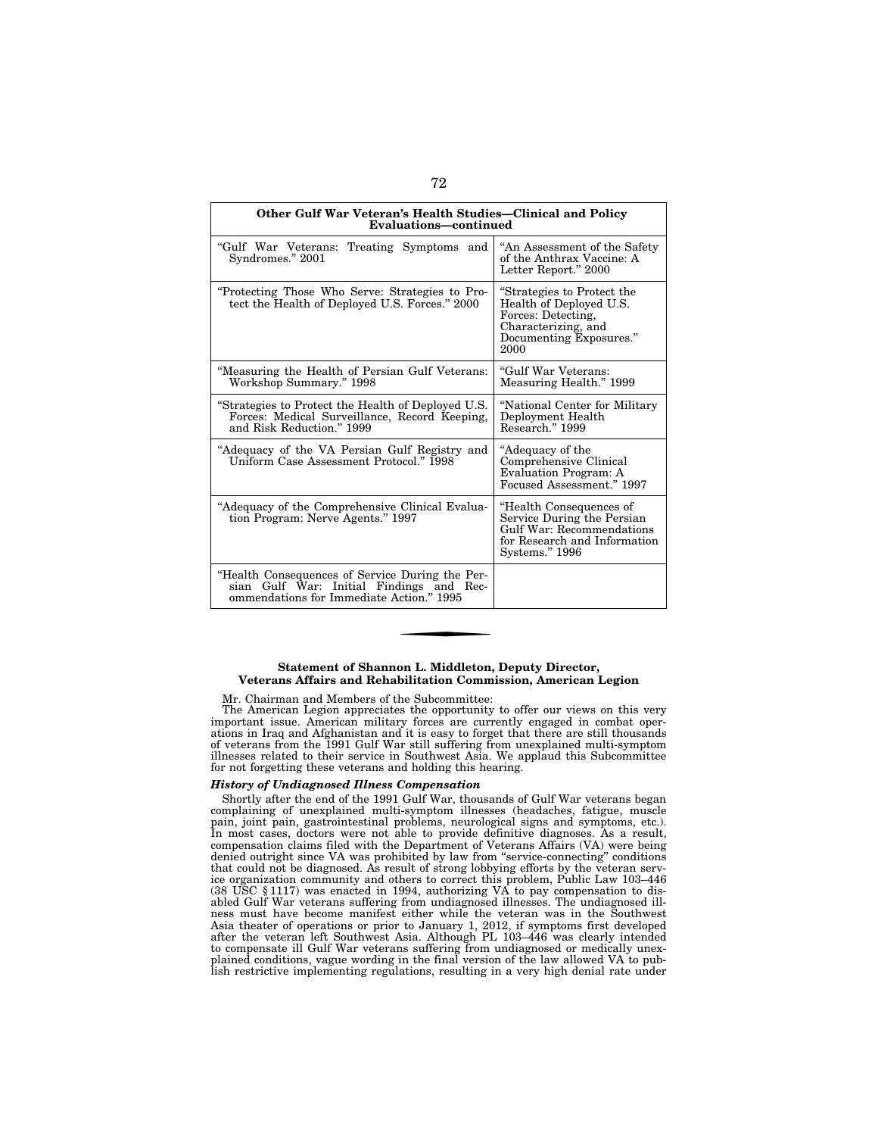| Other Gulf War Veteran's Health Studies—Clinical and Policy<br>Evaluations-continued                                                    |                                                                                                                                       |  |
|-----------------------------------------------------------------------------------------------------------------------------------------|---------------------------------------------------------------------------------------------------------------------------------------|--|
| "Gulf War Veterans:<br>Treating Symptoms and<br>Syndromes." 2001                                                                        | "An Assessment of the Safety<br>of the Anthrax Vaccine: A<br>Letter Report." 2000                                                     |  |
| "Protecting Those Who Serve: Strategies to Pro-<br>tect the Health of Deployed U.S. Forces." 2000                                       | "Strategies to Protect the<br>Health of Deployed U.S.<br>Forces: Detecting,<br>Characterizing, and<br>Documenting Exposures."<br>2000 |  |
| "Measuring the Health of Persian Gulf Veterans:<br>Workshop Summary." 1998                                                              | "Gulf War Veterans:<br>Measuring Health." 1999                                                                                        |  |
| "Strategies to Protect the Health of Deployed U.S.<br>Forces: Medical Surveillance, Record Keeping,<br>and Risk Reduction." 1999        | "National Center for Military<br>Deployment Health<br>Research." 1999                                                                 |  |
| "Adequacy of the VA Persian Gulf Registry and<br>Uniform Case Assessment Protocol." 1998                                                | "Adequacy of the<br>Comprehensive Clinical<br>Evaluation Program: A<br>Focused Assessment." 1997                                      |  |
| "Adequacy of the Comprehensive Clinical Evalua-<br>tion Program: Nerve Agents." 1997                                                    | "Health Consequences of<br>Service During the Persian<br>Gulf War: Recommendations<br>for Research and Information<br>Systems." 1996  |  |
| "Health Consequences of Service During the Per-<br>sian Gulf War: Initial Findings and Rec-<br>ommendations for Immediate Action." 1995 |                                                                                                                                       |  |

## **Statement of Shannon L. Middleton, Deputy Director, Veterans Affairs and Rehabilitation Commission, American Legion**

## Mr. Chairman and Members of the Subcommittee:

The American Legion appreciates the opportunity to offer our views on this very important issue. American military forces are currently engaged in combat operations in Iraq and Afghanistan and it is easy to forget that there are still thousands of veterans from the 1991 Gulf War still suffering from unexplained multi-symptom illnesses related to their service in Southwest Asia. We applaud this Subcommittee for not forgetting these veterans and holding this hearing.

## *History of Undiagnosed Illness Compensation*

Shortly after the end of the 1991 Gulf War, thousands of Gulf War veterans began complaining of unexplained multi-symptom illnesses (headaches, fatigue, muscle pain, joint pain, gastrointestinal problems, neurological signs and symptoms, etc.). In most cases, doctors were not able to provide definitive diagnoses. As a result, compensation claims filed with the Department of Veterans Affairs (VA) were being denied outright since VA was prohibited by law from ''service-connecting'' conditions that could not be diagnosed. As result of strong lobbying efforts by the veteran service organization community and others to correct this problem, Public Law 103–446 (38 USC § 1117) was enacted in 1994, authorizing VA to pay compensation to disabled Gulf War veterans suffering from undiagnosed illnesses. The undiagnosed illness must have become manifest either while the veteran was in the Southwest Asia theater of operations or prior to January 1, 2012, if symptoms first developed after the veteran left Southwest Asia. Although PL 103–446 was clearly intended<br>to compensate ill Gulf War veterans suffering from undiagnosed or medically unex-<br>plained conditions, vague wording in the final version of th lish restrictive implementing regulations, resulting in a very high denial rate under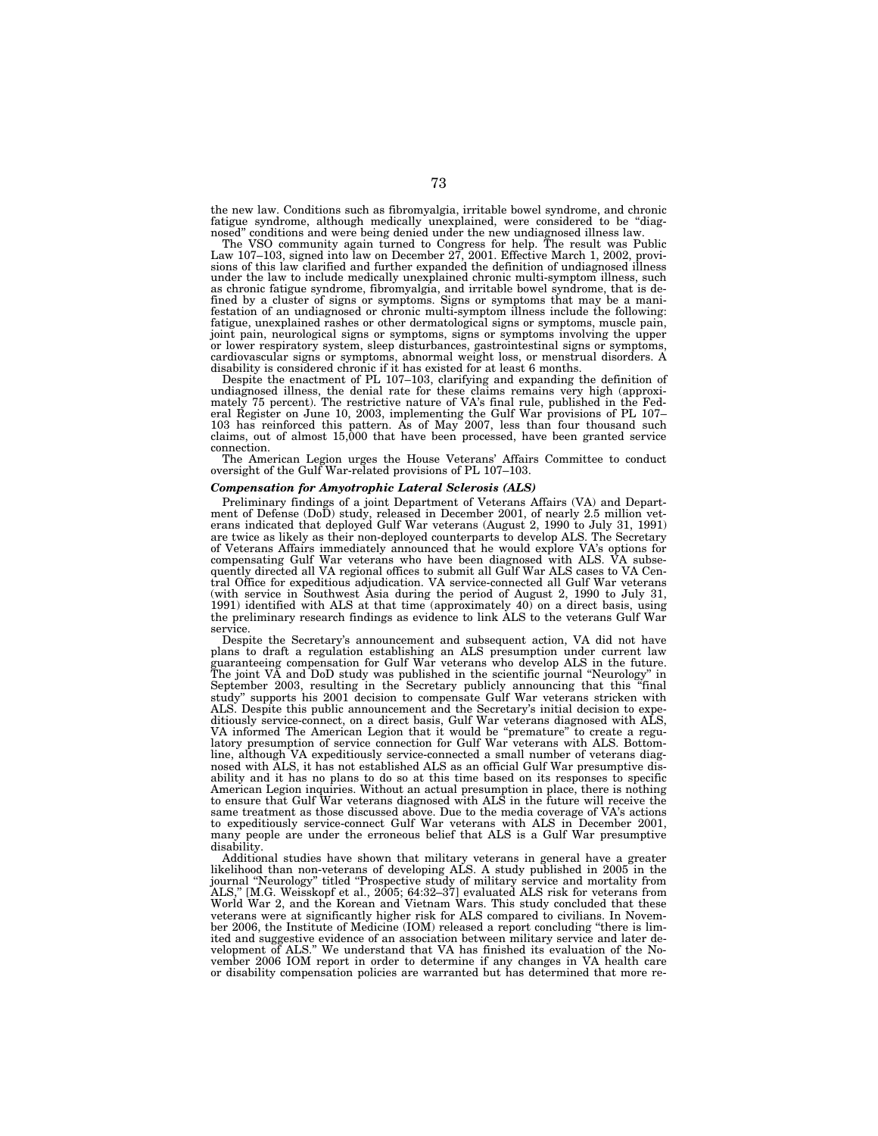the new law. Conditions such as fibromyalgia, irritable bowel syndrome, and chronic fatigue syndrome, although medically unexplained, were considered to be ''diagnosed'' conditions and were being denied under the new undiagnosed illness law.

The VSO community again turned to Congress for help. The result was Public<br>Law 107–103, signed into law on December 27, 2001. Effective March 1, 2002, provi-<br>sions of this law clarified and further expanded the definition under the law to include medically unexplained chronic multi-symptom illness, such as chronic fatigue syndrome, fibromyalgia, and irritable bowel syndrome, that is de-fined by a cluster of signs or symptoms. Signs or symptoms that may be a manifestation of an undiagnosed or chronic multi-symptom illness include the following: fatigue, unexplained rashes or other dermatological signs or symptoms, muscle pain, joint pain, neurological signs or symptoms, signs or symptoms involving the upper or lower respiratory system, sleep disturbances, gastrointestinal signs or symptoms, cardiovascular signs or symptoms, abnormal weight loss, or menstrual disorders. A disability is considered chronic if it has existed for at least 6 months.

Despite the enactment of PL 107–103, clarifying and expanding the definition of undiagnosed illness, the denial rate for these claims remains very high (approximately 75 percent). The restrictive nature of VA's final rule, 103 has reinforced this pattern. As of May 2007, less than four thousand such claims, out of almost 15,000 that have been processed, have been granted service connection.

The American Legion urges the House Veterans' Affairs Committee to conduct oversight of the Gulf War-related provisions of PL 107–103.

## *Compensation for Amyotrophic Lateral Sclerosis (ALS)*

Preliminary findings of a joint Department of Veterans Affairs (VA) and Department of Defense (DoD) study, released in December 2001, of nearly 2.5 million veterans indicated that deployed Gulf War veterans (August 2, 1990 to July 31, 1991) are twice as likely as their non-deployed counterparts to develop ALS. The Secretary of Veterans Affairs immediately announced that he would explore VA's options for compensating Gulf War veterans who have been diagnosed with ALS. VA subsequently directed all VA regional offices to submit all Gulf War ALS cases to VA Central Office for expeditious adjudication. VA service-connected all Gulf War veterans (with service in Southwest Asia during the period of August 2, 1990 to July 31, 1991) identified with ALS at that time (approximately 40) on a direct basis, using the preliminary research findings as evidence to link ALS to the veterans Gulf War service.

Despite the Secretary's announcement and subsequent action, VA did not have plans to draft a regulation establishing an ALS presumption under current law guaranteeing compensation for Gulf War veterans who develop ALS in the future. The joint VA and DoD study was published in the scientific journal ''Neurology'' in September 2003, resulting in the Secretary publicly announcing that this ''final study" supports his 2001 decision to compensate Gulf War veterans stricken with ALS. Despite this public announcement and the Secretary's initial decision to expeditiously service-connect, on a direct basis, Gulf War veterans diagnosed with ALS, VA informed The American Legion that it would be ''premature'' to create a regulatory presumption of service connection for Gulf War veterans with ALS. Bottomline, although VA expeditiously service-connected a small number of veterans diagnosed with ALS, it has not established ALS as an official Gulf War presumptive disability and it has no plans to do so at this time based on its responses to specific American Legion inquiries. Without an actual presumption in place, there is nothing to ensure that Gulf War veterans diagnosed with ALS in the future will receive the same treatment as those discussed above. Due to the media coverage of VA's actions to expeditiously service-connect Gulf War veterans with ALS in December 2001, many people are under the erroneous belief that ALS is a Gulf War presumptive disability.

Additional studies have shown that military veterans in general have a greater likelihood than non-veterans of developing ALS. A study published in 2005 in the journal ''Neurology'' titled ''Prospective study of military service and mortality from ALS,'' [M.G. Weisskopf et al., 2005; 64:32–37] evaluated ALS risk for veterans from World War 2, and the Korean and Vietnam Wars. This study concluded that these veterans were at significantly higher risk for ALS compared to civilians. In November 2006, the Institute of Medicine (IOM) released a report concluding ''there is limited and suggestive evidence of an association between military service and later de-velopment of ALS.'' We understand that VA has finished its evaluation of the November 2006 IOM report in order to determine if any changes in VA health care or disability compensation policies are warranted but has determined that more re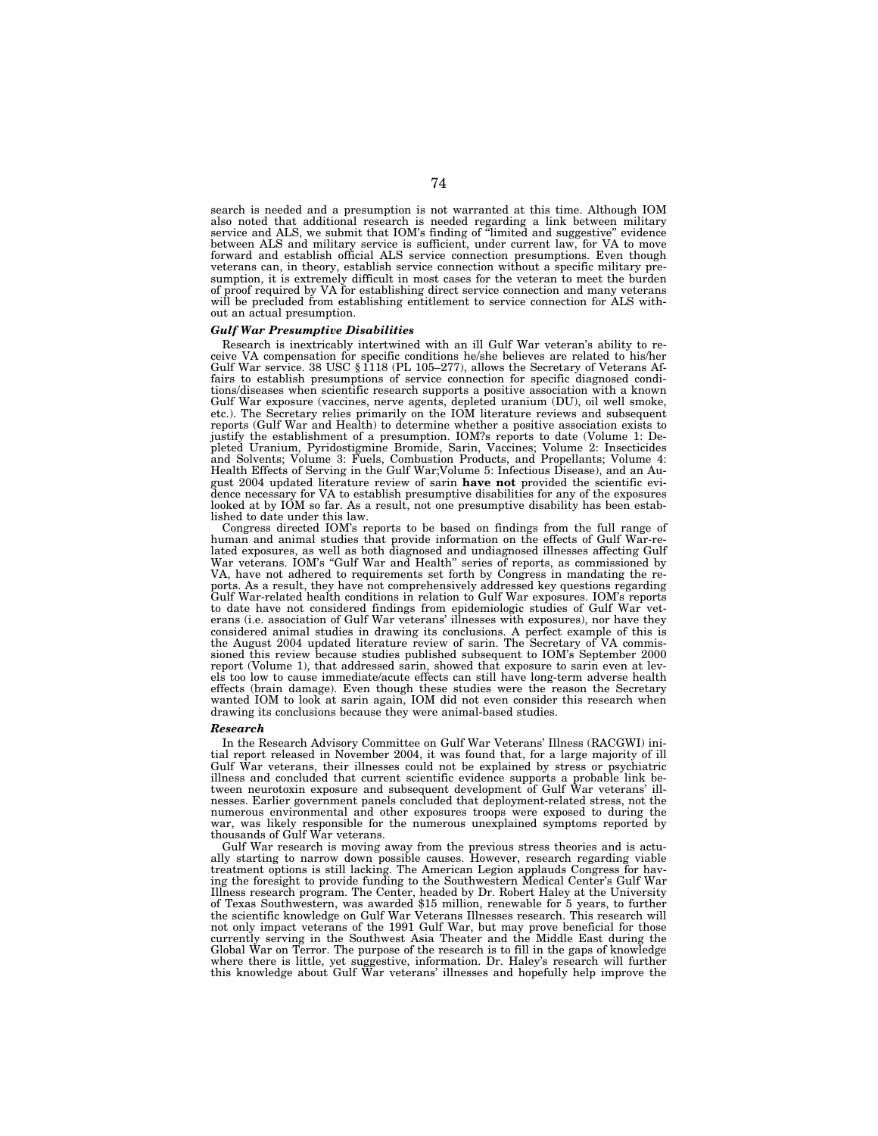search is needed and a presumption is not warranted at this time. Although IOM also noted that additional research is needed regarding a link between military service and ALS, we submit that IOM's finding of ''limited and suggestive'' evidence between ALS and military service is sufficient, under current law, for VA to move forward and establish official ALS service connection presumptions. Even though veterans can, in theory, establish service connection without a specific military presumption, it is extremely difficult in most cases for the veteran to meet the burden of proof required by VA for establishing direct service connection and many veterans will be precluded from establishing entitlement to service connection for ALS without an actual presumption.

## *Gulf War Presumptive Disabilities*

Research is inextricably intertwined with an ill Gulf War veteran's ability to receive VA compensation for specific conditions he/she believes are related to his/her Gulf War service. 38 USC § 1118 (PL 105–277), allows the Secretary of Veterans Affairs to establish presumptions of service connection for specific diagnosed conditions/diseases when scientific research supports a positive association with a known Gulf War exposure (vaccines, nerve agents, depleted uranium (DU), oil well smoke, etc.). The Secretary relies primarily on the IOM literature reviews and subsequent reports (Gulf War and Health) to determine whether a positive association exists to justify the establishment of a presumption. IOM?s reports to date (Volume 1: Depleted Uranium, Pyridostigmine Bromide, Sarin, Vaccines; Volume 2: Insecticides and Solvents; Volume 3: Fuels, Combustion Products, and Propellants; Volume 4: Health Effects of Serving in the Gulf War;Volume 5: Infectious Disease), and an August 2004 updated literature review of sarin **have not** provided the scientific evidence necessary for VA to establish presumptive disabilities for any of the exposures looked at by IOM so far. As a result, not one presumptive disability has been established to date under this law.

Congress directed IOM's reports to be based on findings from the full range of human and animal studies that provide information on the effects of Gulf War-related exposures, as well as both diagnosed and undiagnosed illnesses affecting Gulf War veterans. IOM's ''Gulf War and Health'' series of reports, as commissioned by VA, have not adhered to requirements set forth by Congress in mandating the reports. As a result, they have not comprehensively addressed key questions regarding Gulf War-related health conditions in relation to Gulf War exposures. IOM's reports to date have not considered findings from epidemiologic studies of Gulf War veterans (i.e. association of Gulf War veterans' illnesses with exposures), nor have they considered animal studies in drawing its conclusions. A perfect example of this is the August 2004 updated literature review of sarin. The Secretary of VA commissioned this review because studies published subsequent to IOM's September 2000 report (Volume 1), that addressed sarin, showed that exposure to sarin even at levels too low to cause immediate/acute effects can still have long-term adverse health effects (brain damage). Even though these studies were the reason the Secretary wanted IOM to look at sarin again, IOM did not even consider this research when drawing its conclusions because they were animal-based studies.

#### *Research*

In the Research Advisory Committee on Gulf War Veterans' Illness (RACGWI) initial report released in November 2004, it was found that, for a large majority of ill Gulf War veterans, their illnesses could not be explained by stress or psychiatric illness and concluded that current scientific evidence supports a probable link between neurotoxin exposure and subsequent development of Gulf War veterans' illnesses. Earlier government panels concluded that deployment-related stress, not the numerous environmental and other exposures troops were exposed to during the war, was likely responsible for the numerous unexplained symptoms reported by thousands of Gulf War veterans.

Gulf War research is moving away from the previous stress theories and is actually starting to narrow down possible causes. However, research regarding viable treatment options is still lacking. The American Legion applauds Congress for having the foresight to provide funding to the Southwestern Medical Center's Gulf War Illness research program. The Center, headed by Dr. Robert Haley at the University of Texas Southwestern, was awarded \$15 million, renewable for 5 years, to further the scientific knowledge on Gulf War Veterans Illnesses research. This research will not only impact veterans of the 1991 Gulf War, but may prove beneficial for those currently serving in the Southwest Asia Theater and the Middle East during the Global War on Terror. The purpose of the research is to fill in the gaps of knowledge where there is little, yet suggestive, information. Dr. Haley's research will further this knowledge about Gulf War veterans' illnesses and hopefully help improve the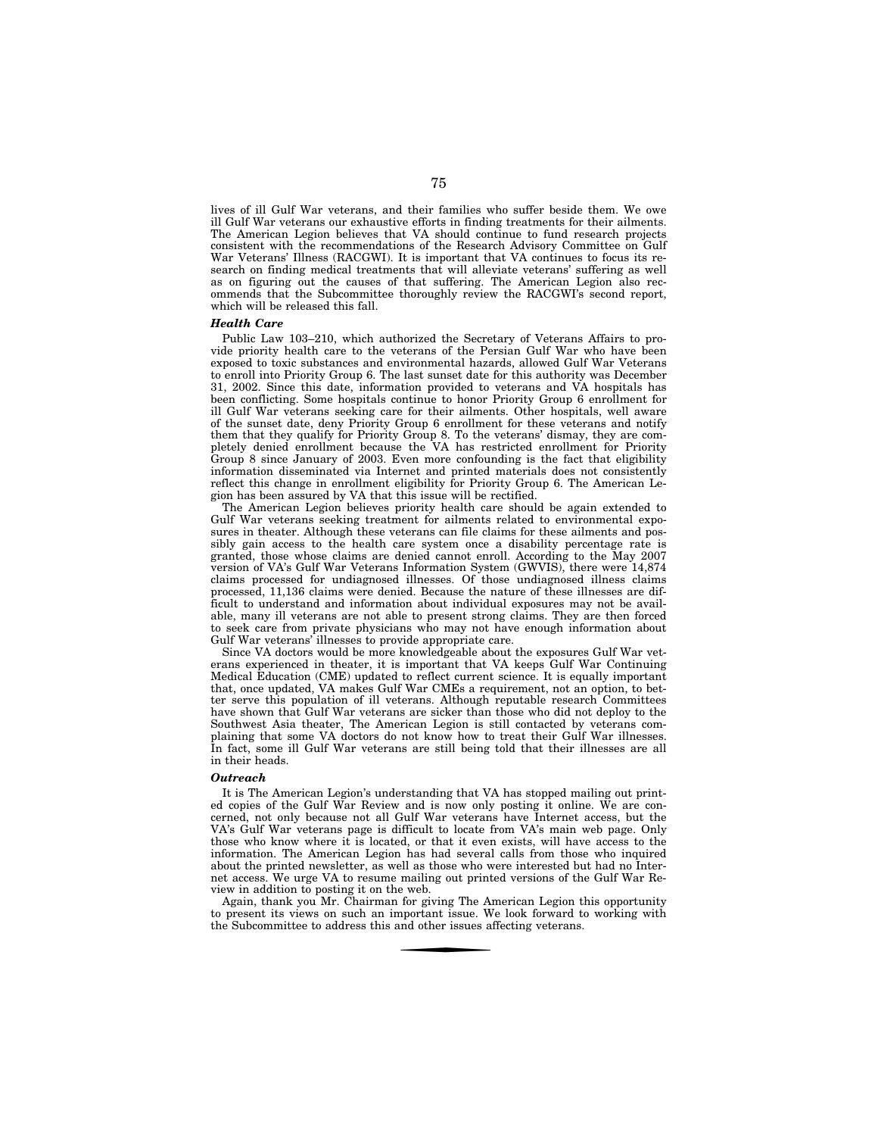lives of ill Gulf War veterans, and their families who suffer beside them. We owe ill Gulf War veterans our exhaustive efforts in finding treatments for their ailments. The American Legion believes that VA should continue to fund research projects consistent with the recommendations of the Research Advisory Committee on Gulf War Veterans' Illness (RACGWI). It is important that VA continues to focus its research on finding medical treatments that will alleviate veterans' suffering as well as on figuring out the causes of that suffering. The American Legion also recommends that the Subcommittee thoroughly review the RACGWI's second report, which will be released this fall.

#### *Health Care*

Public Law 103–210, which authorized the Secretary of Veterans Affairs to provide priority health care to the veterans of the Persian Gulf War who have been exposed to toxic substances and environmental hazards, allowed Gulf War Veterans to enroll into Priority Group 6. The last sunset date for this authority was December 31, 2002. Since this date, information provided to veterans and VA hospitals has been conflicting. Some hospitals continue to honor Priority Group 6 enrollment for ill Gulf War veterans seeking care for their ailments. Other hospitals, well aware of the sunset date, deny Priority Group 6 enrollment for these veterans and notify them that they qualify for Priority Group 8. To the veterans' dismay, they are completely denied enrollment because the VA has restricted enrollment for Priority Group 8 since January of 2003. Even more confounding is the fact that eligibility information disseminated via Internet and printed materials does not consistently reflect this change in enrollment eligibility for Priority Group 6. The American Legion has been assured by VA that this issue will be rectified.

The American Legion believes priority health care should be again extended to Gulf War veterans seeking treatment for ailments related to environmental exposures in theater. Although these veterans can file claims for these ailments and possibly gain access to the health care system once a disability percentage rate is granted, those whose claims are denied cannot enroll. According to the May 2007 version of VA's Gulf War Veterans Information System (GWVIS), there were 14,874 claims processed for undiagnosed illnesses. Of those undiagnosed illness claims processed, 11,136 claims were denied. Because the nature of these illnesses are difficult to understand and information about individual exposures may not be available, many ill veterans are not able to present strong claims. They are then forced to seek care from private physicians who may not have enough information about Gulf War veterans' illnesses to provide appropriate care.

Since VA doctors would be more knowledgeable about the exposures Gulf War veterans experienced in theater, it is important that VA keeps Gulf War Continuing Medical Education (CME) updated to reflect current science. It is equally important that, once updated, VA makes Gulf War CMEs a requirement, not an option, to better serve this population of ill veterans. Although reputable research Committees have shown that Gulf War veterans are sicker than those who did not deploy to the Southwest Asia theater, The American Legion is still contacted by veterans complaining that some VA doctors do not know how to treat their Gulf War illnesses. In fact, some ill Gulf War veterans are still being told that their illnesses are all in their heads.

#### *Outreach*

It is The American Legion's understanding that VA has stopped mailing out printed copies of the Gulf War Review and is now only posting it online. We are concerned, not only because not all Gulf War veterans have Internet access, but the VA's Gulf War veterans page is difficult to locate from VA's main web page. Only those who know where it is located, or that it even exists, will have access to the information. The American Legion has had several calls from those who inquired about the printed newsletter, as well as those who were interested but had no Internet access. We urge VA to resume mailing out printed versions of the Gulf War Review in addition to posting it on the web.

Again, thank you Mr. Chairman for giving The American Legion this opportunity to present its views on such an important issue. We look forward to working with the Subcommittee to address this and other issues affecting veterans.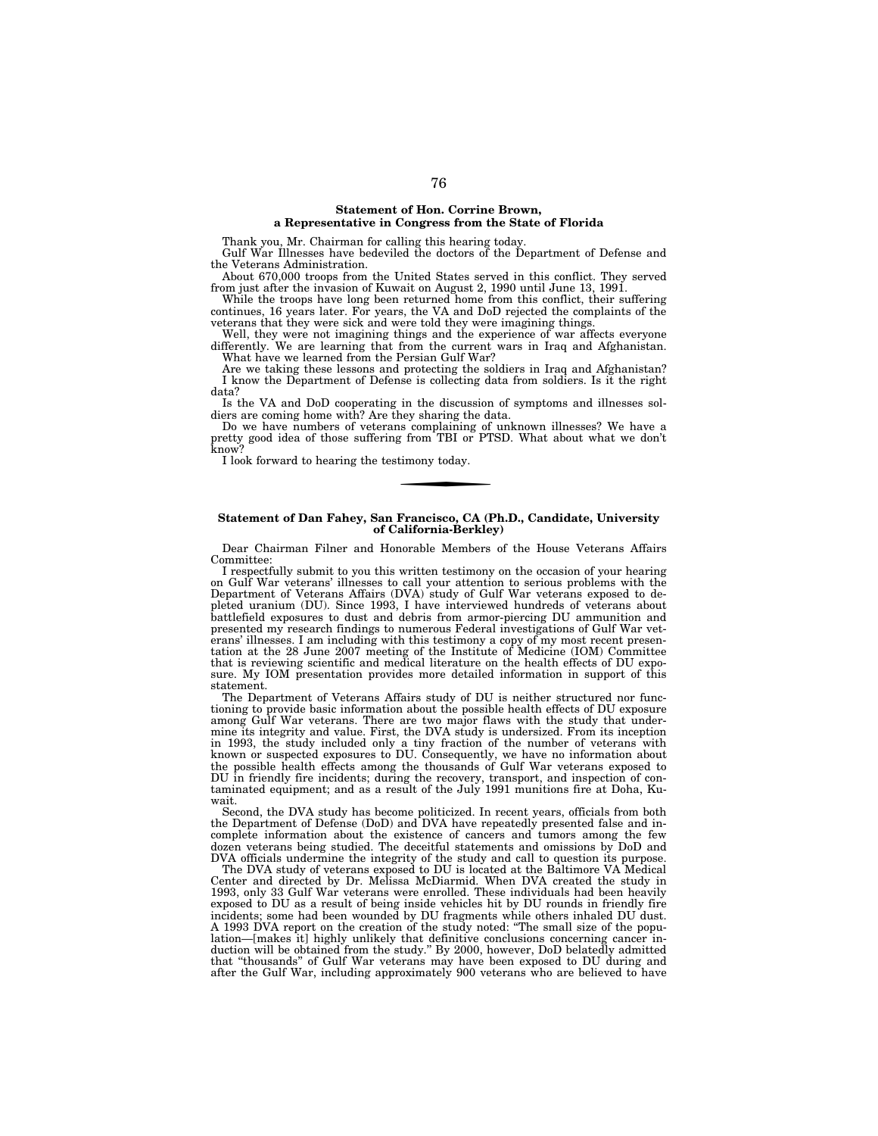## **Statement of Hon. Corrine Brown, a Representative in Congress from the State of Florida**

Thank you, Mr. Chairman for calling this hearing today.

Gulf War Illnesses have bedeviled the doctors of the Department of Defense and the Veterans Administration.

About 670,000 troops from the United States served in this conflict. They served from just after the invasion of Kuwait on August 2, 1990 until June 13, 1991.

While the troops have long been returned home from this conflict, their suffering continues, 16 years later. For years, the VA and DoD rejected the complaints of the veterans that they were sick and were told they were imagining things.

Well, they were not imagining things and the experience of war affects everyone differently. We are learning that from the current wars in Iraq and Afghanistan. What have we learned from the Persian Gulf War?

Are we taking these lessons and protecting the soldiers in Iraq and Afghanistan? I know the Department of Defense is collecting data from soldiers. Is it the right data?

Is the VA and DoD cooperating in the discussion of symptoms and illnesses soldiers are coming home with? Are they sharing the data.

Do we have numbers of veterans complaining of unknown illnesses? We have a pretty good idea of those suffering from TBI or PTSD. What about what we don't know?

I look forward to hearing the testimony today.

## **Statement of Dan Fahey, San Francisco, CA (Ph.D., Candidate, University of California-Berkley)**

Dear Chairman Filner and Honorable Members of the House Veterans Affairs Committee:

I respectfully submit to you this written testimony on the occasion of your hearing on Gulf War veterans' illnesses to call your attention to serious problems with the Department of Veterans Affairs (DVA) study of Gulf War veterans exposed to depleted uranium (DU). Since 1993, I have interviewed hundreds of veterans about battlefield exposures to dust and debris from armor-piercing DU ammunition and presented my research findings to numerous Federal investigations of Gulf War veterans' illnesses. I am including with this testimony a copy of my most recent presentation at the 28 June 2007 meeting of the Institute of Medicine (IOM) Committee that is reviewing scientific and medical literature on the health effects of DU exposure. My IOM presentation provides more detailed information in support of this statement.

The Department of Veterans Affairs study of DU is neither structured nor functioning to provide basic information about the possible health effects of DU exposure among Gulf War veterans. There are two major flaws with the study that undermine its integrity and value. First, the DVA study is undersized. From its inception in 1993, the study included only a tiny fraction of the number of veterans with known or suspected exposures to DU. Consequently, we have no information about the possible health effects among the thousands of Gulf War veterans exposed to DU in friendly fire incidents; during the recovery, transport, and inspection of contaminated equipment; and as a result of the July 1991 munitions fire at Doha, Kuwait.

Second, the DVA study has become politicized. In recent years, officials from both the Department of Defense (DoD) and DVA have repeatedly presented false and incomplete information about the existence of cancers and tumors among the few dozen veterans being studied. The deceitful statements and omissions by DoD and DVA officials undermine the integrity of the study and call to question its purpose.

The DVA study of veterans exposed to DU is located at the Baltimore VA Medical Center and directed by Dr. Melissa McDiarmid. When DVA created the study in 1993, only 33 Gulf War veterans were enrolled. These individuals had been heavily exposed to DU as a result of being inside vehicles hit by DU rounds in friendly fire incidents; some had been wounded by DU fragments while others inhaled DU dust. A 1993 DVA report on the creation of the study noted: ''The small size of the population—[makes it] highly unlikely that definitive conclusions concerning cancer induction will be obtained from the study.'' By 2000, however, DoD belatedly admitted that ''thousands'' of Gulf War veterans may have been exposed to DU during and after the Gulf War, including approximately 900 veterans who are believed to have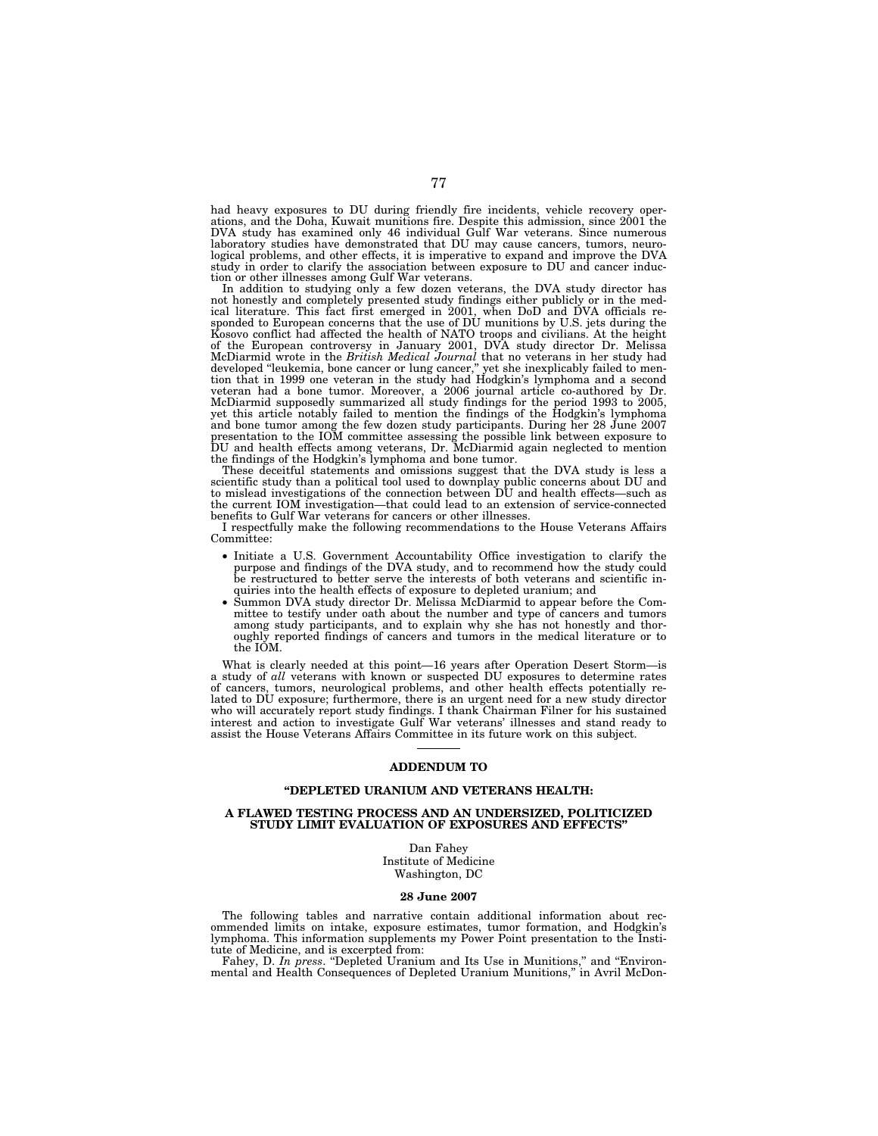had heavy exposures to DU during friendly fire incidents, vehicle recovery operations, and the Doha, Kuwait munitions fire. Despite this admission, since 2001 the DVA study has examined only 46 individual Gulf War veterans logical problems, and other effects, it is imperative to expand and improve the DVA study in order to clarify the association between exposure to DU and cancer induction or other illnesses among Gulf War veterans.

In addition to studying only a few dozen veterans, the DVA study director has<br>not honestly and completely presented study findings either publicly or in the med-<br>ical literature. This fact first emerged in 2001, when DoD a Kosovo conflict had affected the health of NATO troops and civilians. At the height<br>of the European controversy in January 2001, DVA study director Dr. Melissa<br>McDiarmid wrote in the British Medical Journal that no veteran tion that in 1999 one veteran in the study had Hodgkin's lymphoma and a second<br>veteran had a bone tumor. Moreover, a 2006 journal article co-authored by Dr.<br>McDiarmid supposedly summarized all study findings for the period and bone tumor among the few dozen study participants. During her 28 June 2007<br>presentation to the IOM committee assessing the possible link between exposure to<br>DU and health effects among veterans, Dr. McDiarmid again neg

These deceitful statements and omissions suggest that the DVA study is less a scientific study than a political tool used to downplay public concerns about DU and to mislead investigations of the connection between DU and health effects—such as the current IOM investigation—that could lead to an extension of service-connected benefits to Gulf War veterans for cancers or other illnesses.

I respectfully make the following recommendations to the House Veterans Affairs Committee:

- Initiate a U.S. Government Accountability Office investigation to clarify the purpose and findings of the DVA study, and to recommend how the study could be restructured to better serve the interests of both veterans and scientific inquiries into the health effects of exposure to depleted uranium; and
- Summon DVA study director Dr. Melissa McDiarmid to appear before the Committee to testify under oath about the number and type  $\hat{f}$  cancers and tumors among study participants, and to explain why she has not honestly and thoroughly reported findings of cancers and tumors in the medical literature or to the IOM.

What is clearly needed at this point—16 years after Operation Desert Storm—is a study of *all* veterans with known or suspected DU exposures to determine rates of cancers, tumors, neurological problems, and other health effects potentially related to DU exposure; furthermore, there is an urgent need for a new study director who will accurately report study findings. I thank Chairman Filner for his sustained interest and action to investigate Gulf War veterans' illnesses and stand ready to assist the House Veterans Affairs Committee in its future work on this subject.

#### **ADDENDUM TO**

## **''DEPLETED URANIUM AND VETERANS HEALTH:**

## **A FLAWED TESTING PROCESS AND AN UNDERSIZED, POLITICIZED STUDY LIMIT EVALUATION OF EXPOSURES AND EFFECTS''**

Dan Fahey

Institute of Medicine Washington, DC

#### **28 June 2007**

The following tables and narrative contain additional information about recommended limits on intake, exposure estimates, tumor formation, and Hodgkin's lymphoma. This information supplements my Power Point presentation to the Insti-

tute of Medicine, and is excerpted from: Fahey, D. *In press*. ''Depleted Uranium and Its Use in Munitions,'' and ''Environmental and Health Consequences of Depleted Uranium Munitions,'' in Avril McDon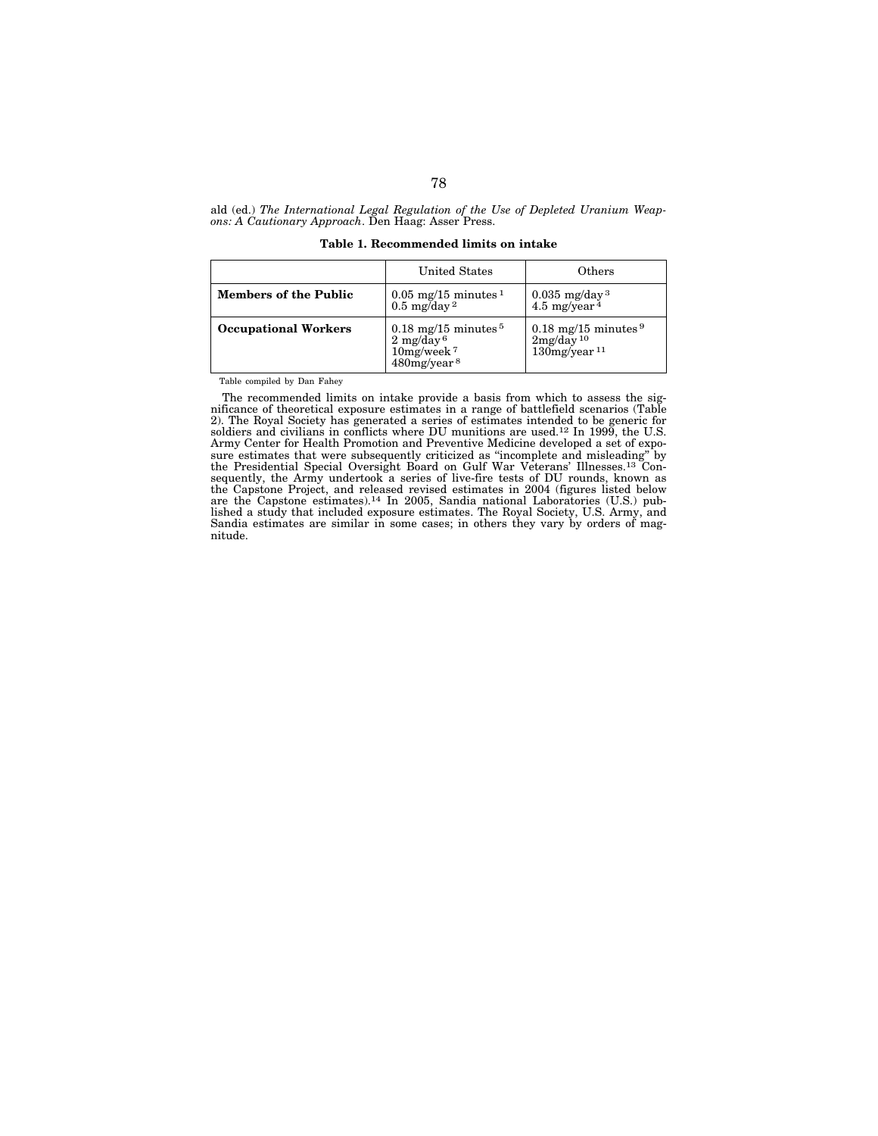ald (ed.) *The International Legal Regulation of the Use of Depleted Uranium Weapons: A Cautionary Approach*. Den Haag: Asser Press.

**Table 1. Recommended limits on intake** 

|                              | United States                                                                                                         | Others                                                                                           |
|------------------------------|-----------------------------------------------------------------------------------------------------------------------|--------------------------------------------------------------------------------------------------|
| <b>Members of the Public</b> | $0.05 \text{ mg}/15 \text{ minutes}^{-1}$<br>$0.035$ mg/day <sup>3</sup><br>4.5 mg/year $4$<br>$0.5 \text{ mg/day}^2$ |                                                                                                  |
| <b>Occupational Workers</b>  | $0.18 \text{ mg}/15 \text{ minutes}^5$<br>$2 \text{ mg/day}^6$<br>$10$ mg/week $7$<br>$480$ mg/year $8$               | $0.18 \text{ mg}/15 \text{ minutes}^9$<br>$2mg/day$ <sup>10</sup><br>$130$ mg/year <sup>11</sup> |

Table compiled by Dan Fahey

The recommended limits on intake provide a basis from which to assess the significance of theoretical exposure estimates in a range of battlefield scenarios (Table 2). The Royal Society has generated a series of estimates intended to be generic for soldiers and civilians in conflicts where DU munitions are used.12 In 1999, the U.S. Army Center for Health Promotion and Preventive Medicine developed a set of exposure estimates that were subsequently criticized as "incomplete and misleading" by the Presidential Special Oversight Board on Gulf War Veterans' Illnesses.<sup>13</sup> Consequently, the Army undertook a series of live-fire tests of DU rounds, known as the Capstone Project, and released revised estimates in 2004 (figures listed below are the Capstone estimates).14 In 2005, Sandia national Laboratories (U.S.) published a study that included exposure estimates. The Royal Society, U.S. Army, and Sandia estimates are similar in some cases; in others they vary by orders of magnitude.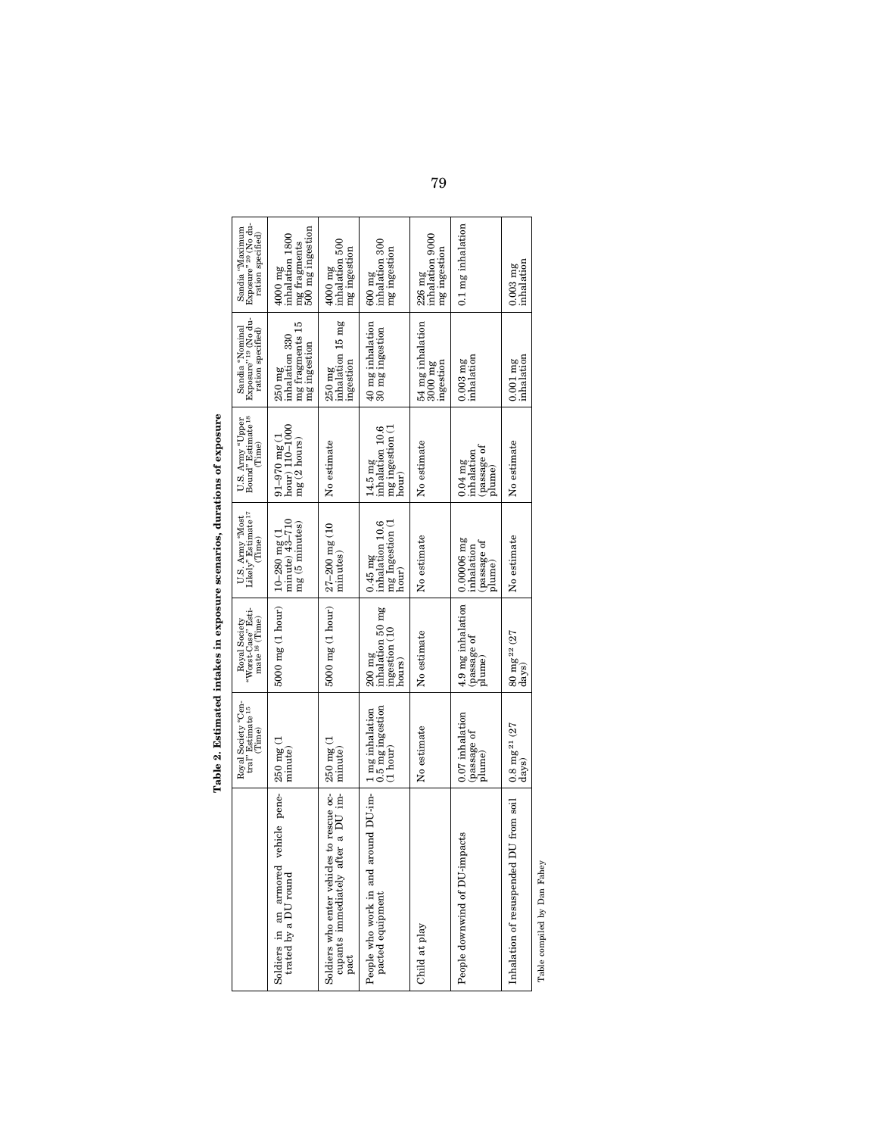|                                                                                                                               | Royal Society "Cen<br>tral" Estimate <sup>15</sup><br>(Time)                   | "Worst-Case" Esti-<br>mate <sup>16</sup> (Time)<br>Royal Society | Likely" Estimate <sup>17</sup><br>U.S. Army "Most<br>Time) | Bound" Estimate <sup>18</sup><br>U.S. Army "Upper<br>Time) | Exposure" <sup>19</sup> (No du-<br>Sandia "Nominal<br>ration specified | Exposure" <sup>20</sup> (No du-<br>Sandia "Maximum<br>ration specified)   |
|-------------------------------------------------------------------------------------------------------------------------------|--------------------------------------------------------------------------------|------------------------------------------------------------------|------------------------------------------------------------|------------------------------------------------------------|------------------------------------------------------------------------|---------------------------------------------------------------------------|
| vehicle pene-<br>$\begin{array}{ll} \mbox{Soldiers}\ \ \mbox{in\ \ an\ \ armored} \\ \mbox{trated by a DU round} \end{array}$ | 250 mg (1<br>minute.                                                           | $5000 \text{ mg}$ (1 hour)                                       | $10 - 280$ mg (1<br>minute) $43 - 710$<br>mg (5 minutes)   | hour) 110-1000<br>$91 - 970$ mg (1<br>mg (2 hours)         | mg fragments 15<br>inhalation 330<br>mg ingestion<br>250 mg            | 500 mg ingestion<br>inhalation 1800<br>mg fragments<br>$4000~\mathrm{mg}$ |
| after a DU im-   minute<br>les to rescue oc-<br>Soldiers who enter vehic<br>cupants immediately a<br>pact                     | $250$ mg (1                                                                    | $5000 \text{ mg}$ $(1 \text{ hour})$                             | $27 - 200$ mg (10<br>minutes)                              | No estimate                                                | inhalation 15 mg<br>$_{\rm{mgeestion}}$<br>250 mg                      | inhalation 500<br>mg ingestion<br>4000 mg                                 |
| around DU-im-<br>People who work in and<br>pacted equipment                                                                   | 0.5 mg ingestion<br>1 mg inhalation<br>$\frac{1 \text{ hour}}{1 \text{ hour}}$ | inhalation 50 mg<br>ingestion (10<br>$200$ mg<br>nours           | inhalation 10.6<br>mg Ingestion (1<br>$0.45$ mg<br>hour.   | 14.5 mg<br>inhalation 10.6<br>mg ingestion (1<br>hour.     | 40 mg inhalation<br>30 mg ingestion                                    | inhalation 300<br>mg ingestion<br>$600 \text{ mg}$                        |
| Child at play                                                                                                                 | No estimate                                                                    | No estimate                                                      | No estimate                                                | No estimate                                                | 54 mg inhalation<br>ingestion<br>3000 mg                               | inhalation 9000<br>mg ingestion<br>226 mg                                 |
| People downwind of DU-impacts                                                                                                 | 0.07 inhalation<br>passage of<br>plume)                                        | 4.9 mg inhalation<br>passage of<br>plume                         | $0.00006$ mg<br>passage of<br>inhalation<br>plume          | passage of<br>inhalation<br>$0.04$ mg<br>plume             | inhalation<br>$0.003$ mg                                               | $0.1$ mg inhalation                                                       |
| Inhalation of resuspended DU from soil                                                                                        | $0.8 \text{ mg}^{21}$ (27<br>davs                                              | $80 \text{ mg}^{22}$ (27<br>davs                                 | No estimate                                                | No estimate                                                | inhalation<br>$0.001$ mg                                               | inhalation<br>$0.003$ mg                                                  |

Table 2. Estimated intakes in exposure scenarios, durations of exposure **Table 2. Estimated intakes in exposure scenarios, durations of exposure** 

79

Table compiled by Dan Fahey Table compiled by Dan Fahey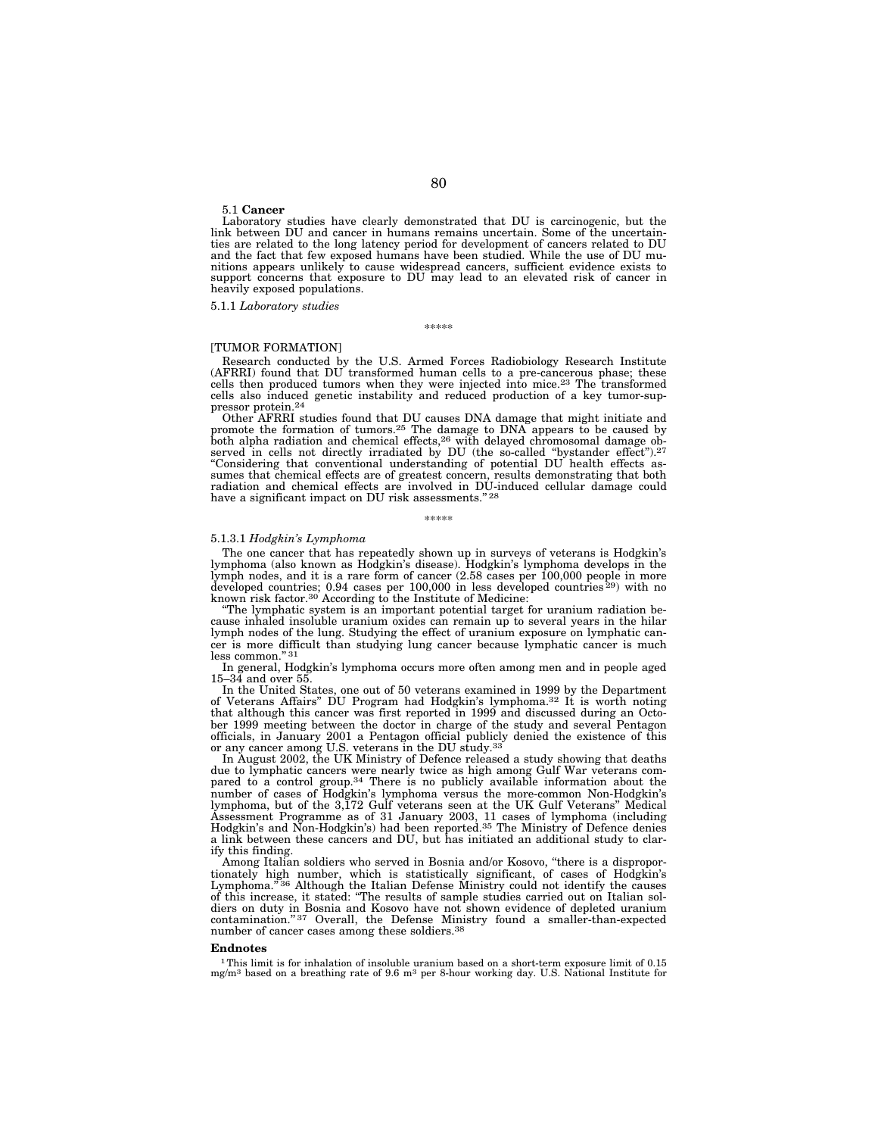5.1 **Cancer** 

Laboratory studies have clearly demonstrated that DU is carcinogenic, but the link between DU and cancer in humans remains uncertain. Some of the uncertainties are related to the long latency period for development of cancers related to DU and the fact that few exposed humans have been studied. While the use of DU munitions appears unlikely to cause widespread cancers, sufficient evidence exists to support concerns that exposure to DU may lead to an elevated risk of cancer in heavily exposed populations.

5.1.1 *Laboratory studies* 

\*\*\*\*\*

## [TUMOR FORMATION]

Research conducted by the U.S. Armed Forces Radiobiology Research Institute (AFRRI) found that DU transformed human cells to a pre-cancerous phase; these cells then produced tumors when they were injected into mice.23 The transformed cells also induced genetic instability and reduced production of a key tumor-suppressor protein.24

Other AFRRI studies found that DU causes DNA damage that might initiate and promote the formation of tumors.25 The damage to DNA appears to be caused by both alpha radiation and chemical effects,<sup>26</sup> with delayed chromosomal damage observed in cells not directly irradiated by DU (the so-called "bystander effect").<sup>27</sup> ''Considering that conventional understanding of potential DU health effects assumes that chemical effects are of greatest concern, results demonstrating that both radiation and chemical effects are involved in DU-induced cellular damage could<br>have a significant impact on DU risk assessments."<sup>28</sup>

# \*\*\*\*\*

#### 5.1.3.1 *Hodgkin's Lymphoma*

The one cancer that has repeatedly shown up in surveys of veterans is Hodgkin's lymphoma (also known as Hodgkin's disease). Hodgkin's lymphoma develops in the lymph nodes, and it is a rare form of cancer (2.58 cases per 100,000 people in more developed countries;  $0.94$  cases per 100,000 in less developed countries  $^{29}$ ) with no known risk factor.<sup>30</sup> According to the Institute of Medicine:

''The lymphatic system is an important potential target for uranium radiation because inhaled insoluble uranium oxides can remain up to several years in the hilar lymph nodes of the lung. Studying the effect of uranium exposure on lymphatic cancer is more difficult than studying lung cancer because lymphatic cancer is much less common.'' 31

In general, Hodgkin's lymphoma occurs more often among men and in people aged 15–34 and over 55.

In the United States, one out of 50 veterans examined in 1999 by the Department of Veterans Affairs'' DU Program had Hodgkin's lymphoma.32 It is worth noting that although this cancer was first reported in 1999 and discussed during an October 1999 meeting between the doctor in charge of the study and several Pentagon officials, in January 2001 a Pentagon official publicly denied the existence of this or any cancer among U.S. veterans in the DU study.<sup>33</sup>

In August 2002, the UK Ministry of Defence released a study showing that deaths due to lymphatic cancers were nearly twice as high among Gulf War veterans compared to a control group.<sup>34</sup> There is no publicly available information about the number of cases of Hodgkin's lymphoma versus the more-common lymphoma, but of the 3,172 Gulf veterans seen at the UK Gulf Veterans'' Medical Assessment Programme as of 31 January 2003, 11 cases of lymphoma (including Hodgkin's and Non-Hodgkin's) had been reported.35 The Ministry of Defence denies a link between these cancers and DU, but has initiated an additional study to clarify this finding.

Among Italian soldiers who served in Bosnia and/or Kosovo, ''there is a disproportionately high number, which is statistically significant, of cases of Hodgkin's Lymphoma.'' 36 Although the Italian Defense Ministry could not identify the causes of this increase, it stated: ''The results of sample studies carried out on Italian soldiers on duty in Bosnia and Kosovo have not shown evidence of depleted uranium contamination." 37 Overall, the Defense Ministry found a smaller-than-expected number of cancer cases among these soldiers.<sup>38</sup>

#### **Endnotes**

<sup>1</sup> This limit is for inhalation of insoluble uranium based on a short-term exposure limit of 0.15 mg/m<sup>3</sup> based on a breathing rate of 9.6 m<sup>3</sup> per 8-hour working day. U.S. National Institute for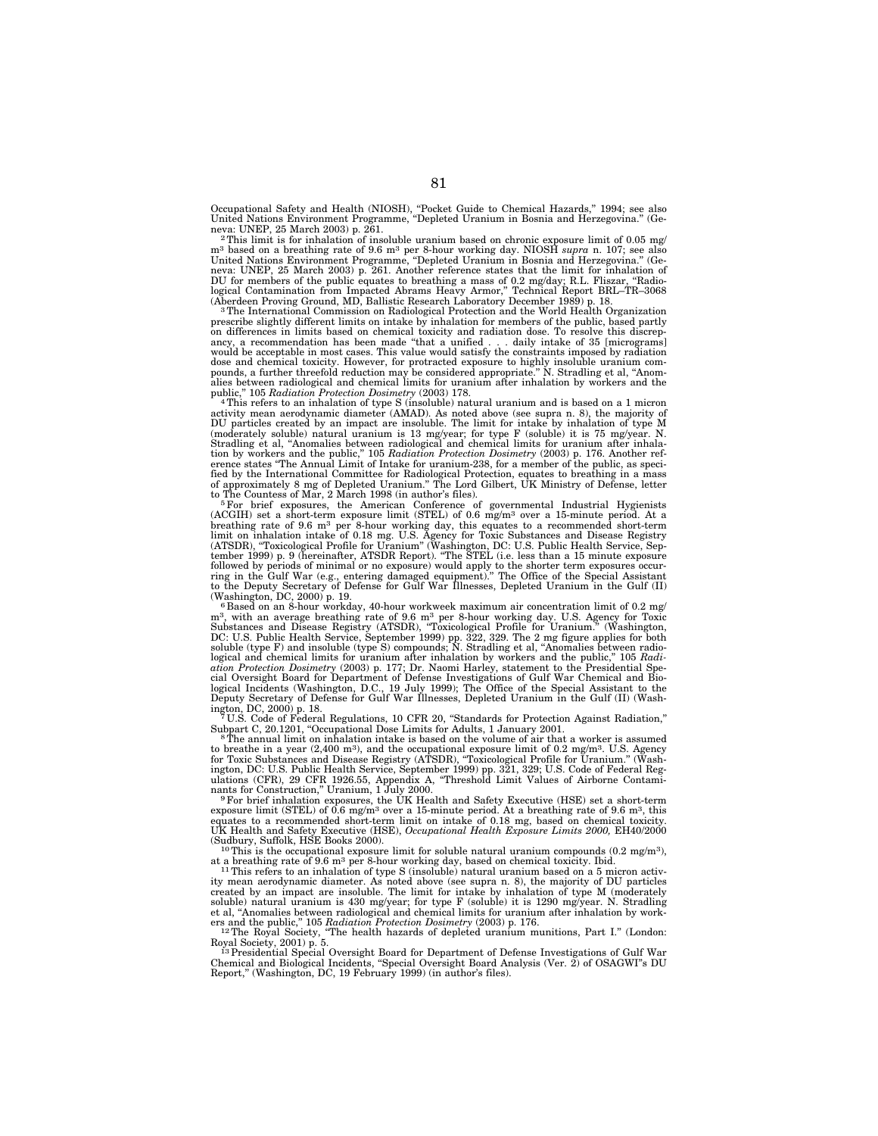Occupational Safety and Health (NIOSH), ''Pocket Guide to Chemical Hazards,'' 1994; see also United Nations Environment Programme, ''Depleted Uranium in Bosnia and Herzegovina.'' (Geneva: UNEP, 25 March 2003) p. 261.<br><sup>2</sup>This limit is for inhalation of insoluble uranium based on chronic exposure limit of 0.05 mg/

m3 based on a breathing rate of 9.6 m3 per 8-hour working day. NIOSH *supra* n. 107; see also United Nations Environment Programme, ''Depleted Uranium in Bosnia and Herzegovina.'' (Geneva: UNEP, 25 March 2003) p. 261. Another reference states that the limit for inhalation of<br>DU for members of the public equates to breathing a mass of 0.2 mg/day: R.L. Fliszar. "Radio-DU for members of the public equates to breathing a mass of  $0.2 \text{ mg/day}$ ; R.L. Fliszar, logical Contamination from Impacted Abrams Heavy Armor,'' Technical Report BRL–TR–3068 (Aberdeen Proving Ground, MD, Ballistic Research Laboratory December 1989) p. 18. 3The International Commission on Radiological Protection and the World Health Organization

prescribe slightly different limits on intake by inhalation for members of the public, based partly on differences in limits based on chemical toxicity and radiation dose. To resolve this discrepancy, a recommendation has been made "that a unified . . . daily intake of 35 [micrograms]<br>would be acceptable in most cases. T dose and chemical toxicity. However, for protracted exposure to highly insoluble uranium com-pounds, a further threefold reduction may be considered appropriate.'' N. Stradling et al, ''Anompounds, a future uncertainty and chemical limits for uranium after inhalation by workers and the public," 105 Radiation Protection Dosimetry (2003) 178.

public," 105 *Radiation Protection Dosimetry* (2003) 178.<br>"This refers to an inhalation of type S (insoluble) natural uranium and is based on a 1 micron<br>activity mean aerodynamic diameter (AMAD). As noted above (see supra DU particles created by an impact are insoluble. The limit for intake by inhalation of type M<br>(moderately soluble) natural uranium is 13 mg/year; for type F (soluble) it is 75 mg/year. N.<br>Stradling et al, "Anomalies betwee erence states "The Annual Limit of Intake for uranium-238, for a member of the public, as speci-<br>fied by the International Committee for Radiological Protection, equates to breathing in a mass<br>of approximately 8 mg of Depl

to The Countess of Mar, 2 March 1998 (in author's files).<br>
<sup>5</sup> For brief exposures, the American Conference of governmental Industrial Hygienists<br>
(ACGIH) set a short-term exposure limit (STEL) of 0.6 mg/m<sup>3</sup> over a 15-mi tember 1999) p. 9 (hereinafter, ATSDR Report). ''The STEL (i.e. less than a 15 minute exposure followed by periods of minimal or no exposure) would apply to the shorter term exposures occur-<br>ring in the Gulf War (e.g., entering damaged equipment)." The Office of the Special Assistant<br>to the Deputy Secretary of Defen (Washington, DC, 2000) p. 19.  $\frac{6}{5}$  6 Based on an 8-hour workday, 40-hour workweek maximum air concentration limit of 0.2 mg/

m<sup>3</sup>, with an average breathing rate of 9.6 m<sup>3</sup> per 8-hour working day. U.S. Agency for Toxic Substances and Disease Registry (ATSDR), "Toxicological Profile for Uranium." (Washington, DC: U.S. Public Health Service, Sept logical and chemical limits for uranium after inhalation by workers and the public," 105 Radi-<br>ation Protection Dosimetry (2003) p. 177; Dr. Naomi Harley, statement to the Presidential Spe-<br>cial Oversight Board for Departm

If the parties of the contract of the contract of the contract of the contract of Federal Regulations, 10 CFR 20, "Standards for Protection Against Radiation,"<br>The contract of the contract of the contract of the contract o Subpart C, 20.1201, "Occupational Dose Limits for Adults, 1 January 2001.<br><sup>8</sup>The annual limit on inhalation intake is based on the volume of air that a worker is assumed

to breathe in a year (2,400 m<sup>3</sup>), and the occupational exposure limit of 0.2 mg/m<sup>3</sup>. U.S. Agency<br>for Toxic Substances and Disease Registry (ATSDR), "Toxicological Profile for Uranium." (Wash-<br>ington, DC: U.S. Public Heal nants for Construction," Uranium, 1 July 2000.<br><sup>9</sup>For brief inhalation exposures, the UK Health and Safety Executive (HSE) set a short-term

exposure limit (STEL) of 0.6 mg/m<sup>3</sup> over a 15-minute period. At a breathing rate of 9.6 m<sup>3</sup>, this equates to a recommended short-term limit on intake of 0.18 mg, based on chemical toxicity.<br>UK Health and Safety Executive (Sudbury, Suffolk, HSE Books 2000).  $\frac{10 \text{ T}}{10 \text{ This is the occupational exposure limit for soluble natural uranium compounds } (0.2 \text{ mg/m}^3)$ ,

at a breathing rate of 9.6 m<sup>3</sup> per 8-hour working day, based on chemical toxicity. Ibid.<br><sup>11</sup>This refers to an inhalation of type S (insoluble) natural uranium based on a 5 micron activ-

ity mean aerodynamic diameter. As noted above (see supra n. 8), the majority of DU particles created by an impact are insoluble. The limit for intake by inhalation of type M (moderately soluble) natural uranium is 430 mg/year; for type F (soluble) it is 1290 mg/year. N. Stradling<br>et al, "Anomalies between radiological and chemical limits for uranium after inhalation by work-<br>ers and the public," 105 *Radi* 

Royal Society, 2001) p. 5. 13Presidential Special Oversight Board for Department of Defense Investigations of Gulf War

Chemical and Biological Incidents, ''Special Oversight Board Analysis (Ver. 2) of OSAGWI''s DU Report,'' (Washington, DC, 19 February 1999) (in author's files).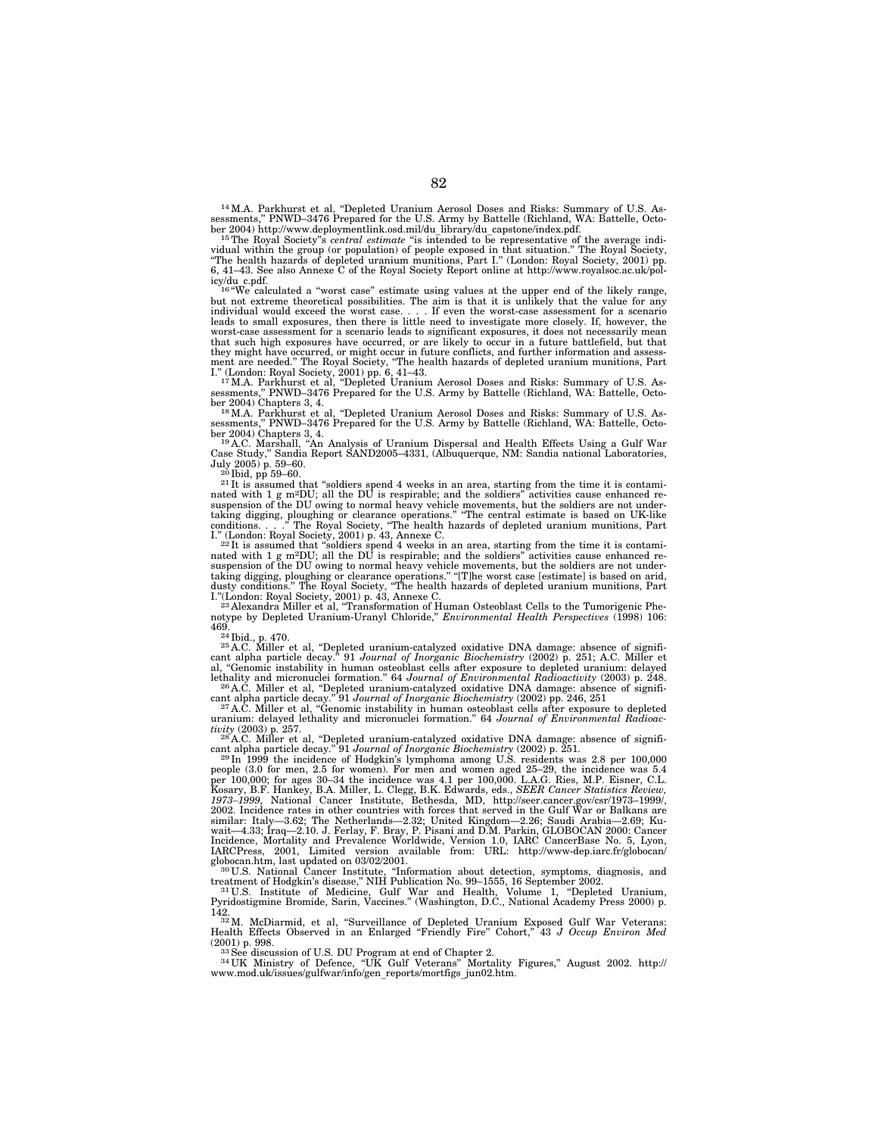14M.A. Parkhurst et al, ''Depleted Uranium Aerosol Doses and Risks: Summary of U.S. Assessments,'' PNWD–3476 Prepared for the U.S. Army by Battelle (Richland, WA: Battelle, Octo-

ber 2004) http://www.deploymentlink.osd.mil/du\_library/du\_capstone/index.pdf.<br><sup>15</sup>The Royal Society"s *central estimate* "is intended to be representative of the average indi-<br>vidual within the group (or population) of peo 6, 41–43. See also Annexe C of the Royal Society Report online at http://www.royalsoc.ac.uk/pol-

icy/du c.pdf.<br><sup>16</sup> "We calculated a "worst case" estimate using values at the upper end of the likely range,<br>but not extreme theoretical possibilities. The aim is that it is unlikely that the value for any<br>individual would worst-case assessment for a scenario leads to significant exposures, it does not necessarily mean that such high exposures have occurred, or are likely to occur in a future battlefield, but that<br>they might have occurred, or might occur in future conflicts, and further information and assess-<br>ment are needed." The Royal

L." (London: Royal Society, 2001) pp. 6, 41–43.<br><sup>117</sup>M.A. Parkhurst et al, "Depleted Uranium Aerosol Doses and Risks: Summary of U.S. As-<br>sessments," PNWD–3476 Prepared for the U.S. Army by Battelle (Richland, WA: Battelle ber 2004) Chapters 3, 4.<br>ber 2004) Chapters 3, 4.<br><sup>18</sup>M.A. Parkhurst et al, "Depleted Uranium Aerosol Doses and Risks: Summary of U.S. As-

sessments," PNWD–3476 Prepared for the U.S. Army by Battelle (Richland, WA: Battelle, October 2004) Chapters 3, 4.<br>her 2004) Chapters 3, 4.<br>19A.C. Marshall, "An Analysis of Uranium Dispersal and Health Effects Using a Gulf

July 2005) p. 59–60.<br><sup>20</sup> lbid, pp 59–60.<br><sup>20</sup> lbid, pp 59–60.<br><sup>21</sup> lt is assumed that "soldiers spend 4 weeks in an area, starting from the time it is contami-<br><sup>21</sup> lt is assumed that "soldiers spend 4 weeks in an area, I.'' Suspension of the DO owing to increase operations." "The central estimate is based on UK-like conditions...." The Royal Society, "The health hazards of depleted uranium munitions, Part I." (London: Royal Society, 2001

nated with 1 g m<sup>2</sup>DU; all the DU is respirable; and the soldiers" activities cause enhanced re-<br>suspension of the DU owing to normal heavy vehicle movements, but the soldiers are not under-<br>taking digging, ploughing or c I.''(London: Royal Society, 2001) p. 43, Annexe C. 23 Alexandra Miller et al, ''Transformation of Human Osteoblast Cells to the Tumorigenic Phe-

notype by Depleted Uranium-Uranyl Chloride,'' *Environmental Health Perspectives* (1998) 106:

<sup>24</sup> Ibid., p. 470. <sup>25</sup> A.C. Miller et al, "Depleted uranium-catalyzed oxidative DNA damage: absence of signifi-<br><sup>25</sup> A.C. Miller et al, "Depleted uranium-catalyzed oxidative DNA damage: absence of significant alpha particle decay." 91 Journal of Inorganic Biochemistry (2002) p. 251; A.C. Miller et al, "Genomic instability in human osteoblast cells after exposure to depleted uranium: delayed lethality and micronuclei format

cant alpha particle decay." 91 Journal of Inorganic Biochemistry (2002) pp. 246, 251<br><sup>227</sup>A.C. Miller et al, "Genomic instability in human osteoblast cells after exposure to depleted<br>uranium: delayed lethality and micronuc

*tivity* (2003) p. 257.<br><sup>28</sup> A.C. Miller et al, "Depleted uranium-catalyzed oxidative DNA damage: absence of signifi-

cant alpha particle decay." 91 Journal of Inorganic Biochemistry (2002) p. 251.<br><sup>29</sup> In 1999 the incidence of Hodgkin's lymphoma among U.S. residents was 2.8 per 100,000<br>people (3.0 for men, 2.5 for women). For men and wo Kosary, B.F. Hankey, B.A. Miller, L. Clegg, B.K. Edwards, eds., *SEER Cancer Statistics Review,*<br>1973–1999, National Cancer Institute, Bethesda, MD, http://ser.cancer.gov/csr/1973–1999/.<br>2002. Incidence rates in other coun globocan.htm, last updated on 03/02/2001.<br><sup>30</sup>U.S. National Cancer Institute, "Information about detection, symptoms, diagnosis, and

treatment of Hodgkin's disease," NIH Publication No. 99–1555, 16 September 2002.<br><sup>31</sup>U.S. Institute of Medicine, Gulf War and Health, Volume 1, "Depleted Uranium,<br>Pyridostigmine Bromide, Sarin, Vaccines." (Washi

142. 32M. McDiarmid, et al, ''Surveillance of Depleted Uranium Exposed Gulf War Veterans: Health Effects Observed in an Enlarged ''Friendly Fire'' Cohort,'' 43 *J Occup Environ Med* 

(2001) p. 998.<br><sup>33</sup> See discussion of U.S. DU Program at end of Chapter 2.<br><sup>34</sup> UK Ministry of Defence, "UK Gulf Veterans" Mortality Figures," August 2002. http://<br>www.mod.uk/issues/gulfwar/info/gen\_reports/mortfigs\_jun02.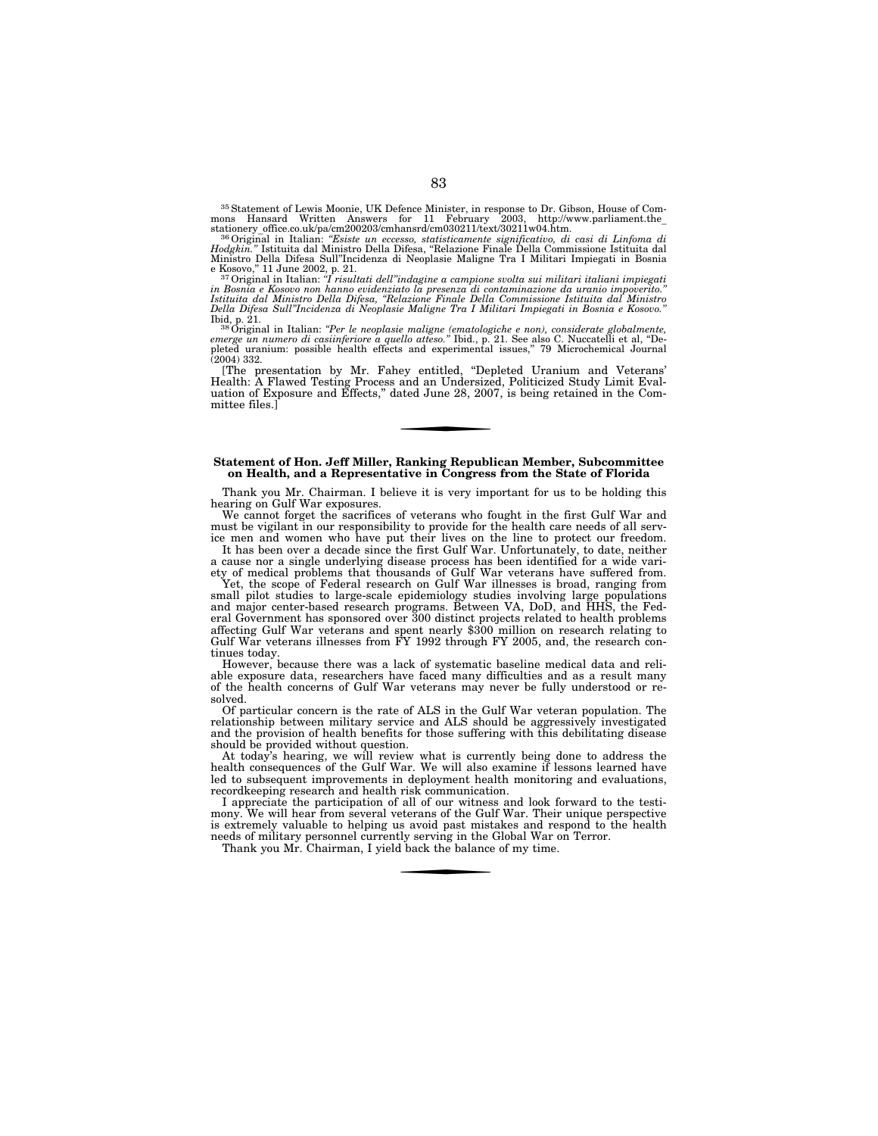35Statement of Lewis Moonie, UK Defence Minister, in response to Dr. Gibson, House of Commons Hansard Written Answers for 11 February 2003, http://www.parliament.the\_<br>stationery office.co.uk/pa/cm200203/cmhansrd/cm030211/text/30211w04.htm.<br><sup>36</sup>Original in Italian: "Esiste un eccesso, statisticamente significat

*Hodgkin.''* Istituita dal Ministro Della Difesa, ''Relazione Finale Della Commissione Istituita dal Ministro Della Difesa Sull''Incidenza di Neoplasie Maligne Tra I Militari Impiegati in Bosnia

<sup>37</sup> Original in Italian: *''I risultati dell''indagine a campione svolta sui militari italiani impiegati in Bosnia e Kosovo non hanno evidenziato la presenza di contaminazione da uranio impoverito.''* 

Istituita dal Ministro Della Difesa, "Relazione Finale Della Commissione Istituita dal Ministro Della Chigea Sull"Incidenza di Neoplasie Maligne Tra I Militari Impiegati in Bosnia e Kosovo."<br>Dila Difesa Sull"Incidenza di N

[The presentation by Mr. Fahey entitled, ''Depleted Uranium and Veterans' Health: A Flawed Testing Process and an Undersized, Politicized Study Limit Evaluation of Exposure and Effects,'' dated June 28, 2007, is being retained in the Committee files.]

#### **Statement of Hon. Jeff Miller, Ranking Republican Member, Subcommittee on Health, and a Representative in Congress from the State of Florida**

Thank you Mr. Chairman. I believe it is very important for us to be holding this hearing on Gulf War exposures.

We cannot forget the sacrifices of veterans who fought in the first Gulf War and must be vigilant in our responsibility to provide for the health care needs of all service men and women who have put their lives on the line to protect our freedom.

It has been over a decade since the first Gulf War. Unfortunately, to date, neither a cause nor a single underlying disease process has been identified for a wide variety of medical problems that thousands of Gulf War veterans have suffered from.

Yet, the scope of Federal research on Gulf War illnesses is broad, ranging from small pilot studies to large-scale epidemiology studies involving large populations and major center-based research programs. Between VA, DoD, and HHS, the Federal Government has sponsored over 300 distinct projects related to health problems affecting Gulf War veterans and spent nearly \$300 million on research relating to Gulf War veterans illnesses from FY 1992 through FY 2005, and, the research continues today.

However, because there was a lack of systematic baseline medical data and reliable exposure data, researchers have faced many difficulties and as a result many of the health concerns of Gulf War veterans may never be fully understood or resolved.

Of particular concern is the rate of ALS in the Gulf War veteran population. The relationship between military service and ALS should be aggressively investigated and the provision of health benefits for those suffering with this debilitating disease should be provided without question.

At today's hearing, we will review what is currently being done to address the health consequences of the Gulf War. We will also examine if lessons learned have led to subsequent improvements in deployment health monitoring and evaluations, recordkeeping research and health risk communication.

I appreciate the participation of all of our witness and look forward to the testimony. We will hear from several veterans of the Gulf War. Their unique perspective is extremely valuable to helping us avoid past mistakes and respond to the health needs of military personnel currently serving in the Global War on Terror.

Thank you Mr. Chairman, I yield back the balance of my time.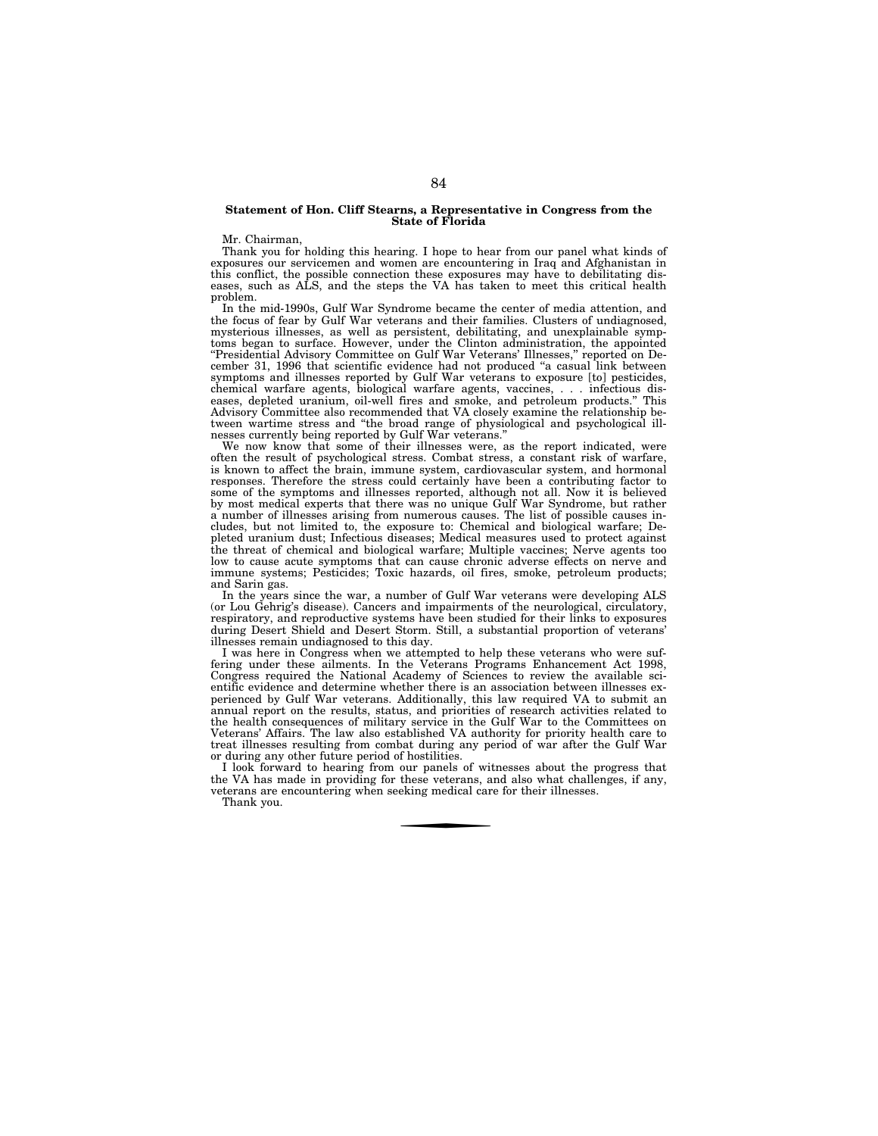#### **Statement of Hon. Cliff Stearns, a Representative in Congress from the State of Florida**

Mr. Chairman,

Thank you for holding this hearing. I hope to hear from our panel what kinds of exposures our servicemen and women are encountering in Iraq and Afghanistan in this conflict, the possible connection these exposures may have to debilitating diseases, such as ALS, and the steps the VA has taken to meet this critical health problem.

In the mid-1990s, Gulf War Syndrome became the center of media attention, and the focus of fear by Gulf War veterans and their families. Clusters of undiagnosed, mysterious illnesses, as well as persistent, debilitating, and unexplainable symptoms began to surface. However, under the Clinton administration, the appointed ''Presidential Advisory Committee on Gulf War Veterans' Illnesses,'' reported on December 31, 1996 that scientific evidence had not produced ''a casual link between symptoms and illnesses reported by Gulf War veterans to exposure [to] pesticides, chemical warfare agents, biological warfare agents, vaccines, . . . infectious diseases, depleted uranium, oil-well fires and smoke, and petroleum products.'' This Advisory Committee also recommended that VA closely examine the relationship between wartime stress and ''the broad range of physiological and psychological illnesses currently being reported by Gulf War veterans.''

We now know that some of their illnesses were, as the report indicated, were often the result of psychological stress. Combat stress, a constant risk of warfare, is known to affect the brain, immune system, cardiovascular system, and hormonal responses. Therefore the stress could certainly have been a contributing factor to some of the symptoms and illnesses reported, although not all. Now it is believed by most medical experts that there was no unique Gulf War Syndrome, but rather a number of illnesses arising from numerous causes. The list of possible causes includes, but not limited to, the exposure to: Chemical and biological warfare; Depleted uranium dust; Infectious diseases; Medical measures used to protect against the threat of chemical and biological warfare; Multiple vaccines; Nerve agents too low to cause acute symptoms that can cause chronic adverse effects on nerve and immune systems; Pesticides; Toxic hazards, oil fires, smoke, petroleum products; and Sarin gas.

In the years since the war, a number of Gulf War veterans were developing ALS (or Lou Gehrig's disease). Cancers and impairments of the neurological, circulatory, respiratory, and reproductive systems have been studied for their links to exposures during Desert Shield and Desert Storm. Still, a substantial proportion of veterans' illnesses remain undiagnosed to this day.

I was here in Congress when we attempted to help these veterans who were suffering under these ailments. In the Veterans Programs Enhancement Act 1998, Congress required the National Academy of Sciences to review the available scientific evidence and determine whether there is an association between illnesses experienced by Gulf War veterans. Additionally, this law required VA to submit an annual report on the results, status, and priorities of research activities related to the health consequences of military service in the Gulf War to the Committees on Veterans' Affairs. The law also established VA authority for priority health care to treat illnesses resulting from combat during any period of war after the Gulf War or during any other future period of hostilities.

I look forward to hearing from our panels of witnesses about the progress that the VA has made in providing for these veterans, and also what challenges, if any, veterans are encountering when seeking medical care for their illnesses.

Thank you.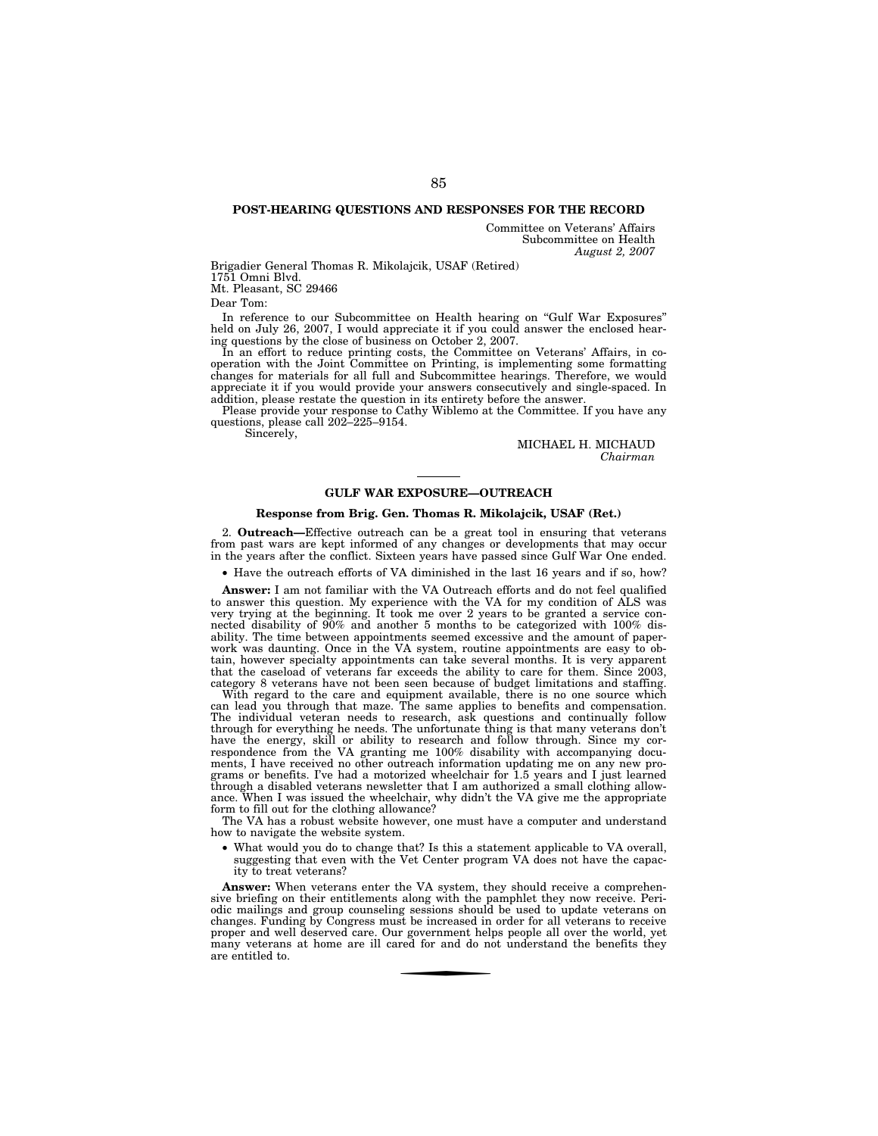## **POST-HEARING QUESTIONS AND RESPONSES FOR THE RECORD**

Committee on Veterans' Affairs Subcommittee on Health *August 2, 2007* 

Brigadier General Thomas R. Mikolajcik, USAF (Retired) 1751 Omni Blvd.

Mt. Pleasant, SC 29466

Dear Tom:

In reference to our Subcommittee on Health hearing on ''Gulf War Exposures'' held on July 26, 2007, I would appreciate it if you could answer the enclosed hearing questions by the close of business on October 2, 2007.

In an effort to reduce printing costs, the Committee on Veterans' Affairs, in cooperation with the Joint Committee on Printing, is implementing some formatting changes for materials for all full and Subcommittee hearings. Therefore, we would appreciate it if you would provide your answers consecutively and single-spaced. In addition, please restate the question in its entirety before the answer.

Please provide your response to Cathy Wiblemo at the Committee. If you have any questions, please call 202–225–9154.

Sincerely,

MICHAEL H. MICHAUD *Chairman* 

#### **GULF WAR EXPOSURE—OUTREACH**

## **Response from Brig. Gen. Thomas R. Mikolajcik, USAF (Ret.)**

2. **Outreach—**Effective outreach can be a great tool in ensuring that veterans from past wars are kept informed of any changes or developments that may occur in the years after the conflict. Sixteen years have passed since Gulf War One ended.

• Have the outreach efforts of VA diminished in the last 16 years and if so, how?

**Answer:** I am not familiar with the VA Outreach efforts and do not feel qualified to answer this question. My experience with the VA for my condition of ALS was very trying at the beginning. It took me over 2 years to be granted a service connected disability of 90% and another 5 months to be categorized with 100% disability. The time between appointments seemed excessive and the amount of paperwork was daunting. Once in the VA system, routine appointments are easy to obtain, however specialty appointments can take several months. It is very apparent that the caseload of veterans far exceeds the ability to care for them. Since 2003, category 8 veterans have not been seen because of budget limitations and staffing.

With regard to the care and equipment available, there is no one source which can lead you through that maze. The same applies to benefits and compensation. The individual veteran needs to research, ask questions and continually follow through for everything he needs. The unfortunate thing is that many veterans don't have the energy, skill or ability to research and follow through. Since my correspondence from the VA granting me 100% disability with accompanying documents, I have received no other outreach information updating me on any new programs or benefits. I've had a motorized wheelchair for 1.5 years and I just learned through a disabled veterans newsletter that I am authorized a small clothing allowance. When I was issued the wheelchair, why didn't the VA give me the appropriate form to fill out for the clothing allowance?

The VA has a robust website however, one must have a computer and understand how to navigate the website system.

• What would you do to change that? Is this a statement applicable to VA overall, suggesting that even with the Vet Center program VA does not have the capacity to treat veterans?

**Answer:** When veterans enter the VA system, they should receive a comprehensive briefing on their entitlements along with the pamphlet they now receive. Periodic mailings and group counseling sessions should be used to update veterans on changes. Funding by Congress must be increased in order for all veterans to receive proper and well deserved care. Our government helps people all over the world, yet many veterans at home are ill cared for and do not understand the benefits they are entitled to.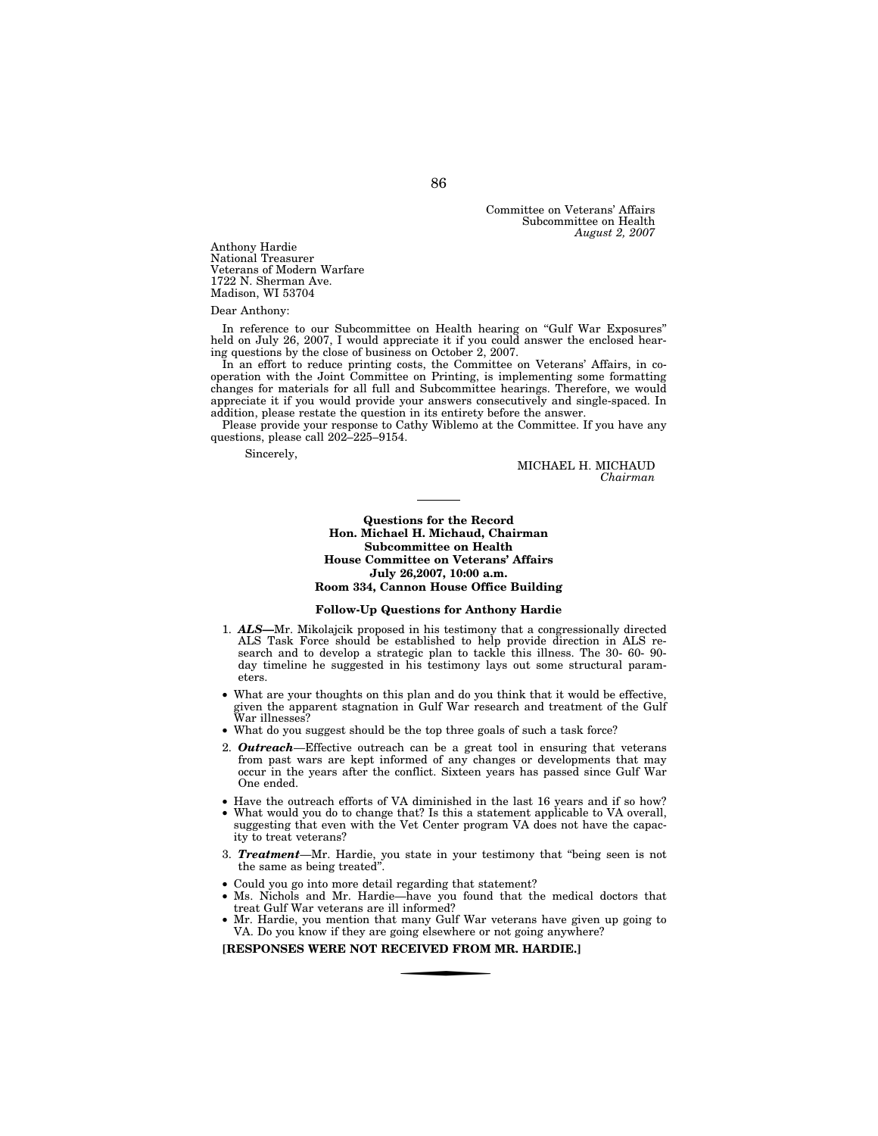Committee on Veterans' Affairs Subcommittee on Health *August 2, 2007* 

Anthony Hardie National Treasurer Veterans of Modern Warfare 1722 N. Sherman Ave. Madison, WI 53704

#### Dear Anthony:

In reference to our Subcommittee on Health hearing on ''Gulf War Exposures'' held on July 26, 2007, I would appreciate it if you could answer the enclosed hearing questions by the close of business on October 2, 2007.

In an effort to reduce printing costs, the Committee on Veterans' Affairs, in cooperation with the Joint Committee on Printing, is implementing some formatting changes for materials for all full and Subcommittee hearings. Therefore, we would appreciate it if you would provide your answers consecutively and single-spaced. In addition, please restate the question in its entirety before the answer.

Please provide your response to Cathy Wiblemo at the Committee. If you have any questions, please call 202–225–9154.

Sincerely,

MICHAEL H. MICHAUD *Chairman* 

## **Questions for the Record Hon. Michael H. Michaud, Chairman Subcommittee on Health House Committee on Veterans' Affairs July 26,2007, 10:00 a.m. Room 334, Cannon House Office Building**

## **Follow-Up Questions for Anthony Hardie**

- 1. *ALS—*Mr. Mikolajcik proposed in his testimony that a congressionally directed ALS Task Force should be established to help provide direction in ALS research and to develop a strategic plan to tackle this illness. The 30- 60- 90 day timeline he suggested in his testimony lays out some structural parameters.
- What are your thoughts on this plan and do you think that it would be effective, given the apparent stagnation in Gulf War research and treatment of the Gulf War illnesses?
- What do you suggest should be the top three goals of such a task force?
- 2. *Outreach*—Effective outreach can be a great tool in ensuring that veterans from past wars are kept informed of any changes or developments that may occur in the years after the conflict. Sixteen years has passed since Gulf War One ended.
- Have the outreach efforts of VA diminished in the last 16 years and if so how? What would you do to change that? Is this a statement applicable to VA overall, suggesting that even with the Vet Center program VA does not have the capacity to treat veterans?
- 3. *Treatment*—Mr. Hardie, you state in your testimony that ''being seen is not the same as being treated"
- Could you go into more detail regarding that statement?
- Ms. Nichols and Mr. Hardie—have you found that the medical doctors that treat Gulf War veterans are ill informed?
- Mr. Hardie, you mention that many Gulf War veterans have given up going to VA. Do you know if they are going elsewhere or not going anywhere?

**[RESPONSES WERE NOT RECEIVED FROM MR. HARDIE.]**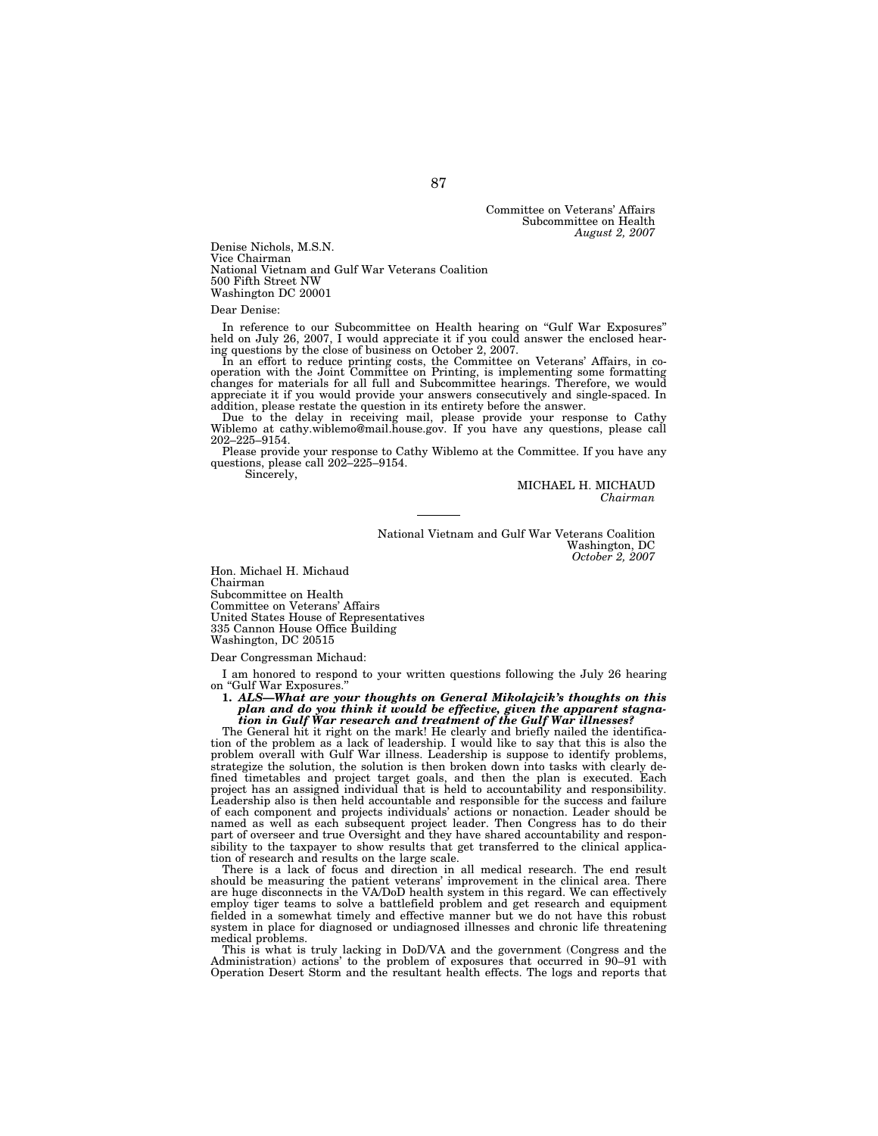Committee on Veterans' Affairs Subcommittee on Health *August 2, 2007* 

Denise Nichols, M.S.N. Vice Chairman National Vietnam and Gulf War Veterans Coalition 500 Fifth Street NW Washington DC 20001

Dear Denise:

In reference to our Subcommittee on Health hearing on "Gulf War Exposures" held on July 26, 2007, I would appreciate it if you could answer the enclosed hearing questions by the close of business on October 2, 2007.

In an effort to reduce printing costs, the Committee on Veterans' Affairs, in cooperation with the Joint Committee on Printing, is implementing some formatting changes for materials for all full and Subcommittee hearings. Therefore, we would appreciate it if you would provide your answers consecutively and single-spaced. In addition, please restate the question in its entirety before the answer.

Due to the delay in receiving mail, please provide your response to Cathy Wiblemo at cathy.wiblemo@mail.house.gov. If you have any questions, please call 202–225–9154.

Please provide your response to Cathy Wiblemo at the Committee. If you have any questions, please call 202–225–9154.

Sincerely,

MICHAEL H. MICHAUD *Chairman* 

National Vietnam and Gulf War Veterans Coalition Washington, DC *October 2, 2007* 

Hon. Michael H. Michaud Chairman Subcommittee on Health Committee on Veterans' Affairs United States House of Representatives 335 Cannon House Office Building Washington, DC 20515

Dear Congressman Michaud:

I am honored to respond to your written questions following the July 26 hearing on "Gulf War Exposures.

**1.** *ALS—What are your thoughts on General Mikolajcik's thoughts on this plan and do you think it would be effective, given the apparent stagnation in Gulf War research and treatment of the Gulf War illnesses?* 

The General hit it right on the mark! He clearly and briefly nailed the identification of the problem as a lack of leadership. I would like to say that this is also the problem overall with Gulf War illness. Leadership is suppose to identify problems, strategize the solution, the solution is then broken down into tasks with clearly defined timetables and project target goals, and then the plan is executed. Each project has an assigned individual that is held to accountability and responsibility. Leadership also is then held accountable and responsible for the success and failure of each component and projects individuals' actions or nonaction. Leader should be named as well as each subsequent project leader. Then Congress has to do their part of overseer and true Oversight and they have shared accountability and responsibility to the taxpayer to show results that get transferred to the clinical application of research and results on the large scale.

There is a lack of focus and direction in all medical research. The end result should be measuring the patient veterans' improvement in the clinical area. There are huge disconnects in the VA/DoD health system in this regard. We can effectively employ tiger teams to solve a battlefield problem and get research and equipment fielded in a somewhat timely and effective manner but we do not have this robust system in place for diagnosed or undiagnosed illnesses and chronic life threatening medical problems.

This is what is truly lacking in DoD/VA and the government (Congress and the Administration) actions' to the problem of exposures that occurred in 90–91 with Operation Desert Storm and the resultant health effects. The logs and reports that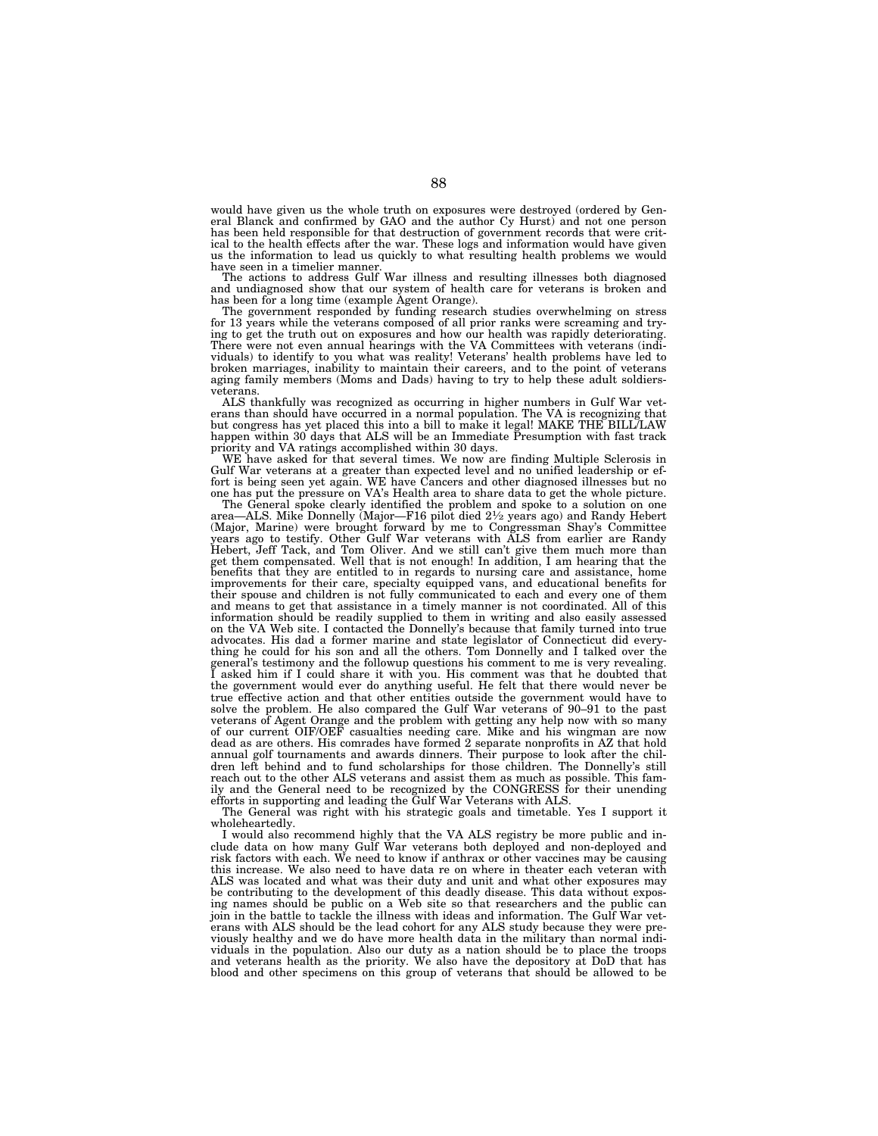would have given us the whole truth on exposures were destroyed (ordered by General Blanck and confirmed by GAO and the author Cy Hurst) and not one person has been held responsible for that destruction of government records that were critical to the health effects after the war. These logs and information would have given us the information to lead us quickly to what resulting health problems we would have seen in a timelier manner.

The actions to address Gulf War illness and resulting illnesses both diagnosed and undiagnosed show that our system of health care for veterans is broken and has been for a long time (example Agent Orange).

The government responded by funding research studies overwhelming on stress for 13 years while the veterans composed of all prior ranks were screaming and trying to get the truth out on exposures and how our health was rapidly deteriorating. There were not even annual hearings with the VA Committees with veterans (individuals) to identify to you what was reality! Veterans' health problems have led to broken marriages, inability to maintain their careers, and to the point of veterans aging family members (Moms and Dads) having to try to help these adult soldiersveterans.

ALS thankfully was recognized as occurring in higher numbers in Gulf War vet-erans than should have occurred in a normal population. The VA is recognizing that but congress has yet placed this into a bill to make it legal! MAKE THE BILL/LAW happen within 30 days that ALS will be an Immediate Presumption with fast track priority and VA ratings accomplished within 30 days.

WE have asked for that several times. We now are finding Multiple Sclerosis in Gulf War veterans at a greater than expected level and no unified leadership or ef-fort is being seen yet again. WE have Cancers and other diagnosed illnesses but no one has put the pressure on VA's Health area to share data to get the whole picture.

The General spoke clearly identified the problem and spoke to a solution on one area—ALS. Mike Donnelly (Major—F16 pilot died 2½ years ago) and Randy Hebert<br>(Major, Marine) were brought forward by me to Congressman Shay's Committee<br>years ago to testify. Other Gulf War veterans with ALS from earlier ar Hebert, Jeff Tack, and Tom Oliver. And we still can't give them much more than<br>get them compensated. Well that is not enough! In addition, I am hearing that the<br>benefits that they are entitled to in regards to nursing care improvements for their care, specialty equipped vans, and educational benefits for their spouse and children is not fully communicated to each and every one of them and means to get that assistance in a timely manner is not coordinated. All of this information should be readily supplied to them in writing and also easily assessed on the VA Web site. I contacted the Donnelly's because that family turned into true advocates. His dad a former marine and state legislator of Connecticut did everything he could for his son and all the others. Tom Donnelly and I talked over the general's testimony and the followup questions his comment to me is very revealing. I asked him if I could share it with you. His comment was that he doubted that the government would ever do anything useful. He felt that there would never be true effective action and that other entities outside the government would have to solve the problem. He also compared the Gulf War veterans of 90–91 to the past veterans of Agent Orange and the problem with getting any help now with so many of our current OIF/OEF casualties needing care. Mike and his wingman are now dead as are others. His comrades have formed 2 separate nonprofits in AZ that hold annual golf tournaments and awards dinners. Their purpose to look after the children left behind and to fund scholarships for those children. The Donnelly's still reach out to the other ALS veterans and assist them as much as possible. This family and the General need to be recognized by the CONGRESS for their unending efforts in supporting and leading the Gulf War Veterans with ALS.

The General was right with his strategic goals and timetable. Yes I support it wholeheartedly.

I would also recommend highly that the VA ALS registry be more public and include data on how many Gulf War veterans both deployed and non-deployed and risk factors with each. We need to know if anthrax or other vaccines may be causing this increase. We also need to have data re on where in theater each veteran with ALS was located and what was their duty and unit and what other exposures may be contributing to the development of this deadly disease. This data without exposing names should be public on a Web site so that researchers and the public can join in the battle to tackle the illness with ideas and information. The Gulf War veterans with ALS should be the lead cohort for any ALS study because they were previously healthy and we do have more health data in the military than normal individuals in the population. Also our duty as a nation should be to place the troops and veterans health as the priority. We also have the depository at DoD that has blood and other specimens on this group of veterans that should be allowed to be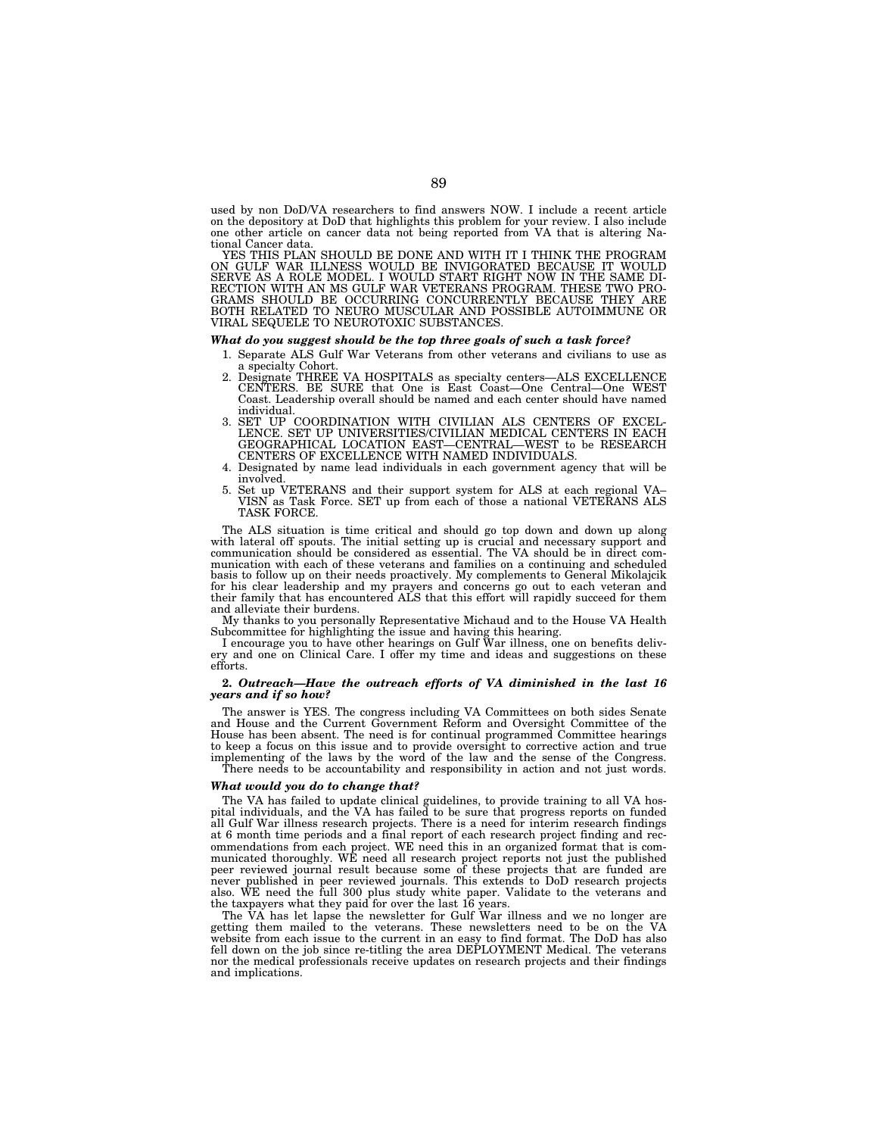used by non DoD/VA researchers to find answers NOW. I include a recent article on the depository at DoD that highlights this problem for your review. I also include one other article on cancer data not being reported from VA that is altering National Cancer data.

YES THIS PLAN SHOULD BE DONE AND WITH IT I THINK THE PROGRAM ON GULF WAR ILLNESS WOULD BE INVIGORATED BECAUSE IT WOULD SERVE AS A ROLE AND BOLL I WOULD START RIGHT NOW IN THE SAME DI-RECTION WITH AN MS GULF WAR VETERANS PR BOTH RELATED TO NEURO MUSCULAR AND POSSIBLE AUTOIMMUNE OR VIRAL SEQUELE TO NEUROTOXIC SUBSTANCES.

#### *What do you suggest should be the top three goals of such a task force?*

- 1. Separate ALS Gulf War Veterans from other veterans and civilians to use as
- a specialty Cohort. 2. Designate THREE VA HOSPITALS as specialty centers—ALS EXCELLENCE CENTERS. BE SURE that One is East Coast—One Central—One WEST Coast. Leadership overall should be named and each center should have named individual.
- 3. SET UP COORDINATION WITH CIVILIAN ALS CENTERS OF EXCEL-LENCE. SET UP UNIVERSITIES/CIVILIAN MEDICAL CENTERS IN EACH GEOGRAPHICAL LOCATION EAST—CENTRAL—WEST to be RESEARCH CENTERS OF EXCELLENCE WITH NAMED INDIVIDUALS.
- 4. Designated by name lead individuals in each government agency that will be involved.
- 5. Set up VETERANS and their support system for ALS at each regional VA– VISN as Task Force. SET up from each of those a national VETERANS ALS TASK FORCE.

The ALS situation is time critical and should go top down and down up along with lateral off spouts. The initial setting up is crucial and necessary support and communication should be considered as essential. The VA should be in direct communication with each of these veterans and families on a continuing and scheduled basis to follow up on their needs proactively. My complements to General Mikolajcik for his clear leadership and my prayers and concerns go out to each veteran and their family that has encountered ALS that this effort will rapidly succeed for them and alleviate their burdens.

My thanks to you personally Representative Michaud and to the House VA Health Subcommittee for highlighting the issue and having this hearing.

I encourage you to have other hearings on Gulf War illness, one on benefits delivery and one on Clinical Care. I offer my time and ideas and suggestions on these efforts.

## **2.** *Outreach—Have the outreach efforts of VA diminished in the last 16 years and if so how?*

The answer is YES. The congress including VA Committees on both sides Senate and House and the Current Government Reform and Oversight Committee of the House has been absent. The need is for continual programmed Committee hearings to keep a focus on this issue and to provide oversight to corrective action and true implementing of the laws by the word of the law and the sense of the Congress. There needs to be accountability and responsibility in action and not just words.

#### *What would you do to change that?*

The VA has failed to update clinical guidelines, to provide training to all VA hospital individuals, and the VA has failed to be sure that progress reports on funded all Gulf War illness research projects. There is a need for interim research findings at 6 month time periods and a final report of each research project finding and recommendations from each project. WE need this in an organized format that is communicated thoroughly. WE need all research project reports not just the published peer reviewed journal result because some of these projects that are funded are never published in peer reviewed journals. This extends to DoD research projects also. WE need the full 300 plus study white paper. Validate to the veterans and the taxpayers what they paid for over the last 16 years.

The VA has let lapse the newsletter for Gulf War illness and we no longer are getting them mailed to the veterans. These newsletters need to be on the VA website from each issue to the current in an easy to find format. The DoD has also fell down on the job since re-titling the area DEPLOYMENT Medical. The veterans nor the medical professionals receive updates on research projects and their findings and implications.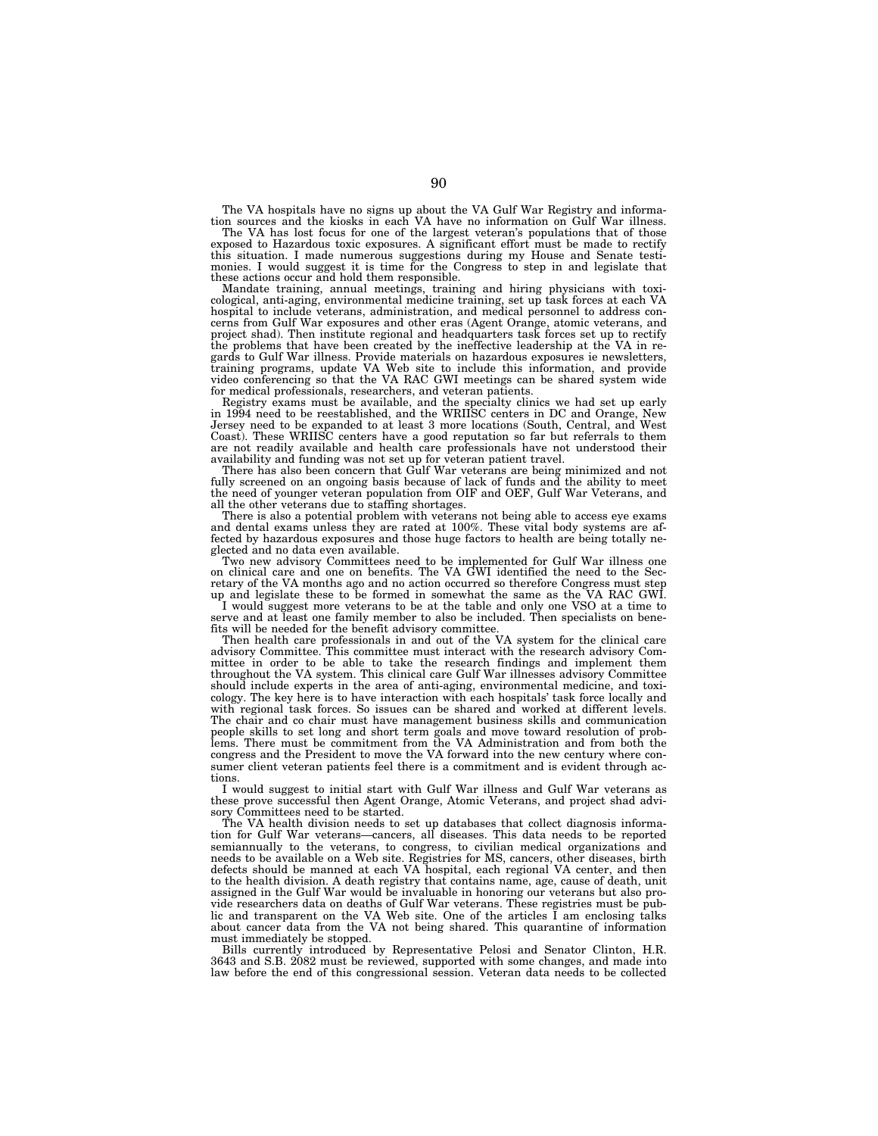The VA hospitals have no signs up about the VA Gulf War Registry and informa-tion sources and the kiosks in each VA have no information on Gulf War illness.

The VA has lost focus for one of the largest veteran's populations that of those exposed to Hazardous toxic exposures. A significant effort must be made to rectify this situation. I made numerous suggestions during my House and Senate testimonies. I would suggest it is time for the Congress to step in and legislate that these actions occur and hold them responsible.

Mandate training, annual meetings, training and hiring physicians with toxicological, anti-aging, environmental medicine training, set up task forces at each VA hospital to include veterans, administration, and medical personnel to address concerns from Gulf War exposures and other eras (Agent Orange, atomic veterans, and project shad). Then institute regional and headquarters task forces set up to rectify the problems that have been created by the ineffective leadership at the VA in regards to Gulf War illness. Provide materials on hazardous exposures ie newsletters, training programs, update VA Web site to include this information, and provide video conferencing so that the VA RAC GWI meetings can be shared system wide for medical professionals, researchers, and veteran patients.

Registry exams must be available, and the specialty clinics we had set up early in 1994 need to be reestablished, and the WRIISC centers in DC and Orange, New Jersey need to be expanded to at least 3 more locations (South, Central, and West Coast). These WRIISC centers have a good reputation so far but referrals to them are not readily available and health care professionals have not understood their availability and funding was not set up for veteran patient travel.

There has also been concern that Gulf War veterans are being minimized and not fully screened on an ongoing basis because of lack of funds and the ability to meet the need of younger veteran population from OIF and OEF, Gulf War Veterans, and all the other veterans due to staffing shortages.

There is also a potential problem with veterans not being able to access eye exams and dental exams unless they are rated at 100%. These vital body systems are affected by hazardous exposures and those huge factors to health are being totally neglected and no data even available.

Two new advisory Committees need to be implemented for Gulf War illness one on clinical care and one on benefits. The VA GWI identified the need to the Secretary of the VA months ago and no action occurred so therefore Congress must step up and legislate these to be formed in somewhat the same as the VA RAC GWI.

I would suggest more veterans to be at the table and only one VSO at a time to serve and at least one family member to also be included. Then specialists on benefits will be needed for the benefit advisory committee.

Then health care professionals in and out of the VA system for the clinical care advisory Committee. This committee must interact with the research advisory Committee in order to be able to take the research findings and implement them throughout the VA system. This clinical care Gulf War illnesses advisory Committee should include experts in the area of anti-aging, environmental medicine, and toxicology. The key here is to have interaction with each hospitals' task force locally and with regional task forces. So issues can be shared and worked at different levels. The chair and co chair must have management business skills and communication people skills to set long and short term goals and move toward resolution of problems. There must be commitment from the VA Administration and from both the congress and the President to move the VA forward into the new century where consumer client veteran patients feel there is a commitment and is evident through actions.

I would suggest to initial start with Gulf War illness and Gulf War veterans as these prove successful then Agent Orange, Atomic Veterans, and project shad advisory Committees need to be started.

The VA health division needs to set up databases that collect diagnosis information for Gulf War veterans—cancers, all diseases. This data needs to be reported semiannually to the veterans, to congress, to civilian medical organizations and needs to be available on a Web site. Registries for MS, cancers, other diseases, birth defects should be manned at each VA hospital, each regional VA center, and then to the health division. A death registry that contains name, age, cause of death, unit assigned in the Gulf War would be invaluable in honoring our veterans but also provide researchers data on deaths of Gulf War veterans. These registries must be public and transparent on the VA Web site. One of the articles I am enclosing talks about cancer data from the VA not being shared. This quarantine of information must immediately be stopped.

Bills currently introduced by Representative Pelosi and Senator Clinton, H.R. 3643 and S.B. 2082 must be reviewed, supported with some changes, and made into law before the end of this congressional session. Veteran data needs to be collected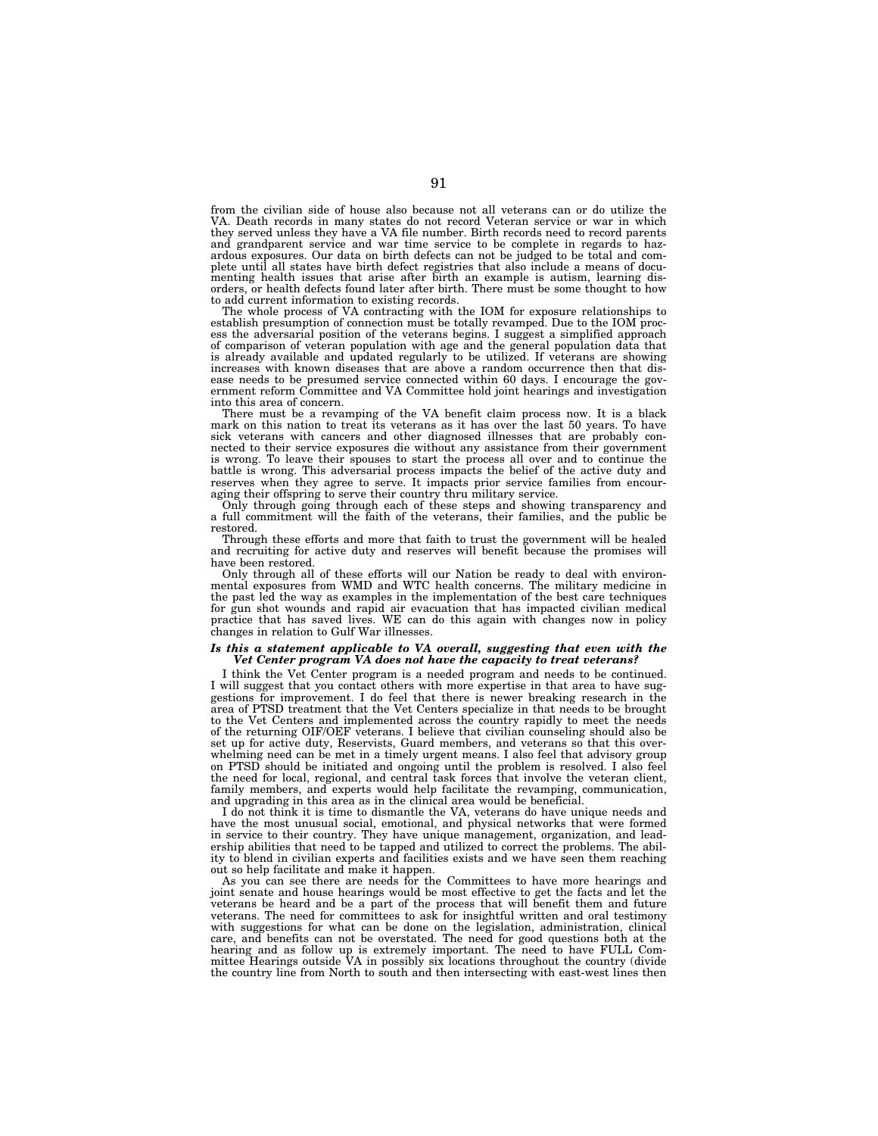from the civilian side of house also because not all veterans can or do utilize the VA. Death records in many states do not record Veteran service or war in which they served unless they have a VA file number. Birth records need to record parents and grandparent service and war time service to be complete in regards to hazardous exposures. Our data on birth defects can not be judged to be total and complete until all states have birth defect registries that also include a means of documenting health issues that arise after birth an example is autism, learning disorders, or health defects found later after birth. There must be some thought to how to add current information to existing records.

The whole process of VA contracting with the IOM for exposure relationships to establish presumption of connection must be totally revamped. Due to the IOM process the adversarial position of the veterans begins. I suggest a simplified approach of comparison of veteran population with age and the general population data that is already available and updated regularly to be utilized. If veterans are showing increases with known diseases that are above a random occurrence then that disease needs to be presumed service connected within 60 days. I encourage the gov-ernment reform Committee and VA Committee hold joint hearings and investigation into this area of concern.

There must be a revamping of the VA benefit claim process now. It is a black mark on this nation to treat its veterans as it has over the last 50 years. To have sick veterans with cancers and other diagnosed illnesses that are probably connected to their service exposures die without any assistance from their government is wrong. To leave their spouses to start the process all over and to continue the battle is wrong. This adversarial process impacts the belief of the active duty and reserves when they agree to serve. It impacts prior service families from encouraging their offspring to serve their country thru military service.

Only through going through each of these steps and showing transparency and a full commitment will the faith of the veterans, their families, and the public be restored.

Through these efforts and more that faith to trust the government will be healed and recruiting for active duty and reserves will benefit because the promises will have been restored.

Only through all of these efforts will our Nation be ready to deal with environmental exposures from WMD and WTC health concerns. The military medicine in the past led the way as examples in the implementation of the best care techniques for gun shot wounds and rapid air evacuation that has impacted civilian medical practice that has saved lives. WE can do this again with changes now in policy changes in relation to Gulf War illnesses.

#### *Is this a statement applicable to VA overall, suggesting that even with the Vet Center program VA does not have the capacity to treat veterans?*

I think the Vet Center program is a needed program and needs to be continued. I will suggest that you contact others with more expertise in that area to have suggestions for improvement. I do feel that there is newer breaking research in the area of PTSD treatment that the Vet Centers specialize in that needs to be brought to the Vet Centers and implemented across the country rapidly to meet the needs of the returning OIF/OEF veterans. I believe that civilian counseling should also be set up for active duty, Reservists, Guard members, and veterans so that this overwhelming need can be met in a timely urgent means. I also feel that advisory group on PTSD should be initiated and ongoing until the problem is resolved. I also feel the need for local, regional, and central task forces that involve the veteran client, family members, and experts would help facilitate the revamping, communication, and upgrading in this area as in the clinical area would be beneficial.

I do not think it is time to dismantle the VA, veterans do have unique needs and have the most unusual social, emotional, and physical networks that were formed in service to their country. They have unique management, organization, and leadership abilities that need to be tapped and utilized to correct the problems. The ability to blend in civilian experts and facilities exists and we have seen them reaching out so help facilitate and make it happen.

As you can see there are needs for the Committees to have more hearings and joint senate and house hearings would be most effective to get the facts and let the veterans be heard and be a part of the process that will benefit them and future veterans. The need for committees to ask for insightful written and oral testimony with suggestions for what can be done on the legislation, administration, clinical care, and benefits can not be overstated. The need for good questions both at the hearing and as follow up is extremely important. The need to have FULL Com-mittee Hearings outside VA in possibly six locations throughout the country (divide the country line from North to south and then intersecting with east-west lines then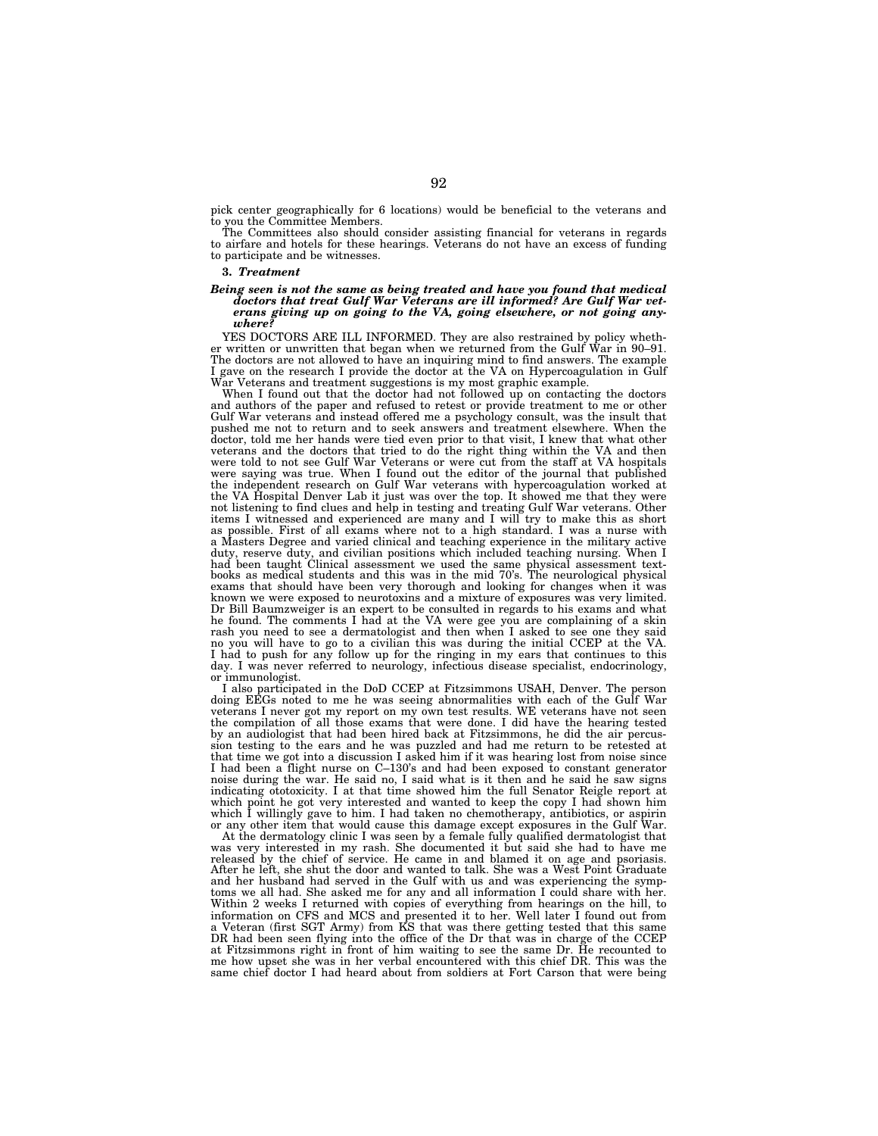pick center geographically for 6 locations) would be beneficial to the veterans and to you the Committee Members.

The Committees also should consider assisting financial for veterans in regards to airfare and hotels for these hearings. Veterans do not have an excess of funding to participate and be witnesses.

## **3.** *Treatment*

# *Being seen is not the same as being treated and have you found that medical doctors that treat Gulf War Veterans are ill informed? Are Gulf War veterans giving up on going to the VA, going elsewhere, or not going any-where?*

YES DOCTORS ARE ILL INFORMED. They are also restrained by policy whether written or unwritten that began when we returned from the Gulf War in 90–91. The doctors are not allowed to have an inquiring mind to find answers. The example I gave on the research I provide the doctor at the VA on Hypercoagulation in Gulf War Veterans and treatment suggestions is my most graphic example.

When I found out that the doctor had not followed up on contacting the doctors and authors of the paper and refused to retest or provide treatment to me or other Gulf War veterans and instead offered me a psychology consult, was the insult that pushed me not to return and to seek answers and treatment elsewhere. When the doctor, told me her hands were tied even prior to that visit, I knew that what other veterans and the doctors that tried to do the right thing within the VA and then were told to not see Gulf War Veterans or were cut from the staff at VA hospitals were saying was true. When I found out the editor of the journal that published the independent research on Gulf War veterans with hypercoagulation worked at the VA Hospital Denver Lab it just was over the top. It showed me that they were not listening to find clues and help in testing and treating Gulf War veterans. Other items I witnessed and experienced are many and I will try to make this as short as possible. First of all exams where not to a high standard. I was a nurse with a Masters Degree and varied clinical and teaching experience in the military active duty, reserve duty, and civilian positions which included teaching nursing. When I had been taught Clinical assessment we used the same physical assessment text-books as medical students and this was in the mid 70's. The neurological physical exams that should have been very thorough and looking for changes when it was known we were exposed to neurotoxins and a mixture of exposures was very limited. Dr Bill Baumzweiger is an expert to be consulted in regards to his exams and what he found. The comments I had at the VA were gee you are complaining of a skin rash you need to see a dermatologist and then when I asked to see one they said no you will have to go to a civilian this was during the initial CCEP at the VA. I had to push for any follow up for the ringing in my ears that continues to this day. I was never referred to neurology, infectious disease specialist, endocrinology, or immunologist.

I also participated in the DoD CCEP at Fitzsimmons USAH, Denver. The person doing EEGs noted to me he was seeing abnormalities with each of the Gulf War veterans I never got my report on my own test results. WE veterans have not seen the compilation of all those exams that were done. I did have the hearing tested by an audiologist that had been hired back at Fitzsimmons, he did the air percussion testing to the ears and he was puzzled and had me return to be retested at that time we got into a discussion I asked him if it was hearing lost from noise since I had been a flight nurse on C–130's and had been exposed to constant generator noise during the war. He said no, I said what is it then and he said he saw signs indicating ototoxicity. I at that time showed him the full Senator Reigle report at which point he got very interested and wanted to keep the copy I had shown him which I willingly gave to him. I had taken no chemotherapy, antibiotics, or aspirin or any other item that would cause this damage except exposures in the Gulf War.

At the dermatology clinic I was seen by a female fully qualified dermatologist that was very interested in my rash. She documented it but said she had to have me released by the chief of service. He came in and blamed it on age and psoriasis. After he left, she shut the door and wanted to talk. She was a West Point Graduate and her husband had served in the Gulf with us and was experiencing the symptoms we all had. She asked me for any and all information I could share with her. Within 2 weeks I returned with copies of everything from hearings on the hill, to information on CFS and MCS and presented it to her. Well later I found out from a Veteran (first SGT Army) from KS that was there getting tested that this same DR had been seen flying into the office of the Dr that was in charge of the CCEP at Fitzsimmons right in front of him waiting to see the same Dr. He recounted to me how upset she was in her verbal encountered with this chief DR. This was the same chief doctor I had heard about from soldiers at Fort Carson that were being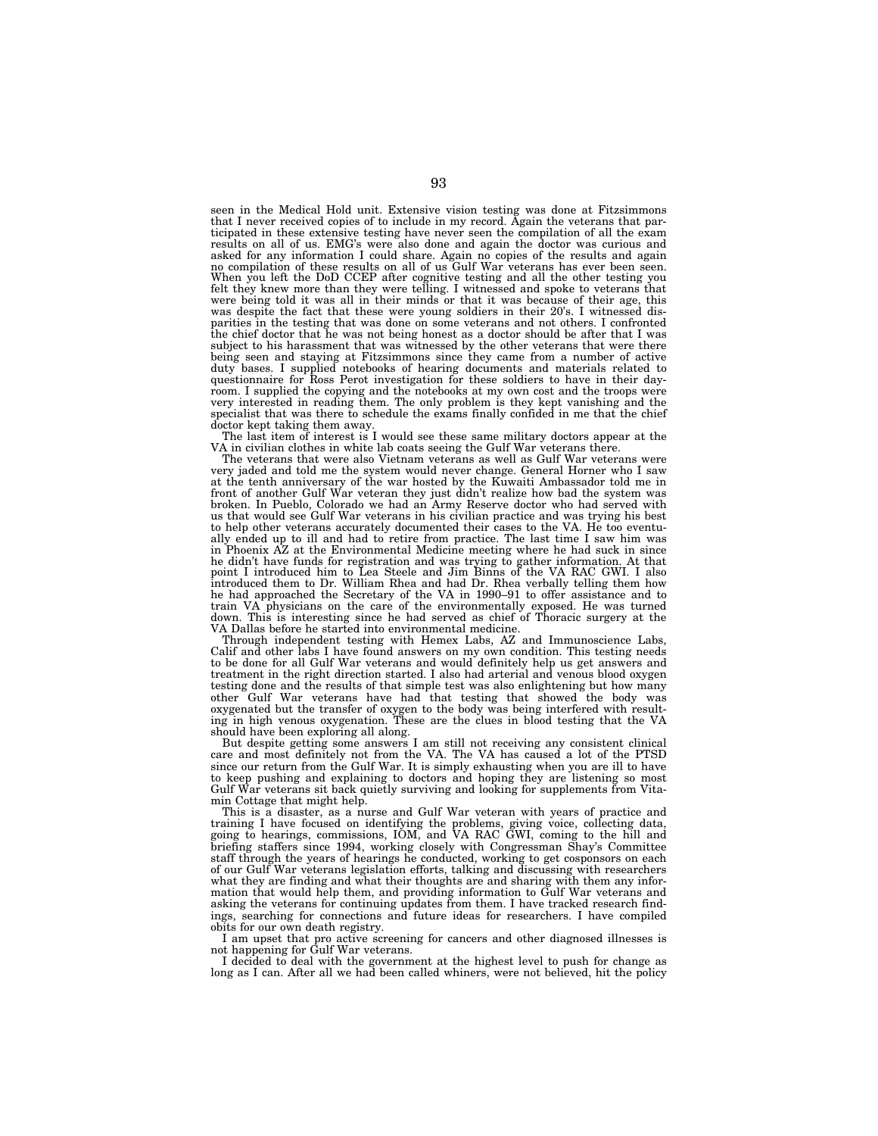seen in the Medical Hold unit. Extensive vision testing was done at Fitzsimmons that I never received copies of to include in my record. Again the veterans that participated in these extensive testing have never seen the compilation of all the exam results on all of us. EMG's were also done and again the doctor was curious and asked for any information I could share. Again no copies of the results and again no compilation of these results on all of us Gulf War veterans has ever been seen. When you left the DoD CCEP after cognitive testing and all the other testing you felt they knew more than they were telling. I witnessed and spoke to veterans that were being told it was all in their minds or that it was because of their age, this was despite the fact that these were young soldiers in their 20's. I witnessed dis-parities in the testing that was done on some veterans and not others. I confronted the chief doctor that he was not being honest as a doctor should be after that I was subject to his harassment that was witnessed by the other veterans that were there being seen and staying at Fitzsimmons since they came from a number of active duty bases. I supplied notebooks of hearing documents and materials related to questionnaire for Ross Perot investigation for these soldiers to have in their day-room. I supplied the copying and the notebooks at my own cost and the troops were very interested in reading them. The only problem is they kept vanishing and the specialist that was there to schedule the exams finally confided in me that the chief

doctor kept taking them away. The last item of interest is I would see these same military doctors appear at the

VA in civilian clothes in white lab coats seeing the Gulf War veterans there. The veterans that were also Vietnam veterans as well as Gulf War veterans were very jaded and told me the system would never change. General Horner who I saw at the tenth anniversary of the war hosted by the Kuwaiti Ambassador told me in front of another Gulf War veteran they just didn't realize how bad the system was broken. In Pueblo, Colorado we had an Army Reserve doctor who had served with us that would see Gulf War veterans in his civilian practice and was trying his best to help other veterans accurately documented their cases to the VA. He too eventually ended up to ill and had to retire from practice. The last time I saw him was in Phoenix AZ at the Environmental Medicine meeting where he had suck in since he didn't have funds for registration and was trying to gather information. At that<br>point I introduced him to Lea Steele and Jim Binns of the VA RAC GWI. I also<br>introduced them to Dr. William Rhea and had Dr. Rhea verbally train VA physicians on the care of the environmentally exposed. He was turned down. This is interesting since he had served as chief of Thoracic surgery at the VA Dallas before he started into environmental medicine.

Through independent testing with Hemex Labs, AZ and Immunoscience Labs, Calif and other labs I have found answers on my own condition. This testing needs to be done for all Gulf War veterans and would definitely help us get answers and treatment in the right direction started. I also had arterial and venous blood oxygen testing done and the results of that simple test was also enlightening but how many other Gulf War veterans have had that testing that showed the body was oxygenated but the transfer of oxygen to the body was being interfered with resulting in high venous oxygenation. These are the clues in blood testing that the VA should have been exploring all along.

But despite getting some answers I am still not receiving any consistent clinical care and most definitely not from the VA. The VA has caused a lot of the PTSD since our return from the Gulf War. It is simply exhausting when you are ill to have to keep pushing and explaining to doctors and hoping they are listening so most Gulf War veterans sit back quietly surviving and looking for supplements from Vitamin Cottage that might help.

This is a disaster, as a nurse and Gulf War veteran with years of practice and training I have focused on identifying the problems, giving voice, collecting data, going to hearings, commissions, IOM, and VA RAC GWI, coming to the hill and briefing staffers since 1994, working closely with Congressman Shay's Committee staff through the years of hearings he conducted, working to get cosponsors on each of our Gulf War veterans legislation efforts, talking and discussing with researchers what they are finding and what their thoughts are and sharing with them any information that would help them, and providing information to Gulf War veterans and asking the veterans for continuing updates from them. I have tracked research findings, searching for connections and future ideas for researchers. I have compiled obits for our own death registry.

I am upset that pro active screening for cancers and other diagnosed illnesses is not happening for Gulf War veterans.

I decided to deal with the government at the highest level to push for change as long as I can. After all we had been called whiners, were not believed, hit the policy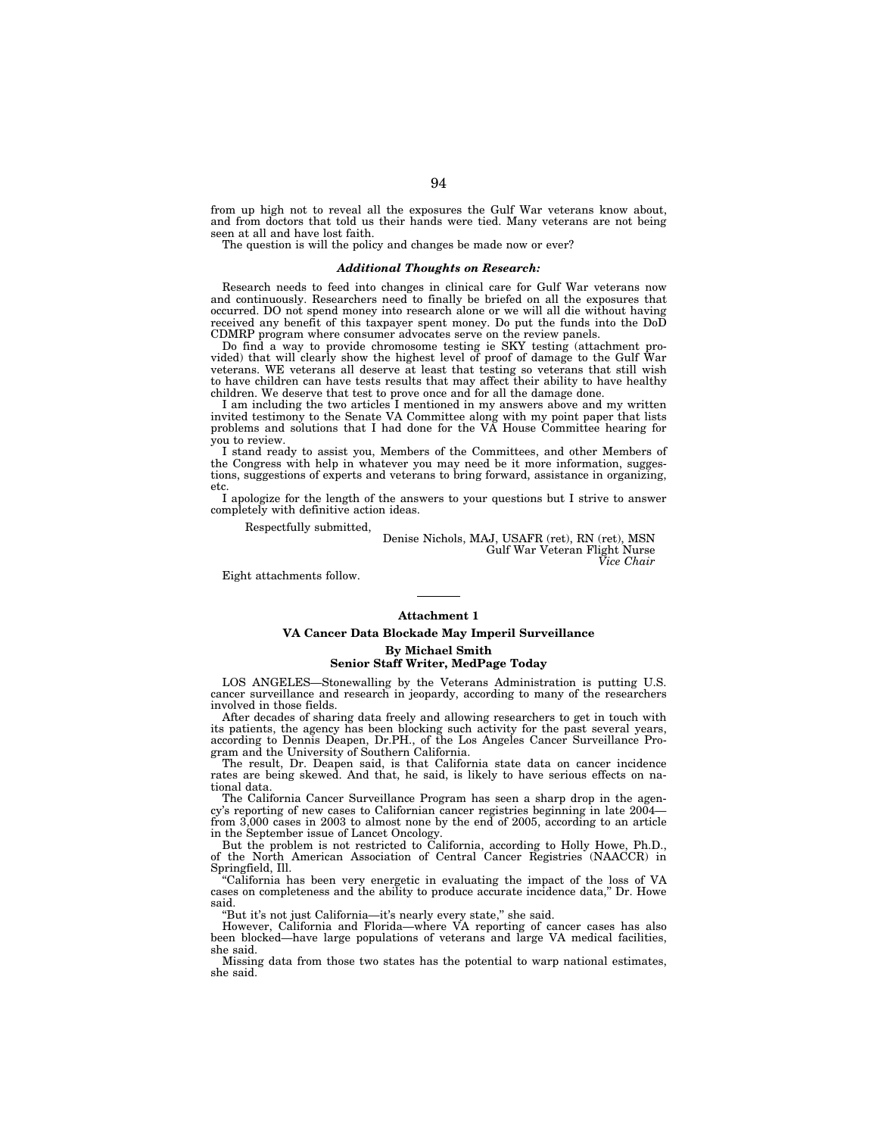from up high not to reveal all the exposures the Gulf War veterans know about, and from doctors that told us their hands were tied. Many veterans are not being seen at all and have lost faith.

The question is will the policy and changes be made now or ever?

## *Additional Thoughts on Research:*

Research needs to feed into changes in clinical care for Gulf War veterans now and continuously. Researchers need to finally be briefed on all the exposures that occurred. DO not spend money into research alone or we will all die without having received any benefit of this taxpayer spent money. Do put the funds into the DoD CDMRP program where consumer advocates serve on the review panels.

Do find a way to provide chromosome testing ie SKY testing (attachment provided) that will clearly show the highest level of proof of damage to the Gulf War veterans. WE veterans all deserve at least that testing so veterans that still wish to have children can have tests results that may affect their ability to have healthy children. We deserve that test to prove once and for all the damage done.

I am including the two articles I mentioned in my answers above and my written invited testimony to the Senate VA Committee along with my point paper that lists problems and solutions that I had done for the VA House Committee hearing for you to review.

I stand ready to assist you, Members of the Committees, and other Members of the Congress with help in whatever you may need be it more information, suggestions, suggestions of experts and veterans to bring forward, assistance in organizing, etc.

I apologize for the length of the answers to your questions but I strive to answer completely with definitive action ideas.

Respectfully submitted,

Denise Nichols, MAJ, USAFR (ret), RN (ret), MSN Gulf War Veteran Flight Nurse *Vice Chair* 

Eight attachments follow.

#### **Attachment 1**

# **VA Cancer Data Blockade May Imperil Surveillance By Michael Smith**

## **Senior Staff Writer, MedPage Today**

LOS ANGELES—Stonewalling by the Veterans Administration is putting U.S. cancer surveillance and research in jeopardy, according to many of the researchers involved in those fields.

After decades of sharing data freely and allowing researchers to get in touch with its patients, the agency has been blocking such activity for the past several years, according to Dennis Deapen, Dr.PH., of the Los Angeles Cancer Surveillance Program and the University of Southern California.

The result, Dr. Deapen said, is that California state data on cancer incidence rates are being skewed. And that, he said, is likely to have serious effects on national data.

The California Cancer Surveillance Program has seen a sharp drop in the agency's reporting of new cases to Californian cancer registries beginning in late 2004 from 3,000 cases in 2003 to almost none by the end of 2005, according to an article in the September issue of Lancet Oncology.

But the problem is not restricted to California, according to Holly Howe, Ph.D., of the North American Association of Central Cancer Registries (NAACCR) in Springfield, Ill.

''California has been very energetic in evaluating the impact of the loss of VA cases on completeness and the ability to produce accurate incidence data,'' Dr. Howe said.

"But it's not just California—it's nearly every state," she said.

However, California and Florida—where VA reporting of cancer cases has also been blocked—have large populations of veterans and large VA medical facilities, she said.

Missing data from those two states has the potential to warp national estimates, she said.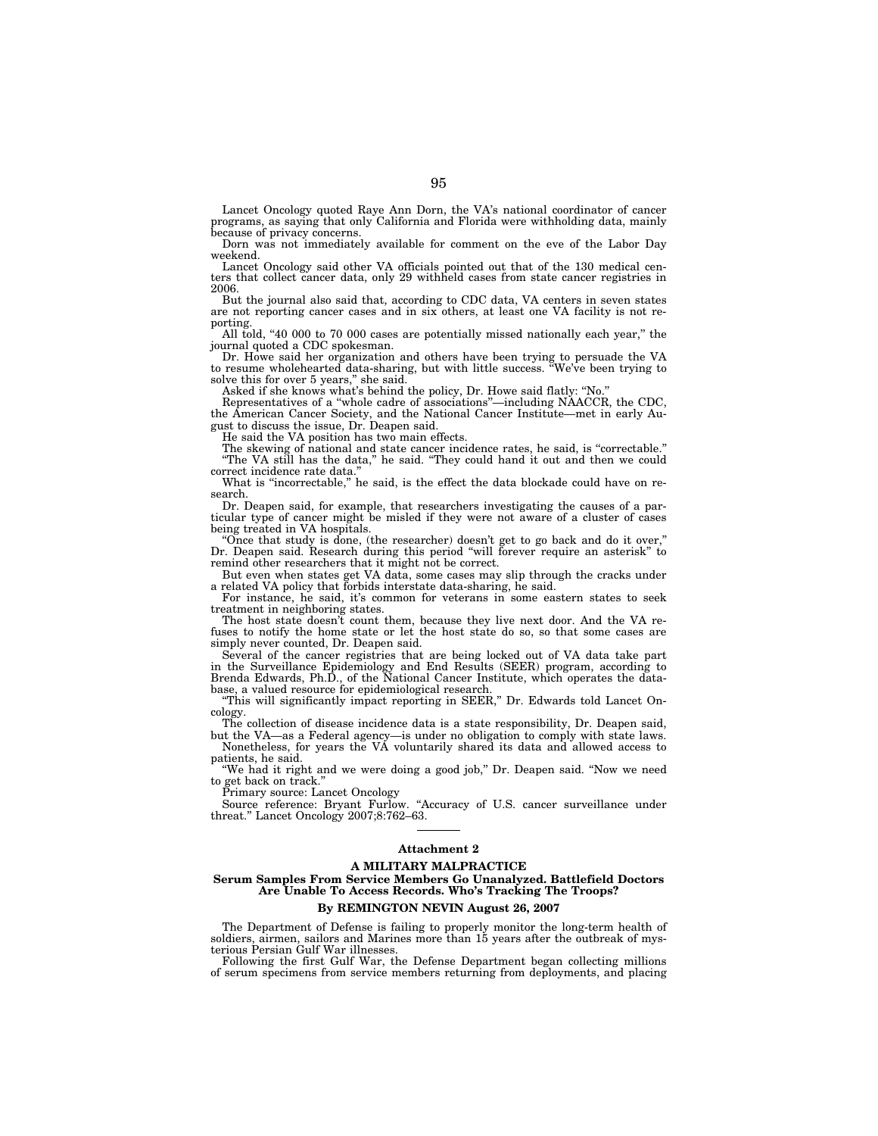Lancet Oncology quoted Raye Ann Dorn, the VA's national coordinator of cancer programs, as saying that only California and Florida were withholding data, mainly because of privacy concerns.

Dorn was not immediately available for comment on the eve of the Labor Day weekend.

Lancet Oncology said other VA officials pointed out that of the 130 medical centers that collect cancer data, only 29 withheld cases from state cancer registries in 2006.

But the journal also said that, according to CDC data, VA centers in seven states are not reporting cancer cases and in six others, at least one VA facility is not reporting.

All told, "40 000 to 70 000 cases are potentially missed nationally each year," the journal quoted a CDC spokesman.

Dr. Howe said her organization and others have been trying to persuade the VA to resume wholehearted data-sharing, but with little success. ''We've been trying to solve this for over 5 years,'' she said. Asked if she knows what's behind the policy, Dr. Howe said flatly: ''No.''

Representatives of a ''whole cadre of associations''—including NAACCR, the CDC, the American Cancer Society, and the National Cancer Institute—met in early August to discuss the issue, Dr. Deapen said.

He said the VA position has two main effects.

The skewing of national and state cancer incidence rates, he said, is ''correctable.'' ''The VA still has the data,'' he said. ''They could hand it out and then we could correct incidence rate data.''

What is "incorrectable," he said, is the effect the data blockade could have on research.

Dr. Deapen said, for example, that researchers investigating the causes of a particular type of cancer might be misled if they were not aware of a cluster of cases being treated in VA hospitals.

''Once that study is done, (the researcher) doesn't get to go back and do it over,'' Dr. Deapen said. Research during this period ''will forever require an asterisk'' to remind other researchers that it might not be correct.

But even when states get VA data, some cases may slip through the cracks under a related VA policy that forbids interstate data-sharing, he said.

For instance, he said, it's common for veterans in some eastern states to seek treatment in neighboring states.

The host state doesn't count them, because they live next door. And the VA refuses to notify the home state or let the host state do so, so that some cases are simply never counted, Dr. Deapen said.

Several of the cancer registries that are being locked out of VA data take part in the Surveillance Epidemiology and End Results (SEER) program, according to Brenda Edwards, Ph.D., of the National Cancer Institute, which operates the database, a valued resource for epidemiological research.

''This will significantly impact reporting in SEER,'' Dr. Edwards told Lancet Oncology.

The collection of disease incidence data is a state responsibility, Dr. Deapen said, but the VA—as a Federal agency—is under no obligation to comply with state laws.

Nonetheless, for years the VA voluntarily shared its data and allowed access to patients, he said.

''We had it right and we were doing a good job,'' Dr. Deapen said. ''Now we need to get back on track.''

Primary source: Lancet Oncology

Source reference: Bryant Furlow. "Accuracy of U.S. cancer surveillance under threat.'' Lancet Oncology 2007;8:762–63.

# **Attachment 2**

## **A MILITARY MALPRACTICE Serum Samples From Service Members Go Unanalyzed. Battlefield Doctors Are Unable To Access Records. Who's Tracking The Troops?**

## **By REMINGTON NEVIN August 26, 2007**

The Department of Defense is failing to properly monitor the long-term health of soldiers, airmen, sailors and Marines more than 15 years after the outbreak of mysterious Persian Gulf War illnesses.

Following the first Gulf War, the Defense Department began collecting millions of serum specimens from service members returning from deployments, and placing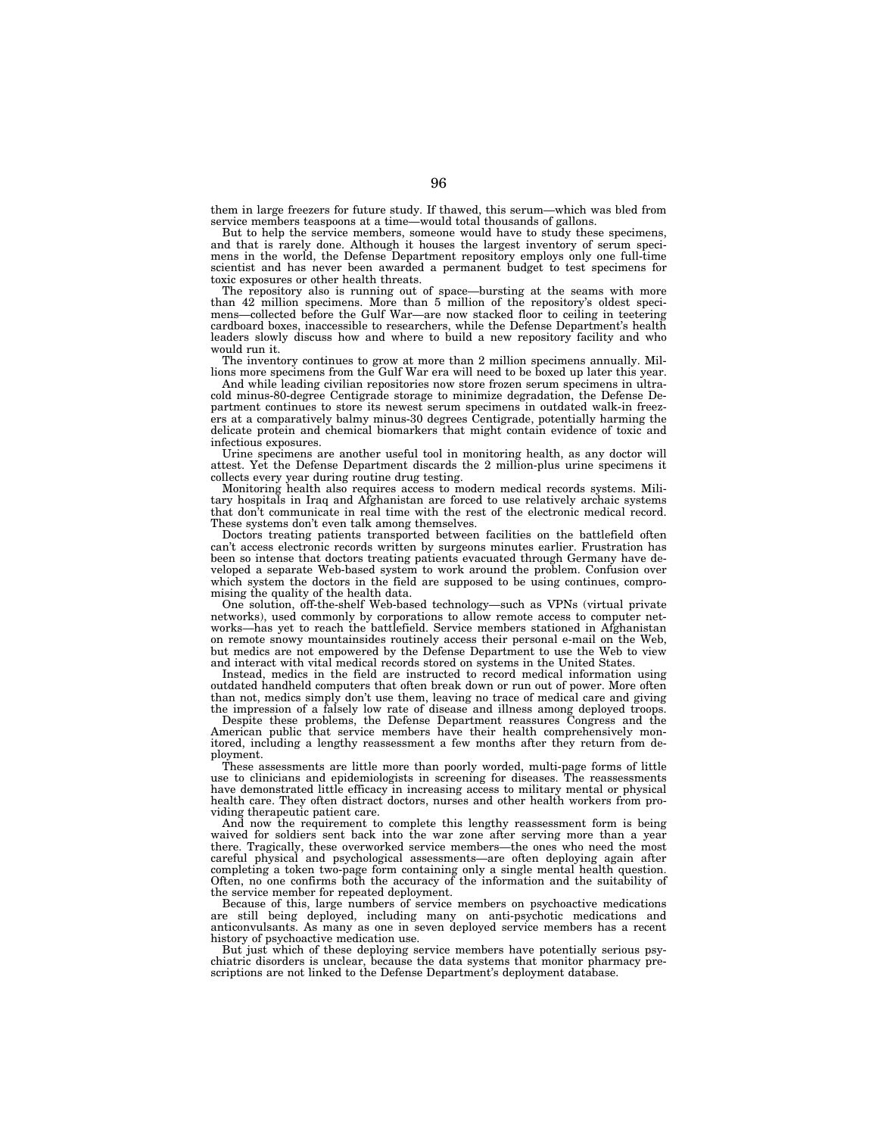them in large freezers for future study. If thawed, this serum—which was bled from service members teaspoons at a time—would total thousands of gallons.

But to help the service members, someone would have to study these specimens, and that is rarely done. Although it houses the largest inventory of serum specimens in the world, the Defense Department repository employs only one full-time scientist and has never been awarded a permanent budget to test specimens for toxic exposures or other health threats.

The repository also is running out of space—bursting at the seams with more than 42 million specimens. More than 5 million of the repository's oldest specimens—collected before the Gulf War—are now stacked floor to ceiling in teetering cardboard boxes, inaccessible to researchers, while the Defense Department's health leaders slowly discuss how and where to build a new repository facility and who would run it.

The inventory continues to grow at more than 2 million specimens annually. Millions more specimens from the Gulf War era will need to be boxed up later this year.

And while leading civilian repositories now store frozen serum specimens in ultracold minus-80-degree Centigrade storage to minimize degradation, the Defense Department continues to store its newest serum specimens in outdated walk-in freezers at a comparatively balmy minus-30 degrees Centigrade, potentially harming the delicate protein and chemical biomarkers that might contain evidence of toxic and infectious exposures.

Urine specimens are another useful tool in monitoring health, as any doctor will attest. Yet the Defense Department discards the 2 million-plus urine specimens it collects every year during routine drug testing.

Monitoring health also requires access to modern medical records systems. Military hospitals in Iraq and Afghanistan are forced to use relatively archaic systems that don't communicate in real time with the rest of the electronic medical record. These systems don't even talk among themselves.

Doctors treating patients transported between facilities on the battlefield often can't access electronic records written by surgeons minutes earlier. Frustration has been so intense that doctors treating patients evacuated through Germany have developed a separate Web-based system to work around the problem. Confusion over which system the doctors in the field are supposed to be using continues, compromising the quality of the health data.

One solution, off-the-shelf Web-based technology—such as VPNs (virtual private networks), used commonly by corporations to allow remote access to computer networks—has yet to reach the battlefield. Service members stationed in Afghanistan on remote snowy mountainsides routinely access their personal e-mail on the Web, but medics are not empowered by the Defense Department to use the Web to view and interact with vital medical records stored on systems in the United States.

Instead, medics in the field are instructed to record medical information using outdated handheld computers that often break down or run out of power. More often than not, medics simply don't use them, leaving no trace of medical care and giving the impression of a falsely low rate of disease and illness among deployed troops.

Despite these problems, the Defense Department reassures Congress and the American public that service members have their health comprehensively monitored, including a lengthy reassessment a few months after they return from deployment.

These assessments are little more than poorly worded, multi-page forms of little use to clinicians and epidemiologists in screening for diseases. The reassessments have demonstrated little efficacy in increasing access to military mental or physical health care. They often distract doctors, nurses and other health workers from providing therapeutic patient care.

And now the requirement to complete this lengthy reassessment form is being waived for soldiers sent back into the war zone after serving more than a year there. Tragically, these overworked service members—the ones who need the most careful physical and psychological assessments—are often deploying again after completing a token two-page form containing only a single mental health question. Often, no one confirms both the accuracy of the information and the suitability of the service member for repeated deployment.

Because of this, large numbers of service members on psychoactive medications are still being deployed, including many on anti-psychotic medications and anticonvulsants. As many as one in seven deployed service members has a recent history of psychoactive medication use.

But just which of these deploying service members have potentially serious psychiatric disorders is unclear, because the data systems that monitor pharmacy prescriptions are not linked to the Defense Department's deployment database.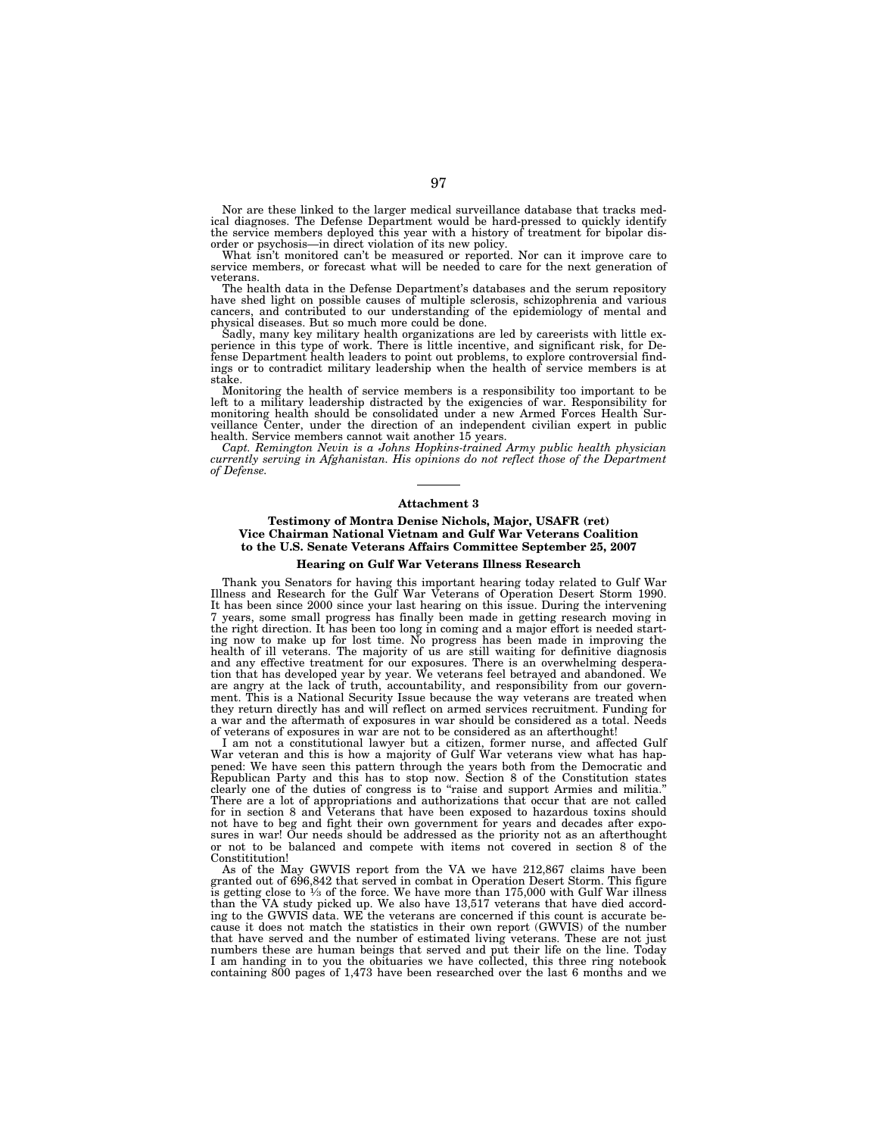Nor are these linked to the larger medical surveillance database that tracks medical diagnoses. The Defense Department would be hard-pressed to quickly identify the service members deployed this year with a history of treatment for bipolar disorder or psychosis—in direct violation of its new policy.

What isn't monitored can't be measured or reported. Nor can it improve care to service members, or forecast what will be needed to care for the next generation of veterans.

The health data in the Defense Department's databases and the serum repository have shed light on possible causes of multiple sclerosis, schizophrenia and various cancers, and contributed to our understanding of the epidemiology of mental and physical diseases. But so much more could be done.

Sadly, many key military health organizations are led by careerists with little ex-perience in this type of work. There is little incentive, and significant risk, for Defense Department health leaders to point out problems, to explore controversial findings or to contradict military leadership when the health of service members is at stake.

Monitoring the health of service members is a responsibility too important to be left to a military leadership distracted by the exigencies of war. Responsibility for monitoring health should be consolidated under a new Armed Forces Health Surveillance Center, under the direction of an independent civilian expert in public health. Service members cannot wait another 15 years.

*Capt. Remington Nevin is a Johns Hopkins-trained Army public health physician currently serving in Afghanistan. His opinions do not reflect those of the Department of Defense.* 

#### **Attachment 3**

# **Testimony of Montra Denise Nichols, Major, USAFR (ret) Vice Chairman National Vietnam and Gulf War Veterans Coalition to the U.S. Senate Veterans Affairs Committee September 25, 2007**

## **Hearing on Gulf War Veterans Illness Research**

Thank you Senators for having this important hearing today related to Gulf War Illness and Research for the Gulf War Veterans of Operation Desert Storm 1990. It has been since 2000 since your last hearing on this issue. During the intervening 7 years, some small progress has finally been made in getting research moving in the right direction. It has been too long in coming and a major effort is needed starting now to make up for lost time. No progress has been made in improving the health of ill veterans. The majority of us are still waiting for definitive diagnosis and any effective treatment for our exposures. There is an overwhelming desperation that has developed year by year. We veterans feel betrayed and abandoned. We are angry at the lack of truth, accountability, and responsibility from our government. This is a National Security Issue because the way veterans are treated when they return directly has and will reflect on armed services recruitment. Funding for a war and the aftermath of exposures in war should be considered as a total. Needs of veterans of exposures in war are not to be considered as an afterthought!

I am not a constitutional lawyer but a citizen, former nurse, and affected Gulf War veteran and this is how a majority of Gulf War veterans view what has happened: We have seen this pattern through the years both from the Democratic and Republican Party and this has to stop now. Section 8 of the Constitution states clearly one of the duties of congress is to "raise and support Armies and militia. There are a lot of appropriations and authorizations that occur that are not called for in section 8 and Veterans that have been exposed to hazardous toxins should not have to beg and fight their own government for years and decades after exposures in war! Our needs should be addressed as the priority not as an afterthought or not to be balanced and compete with items not covered in section 8 of the Constititution!

As of the May GWVIS report from the VA we have 212,867 claims have been granted out of 696,842 that served in combat in Operation Desert Storm. This figure is getting close to 1⁄3 of the force. We have more than 175,000 with Gulf War illness than the VA study picked up. We also have 13,517 veterans that have died according to the GWVIS data. WE the veterans are concerned if this count is accurate because it does not match the statistics in their own report (GWVIS) of the number that have served and the number of estimated living veterans. These are not just numbers these are human beings that served and put their life on the line. Today I am handing in to you the obituaries we have collected, this three ring notebook containing 800 pages of 1,473 have been researched over the last 6 months and we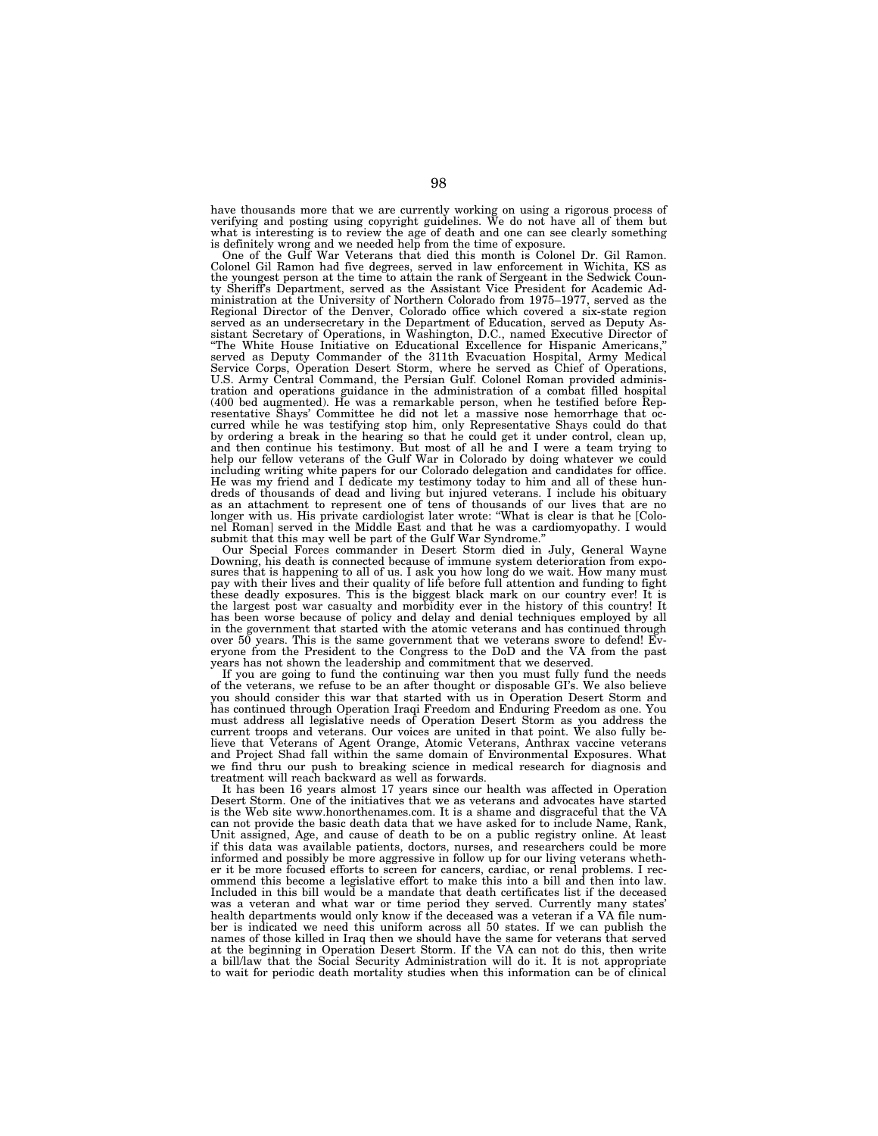have thousands more that we are currently working on using a rigorous process of verifying and posting using copyright guidelines. We do not have all of them but what is interesting is to review the age of death and one can see clearly something

is definitely wrong and we needed help from the time of exposure. One of the Gulf War Veterans that died this month is Colonel Dr. Gil Ramon. Colonel Gil Ramon had five degrees, served in law enforcement in Wichita, KS as the youngest person at the time to attain the rank of Sergeant in the Sedwick County Sheriff's Department, served as the Assistant Vice President for Academic Administration at the University of Northern Colorado from 1975–1977, served as the Regional Director of the Denver, Colorado office which covered a six-state region served as an undersecretary in the Department of Education, served as Deputy Assistant Secretary of Operations, in Washington, D.C., named Executive Director of ''The White House Initiative on Educational Excellence for Hispanic Americans,'' served as Deputy Commander of the 311th Evacuation Hospital, Army Medical Service Corps, Operation Desert Storm, where he served as Chief of Operations, U.S. Army Central Command, the Persian Gulf. Colonel Roman provided administration and operations guidance in the administration of a combat filled hospital (400 bed augmented). He was a remarkable person, when he testified before Rep-resentative Shays' Committee he did not let a massive nose hemorrhage that occurred while he was testifying stop him, only Representative Shays could do that<br>by ordering a break in the hearing so that he could get it under control, clean up,<br>and then continue his testimony. But most of all he and I including writing white papers for our Colorado delegation and candidates for office. He was my friend and I dedicate my testimony today to him and all of these hundreds of thousands of dead and living but injured veterans. I include his obituary as an attachment to represent one of tens of thousands of our lives that are no longer with us. His private cardiologist later wrote: ''What is clear is that he [Colonel Roman] served in the Middle East and that he was a cardiomyopathy. I would submit that this may well be part of the Gulf War Syndrome.''

Our Special Forces commander in Desert Storm died in July, General Wayne Downing, his death is connected because of immune system deterioration from exposures that is happening to all of us. I ask you how long do we wait. How many must<br>pay with their lives and their quality of life before full attention and funding to fight<br>these deadly exposures. This is the biggest black the largest post war casualty and morbidity ever in the history of this country! It has been worse because of policy and delay and denial techniques employed by all in the government that started with the atomic veterans and has continued through over 50 years. This is the same government that we veterans swore to defend! Everyone from the President to the Congress to the DoD and the VA from the past years has not shown the leadership and commitment that we deserved.

If you are going to fund the continuing war then you must fully fund the needs of the veterans, we refuse to be an after thought or disposable GI's. We also believe you should consider this war that started with us in Operation Desert Storm and has continued through Operation Iraqi Freedom and Enduring Freedom as one. You must address all legislative needs of Operation Desert Storm as you address the current troops and veterans. Our voices are united in that point. We also fully believe that Veterans of Agent Orange, Atomic Veterans, Anthrax vaccine veterans and Project Shad fall within the same domain of Environmental Exposures. What we find thru our push to breaking science in medical research for diagnosis and treatment will reach backward as well as forwards.

It has been 16 years almost 17 years since our health was affected in Operation Desert Storm. One of the initiatives that we as veterans and advocates have started is the Web site www.honorthenames.com. It is a shame and disgraceful that the VA can not provide the basic death data that we have asked for to include Name, Rank, Unit assigned, Age, and cause of death to be on a public registry online. At least if this data was available patients, doctors, nurses, and researchers could be more informed and possibly be more aggressive in follow up for our living veterans whether it be more focused efforts to screen for cancers, cardiac, or renal problems. I recommend this become a legislative effort to make this into a bill and then into law. Included in this bill would be a mandate that death certificates list if the deceased was a veteran and what war or time period they served. Currently many states' health departments would only know if the deceased was a veteran if a VA file number is indicated we need this uniform across all 50 states. If we can publish the names of those killed in Iraq then we should have the same for veterans that served at the beginning in Operation Desert Storm. If the VA can not do this, then write a bill/law that the Social Security Administration will do it. It is not appropriate to wait for periodic death mortality studies when this information can be of clinical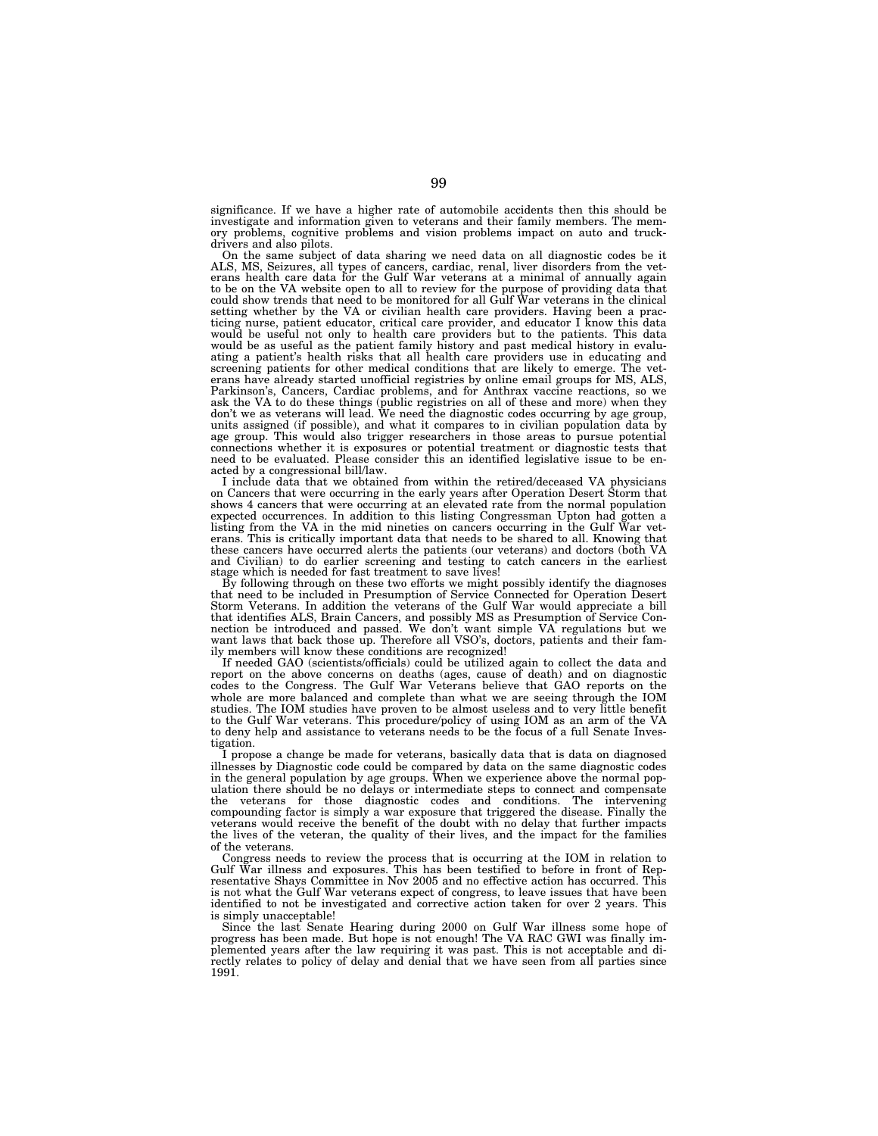significance. If we have a higher rate of automobile accidents then this should be investigate and information given to veterans and their family members. The memory problems, cognitive problems and vision problems impact on auto and truckdrivers and also pilots.

On the same subject of data sharing we need data on all diagnostic codes be it ALS, MS, Seizures, all types of cancers, cardiac, renal, liver disorders from the vet-erans health care data for the Gulf War veterans at a minimal of annually again to be on the VA website open to all to review for the purpose of providing data that could show trends that need to be monitored for all Gulf War veterans in the clinical setting whether by the VA or civilian health care providers. Having been a practicing nurse, patient educator, critical care provider, and educator I know this data would be useful not only to health care providers but to the patients. This data would be as useful as the patient family history and past medical history in evaluating a patient's health risks that all health care providers use in educating and screening patients for other medical conditions that are likely to emerge. The veterans have already started unofficial registries by online email groups for MS, ALS, Parkinson's, Cancers, Cardiac problems, and for Anthrax vaccine reactions, so we ask the VA to do these things (public registries on all of these and more) when they don't we as veterans will lead. We need the diagnostic codes occurring by age group, units assigned (if possible), and what it compares to in civilian population data by age group. This would also trigger researchers in those areas to pursue potential connections whether it is exposures or potential treatment or diagnostic tests that need to be evaluated. Please consider this an identified legislative issue to be enacted by a congressional bill/law.

I include data that we obtained from within the retired/deceased VA physicians on Cancers that were occurring in the early years after Operation Desert Storm that shows 4 cancers that were occurring at an elevated rate from the normal population expected occurrences. In addition to this listing Congressman Upton had gotten a listing from the VA in the mid nineties on cancers occurring in the Gulf War veterans. This is critically important data that needs to be shared to all. Knowing that these cancers have occurred alerts the patients (our veterans) and doctors (both VA and Civilian) to do earlier screening and testing to catch cancers in the earliest stage which is needed for fast treatment to save lives!

By following through on these two efforts we might possibly identify the diagnoses that need to be included in Presumption of Service Connected for Operation Desert Storm Veterans. In addition the veterans of the Gulf War would appreciate a bill that identifies ALS, Brain Cancers, and possibly MS as Presumption of Service Con-nection be introduced and passed. We don't want simple VA regulations but we want laws that back those up. Therefore all VSO's, doctors, patients and their family members will know these conditions are recognized!

If needed GAO (scientists/officials) could be utilized again to collect the data and report on the above concerns on deaths (ages, cause of death) and on diagnostic codes to the Congress. The Gulf War Veterans believe that GAO reports on the whole are more balanced and complete than what we are seeing through the IOM studies. The IOM studies have proven to be almost useless and to very little benefit to the Gulf War veterans. This procedure/policy of using IOM as an arm of the VA to deny help and assistance to veterans needs to be the focus of a full Senate Investigation.

I propose a change be made for veterans, basically data that is data on diagnosed illnesses by Diagnostic code could be compared by data on the same diagnostic codes in the general population by age groups. When we experience above the normal population there should be no delays or intermediate steps to connect and compensate the veterans for those diagnostic codes and conditions. The intervening compounding factor is simply a war exposure that triggered the disease. Finally the veterans would receive the benefit of the doubt with no delay that further impacts the lives of the veteran, the quality of their lives, and the impact for the families of the veterans.

Congress needs to review the process that is occurring at the IOM in relation to Gulf War illness and exposures. This has been testified to before in front of Representative Shays Committee in Nov 2005 and no effective action has occurred. This is not what the Gulf War veterans expect of congress, to leave issues that have been identified to not be investigated and corrective action taken for over 2 years. This is simply unacceptable!

Since the last Senate Hearing during 2000 on Gulf War illness some hope of progress has been made. But hope is not enough! The VA RAC GWI was finally implemented years after the law requiring it was past. This is not acceptable and directly relates to policy of delay and denial that we have seen from all parties since 1991.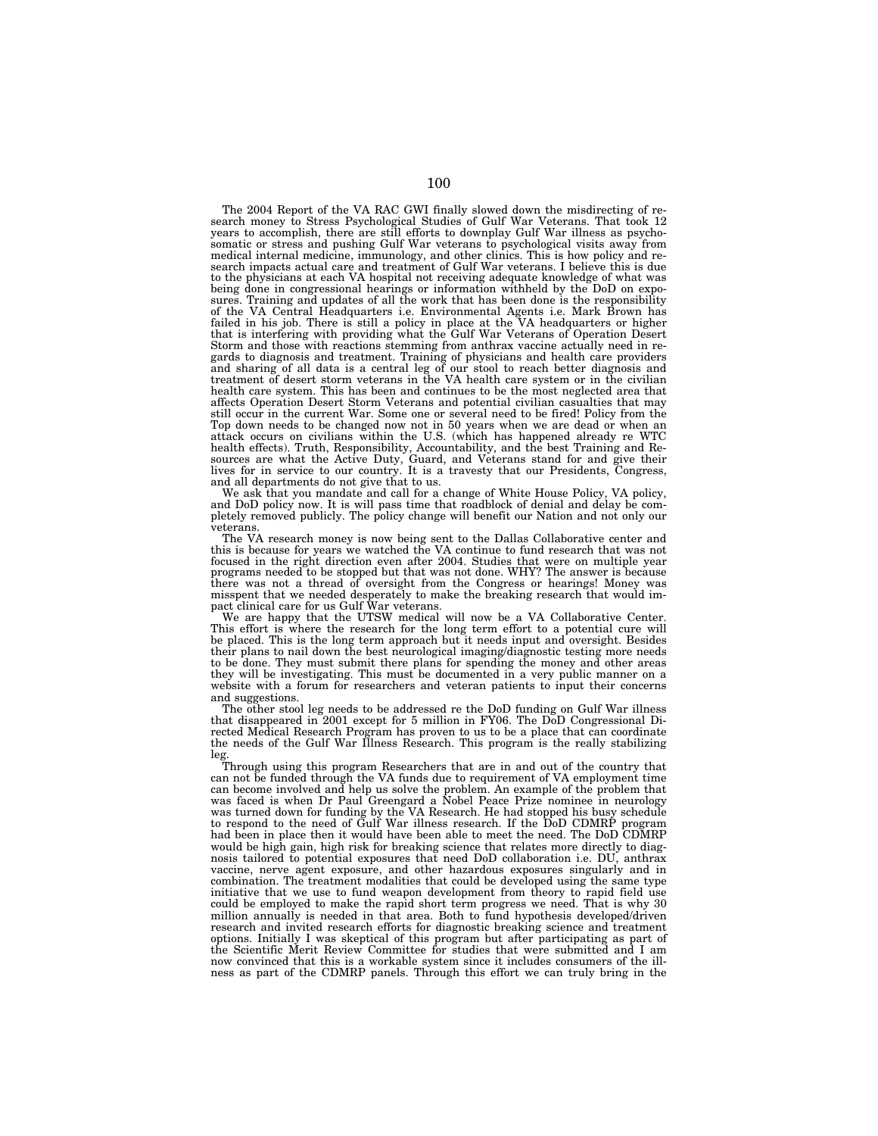The 2004 Report of the VA RAC GWI finally slowed down the misdirecting of research money to Stress Psychological Studies of Gulf War Veterans. That took 12 years to accomplish, there are still efforts to downplay Gulf War medical internal medicine, immunology, and other clinics. This is how policy and research impacts actual care and treatment of Gulf War veterans. I believe this is due to the physicians at each VA hospital not receiving adequate knowledge of what was being done in congressional hearings or information withheld by the DoD on exposures. Training and updates of all the work that has been done is the responsibility of the VA Central Headquarters i.e. Environmental Agents i.e. Mark Brown has failed in his job. There is still a policy in place at the VA headquarters or higher that is interfering with providing what the Gulf War Veterans of Operation Desert Storm and those with reactions stemming from anthrax vaccine actually need in regards to diagnosis and treatment. Training of physicians and health care providers and sharing of all data is a central leg of our stool to reach better diagnosis and treatment of desert storm veterans in the VA health care system or in the civilian health care system. This has been and continues to be the most neglected area that affects Operation Desert Storm Veterans and potential civilian casualties that may still occur in the current War. Some one or several need to be fired! Policy from the Top down needs to be changed now not in 50 years when we are dead or when an attack occurs on civilians within the U.S. (which has happened already re WTC health effects). Truth, Responsibility, Accountability, and the best Training and Re-sources are what the Active Duty, Guard, and Veterans stand for and give their lives for in service to our country. It is a travesty that our Presidents, Congress, and all departments do not give that to us.

We ask that you mandate and call for a change of White House Policy, VA policy, and DoD policy now. It is will pass time that roadblock of denial and delay be com-pletely removed publicly. The policy change will benefit our Nation and not only our veterans.

The VA research money is now being sent to the Dallas Collaborative center and this is because for years we watched the VA continue to fund research that was not focused in the right direction even after 2004. Studies that were on multiple year<br>programs needed to be stopped but that was not done. WHY? The answer is because<br>there was not a thread of oversight from the Congress or he misspent that we needed desperately to make the breaking research that would im-pact clinical care for us Gulf War veterans.

We are happy that the UTSW medical will now be a VA Collaborative Center. This effort is where the research for the long term effort to a potential cure will be placed. This is the long term approach but it needs input and oversight. Besides their plans to nail down the best neurological imaging/diagnostic testing more needs to be done. They must submit there plans for spending the money and other areas they will be investigating. This must be documented in a very public manner on a website with a forum for researchers and veteran patients to input their concerns and suggestions.

The other stool leg needs to be addressed re the DoD funding on Gulf War illness that disappeared in 2001 except for 5 million in FY06. The DoD Congressional Directed Medical Research Program has proven to us to be a place that can coordinate the needs of the Gulf War Illness Research. This program is the really stabilizing leg.

Through using this program Researchers that are in and out of the country that can not be funded through the VA funds due to requirement of VA employment time can become involved and help us solve the problem. An example of the problem that was faced is when Dr Paul Greengard a Nobel Peace Prize nominee in neurology was turned down for funding by the VA Research. He had stopped his busy schedule to respond to the need of Gulf War illness research. If the DoD CDMRP program had been in place then it would have been able to meet the need. The DoD CDMRP would be high gain, high risk for breaking science that relates more directly to diagnosis tailored to potential exposures that need DoD collaboration i.e. DU, anthrax vaccine, nerve agent exposure, and other hazardous exposures singularly and in combination. The treatment modalities that could be developed using the same type initiative that we use to fund weapon development from theory to rapid field use could be employed to make the rapid short term progress we need. That is why 30 million annually is needed in that area. Both to fund hypothesis developed/driven research and invited research efforts for diagnostic breaking science and treatment options. Initially I was skeptical of this program but after participating as part of the Scientific Merit Review Committee for studies that were submitted and I am now convinced that this is a workable system since it includes consumers of the illness as part of the CDMRP panels. Through this effort we can truly bring in the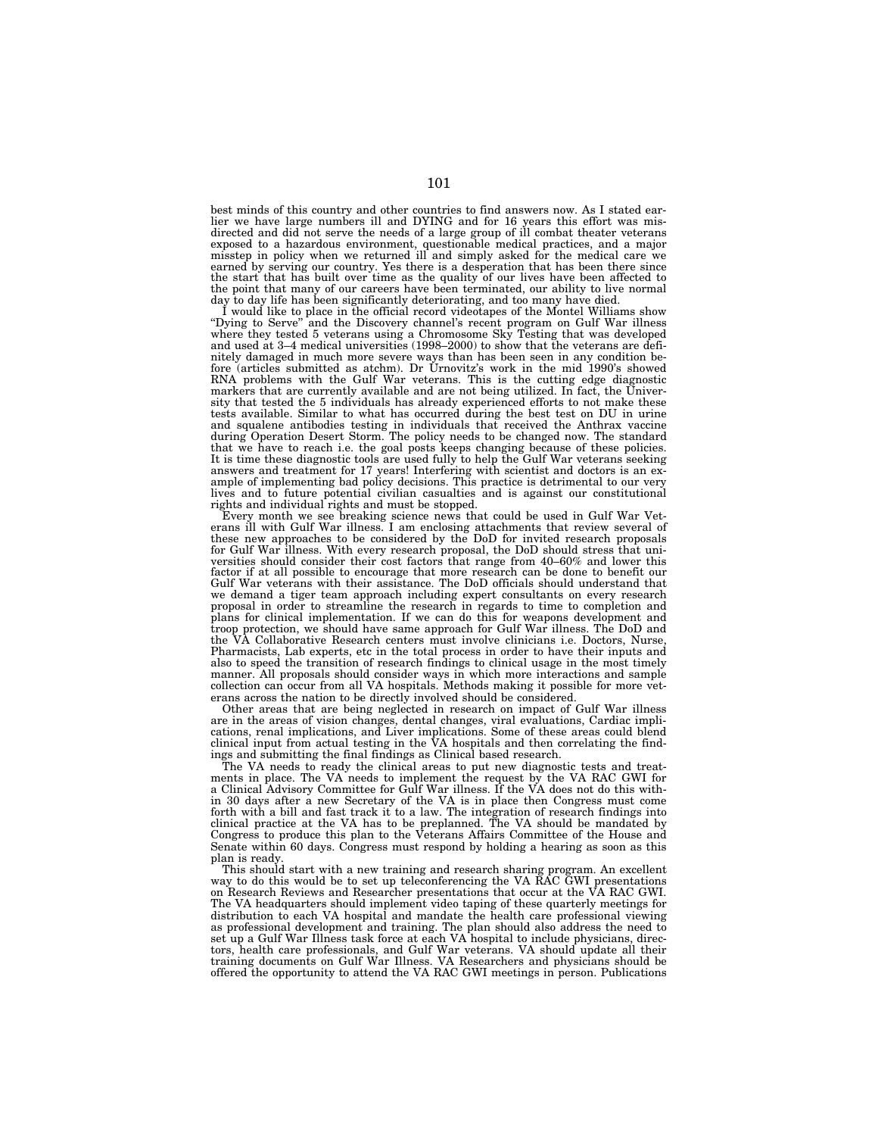best minds of this country and other countries to find answers now. As I stated earlier we have large numbers ill and DYING and for 16 years this effort was mis-<br>directed and did not serve the needs of a large group of ill misstep in policy when we returned ill and simply asked for the medical care we earned by serving our country. Yes there is a desperation that has been there since the start that has built over time as the quality of our lives have been affected to the point that many of our careers have been terminated, our ability to live normal day to day life has been significantly deteriorating, and too many have died.

I would like to place in the official record videotapes of the Montel Williams show ''Dying to Serve'' and the Discovery channel's recent program on Gulf War illness where they tested 5 veterans using a Chromosome Sky Testing that was developed and used at 3–4 medical universities (1998–2000) to show that the veterans are definitely damaged in much more severe ways than has been seen in any condition be-fore (articles submitted as atchm). Dr Urnovitz's work in the mid 1990's showed RNA problems with the Gulf War veterans. This is the cutting edge diagnostic markers that are currently available and are not being utilized. In fact, the University that tested the 5 individuals has already experienced efforts to not make these tests available. Similar to what has occurred during the best test on DU in urine and squalene antibodies testing in individuals that received the Anthrax vaccine during Operation Desert Storm. The policy needs to be changed now. The standard that we have to reach i.e. the goal posts keeps changing because of these policies. It is time these diagnostic tools are used fully to help the Gulf War veterans seeking answers and treatment for 17 years! Interfering with scientist and doctors is an ex-ample of implementing bad policy decisions. This practice is detrimental to our very lives and to future potential civilian casualties and is against our constitutional rights and individual rights and must be stopped.

Every month we see breaking science news that could be used in Gulf War Veterans ill with Gulf War illness. I am enclosing attachments that review several of these new approaches to be considered by the DoD for invited res for Gulf War illness. With every research proposal, the DoD should stress that universities should consider their cost factors that range from 40–60% and lower this factor if at all possible to encourage that more research can be done to benefit our<br>Gulf War veterans with their assistance. The DoD officials should understand that<br>we demand a tiger team approach including expert consul plans for clinical implementation. If we can do this for weapons development and troop protection, we should have same approach for Gulf War illness. The DoD and the VA Collaborative Research centers must involve clinicians i.e. Doctors, Nurse, Pharmacists, Lab experts, etc in the total process in order to have their inputs and also to speed the transition of research findings to clinical usage in the most timely manner. All proposals should consider ways in which more interactions and sample collection can occur from all VA hospitals. Methods making it possible for more veterans across the nation to be directly involved should be considered.

Other areas that are being neglected in research on impact of Gulf War illness are in the areas of vision changes, dental changes, viral evaluations, Cardiac implications, renal implications, and Liver implications. Some of these areas could blend clinical input from actual testing in the VA hospitals and then correlating the findings and submitting the final findings as Clinical based research.

The VA needs to ready the clinical areas to put new diagnostic tests and treatments in place. The VA needs to implement the request by the VA RAC GWI for a Clinical Advisory Committee for Gulf War illness. If the VA does not do this within 30 days after a new Secretary of the VA is in place then Congress must come forth with a bill and fast track it to a law. The integration of research findings into clinical practice at the VA has to be preplanned. The VA should be mandated by Congress to produce this plan to the Veterans Affairs Committee of the House and Senate within 60 days. Congress must respond by holding a hearing as soon as this plan is ready.

This should start with a new training and research sharing program. An excellent way to do this would be to set up teleconferencing the VA RAC GWI presentations on Research Reviews and Researcher presentations that occur at the VA RAC GWI. The VA headquarters should implement video taping of these quarterly meetings for distribution to each VA hospital and mandate the health care professional viewing as professional development and training. The plan should also address the need to set up a Gulf War Illness task force at each VA hospital to include physicians, directors, health care professionals, and Gulf War veterans. VA should update all their training documents on Gulf War Illness. VA Researchers and physicians should be offered the opportunity to attend the VA RAC GWI meetings in person. Publications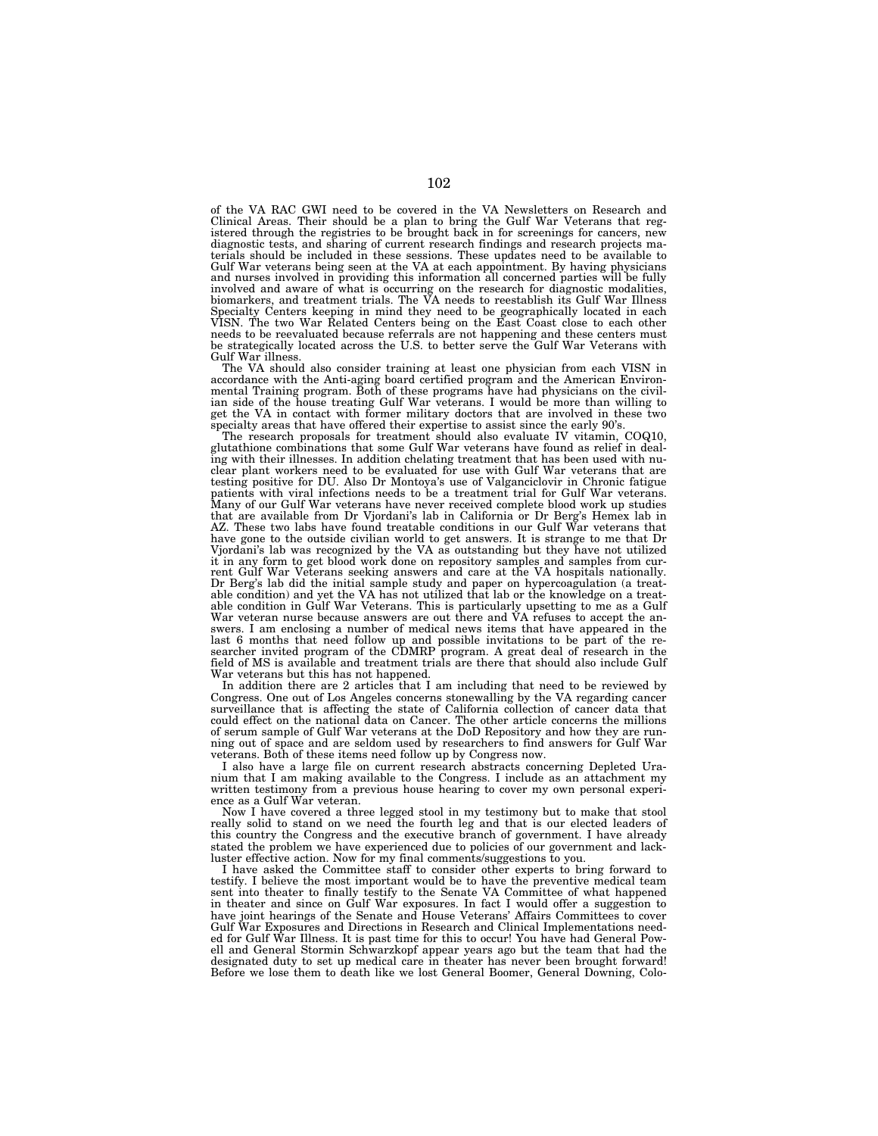of the VA RAC GWI need to be covered in the VA Newsletters on Research and Clinical Areas. Their should be a plan to bring the Gulf War Veterans that reg-istered through the registries to be brought back in for screenings for cancers, new diagnostic tests, and sharing of current research findings and research projects materials should be included in these sessions. These updates need to be available to Gulf War veterans being seen at the VA at each appointment. By having physicians and nurses involved in providing this information all concerned parties will be fully involved and aware of what is occurring on the research for diagnostic modalities, biomarkers, and treatment trials. The VA needs to reestablish its Gulf War Illness Specialty Centers keeping in mind they need to be geographically located in each VISN. The two War Related Centers being on the East Coast close to each other needs to be reevaluated because referrals are not happening and these centers must be strategically located across the U.S. to better serve the Gulf War Veterans with Gulf War illness.

The VA should also consider training at least one physician from each VISN in accordance with the Anti-aging board certified program and the American Environ-mental Training program. Both of these programs have had physicians on the civilian side of the house treating Gulf War veterans. I would be more than willing to get the VA in contact with former military doctors that are involved in these two

specialty areas that have offered their expertise to assist since the early 90's. The research proposals for treatment should also evaluate IV vitamin, COQ10, glutathione combinations that some Gulf War veterans have found as relief in deal-ing with their illnesses. In addition chelating treatment that has been used with nuclear plant workers need to be evaluated for use with Gulf War veterans that are testing positive for DU. Also Dr Montoya's use of Valganciclovir in Chronic fatigue patients with viral infections needs to be a treatment trial for Gulf War veterans. Many of our Gulf War veterans have never received complete blood work up studies that are available from Dr Vjordani's lab in California or Dr Berg's Hemex lab in AZ. These two labs have found treatable conditions in our Gulf War veterans that have gone to the outside civilian world to get answers. It is strange to me that Dr Vjordani's lab was recognized by the VA as outstanding but they have not utilized it in any form to get blood work done on repository samples and samples from current Gulf War Veterans seeking answers and care at the VA hospitals nationally. Dr Berg's lab did the initial sample study and paper on hypercoagulation (a treat-able condition) and yet the VA has not utilized that lab or the knowledge on a treatable condition in Gulf War Veterans. This is particularly upsetting to me as a Gulf War veteran nurse because answers are out there and VA refuses to accept the answers. I am enclosing a number of medical news items that have appeared in the last 6 months that need follow up and possible invitations to be part of the re-searcher invited program of the CDMRP program. A great deal of research in the field of MS is available and treatment trials are there that should also include Gulf War veterans but this has not happened.

In addition there are 2 articles that I am including that need to be reviewed by Congress. One out of Los Angeles concerns stonewalling by the VA regarding cancer surveillance that is affecting the state of California collection of cancer data that could effect on the national data on Cancer. The other article concerns the millions of serum sample of Gulf War veterans at the DoD Repository and how they are running out of space and are seldom used by researchers to find answers for Gulf War veterans. Both of these items need follow up by Congress now.

I also have a large file on current research abstracts concerning Depleted Uranium that I am making available to the Congress. I include as an attachment my written testimony from a previous house hearing to cover my own personal experience as a Gulf War veteran.

Now I have covered a three legged stool in my testimony but to make that stool really solid to stand on we need the fourth leg and that is our elected leaders of this country the Congress and the executive branch of government. I have already stated the problem we have experienced due to policies of our government and lackluster effective action. Now for my final comments/suggestions to you.

I have asked the Committee staff to consider other experts to bring forward to testify. I believe the most important would be to have the preventive medical team sent into theater to finally testify to the Senate VA Committee of what happened in theater and since on Gulf War exposures. In fact I would offer a suggestion to have joint hearings of the Senate and House Veterans' Affairs Committees to cover Gulf War Exposures and Directions in Research and Clinical Implementations needed for Gulf War Illness. It is past time for this to occur! You have had General Powell and General Stormin Schwarzkopf appear years ago but the team that had the designated duty to set up medical care in theater has never been brought forward! Before we lose them to death like we lost General Boomer, General Downing, Colo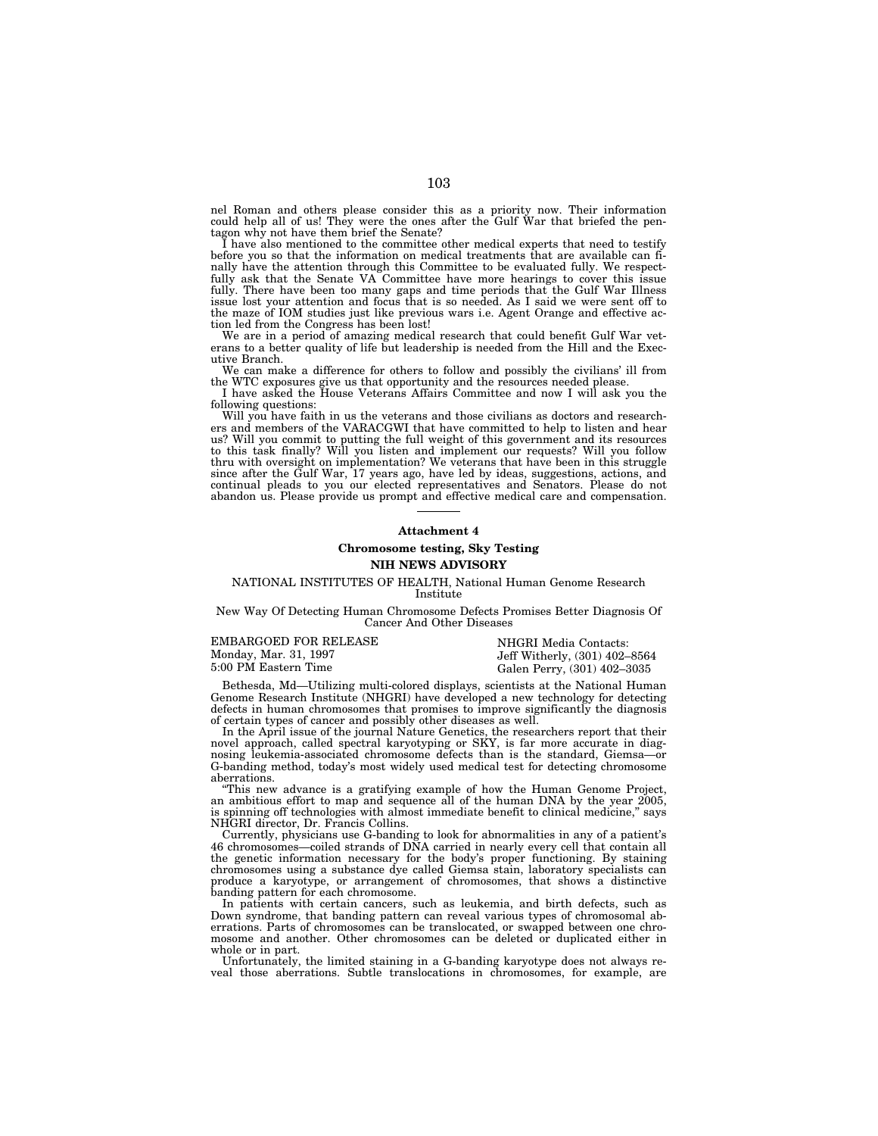nel Roman and others please consider this as a priority now. Their information could help all of us! They were the ones after the Gulf War that briefed the pentagon why not have them brief the Senate?

I have also mentioned to the committee other medical experts that need to testify before you so that the information on medical treatments that are available can finally have the attention through this Committee to be evaluated fully. We respectfully ask that the Senate VA Committee have more hearings to cover this issue fully. There have been too many gaps and time periods that the Gulf War Illness issue lost your attention and focus that is so needed. As I said we were sent off to the maze of IOM studies just like previous wars i.e. Agent Orange and effective action led from the Congress has been lost!

We are in a period of amazing medical research that could benefit Gulf War veterans to a better quality of life but leadership is needed from the Hill and the Executive Branch.

We can make a difference for others to follow and possibly the civilians' ill from the WTC exposures give us that opportunity and the resources needed please.

I have asked the House Veterans Affairs Committee and now I will ask you the following questions:

Will you have faith in us the veterans and those civilians as doctors and researchers and members of the VARACGWI that have committed to help to listen and hear us? Will you commit to putting the full weight of this government and its resources to this task finally? Will you listen and implement our requests? Will you follow thru with oversight on implementation? We veterans that have been in this struggle since after the Gulf War, 17 years ago, have led by ideas, suggestions, actions, and continual pleads to you our elected representatives and Senators. Please do not abandon us. Please provide us prompt and effective medical care and compensation.

## **Attachment 4**

## **Chromosome testing, Sky Testing**

## **NIH NEWS ADVISORY**

#### NATIONAL INSTITUTES OF HEALTH, National Human Genome Research Institute

New Way Of Detecting Human Chromosome Defects Promises Better Diagnosis Of Cancer And Other Diseases

| EMBARGOED FOR RELEASE | NHGRI Media Contacts:         |
|-----------------------|-------------------------------|
| Monday, Mar. 31, 1997 | Jeff Witherly, (301) 402–8564 |
| 5:00 PM Eastern Time  | Galen Perry, (301) 402–3035   |

Bethesda, Md—Utilizing multi-colored displays, scientists at the National Human Genome Research Institute (NHGRI) have developed a new technology for detecting defects in human chromosomes that promises to improve significantly the diagnosis of certain types of cancer and possibly other diseases as well.

In the April issue of the journal Nature Genetics, the researchers report that their novel approach, called spectral karyotyping or SKY, is far more accurate in diagnosing leukemia-associated chromosome defects than is the standard, Giemsa—or G-banding method, today's most widely used medical test for detecting chromosome aberrations.

This new advance is a gratifying example of how the Human Genome Project, an ambitious effort to map and sequence all of the human DNA by the year 2005, is spinning off technologies with almost immediate benefit to clinical medicine,'' says NHGRI director, Dr. Francis Collins.

Currently, physicians use G-banding to look for abnormalities in any of a patient's 46 chromosomes—coiled strands of DNA carried in nearly every cell that contain all the genetic information necessary for the body's proper functioning. By staining chromosomes using a substance dye called Giemsa stain, laboratory specialists can produce a karyotype, or arrangement of chromosomes, that shows a distinctive banding pattern for each chromosome.

In patients with certain cancers, such as leukemia, and birth defects, such as Down syndrome, that banding pattern can reveal various types of chromosomal aberrations. Parts of chromosomes can be translocated, or swapped between one chromosome and another. Other chromosomes can be deleted or duplicated either in whole or in part.

Unfortunately, the limited staining in a G-banding karyotype does not always reveal those aberrations. Subtle translocations in chromosomes, for example, are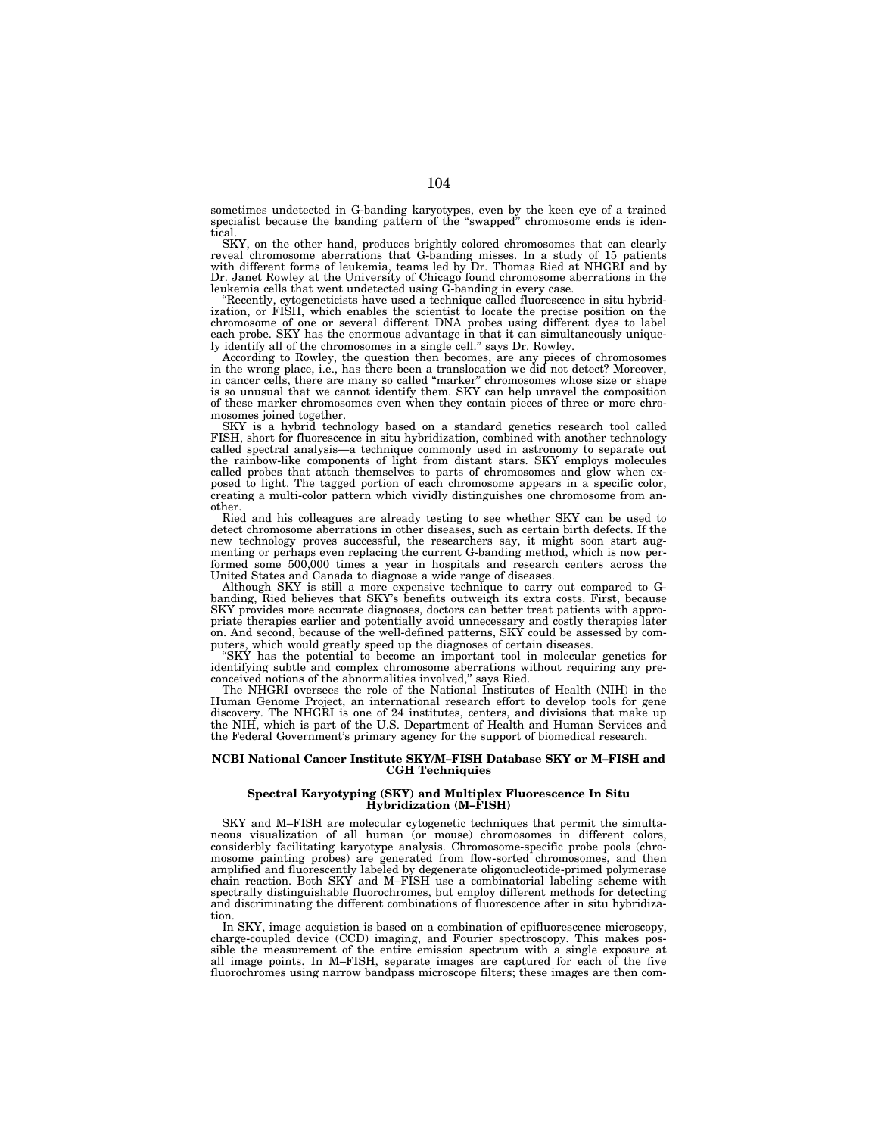sometimes undetected in G-banding karyotypes, even by the keen eye of a trained specialist because the banding pattern of the "swapped" chromosome ends is identical

SKY, on the other hand, produces brightly colored chromosomes that can clearly reveal chromosome aberrations that G-banding misses. In a study of 15 patients with different forms of leukemia, teams led by Dr. Thomas Ried a leukemia cells that went undetected using G-banding in every case.

''Recently, cytogeneticists have used a technique called fluorescence in situ hybridization, or FISH, which enables the scientist to locate the precise position on the chromosome of one or several different DNA probes using different dyes to label each probe. SKY has the enormous advantage in that it can simultaneously uniquely identify all of the chromosomes in a single cell.'' says Dr. Rowley.

According to Rowley, the question then becomes, are any pieces of chromosomes in the wrong place, i.e., has there been a translocation we did not detect? Moreover, in cancer cells, there are many so called ''marker'' chromosomes whose size or shape is so unusual that we cannot identify them. SKY can help unravel the composition of these marker chromosomes even when they contain pieces of three or more chromosomes joined together.

SKY is a hybrid technology based on a standard genetics research tool called FISH, short for fluorescence in situ hybridization, combined with another technology called spectral analysis—a technique commonly used in astronomy to separate out the rainbow-like components of light from distant stars. SKY employs molecules called probes that attach themselves to parts of chromosomes and glow when exposed to light. The tagged portion of each chromosome appears in a specific color, creating a multi-color pattern which vividly distinguishes one chromosome from another.

Ried and his colleagues are already testing to see whether SKY can be used to detect chromosome aberrations in other diseases, such as certain birth defects. If the new technology proves successful, the researchers say, it might soon start augmenting or perhaps even replacing the current G-banding method, which is now performed some 500,000 times a year in hospitals and research centers across the United States and Canada to diagnose a wide range of diseases.

Although SKY is still a more expensive technique to carry out compared to Gbanding, Ried believes that SKY's benefits outweigh its extra costs. First, because SKY provides more accurate diagnoses, doctors can better treat patients with appropriate therapies earlier and potentially avoid unnecessary and costly therapies later on. And second, because of the well-defined patterns, SKY could be assessed by computers, which would greatly speed up the diagnoses of certain diseases.

''SKY has the potential to become an important tool in molecular genetics for identifying subtle and complex chromosome aberrations without requiring any preconceived notions of the abnormalities involved,'' says Ried.

The NHGRI oversees the role of the National Institutes of Health (NIH) in the Human Genome Project, an international research effort to develop tools for gene discovery. The NHGRI is one of 24 institutes, centers, and divisions that make up the NIH, which is part of the U.S. Department of Health and Human Services and the Federal Government's primary agency for the support of biomedical research.

## **NCBI National Cancer Institute SKY/M–FISH Database SKY or M–FISH and CGH Techniquies**

## **Spectral Karyotyping (SKY) and Multiplex Fluorescence In Situ Hybridization (M–FISH)**

SKY and M–FISH are molecular cytogenetic techniques that permit the simultaneous visualization of all human (or mouse) chromosomes in different colors, considerbly facilitating karyotype analysis. Chromosome-specific probe pools (chromosome painting probes) are generated from flow-sorted chromosomes, and then amplified and fluorescently labeled by degenerate oligonucleotide-primed polymerase chain reaction. Both SKY and M–FISH use a combinatorial labeling scheme with spectrally distinguishable fluorochromes, but employ different methods for detecting and discriminating the different combinations of fluorescence after in situ hybridization.

In SKY, image acquistion is based on a combination of epifluorescence microscopy, charge-coupled device (CCD) imaging, and Fourier spectroscopy. This makes possible the measurement of the entire emission spectrum with a single exposure at all image points. In M-FISH, separate images are captured for each of the five all image points. In M–FISH, separate images are captured for each of fluorochromes using narrow bandpass microscope filters; these images are then com-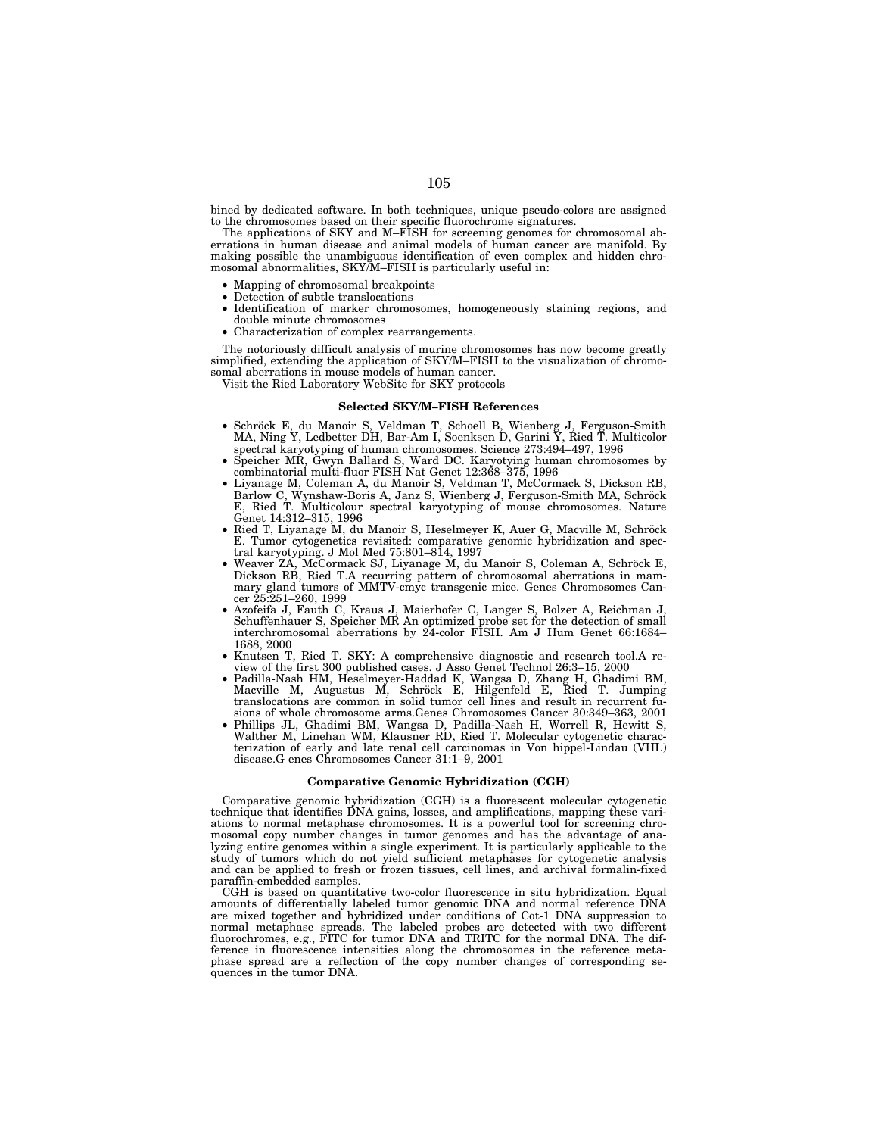bined by dedicated software. In both techniques, unique pseudo-colors are assigned to the chromosomes based on their specific fluorochrome signatures.

The applications of SKY and M–FISH for screening genomes for chromosomal aberrations in human disease and animal models of human cancer are manifold. By making possible the unambiguous identification of even complex and hidden chromosomal abnormalities, SKY/M–FISH is particularly useful in:

- Mapping of chromosomal breakpoints
- Detection of subtle translocations
- Identification of marker chromosomes, homogeneously staining regions, and double minute chromosomes
- Characterization of complex rearrangements.

The notoriously difficult analysis of murine chromosomes has now become greatly simplified, extending the application of SKY/M–FISH to the visualization of chromosomal aberrations in mouse models of human cancer.

Visit the Ried Laboratory WebSite for SKY protocols

#### **Selected SKY/M–FISH References**

- Schröck E, du Manoir S, Veldman T, Schoell B, Wienberg J, Ferguson-Smith MA, Ning Y, Ledbetter DH, Bar-Am I, Soenksen D, Garini Y, Ried T. Multicolor spectral karyotyping of human chromosomes. Science 273:494–497, 1996
- Speicher MR, Gwyn Ballard S, Ward DC. Karyotying human chromosomes by combinatorial multi-fluor FISH Nat Genet 12:368–375, 1996
- Liyanage M, Coleman A, du Manoir S, Veldman T, McCormack S, Dickson RB, Barlow C, Wynshaw-Boris A, Janz S, Wienberg J, Ferguson-Smith MA, Schröck E, Ried T. Multicolour spectral karyotyping of mouse chromosomes. Nature Genet 14:312–315, 1996
- Ried T, Liyanage M, du Manoir S, Heselmeyer K, Auer G, Macville M, Schröck E. Tumor cytogenetics revisited: comparative genomic hybridization and spectral karyotyping. J Mol Med 75:801–814, 1997
- Weaver ZA, McCormack SJ, Liyanage M, du Manoir S, Coleman A, Schröck E, Dickson RB, Ried T.A recurring pattern of chromosomal aberrations in mammary gland tumors of MMTV-cmyc transgenic mice. Genes Chromosomes Cancer 25:251–260, 1999
- Azofeifa J, Fauth C, Kraus J, Maierhofer C, Langer S, Bolzer A, Reichman J, Schuffenhauer S, Speicher MR An optimized probe set for the detection of small interchromosomal aberrations by 24-color FISH. Am J Hum Genet 66:1684– 1688, 2000
- Knutsen T, Ried T. SKY: A comprehensive diagnostic and research tool.A review of the first 300 published cases. J Asso Genet Technol 26:3–15, 2000
- Padilla-Nash HM, Heselmeyer-Haddad K, Wangsa D, Zhang H, Ghadimi BM,<br>Macville M, Augustus M, Schröck E, Hilgenfeld E, Ried T. Jumping translocations are common in solid tumor cell lines and result in recurrent fusions of whole chromosome arms.Genes Chromosomes Cancer 30:349–363, 2001
- Phillips JL, Ghadimi BM, Wangsa D, Padilla-Nash H, Worrell R, Hewitt S, Walther M, Linehan WM, Klausner RD, Ried T. Molecular cytogenetic characterization of early and late renal cell carcinomas in Von hippel-Lindau (VHL) disease.G enes Chromosomes Cancer 31:1–9, 2001

#### **Comparative Genomic Hybridization (CGH)**

Comparative genomic hybridization (CGH) is a fluorescent molecular cytogenetic technique that identifies DNA gains, losses, and amplifications, mapping these variations to normal metaphase chromosomes. It is a powerful tool for screening chromosomal copy number changes in tumor genomes and has the advantage of analyzing entire genomes within a single experiment. It is particularly applicable to the study of tumors which do not yield sufficient metaphases for cytogenetic analysis and can be applied to fresh or frozen tissues, cell lines, and archival formalin-fixed paraffin-embedded samples.

CGH is based on quantitative two-color fluorescence in situ hybridization. Equal amounts of differentially labeled tumor genomic DNA and normal reference DNA are mixed together and hybridized under conditions of Cot-1 DNA suppression to normal metaphase spreads. The labeled probes are detected with two different fluorochromes, e.g., FITC for tumor DNA and TRITC for the normal DNA. The difference in fluorescence intensities along the chromosomes in the reference meta-phase spread are a reflection of the copy number changes of corresponding sequences in the tumor DNA.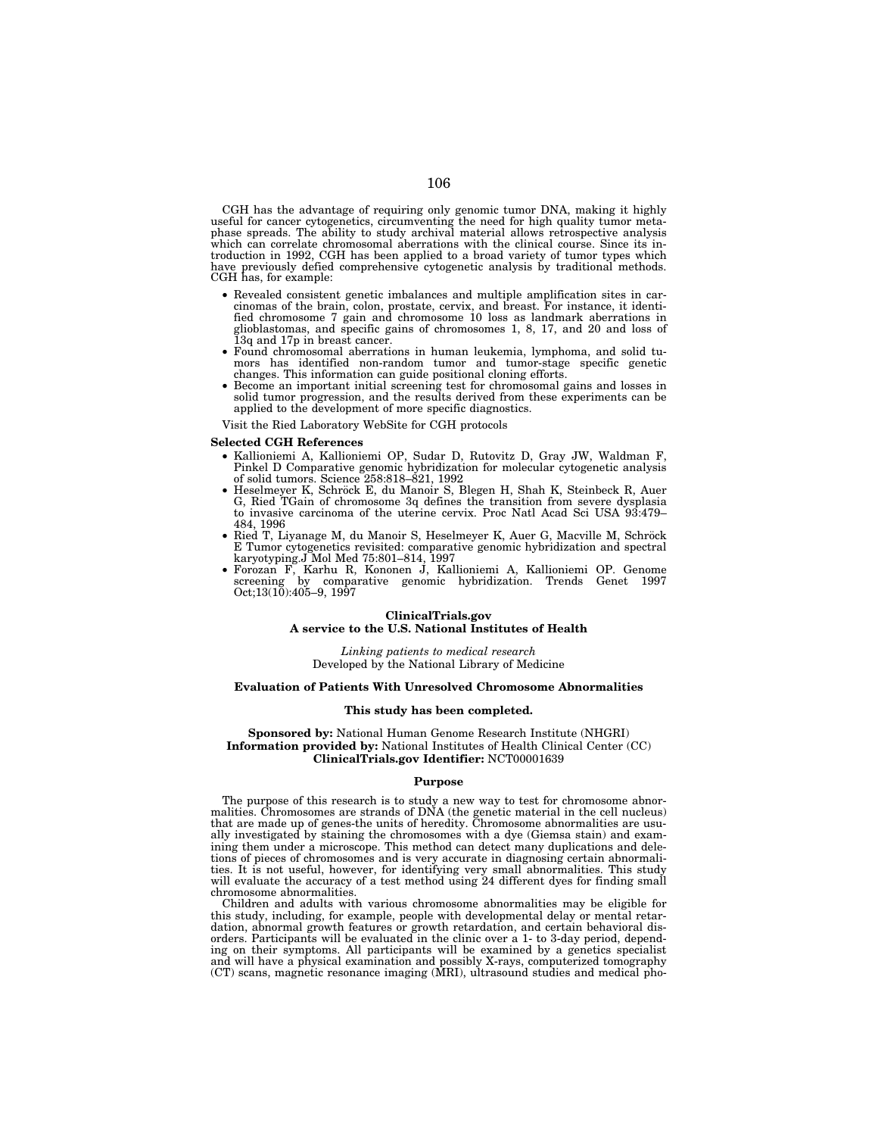CGH has the advantage of requiring only genomic tumor DNA, making it highly useful for cancer cytogenetics, circumventing the need for high quality tumor metaphase spreads. The ability to study archival material allows retrospective analysis which can correlate chromosomal aberrations with the clinical course. Since its introduction in 1992, CGH has been applied to a broad variety of tumor types which have previously defied comprehensive cytogenetic analysis by traditional methods. CGH has, for example:

- Revealed consistent genetic imbalances and multiple amplification sites in carcinomas of the brain, colon, prostate, cervix, and breast. For instance, it identified chromosome 7 gain and chromosome 10 loss as landmark aberrations in glioblastomas, and specific gains of chromosomes 1, 8, 17, and 20 and loss of
- Found chromosomal aberrations in human leukemia, lymphoma, and solid tumors has identified non-random tumor and tumor-stage specific genetic changes. This information can guide positional cloning efforts.
- Become an important initial screening test for chromosomal gains and losses in solid tumor progression, and the results derived from these experiments can be applied to the development of more specific diagnostics.

Visit the Ried Laboratory WebSite for CGH protocols

#### **Selected CGH References**

- Kallioniemi A, Kallioniemi OP, Sudar D, Rutovitz D, Gray JW, Waldman F, Pinkel D Comparative genomic hybridization for molecular cytogenetic analysis
- Heselmeyer K, Schröck E, du Manoir S, Blegen H, Shah K, Steinbeck R, Auer G, Ried TGain of chromosome 3q defines the transition from severe dysplasia to invasive carcinoma of the uterine cervix. Proc Natl Acad Sci USA 93:479–
- 484, 1996<br>● Ried T, Liyanage M, du Manoir S, Heselmeyer K, Auer G, Macville M, Schröck E Tumor cytogenetics revisited: comparative genomic hybridization and spectral karyotyping J Mol Med 75:801–814, 1997
- karyotyping.J Mol Med 75:801–814, 1997 Forozan F, Karhu R, Kononen J, Kallioniemi A, Kallioniemi OP. Genome screening by comparative genomic hybridization. Trends Genet 1997 Oct;13(10):405–9, 1997

### **ClinicalTrials.gov A service to the U.S. National Institutes of Health**

*Linking patients to medical research*  Developed by the National Library of Medicine

#### **Evaluation of Patients With Unresolved Chromosome Abnormalities**

#### **This study has been completed.**

**Sponsored by:** National Human Genome Research Institute (NHGRI) **Information provided by:** National Institutes of Health Clinical Center (CC) **ClinicalTrials.gov Identifier:** NCT00001639

### **Purpose**

The purpose of this research is to study a new way to test for chromosome abnormalities. Chromosomes are strands of DNA (the genetic material in the cell nucleus) that are made up of genes-the units of heredity. Chromosome abnormalities are usually investigated by staining the chromosomes with a dye (Giemsa stain) and examining them under a microscope. This method can detect many duplications and deletions of pieces of chromosomes and is very accurate in diagnosing certain abnormalities. It is not useful, however, for identifying very small abnormalities. This study will evaluate the accuracy of a test method using 24 different dyes for finding small chromosome abnormalities.

Children and adults with various chromosome abnormalities may be eligible for this study, including, for example, people with developmental delay or mental retardation, abnormal growth features or growth retardation, and certain behavioral disorders. Participants will be evaluated in the clinic over a 1- to 3-day period, depending on their symptoms. All participants will be examined by a genetics specialist and will have a physical examination and possibly X-rays, computerized tomography (CT) scans, magnetic resonance imaging (MRI), ultrasound studies and medical pho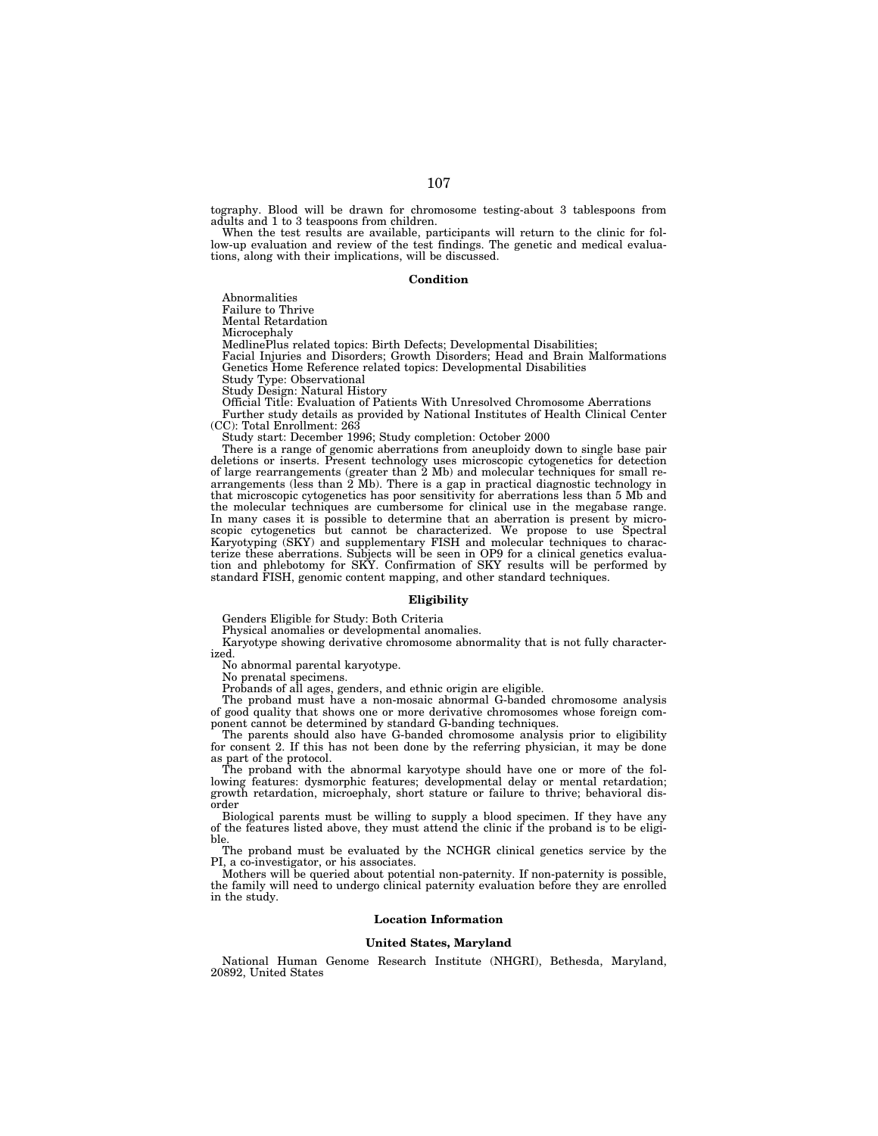tography. Blood will be drawn for chromosome testing-about 3 tablespoons from adults and 1 to 3 teaspoons from children.

When the test results are available, participants will return to the clinic for follow-up evaluation and review of the test findings. The genetic and medical evaluations, along with their implications, will be discussed.

#### **Condition**

Abnormalities

Failure to Thrive

Mental Retardation

Microcephaly

MedlinePlus related topics: Birth Defects; Developmental Disabilities;

Facial Injuries and Disorders; Growth Disorders; Head and Brain Malformations Genetics Home Reference related topics: Developmental Disabilities

Study Type: Observational

Study Design: Natural History

Official Title: Evaluation of Patients With Unresolved Chromosome Aberrations Further study details as provided by National Institutes of Health Clinical Center (CC): Total Enrollment: 263

Study start: December 1996; Study completion: October 2000

There is a range of genomic aberrations from aneuploidy down to single base pair deletions or inserts. Present technology uses microscopic cytogenetics for detection of large rearrangements (greater than 2 Mb) and molecular techniques for small rearrangements (less than 2 Mb). There is a gap in practical diagnostic technology in that microscopic cytogenetics has poor sensitivity for aberrations less than 5 Mb and the molecular techniques are cumbersome for clinical use in the megabase range. In many cases it is possible to determine that an aberration is present by microscopic cytogenetics but cannot be characterized. We propose to use Spectral Karyotyping (SKY) and supplementary FISH and molecular techniques to characterize these aberrations. Subjects will be seen in OP9 for a clinical genetics evaluation and phlebotomy for SKY. Confirmation of SKY results will be performed by standard FISH, genomic content mapping, and other standard techniques.

#### **Eligibility**

Genders Eligible for Study: Both Criteria

Physical anomalies or developmental anomalies.

Karyotype showing derivative chromosome abnormality that is not fully characterized.

No abnormal parental karyotype.

No prenatal specimens.

Probands of all ages, genders, and ethnic origin are eligible.

The proband must have a non-mosaic abnormal G-banded chromosome analysis of good quality that shows one or more derivative chromosomes whose foreign component cannot be determined by standard G-banding techniques.

The parents should also have G-banded chromosome analysis prior to eligibility for consent 2. If this has not been done by the referring physician, it may be done as part of the protocol.

The proband with the abnormal karyotype should have one or more of the following features: dysmorphic features; developmental delay or mental retardation; growth retardation, microephaly, short stature or failure to thrive; behavioral disorder

Biological parents must be willing to supply a blood specimen. If they have any of the features listed above, they must attend the clinic if the proband is to be eligible.

The proband must be evaluated by the NCHGR clinical genetics service by the PI, a co-investigator, or his associates.

Mothers will be queried about potential non-paternity. If non-paternity is possible, the family will need to undergo clinical paternity evaluation before they are enrolled in the study.

### **Location Information**

#### **United States, Maryland**

National Human Genome Research Institute (NHGRI), Bethesda, Maryland, 20892, United States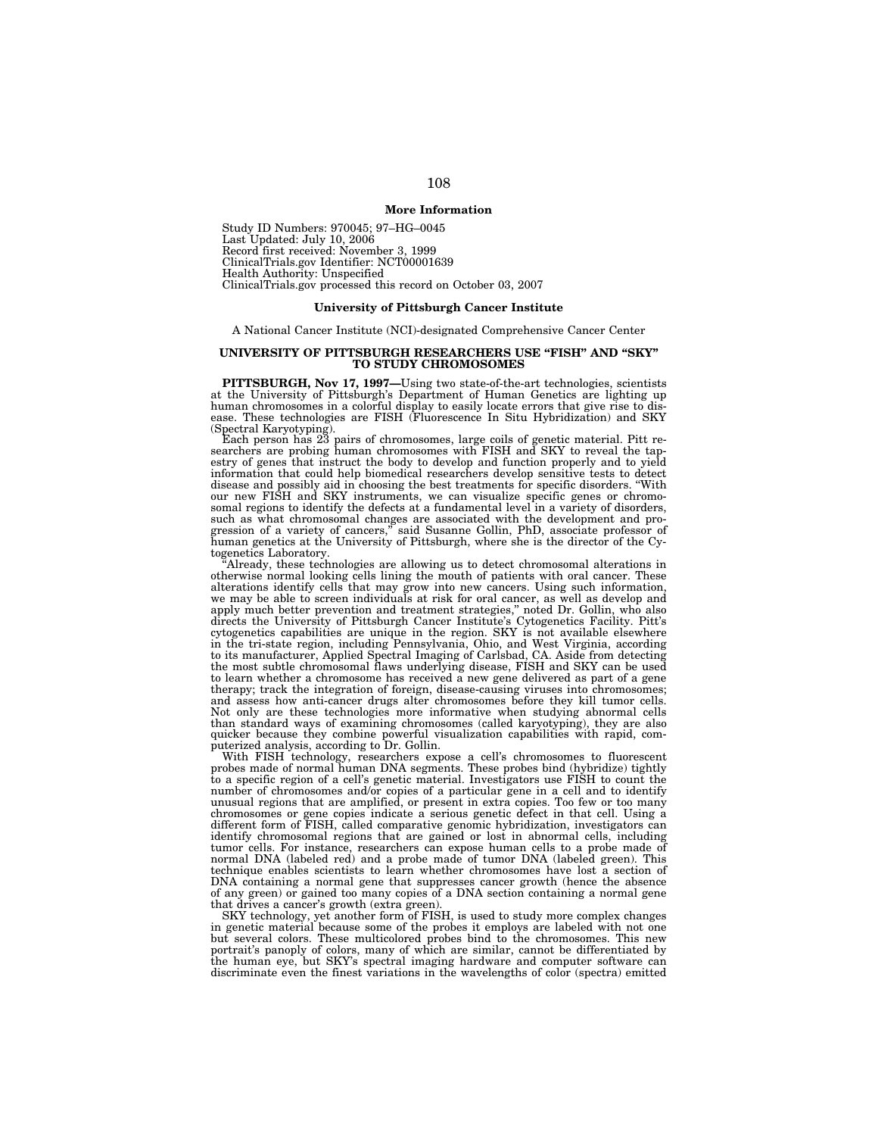# **More Information**

Study ID Numbers: 970045; 97–HG–0045 Last Updated: July 10, 2006 Record first received: November 3, 1999 ClinicalTrials.gov Identifier: NCT00001639 Health Authority: Unspecified ClinicalTrials.gov processed this record on October 03, 2007

### **University of Pittsburgh Cancer Institute**

A National Cancer Institute (NCI)-designated Comprehensive Cancer Center

### UNIVERSITY OF PITTSBURGH RESEARCHERS USE "FISH" AND "SKY" **TO STUDY CHROMOSOMES**

**PITTSBURGH, Nov 17, 1997**—Using two state-of-the-art technologies, scientists at the University of Pittsburgh's Department of Human Genetics are lighting up human chromosomes in a colorful display to easily locate errors (Spectral Karyotyping).

Each person has 23 pairs of chromosomes, large coils of genetic material. Pitt re-searchers are probing human chromosomes with FISH and SKY to reveal the tapestry of genes that instruct the body to develop and function properly and to yield information that could help biomedical researchers develop sensitive tests to detect disease and possibly aid in choosing the best treatments for specific disorders. ''With our new FISH and SKY instruments, we can visualize specific genes or chromosomal regions to identify the defects at a fundamental level in a variety of disorders, such as what chromosomal changes are associated with the development and progression of a variety of cancers," said Susanne Gollin, PhD, associate professor of human genetics at the University of Pittsburgh, where she is t togenetics Laboratory.

Already, these technologies are allowing us to detect chromosomal alterations in otherwise normal looking cells lining the mouth of patients with oral cancer. These alterations identify cells that may grow into new cancers. Using such information, we may be able to screen individuals at risk for oral cancer, as well as develop and apply much better prevention and treatment strategies," noted Dr. Gollin, who also<br>directs the University of Pittsburgh Cancer Institute's Cytogenetics Facility. Pitt's<br>cytogenetics capabilities are unique in the region. S to learn whether a chromosome has received a new gene delivered as part of a gene therapy; track the integration of foreign, disease-causing viruses into chromosomes; and assess how anti-cancer drugs alter chromosomes before they kill tumor cells. Not only are these technologies more informative when studying abnormal cells than standard ways of examining chromosomes (called karyotyping), they are also quicker because they combine powerful visualization capabilities with rapid, computerized analysis, according to Dr. Gollin.

With FISH technology, researchers expose a cell's chromosomes to fluorescent probes made of normal human DNA segments. These probes bind (hybridize) tightly to a specific region of a cell's genetic material. Investigators use FISH to count the number of chromosomes and/or copies of a particular gene in a cell and to identify unusual regions that are amplified, or present in extra copies. Too few or too many chromosomes or gene copies indicate a serious genetic defect in that cell. Using a different form of FISH, called comparative genomic hybridization, investigators can identify chromosomal regions that are gained or lost in abnormal cells, including tumor cells. For instance, researchers can expose human cells to a probe made of normal DNA (labeled red) and a probe made of tumor DNA (labeled green). This technique enables scientists to learn whether chromosomes have lost a section of DNA containing a normal gene that suppresses cancer growth (hence the absence of any green) or gained too many copies of a DNA section containing a normal gene that drives a cancer's growth (extra green).

SKY technology, yet another form of FISH, is used to study more complex changes in genetic material because some of the probes it employs are labeled with not one but several colors. These multicolored probes bind to the chromosomes. This new portrait's panoply of colors, many of which are similar, cannot be differentiated by the human eye, but SKY's spectral imaging hardware and computer software can discriminate even the finest variations in the wavelengths of color (spectra) emitted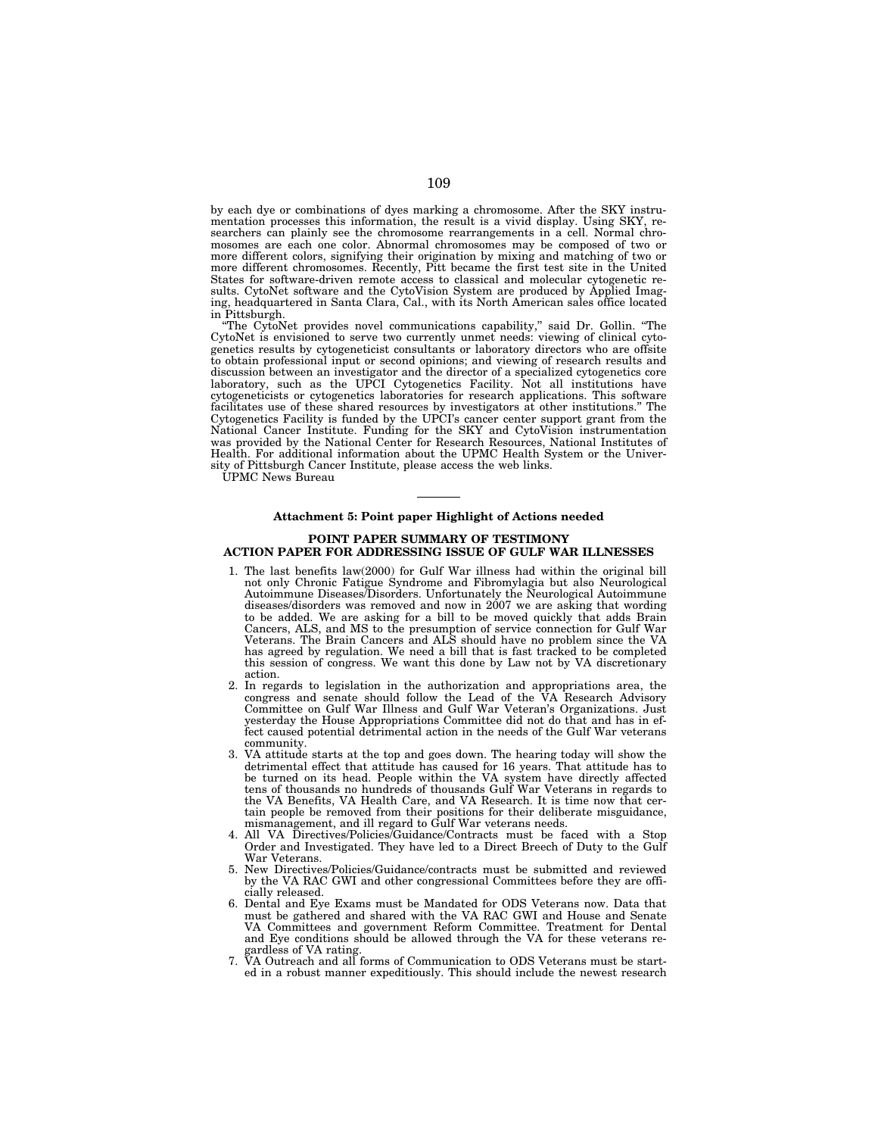by each dye or combinations of dyes marking a chromosome. After the SKY instrumentation processes this information, the result is a vivid display. Using SKY, researchers can plainly see the chromosome rearrangements in a cell. Normal chromosomes are each one color. Abnormal chromosomes may be composed of two or more different colors, signifying their origination by mixing and matching of two or more different chromosomes. Recently, Pitt became the first test site in the United States for software-driven remote access to classical and molecular cytogenetic results. CytoNet software and the CytoVision System are produced by Applied Imaging, headquartered in Santa Clara, Cal., with its North American sales office located in Pittsburgh.

''The CytoNet provides novel communications capability,'' said Dr. Gollin. ''The CytoNet is envisioned to serve two currently unmet needs: viewing of clinical cytogenetics results by cytogeneticist consultants or laboratory directors who are offsite to obtain professional input or second opinions; and viewing of research results and discussion between an investigator and the director of a specialized cytogenetics core laboratory, such as the UPCI Cytogenetics Facility. Not all institutions have cytogeneticists or cytogenetics laboratories for research applications. This software facilitates use of these shared resources by investigators at other institutions.'' The Cytogenetics Facility is funded by the UPCI's cancer center support grant from the National Cancer Institute. Funding for the SKY and CytoVision instrumentation was provided by the National Center for Research Resources, National Institutes of Health. For additional information about the UPMC Health System or the University of Pittsburgh Cancer Institute, please access the web links.

UPMC News Bureau

#### **Attachment 5: Point paper Highlight of Actions needed**

# **POINT PAPER SUMMARY OF TESTIMONY ACTION PAPER FOR ADDRESSING ISSUE OF GULF WAR ILLNESSES**

- 1. The last benefits law(2000) for Gulf War illness had within the original bill not only Chronic Fatigue Syndrome and Fibromylagia but also Neurological Autoimmune Diseases/Disorders. Unfortunately the Neurological Autoimmune diseases/disorders was removed and now in 2007 we are asking that wording to be added. We are asking for a bill to be moved quickly that adds Brain Cancers, ALS, and MS to the presumption of service connection for Gulf War Veterans. The Brain Cancers and ALS should have no problem since the VA has agreed by regulation. We need a bill that is fast tracked to be completed this session of congress. We want this done by Law not by VA discretionary action.
- 2. In regards to legislation in the authorization and appropriations area, the congress and senate should follow the Lead of the VA Research Advisory Committee on Gulf War Illness and Gulf War Veteran's Organizations. Just yesterday the House Appropriations Committee did not do that and has in effect caused potential detrimental action in the needs of the Gulf War veterans community.
- 3. VA attitude starts at the top and goes down. The hearing today will show the detrimental effect that attitude has caused for 16 years. That attitude has to be turned on its head. People within the VA system have directly affected tens of thousands no hundreds of thousands Gulf War Veterans in regards to the VA Benefits, VA Health Care, and VA Research. It is time now that certain people be removed from their positions for their deliberate misguidance, mismanagement, and ill regard to Gulf War veterans needs.
- 4. All VA Directives/Policies/Guidance/Contracts must be faced with a Stop Order and Investigated. They have led to a Direct Breech of Duty to the Gulf War Veterans.
- 5. New Directives/Policies/Guidance/contracts must be submitted and reviewed by the VA RAC GWI and other congressional Committees before they are officially released.
- 6. Dental and Eye Exams must be Mandated for ODS Veterans now. Data that must be gathered and shared with the VA RAC GWI and House and Senate VA Committees and government Reform Committee. Treatment for Dental and Eye conditions should be allowed through the VA for these veterans re-
- gardless of VA rating. 7. VA Outreach and all forms of Communication to ODS Veterans must be started in a robust manner expeditiously. This should include the newest research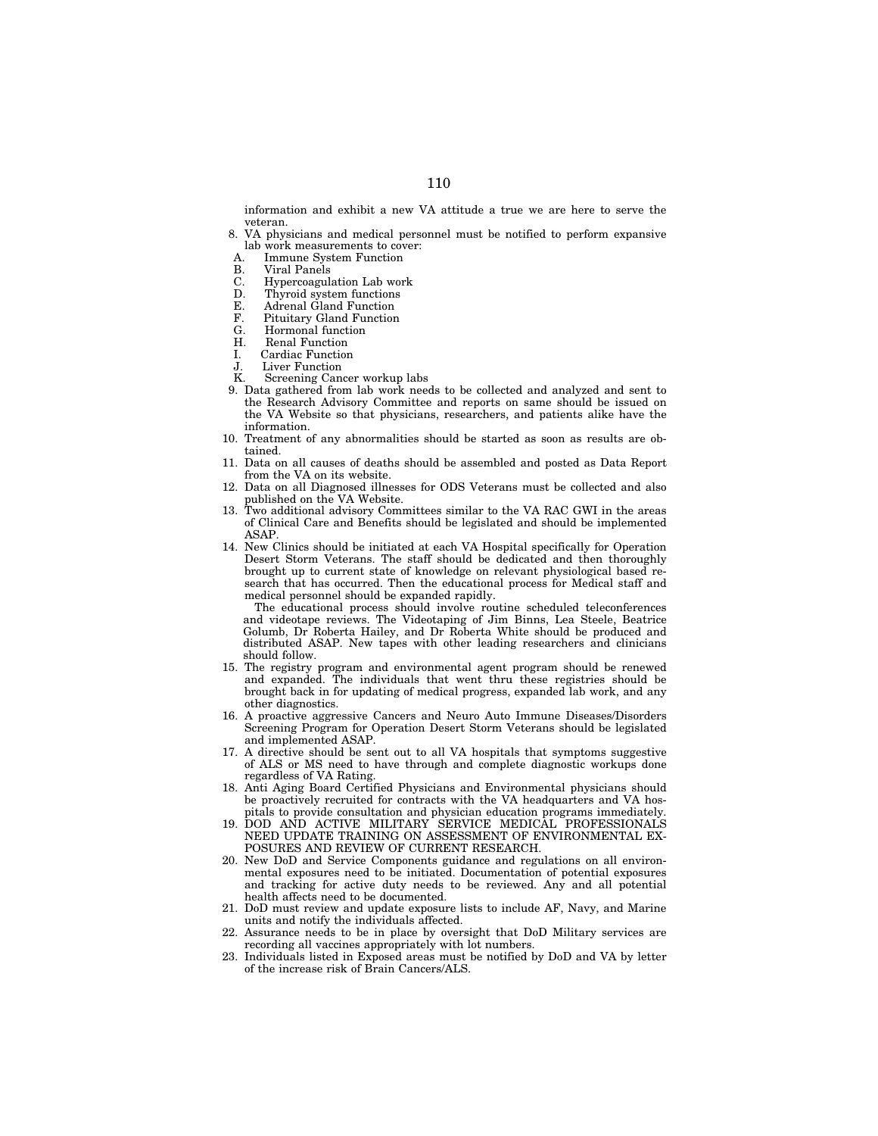information and exhibit a new VA attitude a true we are here to serve the veteran.

8. VA physicians and medical personnel must be notified to perform expansive lab work measurements to cover:<br>A Immune System Function

**Immune System Function** 

- B. Viral Panels
- 
- C. Hypercoagulation Lab work<br>D. Thyroid system functions D. Thyroid system functions<br>E. Adrenal Gland Function
- 
- E. Adrenal Gland Function<br>F. Pituitary Gland Function F. Pituitary Gland Function
- Hormonal function
- 
- H. Renal Function<br>I. Cardiac Function Cardiac Function
- 
- J. Liver Function<br>K. Screening Can Screening Cancer workup labs
- 9. Data gathered from lab work needs to be collected and analyzed and sent to the Research Advisory Committee and reports on same should be issued on the VA Website so that physicians, researchers, and patients alike have the information.
- 10. Treatment of any abnormalities should be started as soon as results are obtained.
- 11. Data on all causes of deaths should be assembled and posted as Data Report from the VA on its website.
- 12. Data on all Diagnosed illnesses for ODS Veterans must be collected and also published on the VA Website.
- 13. Two additional advisory Committees similar to the VA RAC GWI in the areas of Clinical Care and Benefits should be legislated and should be implemented ASAP.
- 14. New Clinics should be initiated at each VA Hospital specifically for Operation Desert Storm Veterans. The staff should be dedicated and then thoroughly brought up to current state of knowledge on relevant physiological based research that has occurred. Then the educational process for Medical staff and medical personnel should be expanded rapidly.

The educational process should involve routine scheduled teleconferences and videotape reviews. The Videotaping of Jim Binns, Lea Steele, Beatrice Golumb, Dr Roberta Hailey, and Dr Roberta White should be produced and distributed ASAP. New tapes with other leading researchers and clinicians should follow.

- 15. The registry program and environmental agent program should be renewed and expanded. The individuals that went thru these registries should be brought back in for updating of medical progress, expanded lab work, and any other diagnostics.
- 16. A proactive aggressive Cancers and Neuro Auto Immune Diseases/Disorders Screening Program for Operation Desert Storm Veterans should be legislated and implemented ASAP.
- 17. A directive should be sent out to all VA hospitals that symptoms suggestive of ALS or MS need to have through and complete diagnostic workups done regardless of VA Rating.
- 18. Anti Aging Board Certified Physicians and Environmental physicians should be proactively recruited for contracts with the VA headquarters and VA hospitals to provide consultation and physician education programs immediately.
- 19. DOD AND ACTIVE MILITARY SERVICE MEDICAL PROFESSIONALS NEED UPDATE TRAINING ON ASSESSMENT OF ENVIRONMENTAL EX-POSURES AND REVIEW OF CURRENT RESEARCH.
- 20. New DoD and Service Components guidance and regulations on all environmental exposures need to be initiated. Documentation of potential exposures and tracking for active duty needs to be reviewed. Any and all potential health affects need to be documented.
- 21. DoD must review and update exposure lists to include AF, Navy, and Marine units and notify the individuals affected.
- 22. Assurance needs to be in place by oversight that DoD Military services are recording all vaccines appropriately with lot numbers.
- 23. Individuals listed in Exposed areas must be notified by DoD and VA by letter of the increase risk of Brain Cancers/ALS.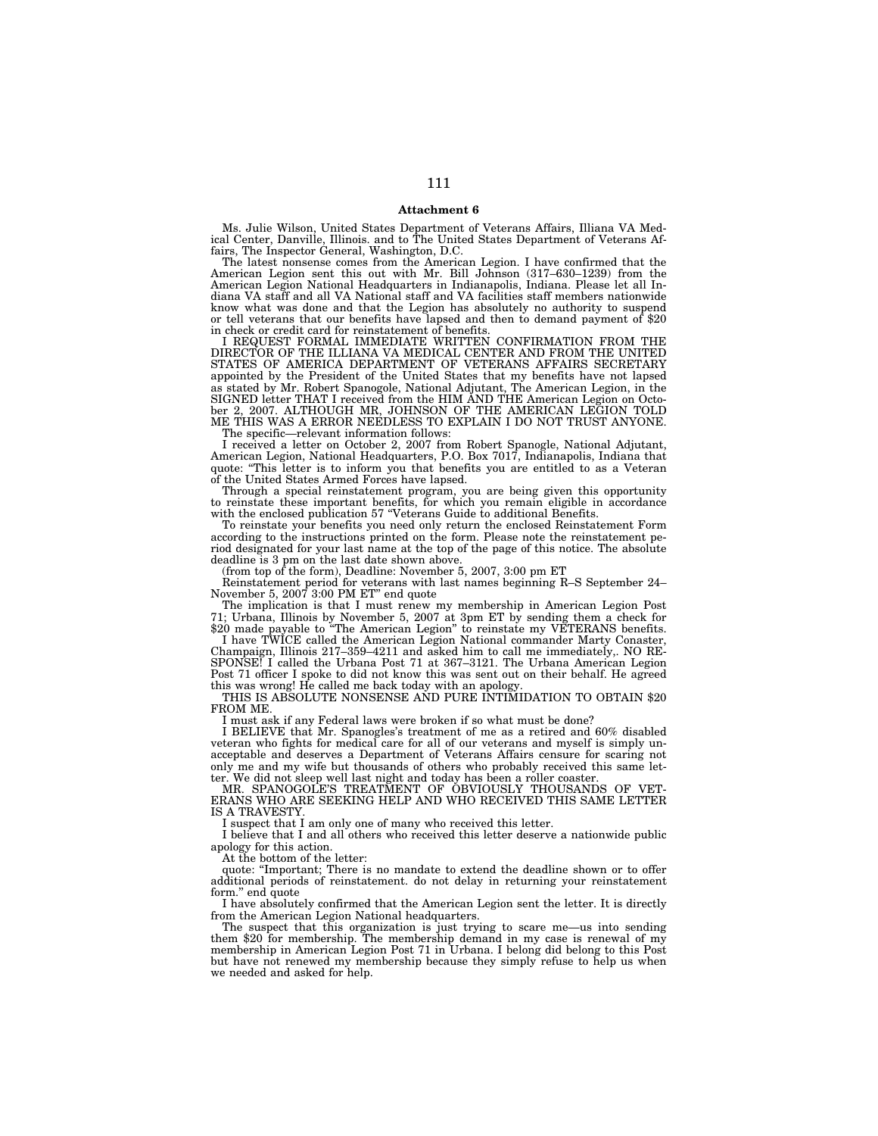### **Attachment 6**

Ms. Julie Wilson, United States Department of Veterans Affairs, Illiana VA Med-ical Center, Danville, Illinois. and to The United States Department of Veterans Affairs, The Inspector General, Washington, D.C.

The latest nonsense comes from the American Legion. I have confirmed that the American Legion sent this out with Mr. Bill Johnson (317–630–1239) from the American Legion National Headquarters in Indianapolis, Indiana. Please let all Indiana VA staff and all VA National staff and VA facilities staff members nationwide know what was done and that the Legion has absolutely no authority to suspend or tell veterans that our benefits have lapsed and then to demand payment of \$20 in check or credit card for reinstatement of benefits.

I REQUEST FORMAL IMMEDIATE WRITTEN CONFIRMATION FROM THE DIRECTOR OF THE ILLIANA VA MEDICAL CENTER AND FROM THE UNITED STATES OF AMERICA DEPARTMENT OF VETERANS AFFAIRS SECRETARY appointed by the President of the United States that my benefits have not lapsed as stated by Mr. Robert Spanogole, National Adjutant, The American Legion, in the SIGNED letter THAT I received from the HIM AND THE American Legion on October 2, 2007. ALTHOUGH MR, JOHNSON OF THE AMERICAN LEGION TOLD ME THIS WAS A ERROR NEEDLESS TO EXPLAIN I DO NOT TRUST ANYONE.

The specific—relevant information follows:

I received a letter on October 2, 2007 from Robert Spanogle, National Adjutant, American Legion, National Headquarters, P.O. Box 7017, Indianapolis, Indiana that quote: ''This letter is to inform you that benefits you are entitled to as a Veteran of the United States Armed Forces have lapsed.

Through a special reinstatement program, you are being given this opportunity to reinstate these important benefits, for which you remain eligible in accordance with the enclosed publication 57 "Veterans Guide to additional Benefits.

To reinstate your benefits you need only return the enclosed Reinstatement Form according to the instructions printed on the form. Please note the reinstatement period designated for your last name at the top of the page of this notice. The absolute deadline is 3 pm on the last date shown above.

(from top of the form), Deadline: November 5, 2007, 3:00 pm ET

Reinstatement period for veterans with last names beginning R–S September 24– November 5, 2007 3:00 PM ET'' end quote

The implication is that I must renew my membership in American Legion Post 71; Urbana, Illinois by November 5, 2007 at 3pm ET by sending them a check for \$20 made payable to "The American Legion" to reinstate my VETERANS benefits.

I have TWICE called the American Legion National commander Marty Conaster, Champaign, Illinois 217–359–4211 and asked him to call me immediately,. NO RE-SPONSE! I called the Urbana Post 71 at 367–3121. The Urbana American Legion Post 71 officer I spoke to did not know this was sent out on their behalf. He agreed this was wrong! He called me back today with an apology.

THIS IS ABSOLUTE NONSENSE AND PURE INTIMIDATION TO OBTAIN \$20 FROM ME.

I must ask if any Federal laws were broken if so what must be done?

I BELIEVE that Mr. Spanogles's treatment of me as a retired and 60% disabled veteran who fights for medical care for all of our veterans and myself is simply unacceptable and deserves a Department of Veterans Affairs censure for scaring not only me and my wife but thousands of others who probably received this same letter. We did not sleep well last night and today has been a roller coaster.

MR. SPANOGOLE'S TREATMENT OF OBVIOUSLY THOUSANDS OF VET-ERANS WHO ARE SEEKING HELP AND WHO RECEIVED THIS SAME LETTER IS A TRAVESTY.

I suspect that I am only one of many who received this letter.

I believe that I and all others who received this letter deserve a nationwide public apology for this action.

At the bottom of the letter:

quote: ''Important; There is no mandate to extend the deadline shown or to offer additional periods of reinstatement. do not delay in returning your reinstatement form.'' end quote

I have absolutely confirmed that the American Legion sent the letter. It is directly from the American Legion National headquarters.

The suspect that this organization is just trying to scare me—us into sending them \$20 for membership. The membership demand in my case is renewal of my membership in American Legion Post 71 in Urbana. I belong did belong to this Post but have not renewed my membership because they simply refuse to help us when we needed and asked for help.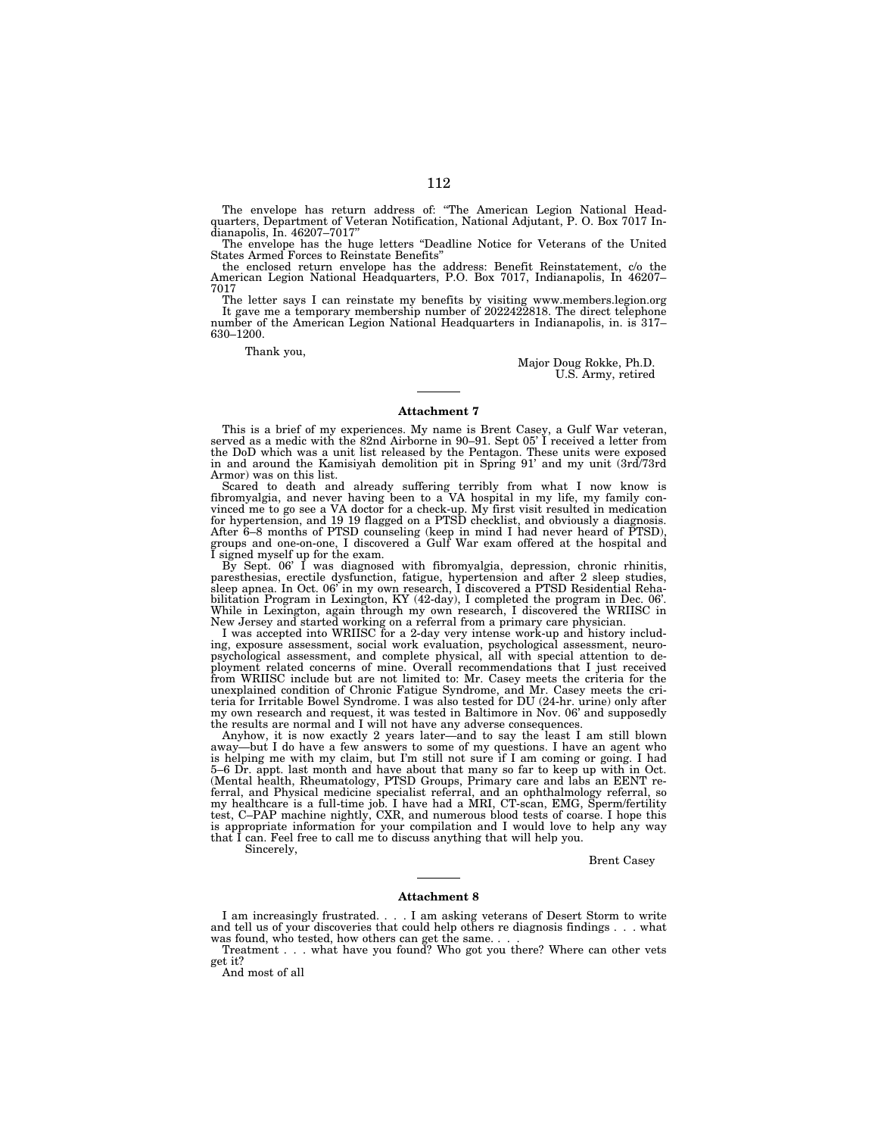The envelope has return address of: ''The American Legion National Headquarters, Department of Veteran Notification, National Adjutant, P. O. Box 7017 In-dianapolis, In. 46207–7017''

The envelope has the huge letters ''Deadline Notice for Veterans of the United States Armed Forces to Reinstate Benefits''

the enclosed return envelope has the address: Benefit Reinstatement, c/o the American Legion National Headquarters, P.O. Box 7017, Indianapolis, In 46207– 7017

The letter says I can reinstate my benefits by visiting www.members.legion.org It gave me a temporary membership number of 2022422818. The direct telephone number of the American Legion National Headquarters in Indianapolis, in. is 317-630–1200.

Thank you,

Major Doug Rokke, Ph.D. U.S. Army, retired

#### **Attachment 7**

This is a brief of my experiences. My name is Brent Casey, a Gulf War veteran, served as a medic with the 82nd Airborne in 90–91. Sept 05' I received a letter from the DoD which was a unit list released by the Pentagon. These units were exposed in and around the Kamisiyah demolition pit in Spring 91' and my unit (3rd/73rd Armor) was on this list.

Scared to death and already suffering terribly from what I now know is fibromyalgia, and never having been to a VA hospital in my life, my family convinced me to go see a VA doctor for a check-up. My first visit resulted in medication for hypertension, and 19 19 flagged on a PTSD checklist, and obviously a diagnosis. After 6–8 months of PTSD counseling (keep in mind I had never heard of PTSD), groups and one-on-one, I discovered a Gulf War exam offered at the hospital and

I signed myself up for the exam. By Sept. 06' I was diagnosed with fibromyalgia, depression, chronic rhinitis, paresthesias, erectile dysfunction, fatigue, hypertension and after 2 sleep studies, sleep apnea. In Oct. 06' in my own research, I discovered a PTSD Residential Reha-bilitation Program in Lexington, KY (42-day), I completed the program in Dec. 06'. While in Lexington, again through my own research, I discovered the WRIISC in

New Jersey and started working on a referral from a primary care physician.<br>I was accepted into WRIISC for a 2-day very intense work-up and history includ-<br>ing, exposure assessment, social work evaluation, psychological as ployment related concerns of mine. Overall recommendations that I just received<br>from WRIISC include but are not limited to: Mr. Casey meets the criteria for the<br>unexplained condition of Chronic Fatigue Syndrome, and Mr. Ca my own research and request, it was tested in Baltimore in Nov. 06' and supposedly the results are normal and I will not have any adverse consequences.

Anyhow, it is now exactly 2 years later—and to say the least I am still blown away—but I do have a few answers to some of my questions. I have an agent who is helping me with my claim, but I'm still not sure if I am coming or going. I had 5–6 Dr. appt. last month and have about that many so far to keep up with in Oct. (Mental health, Rheumatology, PTSD Groups, Primary care and labs an EENT re-ferral, and Physical medicine specialist referral, and an ophthalmology referral, so my healthcare is a full-time job. I have had a MRI, CT-scan, EMG, Sperm/fertility test, C–PAP machine nightly, CXR, and numerous blood tests of coarse. I hope this is appropriate information for your compilation and I would love to help any way that I can. Feel free to call me to discuss anything that will help you.

Sincerely,

Brent Casey

### **Attachment 8**

I am increasingly frustrated. . . . I am asking veterans of Desert Storm to write and tell us of your discoveries that could help others re diagnosis findings . . . what was found, who tested, how others can get the same. .

Treatment . . . what have you found? Who got you there? Where can other vets get it?

And most of all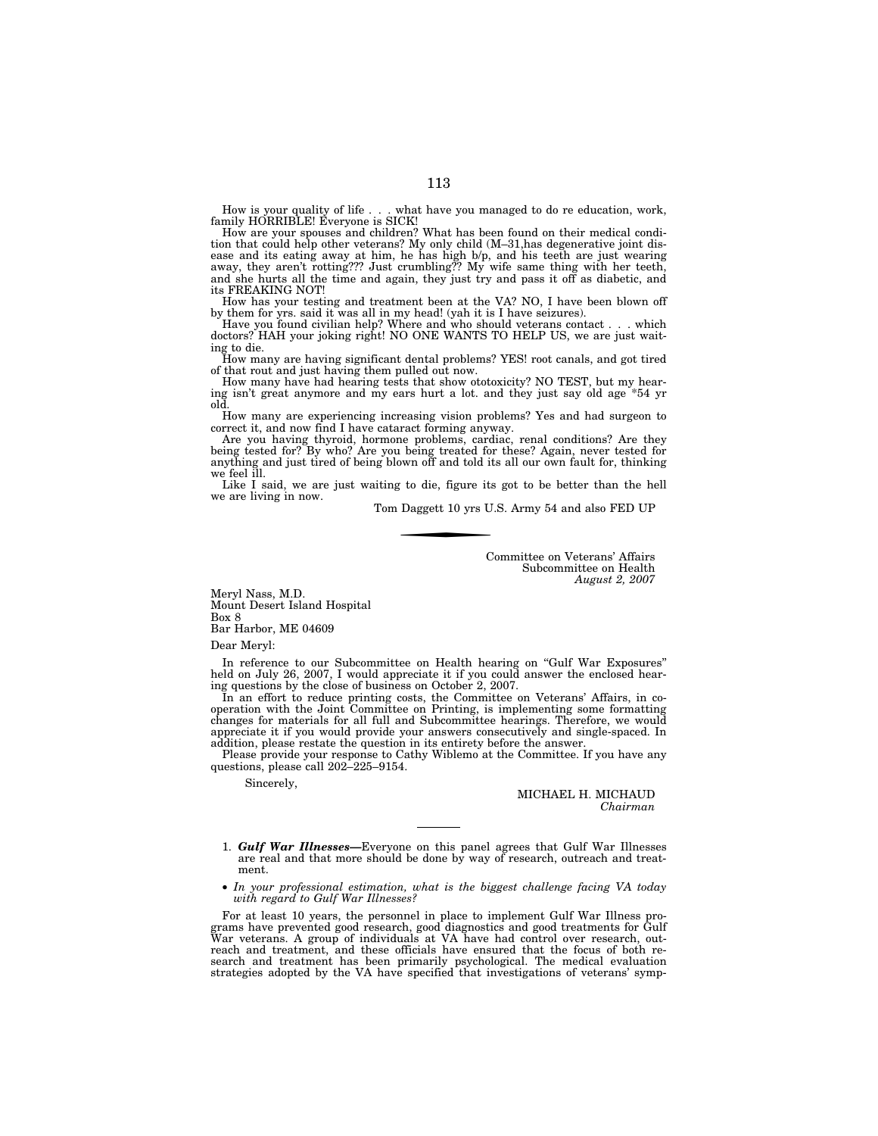what have you managed to do re education, work, How is your quality of life . . . what<br>family HORRIBLE! Everyone is SICK!

How are your spouses and children? What has been found on their medical condition that could help other veterans? My only child (M–31,has degenerative joint disease and its eating away at him, he has high b/p, and his teeth are just wearing away, they aren't rotting??? Just crumbling?? My wife same thing with her teeth, and she hurts all the time and again, they just try and pass it off as diabetic, and its FREAKING NOT!

How has your testing and treatment been at the VA? NO, I have been blown off by them for yrs. said it was all in my head! (yah it is I have seizures).

Have you found civilian help? Where and who should veterans contact . . . which doctors? HAH your joking right! NO ONE WANTS TO HELP US, we are just waiting to die.

How many are having significant dental problems? YES! root canals, and got tired of that rout and just having them pulled out now.

How many have had hearing tests that show ototoxicity? NO TEST, but my hearing isn't great anymore and my ears hurt a lot. and they just say old age \*54 yr old.

How many are experiencing increasing vision problems? Yes and had surgeon to correct it, and now find I have cataract forming anyway.

Are you having thyroid, hormone problems, cardiac, renal conditions? Are they being tested for? By who? Are you being treated for these? Again, never tested for anything and just tired of being blown off and told its all our own fault for, thinking we feel ill.

Like I said, we are just waiting to die, figure its got to be better than the hell we are living in now.

Tom Daggett 10 yrs U.S. Army 54 and also FED UP

Committee on Veterans' Affairs Subcommittee on Health *August 2, 2007* 

Meryl Nass, M.D. Mount Desert Island Hospital Box 8 Bar Harbor, ME 04609

Dear Meryl:

In reference to our Subcommittee on Health hearing on ''Gulf War Exposures'' held on July 26, 2007, I would appreciate it if you could answer the enclosed hearing questions by the close of business on October 2, 2007.

In an effort to reduce printing costs, the Committee on Veterans' Affairs, in cooperation with the Joint Committee on Printing, is implementing some formatting changes for materials for all full and Subcommittee hearings. Therefore, we would appreciate it if you would provide your answers consecutively and single-spaced. In addition, please restate the question in its entirety before the answer.

Please provide your response to Cathy Wiblemo at the Committee. If you have any questions, please call 202–225–9154.

Sincerely,

MICHAEL H. MICHAUD *Chairman* 

1. *Gulf War Illnesses—*Everyone on this panel agrees that Gulf War Illnesses are real and that more should be done by way of research, outreach and treatment.

• *In your professional estimation, what is the biggest challenge facing VA today with regard to Gulf War Illnesses?* 

For at least 10 years, the personnel in place to implement Gulf War Illness programs have prevented good research, good diagnostics and good treatments for Gulf War veterans. A group of individuals at VA have had control over research, outreach and treatment, and these officials have ensured that the focus of both research and treatment has been primarily psychological. The medical evaluation strategies adopted by the VA have specified that investigations of veterans' symp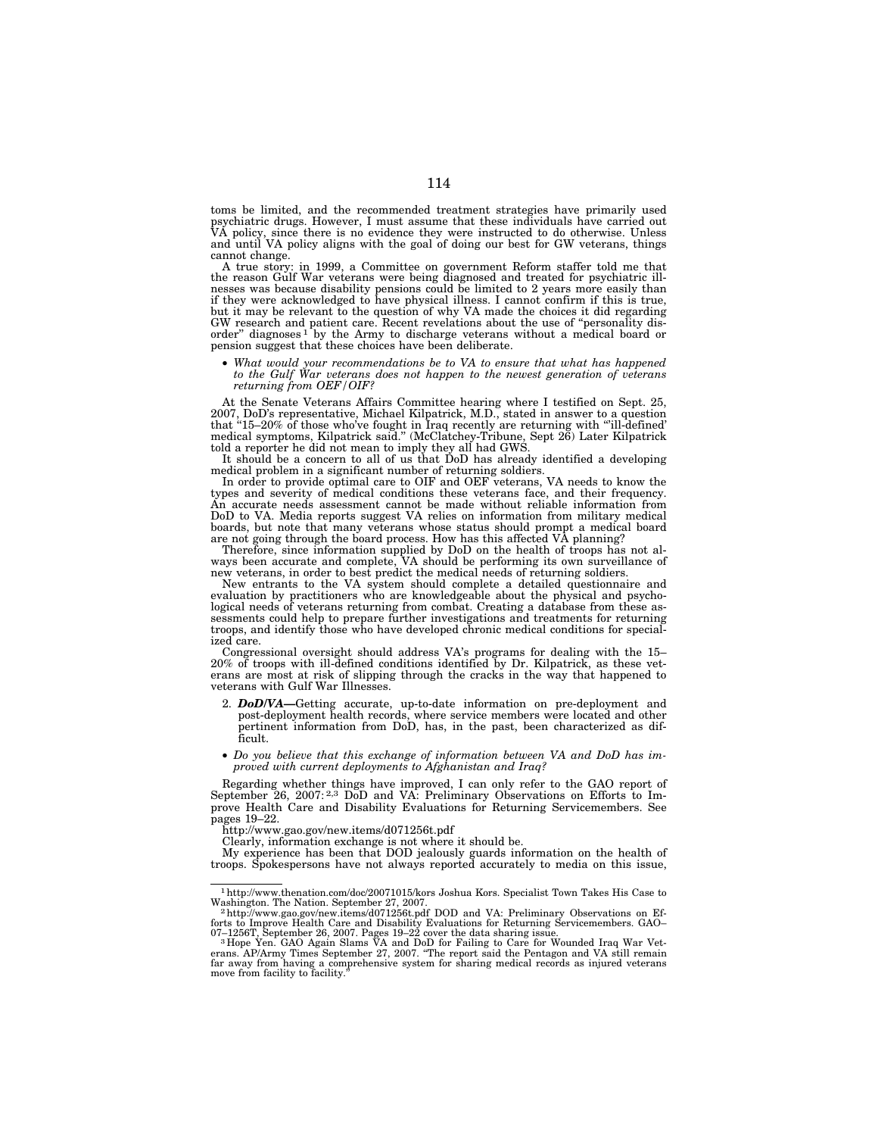toms be limited, and the recommended treatment strategies have primarily used psychiatric drugs. However, I must assume that these individuals have carried out<br>VA policy, since there is no evidence they were instructed to do otherwise. Unless<br>and until VA policy aligns with the goal of doing our bes cannot change.

A true story: in 1999, a Committee on government Reform staffer told me that the reason Gulf War veterans were being diagnosed and treated for psychiatric illnesses was because disability pensions could be limited to 2 years more easily than if they were acknowledged to have physical illness. I cannot confirm if this is true, but it may be relevant to the question of why VA made the choices it did regarding GW research and patient care. Recent revelations about the use of ''personality disorder'' diagnoses 1 by the Army to discharge veterans without a medical board or pension suggest that these choices have been deliberate.

• *What would your recommendations be to VA to ensure that what has happened to the Gulf War veterans does not happen to the newest generation of veterans returning from OEF/OIF?* 

At the Senate Veterans Affairs Committee hearing where I testified on Sept. 25, 2007, DoD's representative, Michael Kilpatrick, M.D., stated in answer to a question that ''15–20% of those who've fought in Iraq recently are returning with '''ill-defined' medical symptoms, Kilpatrick said.'' (McClatchey-Tribune, Sept 26) Later Kilpatrick told a reporter he did not mean to imply they all had GWS.

It should be a concern to all of us that DoD has already identified a developing medical problem in a significant number of returning soldiers. In order to provide optimal care to OIF and OEF veterans, VA needs to know the

types and severity of medical conditions these veterans face, and their frequency. An accurate needs assessment cannot be made without reliable information from DoD to VA. Media reports suggest VA relies on information from military medical boards, but note that many veterans whose status should prompt a medical board

are not going through the board process. How has this affected VA planning?<br>Therefore, since information supplied by DoD on the health of troops has not always been accurate and complete, VA should be performing its own su

evaluation by practitioners who are knowledgeable about the physical and psycho-logical needs of veterans returning from combat. Creating a database from these assessments could help to prepare further investigations and treatments for returning troops, and identify those who have developed chronic medical conditions for specialized care.

Congressional oversight should address VA's programs for dealing with the 15– 20% of troops with ill-defined conditions identified by Dr. Kilpatrick, as these veterans are most at risk of slipping through the cracks in the way that happened to veterans with Gulf War Illnesses.

- 2. *DoD/VA—*Getting accurate, up-to-date information on pre-deployment and post-deployment health records, where service members were located and other pertinent information from DoD, has, in the past, been characterized as difficult.
- *Do you believe that this exchange of information between VA and DoD has improved with current deployments to Afghanistan and Iraq?*

Regarding whether things have improved, I can only refer to the GAO report of September 26, 2007:<sup>2,3</sup> DoD and VA: Preliminary Observations on Efforts to Improve Health Care and Disability Evaluations for Returning Servicemembers. See pages 19–22.

http://www.gao.gov/new.items/d071256t.pdf

Clearly, information exchange is not where it should be.

My experience has been that DOD jealously guards information on the health of troops. Spokespersons have not always reported accurately to media on this issue,

<sup>1</sup>http://www.thenation.com/doc/20071015/kors Joshua Kors. Specialist Town Takes His Case to

Washington. The Nation. September 27, 2007.<br>2http://www.gao.gov/new.items/d071256t.pdf DOD and VA: Preliminary Observations on Ef-<br>forts to Improve Health Care and Disability Evaluations for Returning Servicemembers. GAO–

<sup>07–1256</sup>T, September 26, 2007. Pages 19–22 cover the data sharing issue.<br><sup>3</sup> Hope Yen. GAO Again Slams VA and DoD for Failing to Care for Wounded Iraq War Vet-<br>erans. AP/Army Times September 27, 2007. "The report said the P far away from having a comprehensive system for sharing medical records as injured veterans move from facility to facility.''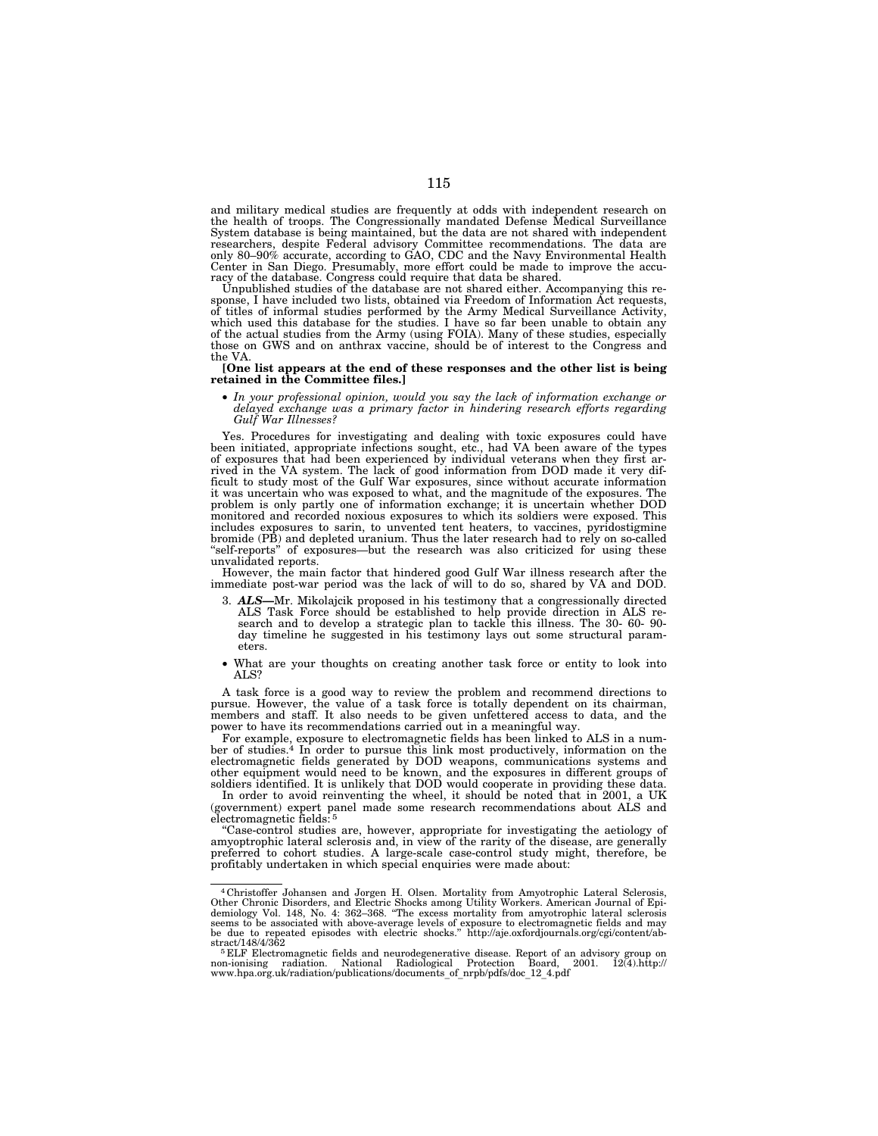and military medical studies are frequently at odds with independent research on the health of troops. The Congressionally mandated Defense Medical Surveillance System database is being maintained, but the data are not shared with independent researchers, despite Federal advisory Committee recommendations. The data are only 80–90% accurate, according to GAO, CDC and the Navy Environmental Health Center in San Diego. Presumably, more effort could be made to impr

Unpublished studies of the database are not shared either. Accompanying this response, I have included two lists, obtained via Freedom of Information Act requests, of titles of informal studies performed by the Army Medical Surveillance Activity, which used this database for the studies. I have so far been unable to obtain any of the actual studies from the Army (using FOIA). Many of these studies, especially those on GWS and on anthrax vaccine, should be of interest to the Congress and the VA.

### **[One list appears at the end of these responses and the other list is being retained in the Committee files.]**

• *In your professional opinion, would you say the lack of information exchange or*  delayed exchange was a primary factor in hindering research efforts regarding *Gulf War Illnesses?* 

Yes. Procedures for investigating and dealing with toxic exposures could have been initiated, appropriate infections sought, etc., had VA been aware of the types of exposures that had been experienced by individual veterans when they first arrived in the VA system. The lack of good information from DOD made it very difficult to study most of the Gulf War exposures, since without accurate information it was uncertain who was exposed to what, and the magnitude of the exposures. The problem is only partly one of information exchange; it is uncertain whether DOD monitored and recorded noxious exposures to which its soldiers were exposed. This includes exposures to sarin, to unvented tent heaters, to vaccines, pyridostigmine bromide (PB) and depleted uranium. Thus the later research had to rely on so-called ''self-reports'' of exposures—but the research was also criticized for using these unvalidated reports.

However, the main factor that hindered good Gulf War illness research after the immediate post-war period was the lack of will to do so, shared by VA and DOD.

- 3. *ALS—*Mr. Mikolajcik proposed in his testimony that a congressionally directed ALS Task Force should be established to help provide direction in ALS re-search and to develop a strategic plan to tackle this illness. The 30- 60- 90 day timeline he suggested in his testimony lays out some structural parameters.
- What are your thoughts on creating another task force or entity to look into ALS?

A task force is a good way to review the problem and recommend directions to pursue. However, the value of a task force is totally dependent on its chairman, members and staff. It also needs to be given unfettered access to data, and the power to have its recommendations carried out in a meaningful way.

For example, exposure to electromagnetic fields has been linked to ALS in a number of studies.4 In order to pursue this link most productively, information on the electromagnetic fields generated by DOD weapons, communications systems and other equipment would need to be known, and the exposures in different groups of soldiers identified. It is unlikely that DOD would cooperate in providing these data.

In order to avoid reinventing the wheel, it should be noted that in 2001, a UK (government) expert panel made some research recommendations about ALS and electromagnetic fields: 5

''Case-control studies are, however, appropriate for investigating the aetiology of amyoptrophic lateral sclerosis and, in view of the rarity of the disease, are generally preferred to cohort studies. A large-scale case-control study might, therefore, be profitably undertaken in which special enquiries were made about:

<sup>4</sup> Christoffer Johansen and Jorgen H. Olsen. Mortality from Amyotrophic Lateral Sclerosis, Other Chronic Disorders, and Electric Shocks among Utility Workers. American Journal of Epi-demiology Vol. 148, No. 4: 362–368. ''The excess mortality from amyotrophic lateral sclerosis seems to be associated with above-average levels of exposure to electromagnetic fields and may be due to repeated episodes with electric shocks." http://aje.oxfordjournals.org/cgi/content/ab-

<sup>&</sup>lt;sup>5</sup> ELF Electromagnetic fields and neurodegenerative disease. Report of an advisory group on non-ionising radiation. National Radiological Protection Board, 2001. 12(4).http:// www.hpa.org.uk/radiation/publications/documents\_of\_nrpb/pdfs/doc\_12\_4.pdf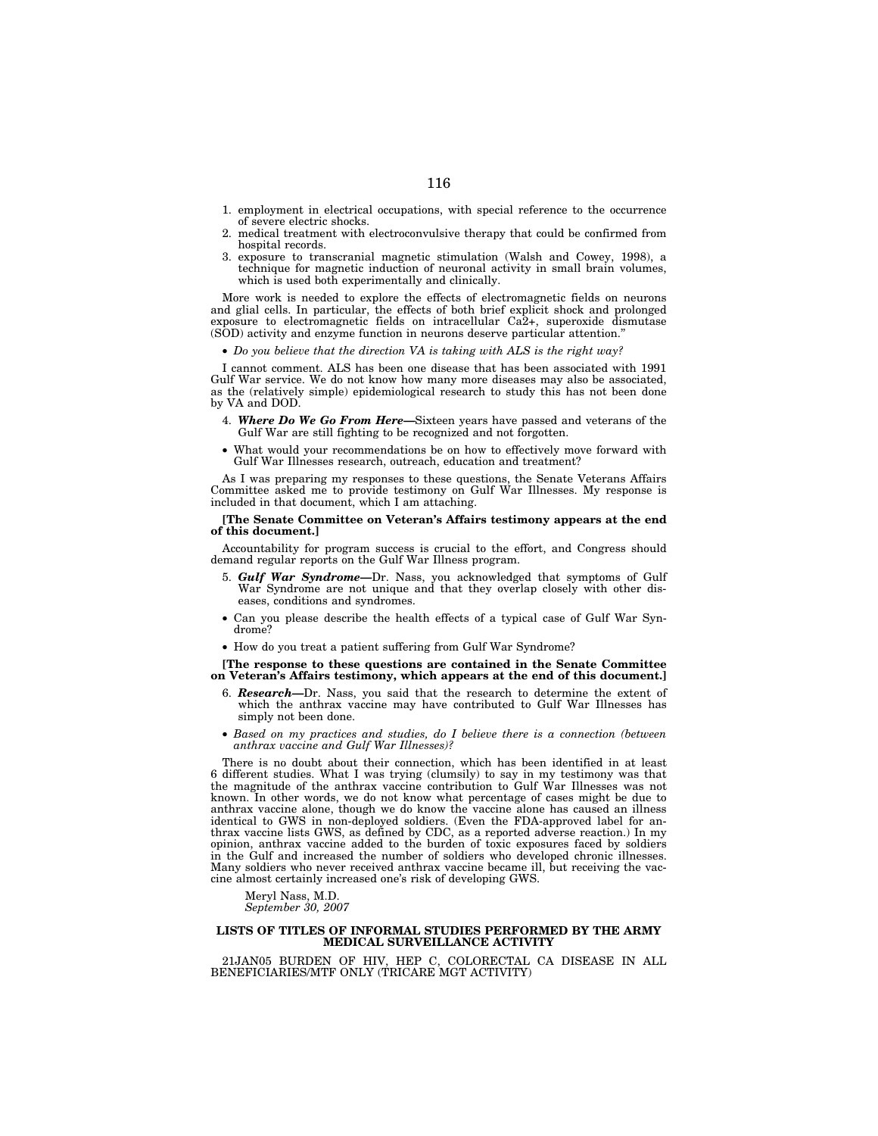- 1. employment in electrical occupations, with special reference to the occurrence of severe electric shocks.
- 2. medical treatment with electroconvulsive therapy that could be confirmed from hospital records.
- 3. exposure to transcranial magnetic stimulation (Walsh and Cowey, 1998), a technique for magnetic induction of neuronal activity in small brain volumes, which is used both experimentally and clinically.

More work is needed to explore the effects of electromagnetic fields on neurons and glial cells. In particular, the effects of both brief explicit shock and prolonged exposure to electromagnetic fields on intracellular Ca2+, superoxide dismutase (SOD) activity and enzyme function in neurons deserve particular attention.''

• *Do you believe that the direction VA is taking with ALS is the right way?* 

I cannot comment. ALS has been one disease that has been associated with 1991 Gulf War service. We do not know how many more diseases may also be associated, as the (relatively simple) epidemiological research to study this has not been done by VA and DOD.

- 4. *Where Do We Go From Here—*Sixteen years have passed and veterans of the Gulf War are still fighting to be recognized and not forgotten.
- What would your recommendations be on how to effectively move forward with Gulf War Illnesses research, outreach, education and treatment?

As I was preparing my responses to these questions, the Senate Veterans Affairs Committee asked me to provide testimony on Gulf War Illnesses. My response is included in that document, which I am attaching.

### **[The Senate Committee on Veteran's Affairs testimony appears at the end of this document.]**

Accountability for program success is crucial to the effort, and Congress should demand regular reports on the Gulf War Illness program.

- 5. *Gulf War Syndrome—*Dr. Nass, you acknowledged that symptoms of Gulf War Syndrome are not unique and that they overlap closely with other diseases, conditions and syndromes.
- Can you please describe the health effects of a typical case of Gulf War Syndrome?
- How do you treat a patient suffering from Gulf War Syndrome?

**[The response to these questions are contained in the Senate Committee on Veteran's Affairs testimony, which appears at the end of this document.]** 

- 6. *Research—*Dr. Nass, you said that the research to determine the extent of which the anthrax vaccine may have contributed to Gulf War Illnesses has simply not been done.
- *Based on my practices and studies, do I believe there is a connection (between anthrax vaccine and Gulf War Illnesses)?*

There is no doubt about their connection, which has been identified in at least 6 different studies. What I was trying (clumsily) to say in my testimony was that the magnitude of the anthrax vaccine contribution to Gulf War Illnesses was not known. In other words, we do not know what percentage of cases might be due to anthrax vaccine alone, though we do know the vaccine alone has caused an illness identical to GWS in non-deployed soldiers. (Even the FDA-approved label for anthrax vaccine lists GWS, as defined by CDC, as a reported adverse reaction.) In my opinion, anthrax vaccine added to the burden of toxic exposures faced by soldiers in the Gulf and increased the number of soldiers who developed chronic illnesses. Many soldiers who never received anthrax vaccine became ill, but receiving the vaccine almost certainly increased one's risk of developing GWS.

Meryl Nass, M.D. *September 30, 2007* 

# **LISTS OF TITLES OF INFORMAL STUDIES PERFORMED BY THE ARMY MEDICAL SURVEILLANCE ACTIVITY**

21JAN05 BURDEN OF HIV, HEP C, COLORECTAL CA DISEASE IN ALL BENEFICIARIES/MTF ONLY (TRICARE MGT ACTIVITY)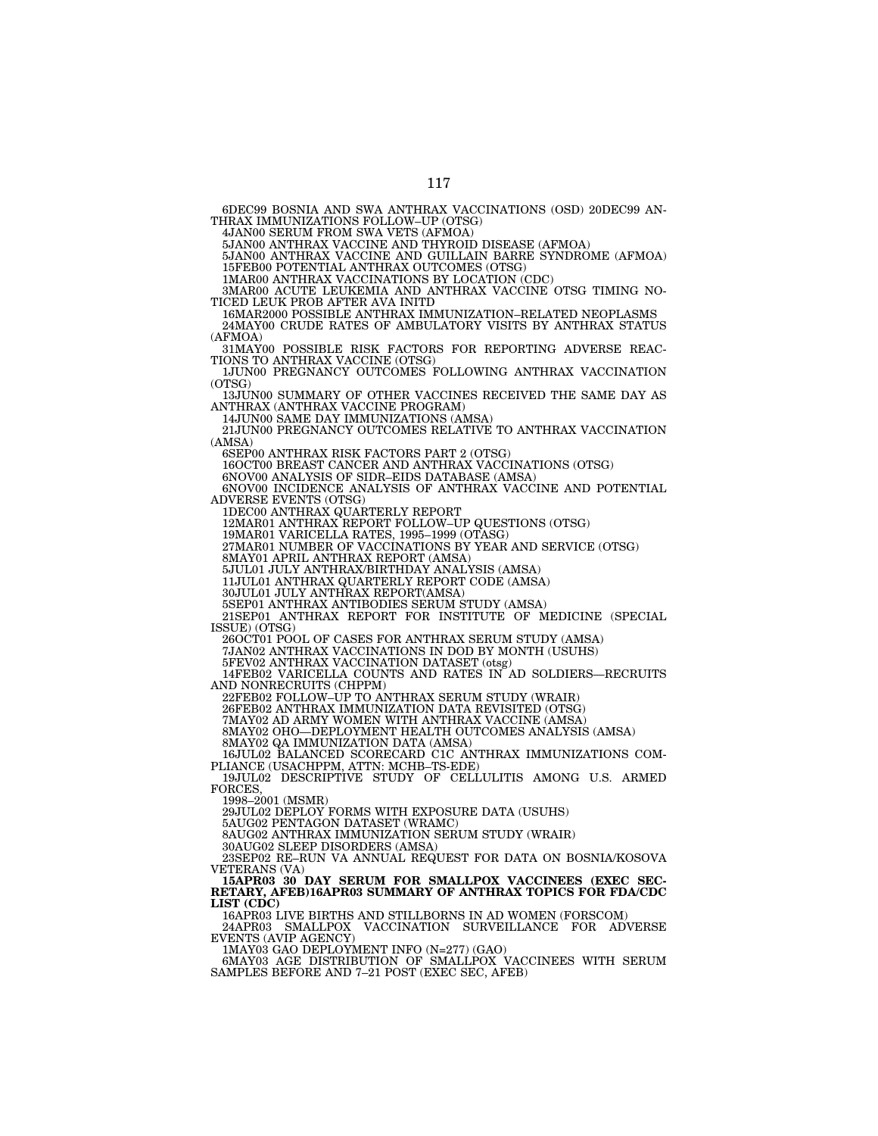6DEC99 BOSNIA AND SWA ANTHRAX VACCINATIONS (OSD) 20DEC99 AN-THRAX IMMUNIZATIONS FOLLOW–UP (OTSG)

4JAN00 SERUM FROM SWA VETS (AFMOA)

5JAN00 ANTHRAX VACCINE AND THYROID DISEASE (AFMOA)

5JAN00 ANTHRAX VACCINE AND GUILLAIN BARRE SYNDROME (AFMOA) 15FEB00 POTENTIAL ANTHRAX OUTCOMES (OTSG)

1MAR00 ANTHRAX VACCINATIONS BY LOCATION (CDC)

3MAR00 ACUTE LEUKEMIA AND ANTHRAX VACCINE OTSG TIMING NO-TICED LEUK PROB AFTER AVA INITD

16MAR2000 POSSIBLE ANTHRAX IMMUNIZATION–RELATED NEOPLASMS 24MAY00 CRUDE RATES OF AMBULATORY VISITS BY ANTHRAX STATUS (AFMOA)

31MAY00 POSSIBLE RISK FACTORS FOR REPORTING ADVERSE REAC-TIONS TO ANTHRAX VACCINE (OTSG)

1JUN00 PREGNANCY OUTCOMES FOLLOWING ANTHRAX VACCINATION (OTSG)

13JUN00 SUMMARY OF OTHER VACCINES RECEIVED THE SAME DAY AS ANTHRAX (ANTHRAX VACCINE PROGRAM)

14JUN00 SAME DAY IMMUNIZATIONS (AMSA)

21JUN00 PREGNANCY OUTCOMES RELATIVE TO ANTHRAX VACCINATION (AMSA)

6SEP00 ANTHRAX RISK FACTORS PART 2 (OTSG)

16OCT00 BREAST CANCER AND ANTHRAX VACCINATIONS (OTSG)

6NOV00 ANALYSIS OF SIDR–EIDS DATABASE (AMSA)

6NOV00 INCIDENCE ANALYSIS OF ANTHRAX VACCINE AND POTENTIAL ADVERSE EVENTS (OTSG)

1DEC00 ANTHRAX QUARTERLY REPORT

12MAR01 ANTHRAX REPORT FOLLOW–UP QUESTIONS (OTSG)

19MAR01 VARICELLA RATES, 1995–1999 (OTASG)

27MAR01 NUMBER OF VACCINATIONS BY YEAR AND SERVICE (OTSG)

8MAY01 APRIL ANTHRAX REPORT (AMSA)

5JUL01 JULY ANTHRAX/BIRTHDAY ANALYSIS (AMSA)

11JUL01 ANTHRAX QUARTERLY REPORT CODE (AMSA)

30JUL01 JULY ANTHRAX REPORT(AMSA)

5SEP01 ANTHRAX ANTIBODIES SERUM STUDY (AMSA)

21SEP01 ANTHRAX REPORT FOR INSTITUTE OF MEDICINE (SPECIAL ISSUE) (OTSG)

26OCT01 POOL OF CASES FOR ANTHRAX SERUM STUDY (AMSA)

7JAN02 ANTHRAX VACCINATIONS IN DOD BY MONTH (USUHS)

5FEV02 ANTHRAX VACCINATION DATASET (otsg)

14FEB02 VARICELLA COUNTS AND RATES IN AD SOLDIERS—RECRUITS AND NONRECRUITS (CHPPM)

22FEB02 FOLLOW–UP TO ANTHRAX SERUM STUDY (WRAIR)

26FEB02 ANTHRAX IMMUNIZATION DATA REVISITED (OTSG)

7MAY02 AD ARMY WOMEN WITH ANTHRAX VACCINE (AMSA)

8MAY02 OHO—DEPLOYMENT HEALTH OUTCOMES ANALYSIS (AMSA)

8MAY02 QA IMMUNIZATION DATA (AMSA)

16JUL02 BALANCED SCORECARD C1C ANTHRAX IMMUNIZATIONS COM-PLIANCE (USACHPPM, ATTN: MCHB–TS-EDE)

19JUL02 DESCRIPTIVE STUDY OF CELLULITIS AMONG U.S. ARMED FORCES,

1998–2001 (MSMR)

29JUL02 DEPLOY FORMS WITH EXPOSURE DATA (USUHS)

5AUG02 PENTAGON DATASET (WRAMC) 8AUG02 ANTHRAX IMMUNIZATION SERUM STUDY (WRAIR)

30AUG02 SLEEP DISORDERS (AMSA)

23SEP02 RE–RUN VA ANNUAL REQUEST FOR DATA ON BOSNIA/KOSOVA VETERANS (VA)

**15APR03 30 DAY SERUM FOR SMALLPOX VACCINEES (EXEC SEC-RETARY, AFEB)16APR03 SUMMARY OF ANTHRAX TOPICS FOR FDA/CDC LIST (CDC)** 

16APR03 LIVE BIRTHS AND STILLBORNS IN AD WOMEN (FORSCOM)

VACCINATION SURVEILLANCE FOR ADVERSE EVENTS (AVIP AGENCY)

1MAY03 GAO DEPLOYMENT INFO (N=277) (GAO) 6MAY03 AGE DISTRIBUTION OF SMALLPOX VACCINEES WITH SERUM SAMPLES BEFORE AND 7–21 POST (EXEC SEC, AFEB)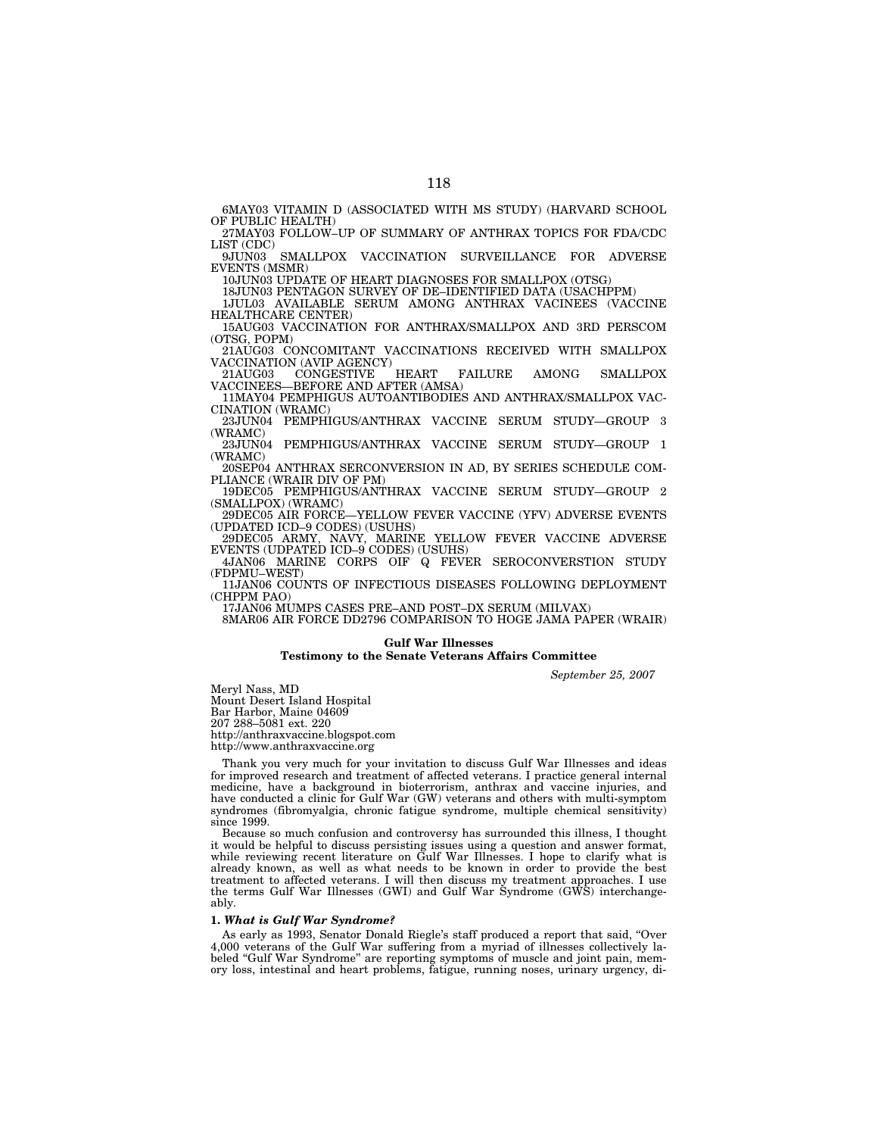6MAY03 VITAMIN D (ASSOCIATED WITH MS STUDY) (HARVARD SCHOOL OF PUBLIC HEALTH)

27MAY03 FOLLOW–UP OF SUMMARY OF ANTHRAX TOPICS FOR FDA/CDC LIST (CDC)<br>9JUN03

SMALLPOX VACCINATION SURVEILLANCE FOR ADVERSE EVENTS (MSMR)

10JUN03 UPDATE OF HEART DIAGNOSES FOR SMALLPOX (OTSG)

18JUN03 PENTAGON SURVEY OF DE–IDENTIFIED DATA (USACHPPM) 1JUL03 AVAILABLE SERUM AMONG ANTHRAX VACINEES (VACCINE

HEALTHCARE CENTER) 15AUG03 VACCINATION FOR ANTHRAX/SMALLPOX AND 3RD PERSCOM

(OTSG, POPM) 21AUG03 CONCOMITANT VACCINATIONS RECEIVED WITH SMALLPOX

VACCINATION (AVIP AGENCY)<br>21AUG03 CONGESTIVE HEART 21AUG03 CONGESTIVE HEART FAILURE AMONG SMALLPOX

VACCINEES—BEFORE AND AFTER (AMSA) 11MAY04 PEMPHIGUS AUTOANTIBODIES AND ANTHRAX/SMALLPOX VAC-

CINATION (WRAMC) 23JUN04 PEMPHIGUS/ANTHRAX VACCINE SERUM STUDY—GROUP 3

(WRAMC) 23JUN04 PEMPHIGUS/ANTHRAX VACCINE SERUM STUDY—GROUP 1 (WRAMC)

20SEP04 ANTHRAX SERCONVERSION IN AD, BY SERIES SCHEDULE COM-PLIANCE (WRAIR DIV OF PM)

19DEC05 PEMPHIGUS/ANTHRAX VACCINE SERUM STUDY—GROUP 2

(SMALLPOX) (WRAMC)<br>29DEC05 AIR FORCE--YELLOW FEVER VACCINE (YFV) ADVERSE EVENTS (UPDATED ICD–9 CODES) (USUHS)

29DEC05 ARMY, NAVY, MARINE YELLOW FEVER VACCINE ADVERSE EVENTS (UDPATED ICD–9 CODES) (USUHS)

4JAN06 MARINE CORPS OIF Q FEVER SEROCONVERSTION STUDY (FDPMU–WEST)

11JAN06 COUNTS OF INFECTIOUS DISEASES FOLLOWING DEPLOYMENT (CHPPM PAO)

17JAN06 MUMPS CASES PRE–AND POST–DX SERUM (MILVAX)

8MAR06 AIR FORCE DD2796 COMPARISON TO HOGE JAMA PAPER (WRAIR)

### **Gulf War Illnesses**

# **Testimony to the Senate Veterans Affairs Committee**

*September 25, 2007* 

Meryl Nass, MD

Mount Desert Island Hospital

Bar Harbor, Maine 04609

207 288–5081 ext. 220

http://anthraxvaccine.blogspot.com

http://www.anthraxvaccine.org

Thank you very much for your invitation to discuss Gulf War Illnesses and ideas for improved research and treatment of affected veterans. I practice general internal medicine, have a background in bioterrorism, anthrax and vaccine injuries, and have conducted a clinic for Gulf War (GW) veterans and others with multi-symptom syndromes (fibromyalgia, chronic fatigue syndrome, multiple chemical sensitivity) since 1999.

Because so much confusion and controversy has surrounded this illness, I thought it would be helpful to discuss persisting issues using a question and answer format, while reviewing recent literature on Gulf War Illnesses. I hope to clarify what is already known, as well as what needs to be known in order to provide the best treatment to affected veterans. I will then discuss my treatment approaches. I use the terms Gulf War Illnesses (GWI) and Gulf War Syndrome (GWS) interchangeably.

# **1.** *What is Gulf War Syndrome?*

As early as 1993, Senator Donald Riegle's staff produced a report that said, ''Over 4,000 veterans of the Gulf War suffering from a myriad of illnesses collectively labeled ''Gulf War Syndrome'' are reporting symptoms of muscle and joint pain, memory loss, intestinal and heart problems, fatigue, running noses, urinary urgency, di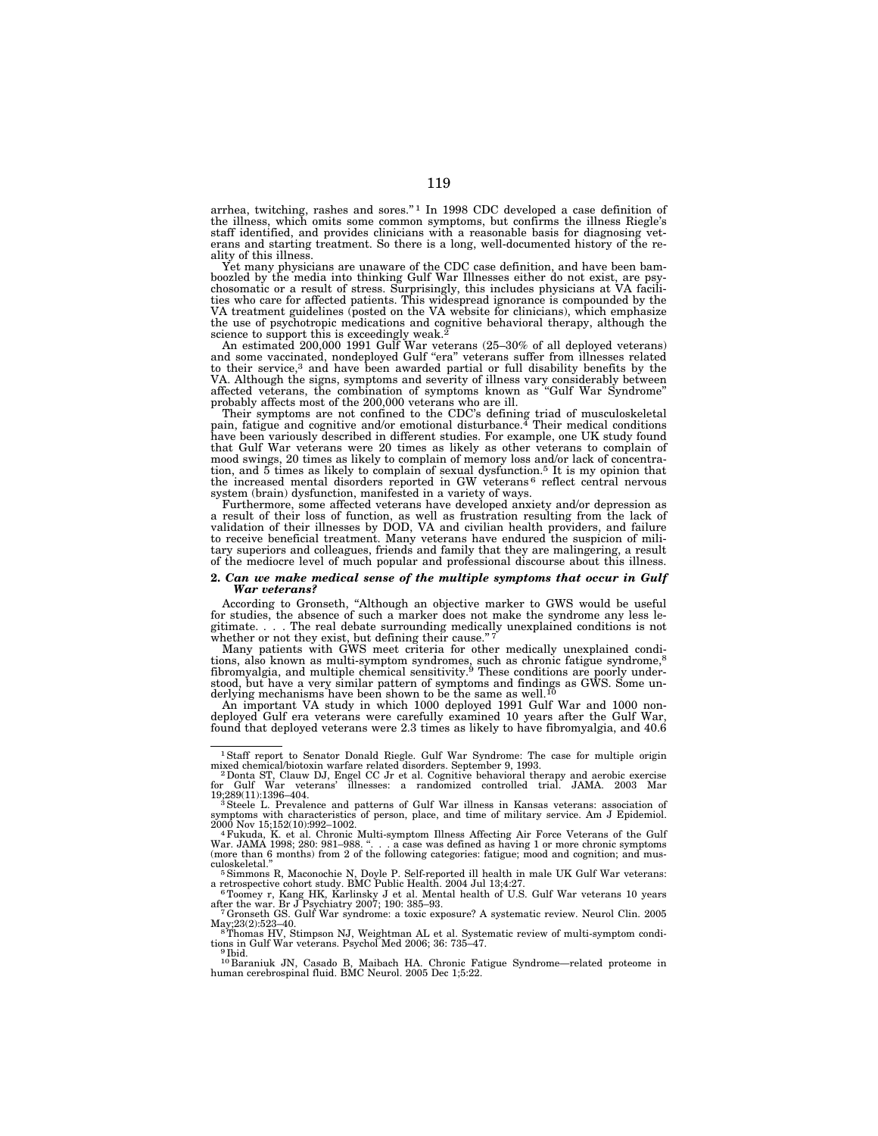arrhea, twitching, rashes and sores.'' 1 In 1998 CDC developed a case definition of the illness, which omits some common symptoms, but confirms the illness Riegle's staff identified, and provides clinicians with a reasonable basis for diagnosing veterans and starting treatment. So there is a long, well-documented history of the reality of this illness.

Yet many physicians are unaware of the CDC case definition, and have been bamboozled by the media into thinking Gulf War Illnesses either do not exist, are psychosomatic or a result of stress. Surprisingly, this includes physicians at VA facilities who care for affected patients. This widespread ignorance is compounded by the VA treatment guidelines (posted on the VA website for clinicians), which emphasize the use of psychotropic medications and cognitive behavioral therapy, although the science to support this is exceedingly weak.<sup>2</sup> An estimated 200,000 1991 Gulf War veterans (25–30% of all deployed veterans)

and some vaccinated, nondeployed Gulf "era" veterans suffer from illnesses related<br>to their service,<sup>3</sup> and have been awarded partial or full disability benefits by the VA. Although the signs, symptoms and severity of illness vary considerably between affected veterans, the combination of symptoms known as ''Gulf War Syndrome''

probably affects most of the 200,000 veterans who are ill.<br>Their symptoms are not confined to the CDC's defining triad of musculoskeletal<br>pain, fatigue and cognitive and/or emotional disturbance.<sup>4</sup> Their medical condition that Gulf War veterans were 20 times as likely as other veterans to complain of mood swings, 20 times as likely to complain of memory loss and/or lack of concentration, and 5 times as likely to complain of sexual dysfunction.5 It is my opinion that the increased mental disorders reported in GW veterans 6 reflect central nervous system (brain) dysfunction, manifested in a variety of ways.

Furthermore, some affected veterans have developed anxiety and/or depression as a result of their loss of function, as well as frustration resulting from the lack of validation of their illnesses by DOD, VA and civilian health providers, and failure to receive beneficial treatment. Many veterans have tary superiors and colleagues, friends and family that they are malingering, a result of the mediocre level of much popular and professional discourse about this illness.

### **2.** *Can we make medical sense of the multiple symptoms that occur in Gulf War veterans?*

According to Gronseth, ''Although an objective marker to GWS would be useful for studies, the absence of such a marker does not make the syndrome any less legitimate. . . . The real debate surrounding medically unexplained conditions is not

whether or not they exist, but defining their cause."<sup>7</sup>  $\ldots$   $\ldots$  Many patients with GWS meet criteria for other medically unexplained conditions, also known as multi-symptom syndromes, such as chronic fatigue syndrome,<sup>8</sup><br>fibromyalgia, and multiple chemical sensitivity.<sup>9</sup> These conditions are poorly understood, but have a very similar pattern of symptoms and findings as GWS. Some un-derlying mechanisms have been shown to be the same as well.10

An important VA study in which 1000 deployed 1991 Gulf War and 1000 non-deployed Gulf era veterans were carefully examined 10 years after the Gulf War, found that deployed veterans were 2.3 times as likely to have fibromyalgia, and 40.6

May;23(2):523–40. 8Thomas HV, Stimpson NJ, Weightman AL et al. Systematic review of multi-symptom condi-

<sup>1</sup>Staff report to Senator Donald Riegle. Gulf War Syndrome: The case for multiple origin

mixed chemical/biotoxin warfare related disorders. September 9, 1993.<br>- 2 Donta ST, Clauw DJ, Engel CC Jr et al. Cognitive behavioral therapy and aerobic exercise<br>for Gulf War veterans' illnesses: a randomized c 19;289(11):1396–404.<br><sup>3</sup>Steele L. Prevalence and patterns of Gulf War illness in Kansas veterans: association of

symptoms with characteristics of person, place, and time of military service. Am J Epidemiol.<br>2000 Nov 15;152(10):992-1002.

<sup>2000</sup> Nov 15;152(10):992–1002.<br>"Fukuda, K. et al. Chronic Multi-symptom Illness Affecting Air Force Veterans of the Gulf<br>War. JAMA 1998; 280: 981–988. ". . . a case was defined as having 1 or more chronic symptoms<br>(more tha culoskeletal.'' 5Simmons R, Maconochie N, Doyle P. Self-reported ill health in male UK Gulf War veterans:

a retrospective cohort study. BMC Public Health. 2004 Jul 13;4:27.<br><sup>6</sup>Toomey r, Kang HK, Karlinsky J et al. Mental health of U.S. Gulf War veterans 10 years

after the war. Br J Psychiatry 2007; 190: 385–93. 7Gronseth GS. Gulf War syndrome: a toxic exposure? A systematic review. Neurol Clin. 2005

tions in Gulf War veterans. Psychol Med 2006; 36: 735–47.<br><sup>9</sup> Ibid.

<sup>10</sup> Baraniuk JN, Casado B, Maibach HA. Chronic Fatigue Syndrome—related proteome in human cerebrospinal fluid. BMC Neurol. 2005 Dec 1;5:22.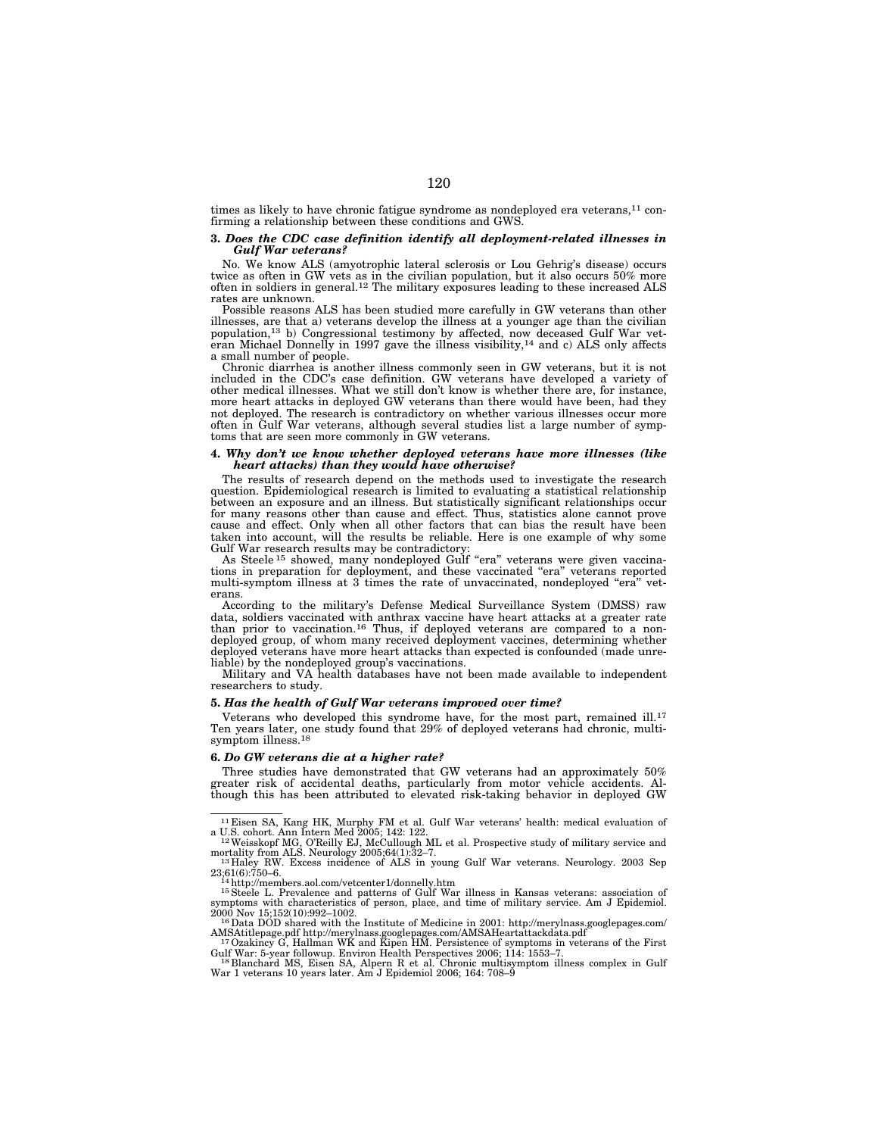times as likely to have chronic fatigue syndrome as nondeployed era veterans,<sup>11</sup> confirming a relationship between these conditions and GWS.

### **3.** *Does the CDC case definition identify all deployment-related illnesses in Gulf War veterans?*

No. We know ALS (amyotrophic lateral sclerosis or Lou Gehrig's disease) occurs twice as often in GW vets as in the civilian population, but it also occurs 50% more often in soldiers in general.12 The military exposures leading to these increased ALS rates are unknown.

Possible reasons ALS has been studied more carefully in GW veterans than other illnesses, are that a) veterans develop the illness at a younger age than the civilian population,13 b) Congressional testimony by affected, now deceased Gulf War veteran Michael Donnelly in 1997 gave the illness visibility,14 and c) ALS only affects a small number of people.

Chronic diarrhea is another illness commonly seen in GW veterans, but it is not included in the CDC's case definition. GW veterans have developed a variety of other medical illnesses. What we still don't know is whether there are, for instance, more heart attacks in deployed GW veterans than there would have been, had they not deployed. The research is contradictory on whether various illnesses occur more often in Gulf War veterans, although several studies list a large number of symptoms that are seen more commonly in GW veterans.

#### **4.** *Why don't we know whether deployed veterans have more illnesses (like heart attacks) than they would have otherwise?*

The results of research depend on the methods used to investigate the research question. Epidemiological research is limited to evaluating a statistical relationship between an exposure and an illness. But statistically significant relationships occur for many reasons other than cause and effect. Thus, statistics alone cannot prove cause and effect. Only when all other factors that can bias the result have been taken into account, will the results be reliable. Here is one example of why some Gulf War research results may be contradictory:

As Steele<sup>15</sup> showed, many nondeployed Gulf "era" veterans were given vaccinations in preparation for deployment, and these vaccinated ''era'' veterans reported multi-symptom illness at  $3$  times the rate of unvaccinated, nondeployed "era" erans.

According to the military's Defense Medical Surveillance System (DMSS) raw data, soldiers vaccinated with anthrax vaccine have heart attacks at a greater rate than prior to vaccination.16 Thus, if deployed veterans are compared to a nondeployed group, of whom many received deployment vaccines, determining whether deployed veterans have more heart attacks than expected is confounded (made unreliable) by the nondeployed group's vaccinations.

Military and VA health databases have not been made available to independent researchers to study.

#### **5.** *Has the health of Gulf War veterans improved over time?*

Veterans who developed this syndrome have, for the most part, remained ill.<sup>17</sup> Ten years later, one study found that 29% of deployed veterans had chronic, multisymptom illness.<sup>18</sup>

### **6.** *Do GW veterans die at a higher rate?*

Three studies have demonstrated that GW veterans had an approximately 50% greater risk of accidental deaths, particularly from motor vehicle accidents. Although this has been attributed to elevated risk-taking behavior in deployed GW

<sup>&</sup>lt;sup>11</sup> Eisen SA, Kang HK, Murphy FM et al. Gulf War veterans' health: medical evaluation of a U.S. cohort. Ann Intern Med 2005; 142: 122.<br><sup>12</sup> Weisskopf MG, O'Reilly EJ, McCullough ML et al. Prospective study of military se

mortality from ALS. Neurology 2005;64(1):32–7. 13 Haley RW. Excess incidence of ALS in young Gulf War veterans. Neurology. 2003 Sep

<sup>23;61(6):750–6. 14</sup>http://members.aol.com/vetcenter1/donnelly.htm 15Steele L. Prevalence and patterns of Gulf War illness in Kansas veterans: association of

symptoms with characteristics of person, place, and time of military service. Am J Epidemiol.<br>2000 Nov 15;152(10):992-1002.

<sup>&</sup>lt;sup>16</sup> Data DOD shared with the Institute of Medicine in 2001: http://merylnass.googlepages.com/

AMSAtitlepage.pdf http://merylnass.googlepages.com/AMSAHeartattackdata.pdf 17 Ozakincy G, Hallman WK and Kipen HM. Persistence of symptoms in veterans of the First Gulf War: 5-year followup. Environ Health Perspectives 200

Gulf War: 5-year followup. Environ Health Perspectives 2006; 114: 1553–7.<br><sup>18</sup> Blanchard MS, Eisen SA, Alpern R et al. Chronic multisymptom illness complex in Gulf<br><sup>War 1</sup> veterans 10 years later. Am J Epidemiol 2006; 164: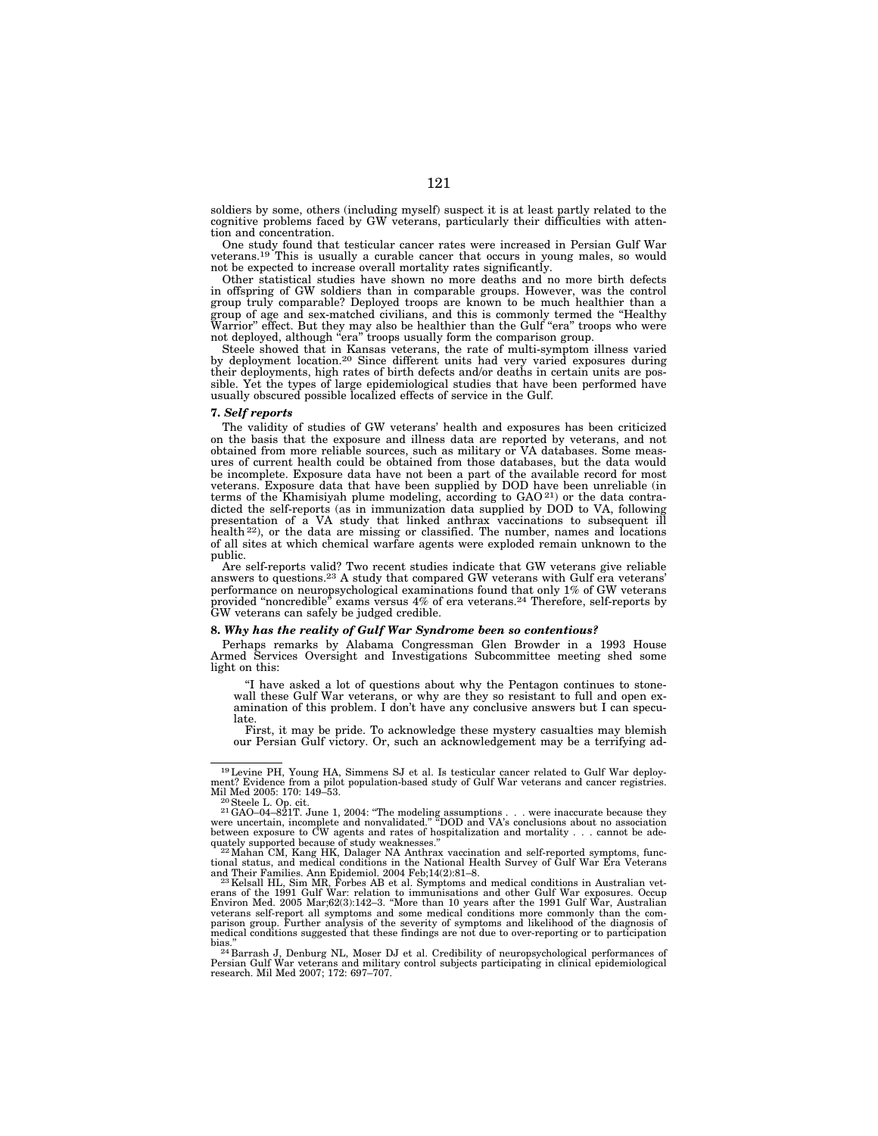soldiers by some, others (including myself) suspect it is at least partly related to the cognitive problems faced by GW veterans, particularly their difficulties with attention and concentration.

One study found that testicular cancer rates were increased in Persian Gulf War veterans.19 This is usually a curable cancer that occurs in young males, so would not be expected to increase overall mortality rates significantly.

Other statistical studies have shown no more deaths and no more birth defects in offspring of GW soldiers than in comparable groups. However, was the control group truly comparable? Deployed troops are known to be much healthier than a group of age and sex-matched civilians, and this is commonly termed the ''Healthy Warrior'' effect. But they may also be healthier than the Gulf ''era'' troops who were not deployed, although "era" troops usually form the comparison group.

Steele showed that in Kansas veterans, the rate of multi-symptom illness varied by deployment location.<sup>20</sup> Since different units had very varied exposures during their deployments, high rates of birth defects and/or deaths in certain units are possible. Yet the types of large epidemiological studies that have been performed have usually obscured possible localized effects of service in the Gulf.

#### **7.** *Self reports*

The validity of studies of GW veterans' health and exposures has been criticized on the basis that the exposure and illness data are reported by veterans, and not obtained from more reliable sources, such as military or VA databases. Some measures of current health could be obtained from those databases, but the data would be incomplete. Exposure data have not been a part of the available record for most veterans. Exposure data that have been supplied by DOD have been unreliable (in terms of the Khamisiyah plume modeling, according to GAO 21) or the data contradicted the self-reports (as in immunization data supplied by DOD to VA, following presentation of a VA study that linked anthrax vaccinations to subsequent ill health 22), or the data are missing or classified. The number, names and locations of all sites at which chemical warfare agents were exploded remain unknown to the public.

Are self-reports valid? Two recent studies indicate that GW veterans give reliable answers to questions.23 A study that compared GW veterans with Gulf era veterans' performance on neuropsychological examinations found that only 1% of GW veterans provided ''noncredible'' exams versus 4% of era veterans.24 Therefore, self-reports by GW veterans can safely be judged credible.

#### **8.** *Why has the reality of Gulf War Syndrome been so contentious?*

Perhaps remarks by Alabama Congressman Glen Browder in a 1993 House Armed Services Oversight and Investigations Subcommittee meeting shed some light on this:

"I have asked a lot of questions about why the Pentagon continues to stonewall these Gulf War veterans, or why are they so resistant to full and open examination of this problem. I don't have any conclusive answers but I can speculate.

First, it may be pride. To acknowledge these mystery casualties may blemish our Persian Gulf victory. Or, such an acknowledgement may be a terrifying ad-

<sup>19</sup>Levine PH, Young HA, Simmens SJ et al. Is testicular cancer related to Gulf War deployment? Evidence from a pilot population-based study of Gulf War veterans and cancer registries.

Mil Med 2005: 170: 149–53.<br><sup>20</sup> Steele L. Op. cit.<br><sup>21</sup> GAO-04-821T. June 1, 2004: "The modeling assumptions . . . were inaccurate because they<br><sup>21</sup> GAO-04-821T. June 1, 2004: "The modeling assumptions . . . were inaccura

quately supported because of study weaknesses."<br>"2 Mahan CM, Kang HK, Dalager NA Anthrax vaccination and self-reported symptoms, func-<br>tional status, and medical conditions in the National Health Survey of Gulf War Era Vet and Their Families. Ann Epidemiol. 2004 Feb;14(2):81–8. 23Kelsall HL, Sim MR, Forbes AB et al. Symptoms and medical conditions in Australian vet-

erans of the 1991 Gulf War: relation to immunisations and other Gulf War exposures. Occup Environ Med. 2005 Mar;62(3):142–3. "More than 10 years after the 1991 Gulf War, Australian<br>veterans self-report all symptoms and some medical conditions more commonly than the com-<br>parison group. Further analysis of the se medical conditions suggested that these findings are not due to over-reporting or to participation

<sup>&</sup>lt;sup>24</sup> Barrash J, Denburg NL, Moser DJ et al. Credibility of neuropsychological performances of Persian Gulf War veterans and military control subjects participating in clinical epidemiological research. Mil Med 2007; 172: 697–707.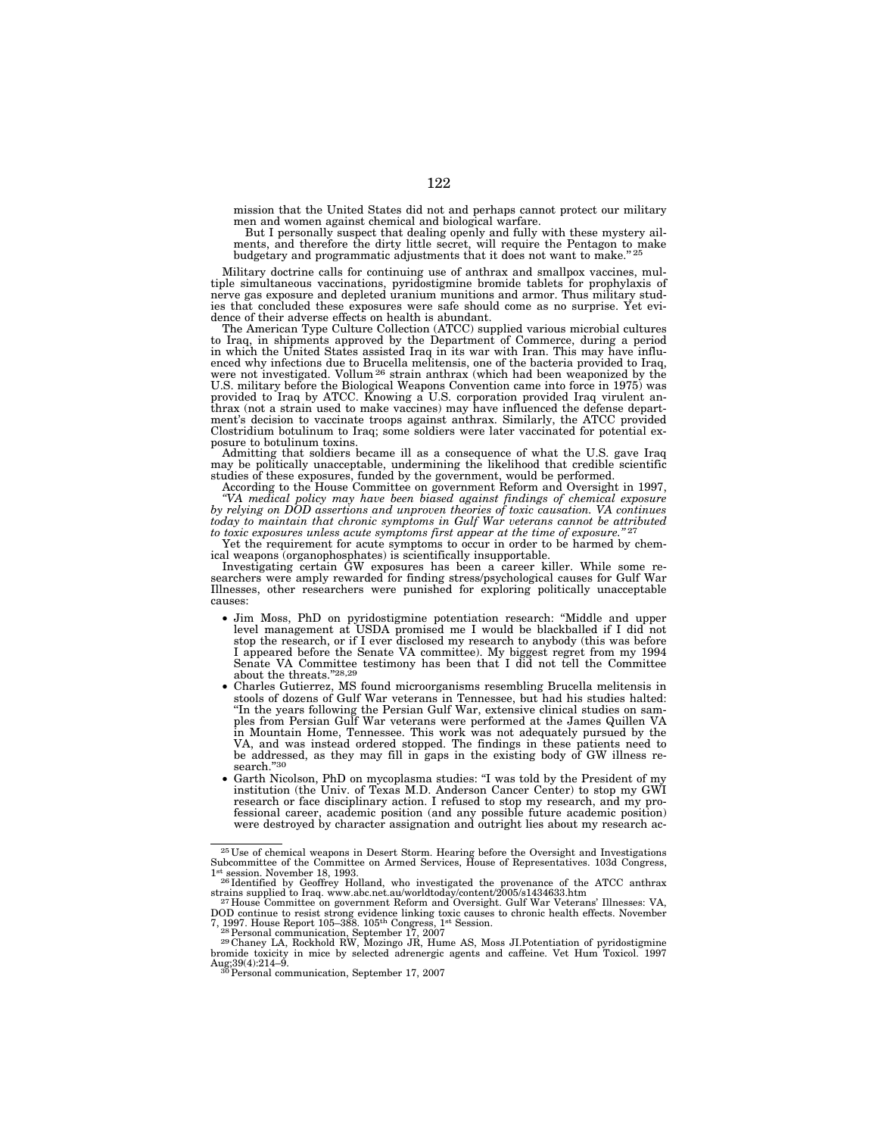mission that the United States did not and perhaps cannot protect our military men and women against chemical and biological warfare.

But I personally suspect that dealing openly and fully with these mystery ailments, and therefore the dirty little secret, will require the Pentagon to make budgetary and programmatic adjustments that it does not want to make."<sup>25</sup>

Military doctrine calls for continuing use of anthrax and smallpox vaccines, mul-tiple simultaneous vaccinations, pyridostigmine bromide tablets for prophylaxis of nerve gas exposure and depleted uranium munitions and armor. Thus military studies that concluded these exposures were safe should come as no surprise. Yet evidence of their adverse effects on health is abundant.

The American Type Culture Collection (ATCC) supplied various microbial cultures to Iraq, in shipments approved by the Department of Commerce, during a period in which the United States assisted Iraq in its war with Iran. This may have influenced why infections due to Brucella melitensis, one of the bacteria provided to Iraq, were not investigated. Vollum<sup>26</sup> strain anthrax (which had been weaponized by the U.S. military before the Biological Weapons Convention came into force in 1975) was provided to Iraq by ATCC. Knowing a U.S. corporation provided Iraq virulent an-thrax (not a strain used to make vaccines) may have influenced the defense department's decision to vaccinate troops against anthrax. Similarly, the ATCC provided Clostridium botulinum to Iraq; some soldiers were later vaccinated for potential exposure to botulinum toxins.

Admitting that soldiers became ill as a consequence of what the U.S. gave Iraq may be politically unacceptable, undermining the likelihood that credible scientific studies of these exposures, funded by the government, would be performed.

According to the House Committee on government Reform and Oversight in 1997, *''VA medical policy may have been biased against findings of chemical exposure by relying on DOD assertions and unproven theories of toxic causation. VA continues*  today to maintain that chronic symptoms in Gulf War veterans cannot be attributed *to toxic exposures unless acute symptoms first appear at the time of exposure.''* 27

Yet the requirement for acute symptoms to occur in order to be harmed by chemical weapons (organophosphates) is scientifically insupportable.

Investigating certain GW exposures has been a career killer. While some researchers were amply rewarded for finding stress/psychological causes for Gulf War Illnesses, other researchers were punished for exploring politically unacceptable causes:

- Jim Moss, PhD on pyridostigmine potentiation research: ''Middle and upper level management at USDA promised me I would be blackballed if I did not stop the research, or if I ever disclosed my research to anybody (this was before I appeared before the Senate VA committee). My biggest regret from my 1994 Senate VA Committee testimony has been that I did not tell the Committee about the threats."2
- Charles Gutierrez, MS found microorganisms resembling Brucella melitensis in stools of dozens of Gulf War veterans in Tennessee, but had his studies halted: ''In the years following the Persian Gulf War, extensive clinical studies on samples from Persian Gulf War veterans were performed at the James Quillen VA in Mountain Home, Tennessee. This work was not adequately pursued by the VA, and was instead ordered stopped. The findings in these patients need to be addressed, as they may fill in gaps in the existing body of GW illness research."30
- Garth Nicolson, PhD on mycoplasma studies: "I was told by the President of my institution (the Univ. of Texas M.D. Anderson Cancer Center) to stop my GWI research or face disciplinary action. I refused to stop my research, and my professional career, academic position (and any possible future academic position) were destroyed by character assignation and outright lies about my research ac-

 $^{25}$  Use of chemical weapons in Desert Storm. Hearing before the Oversight and Investigations Subcommittee of the Committee on Armed Services, House of Representatives. 103d Congress,

<sup>&</sup>lt;sup>1st</sup> session. November 18, 1993.<br><sup>26</sup> Identified by Geoffrey Holland, who investigated the provenance of the ATCC anthrax<br><sup>26</sup> Identified by Geoffrey Holland, who investigated the provenance of the ATCC anthrax<br><sup>27</sup> Hous

<sup>7, 1997.</sup> House Report 105–388. 105<sup>th</sup> Congress, 1<sup>st</sup> Session.<br><sup>29</sup> Personal communication, September 17, 2007<br><sup>29</sup> Chaney LA, Rockhold RW, Mozingo JR, Hume AS, Moss JI.Potentiation of pyridostigmine<br><sup>29</sup> Chaney LA, Rockh Aug;  $39(4)$ :  $214-9$ .<br><sup>30</sup> Personal communication, September 17, 2007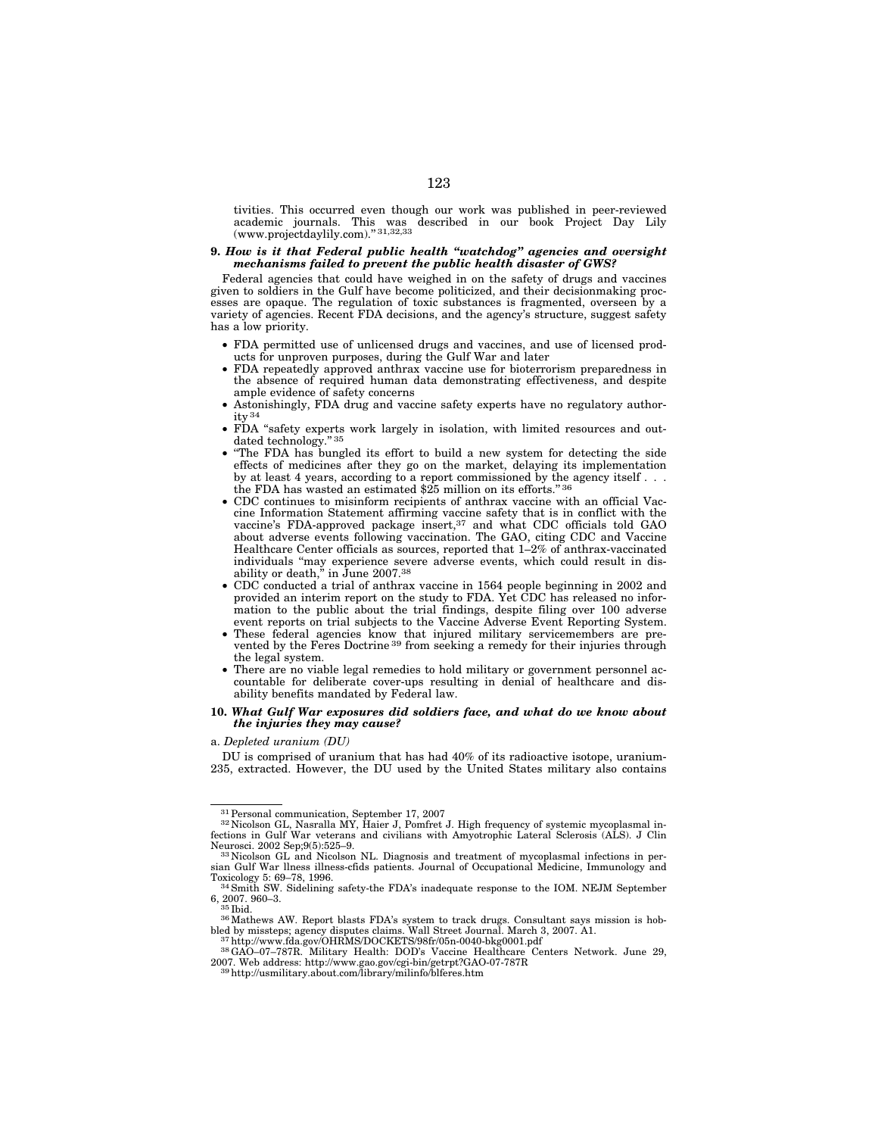tivities. This occurred even though our work was published in peer-reviewed academic journals. This was described in our book Project Day Lily<br>(www.projectdaylily.com)."31,32,33

### **9.** *How is it that Federal public health ''watchdog'' agencies and oversight mechanisms failed to prevent the public health disaster of GWS?*

Federal agencies that could have weighed in on the safety of drugs and vaccines given to soldiers in the Gulf have become politicized, and their decisionmaking processes are opaque. The regulation of toxic substances is fragmented, overseen by a variety of agencies. Recent FDA decisions, and the agency's structure, suggest safety has a low priority.

- FDA permitted use of unlicensed drugs and vaccines, and use of licensed products for unproven purposes, during the Gulf War and later
- FDA repeatedly approved anthrax vaccine use for bioterrorism preparedness in the absence of required human data demonstrating effectiveness, and despite ample evidence of safety concerns
- Astonishingly, FDA drug and vaccine safety experts have no regulatory authority 34
- FDA "safety experts work largely in isolation, with limited resources and outdated technology." 35
- ''The FDA has bungled its effort to build a new system for detecting the side effects of medicines after they go on the market, delaying its implementation by at least 4 years, according to a report commissioned by the agency itself . . . the FDA has wasted an estimated \$25 million on its efforts.'' 36
- CDC continues to misinform recipients of anthrax vaccine with an official Vaccine Information Statement affirming vaccine safety that is in conflict with the vaccine's FDA-approved package insert, $37$  and what CDC officials told GAO about adverse events following vaccination. The GAO, citing CDC and Vaccine Healthcare Center officials as sources, reported that  $1-2\%$  of anthrax-vaccinated individuals ''may experience severe adverse events, which could result in dis-ability or death,'' in June 2007.38
- CDC conducted a trial of anthrax vaccine in 1564 people beginning in 2002 and provided an interim report on the study to FDA. Yet CDC has released no information to the public about the trial findings, despite filing over 100 adverse event reports on trial subjects to the Vaccine Adverse Event Reporting System.
- These federal agencies know that injured military servicemembers are prevented by the Feres Doctrine 39 from seeking a remedy for their injuries through the legal system.
- There are no viable legal remedies to hold military or government personnel accountable for deliberate cover-ups resulting in denial of healthcare and disability benefits mandated by Federal law.

# **10.** *What Gulf War exposures did soldiers face, and what do we know about the injuries they may cause?*

a. *Depleted uranium (DU)* 

DU is comprised of uranium that has had 40% of its radioactive isotope, uranium-235, extracted. However, the DU used by the United States military also contains

 $^{31}\!$  Personal communication, September 17, 2007  $^{32}\!$  Nicolson GL, Nasralla MY, Haier J, Pomfret J. High frequency of systemic mycoplasmal infections in Gulf War veterans and civilians with Amyotrophic Lateral Sclerosis (ALS). J Clin Neurosci. 2002 Sep;9(5):525–9.<br><sup>33</sup> Nicolson GL and Nicolson NL. Diagnosis and treatment of mycoplasmal infections in per-

sian Gulf War llness illness-cfids patients. Journal of Occupational Medicine, Immunology and Toxicology 5: 69–78, 1996.

 $34$  Smith SW. Sidelining safety-the FDA's inadequate response to the IOM. NEJM September 6. 2007. 960–3. 6, 2007. 960–3.<br><sup>35</sup> Ibid.<br><sup>36</sup> Mathews AW. Report blasts FDA's system to track drugs. Consultant says mission is hob-

bled by missteps; agency disputes claims. Wall Street Journal. March 3, 2007. A1.<br><sup>37</sup> http://www.fda.gov/OHRMS/DOCKETS/98fr/05n-0040-bkg0001.pdf<br><sup>38</sup> GAO–07–787R. Military Health: DOD's Vaccine Healthcare Centers Network.

<sup>2007.</sup> Web address: http://www.gao.gov/cgi-bin/getrpt?GAO-07-787R 39http://usmilitary.about.com/library/milinfo/blferes.htm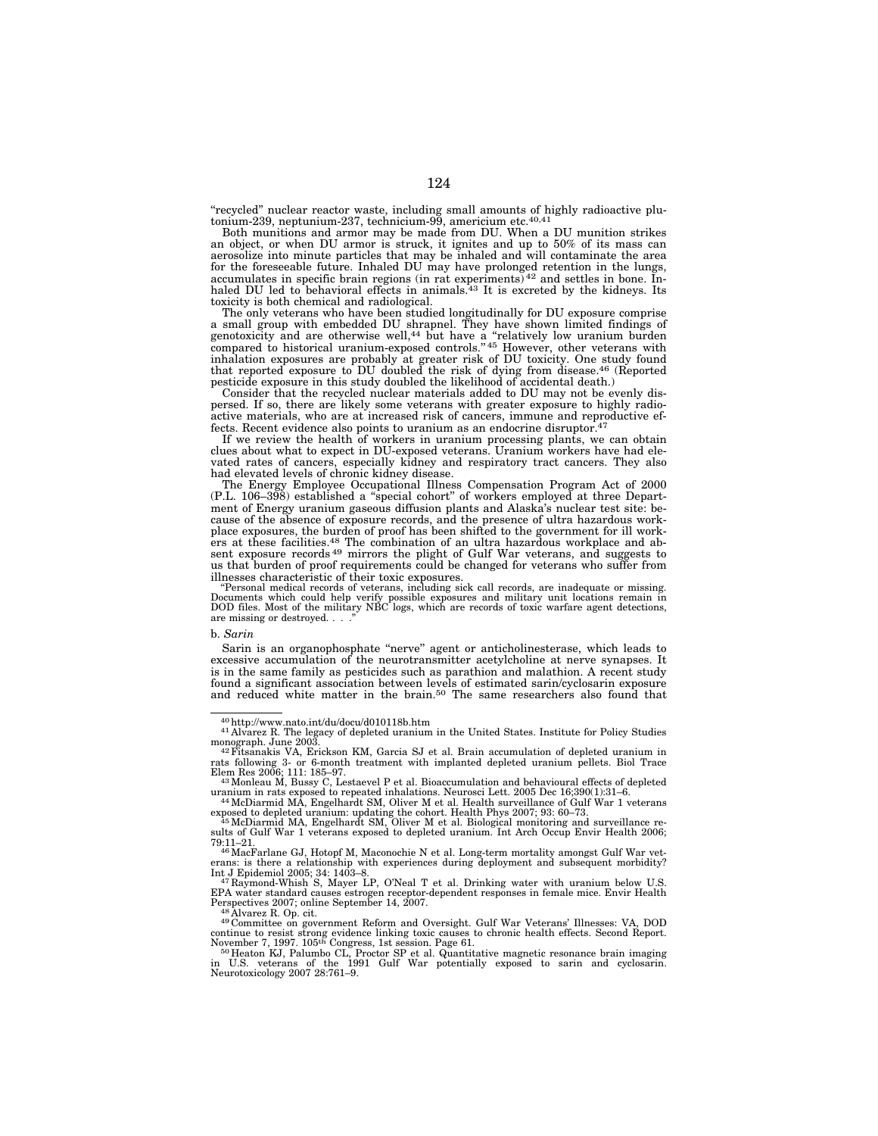''recycled'' nuclear reactor waste, including small amounts of highly radioactive plu-tonium-239, neptunium-237, technicium-99, americium etc.40,41

Both munitions and armor may be made from DU. When a DU munition strikes an object, or when DU armor is struck, it ignites and up to 50% of its mass can aerosolize into minute particles that may be inhaled and will contaminate the area for the foreseeable future. Inhaled DU may have prolonged retention in the lungs, accumulates in specific brain regions (in rat experiments) 42 and settles in bone. In-haled DU led to behavioral effects in animals.43 It is excreted by the kidneys. Its toxicity is both chemical and radiological.

The only veterans who have been studied longitudinally for DU exposure comprise a small group with embedded DU shrapnel. They have shown limited findings of genotoxicity and are otherwise well,44 but have a ''relatively low uranium burden compared to historical uranium-exposed controls.'' 45 However, other veterans with inhalation exposures are probably at greater risk of DU toxicity. One study found that reported exposure to DU doubled the risk of dying from disease.<sup>46</sup> (Reported pesticide exposure in this study doubled the likelihood of accidental death.)

Consider that the recycled nuclear materials added to DU may not be evenly dispersed. If so, there are likely some veterans with greater exposure to highly radioactive materials, who are at increased risk of cancers, immune and reproductive effects. Recent evidence also points to uranium as an endocrine disruptor.<sup>47</sup>

If we review the health of workers in uranium processing plants, we can obtain clues about what to expect in DU-exposed veterans. Uranium workers have had elevated rates of cancers, especially kidney and respiratory tract cancers. They also had elevated levels of chronic kidney disease.

The Energy Employee Occupational Illness Compensation Program Act of 2000 (P.L. 106–398) established a ''special cohort'' of workers employed at three Department of Energy uranium gaseous diffusion plants and Alaska's nuclear test site: because of the absence of exposure records, and the presence of ultra hazardous workplace exposures, the burden of proof has been shifted to the government for ill workers at these facilities.48 The combination of an ultra hazardous workplace and absent exposure records 49 mirrors the plight of Gulf War veterans, and suggests to us that burden of proof requirements could be changed for veterans who suffer from

illnesses characteristic of their toxic exposures. ''Personal medical records of veterans, including sick call records, are inadequate or missing. Documents which could help verify possible exposures and military unit locations remain in DOD files. Most of the military NBC logs, which are records of toxic warfare agent detections, are missing or destroyed. . . ."

#### b. *Sarin*

Sarin is an organophosphate "nerve" agent or anticholinesterase, which leads to excessive accumulation of the neurotransmitter acetylcholine at nerve synapses. It is in the same family as pesticides such as parathion and malathion. A recent study found a significant association between levels of estimated sarin/cyclosarin exposure and reduced white matter in the brain.50 The same researchers also found that

<sup>49</sup> Committee on government Reform and Oversight. Gulf War Veterans' Illnesses: VA, DOD continue to resist strong evidence linking toxic causes to chronic health effects. Second Report.<br>November 7, 1997. 105<sup>th</sup> Congress, 1st session. Page 61.<br><sup>50</sup>Heaton KJ, Palumbo CL, Proctor SP et al. Quantitative magnetic

<sup>40</sup> http://www.nato.int/du/docu/d010118b.htm<br>41 Alvarez R. The legacy of depleted uranium in the United States. Institute for Policy Studies<br>monograph. June 2003.

monograph. June 2003.<br><sup>42</sup>Fitsanakis VA, Erickson KM, Garcia SJ et al. Brain accumulation of depleted uranium in<br>rats following 3- or 6-month treatment with implanted depleted uranium pellets. Biol Trace Elem Res 2006; 111: 185–97. 43Monleau M, Bussy C, Lestaevel P et al. Bioaccumulation and behavioural effects of depleted

uranium in rats exposed to repeated inhalations. Neurosci Lett. 2005 Dec 16;390(1):31–6. 44McDiarmid MA, Engelhardt SM, Oliver M et al. Health surveillance of Gulf War 1 veterans

exposed to depleted uranium: updating the cohort. Health Phys 2007; 93: 60–73.<br><sup>45</sup> McDiarmid MA, Engelhardt SM, Oliver M et al. Biological monitoring and surveillance re-<br>106; sults of Gulf War 1 veterans exposed to deple

<sup>79:11–21. 46</sup>MacFarlane GJ, Hotopf M, Maconochie N et al. Long-term mortality amongst Gulf War vet-erans: is there a relationship with experiences during deployment and subsequent morbidity? Int J Epidemiol 2005; 34: 1403–8. 47 Raymond-Whish S, Mayer LP, O'Neal T et al. Drinking water with uranium below U.S.

EPA water standard causes estrogen receptor-dependent responses in female mice. Envir Health Perspectives 2007; online September 14, 2007.<br><sup>48</sup> Alvarez R. Op. cit.

in U.S. veterans of the 1991 Gulf War potentially exposed to sarin and cyclosarin. Neurotoxicology 2007 28:761–9.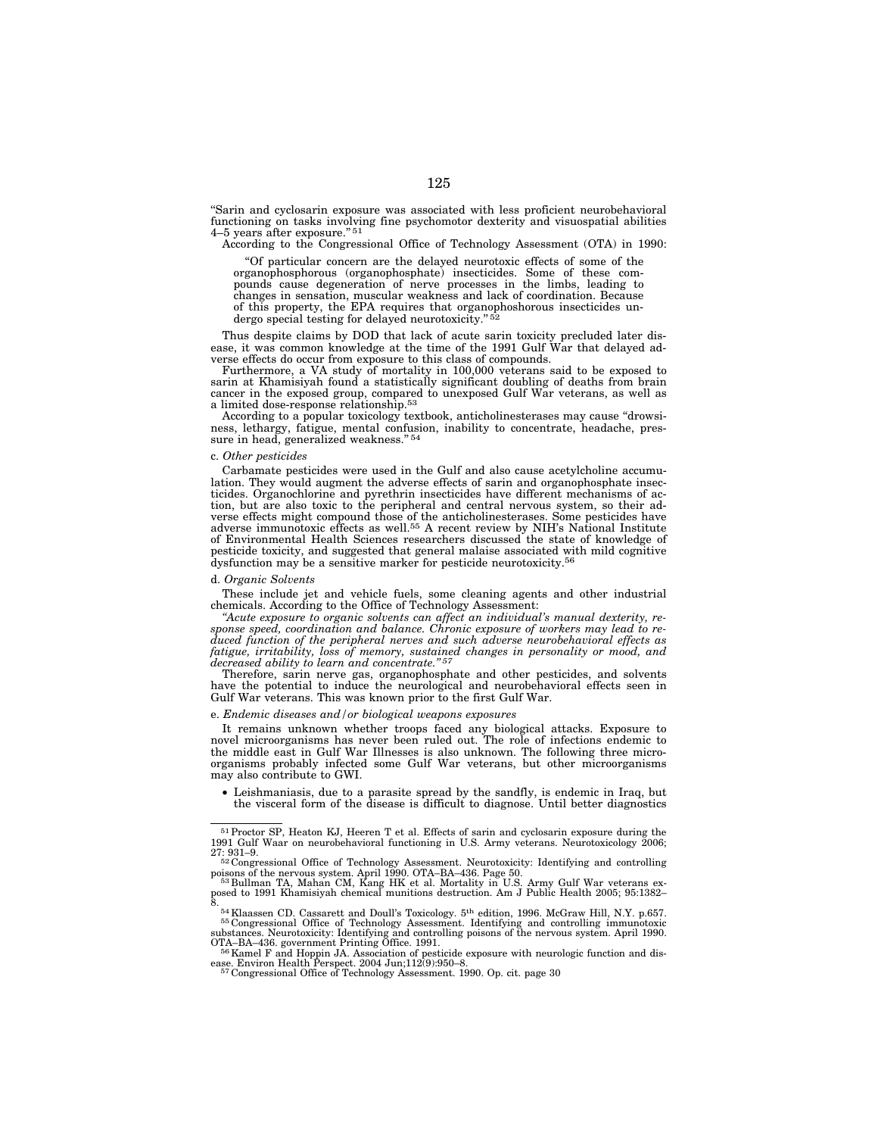''Sarin and cyclosarin exposure was associated with less proficient neurobehavioral functioning on tasks involving fine psychomotor dexterity and visuospatial abilities 4–5 years after exposure."<sup>51</sup>

According to the Congressional Office of Technology Assessment (OTA) in 1990:

''Of particular concern are the delayed neurotoxic effects of some of the organophosphorous (organophosphate) insecticides. Some of these compounds cause degeneration of nerve processes in the limbs, leading to changes in sensation, muscular weakness and lack of coordination. Because of this property, the EPA requires that organophoshorous insecticides undergo special testing for delayed neurotoxicity."<sup>5</sup>

Thus despite claims by DOD that lack of acute sarin toxicity precluded later disease, it was common knowledge at the time of the 1991 Gulf War that delayed adverse effects do occur from exposure to this class of compounds.

Furthermore, a VA study of mortality in 100,000 veterans said to be exposed to sarin at Khamisiyah found a statistically significant doubling of deaths from brain cancer in the exposed group, compared to unexposed Gulf War veterans, as well as a limited dose-response relationship.53

According to a popular toxicology textbook, anticholinesterases may cause ''drowsiness, lethargy, fatigue, mental confusion, inability to concentrate, headache, pressure in head, generalized weakness." 54

#### c. *Other pesticides*

Carbamate pesticides were used in the Gulf and also cause acetylcholine accumulation. They would augment the adverse effects of sarin and organophosphate insecticides. Organochlorine and pyrethrin insecticides have different mechanisms of action, but are also toxic to the peripheral and central nervous system, so their adverse effects might compound those of the anticholinesterases. Some pesticides have adverse immunotoxic effects as well.55 A recent review by NIH's National Institute of Environmental Health Sciences researchers discussed the state of knowledge of pesticide toxicity, and suggested that general malaise associated with mild cognitive dysfunction may be a sensitive marker for pesticide neurotoxicity.56

#### d. *Organic Solvents*

These include jet and vehicle fuels, some cleaning agents and other industrial chemicals. According to the Office of Technology Assessment:

*''Acute exposure to organic solvents can affect an individual's manual dexterity, response speed, coordination and balance. Chronic exposure of workers may lead to reduced function of the peripheral nerves and such adverse neurobehavioral effects as*  fatigue, irritability, loss of memory, sustained changes in personality or mood, and *decreased ability to learn and concentrate.'' 57*

Therefore, sarin nerve gas, organophosphate and other pesticides, and solvents have the potential to induce the neurological and neurobehavioral effects seen in Gulf War veterans. This was known prior to the first Gulf War.

#### e. *Endemic diseases and/or biological weapons exposures*

It remains unknown whether troops faced any biological attacks. Exposure to novel microorganisms has never been ruled out. The role of infections endemic to the middle east in Gulf War Illnesses is also unknown. The following three microorganisms probably infected some Gulf War veterans, but other microorganisms may also contribute to GWI.

• Leishmaniasis, due to a parasite spread by the sandfly, is endemic in Iraq, but the visceral form of the disease is difficult to diagnose. Until better diagnostics

<sup>51</sup>Proctor SP, Heaton KJ, Heeren T et al. Effects of sarin and cyclosarin exposure during the 1991 Gulf Waar on neurobehavioral functioning in U.S. Army veterans. Neurotoxicology 2006;

<sup>27: 931–9.&</sup>lt;br>
<sup>52</sup> Congressional Office of Technology Assessment. Neurotoxicity: Identifying and controlling<br>
<sup>52</sup> Congressional Office of Technology Assessment. Neurotoxicity: Identifying and controlling

poisons of the nervous system. April 1990. OTA–BA–436. Page 50.<br><sup>533</sup>Bullman TA, Mahan CM, Kang HK et al. Mortality in U.S. Army Gulf War veterans ex-<br><sup>posed</sup> to 1991 Khamisiyah chemical munitions destruction. Am J Public

<sup>8. 54</sup>Klaassen CD. Cassarett and Doull's Toxicology. 5th edition, 1996. McGraw Hill, N.Y. p.657. 55 Congressional Office of Technology Assessment. Identifying and controlling immunotoxic

substances. Neurotoxicity: Identifying and controlling poisons of the nervous system. April 1990.<br>OTA–BA–436. government Printing Office. 1991.<br>- <sup>56</sup>Kamel F and Hoppin JA. Association of pesticide exposure with neurologic

<sup>&</sup>lt;sup>56</sup> Kamel F and Hoppin JA. Association of pesticide exposure with neurologic function and disease. Environ Health Perspect. 2004 Jun;112(9):950–8.<br><sup>57</sup> Congressional Office of Technology Assessment. 1990. Op. cit. page 3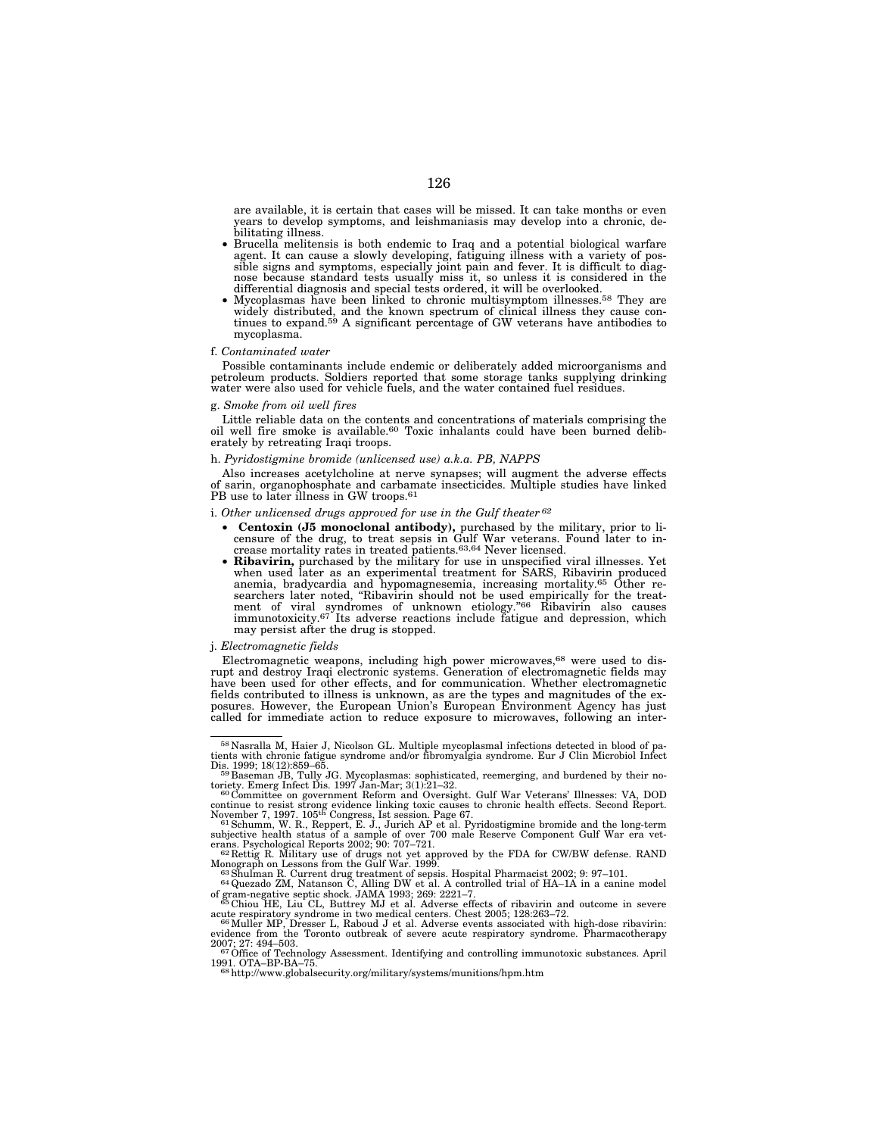are available, it is certain that cases will be missed. It can take months or even years to develop symptoms, and leishmaniasis may develop into a chronic, de-

- Brucella melitensis is both endemic to Iraq and a potential biological warfare agent. It can cause a slowly developing, fatiguing illness with a variety of possible signs and symptoms, especially joint pain and fever. It is difficult to diag-nose because standard tests usually miss it, so unless it is considered in the
- Mycoplasmas have been linked to chronic multisymptom illnesses.<sup>58</sup> They are widely distributed, and the known spectrum of clinical illness they cause continues to expand.<sup>59</sup> A significant percentage of GW veterans have antibodies to mycoplasma.

#### f. *Contaminated water*

Possible contaminants include endemic or deliberately added microorganisms and petroleum products. Soldiers reported that some storage tanks supplying drinking water were also used for vehicle fuels, and the water contained fuel residues.

### g. *Smoke from oil well fires*

Little reliable data on the contents and concentrations of materials comprising the oil well fire smoke is available.<sup>60</sup> Toxic inhalants could have been burned deliberately by retreating Iraqi troops.

#### h. *Pyridostigmine bromide (unlicensed use) a.k.a. PB, NAPPS*

Also increases acetylcholine at nerve synapses; will augment the adverse effects of sarin, organophosphate and carbamate insecticides. Multiple studies have linked PB use to later illness in GW troops.<sup>61</sup>

### i. *Other unlicensed drugs approved for use in the Gulf theater 62*

- **Centoxin (J5 monoclonal antibody),** purchased by the military, prior to licensure of the drug, to treat sepsis in Gulf War veterans. Found later to increase mortality rates in treated patients.  $63,64$  Never licensed.<br>• **Ribavirin,** purchased by the military for use in unspecified viral illness
- **Ribavirin,** purchased by the military for use in unspecified viral illnesses. Yet when used later as an experimental treatment for SARS, Ribavirin produced anemia, bradycardia and hypomagnesemia, increasing mortality.65 Other re-searchers later noted, ''Ribavirin should not be used empirically for the treatment of viral syndromes of unknown etiology."<sup>66</sup> Ribavirin also causes immunotoxicity.<sup>67</sup> Its adverse reactions include fatigue and depression, which may persist after the drug is stopped.

#### j. *Electromagnetic fields*

Electromagnetic weapons, including high power microwaves,68 were used to disrupt and destroy Iraqi electronic systems. Generation of electromagnetic fields may have been used for other effects, and for communication. Whether electromagnetic fields contributed to illness is unknown, as are the types and magnitudes of the exposures. However, the European Union's European Environment Agency has just called for immediate action to reduce exposure to microwaves, following an inter-

<sup>58</sup> Nasralla M, Haier J, Nicolson GL. Multiple mycoplasmal infections detected in blood of pa-tients with chronic fatigue syndrome and/or fibromyalgia syndrome. Eur J Clin Microbiol Infect

Dis. 1999; 18(12):859–65.<br><sup>59</sup> Baseman JB, Tully JG. Mycoplasmas: sophisticated, reemerging, and burdened by their no-

toriety. Emerg Infect Dis. 1997 Jan-Mar; 3(1):21–32.<br><sup>60</sup> Committee on government Reform and Oversight. Gulf War Veterans' Illnesses: VA, DOD

continue to resist strong evidence linking toxic causes to chronic health effects. Second Report.<br>November 7, 1997. 105<sup>th</sup> Congress, Ist session. Page 67.<br><sup>61</sup> Schumm, W. R., Reppert, E. J., Jurich AP et al. Pyridostigmin

Monograph on Lessons from the Gulf War. 1999.<br><sup>63</sup>Shulman R. Current drug treatment of sepsis. Hospital Pharmacist 2002; 9: 97–101.<br><sup>64</sup>Quezado ZM, Natanson C, Alling DW et al. A controlled trial of HA–1A in a canine model

of gram-negative septic shock. JAMA 1993; 269: 2221–7. 65 Chiou HE, Liu CL, Buttrey MJ et al. Adverse effects of ribavirin and outcome in severe

acute respiratory syndrome in two medical centers. Chest 2005; 128:263–72.<br><sup>66</sup> Muller MP, Dresser L, Raboud J et al. Adverse events associated with high-dose ribavirin:<br>evidence from the Toronto outbreak of severe acute r

<sup>1991.</sup> OTA–BP-BA–75. <sup>68</sup>http://www.globalsecurity.org/military/systems/munitions/hpm.htm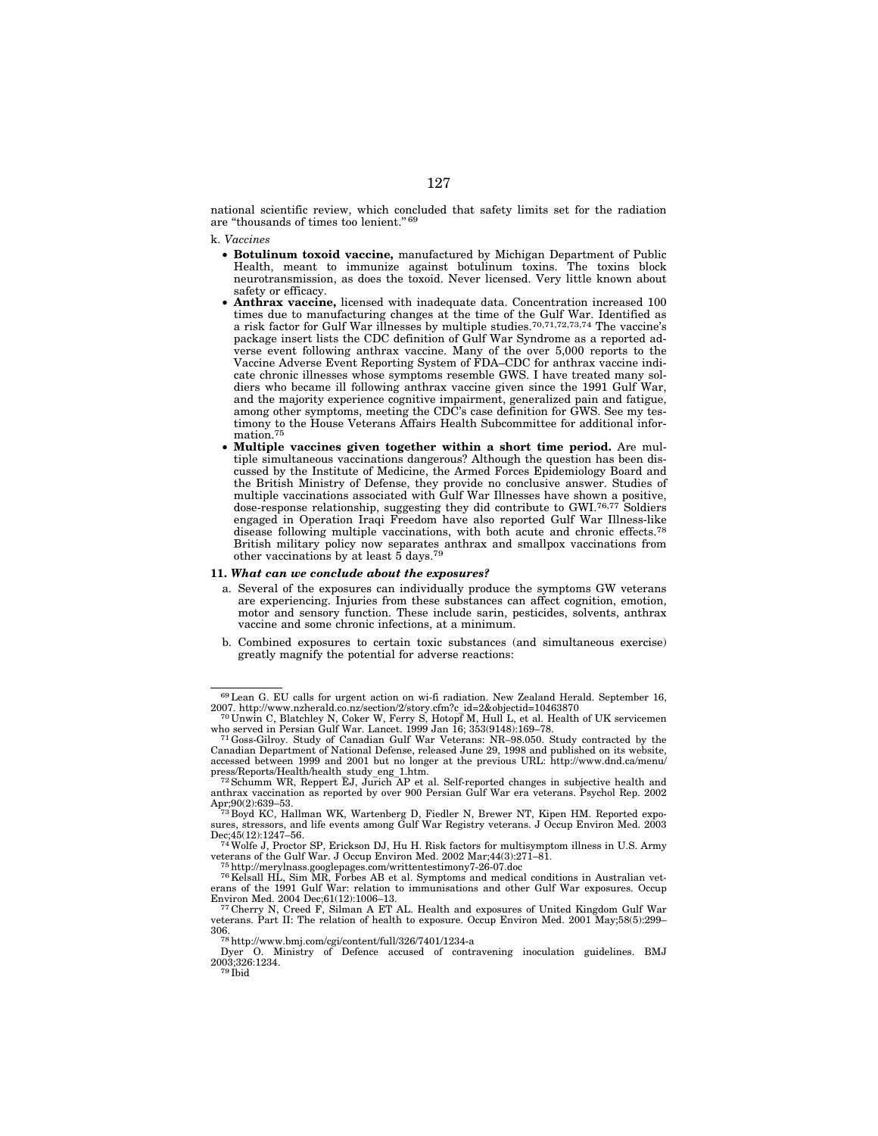national scientific review, which concluded that safety limits set for the radiation are "thousands of times too lenient." 69

k. *Vaccines* 

- **Botulinum toxoid vaccine,** manufactured by Michigan Department of Public Health, meant to immunize against botulinum toxins. The toxins block neurotransmission, as does the toxoid. Never licensed. Very little known about safety or efficacy.
- **Anthrax vaccine,** licensed with inadequate data. Concentration increased 100 times due to manufacturing changes at the time of the Gulf War. Identified as a risk factor for Gulf War illnesses by multiple studies.70,71,72,73,74 The vaccine's package insert lists the CDC definition of Gulf War Syndrome as a reported adverse event following anthrax vaccine. Many of the over 5,000 reports to the Vaccine Adverse Event Reporting System of FDA–CDC for anthrax vaccine indicate chronic illnesses whose symptoms resemble GWS. I have treated many soldiers who became ill following anthrax vaccine given since the 1991 Gulf War, and the majority experience cognitive impairment, generalized pain and fatigue, among other symptoms, meeting the CDC's case definition for GWS. See my testimony to the House Veterans Affairs Health Subcommittee for additional information.75
- **Multiple vaccines given together within a short time period.** Are multiple simultaneous vaccinations dangerous? Although the question has been discussed by the Institute of Medicine, the Armed Forces Epidemiology Board and the British Ministry of Defense, they provide no conclusive answer. Studies of multiple vaccinations associated with Gulf War Illnesses have shown a positive, dose-response relationship, suggesting they did contribute to GWI.<sup>76,77</sup> Soldiers engaged in Operation Iraqi Freedom have also reported Gulf War Illness-like disease following multiple vaccinations, with both acute and chronic effects.78 British military policy now separates anthrax and smallpox vaccinations from other vaccinations by at least 5 days.79

#### **11.** *What can we conclude about the exposures?*

- a. Several of the exposures can individually produce the symptoms GW veterans are experiencing. Injuries from these substances can affect cognition, emotion, motor and sensory function. These include sarin, pesticides, solvents, anthrax vaccine and some chronic infections, at a minimum.
- b. Combined exposures to certain toxic substances (and simultaneous exercise) greatly magnify the potential for adverse reactions:

 $^{69}$  Lean G. EU calls for urgent action on wi-fi radiation. New Zealand Herald. September 16, 2007. http://www.nzherald.co.nz/section/2/story.cfm?c\_id=2&objectid=10463870 2007. http://www.nzherald.co.nz/section/2/story.cfm?c\_id=2&objectid=10463870 70 Unwin C, Blatchley N, Coker W, Ferry S, Hotopf M, Hull L, et al. Health of UK servicemen

who served in Persian Gulf War. Lancet. 1999 Jan 16; 353(9148):169–78.<br><sup>71</sup> Goss-Gilroy. Study of Canadian Gulf War Veterans: NR–98.050. Study contracted by the

Canadian Department of National Defense, released June 29, 1998 and published on its website, accessed between 1999 and 2001 but no longer at the previous URL: http://www.dnd.ca/menu/

 $\frac{72}{12}$ Schumm WR, Reppert EJ, Jurich AP et al. Self-reported changes in subjective health and anthrax vaccination as reported by over 900 Persian Gulf War era veterans. Psychol Rep. 2002 Apr;90(2):639–53.<br>Apr;90(2):639–53. 73 Boyd KC, Hallman WK, Wartenberg D, Fiedler N, Brewer NT, Kipen HM. Reported expo-<br> $^{73}$ Boyd KC, Hallman WK, Wartenberg D, Fiedler N, Brewer NT, Kipen HM. Reported expo-

sures, stressors, and life events among Gulf War Registry veterans. J Occup Environ Med. 2003

Dec;45(12):1247–56.<br><sup>74</sup>Wolfe J, Proctor SP, Erickson DJ, Hu H. Risk factors for multisymptom illness in U.S. Army<br>veterans of the Gulf War. J Occup Environ Med. 2002 Mar:44(3):271–81.

 $\frac{75 \text{ http://merylnass.googlepages.com/writtentestimony7-26-07.doc}}{76 \text{ http://merylnass.googlepages.com/writtentestimony7-26-07.doc}}$ erans of the 1991 Gulf War: relation to immunisations and other Gulf War exposures. Occup Environ Med. 2004 Dec;61(12):1006–13. 77 Cherry N, Creed F, Silman A ET AL. Health and exposures of United Kingdom Gulf War

veterans. Part II: The relation of health to exposure. Occup Environ Med. 2001 May;58(5):299-306.

<sup>306. 78</sup>http://www.bmj.com/cgi/content/full/326/7401/1234-a

Dyer O. Ministry of Defence accused of contravening inoculation guidelines. BMJ 2003;326:1234.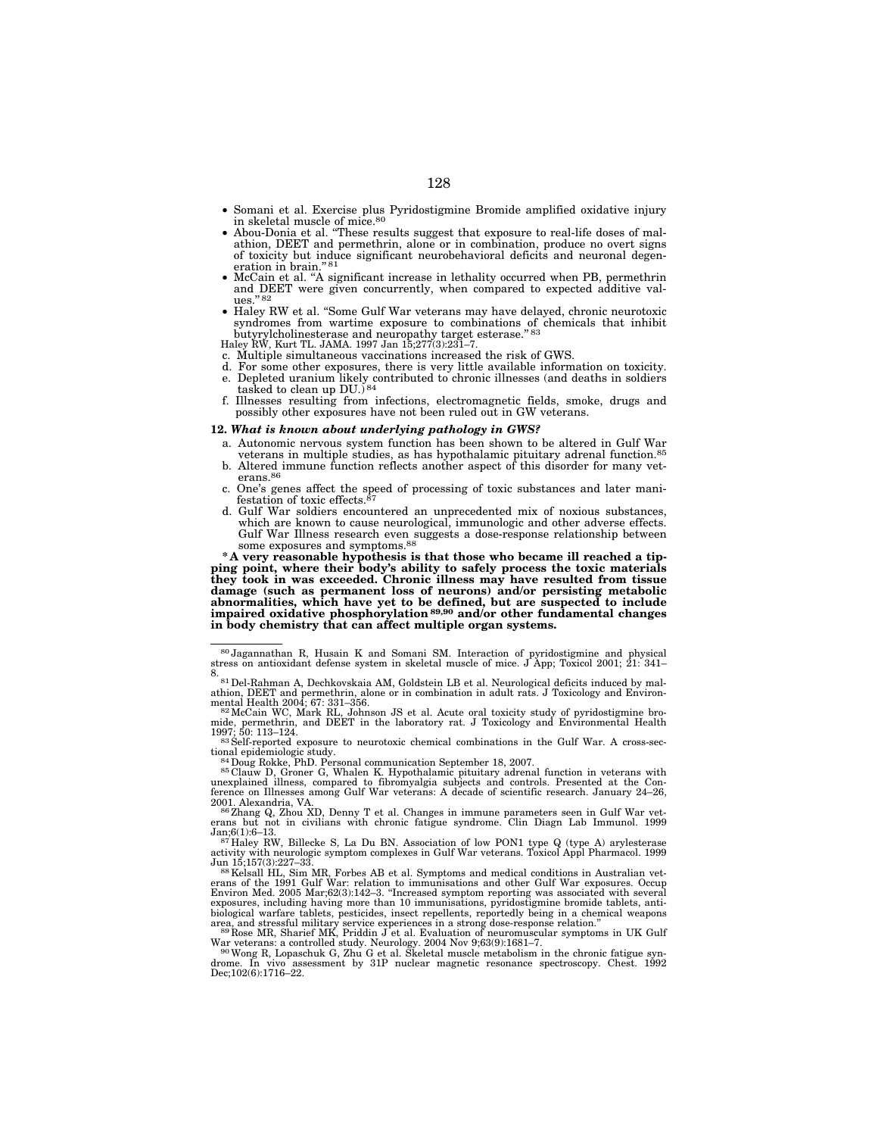- Somani et al. Exercise plus Pyridostigmine Bromide amplified oxidative injury in skeletal muscle of mice.80 • Abou-Donia et al. ''These results suggest that exposure to real-life doses of mal-
- athion, DEET and permethrin, alone or in combination, produce no overt signs of toxicity but induce significant neurobehavioral deficits and neuronal degeneration in brain?
- McCain et al. ''A significant increase in lethality occurred when PB, permethrin and DEET were given concurrently, when compared to expected additive values.'' 82
- Haley RW et al. ''Some Gulf War veterans may have delayed, chronic neurotoxic syndromes from wartime exposure to combinations of chemicals that inhibit butyrylcholinesterase and neuropathy target esterase.'' 83 Haley RW, Kurt TL. JAMA. 1997 Jan 15;277(3):231–7.

- c. Multiple simultaneous vaccinations increased the risk of GWS.
- d. For some other exposures, there is very little available information on toxicity. e. Depleted uranium likely contributed to chronic illnesses (and deaths in soldiers tasked to clean up  $DU$ .)<sup>84</sup>
- f. Illnesses resulting from infections, electromagnetic fields, smoke, drugs and possibly other exposures have not been ruled out in GW veterans.

# **12.** *What is known about underlying pathology in GWS?*

- a. Autonomic nervous system function has been shown to be altered in Gulf War veterans in multiple studies, as has hypothalamic pituitary adrenal function.<sup>85</sup>
- b. Altered immune function reflects another aspect of this disorder for many vet- erans.86
- c. One's genes affect the speed of processing of toxic substances and later manifestation of toxic effects. $87$
- d. Gulf War soldiers encountered an unprecedented mix of noxious substances, which are known to cause neurological, immunologic and other adverse effects. Gulf War Illness research even suggests a dose-response relationship between some exposures and symptoms.88

**\* A very reasonable hypothesis is that those who became ill reached a tipping point, where their body's ability to safely process the toxic materials they took in was exceeded. Chronic illness may have resulted from tissue damage (such as permanent loss of neurons) and/or persisting metabolic abnormalities, which have yet to be defined, but are suspected to include impaired oxidative phosphorylation89,90 and/or other fundamental changes in body chemistry that can affect multiple organ systems.** 

83 Self-reported exposure to neurotoxic chemical combinations in the Gulf War. A cross-sectional epidemiologic study.<br><sup>84</sup>Doug Rokke, PhD. Personal communication September 18, 2007.<br><sup>85</sup> Clauw D, Groner G, Whalen K. Hypothalamic pituitary adrenal function in veterans with

unexplained illness, compared to fibromyalgia subjects and controls. Presented at the Con-ference on Illnesses among Gulf War veterans: A decade of scientific research. January 24–26,

Jan;6(1):6–13. 87 Haley RW, Billecke S, La Du BN. Association of low PON1 type Q (type A) arylesterase activity with neurologic symptom complexes in Gulf War veterans. Toxicol Appl Pharmacol. 1999

Jun 15;157(3):227–33.<br><sup>88</sup>Kelsall HL, Sim MR, Forbes AB et al. Symptoms and medical conditions in Australian vet-<br>erans of the 1991 Gulf War: relation to immunisations and other Gulf War exposures. Occup<br>Environ Med. 2005 exposures, including having more than 10 immunisations, pyridostigmine bromide tablets, anti-<br>biological warfare tablets, pesticides, insect repellents, reportedly being in a chemical weapons<br>area, and stressful military s

War veterans: a controlled study. Neurology. 2004 Nov 9;63(9):1681–7. 90Wong R, Lopaschuk G, Zhu G et al. Skeletal muscle metabolism in the chronic fatigue syn-

assessment by 31P nuclear magnetic resonance spectroscopy. Chest. 1992 drome. In vivo ass<br>Dec;102(6):1716–22.

<sup>80</sup> Jagannathan R, Husain K and Somani SM. Interaction of pyridostigmine and physical stress on antioxidant defense system in skeletal muscle of mice. J App; Toxicol 2001; 21: 341–

<sup>8.&</sup>lt;br>- <sup>81</sup> Del-Rahman A, Dechkovskaia AM, Goldstein LB et al. Neurological deficits induced by mal-<br>athion, DEET and permethrin, alone or in combination in adult rats. J Toxicology and Environ-

mental Health 2004; 67: 331–356.<br><sup>82</sup> McCain WC, Mark RL, Johnson JS et al. Acute oral toxicity study of pyridostigmine bro-<br>mide, permethrin, and DEET in the laboratory rat. J Toxicology and Environmental Health

<sup>2001.</sup> Alexandria, VA.<br><sup>86</sup>Zhang Q, Zhou XD, Denny T et al. Changes in immune parameters seen in Gulf War vet-<br>erans but not in civilians with chronic fatigue syndrome. Clin Diagn Lab Immunol. 1999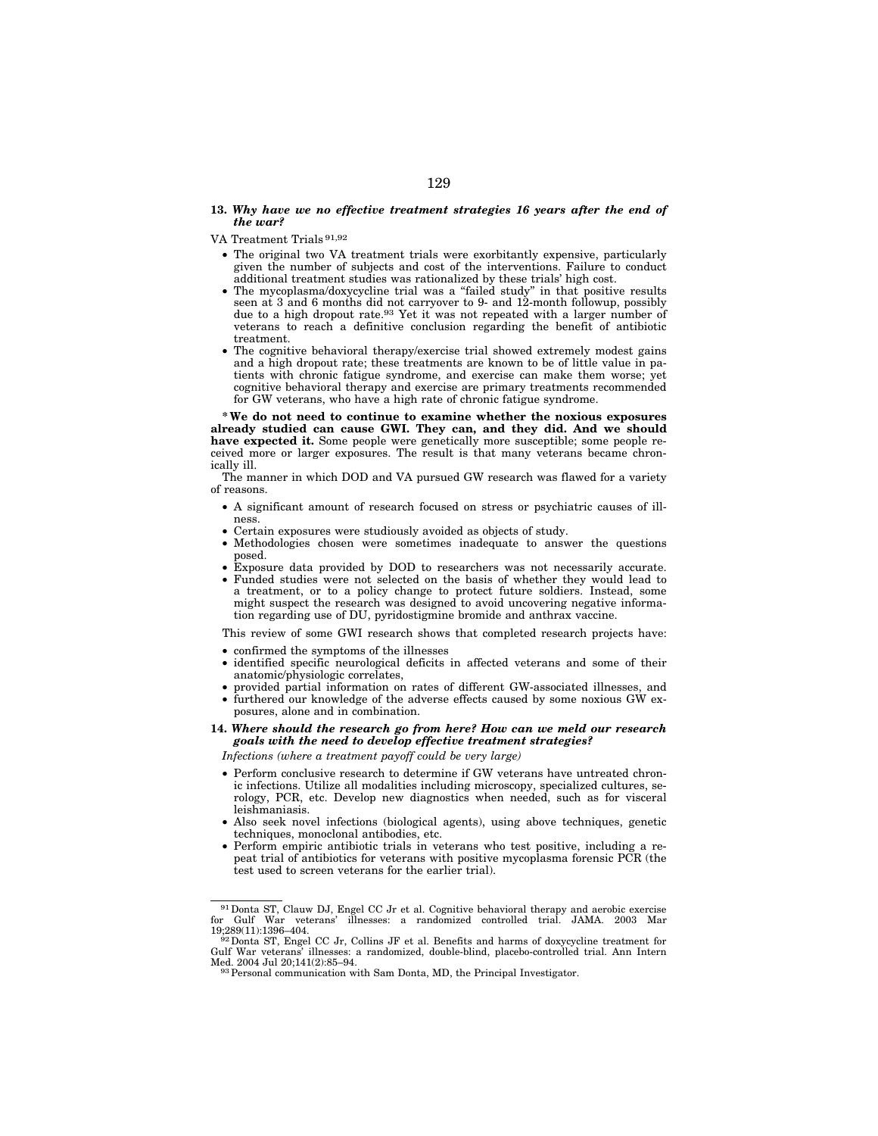### **13.** *Why have we no effective treatment strategies 16 years after the end of the war?*

- VA Treatment Trials 91,92
	- The original two VA treatment trials were exorbitantly expensive, particularly given the number of subjects and cost of the interventions. Failure to conduct additional treatment studies was rationalized by these trials' high cost.
	- The mycoplasma/doxycycline trial was a ''failed study'' in that positive results seen at 3 and 6 months did not carryover to 9- and 12-month followup, possibly due to a high dropout rate.93 Yet it was not repeated with a larger number of veterans to reach a definitive conclusion regarding the benefit of antibiotic treatment.
	- The cognitive behavioral therapy/exercise trial showed extremely modest gains and a high dropout rate; these treatments are known to be of little value in patients with chronic fatigue syndrome, and exercise can make them worse; yet cognitive behavioral therapy and exercise are primary treatments recommended for GW veterans, who have a high rate of chronic fatigue syndrome.

**\* We do not need to continue to examine whether the noxious exposures already studied can cause GWI. They can, and they did. And we should have expected it.** Some people were genetically more susceptible; some people received more or larger exposures. The result is that many veterans became chronically ill.

The manner in which DOD and VA pursued GW research was flawed for a variety of reasons.

- A significant amount of research focused on stress or psychiatric causes of illness.
- Certain exposures were studiously avoided as objects of study.
- Methodologies chosen were sometimes inadequate to answer the questions posed.
- Exposure data provided by DOD to researchers was not necessarily accurate.
- Funded studies were not selected on the basis of whether they would lead to a treatment, or to a policy change to protect future soldiers. Instead, some might suspect the research was designed to avoid uncovering negative information regarding use of DU, pyridostigmine bromide and anthrax vaccine.

This review of some GWI research shows that completed research projects have:

- confirmed the symptoms of the illnesses
- identified specific neurological deficits in affected veterans and some of their anatomic/physiologic correlates,
- provided partial information on rates of different GW-associated illnesses, and
- furthered our knowledge of the adverse effects caused by some noxious GW exposures, alone and in combination.

# **14.** *Where should the research go from here? How can we meld our research goals with the need to develop effective treatment strategies?*

*Infections (where a treatment payoff could be very large)* 

- Perform conclusive research to determine if GW veterans have untreated chronic infections. Utilize all modalities including microscopy, specialized cultures, serology, PCR, etc. Develop new diagnostics when needed, such as for visceral leishmaniasis.
- Also seek novel infections (biological agents), using above techniques, genetic techniques, monoclonal antibodies, etc.
- Perform empiric antibiotic trials in veterans who test positive, including a repeat trial of antibiotics for veterans with positive mycoplasma forensic PCR (the test used to screen veterans for the earlier trial).

<sup>91</sup>Donta ST, Clauw DJ, Engel CC Jr et al. Cognitive behavioral therapy and aerobic exercise for Gulf War veterans' illnesses: a randomized controlled trial. JAMA. 2003 Mar

<sup>&</sup>lt;sup>92</sup> Donta ST, Engel CC Jr, Collins JF et al. Benefits and harms of doxycycline treatment for Gulf War veterans' illnesses: a randomized, double-blind, placebo-controlled trial. Ann Intern

<sup>93</sup> Personal communication with Sam Donta, MD, the Principal Investigator.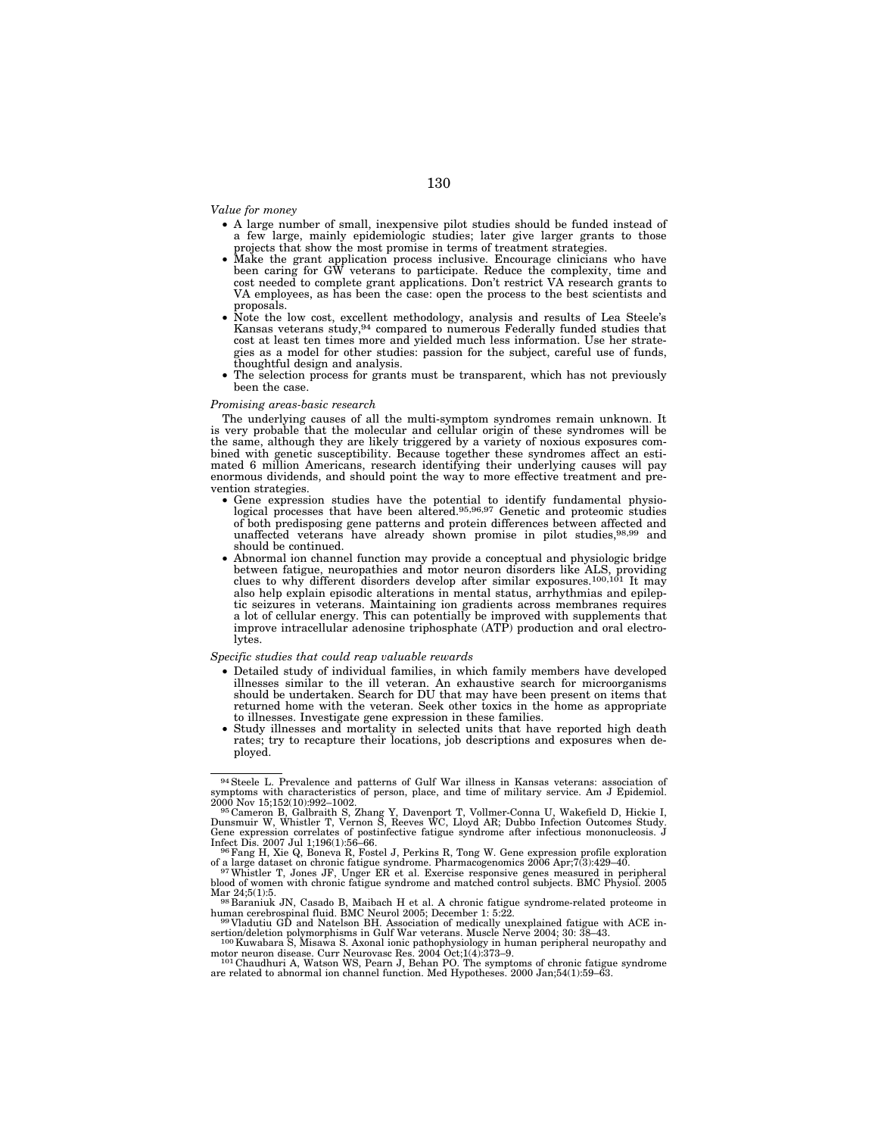*Value for money* 

- A large number of small, inexpensive pilot studies should be funded instead of a few large, mainly epidemiologic studies; later give larger grants to those projects that show the most promise in terms of treatment strategies.
- Make the grant application process inclusive. Encourage clinicians who have been caring for GW veterans to participate. Reduce the complexity, time and cost needed to complete grant applications. Don't restrict VA research grants to VA employees, as has been the case: open the process to the best scientists and proposals.
- Note the low cost, excellent methodology, analysis and results of Lea Steele's Kansas veterans study,94 compared to numerous Federally funded studies that cost at least ten times more and yielded much less information. Use her strategies as a model for other studies: passion for the subject, careful use of funds, thoughtful design and analysis.
- The selection process for grants must be transparent, which has not previously been the case.

#### *Promising areas-basic research*

The underlying causes of all the multi-symptom syndromes remain unknown. It is very probable that the molecular and cellular origin of these syndromes will be the same, although they are likely triggered by a variety of noxious exposures combined with genetic susceptibility. Because together these syndromes affect an estimated 6 million Americans, research identifying their underlying causes will pay enormous dividends, and should point the way to more effective treatment and prevention strategies.

- Gene expression studies have the potential to identify fundamental physio-logical processes that have been altered.95,96,97 Genetic and proteomic studies of both predisposing gene patterns and protein differences between affected and unaffected veterans have already shown promise in pilot studies,98,99 and should be continued.
- Abnormal ion channel function may provide a conceptual and physiologic bridge between fatigue, neuropathies and motor neuron disorders like ALS, providing clues to why different disorders develop after similar exposures.<sup>100,101</sup> It may also help explain episodic alterations in mental status, arrhythmias and epileptic seizures in veterans. Maintaining ion gradients across membranes requires a lot of cellular energy. This can potentially be improved with supplements that improve intracellular adenosine triphosphate (ATP) production and oral electrolytes.

#### *Specific studies that could reap valuable rewards*

- Detailed study of individual families, in which family members have developed illnesses similar to the ill veteran. An exhaustive search for microorganisms should be undertaken. Search for DU that may have been present on items that returned home with the veteran. Seek other toxics in the home as appropriate to illnesses. Investigate gene expression in these families.
- Study illnesses and mortality in selected units that have reported high death rates; try to recapture their locations, job descriptions and exposures when deployed.

<sup>&</sup>lt;sup>94</sup> Steele L. Prevalence and patterns of Gulf War illness in Kansas veterans: association of symptoms with characteristics of person, place, and time of military service. Am J Epidemiol.

<sup>2000</sup> Nov 15;152(10):992–1002.<br><sup>95</sup> Cameron B, Galbraith S, Zhang Y, Davenport T, Vollmer-Conna U, Wakefield D, Hickie I,<br>Dunsmuir W, Whistler T, Vernon S, Reeves WC, Lloyd AR; Dubbo Infection Outcomes Study.<br>Gene expressio

Infect Dis. 2007 Jul 1;196(1):56–66.<br><sup>96</sup>Fang H, Xie Q, Boneva R, Fostel J, Perkins R, Tong W. Gene expression profile exploration<br>of a large dataset on chronic fatigue syndrome. Pharmacogenomics 2006 Apr;7(3):429–40.

of a large dataset on chronic fatigue syndrome. Pharmacogenomics 2006 Apr;7(3):429–40.<br>- <sup>97</sup> Whistler T, Jones JF, Unger ER et al. Exercise responsive genes measured in peripheral<br>blood of women with chronic fatigue syndr

Mar 24;5(1):5.<br><sup>98</sup> Baraniuk JN, Casado B, Maibach H et al. A chronic fatigue syndrome-related proteome in<br>human cerebrospinal fluid. BMC Neurol 2005; December 1: 5:22. human cerebrospinal fluid. BMC Neurol 2005; December 1: 5:22. 99 Vladutiu GD and Natelson BH. Association of medically unexplained fatigue with ACE in-

sertion/deletion polymorphisms in Gulf War veterans. Muscle Nerve 2004; 30: 38–43.<br><sup>100</sup>Kuwabara S, Misawa S. Axonal ionic pathophysiology in human peripheral neuropathy and

motor neuron disease. Curr Neurovasc Res. 2004 Oct;1(4):373–9. 101 Chaudhuri A, Watson WS, Pearn J, Behan PO. The symptoms of chronic fatigue syndrome

<sup>&</sup>lt;sup>101</sup> Chaudhuri A, Watson WS, Pearn J, Behan PO. The symptoms of chronic fatigue syndrome are related to abnormal ion channel function. Med Hypotheses. 2000 Jan;54(1):59–63.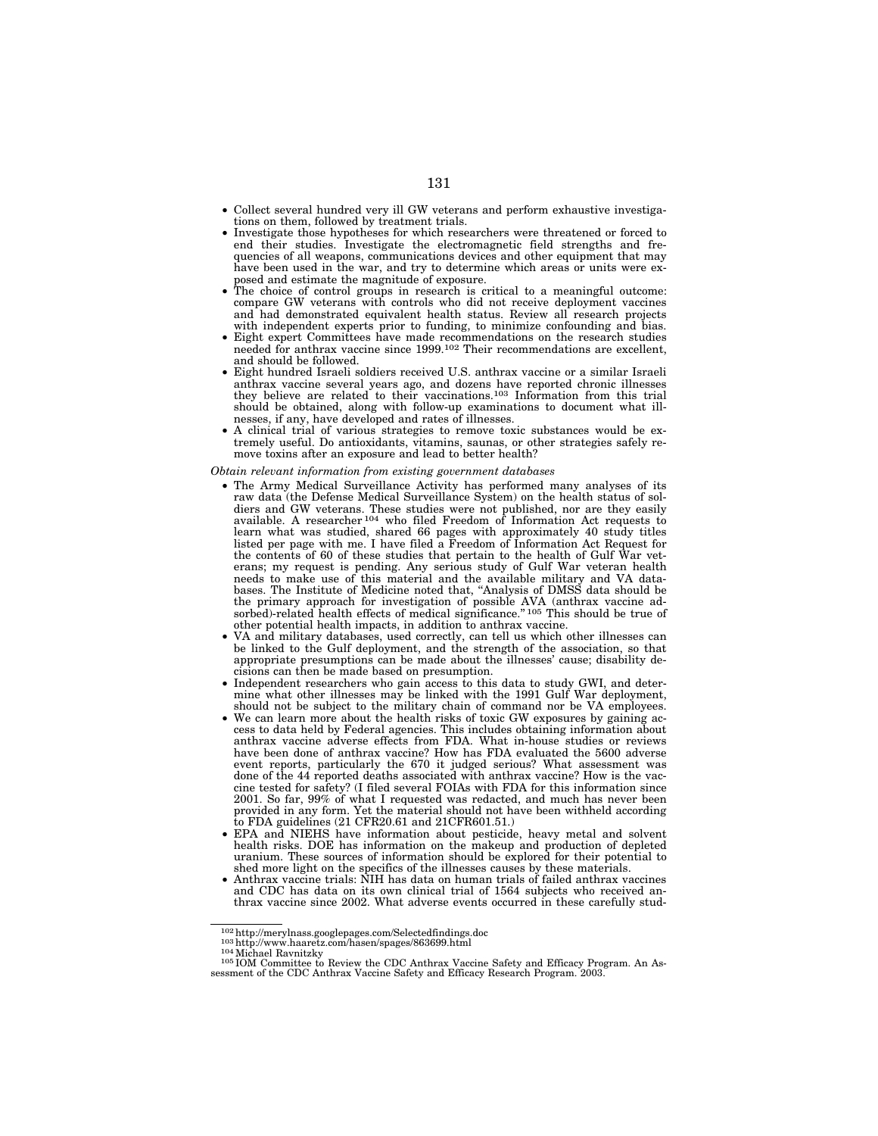- Collect several hundred very ill GW veterans and perform exhaustive investigations on them, followed by treatment trials.
- Investigate those hypotheses for which researchers were threatened or forced to end their studies. Investigate the electromagnetic field strengths and frequencies of all weapons, communications devices and other equipment that may have been used in the war, and try to determine which areas or units were exposed and estimate the magnitude of exposure.
- The choice of control groups in research is critical to a meaningful outcome: compare GW veterans with controls who did not receive deployment vaccines and had demonstrated equivalent health status. Review all research projects with independent experts prior to funding, to minimize confounding and bias.
- Eight expert Committees have made recommendations on the research studies needed for anthrax vaccine since 1999.<sup>102</sup> Their recommendations are excellent, and should be followed.
- Eight hundred Israeli soldiers received U.S. anthrax vaccine or a similar Israeli anthrax vaccine several years ago, and dozens have reported chronic illnesses they believe are related to their vaccinations.103 Information from this trial should be obtained, along with follow-up examinations to document what illnesses, if any, have developed and rates of illnesses.
- A clinical trial of various strategies to remove toxic substances would be extremely useful. Do antioxidants, vitamins, saunas, or other strategies safely remove toxins after an exposure and lead to better health?

*Obtain relevant information from existing government databases* 

- The Army Medical Surveillance Activity has performed many analyses of its raw data (the Defense Medical Surveillance System) on the health status of soldiers and GW veterans. These studies were not published, nor are they easily available. A researcher 104 who filed Freedom of Information Act requests to learn what was studied, shared 66 pages with approximately 40 study titles listed per page with me. I have filed a Freedom of Information Act Request for the contents of 60 of these studies that pertain to the health of Gulf War veterans; my request is pending. Any serious study of Gulf War veteran health needs to make use of this material and the available military and VA databases. The Institute of Medicine noted that, ''Analysis of DMSS data should be the primary approach for investigation of possible AVA (anthrax vaccine adsorbed)-related health effects of medical significance." 105 This should be true of other potential health impacts, in addition to anthrax vaccine.
- VA and military databases, used correctly, can tell us which other illnesses can be linked to the Gulf deployment, and the strength of the association, so that appropriate presumptions can be made about the illnesses' cause; disability decisions can then be made based on presumption.
- Independent researchers who gain access to this data to study GWI, and determine what other illnesses may be linked with the 1991 Gulf War deployment, should not be subject to the military chain of command nor be VA employees.
- We can learn more about the health risks of toxic GW exposures by gaining access to data held by Federal agencies. This includes obtaining information about anthrax vaccine adverse effects from FDA. What in-house studies or reviews have been done of anthrax vaccine? How has FDA evaluated the 5600 adverse event reports, particularly the 670 it judged serious? What assessment was done of the 44 reported deaths associated with anthrax vaccine? How is the vaccine tested for safety? (I filed several FOIAs with FDA for this information since 2001. So far, 99% of what I requested was redacted, and much has never been provided in any form. Yet the material should not have been withheld according to FDA guidelines (21 CFR20.61 and 21 CFR601.51.)
- EPA and NIEHS have information about pesticide, heavy metal and solvent health risks. DOE has information on the makeup and production of depleted uranium. These sources of information should be explored for their potential to shed more light on the specifics of the illnesses causes by these materials.
- Anthrax vaccine trials: NIH has data on human trials of failed anthrax vaccines and CDC has data on its own clinical trial of 1564 subjects who received anthrax vaccine since 2002. What adverse events occurred in these carefully stud-

<sup>102</sup> http://merylnass.googlepages.com/Selectedfindings.doc<br>
<sup>103</sup> http://www.haaretz.com/hasen/spages/863699.html<br>
<sup>104</sup> Michael Ravnitzky

<sup>105</sup> IOM Committee to Review the CDC Anthrax Vaccine Safety and Efficacy Program. An Assessment of the CDC Anthrax Vaccine Safety and Efficacy Research Program. 2003.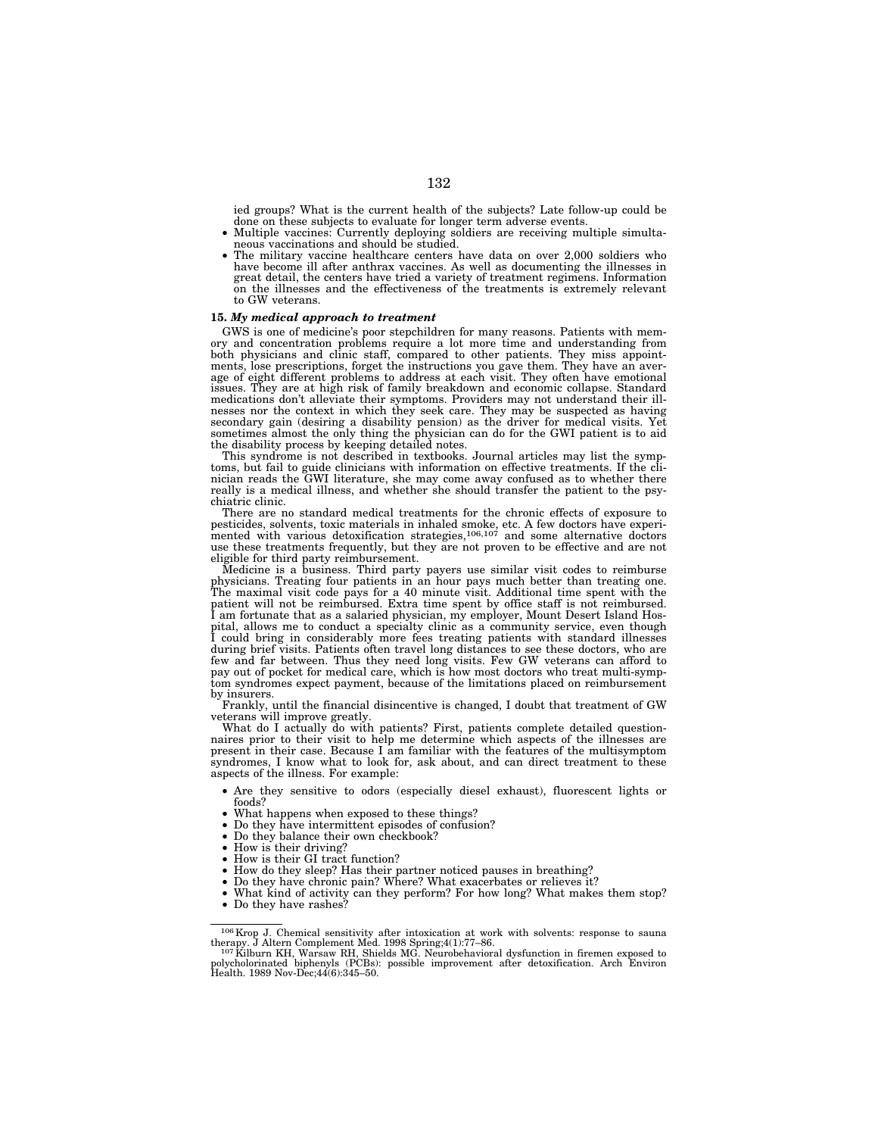ied groups? What is the current health of the subjects? Late follow-up could be

- done on these subjects to evaluate for longer term adverse events.<br>• Multiple vaccines: Currently deploying soldiers are receiving multiple simulta-<br>neous vaccinations and should be studied.
- The military vaccine healthcare centers have data on over 2,000 soldiers who have become ill after anthrax vaccines. As well as documenting the illnesses in great detail, the centers have tried a variety of treatment regimens. Information on the illnesses and the effectiveness of the treatments is extremely relevant to GW veterans.

### **15.** *My medical approach to treatment*

GWS is one of medicine's poor stepchildren for many reasons. Patients with memory and concentration problems require a lot more time and understanding from both physicians and clinic staff, compared to other patients. They miss appointments, lose prescriptions, forget the instructions you gave them. They have an average of eight different problems to address at each visit. They often have emotional issues. They are at high risk of family breakdown and economic collapse. Standard medications don't alleviate their symptoms. Providers may not understand their illnesses nor the context in which they seek care. They may be suspected as having secondary gain (desiring a disability pension) as the driver for medical visits. Yet sometimes almost the only thing the physician can do for the GWI patient is to aid the disability process by keeping detailed notes.

This syndrome is not described in textbooks. Journal articles may list the symptoms, but fail to guide clinicians with information on effective treatments. If the clinician reads the GWI literature, she may come away confused as to whether there really is a medical illness, and whether she should transfer the patient to the psychiatric clinic.

There are no standard medical treatments for the chronic effects of exposure to pesticides, solvents, toxic materials in inhaled smoke, etc. A few doctors have experi-mented with various detoxification strategies,106,107 and some alternative doctors use these treatments frequently, but they are not proven to be effective and are not eligible for third party reimbursement.

Medicine is a business. Third party payers use similar visit codes to reimburse physicians. Treating four patients in an hour pays much better than treating one. The maximal visit code pays for a 40 minute visit. Additional time spent with the patient will not be reimbursed. Extra time spent by office staff is not reimbursed. I am fortunate that as a salaried physician, my employer, Mount Desert Island Hospital, allows me to conduct a specialty clinic as a community service, even though I could bring in considerably more fees treating patients with standard illnesses during brief visits. Patients often travel long distances to see these doctors, who are few and far between. Thus they need long visits. Few GW veterans can afford to pay out of pocket for medical care, which is how most doctors who treat multi-symptom syndromes expect payment, because of the limitations placed on reimbursement by insurers.

Frankly, until the financial disincentive is changed, I doubt that treatment of GW veterans will improve greatly.

What do I actually do with patients? First, patients complete detailed question-naires prior to their visit to help me determine which aspects of the illnesses are present in their case. Because I am familiar with the features of the multisymptom syndromes, I know what to look for, ask about, and can direct treatment to these aspects of the illness. For example:

- Are they sensitive to odors (especially diesel exhaust), fluorescent lights or
- What happens when exposed to these things?<br>• Do they have intermittent episodes of confusion?<br>• Do they balance their own checkbook?<br>• How is their driving?
- 
- 
- 
- How is their GI tract function?
- How do they sleep? Has their partner noticed pauses in breathing?
- Do they have chronic pain? Where? What exacerbates or relieves it?
- What kind of activity can they perform? For how long? What makes them stop?
- Do they have rashes?

 $^{106}$  Krop J. Chemical sensitivity after intoxication at work with solvents: response to sauna therapy. J Altern Complement Med. 1998 Spring;4(1):77–86.<br> $^{107}$  Kilburn KH, Warsaw RH, Shields MG. Neurobehavioral dysfunc

polycholorinated biphenyls (PCBs): possible improvement after detoxification. Arch Environ Health. 1989 Nov-Dec;44(6):345–50.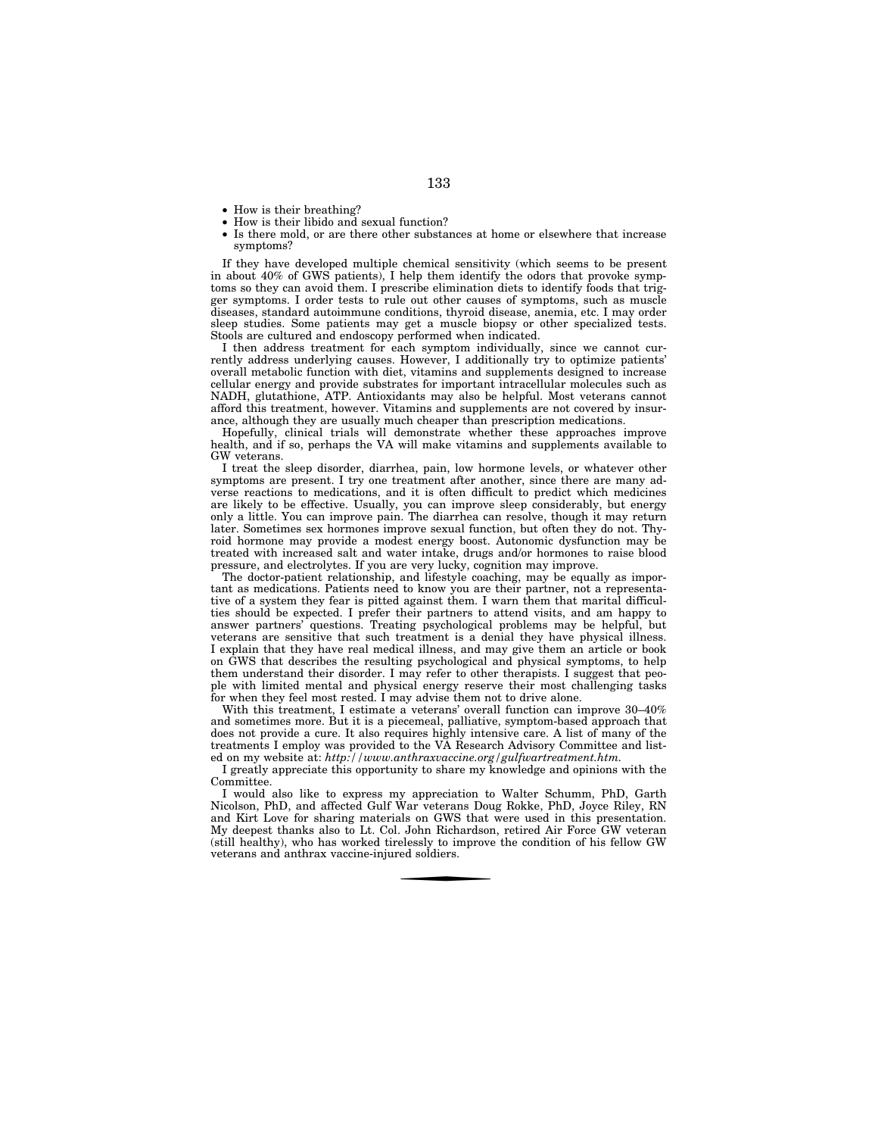- How is their breathing?
- How is their libido and sexual function?
- Is there mold, or are there other substances at home or elsewhere that increase symptoms?

If they have developed multiple chemical sensitivity (which seems to be present in about 40% of GWS patients), I help them identify the odors that provoke symptoms so they can avoid them. I prescribe elimination diets to identify foods that trigger symptoms. I order tests to rule out other causes of symptoms, such as muscle diseases, standard autoimmune conditions, thyroid disease, anemia, etc. I may order sleep studies. Some patients may get a muscle biopsy or other specialized tests. Stools are cultured and endoscopy performed when indicated.

I then address treatment for each symptom individually, since we cannot currently address underlying causes. However, I additionally try to optimize patients' overall metabolic function with diet, vitamins and supplements designed to increase cellular energy and provide substrates for important intracellular molecules such as NADH, glutathione, ATP. Antioxidants may also be helpful. Most veterans cannot afford this treatment, however. Vitamins and supplements are not covered by insurance, although they are usually much cheaper than prescription medications.

Hopefully, clinical trials will demonstrate whether these approaches improve health, and if so, perhaps the VA will make vitamins and supplements available to GW veterans.

I treat the sleep disorder, diarrhea, pain, low hormone levels, or whatever other symptoms are present. I try one treatment after another, since there are many adverse reactions to medications, and it is often difficult to predict which medicines are likely to be effective. Usually, you can improve sleep considerably, but energy only a little. You can improve pain. The diarrhea can resolve, though it may return later. Sometimes sex hormones improve sexual function, but often they do not. Thyroid hormone may provide a modest energy boost. Autonomic dysfunction may be treated with increased salt and water intake, drugs and/or hormones to raise blood pressure, and electrolytes. If you are very lucky, cognition may improve.

The doctor-patient relationship, and lifestyle coaching, may be equally as important as medications. Patients need to know you are their partner, not a representative of a system they fear is pitted against them. I warn them that marital difficulties should be expected. I prefer their partners to attend visits, and am happy to answer partners' questions. Treating psychological problems may be helpful, but veterans are sensitive that such treatment is a denial they have physical illness. I explain that they have real medical illness, and may give them an article or book on GWS that describes the resulting psychological and physical symptoms, to help them understand their disorder. I may refer to other therapists. I suggest that people with limited mental and physical energy reserve their most challenging tasks for when they feel most rested. I may advise them not to drive alone.

With this treatment, I estimate a veterans' overall function can improve  $30-40\%$ and sometimes more. But it is a piecemeal, palliative, symptom-based approach that does not provide a cure. It also requires highly intensive care. A list of many of the treatments I employ was provided to the VA Research Advisory Committee and listed on my website at: *http://www.anthraxvaccine.org/gulfwartreatment.htm.* 

I greatly appreciate this opportunity to share my knowledge and opinions with the Committee.

I would also like to express my appreciation to Walter Schumm, PhD, Garth Nicolson, PhD, and affected Gulf War veterans Doug Rokke, PhD, Joyce Riley, RN and Kirt Love for sharing materials on GWS that were used in this presentation. My deepest thanks also to Lt. Col. John Richardson, retired Air Force GW veteran (still healthy), who has worked tirelessly to improve the condition of his fellow GW veterans and anthrax vaccine-injured soldiers.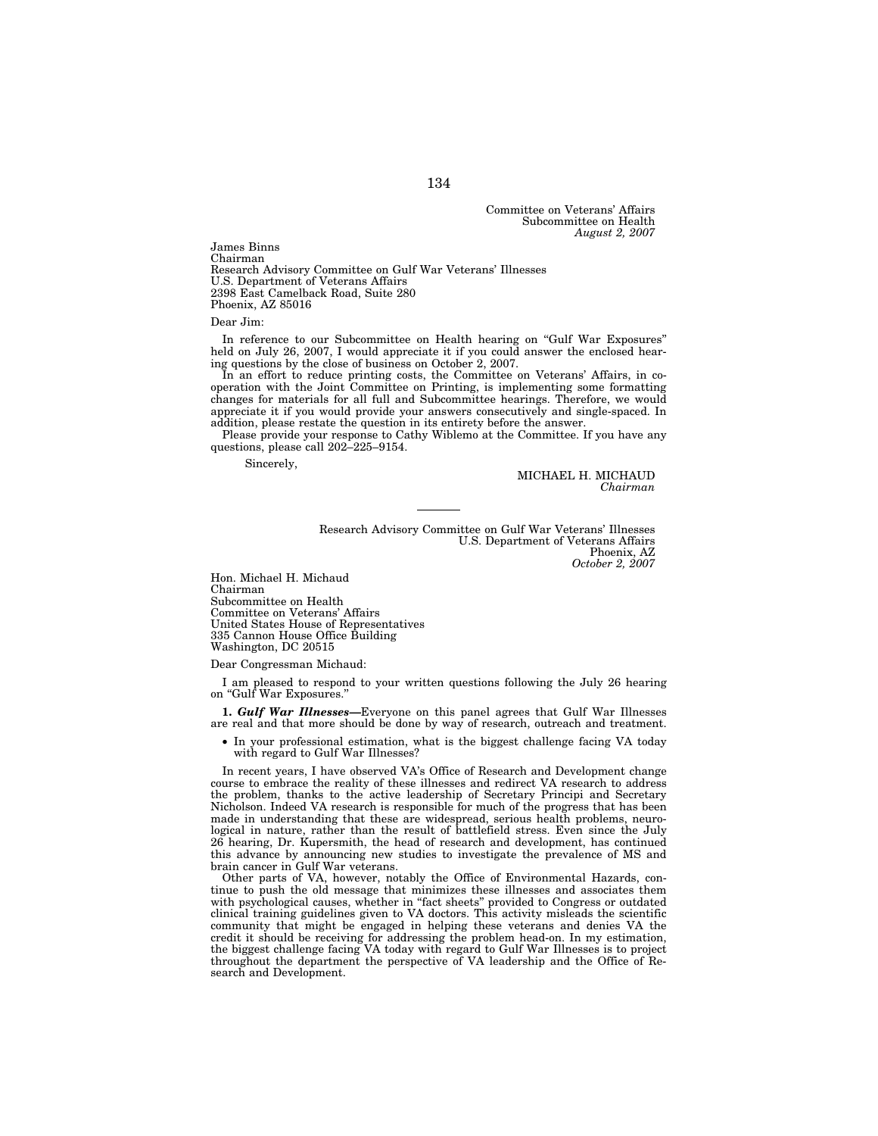Committee on Veterans' Affairs Subcommittee on Health *August 2, 2007* 

James Binns Chairman Research Advisory Committee on Gulf War Veterans' Illnesses U.S. Department of Veterans Affairs 2398 East Camelback Road, Suite 280 Phoenix, AZ 85016

Dear Jim:

In reference to our Subcommittee on Health hearing on ''Gulf War Exposures'' held on July 26, 2007, I would appreciate it if you could answer the enclosed hearing questions by the close of business on October 2, 2007.

In an effort to reduce printing costs, the Committee on Veterans' Affairs, in cooperation with the Joint Committee on Printing, is implementing some formatting changes for materials for all full and Subcommittee hearings. Therefore, we would appreciate it if you would provide your answers consecutively and single-spaced. In addition, please restate the question in its entirety before the answer.

Please provide your response to Cathy Wiblemo at the Committee. If you have any questions, please call 202–225–9154.

Sincerely,

MICHAEL H. MICHAUD *Chairman* 

Research Advisory Committee on Gulf War Veterans' Illnesses U.S. Department of Veterans Affairs Phoenix, AZ *October 2, 2007* 

Hon. Michael H. Michaud Chairman Subcommittee on Health Committee on Veterans' Affairs United States House of Representatives 335 Cannon House Office Building Washington, DC 20515

Dear Congressman Michaud:

I am pleased to respond to your written questions following the July 26 hearing on ''Gulf War Exposures.''

**1.** *Gulf War Illnesses—*Everyone on this panel agrees that Gulf War Illnesses are real and that more should be done by way of research, outreach and treatment.

• In your professional estimation, what is the biggest challenge facing VA today with regard to Gulf War Illnesses?

In recent years, I have observed VA's Office of Research and Development change course to embrace the reality of these illnesses and redirect VA research to address the problem, thanks to the active leadership of Secretary Principi and Secretary Nicholson. Indeed VA research is responsible for much of the progress that has been made in understanding that these are widespread, serious health problems, neurological in nature, rather than the result of battlefield stress. Even since the July 26 hearing, Dr. Kupersmith, the head of research and development, has continued this advance by announcing new studies to investigate the prevalence of MS and brain cancer in Gulf War veterans.

Other parts of VA, however, notably the Office of Environmental Hazards, continue to push the old message that minimizes these illnesses and associates them with psychological causes, whether in "fact sheets" provided to Congress or outdated clinical training guidelines given to VA doctors. This activity misleads the scientific community that might be engaged in helping these veterans and denies VA the credit it should be receiving for addressing the problem head-on. In my estimation, the biggest challenge facing VA today with regard to Gulf War Illnesses is to project throughout the department the perspective of VA leadership and the Office of Research and Development.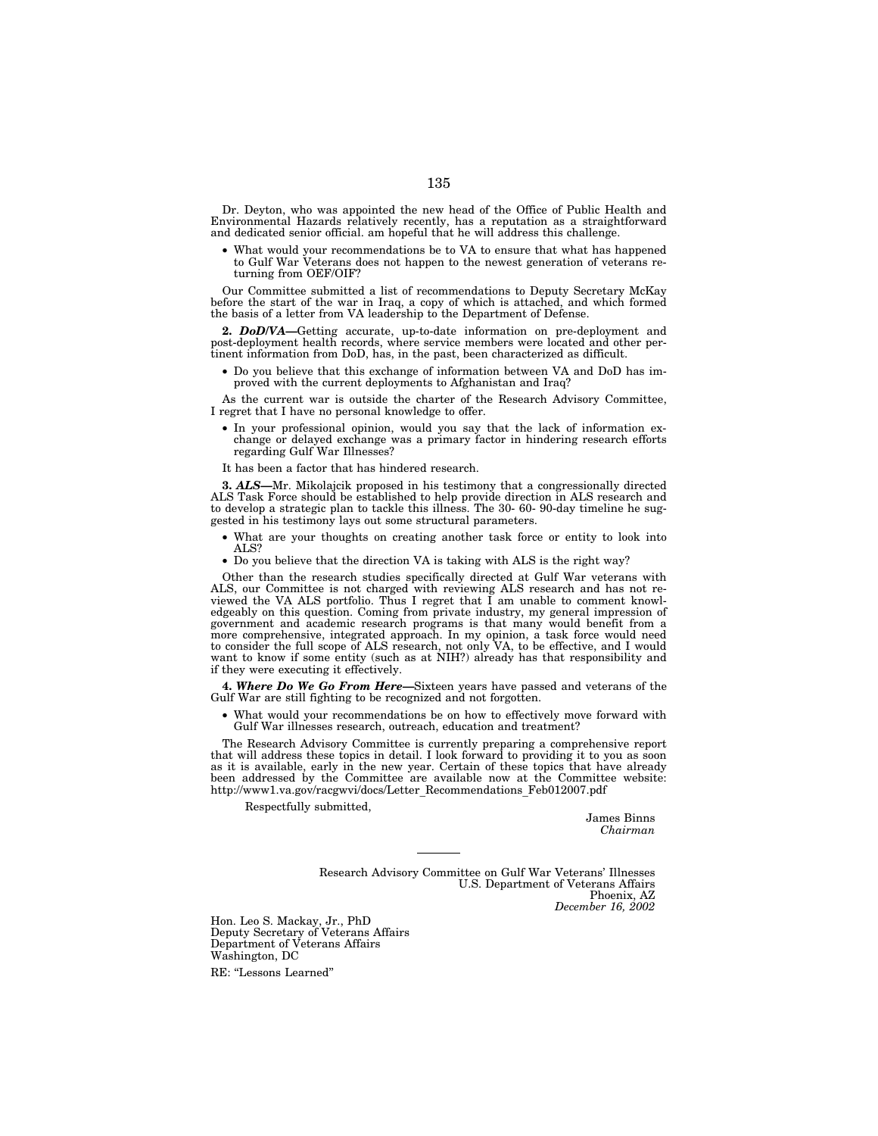Dr. Deyton, who was appointed the new head of the Office of Public Health and Environmental Hazards relatively recently, has a reputation as a straightforward and dedicated senior official. am hopeful that he will address this challenge.

What would your recommendations be to VA to ensure that what has happened to Gulf War Veterans does not happen to the newest generation of veterans returning from OEF/OIF?

Our Committee submitted a list of recommendations to Deputy Secretary McKay before the start of the war in Iraq, a copy of which is attached, and which formed the basis of a letter from VA leadership to the Department of Defense.

**2.** *DoD/VA—*Getting accurate, up-to-date information on pre-deployment and post-deployment health records, where service members were located and other pertinent information from DoD, has, in the past, been characterized as difficult.

• Do you believe that this exchange of information between VA and DoD has improved with the current deployments to Afghanistan and Iraq?

As the current war is outside the charter of the Research Advisory Committee, I regret that I have no personal knowledge to offer.

• In your professional opinion, would you say that the lack of information exchange or delayed exchange was a primary factor in hindering research efforts regarding Gulf War Illnesses?

It has been a factor that has hindered research.

**3.** *ALS—*Mr. Mikolajcik proposed in his testimony that a congressionally directed ALS Task Force should be established to help provide direction in ALS research and to develop a strategic plan to tackle this illness. The 30- 60- 90-day timeline he suggested in his testimony lays out some structural parameters.

- What are your thoughts on creating another task force or entity to look into ALS?
- Do you believe that the direction VA is taking with ALS is the right way?

Other than the research studies specifically directed at Gulf War veterans with ALS, our Committee is not charged with reviewing ALS research and has not reviewed the VA ALS portfolio. Thus I regret that I am unable to comment knowledgeably on this question. Coming from private industry, my general impression of government and academic research programs is that many would benefit from a more comprehensive, integrated approach. In my opinion, a task force would need to consider the full scope of ALS research, not only VA, to be effective, and I would want to know if some entity (such as at NIH?) already has that responsibility and if they were executing it effectively.

**4.** *Where Do We Go From Here—*Sixteen years have passed and veterans of the Gulf War are still fighting to be recognized and not forgotten.

• What would your recommendations be on how to effectively move forward with Gulf War illnesses research, outreach, education and treatment?

The Research Advisory Committee is currently preparing a comprehensive report that will address these topics in detail. I look forward to providing it to you as soon as it is available, early in the new year. Certain of these topics that have already been addressed by the Committee are available now at the Committee website: http://www1.va.gov/racgwvi/docs/Letter\_Recommendations\_Feb012007.pdf

Respectfully submitted,

James Binns *Chairman* 

Research Advisory Committee on Gulf War Veterans' Illnesses U.S. Department of Veterans Affairs Phoenix, AZ *December 16, 2002* 

Hon. Leo S. Mackay, Jr., PhD Deputy Secretary of Veterans Affairs Department of Veterans Affairs Washington, DC

RE: ''Lessons Learned''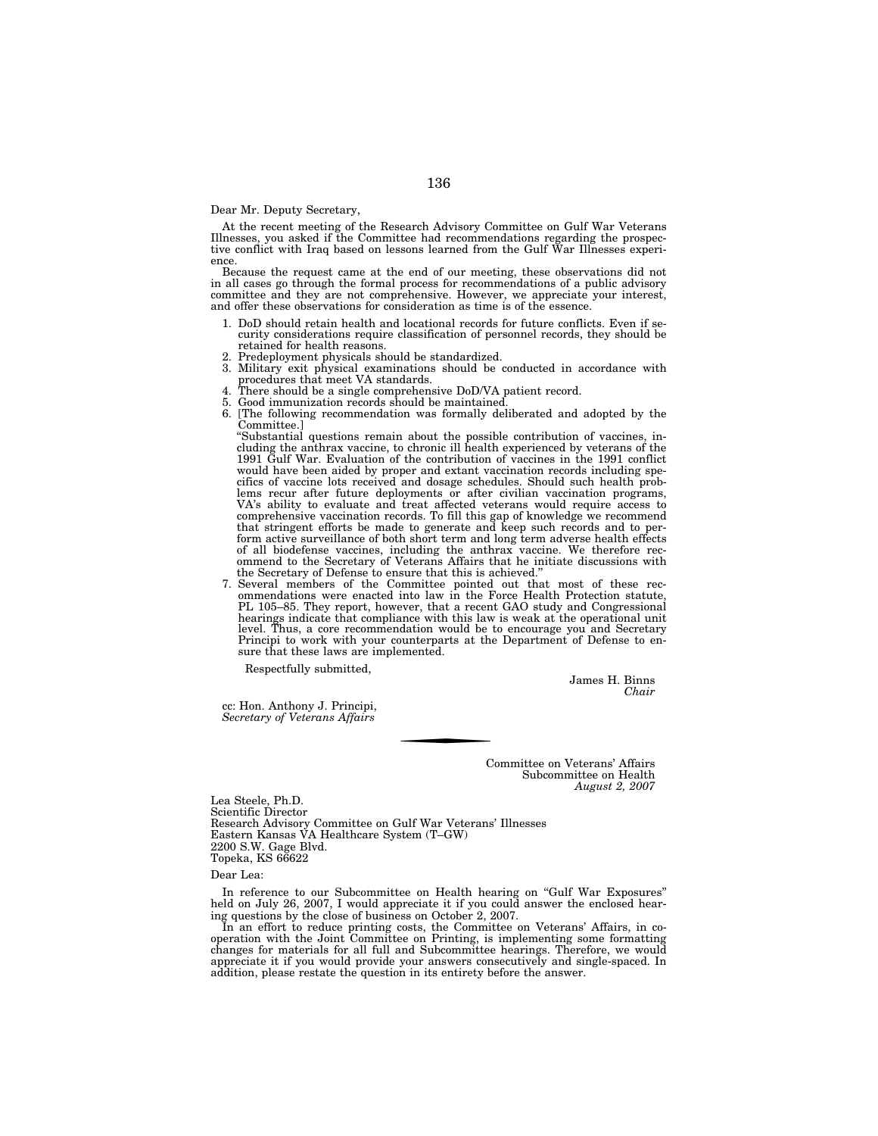### Dear Mr. Deputy Secretary,

At the recent meeting of the Research Advisory Committee on Gulf War Veterans Illnesses, you asked if the Committee had recommendations regarding the prospective conflict with Iraq based on lessons learned from the Gulf War Illnesses experi-

Because the request came at the end of our meeting, these observations did not in all cases go through the formal process for recommendations of a public advisory committee and they are not comprehensive. However, we appreciate your interest, and offer these observations for consideration as time is of the essence.

- 1. DoD should retain health and locational records for future conflicts. Even if security considerations require classification of personnel records, they should be retained for health reasons.
- 2. Predeployment physicals should be standardized.
- 3. Military exit physical examinations should be conducted in accordance with
- procedures that meet VA standards. 4. There should be a single comprehensive DoD/VA patient record.
- 
- 5. Good immunization records should be maintained. 6. [The following recommendation was formally deliberated and adopted by the

Committee.] ''Substantial questions remain about the possible contribution of vaccines, including the anthrax vaccine, to chronic ill health experienced by veterans of the 1991 Gulf War. Evaluation of the contribution of vaccines in the 1991 conflict would have been aided by proper and extant vaccination records including specifics of vaccine lots received and dosage schedules. Should such health problems recur after future deployments or after civilian vaccination programs, VA's ability to evaluate and treat affected veterans would require ac of all biodefense vaccines, including the anthrax vaccine. We therefore recommend to the Secretary of Veterans Affairs that he initiate discussions with the Secretary of Defense to ensure that this is achieved.''

7. Several members of the Committee pointed out that most of these rec-ommendations were enacted into law in the Force Health Protection statute, PL 105–85. They report, however, that a recent GAO study and Congressional hearings indicate that compliance with this law is weak at the operational unit level. Thus, a core recommendation would be to encourage you and Secretary Principi to work with your counterparts at the Department of Defense to ensure that these laws are implemented.

Respectfully submitted,

James H. Binns *Chair* 

cc: Hon. Anthony J. Principi, *Secretary of Veterans Affairs* 

> Committee on Veterans' Affairs Subcommittee on Health *August 2, 2007*

Lea Steele, Ph.D. Scientific Director Research Advisory Committee on Gulf War Veterans' Illnesses Eastern Kansas VA Healthcare System (T–GW) 2200 S.W. Gage Blvd. Topeka, KS 66622

Dear Lea:

In reference to our Subcommittee on Health hearing on ''Gulf War Exposures'' held on July 26, 2007, I would appreciate it if you could answer the enclosed hearing questions by the close of business on October 2, 2007.

In an effort to reduce printing costs, the Committee on Veterans' Affairs, in cooperation with the Joint Committee on Printing, is implementing some formatting changes for materials for all full and Subcommittee hearings. Therefore, we would appreciate it if you would provide your answers consecutively and single-spaced. In addition, please restate the question in its entirety before the answer.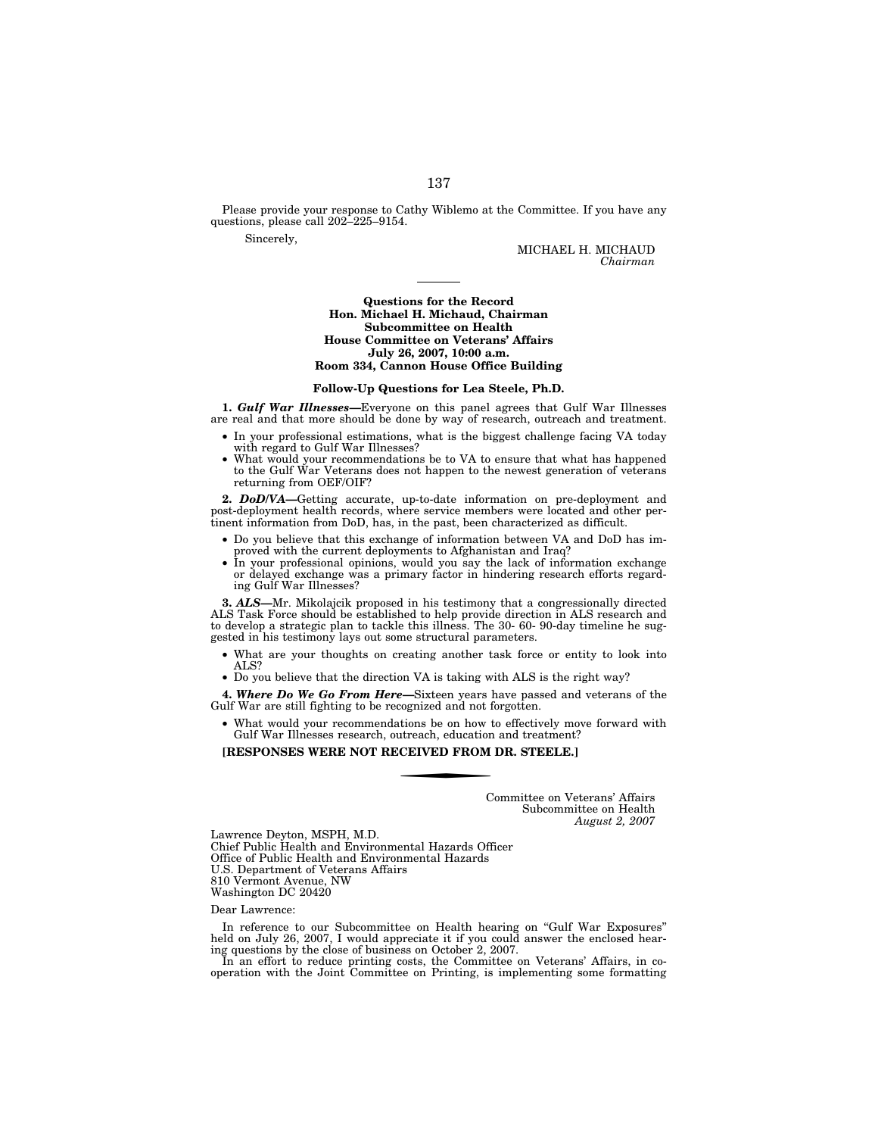Please provide your response to Cathy Wiblemo at the Committee. If you have any questions, please call 202–225–9154.

Sincerely,

MICHAEL H. MICHAUD *Chairman* 

### **Questions for the Record Hon. Michael H. Michaud, Chairman Subcommittee on Health House Committee on Veterans' Affairs July 26, 2007, 10:00 a.m. Room 334, Cannon House Office Building**

#### **Follow-Up Questions for Lea Steele, Ph.D.**

**1.** *Gulf War Illnesses—*Everyone on this panel agrees that Gulf War Illnesses are real and that more should be done by way of research, outreach and treatment.

- In your professional estimations, what is the biggest challenge facing VA today with regard to Gulf War Illnesses?
- What would your recommendations be to VA to ensure that what has happened to the Gulf War Veterans does not happen to the newest generation of veterans returning from OEF/OIF?

**2.** *DoD/VA—*Getting accurate, up-to-date information on pre-deployment and post-deployment health records, where service members were located and other pertinent information from DoD, has, in the past, been characterized as difficult.

- Do you believe that this exchange of information between VA and DoD has improved with the current deployments to Afghanistan and Iraq?
- In your professional opinions, would you say the lack of information exchange or delayed exchange was a primary factor in hindering research efforts regarding Gulf War Illnesses?

**3.** *ALS—*Mr. Mikolajcik proposed in his testimony that a congressionally directed ALS Task Force should be established to help provide direction in ALS research and to develop a strategic plan to tackle this illness. The 30- 60- 90-day timeline he suggested in his testimony lays out some structural parameters.

- What are your thoughts on creating another task force or entity to look into ALS?
- Do you believe that the direction VA is taking with ALS is the right way?

**4.** *Where Do We Go From Here—*Sixteen years have passed and veterans of the Gulf War are still fighting to be recognized and not forgotten.

• What would your recommendations be on how to effectively move forward with Gulf War Illnesses research, outreach, education and treatment?

**[RESPONSES WERE NOT RECEIVED FROM DR. STEELE.]** 

Committee on Veterans' Affairs Subcommittee on Health *August 2, 2007* 

Lawrence Deyton, MSPH, M.D. Chief Public Health and Environmental Hazards Officer Office of Public Health and Environmental Hazards U.S. Department of Veterans Affairs 810 Vermont Avenue, NW Washington DC 20420

### Dear Lawrence:

In reference to our Subcommittee on Health hearing on ''Gulf War Exposures'' held on July 26, 2007, I would appreciate it if you could answer the enclosed hearing questions by the close of business on October 2, 2007. In an effort to reduce printing costs, the Committee on Veterans' Affairs, in co-

operation with the Joint Committee on Printing, is implementing some formatting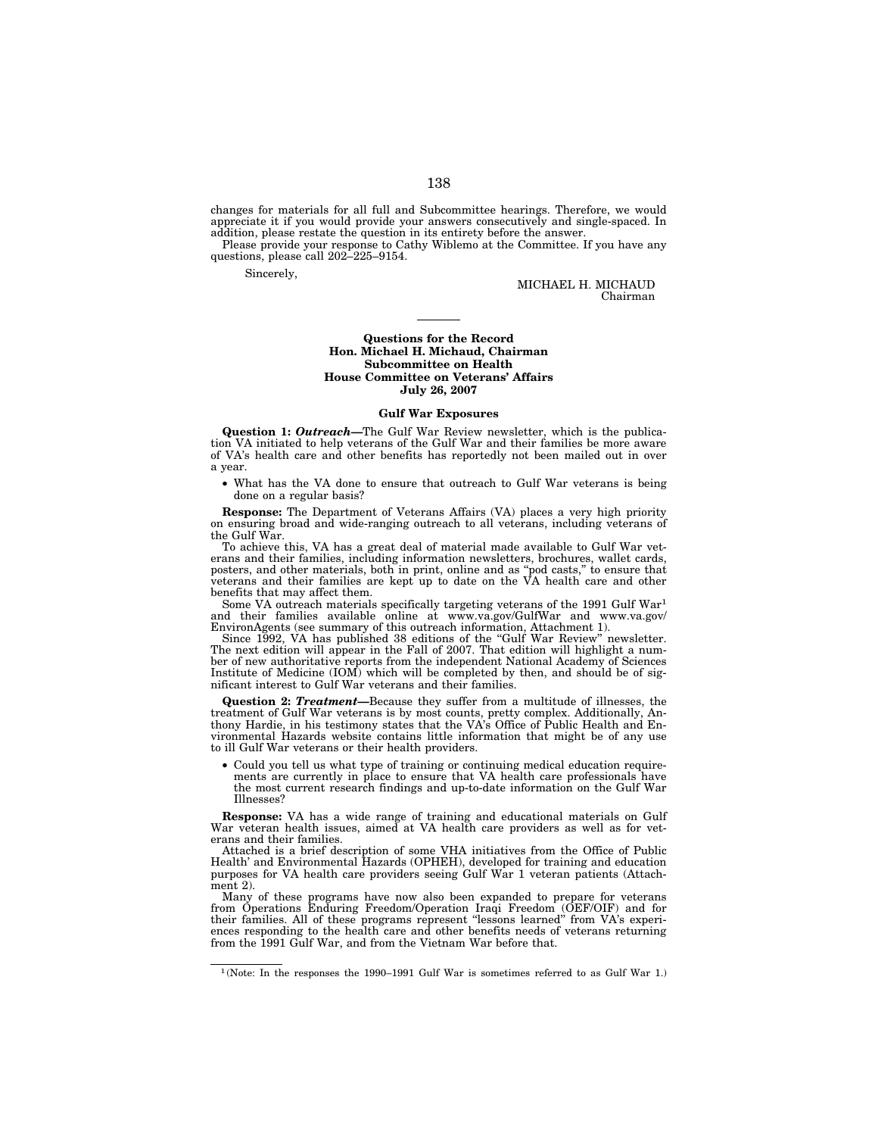changes for materials for all full and Subcommittee hearings. Therefore, we would appreciate it if you would provide your answers consecutively and single-spaced. In addition, please restate the question in its entirety before the answer.

Please provide your response to Cathy Wiblemo at the Committee. If you have any questions, please call 202–225–9154.

Sincerely,

MICHAEL H. MICHAUD Chairman

### **Questions for the Record Hon. Michael H. Michaud, Chairman Subcommittee on Health House Committee on Veterans' Affairs July 26, 2007**

#### **Gulf War Exposures**

**Question 1:** *Outreach—*The Gulf War Review newsletter, which is the publication VA initiated to help veterans of the Gulf War and their families be more aware of VA's health care and other benefits has reportedly not been mailed out in over a year.

• What has the VA done to ensure that outreach to Gulf War veterans is being done on a regular basis?

**Response:** The Department of Veterans Affairs (VA) places a very high priority on ensuring broad and wide-ranging outreach to all veterans, including veterans of the Gulf War.

To achieve this, VA has a great deal of material made available to Gulf War veterans and their families, including information newsletters, brochures, wallet cards, posters, and other materials, both in print, online and as ''pod casts,'' to ensure that veterans and their families are kept up to date on the VA health care and other benefits that may affect them.

Some VA outreach materials specifically targeting veterans of the 1991 Gulf War1 and their families available online at www.va.gov/GulfWar and www.va.gov/ EnvironAgents (see summary of this outreach information, Attachment 1).

Since 1992, VA has published 38 editions of the ''Gulf War Review'' newsletter. The next edition will appear in the Fall of 2007. That edition will highlight a number of new authoritative reports from the independent National Academy of Sciences Institute of Medicine (IOM) which will be completed by then, and should be of significant interest to Gulf War veterans and their families.

**Question 2:** *Treatment—*Because they suffer from a multitude of illnesses, the treatment of Gulf War veterans is by most counts, pretty complex. Additionally, Anthony Hardie, in his testimony states that the VA's Office of Public Health and Environmental Hazards website contains little information that might be of any use to ill Gulf War veterans or their health providers.

• Could you tell us what type of training or continuing medical education require-ments are currently in place to ensure that VA health care professionals have the most current research findings and up-to-date information on the Gulf War Illnesses?

**Response:** VA has a wide range of training and educational materials on Gulf War veteran health issues, aimed at VA health care providers as well as for veterans and their families.

Attached is a brief description of some VHA initiatives from the Office of Public Health' and Environmental Hazards (OPHEH), developed for training and education purposes for VA health care providers seeing Gulf War 1 veteran patients (Attachment 2).

Many of these programs have now also been expanded to prepare for veterans from Operations Enduring Freedom/Operation Iraqi Freedom (OEF/OIF) and for their families. All of these programs represent ''lessons learned'' from VA's experiences responding to the health care and other benefits needs of veterans returning from the 1991 Gulf War, and from the Vietnam War before that.

<sup>1</sup> (Note: In the responses the 1990–1991 Gulf War is sometimes referred to as Gulf War 1.)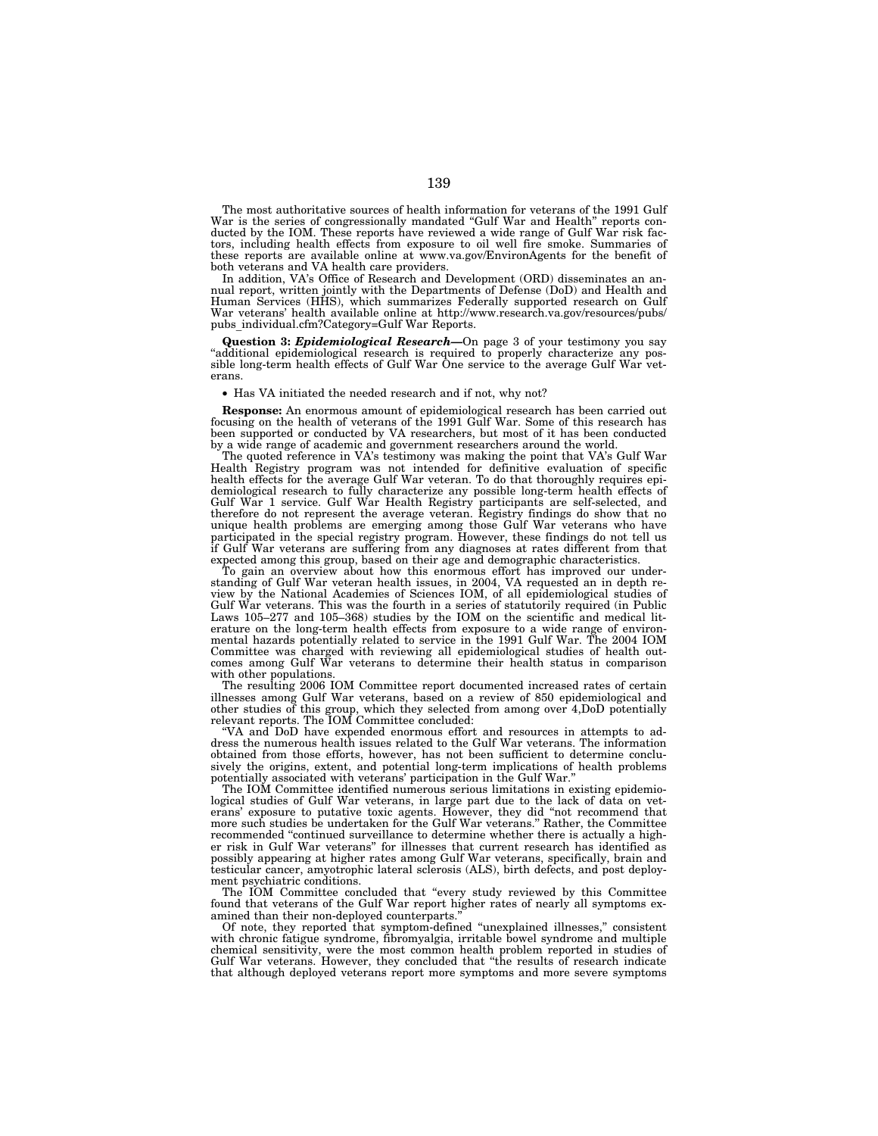The most authoritative sources of health information for veterans of the 1991 Gulf War is the series of congressionally mandated "Gulf War and Health" reports conducted by the IOM. These reports have reviewed a wide range of Gulf War risk factors, including health effects from exposure to oil well fire smoke. Summaries of these reports are available online at www.va.gov/EnvironAgents for the benefit of both veterans and VA health care providers.

In addition, VA's Office of Research and Development (ORD) disseminates an annual report, written jointly with the Departments of Defense (DoD) and Health and Human Services (HHS), which summarizes Federally supported research on Gulf War veterans' health available online at http://www.research.va.gov/resources/pubs/ pubs\_individual.cfm?Category=Gulf War Reports.

**Question 3:** *Epidemiological Research—*On page 3 of your testimony you say ''additional epidemiological research is required to properly characterize any possible long-term health effects of Gulf War One service to the average Gulf War veterans.

• Has VA initiated the needed research and if not, why not?

**Response:** An enormous amount of epidemiological research has been carried out focusing on the health of veterans of the 1991 Gulf War. Some of this research has been supported or conducted by VA researchers, but most of it has been conducted by a wide range of academic and government researchers around the world.

The quoted reference in VA's testimony was making the point that VA's Gulf War Health Registry program was not intended for definitive evaluation of specific health effects for the average Gulf War veteran. To do that thoroughly requires epidemiological research to fully characterize any possible long-term health effects of Gulf War 1 service. Gulf War Health Registry participants are self-selected, and therefore do not represent the average veteran. Registry findings do show that no unique health problems are emerging among those Gulf War veterans who have participated in the special registry program. However, these findings do not tell us if Gulf War veterans are suffering from any diagnoses at rates different from that expected among this group, based on their age and demographic characteristics.

To gain an overview about how this enormous effort has improved our understanding of Gulf War veteran health issues, in 2004, VA requested an in depth review by the National Academies of Sciences IOM, of all epidemiological studies of Gulf War veterans. This was the fourth in a series of statutorily required (in Public Laws 105–277 and 105–368) studies by the IOM on the scientific and medical literature on the long-term health effects from exposure to a wide range of environmental hazards potentially related to service in the 1991 Gulf War. The 2004 IOM Committee was charged with reviewing all epidemiological studies of health outcomes among Gulf War veterans to determine their health status in comparison with other populations.

The resulting 2006 IOM Committee report documented increased rates of certain illnesses among Gulf War veterans, based on a review of 850 epidemiological and other studies of this group, which they selected from among over 4,DoD potentially relevant reports. The IOM Committee concluded:

''VA and DoD have expended enormous effort and resources in attempts to address the numerous health issues related to the Gulf War veterans. The information obtained from those efforts, however, has not been sufficient to determine conclusively the origins, extent, and potential long-term implications of health problems potentially associated with veterans' participation in the Gulf War.''

The IOM Committee identified numerous serious limitations in existing epidemiological studies of Gulf War veterans, in large part due to the lack of data on veterans' exposure to putative toxic agents. However, they did ''not recommend that more such studies be undertaken for the Gulf War veterans.'' Rather, the Committee recommended ''continued surveillance to determine whether there is actually a higher risk in Gulf War veterans'' for illnesses that current research has identified as possibly appearing at higher rates among Gulf War veterans, specifically, brain and testicular cancer, amyotrophic lateral sclerosis (ALS), birth defects, and post deployment psychiatric conditions.

The IOM Committee concluded that ''every study reviewed by this Committee found that veterans of the Gulf War report higher rates of nearly all symptoms examined than their non-deployed counterparts.

Of note, they reported that symptom-defined ''unexplained illnesses,'' consistent with chronic fatigue syndrome, fibromyalgia, irritable bowel syndrome and multiple chemical sensitivity, were the most common health problem reported in studies of Gulf War veterans. However, they concluded that ''the results of research indicate that although deployed veterans report more symptoms and more severe symptoms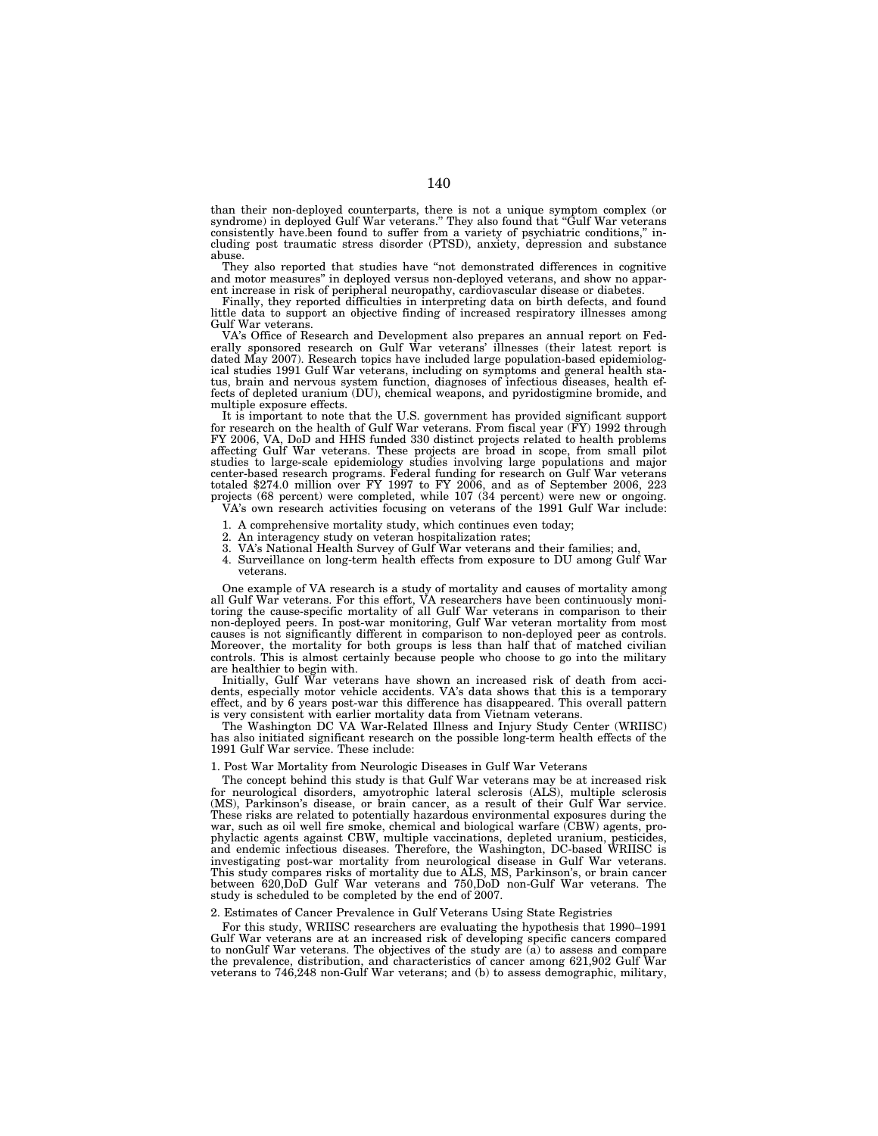than their non-deployed counterparts, there is not a unique symptom complex (or syndrome) in deployed Gulf War veterans." They also found that "Gulf War veterans consistently have.been found to suffer from a variety of psychiatric conditions,'' including post traumatic stress disorder (PTSD), anxiety, depression and substance abuse.

They also reported that studies have "not demonstrated differences in cognitive and motor measures'' in deployed versus non-deployed veterans, and show no apparent increase in risk of peripheral neuropathy, cardiovascular disease or diabetes.

Finally, they reported difficulties in interpreting data on birth defects, and found little data to support an objective finding of increased respiratory illnesses among Gulf War veterans.

VA's Office of Research and Development also prepares an annual report on Federally sponsored research on Gulf War veterans' illnesses (their latest report is dated May 2007). Research topics have included large population-based epidemiological studies 1991 Gulf War veterans, including on symptoms and general health status, brain and nervous system function, diagnoses of infectious diseases, health effects of depleted uranium (DU), chemical weapons, and pyridostigmine bromide, and multiple exposure effects.

It is important to note that the U.S. government has provided significant support for research on the health of Gulf War veterans. From fiscal year (FY) 1992 through FY 2006, VA, DoD and HHS funded 330 distinct projects related to health problems affecting Gulf War veterans. These projects are broad in scope, from small pilot studies to large-scale epidemiology studies involving large populations and major center-based research programs. Federal funding for research on Gulf War veterans totaled \$274.0 million over FY 1997 to FY 2006, and as of September 2006, 223 projects (68 percent) were completed, while 107 (34 percent) were new or ongoing. VA's own research activities focusing on veterans of the 1991 Gulf War include:

- 1. A comprehensive mortality study, which continues even today;
- 2. An interagency study on veteran hospitalization rates;
- 3. VA's National Health Survey of Gulf War veterans and their families; and,
- 4. Surveillance on long-term health effects from exposure to DU among Gulf War veterans.

One example of VA research is a study of mortality and causes of mortality among all Gulf War veterans. For this effort, VA researchers have been continuously monitoring the cause-specific mortality of all Gulf War veterans in comparison to their non-deployed peers. In post-war monitoring, Gulf War veteran mortality from most causes is not significantly different in comparison to non-deployed peer as controls. Moreover, the mortality for both groups is less than half that of matched civilian controls. This is almost certainly because people who choose to go into the military are healthier to begin with.

Initially, Gulf War veterans have shown an increased risk of death from accidents, especially motor vehicle accidents. VA's data shows that this is a temporary effect, and by 6 years post-war this difference has disappeared. This overall pattern is very consistent with earlier mortality data from Vietnam veterans.

The Washington DC VA War-Related Illness and Injury Study Center (WRIISC) has also initiated significant research on the possible long-term health effects of the 1991 Gulf War service. These include:

#### 1. Post War Mortality from Neurologic Diseases in Gulf War Veterans

The concept behind this study is that Gulf War veterans may be at increased risk for neurological disorders, amyotrophic lateral sclerosis (ALS), multiple sclerosis (MS), Parkinson's disease, or brain cancer, as a result of their Gulf War service. These risks are related to potentially hazardous environmental exposures during the war, such as oil well fire smoke, chemical and biological warfare (CBW) agents, prophylactic agents against CBW, multiple vaccinations, depleted uranium, pesticides, and endemic infectious diseases. Therefore, the Washington, DC-based WRIISC is investigating post-war mortality from neurological disease in Gulf War veterans. This study compares risks of mortality due to ALS, MS, Parkinson's, or brain cancer between 620,DoD Gulf War veterans and 750,DoD non-Gulf War veterans. The study is scheduled to be completed by the end of 2007.

### 2. Estimates of Cancer Prevalence in Gulf Veterans Using State Registries

For this study, WRIISC researchers are evaluating the hypothesis that 1990–1991 Gulf War veterans are at an increased risk of developing specific cancers compared to nonGulf War veterans. The objectives of the study are  $(a)$  to assess and compare the prevalence, distribution, and characteristics of cancer among 621,902 Gulf veterans to 746,248 non-Gulf War veterans; and (b) to assess demographic, military,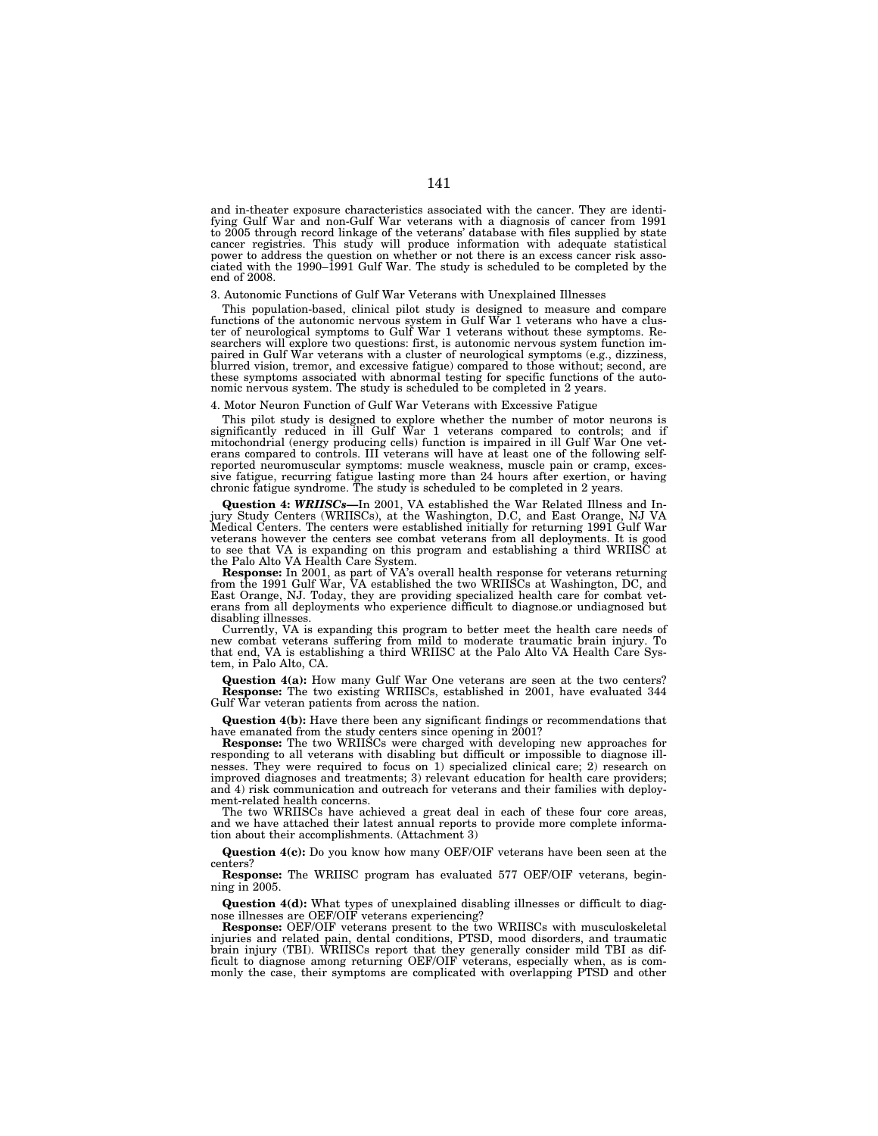and in-theater exposure characteristics associated with the cancer. They are identifying Gulf War and non-Gulf War veterans with a diagnosis of cancer from 1991 to 2005 through record linkage of the veterans' database with files supplied by state cancer registries. This study will produce information with adequate statistical power to address the question on whether or not there is an excess cancer risk asso-ciated with the 1990–1991 Gulf War. The study is scheduled to be completed by the end of 2008.

#### 3. Autonomic Functions of Gulf War Veterans with Unexplained Illnesses

This population-based, clinical pilot study is designed to measure and compare functions of the autonomic nervous system in Gulf War 1 veterans who have a cluster of neurological symptoms to Gulf War 1 veterans without these symptoms. Researchers will explore two questions: first, is autonomic nervous system function impaired in Gulf War veterans with a cluster of neurological symptoms (e.g., dizziness, blurred vision, tremor, and excessive fatigue) compared to those without; second, are these symptoms associated with abnormal testing for specific functions of the autonomic nervous system. The study is scheduled to be completed in 2 years.

## 4. Motor Neuron Function of Gulf War Veterans with Excessive Fatigue

This pilot study is designed to explore whether the number of motor neurons is significantly reduced in ill Gulf War 1 veterans compared to controls; and if mitochondrial (energy producing cells) function is impaired in ill Gulf War One veterans compared to controls. III veterans will have at least one of the following selfreported neuromuscular symptoms: muscle weakness, muscle pain or cramp, excessive fatigue, recurring fatigue lasting more than 24 hours after exertion, or having chronic fatigue syndrome. The study is scheduled to be completed in 2 years.

**Question 4: WRIISCs—In** 2001, VA established the War Related Illness and Injury Study Centers (WRIISCs), at the Washington, D.C, and East Orange, NJ VA Medical Centers. The centers were established initially for returning veterans however the centers see combat veterans from all deployments. It is good to see that VA is expanding on this program and establishing a third WRIISC at the Palo Alto VA Health Care System.

**Response:** In 2001, as part of VA's overall health response for veterans returning from the 1991 Gulf War, VA established the two WRIISCs at Washington, DC, and<br>East Orange, NJ. Today, they are providing specialized health care for combat vet-<br>erans from all deployments who experience difficult to diagno disabling illnesses.

Currently, VA is expanding this program to better meet the health care needs of new combat veterans suffering from mild to moderate traumatic brain injury. To that end, VA is establishing a third WRIISC at the Palo Alto VA Health Care Sys-tem, in Palo Alto, CA.

**Question 4(a):** How many Gulf War One veterans are seen at the two centers? **Response:** The two existing WRIISCs, established in 2001, have evaluated 344 Gulf War veteran patients from across the nation.

**Question 4(b):** Have there been any significant findings or recommendations that have emanated from the study centers since opening in 2001?

**Response:** The two WRIISCs were charged with developing new approaches for responding to all veterans with disabling but difficult or impossible to diagnose illnesses. They were required to focus on 1) specialized clinical care; 2) research on improved diagnoses and treatments; 3) relevant education for health care providers; and 4) risk communication and outreach for veterans and their families with deployment-related health concerns.

The two WRIISCs have achieved a great deal in each of these four core areas, and we have attached their latest annual reports to provide more complete information about their accomplishments. (Attachment 3)

**Question 4(c):** Do you know how many OEF/OIF veterans have been seen at the centers?

**Response:** The WRIISC program has evaluated 577 OEF/OIF veterans, beginning in 2005.

**Question 4(d):** What types of unexplained disabling illnesses or difficult to diagnose illnesses are OEF/OIF veterans experiencing?

**Response:** OEF/OIF veterans present to the two WRIISCs with musculoskeletal injuries and related pain, dental conditions, PTSD, mood disorders, and traumatic brain injury (TBI). WRIISCs report that they generally consider mild TBI as dif-ficult to diagnose among returning OEF/OIF veterans, especially when, as is commonly the case, their symptoms are complicated with overlapping PTSD and other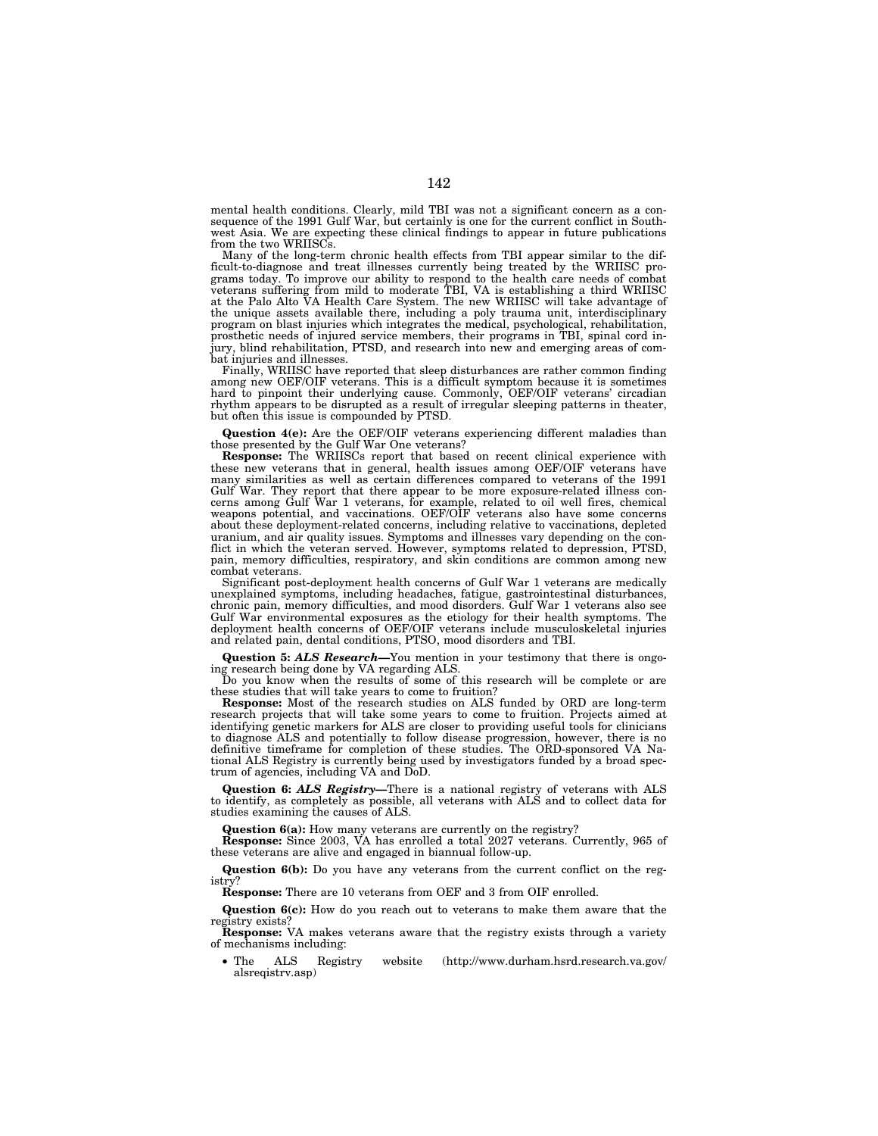mental health conditions. Clearly, mild TBI was not a significant concern as a consequence of the 1991 Gulf War, but certainly is one for the current conflict in Southwest Asia. We are expecting these clinical findings to appear in future publications from the two WRIISCs.

Many of the long-term chronic health effects from TBI appear similar to the difficult-to-diagnose and treat illnesses currently being treated by the WRIISC programs today. To improve our ability to respond to the health care needs of combat veterans suffering from mild to moderate TBI, VA is establishing a third WRIISC at the Palo Alto VA Health Care System. The new WRIISC will take advantage of the unique assets available there, including a poly trauma unit, interdisciplinary program on blast injuries which integrates the medical, psychological, rehabilitation, prosthetic needs of injured service members, their programs in TBI, spinal cord injury, blind rehabilitation, PTSD, and research into new and emerging areas of combat injuries and illnesses.

Finally, WRIISC have reported that sleep disturbances are rather common finding among new OEF/OIF veterans. This is a difficult symptom because it is sometimes hard to pinpoint their underlying cause. Commonly, OEF/OIF veterans' circadian rhythm appears to be disrupted as a result of irregular sleeping patterns in theater, but often this issue is compounded by PTSD.

**Question 4(e):** Are the OEF/OIF veterans experiencing different maladies than those presented by the Gulf War One veterans?

**Response:** The WRIISCs report that based on recent clinical experience with these new veterans that in general, health issues among OEF/OIF veterans have many similarities as well as certain differences compared to veterans of the 1991 Gulf War. They report that there appear to be more exposure-related illness concerns among Gulf War 1 veterans, for example, related to oil well fires, chemical weapons potential, and vaccinations. OEF/OIF veterans also have some concerns about these deployment-related concerns, including relative to vaccinations, depleted uranium, and air quality issues. Symptoms and illnesses vary depending on the conflict in which the veteran served. However, symptoms related to depression, PTSD, pain, memory difficulties, respiratory, and skin conditions are common among new combat veterans.

Significant post-deployment health concerns of Gulf War 1 veterans are medically unexplained symptoms, including headaches, fatigue, gastrointestinal disturbances, chronic pain, memory difficulties, and mood disorders. Gulf War 1 veterans also see Gulf War environmental exposures as the etiology for their health symptoms. The deployment health concerns of OEF/OIF veterans include musculoskeletal injuries and related pain, dental conditions, PTSO, mood disorders and TBI.

**Question 5:** *ALS Research—*You mention in your testimony that there is ongoing research being done by VA regarding ALS.

Do you know when the results of some of this research will be complete or are these studies that will take years to come to fruition?

**Response:** Most of the research studies on ALS funded by ORD are long-term research projects that will take some years to come to fruition. Projects aimed at identifying genetic markers for ALS are closer to providing useful tools for clinicians to diagnose ALS and potentially to follow disease progression, however, there is no definitive timeframe for completion of these studies. The ORD-sponsored VA National ALS Registry is currently being used by investigators funded by a broad spectrum of agencies, including VA and DoD.

**Question 6:** *ALS Registry—*There is a national registry of veterans with ALS to identify, as completely as possible, all veterans with ALS and to collect data for studies examining the causes of ALS.

**Question 6(a):** How many veterans are currently on the registry?

**Response:** Since 2003, VA has enrolled a total 2027 veterans. Currently, 965 of these veterans are alive and engaged in biannual follow-up.

**Question 6(b):** Do you have any veterans from the current conflict on the registry?

**Response:** There are 10 veterans from OEF and 3 from OIF enrolled.

**Question 6(c):** How do you reach out to veterans to make them aware that the registry exists?

**Response:** VA makes veterans aware that the registry exists through a variety of mechanisms including:

<sup>•</sup> The ALS Registry website (http://www.durham.hsrd.research.va.gov/ alsreqistrv.asp)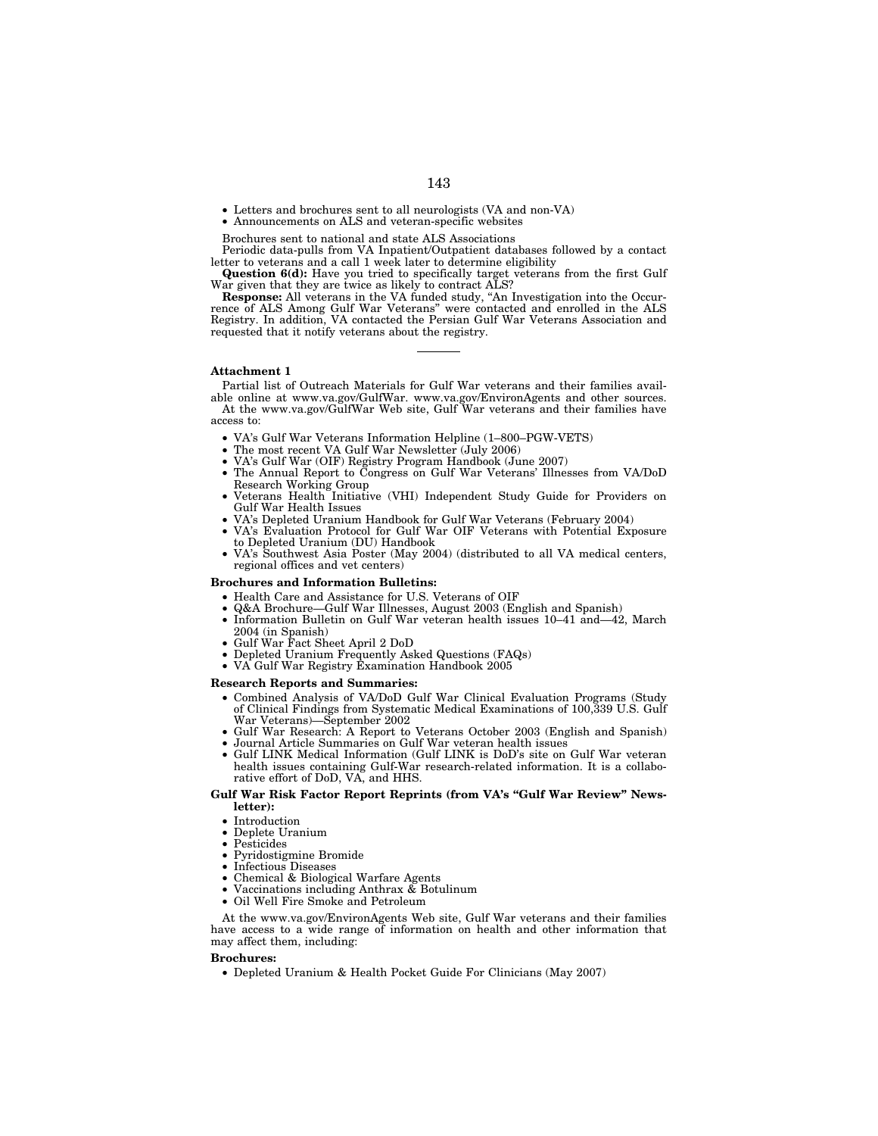- Letters and brochures sent to all neurologists (VA and non-VA)
- Announcements on ALS and veteran-specific websites

Brochures sent to national and state ALS Associations

Periodic data-pulls from VA Inpatient/Outpatient databases followed by a contact letter to veterans and a call 1 week later to determine eligibility

**Question 6(d):** Have you tried to specifically target veterans from the first Gulf War given that they are twice as likely to contract ALS?

**Response:** All veterans in the VA funded study, ''An Investigation into the Occurrence of ALS Among Gulf War Veterans'' were contacted and enrolled in the ALS Registry. In addition, VA contacted the Persian Gulf War Veterans Association and requested that it notify veterans about the registry.

## **Attachment 1**

Partial list of Outreach Materials for Gulf War veterans and their families available online at www.va.gov/GulfWar. www.va.gov/EnvironAgents and other sources.

At the www.va.gov/GulfWar Web site, Gulf War veterans and their families have access to:

- VA's Gulf War Veterans Information Helpline (1–800–PGW-VETS)
- The most recent VA Gulf War Newsletter (July 2006)
- VA's Gulf War (OIF) Registry Program Handbook (June 2007)
- The Annual Report to Congress on Gulf War Veterans' Illnesses from VA/DoD Research Working Group
- Veterans Health Initiative (VHI) Independent Study Guide for Providers on Gulf War Health Issues
- VA's Depleted Uranium Handbook for Gulf War Veterans (February 2004)
- VA's Evaluation Protocol for Gulf War OIF Veterans with Potential Exposure
- to Depleted Uranium (DU) Handbook
- VA's Southwest Asia Poster (May 2004) (distributed to all VA medical centers, regional offices and vet centers)

## **Brochures and Information Bulletins:**

- Health Care and Assistance for U.S. Veterans of OIF
- Q&A Brochure—Gulf War Illnesses, August 2003 (English and Spanish)
- Information Bulletin on Gulf War veteran health issues 10–41 and—42, March 2004 (in Spanish)
- Gulf War Fact Sheet April 2 DoD
- Depleted Uranium Frequently Asked Questions (FAQs)
- VA Gulf War Registry Examination Handbook 2005

# **Research Reports and Summaries:**

- Combined Analysis of VA/DoD Gulf War Clinical Evaluation Programs (Study of Clinical Findings from Systematic Medical Examinations of 100,339 U.S. Gulf War Veterans)—September 2002
- Gulf War Research: A Report to Veterans October 2003 (English and Spanish)
- Journal Article Summaries on Gulf War veteran health issues • Gulf LINK Medical Information (Gulf LINK is DoD's site on Gulf War veteran health issues containing Gulf-War research-related information. It is a collaborative effort of DoD, VA, and HHS.

### **Gulf War Risk Factor Report Reprints (from VA's ''Gulf War Review'' Newsletter):**

- **Introduction**
- Deplete Uranium
- Pesticides
- Pyridostigmine Bromide
- Infectious Diseases
- Chemical & Biological Warfare Agents
- Vaccinations including Anthrax  $\&$  Botulinum
- Oil Well Fire Smoke and Petroleum

At the www.va.gov/EnvironAgents Web site, Gulf War veterans and their families have access to a wide range of information on health and other information that may affect them, including:

### **Brochures:**

• Depleted Uranium & Health Pocket Guide For Clinicians (May 2007)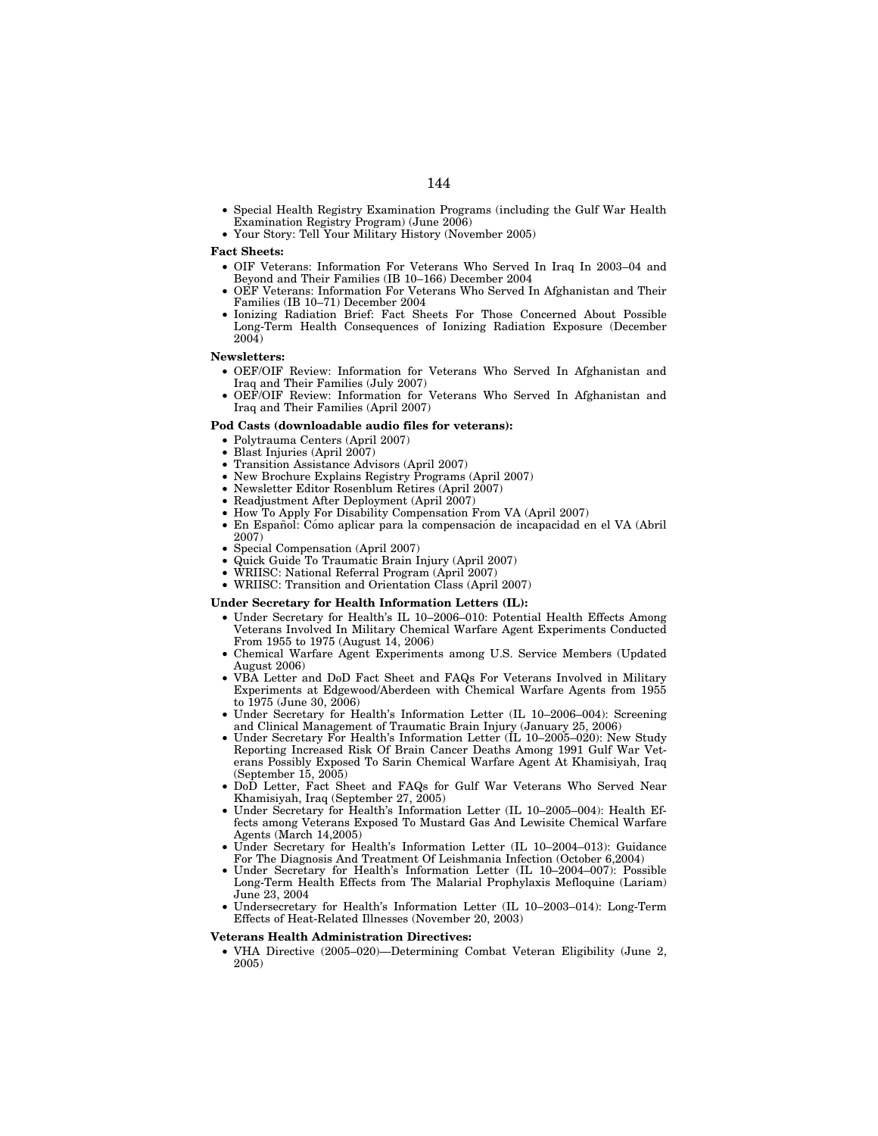- Special Health Registry Examination Programs (including the Gulf War Health Examination Registry Program) (June 2006)
- Your Story: Tell Your Military History (November 2005)

### **Fact Sheets:**

- OIF Veterans: Information For Veterans Who Served In Iraq In 2003–04 and Beyond and Their Families (IB 10–166) December 2004
- OEF Veterans: Information For Veterans Who Served In Afghanistan and Their Families (IB 10–71) December 2004
- Ionizing Radiation Brief: Fact Sheets For Those Concerned About Possible Long-Term Health Consequences of Ionizing Radiation Exposure (December 2004)

# **Newsletters:**

- OEF/OIF Review: Information for Veterans Who Served In Afghanistan and Iraq and Their Families (July 2007)
- OEF/OIF Review: Information for Veterans Who Served In Afghanistan and Iraq and Their Families (April 2007)

## **Pod Casts (downloadable audio files for veterans):**

- Polytrauma Centers (April 2007)
- Blast Injuries (April 2007)
- Transition Assistance Advisors (April 2007)
- New Brochure Explains Registry Programs (April 2007)
- Newsletter Editor Rosenblum Retires (April 2007)
- Readjustment After Deployment (April 2007)
- How To Apply For Disability Compensation From VA (April 2007)
- · En Español: Cómo aplicar para la compensación de incapacidad en el VA (Abril 2007)
- Special Compensation (April 2007)
- Quick Guide To Traumatic Brain Injury (April 2007)
- WRIISC: National Referral Program (April 2007)
- WRIISC: Transition and Orientation Class (April 2007)

## **Under Secretary for Health Information Letters (IL):**

- Under Secretary for Health's IL 10–2006–010: Potential Health Effects Among Veterans Involved In Military Chemical Warfare Agent Experiments Conducted From 1955 to 1975 (August 14, 2006)
- Chemical Warfare Agent Experiments among U.S. Service Members (Updated August 2006)
- VBA Letter and DoD Fact Sheet and FAQs For Veterans Involved in Military Experiments at Edgewood/Aberdeen with Chemical Warfare Agents from 1955 to 1975 (June 30, 2006)
- Under Secretary for Health's Information Letter (IL 10–2006–004): Screening and Clinical Management of Traumatic Brain Injury (January 25, 2006)
- Under Secretary For Health's Information Letter (IL 10–2005–020): New Study Reporting Increased Risk Of Brain Cancer Deaths Among 1991 Gulf War Veterans Possibly Exposed To Sarin Chemical Warfare Agent At Khamisiyah, Iraq (September 15, 2005)
- DoD Letter, Fact Sheet and FAQs for Gulf War Veterans Who Served Near Khamisiyah, Iraq (September 27, 2005)
- Under Secretary for Health's Information Letter (IL 10–2005–004): Health Effects among Veterans Exposed To Mustard Gas And Lewisite Chemical Warfare Agents (March 14,2005)
- Under Secretary for Health's Information Letter (IL 10–2004–013): Guidance For The Diagnosis And Treatment Of Leishmania Infection (October 6,2004)
- Under Secretary for Health's Information Letter (IL 10–2004–007): Possible Long-Term Health Effects from The Malarial Prophylaxis Mefloquine (Lariam) June 23, 2004
- Undersecretary for Health's Information Letter (IL 10–2003–014): Long-Term Effects of Heat-Related Illnesses (November 20, 2003)

# **Veterans Health Administration Directives:**

• VHA Directive (2005–020)—Determining Combat Veteran Eligibility (June 2, 2005)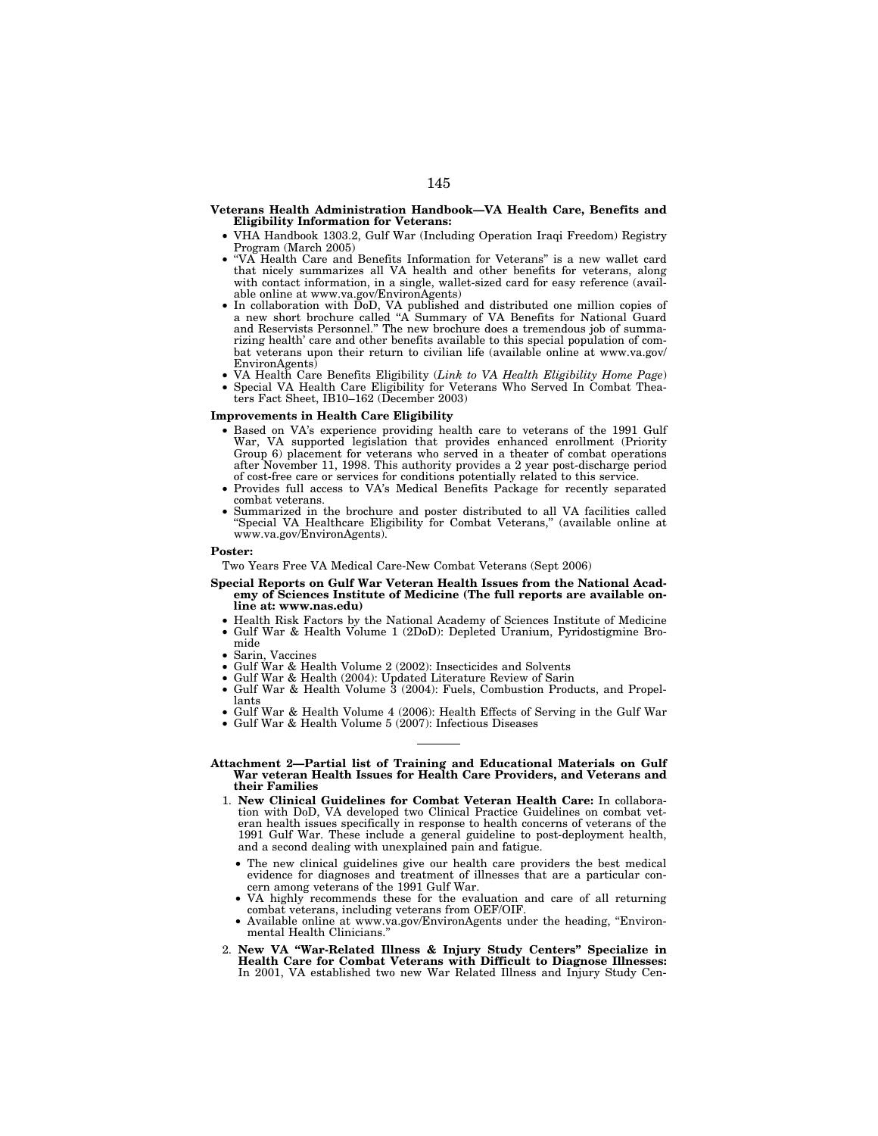### **Veterans Health Administration Handbook—VA Health Care, Benefits and Eligibility Information for Veterans:**

- VHA Handbook 1303.2, Gulf War (Including Operation Iraqi Freedom) Registry Program (March 2005)
- ''VA Health Care and Benefits Information for Veterans'' is a new wallet card that nicely summarizes all VA health and other benefits for veterans, along with contact information, in a single, wallet-sized card for easy reference (available online at www.va.gov/EnvironAgents)
- In collaboration with DoD, VA published and distributed one million copies of a new short brochure called ''A Summary of VA Benefits for National Guard and Reservists Personnel.'' The new brochure does a tremendous job of summarizing health' care and other benefits available to this special population of combat veterans upon their return to civilian life (available online at www.va.gov/ EnvironAgents)
- VA Health Care Benefits Eligibility (*Link to VA Health Eligibility Home Page*) • Special VA Health Care Eligibility for Veterans Who Served In Combat Theaters Fact Sheet, IB10–162 (December 2003)

### **Improvements in Health Care Eligibility**

- Based on VA's experience providing health care to veterans of the 1991 Gulf War, VA supported legislation that provides enhanced enrollment (Priority Group 6) placement for veterans who served in a theater of combat operations after November 11, 1998. This authority provides a 2 year post-discharge period of cost-free care or services for conditions potentially related to this service.
- Provides full access to VA's Medical Benefits Package for recently separated combat veterans.
- Summarized in the brochure and poster distributed to all VA facilities called ''Special VA Healthcare Eligibility for Combat Veterans,'' (available online at www.va.gov/EnvironAgents).

#### **Poster:**

Two Years Free VA Medical Care-New Combat Veterans (Sept 2006)

- **Special Reports on Gulf War Veteran Health Issues from the National Academy of Sciences Institute of Medicine (The full reports are available online at: www.nas.edu)** 
	- Health Risk Factors by the National Academy of Sciences Institute of Medicine • Gulf War & Health Volume 1 (2DoD): Depleted Uranium, Pyridostigmine Bromide
	- Sarin, Vaccines
	- Gulf War & Health Volume 2 (2002): Insecticides and Solvents
	- Gulf War & Health (2004): Updated Literature Review of Sarin
	- Gulf War & Health Volume 3 (2004): Fuels, Combustion Products, and Propellants
	- Gulf War & Health Volume 4 (2006): Health Effects of Serving in the Gulf War • Gulf War & Health Volume 5 (2007): Infectious Diseases
	-

## **Attachment 2—Partial list of Training and Educational Materials on Gulf War veteran Health Issues for Health Care Providers, and Veterans and their Families**

- 1. **New Clinical Guidelines for Combat Veteran Health Care:** In collaboration with DoD, VA developed two Clinical Practice Guidelines on combat veteran health issues specifically in response to health concerns of veterans of the 1991 Gulf War. These include a general guideline to post-deployment health, and a second dealing with unexplained pain and fatigue.
	- The new clinical guidelines give our health care providers the best medical evidence for diagnoses and treatment of illnesses that are a particular concern among veterans of the 1991 Gulf War.
	- VA highly recommends these for the evaluation and care of all returning combat veterans, including veterans from OEF/OIF.
	- Available online at www.va.gov/EnvironAgents under the heading, ''Environmental Health Clinicians.''
- 2. **New VA ''War-Related Illness & Injury Study Centers'' Specialize in Health Care for Combat Veterans with Difficult to Diagnose Illnesses:**  In 2001, VA established two new War Related Illness and Injury Study Cen-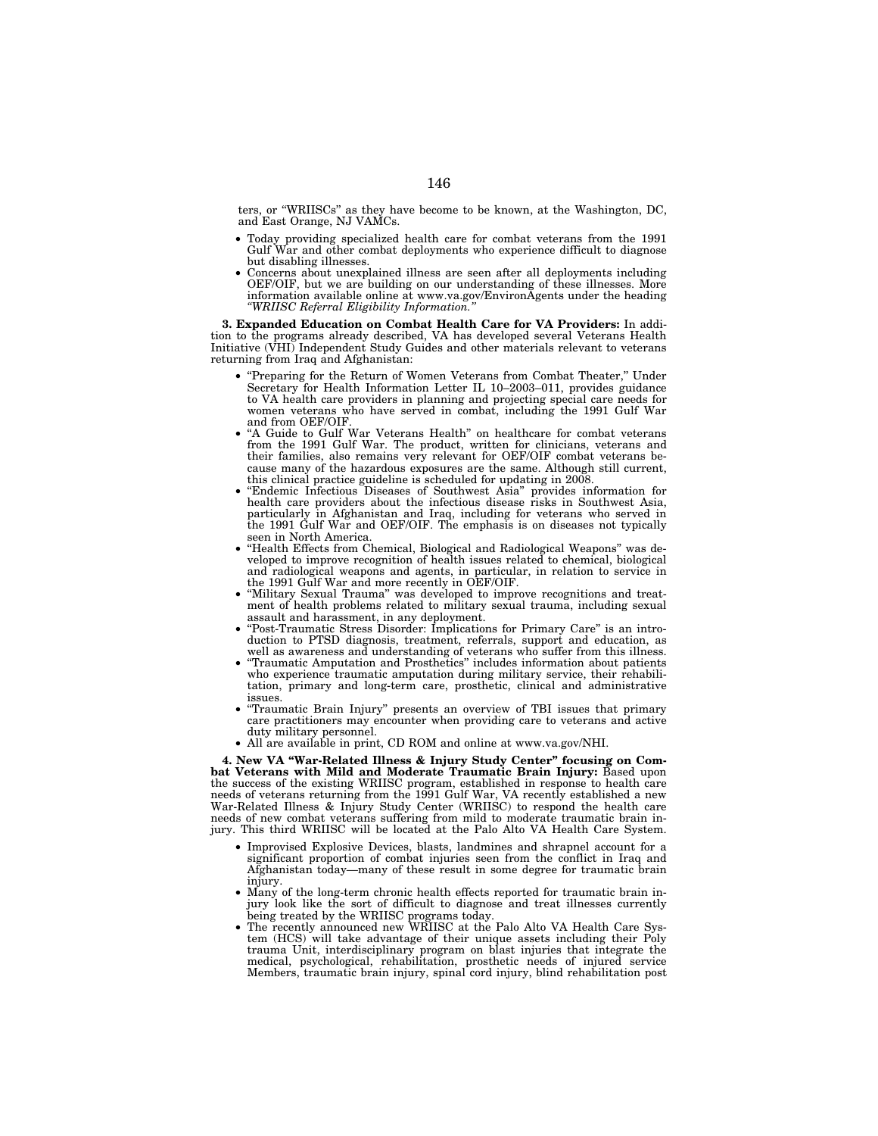ters, or ''WRIISCs'' as they have become to be known, at the Washington, DC, and East Orange, NJ VAMCs.

- Today providing specialized health care for combat veterans from the 1991 Gulf War and other combat deployments who experience difficult to diagnose but disabling illnesses.
- Concerns about unexplained illness are seen after all deployments including OEF/OIF, but we are building on our understanding of these illnesses. More information available online at www.va.gov/EnvironAgents under the heading *''WRIISC Referral Eligibility Information.''*

**3. Expanded Education on Combat Health Care for VA Providers:** In addition to the programs already described, VA has developed several Veterans Health Initiative (VHI) Independent Study Guides and other materials relevant to veterans returning from Iraq and Afghanistan:

- ''Preparing for the Return of Women Veterans from Combat Theater,'' Under Secretary for Health Information Letter IL 10–2003–011, provides guidance to VA health care providers in planning and projecting special care needs for women veterans who have served in combat, including the 1991 Gulf War and from OEF/OIF.
- ''A Guide to Gulf War Veterans Health'' on healthcare for combat veterans from the 1991 Gulf War. The product, written for clinicians, veterans and their families, also remains very relevant for OEF/OIF combat veterans because many of the hazardous exposures are the same. Although still current, this clinical practice guideline is scheduled for updating in 2008.
- ''Endemic Infectious Diseases of Southwest Asia'' provides information for health care providers about the infectious disease risks in Southwest Asia, particularly in Afghanistan and Iraq, including for veterans who served in the 1991 Gulf War and OEF/OIF. The emphasis is on diseases not typically seen in North America.
- ''Health Effects from Chemical, Biological and Radiological Weapons'' was developed to improve recognition of health issues related to chemical, biological and radiological weapons and agents, in particular, in relation to service in the 1991 Gulf War and more recently in OEF/OIF.
- ''Military Sexual Trauma'' was developed to improve recognitions and treatment of health problems related to military sexual trauma, including sexual assault and harassment, in any deployment.
- ''Post-Traumatic Stress Disorder: Implications for Primary Care'' is an introduction to PTSD diagnosis, treatment, referrals, support and education, as well as awareness and understanding of veterans who suffer from this illness.
- ''Traumatic Amputation and Prosthetics'' includes information about patients who experience traumatic amputation during military service, their rehabilitation, primary and long-term care, prosthetic, clinical and administrative issues.
- ''Traumatic Brain Injury'' presents an overview of TBI issues that primary care practitioners may encounter when providing care to veterans and active duty military personnel.
- All are available in print, CD ROM and online at www.va.gov/NHI.

**4. New VA ''War-Related Illness & Injury Study Center'' focusing on Com**bat Veterans with Mild and Moderate Traumatic Brain Injury: Based upon the success of the existing WRIISC program, established in response to health care needs of veterans returning from the 1991 Gulf War, VA recently established a new War-Related Illness & Injury Study Center (WRIISC) to respond the health care needs of new combat veterans suffering from mild to moderate traumatic brain injury. This third WRIISC will be located at the Palo Alto VA Health Care System.

- Improvised Explosive Devices, blasts, landmines and shrapnel account for a significant proportion of combat injuries seen from the conflict in Iraq and Afghanistan today—many of these result in some degree for traumatic brain injury.
- Many of the long-term chronic health effects reported for traumatic brain injury look like the sort of difficult to diagnose and treat illnesses currently being treated by the WRIISC programs today.
- The recently announced new WRIISC at the Palo Alto VA Health Care System (HCS) will take advantage of their unique assets including their Poly trauma Unit, interdisciplinary program on blast injuries that integrate the medical, psychological, rehabilitation, prosthetic needs of injured service Members, traumatic brain injury, spinal cord injury, blind rehabilitation post